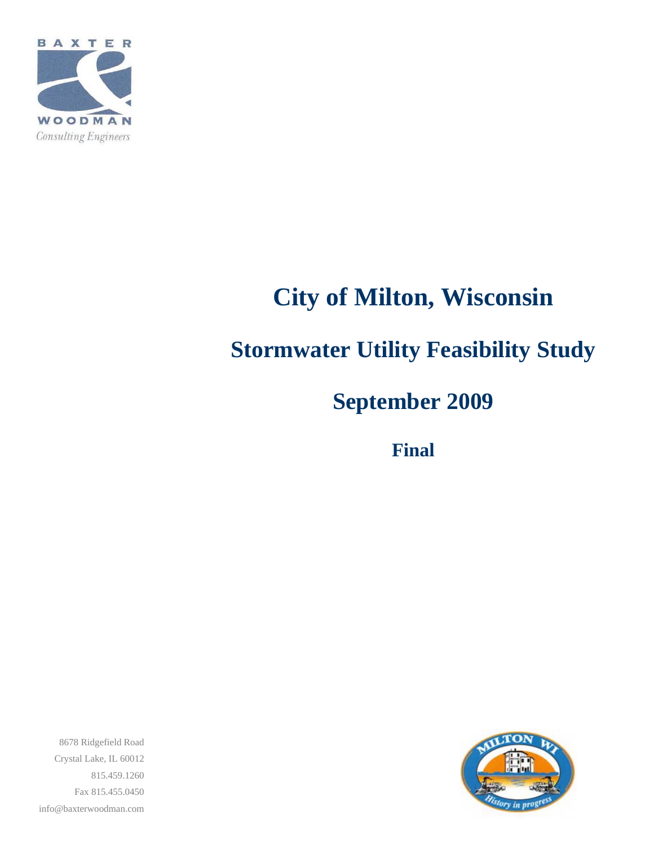

# **City of Milton, Wisconsin**

# **Stormwater Utility Feasibility Study**

# **September 2009**

**Final** 



8678 Ridgefield Road Crystal Lake, IL 60012 815.459.1260 Fax 815.455.0450 info@baxterwoodman.com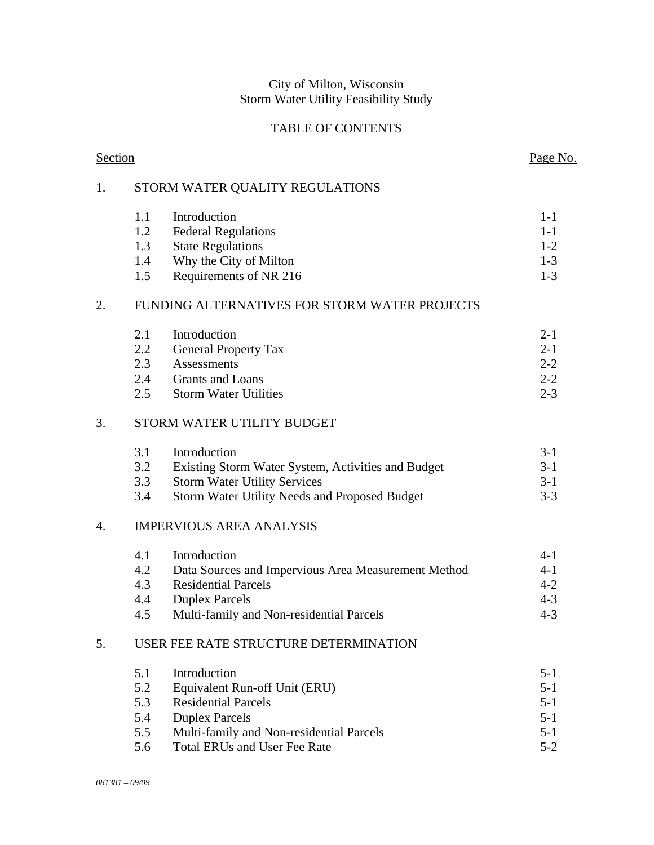## City of Milton, Wisconsin Storm Water Utility Feasibility Study

# TABLE OF CONTENTS

| Section |         |                                                     | Page No. |
|---------|---------|-----------------------------------------------------|----------|
| 1.      |         | STORM WATER QUALITY REGULATIONS                     |          |
|         | 1.1     | Introduction                                        | $1 - 1$  |
|         | 1.2     | <b>Federal Regulations</b>                          | $1 - 1$  |
|         | 1.3     | <b>State Regulations</b>                            | $1-2$    |
|         | 1.4     | Why the City of Milton                              | $1-3$    |
|         | 1.5     | Requirements of NR 216                              | $1 - 3$  |
| 2.      |         | FUNDING ALTERNATIVES FOR STORM WATER PROJECTS       |          |
|         | 2.1     | Introduction                                        | $2 - 1$  |
|         | $2.2\,$ | <b>General Property Tax</b>                         | $2 - 1$  |
|         | 2.3     | Assessments                                         | $2 - 2$  |
|         | 2.4     | <b>Grants and Loans</b>                             | $2 - 2$  |
|         | 2.5     | <b>Storm Water Utilities</b>                        | $2 - 3$  |
| 3.      |         | STORM WATER UTILITY BUDGET                          |          |
|         | 3.1     | Introduction                                        | $3-1$    |
|         | 3.2     | Existing Storm Water System, Activities and Budget  | $3-1$    |
|         | 3.3     | <b>Storm Water Utility Services</b>                 | $3 - 1$  |
|         | 3.4     | Storm Water Utility Needs and Proposed Budget       | $3 - 3$  |
| 4.      |         | <b>IMPERVIOUS AREA ANALYSIS</b>                     |          |
|         | 4.1     | Introduction                                        | $4 - 1$  |
|         | 4.2     | Data Sources and Impervious Area Measurement Method | $4 - 1$  |
|         | 4.3     | <b>Residential Parcels</b>                          | $4 - 2$  |
|         | 4.4     | <b>Duplex Parcels</b>                               | $4 - 3$  |
|         | 4.5     | Multi-family and Non-residential Parcels            | $4 - 3$  |
| 5.      |         | USER FEE RATE STRUCTURE DETERMINATION               |          |
|         | 5.1     | Introduction                                        | $5 - 1$  |
|         | 5.2     | Equivalent Run-off Unit (ERU)                       | $5 - 1$  |
|         | 5.3     | <b>Residential Parcels</b>                          | $5 - 1$  |
|         | 5.4     | <b>Duplex Parcels</b>                               | $5 - 1$  |
|         | 5.5     | Multi-family and Non-residential Parcels            | $5 - 1$  |
|         | 5.6     | <b>Total ERUs and User Fee Rate</b>                 | $5 - 2$  |
|         |         |                                                     |          |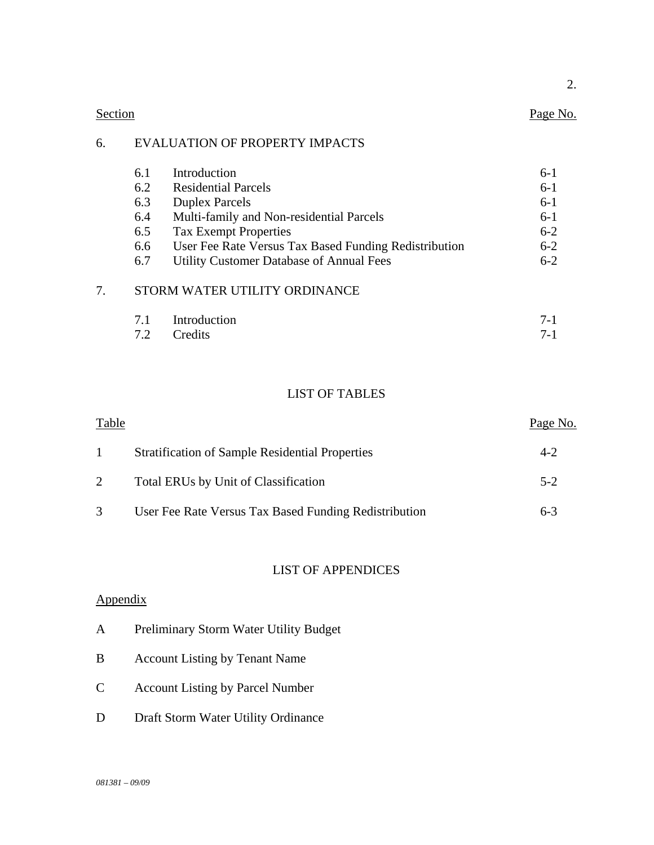# Section Page No.

# 6. EVALUATION OF PROPERTY IMPACTS

| 6.1 | Introduction                                          | $6-1$   |
|-----|-------------------------------------------------------|---------|
| 6.2 | <b>Residential Parcels</b>                            | $6-1$   |
| 6.3 | <b>Duplex Parcels</b>                                 | $6-1$   |
| 6.4 | Multi-family and Non-residential Parcels              | $6-1$   |
| 6.5 | <b>Tax Exempt Properties</b>                          | $6 - 2$ |
| 6.6 | User Fee Rate Versus Tax Based Funding Redistribution | $6 - 2$ |
| 6.7 | <b>Utility Customer Database of Annual Fees</b>       | $6-2$   |
|     | STORM WATER UTILITY ORDINANCE                         |         |

| 7.1 Introduction | $7-1$   |
|------------------|---------|
| 7.2 Credits      | $7 - 1$ |

# LIST OF TABLES

| Table |                                                        | Page No. |
|-------|--------------------------------------------------------|----------|
|       | <b>Stratification of Sample Residential Properties</b> | $4-2$    |
|       | Total ERUs by Unit of Classification                   | $5-2$    |
|       | User Fee Rate Versus Tax Based Funding Redistribution  | $6-3$    |

# LIST OF APPENDICES

# Appendix

| Preliminary Storm Water Utility Budget<br>A |  |
|---------------------------------------------|--|
|---------------------------------------------|--|

- B Account Listing by Tenant Name
- C Account Listing by Parcel Number
- D Draft Storm Water Utility Ordinance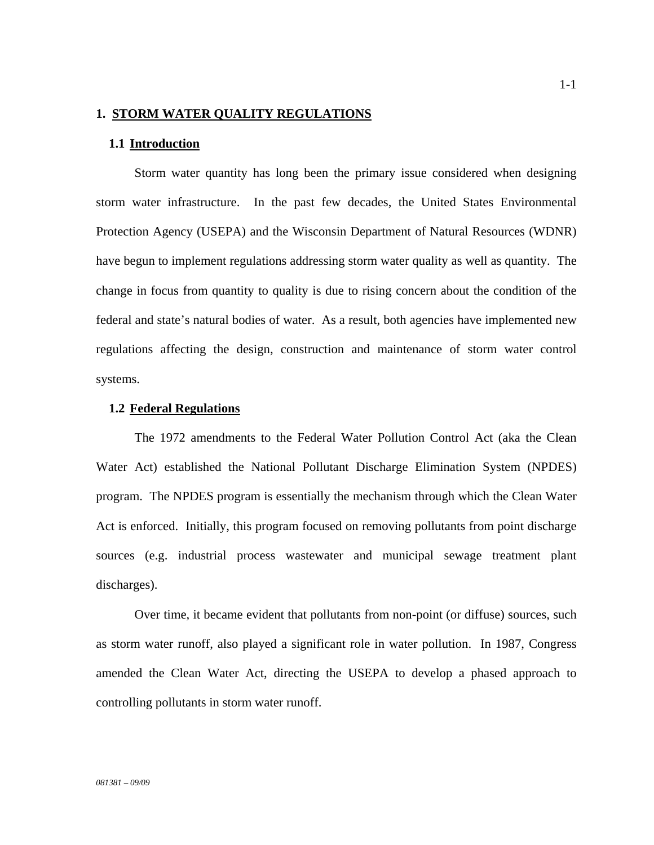### **1. STORM WATER QUALITY REGULATIONS**

#### **1.1 Introduction**

Storm water quantity has long been the primary issue considered when designing storm water infrastructure. In the past few decades, the United States Environmental Protection Agency (USEPA) and the Wisconsin Department of Natural Resources (WDNR) have begun to implement regulations addressing storm water quality as well as quantity. The change in focus from quantity to quality is due to rising concern about the condition of the federal and state's natural bodies of water. As a result, both agencies have implemented new regulations affecting the design, construction and maintenance of storm water control systems.

#### **1.2 Federal Regulations**

The 1972 amendments to the Federal Water Pollution Control Act (aka the Clean Water Act) established the National Pollutant Discharge Elimination System (NPDES) program. The NPDES program is essentially the mechanism through which the Clean Water Act is enforced. Initially, this program focused on removing pollutants from point discharge sources (e.g. industrial process wastewater and municipal sewage treatment plant discharges).

Over time, it became evident that pollutants from non-point (or diffuse) sources, such as storm water runoff, also played a significant role in water pollution. In 1987, Congress amended the Clean Water Act, directing the USEPA to develop a phased approach to controlling pollutants in storm water runoff.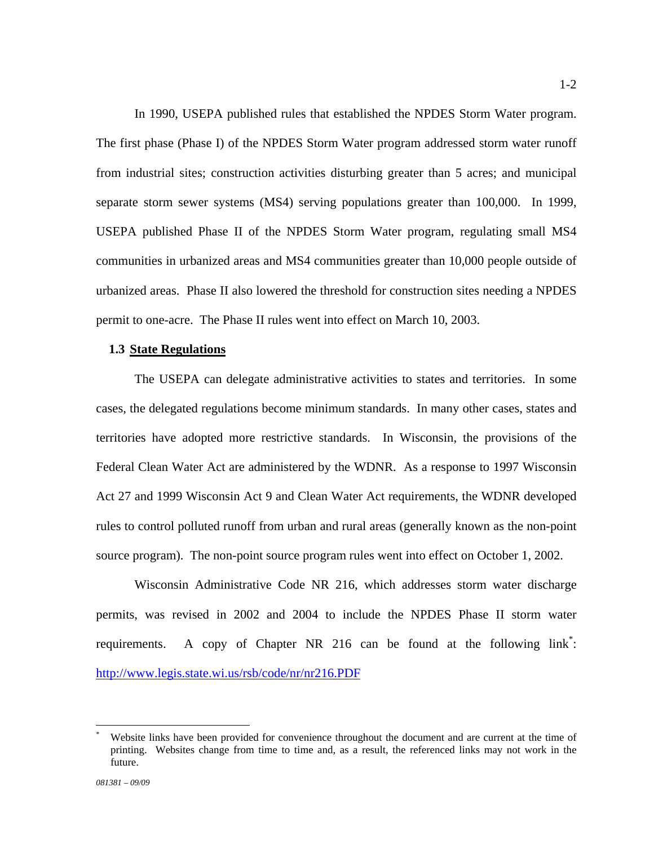In 1990, USEPA published rules that established the NPDES Storm Water program. The first phase (Phase I) of the NPDES Storm Water program addressed storm water runoff from industrial sites; construction activities disturbing greater than 5 acres; and municipal separate storm sewer systems (MS4) serving populations greater than 100,000. In 1999, USEPA published Phase II of the NPDES Storm Water program, regulating small MS4 communities in urbanized areas and MS4 communities greater than 10,000 people outside of urbanized areas. Phase II also lowered the threshold for construction sites needing a NPDES permit to one-acre. The Phase II rules went into effect on March 10, 2003.

#### **1.3 State Regulations**

The USEPA can delegate administrative activities to states and territories. In some cases, the delegated regulations become minimum standards. In many other cases, states and territories have adopted more restrictive standards. In Wisconsin, the provisions of the Federal Clean Water Act are administered by the WDNR. As a response to 1997 Wisconsin Act 27 and 1999 Wisconsin Act 9 and Clean Water Act requirements, the WDNR developed rules to control polluted runoff from urban and rural areas (generally known as the non-point source program). The non-point source program rules went into effect on October 1, 2002.

Wisconsin Administrative Code NR 216, which addresses storm water discharge permits, was revised in 2002 and 2004 to include the NPDES Phase II storm water requirements. A copy of Chapter NR 216 can be found at the following  $link^*$ : http://www.legis.state.wi.us/rsb/code/nr/nr216.PDF

 $\overline{a}$ 

<sup>\*</sup> Website links have been provided for convenience throughout the document and are current at the time of printing. Websites change from time to time and, as a result, the referenced links may not work in the future.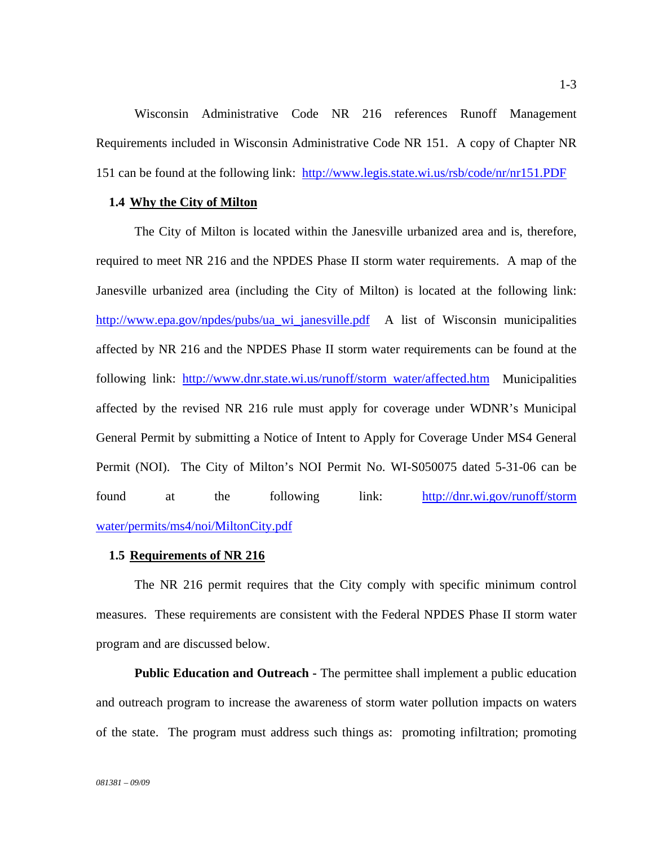Wisconsin Administrative Code NR 216 references Runoff Management Requirements included in Wisconsin Administrative Code NR 151. A copy of Chapter NR 151 can be found at the following link: http://www.legis.state.wi.us/rsb/code/nr/nr151.PDF

#### **1.4 Why the City of Milton**

The City of Milton is located within the Janesville urbanized area and is, therefore, required to meet NR 216 and the NPDES Phase II storm water requirements. A map of the Janesville urbanized area (including the City of Milton) is located at the following link: http://www.epa.gov/npdes/pubs/ua\_wi\_janesville.pdf A list of Wisconsin municipalities affected by NR 216 and the NPDES Phase II storm water requirements can be found at the following link: http://www.dnr.state.wi.us/runoff/storm water/affected.htm Municipalities affected by the revised NR 216 rule must apply for coverage under WDNR's Municipal General Permit by submitting a Notice of Intent to Apply for Coverage Under MS4 General Permit (NOI). The City of Milton's NOI Permit No. WI-S050075 dated 5-31-06 can be found at the following link: http://dnr.wi.gov/runoff/storm water/permits/ms4/noi/MiltonCity.pdf

#### **1.5 Requirements of NR 216**

The NR 216 permit requires that the City comply with specific minimum control measures. These requirements are consistent with the Federal NPDES Phase II storm water program and are discussed below.

**Public Education and Outreach -** The permittee shall implement a public education and outreach program to increase the awareness of storm water pollution impacts on waters of the state. The program must address such things as: promoting infiltration; promoting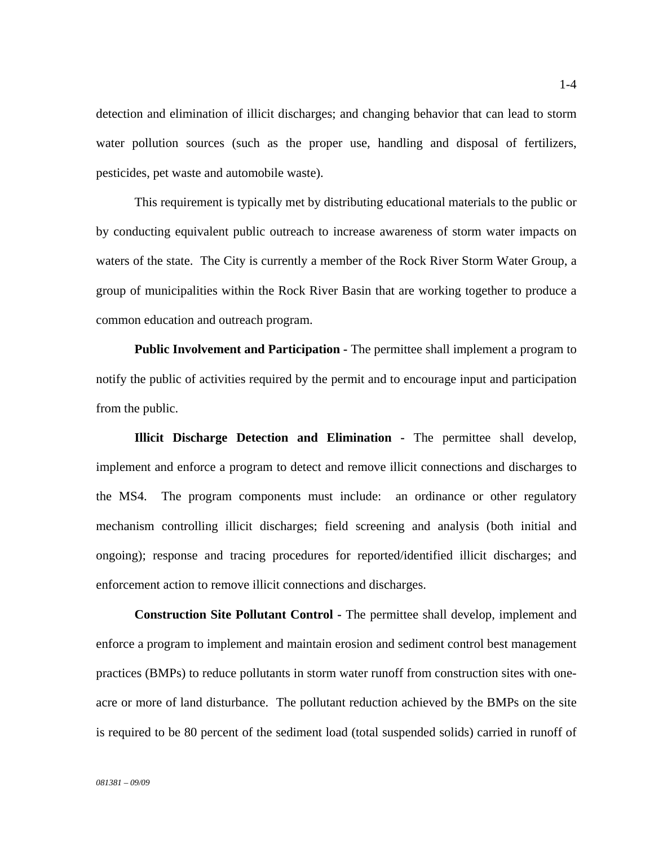detection and elimination of illicit discharges; and changing behavior that can lead to storm water pollution sources (such as the proper use, handling and disposal of fertilizers, pesticides, pet waste and automobile waste).

This requirement is typically met by distributing educational materials to the public or by conducting equivalent public outreach to increase awareness of storm water impacts on waters of the state. The City is currently a member of the Rock River Storm Water Group, a group of municipalities within the Rock River Basin that are working together to produce a common education and outreach program.

**Public Involvement and Participation -** The permittee shall implement a program to notify the public of activities required by the permit and to encourage input and participation from the public.

**Illicit Discharge Detection and Elimination -** The permittee shall develop, implement and enforce a program to detect and remove illicit connections and discharges to the MS4. The program components must include: an ordinance or other regulatory mechanism controlling illicit discharges; field screening and analysis (both initial and ongoing); response and tracing procedures for reported/identified illicit discharges; and enforcement action to remove illicit connections and discharges.

**Construction Site Pollutant Control -** The permittee shall develop, implement and enforce a program to implement and maintain erosion and sediment control best management practices (BMPs) to reduce pollutants in storm water runoff from construction sites with oneacre or more of land disturbance. The pollutant reduction achieved by the BMPs on the site is required to be 80 percent of the sediment load (total suspended solids) carried in runoff of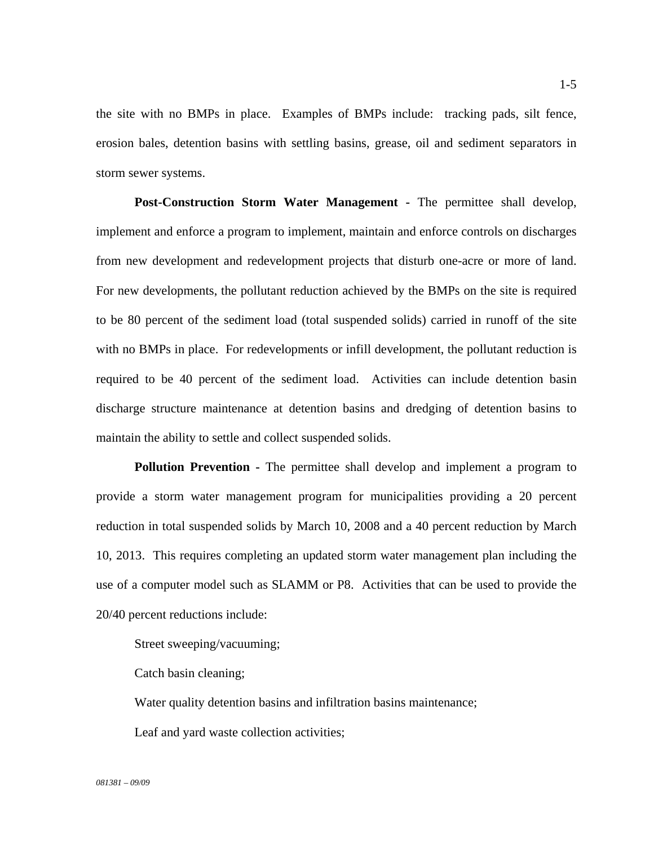the site with no BMPs in place. Examples of BMPs include: tracking pads, silt fence, erosion bales, detention basins with settling basins, grease, oil and sediment separators in storm sewer systems.

**Post-Construction Storm Water Management -** The permittee shall develop, implement and enforce a program to implement, maintain and enforce controls on discharges from new development and redevelopment projects that disturb one-acre or more of land. For new developments, the pollutant reduction achieved by the BMPs on the site is required to be 80 percent of the sediment load (total suspended solids) carried in runoff of the site with no BMPs in place. For redevelopments or infill development, the pollutant reduction is required to be 40 percent of the sediment load. Activities can include detention basin discharge structure maintenance at detention basins and dredging of detention basins to maintain the ability to settle and collect suspended solids.

**Pollution Prevention -** The permittee shall develop and implement a program to provide a storm water management program for municipalities providing a 20 percent reduction in total suspended solids by March 10, 2008 and a 40 percent reduction by March 10, 2013. This requires completing an updated storm water management plan including the use of a computer model such as SLAMM or P8. Activities that can be used to provide the 20/40 percent reductions include:

Street sweeping/vacuuming;

Catch basin cleaning;

Water quality detention basins and infiltration basins maintenance;

Leaf and yard waste collection activities;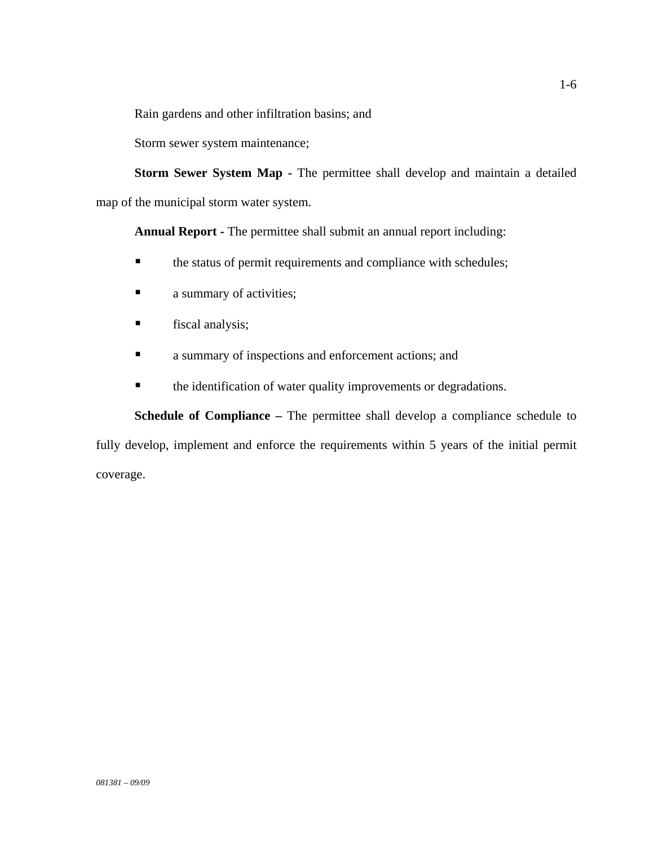Rain gardens and other infiltration basins; and

Storm sewer system maintenance;

**Storm Sewer System Map -** The permittee shall develop and maintain a detailed map of the municipal storm water system.

**Annual Report -** The permittee shall submit an annual report including:

- $\blacksquare$  the status of permit requirements and compliance with schedules;
- **a** summary of activities;
- **fiscal analysis;**
- **a** summary of inspections and enforcement actions; and
- **the identification of water quality improvements or degradations.**

**Schedule of Compliance –** The permittee shall develop a compliance schedule to fully develop, implement and enforce the requirements within 5 years of the initial permit coverage.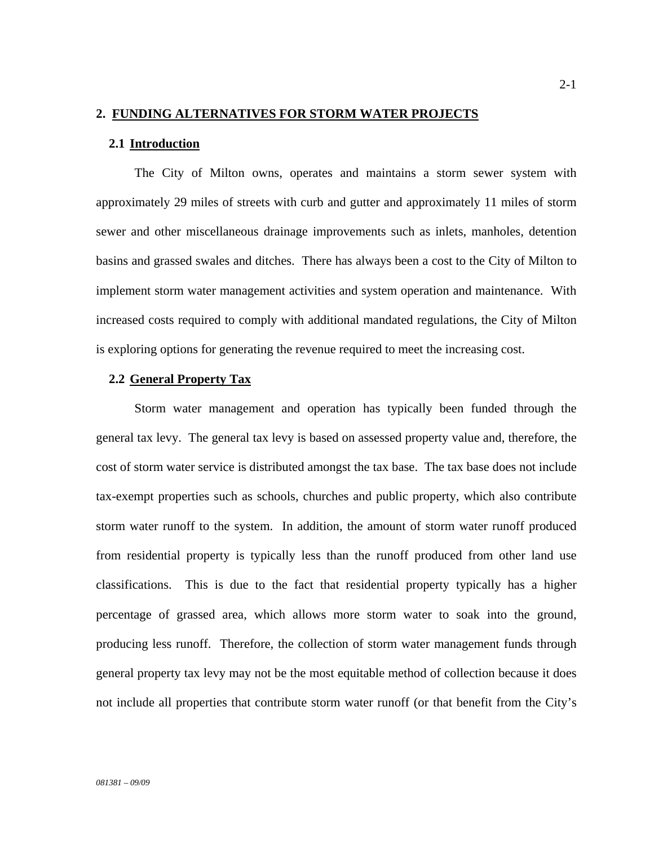#### **2. FUNDING ALTERNATIVES FOR STORM WATER PROJECTS**

#### **2.1 Introduction**

The City of Milton owns, operates and maintains a storm sewer system with approximately 29 miles of streets with curb and gutter and approximately 11 miles of storm sewer and other miscellaneous drainage improvements such as inlets, manholes, detention basins and grassed swales and ditches. There has always been a cost to the City of Milton to implement storm water management activities and system operation and maintenance. With increased costs required to comply with additional mandated regulations, the City of Milton is exploring options for generating the revenue required to meet the increasing cost.

#### **2.2 General Property Tax**

Storm water management and operation has typically been funded through the general tax levy. The general tax levy is based on assessed property value and, therefore, the cost of storm water service is distributed amongst the tax base. The tax base does not include tax-exempt properties such as schools, churches and public property, which also contribute storm water runoff to the system. In addition, the amount of storm water runoff produced from residential property is typically less than the runoff produced from other land use classifications. This is due to the fact that residential property typically has a higher percentage of grassed area, which allows more storm water to soak into the ground, producing less runoff. Therefore, the collection of storm water management funds through general property tax levy may not be the most equitable method of collection because it does not include all properties that contribute storm water runoff (or that benefit from the City's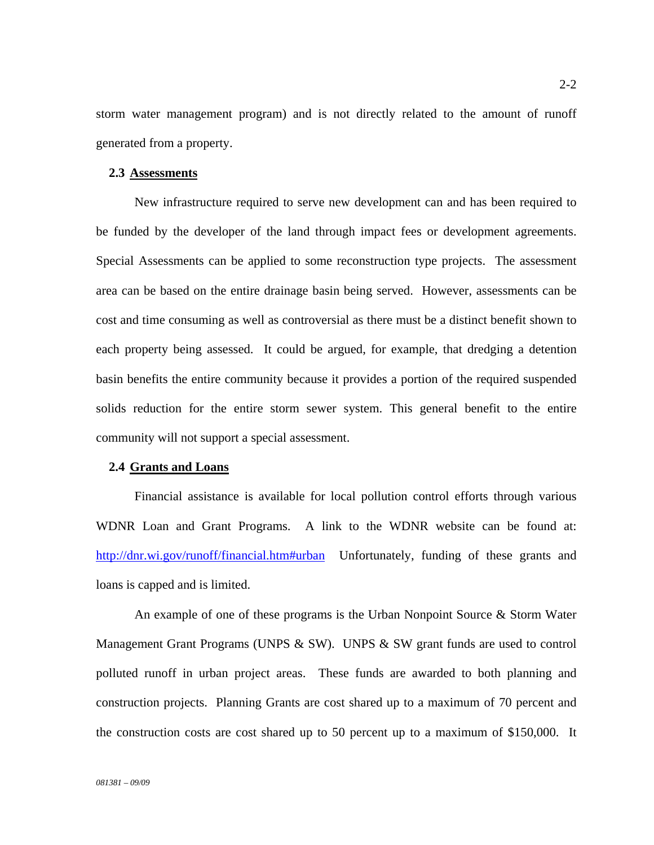storm water management program) and is not directly related to the amount of runoff generated from a property.

#### **2.3 Assessments**

New infrastructure required to serve new development can and has been required to be funded by the developer of the land through impact fees or development agreements. Special Assessments can be applied to some reconstruction type projects. The assessment area can be based on the entire drainage basin being served. However, assessments can be cost and time consuming as well as controversial as there must be a distinct benefit shown to each property being assessed. It could be argued, for example, that dredging a detention basin benefits the entire community because it provides a portion of the required suspended solids reduction for the entire storm sewer system. This general benefit to the entire community will not support a special assessment.

#### **2.4 Grants and Loans**

Financial assistance is available for local pollution control efforts through various WDNR Loan and Grant Programs. A link to the WDNR website can be found at: http://dnr.wi.gov/runoff/financial.htm#urban Unfortunately, funding of these grants and loans is capped and is limited.

An example of one of these programs is the Urban Nonpoint Source & Storm Water Management Grant Programs (UNPS & SW). UNPS & SW grant funds are used to control polluted runoff in urban project areas. These funds are awarded to both planning and construction projects. Planning Grants are cost shared up to a maximum of 70 percent and the construction costs are cost shared up to 50 percent up to a maximum of \$150,000. It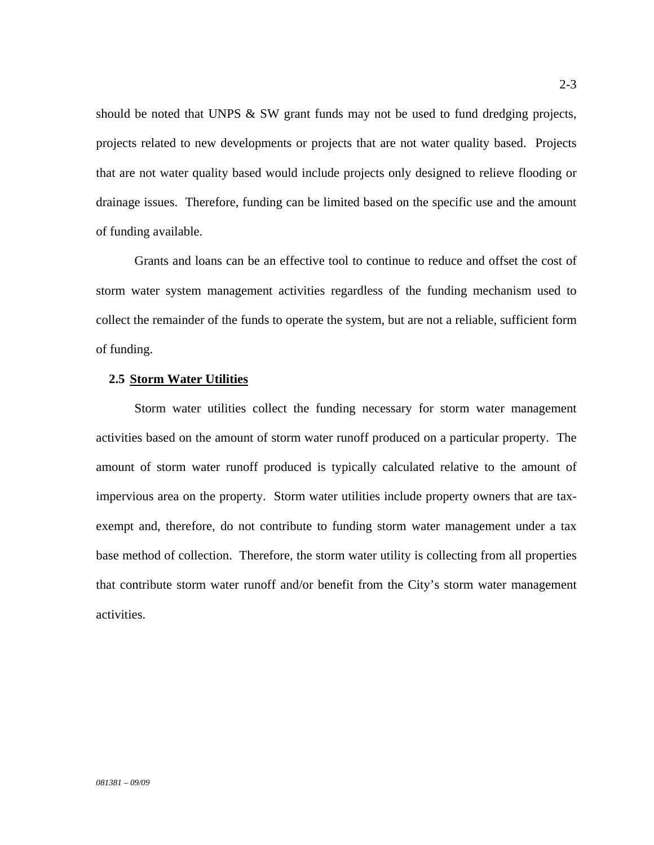should be noted that UNPS  $\&$  SW grant funds may not be used to fund dredging projects, projects related to new developments or projects that are not water quality based. Projects that are not water quality based would include projects only designed to relieve flooding or drainage issues. Therefore, funding can be limited based on the specific use and the amount of funding available.

Grants and loans can be an effective tool to continue to reduce and offset the cost of storm water system management activities regardless of the funding mechanism used to collect the remainder of the funds to operate the system, but are not a reliable, sufficient form of funding.

#### **2.5 Storm Water Utilities**

Storm water utilities collect the funding necessary for storm water management activities based on the amount of storm water runoff produced on a particular property. The amount of storm water runoff produced is typically calculated relative to the amount of impervious area on the property. Storm water utilities include property owners that are taxexempt and, therefore, do not contribute to funding storm water management under a tax base method of collection. Therefore, the storm water utility is collecting from all properties that contribute storm water runoff and/or benefit from the City's storm water management activities.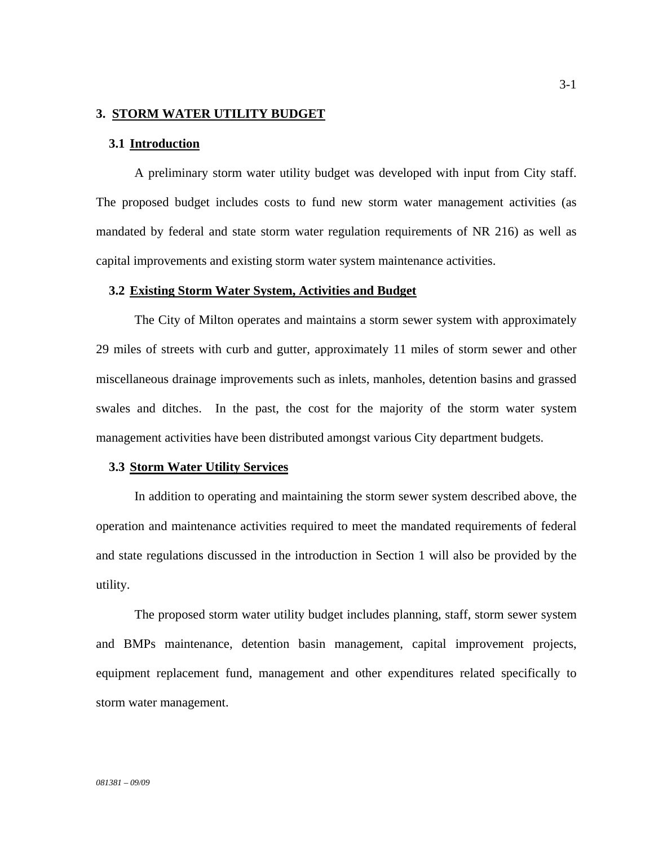### **3. STORM WATER UTILITY BUDGET**

#### **3.1 Introduction**

A preliminary storm water utility budget was developed with input from City staff. The proposed budget includes costs to fund new storm water management activities (as mandated by federal and state storm water regulation requirements of NR 216) as well as capital improvements and existing storm water system maintenance activities.

#### **3.2 Existing Storm Water System, Activities and Budget**

The City of Milton operates and maintains a storm sewer system with approximately 29 miles of streets with curb and gutter, approximately 11 miles of storm sewer and other miscellaneous drainage improvements such as inlets, manholes, detention basins and grassed swales and ditches. In the past, the cost for the majority of the storm water system management activities have been distributed amongst various City department budgets.

#### **3.3 Storm Water Utility Services**

In addition to operating and maintaining the storm sewer system described above, the operation and maintenance activities required to meet the mandated requirements of federal and state regulations discussed in the introduction in Section 1 will also be provided by the utility.

The proposed storm water utility budget includes planning, staff, storm sewer system and BMPs maintenance, detention basin management, capital improvement projects, equipment replacement fund, management and other expenditures related specifically to storm water management.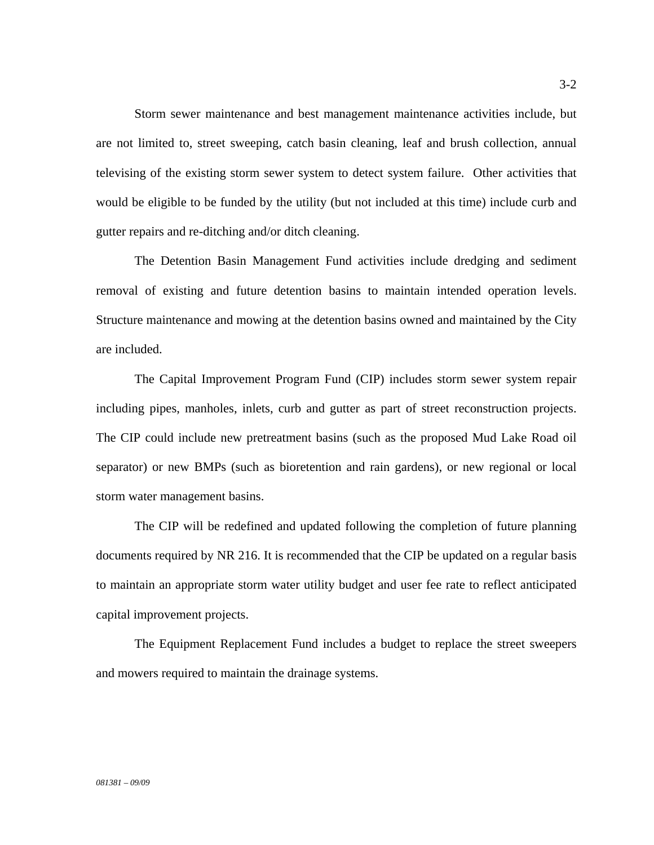Storm sewer maintenance and best management maintenance activities include, but are not limited to, street sweeping, catch basin cleaning, leaf and brush collection, annual televising of the existing storm sewer system to detect system failure. Other activities that would be eligible to be funded by the utility (but not included at this time) include curb and gutter repairs and re-ditching and/or ditch cleaning.

The Detention Basin Management Fund activities include dredging and sediment removal of existing and future detention basins to maintain intended operation levels. Structure maintenance and mowing at the detention basins owned and maintained by the City are included.

The Capital Improvement Program Fund (CIP) includes storm sewer system repair including pipes, manholes, inlets, curb and gutter as part of street reconstruction projects. The CIP could include new pretreatment basins (such as the proposed Mud Lake Road oil separator) or new BMPs (such as bioretention and rain gardens), or new regional or local storm water management basins.

The CIP will be redefined and updated following the completion of future planning documents required by NR 216. It is recommended that the CIP be updated on a regular basis to maintain an appropriate storm water utility budget and user fee rate to reflect anticipated capital improvement projects.

The Equipment Replacement Fund includes a budget to replace the street sweepers and mowers required to maintain the drainage systems.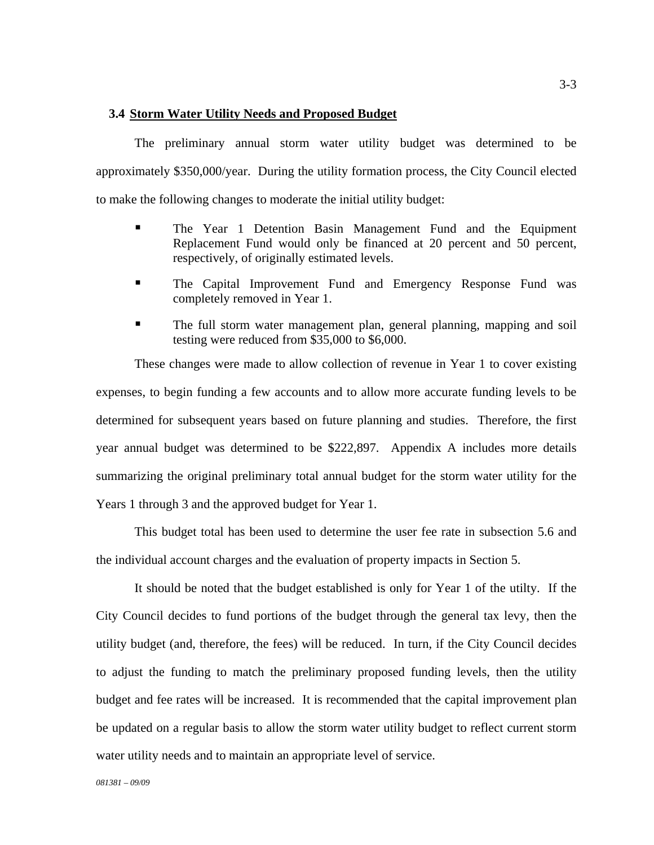### **3.4 Storm Water Utility Needs and Proposed Budget**

The preliminary annual storm water utility budget was determined to be approximately \$350,000/year. During the utility formation process, the City Council elected to make the following changes to moderate the initial utility budget:

- **The Year 1 Detention Basin Management Fund and the Equipment** Replacement Fund would only be financed at 20 percent and 50 percent, respectively, of originally estimated levels.
- The Capital Improvement Fund and Emergency Response Fund was completely removed in Year 1.
- The full storm water management plan, general planning, mapping and soil testing were reduced from \$35,000 to \$6,000.

These changes were made to allow collection of revenue in Year 1 to cover existing expenses, to begin funding a few accounts and to allow more accurate funding levels to be determined for subsequent years based on future planning and studies. Therefore, the first year annual budget was determined to be \$222,897. Appendix A includes more details summarizing the original preliminary total annual budget for the storm water utility for the Years 1 through 3 and the approved budget for Year 1.

This budget total has been used to determine the user fee rate in subsection 5.6 and the individual account charges and the evaluation of property impacts in Section 5.

It should be noted that the budget established is only for Year 1 of the utilty. If the City Council decides to fund portions of the budget through the general tax levy, then the utility budget (and, therefore, the fees) will be reduced. In turn, if the City Council decides to adjust the funding to match the preliminary proposed funding levels, then the utility budget and fee rates will be increased. It is recommended that the capital improvement plan be updated on a regular basis to allow the storm water utility budget to reflect current storm water utility needs and to maintain an appropriate level of service.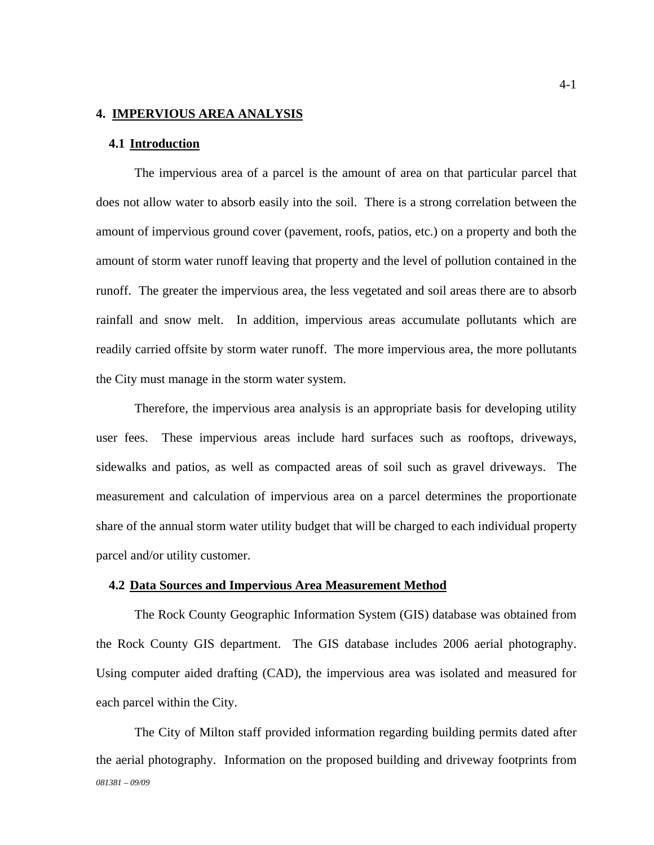### **4. IMPERVIOUS AREA ANALYSIS**

#### **4.1 Introduction**

The impervious area of a parcel is the amount of area on that particular parcel that does not allow water to absorb easily into the soil. There is a strong correlation between the amount of impervious ground cover (pavement, roofs, patios, etc.) on a property and both the amount of storm water runoff leaving that property and the level of pollution contained in the runoff. The greater the impervious area, the less vegetated and soil areas there are to absorb rainfall and snow melt. In addition, impervious areas accumulate pollutants which are readily carried offsite by storm water runoff. The more impervious area, the more pollutants the City must manage in the storm water system.

Therefore, the impervious area analysis is an appropriate basis for developing utility user fees. These impervious areas include hard surfaces such as rooftops, driveways, sidewalks and patios, as well as compacted areas of soil such as gravel driveways. The measurement and calculation of impervious area on a parcel determines the proportionate share of the annual storm water utility budget that will be charged to each individual property parcel and/or utility customer.

#### **4.2 Data Sources and Impervious Area Measurement Method**

The Rock County Geographic Information System (GIS) database was obtained from the Rock County GIS department. The GIS database includes 2006 aerial photography. Using computer aided drafting (CAD), the impervious area was isolated and measured for each parcel within the City.

*081381 – 09/09*  The City of Milton staff provided information regarding building permits dated after the aerial photography. Information on the proposed building and driveway footprints from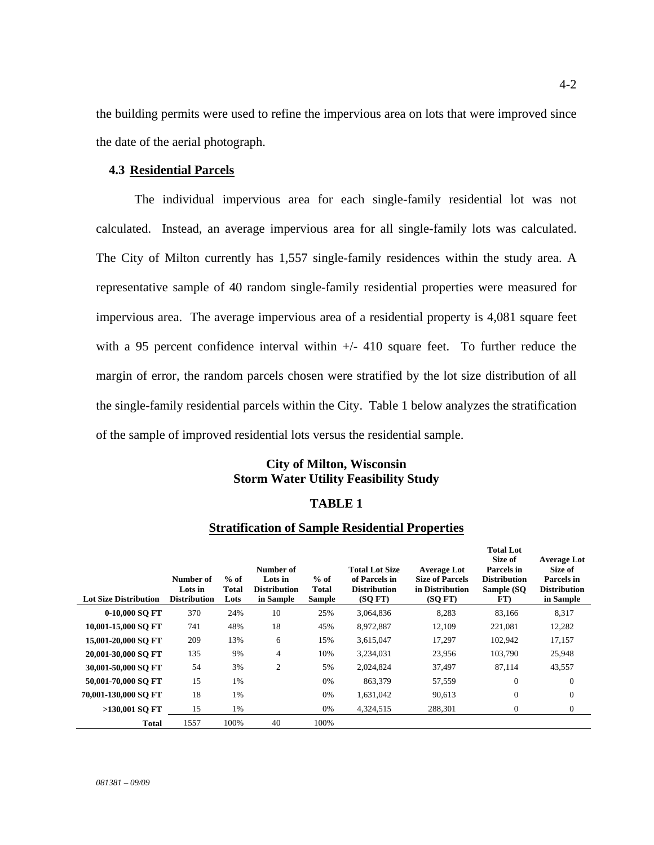the building permits were used to refine the impervious area on lots that were improved since the date of the aerial photograph.

## **4.3 Residential Parcels**

The individual impervious area for each single-family residential lot was not calculated. Instead, an average impervious area for all single-family lots was calculated. The City of Milton currently has 1,557 single-family residences within the study area. A representative sample of 40 random single-family residential properties were measured for impervious area. The average impervious area of a residential property is 4,081 square feet with a 95 percent confidence interval within  $+/- 410$  square feet. To further reduce the margin of error, the random parcels chosen were stratified by the lot size distribution of all the single-family residential parcels within the City. Table 1 below analyzes the stratification of the sample of improved residential lots versus the residential sample.

## **City of Milton, Wisconsin Storm Water Utility Feasibility Study**

#### **TABLE 1**

## **Stratification of Sample Residential Properties**

| <b>Lot Size Distribution</b> | Number of<br>Lots in<br><b>Distribution</b> | $%$ of<br>Total<br>Lots | Number of<br>Lots in<br><b>Distribution</b><br>in Sample | $%$ of<br>Total<br><b>Sample</b> | <b>Total Lot Size</b><br>of Parcels in<br><b>Distribution</b><br>(SQFT) | <b>Average Lot</b><br><b>Size of Parcels</b><br>in Distribution<br>(SQFT) | <b>Total Lot</b><br>Size of<br>Parcels in<br><b>Distribution</b><br>Sample (SQ)<br>FT) | <b>Average Lot</b><br>Size of<br>Parcels in<br><b>Distribution</b><br>in Sample |
|------------------------------|---------------------------------------------|-------------------------|----------------------------------------------------------|----------------------------------|-------------------------------------------------------------------------|---------------------------------------------------------------------------|----------------------------------------------------------------------------------------|---------------------------------------------------------------------------------|
| 0-10,000 SO FT               | 370                                         | 24%                     | 10                                                       | 25%                              | 3,064,836                                                               | 8,283                                                                     | 83.166                                                                                 | 8,317                                                                           |
| 10,001-15,000 SO FT          | 741                                         | 48%                     | 18                                                       | 45%                              | 8,972,887                                                               | 12,109                                                                    | 221,081                                                                                | 12,282                                                                          |
| 15,001-20,000 SO FT          | 209                                         | 13%                     | 6                                                        | 15%                              | 3,615,047                                                               | 17,297                                                                    | 102,942                                                                                | 17,157                                                                          |
| 20,001-30,000 SO FT          | 135                                         | 9%                      | $\overline{4}$                                           | 10%                              | 3,234,031                                                               | 23,956                                                                    | 103,790                                                                                | 25,948                                                                          |
| 30,001-50,000 SO FT          | 54                                          | 3%                      | $\overline{c}$                                           | 5%                               | 2,024,824                                                               | 37,497                                                                    | 87,114                                                                                 | 43,557                                                                          |
| 50,001-70,000 SO FT          | 15                                          | 1%                      |                                                          | 0%                               | 863,379                                                                 | 57,559                                                                    | $\mathbf{0}$                                                                           | $\mathbf{0}$                                                                    |
| 70,001-130,000 SO FT         | 18                                          | 1%                      |                                                          | 0%                               | 1,631,042                                                               | 90,613                                                                    | $\mathbf{0}$                                                                           | $\mathbf{0}$                                                                    |
| >130,001 SO FT               | 15                                          | 1%                      |                                                          | 0%                               | 4,324,515                                                               | 288,301                                                                   | $\mathbf{0}$                                                                           | $\mathbf{0}$                                                                    |
| <b>Total</b>                 | 1557                                        | 100%                    | 40                                                       | 100%                             |                                                                         |                                                                           |                                                                                        |                                                                                 |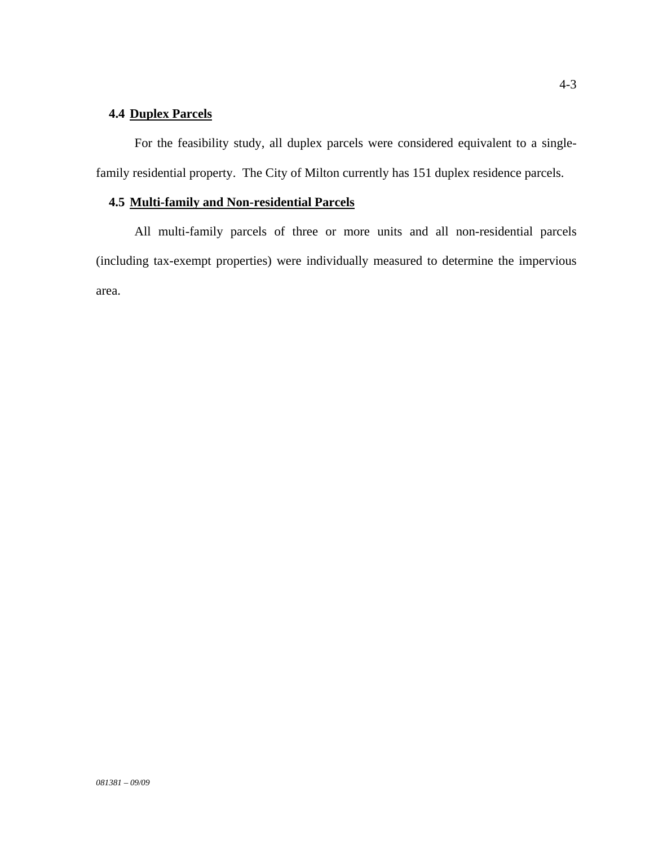# **4.4 Duplex Parcels**

For the feasibility study, all duplex parcels were considered equivalent to a singlefamily residential property. The City of Milton currently has 151 duplex residence parcels.

# **4.5 Multi-family and Non-residential Parcels**

All multi-family parcels of three or more units and all non-residential parcels (including tax-exempt properties) were individually measured to determine the impervious area.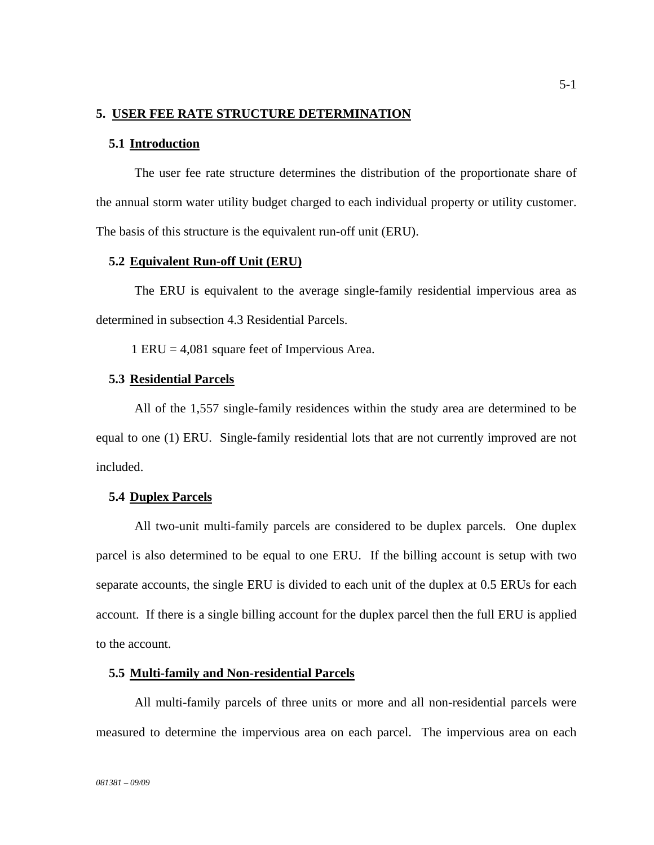## **5. USER FEE RATE STRUCTURE DETERMINATION**

#### **5.1 Introduction**

The user fee rate structure determines the distribution of the proportionate share of the annual storm water utility budget charged to each individual property or utility customer. The basis of this structure is the equivalent run-off unit (ERU).

#### **5.2 Equivalent Run-off Unit (ERU)**

The ERU is equivalent to the average single-family residential impervious area as determined in subsection 4.3 Residential Parcels.

1 ERU = 4,081 square feet of Impervious Area.

#### **5.3 Residential Parcels**

All of the 1,557 single-family residences within the study area are determined to be equal to one (1) ERU. Single-family residential lots that are not currently improved are not included.

#### **5.4 Duplex Parcels**

All two-unit multi-family parcels are considered to be duplex parcels. One duplex parcel is also determined to be equal to one ERU. If the billing account is setup with two separate accounts, the single ERU is divided to each unit of the duplex at 0.5 ERUs for each account. If there is a single billing account for the duplex parcel then the full ERU is applied to the account.

#### **5.5 Multi-family and Non-residential Parcels**

All multi-family parcels of three units or more and all non-residential parcels were measured to determine the impervious area on each parcel. The impervious area on each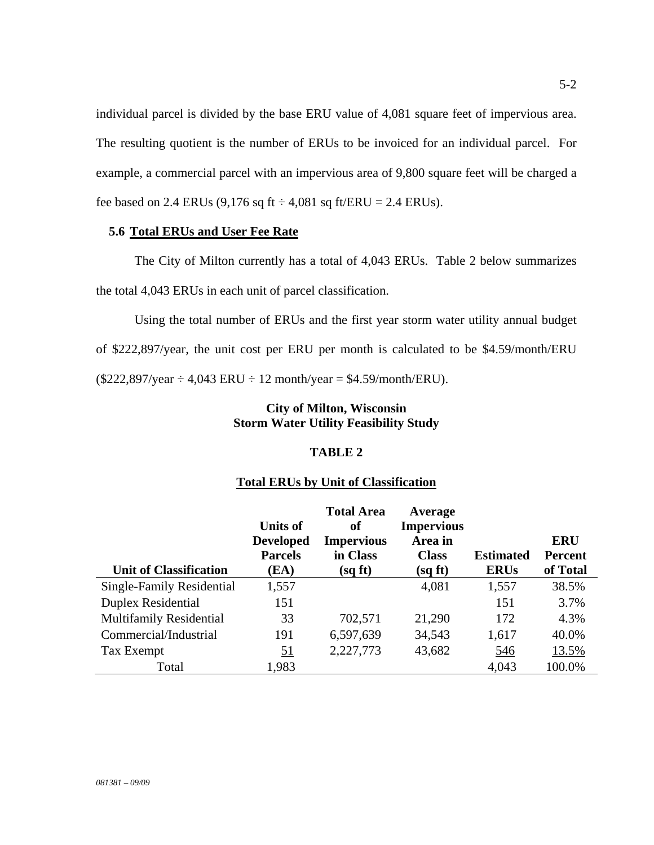individual parcel is divided by the base ERU value of 4,081 square feet of impervious area. The resulting quotient is the number of ERUs to be invoiced for an individual parcel. For example, a commercial parcel with an impervious area of 9,800 square feet will be charged a fee based on 2.4 ERUs  $(9,176 \text{ sq ft} \div 4,081 \text{ sq ft/ERU} = 2.4 \text{ ERUs}).$ 

## **5.6 Total ERUs and User Fee Rate**

The City of Milton currently has a total of 4,043 ERUs. Table 2 below summarizes the total 4,043 ERUs in each unit of parcel classification.

Using the total number of ERUs and the first year storm water utility annual budget of \$222,897/year, the unit cost per ERU per month is calculated to be \$4.59/month/ERU  $($222,897/year \div 4,043 ERU \div 12 month/year = $4.59/month/ERU).$ 

# **City of Milton, Wisconsin Storm Water Utility Feasibility Study**

## **TABLE 2**

## **Total ERUs by Unit of Classification**

|                                |                  | <b>Total Area</b> | Average           |                  |                |
|--------------------------------|------------------|-------------------|-------------------|------------------|----------------|
|                                | <b>Units of</b>  | <b>of</b>         | <b>Impervious</b> |                  |                |
|                                | <b>Developed</b> | <b>Impervious</b> | Area in           |                  | <b>ERU</b>     |
|                                | <b>Parcels</b>   | in Class          | <b>Class</b>      | <b>Estimated</b> | <b>Percent</b> |
| <b>Unit of Classification</b>  | (EA)             | (sq ft)           | (sqft)            | <b>ERUs</b>      | of Total       |
| Single-Family Residential      | 1,557            |                   | 4,081             | 1,557            | 38.5%          |
| <b>Duplex Residential</b>      | 151              |                   |                   | 151              | 3.7%           |
| <b>Multifamily Residential</b> | 33               | 702,571           | 21,290            | 172              | 4.3%           |
| Commercial/Industrial          | 191              | 6,597,639         | 34,543            | 1,617            | 40.0%          |
| Tax Exempt                     | <u>51</u>        | 2,227,773         | 43,682            | 546              | 13.5%          |
| Total                          | 1,983            |                   |                   | 4,043            | 100.0%         |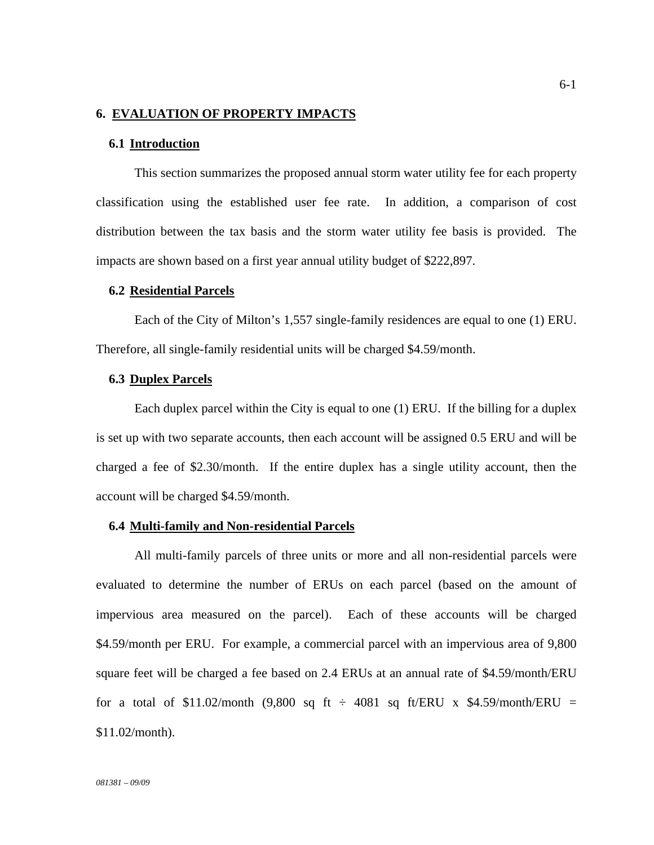## **6. EVALUATION OF PROPERTY IMPACTS**

#### **6.1 Introduction**

This section summarizes the proposed annual storm water utility fee for each property classification using the established user fee rate. In addition, a comparison of cost distribution between the tax basis and the storm water utility fee basis is provided. The impacts are shown based on a first year annual utility budget of \$222,897.

#### **6.2 Residential Parcels**

Each of the City of Milton's 1,557 single-family residences are equal to one (1) ERU. Therefore, all single-family residential units will be charged \$4.59/month.

#### **6.3 Duplex Parcels**

Each duplex parcel within the City is equal to one (1) ERU. If the billing for a duplex is set up with two separate accounts, then each account will be assigned 0.5 ERU and will be charged a fee of \$2.30/month. If the entire duplex has a single utility account, then the account will be charged \$4.59/month.

#### **6.4 Multi-family and Non-residential Parcels**

All multi-family parcels of three units or more and all non-residential parcels were evaluated to determine the number of ERUs on each parcel (based on the amount of impervious area measured on the parcel). Each of these accounts will be charged \$4.59/month per ERU. For example, a commercial parcel with an impervious area of 9,800 square feet will be charged a fee based on 2.4 ERUs at an annual rate of \$4.59/month/ERU for a total of \$11.02/month (9,800 sq ft  $\div$  4081 sq ft/ERU x \$4.59/month/ERU = \$11.02/month).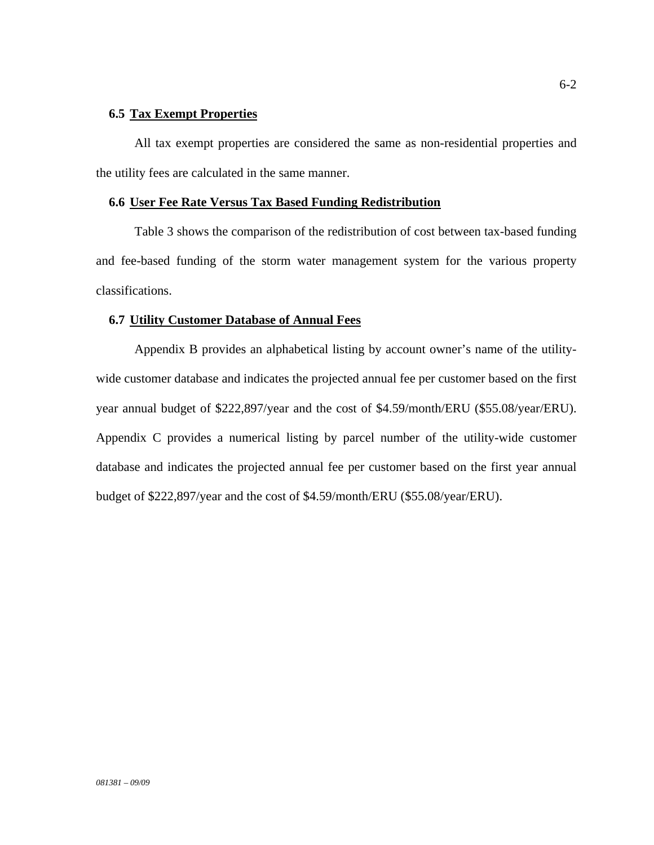## **6.5 Tax Exempt Properties**

All tax exempt properties are considered the same as non-residential properties and the utility fees are calculated in the same manner.

#### **6.6 User Fee Rate Versus Tax Based Funding Redistribution**

Table 3 shows the comparison of the redistribution of cost between tax-based funding and fee-based funding of the storm water management system for the various property classifications.

#### **6.7 Utility Customer Database of Annual Fees**

Appendix B provides an alphabetical listing by account owner's name of the utilitywide customer database and indicates the projected annual fee per customer based on the first year annual budget of \$222,897/year and the cost of \$4.59/month/ERU (\$55.08/year/ERU). Appendix C provides a numerical listing by parcel number of the utility-wide customer database and indicates the projected annual fee per customer based on the first year annual budget of \$222,897/year and the cost of \$4.59/month/ERU (\$55.08/year/ERU).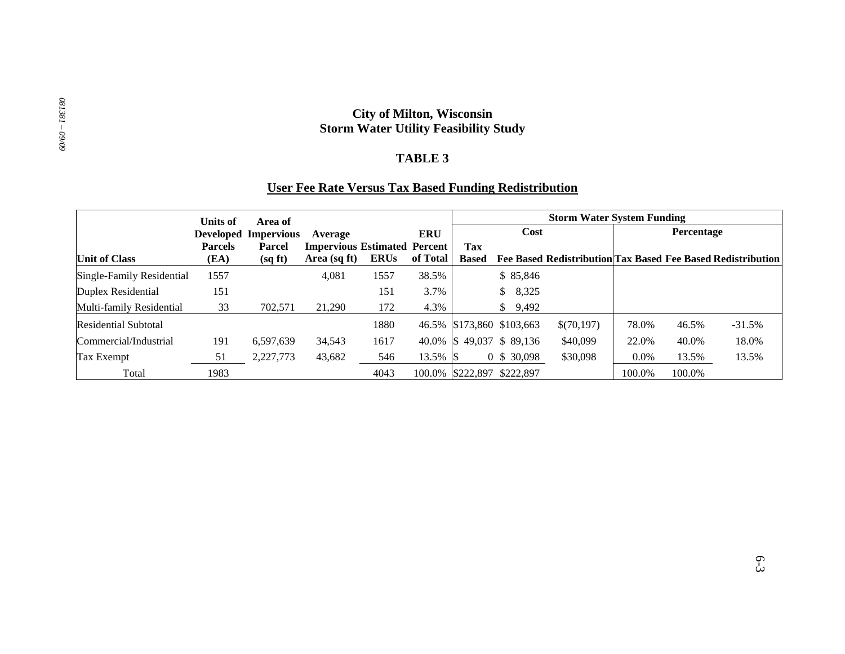# **City of Milton, Wisconsin Storm Water Utility Feasibility Study**

#### **TABLE 3**

# **User Fee Rate Versus Tax Based Funding Redistribution**

|                             | <b>Units of</b> | Area of                               |                                                |             |            | <b>Storm Water System Funding</b> |                             |            |         |                   |                                                             |
|-----------------------------|-----------------|---------------------------------------|------------------------------------------------|-------------|------------|-----------------------------------|-----------------------------|------------|---------|-------------------|-------------------------------------------------------------|
|                             | <b>Parcels</b>  | Developed Impervious<br><b>Parcel</b> | Average<br><b>Impervious Estimated Percent</b> |             | <b>ERU</b> | <b>Tax</b>                        | Cost                        |            |         | <b>Percentage</b> |                                                             |
| <b>Unit of Class</b>        | (EA)            | (sqft)                                | Area (sq ft)                                   | <b>ERUs</b> | of Total   | <b>Based</b>                      |                             |            |         |                   | Fee Based Redistribution Tax Based Fee Based Redistribution |
| Single-Family Residential   | 1557            |                                       | 4,081                                          | 1557        | 38.5%      |                                   | \$85,846                    |            |         |                   |                                                             |
| Duplex Residential          | 151             |                                       |                                                | 151         | 3.7%       |                                   | 8,325<br>S.                 |            |         |                   |                                                             |
| Multi-family Residential    | 33              | 702.571                               | 21.290                                         | 172         | 4.3%       |                                   | 9,492<br><sup>S</sup>       |            |         |                   |                                                             |
| <b>Residential Subtotal</b> |                 |                                       |                                                | 1880        |            |                                   | 46.5% \\$173,860 \\$103,663 | \$(70,197) | 78.0%   | 46.5%             | $-31.5%$                                                    |
| Commercial/Industrial       | 191             | 6,597,639                             | 34,543                                         | 1617        |            |                                   | 40.0% \$ 49,037 \$ 89,136   | \$40,099   | 22.0%   | 40.0%             | 18.0%                                                       |
| Tax Exempt                  | 51              | 2,227,773                             | 43,682                                         | 546         | 13.5% \$   |                                   | $0 \t$ 30,098$              | \$30,098   | $0.0\%$ | 13.5%             | 13.5%                                                       |
| Total                       | 1983            |                                       |                                                | 4043        |            |                                   | 100.0% S222.897 \$222.897   |            | 100.0%  | 100.0%            |                                                             |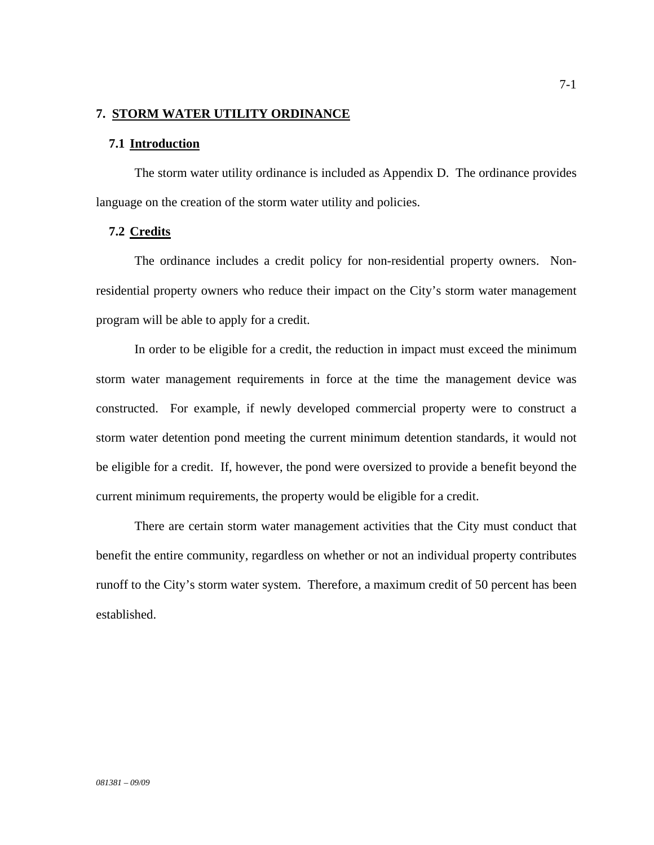## **7. STORM WATER UTILITY ORDINANCE**

#### **7.1 Introduction**

The storm water utility ordinance is included as Appendix D. The ordinance provides language on the creation of the storm water utility and policies.

### **7.2 Credits**

The ordinance includes a credit policy for non-residential property owners. Nonresidential property owners who reduce their impact on the City's storm water management program will be able to apply for a credit.

In order to be eligible for a credit, the reduction in impact must exceed the minimum storm water management requirements in force at the time the management device was constructed. For example, if newly developed commercial property were to construct a storm water detention pond meeting the current minimum detention standards, it would not be eligible for a credit. If, however, the pond were oversized to provide a benefit beyond the current minimum requirements, the property would be eligible for a credit.

There are certain storm water management activities that the City must conduct that benefit the entire community, regardless on whether or not an individual property contributes runoff to the City's storm water system. Therefore, a maximum credit of 50 percent has been established.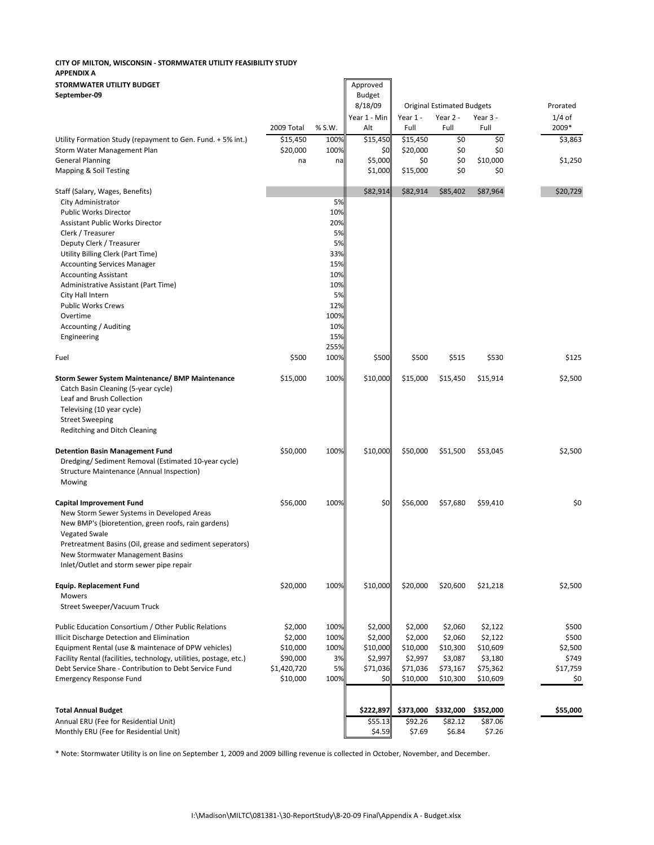#### CITY OF MILTON, WISCONSIN - STORMWATER UTILITY FEASIBILITY STUDY APPENDIX A

| <b>STORMWATER UTILITY BUDG</b> |  |
|--------------------------------|--|
|                                |  |

| STORMWATER UTILITY BUDGET<br>September-09                                                                                                                                                                                                                                                                 |                         |                | Approved<br><b>Budget</b><br>8/18/09 |                      | <b>Original Estimated Budgets</b> |                      | Prorated         |
|-----------------------------------------------------------------------------------------------------------------------------------------------------------------------------------------------------------------------------------------------------------------------------------------------------------|-------------------------|----------------|--------------------------------------|----------------------|-----------------------------------|----------------------|------------------|
|                                                                                                                                                                                                                                                                                                           |                         |                | Year 1 - Min                         | Year 1 -             | Year 2 -                          | Year 3 -             | $1/4$ of         |
| Utility Formation Study (repayment to Gen. Fund. + 5% int.)                                                                                                                                                                                                                                               | 2009 Total<br>\$15,450  | % S.W.<br>100% | Alt<br>\$15,450                      | Full<br>\$15,450     | Full<br>\$0                       | Full<br>\$0          | 2009*<br>\$3,863 |
| Storm Water Management Plan                                                                                                                                                                                                                                                                               | \$20,000                | 100%           | \$0                                  | \$20,000             | \$0                               | \$0                  |                  |
| <b>General Planning</b>                                                                                                                                                                                                                                                                                   | na                      | na             | \$5,000                              | \$0                  | \$0                               | \$10,000             | \$1,250          |
| Mapping & Soil Testing                                                                                                                                                                                                                                                                                    |                         |                | \$1,000                              | \$15,000             | \$0                               | \$0                  |                  |
| Staff (Salary, Wages, Benefits)                                                                                                                                                                                                                                                                           |                         |                | \$82,914                             | \$82,914             | \$85,402                          | \$87,964             | \$20,729         |
| City Administrator                                                                                                                                                                                                                                                                                        |                         | 5%             |                                      |                      |                                   |                      |                  |
| <b>Public Works Director</b><br><b>Assistant Public Works Director</b>                                                                                                                                                                                                                                    |                         | 10%<br>20%     |                                      |                      |                                   |                      |                  |
| Clerk / Treasurer                                                                                                                                                                                                                                                                                         |                         | 5%             |                                      |                      |                                   |                      |                  |
| Deputy Clerk / Treasurer                                                                                                                                                                                                                                                                                  |                         | 5%             |                                      |                      |                                   |                      |                  |
| Utility Billing Clerk (Part Time)                                                                                                                                                                                                                                                                         |                         | 33%            |                                      |                      |                                   |                      |                  |
| <b>Accounting Services Manager</b>                                                                                                                                                                                                                                                                        |                         | 15%            |                                      |                      |                                   |                      |                  |
| <b>Accounting Assistant</b>                                                                                                                                                                                                                                                                               |                         | 10%<br>10%     |                                      |                      |                                   |                      |                  |
| Administrative Assistant (Part Time)<br>City Hall Intern                                                                                                                                                                                                                                                  |                         | 5%             |                                      |                      |                                   |                      |                  |
| <b>Public Works Crews</b>                                                                                                                                                                                                                                                                                 |                         | 12%            |                                      |                      |                                   |                      |                  |
| Overtime                                                                                                                                                                                                                                                                                                  |                         | 100%           |                                      |                      |                                   |                      |                  |
| Accounting / Auditing                                                                                                                                                                                                                                                                                     |                         | 10%            |                                      |                      |                                   |                      |                  |
| Engineering                                                                                                                                                                                                                                                                                               |                         | 15%            |                                      |                      |                                   |                      |                  |
| Fuel                                                                                                                                                                                                                                                                                                      | \$500                   | 255%<br>100%   | \$500                                | \$500                | \$515                             | \$530                | \$125            |
|                                                                                                                                                                                                                                                                                                           |                         |                |                                      |                      |                                   |                      |                  |
| Storm Sewer System Maintenance/ BMP Maintenance<br>Catch Basin Cleaning (5-year cycle)<br>Leaf and Brush Collection<br>Televising (10 year cycle)<br><b>Street Sweeping</b><br>Reditching and Ditch Cleaning                                                                                              | \$15,000                | 100%           | \$10,000                             | \$15,000             | \$15,450                          | \$15,914             | \$2,500          |
| <b>Detention Basin Management Fund</b><br>Dredging/Sediment Removal (Estimated 10-year cycle)<br>Structure Maintenance (Annual Inspection)<br>Mowing                                                                                                                                                      | \$50,000                | 100%           | \$10,000                             | \$50,000             | \$51,500                          | \$53,045             | \$2,500          |
| <b>Capital Improvement Fund</b><br>New Storm Sewer Systems in Developed Areas<br>New BMP's (bioretention, green roofs, rain gardens)<br><b>Vegated Swale</b><br>Pretreatment Basins (Oil, grease and sediment seperators)<br>New Stormwater Management Basins<br>Inlet/Outlet and storm sewer pipe repair | \$56,000                | 100%           | \$0                                  | \$56,000             | \$57,680                          | \$59,410             | \$0              |
| <b>Equip. Replacement Fund</b><br>Mowers<br>Street Sweeper/Vacuum Truck                                                                                                                                                                                                                                   | \$20,000                | 100%           | \$10,000                             | \$20,000             | \$20,600                          | \$21,218             | \$2,500          |
| Public Education Consortium / Other Public Relations                                                                                                                                                                                                                                                      | \$2,000                 | 100%           | \$2,000                              | \$2,000              | \$2,060                           | \$2,122              | \$500            |
| Illicit Discharge Detection and Elimination                                                                                                                                                                                                                                                               | \$2,000                 | 100%           | \$2,000                              | \$2,000              | \$2,060                           | \$2,122              | \$500            |
| Equipment Rental (use & maintenace of DPW vehicles)                                                                                                                                                                                                                                                       | \$10,000                | 100%           | \$10,000                             | \$10,000             | \$10,300                          | \$10,609             | \$2,500          |
| Facility Rental (facilities, technology, utilities, postage, etc.)                                                                                                                                                                                                                                        | \$90,000                | 3%             | \$2,997                              | \$2,997              | \$3,087                           | \$3,180              | \$749            |
| Debt Service Share - Contribution to Debt Service Fund<br><b>Emergency Response Fund</b>                                                                                                                                                                                                                  | \$1,420,720<br>\$10,000 | 5%<br>100%     | \$71,036<br>\$0                      | \$71,036<br>\$10,000 | \$73,167<br>\$10,300              | \$75,362<br>\$10,609 | \$17,759<br>\$0  |
|                                                                                                                                                                                                                                                                                                           |                         |                |                                      |                      |                                   |                      |                  |
|                                                                                                                                                                                                                                                                                                           |                         |                |                                      |                      |                                   |                      |                  |
| <b>Total Annual Budget</b><br>Annual ERU (Fee for Residential Unit)                                                                                                                                                                                                                                       |                         |                | \$222,897<br>\$55.13                 | \$373,000<br>\$92.26 | \$332,000<br>\$82.12              | \$352,000<br>\$87.06 | \$55,000         |
| Monthly ERU (Fee for Residential Unit)                                                                                                                                                                                                                                                                    |                         |                | \$4.59                               | \$7.69               | \$6.84                            | \$7.26               |                  |
|                                                                                                                                                                                                                                                                                                           |                         |                |                                      |                      |                                   |                      |                  |

\* Note: Stormwater Utility is on line on September 1, 2009 and 2009 billing revenue is collected in October, November, and December.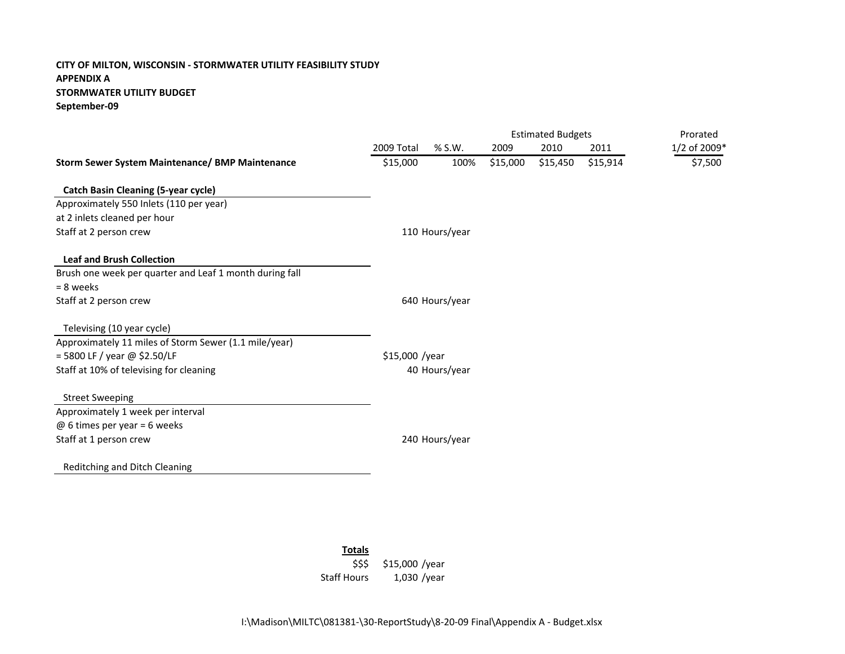## CITY OF MILTON, WISCONSIN - STORMWATER UTILITY FEASIBILITY STUDYAPPENDIX A STORMWATER UTILITY BUDGETSeptember-09

|                                                         |                |                | <b>Estimated Budgets</b> | Prorated |          |              |
|---------------------------------------------------------|----------------|----------------|--------------------------|----------|----------|--------------|
|                                                         | 2009 Total     | $%$ S.W.       | 2009                     | 2010     | 2011     | 1/2 of 2009* |
| Storm Sewer System Maintenance/ BMP Maintenance         | \$15,000       | 100%           | \$15,000                 | \$15,450 | \$15,914 | \$7,500      |
| <b>Catch Basin Cleaning (5-year cycle)</b>              |                |                |                          |          |          |              |
| Approximately 550 Inlets (110 per year)                 |                |                |                          |          |          |              |
| at 2 inlets cleaned per hour                            |                |                |                          |          |          |              |
| Staff at 2 person crew                                  |                | 110 Hours/year |                          |          |          |              |
| <b>Leaf and Brush Collection</b>                        |                |                |                          |          |          |              |
| Brush one week per quarter and Leaf 1 month during fall |                |                |                          |          |          |              |
| $= 8$ weeks                                             |                |                |                          |          |          |              |
| Staff at 2 person crew                                  |                | 640 Hours/year |                          |          |          |              |
| Televising (10 year cycle)                              |                |                |                          |          |          |              |
| Approximately 11 miles of Storm Sewer (1.1 mile/year)   |                |                |                          |          |          |              |
| = 5800 LF / year @ \$2.50/LF                            | \$15,000 /year |                |                          |          |          |              |
| Staff at 10% of televising for cleaning                 |                | 40 Hours/year  |                          |          |          |              |
| <b>Street Sweeping</b>                                  |                |                |                          |          |          |              |
| Approximately 1 week per interval                       |                |                |                          |          |          |              |
| $@$ 6 times per year = 6 weeks                          |                |                |                          |          |          |              |
| Staff at 1 person crew                                  |                | 240 Hours/year |                          |          |          |              |
| Reditching and Ditch Cleaning                           |                |                |                          |          |          |              |
|                                                         |                |                |                          |          |          |              |

**Totals** 

 \$\$\$ \$15,000 /year Staff Hours1,030 /year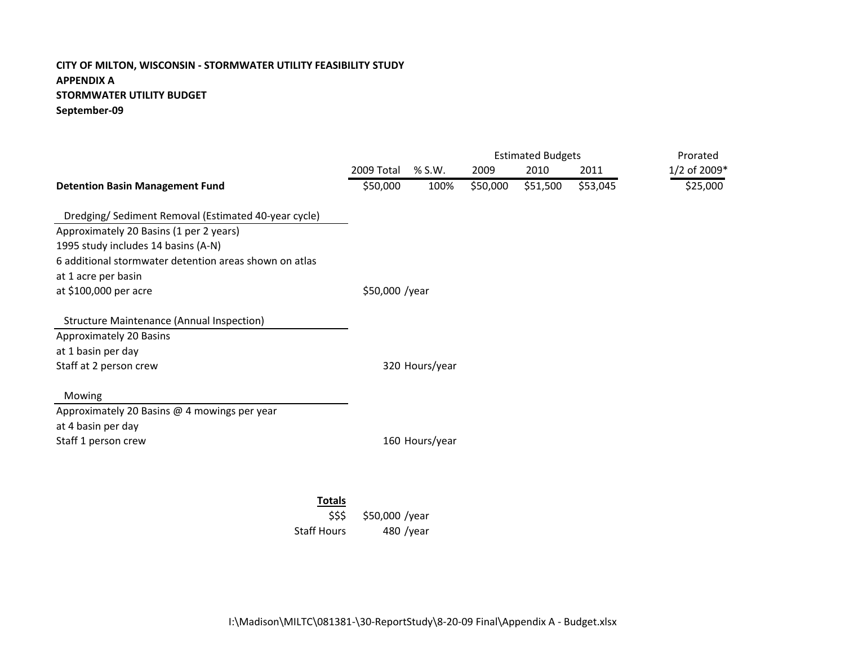# CITY OF MILTON, WISCONSIN - STORMWATER UTILITY FEASIBILITY STUDYAPPENDIX A STORMWATER UTILITY BUDGETSeptember-09

|                                                        |                |                | <b>Estimated Budgets</b> | Prorated |          |              |
|--------------------------------------------------------|----------------|----------------|--------------------------|----------|----------|--------------|
|                                                        | 2009 Total     | % S.W.         | 2009                     | 2010     | 2011     | 1/2 of 2009* |
| <b>Detention Basin Management Fund</b>                 | \$50,000       | 100%           | \$50,000                 | \$51,500 | \$53,045 | \$25,000     |
| Dredging/Sediment Removal (Estimated 40-year cycle)    |                |                |                          |          |          |              |
| Approximately 20 Basins (1 per 2 years)                |                |                |                          |          |          |              |
| 1995 study includes 14 basins (A-N)                    |                |                |                          |          |          |              |
| 6 additional stormwater detention areas shown on atlas |                |                |                          |          |          |              |
| at 1 acre per basin                                    |                |                |                          |          |          |              |
| at \$100,000 per acre                                  | \$50,000 /year |                |                          |          |          |              |
| <b>Structure Maintenance (Annual Inspection)</b>       |                |                |                          |          |          |              |
| Approximately 20 Basins                                |                |                |                          |          |          |              |
| at 1 basin per day                                     |                |                |                          |          |          |              |
| Staff at 2 person crew                                 |                | 320 Hours/year |                          |          |          |              |
| Mowing                                                 |                |                |                          |          |          |              |
| Approximately 20 Basins @ 4 mowings per year           |                |                |                          |          |          |              |
| at 4 basin per day                                     |                |                |                          |          |          |              |
| Staff 1 person crew                                    |                | 160 Hours/year |                          |          |          |              |
|                                                        |                |                |                          |          |          |              |

# **Totals**

 \$\$\$ \$50,000 /year Staff Hours<sup>480</sup> /year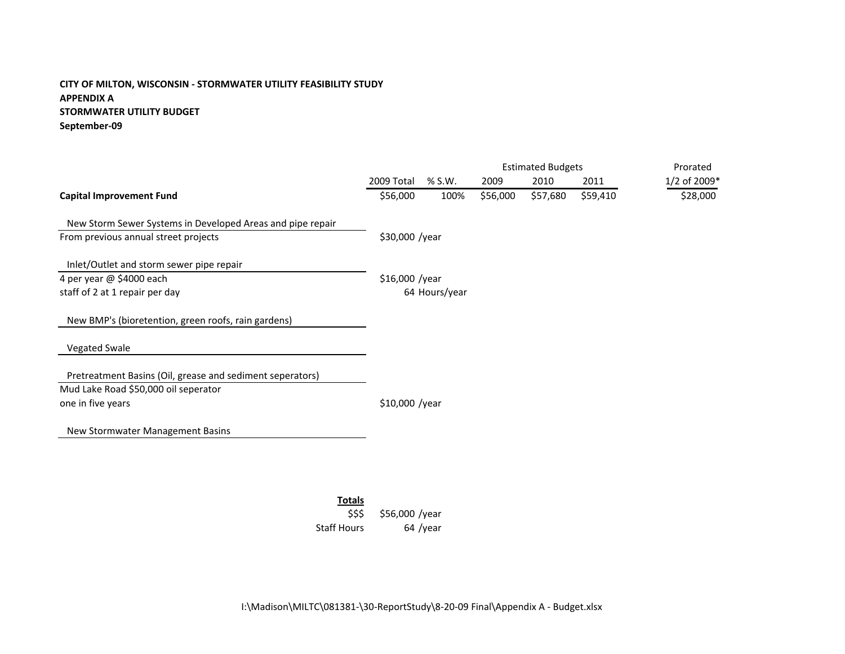### CITY OF MILTON, WISCONSIN - STORMWATER UTILITY FEASIBILITY STUDYAPPENDIX A STORMWATER UTILITY BUDGETSeptember-09

|                                                            |                 |               |          | <b>Estimated Budgets</b> |          | Prorated     |  |
|------------------------------------------------------------|-----------------|---------------|----------|--------------------------|----------|--------------|--|
|                                                            | 2009 Total      | % S.W.        | 2009     | 2010                     | 2011     | 1/2 of 2009* |  |
| <b>Capital Improvement Fund</b>                            | \$56,000        | 100%          | \$56,000 | \$57,680                 | \$59,410 | \$28,000     |  |
| New Storm Sewer Systems in Developed Areas and pipe repair |                 |               |          |                          |          |              |  |
| From previous annual street projects                       | \$30,000 /year  |               |          |                          |          |              |  |
| Inlet/Outlet and storm sewer pipe repair                   |                 |               |          |                          |          |              |  |
| 4 per year @ \$4000 each                                   | $$16,000$ /year |               |          |                          |          |              |  |
| staff of 2 at 1 repair per day                             |                 | 64 Hours/year |          |                          |          |              |  |
| New BMP's (bioretention, green roofs, rain gardens)        |                 |               |          |                          |          |              |  |
| <b>Vegated Swale</b>                                       |                 |               |          |                          |          |              |  |
| Pretreatment Basins (Oil, grease and sediment seperators)  |                 |               |          |                          |          |              |  |
| Mud Lake Road \$50,000 oil seperator                       |                 |               |          |                          |          |              |  |
| one in five years                                          | \$10,000 /year  |               |          |                          |          |              |  |
| New Stormwater Management Basins                           |                 |               |          |                          |          |              |  |
|                                                            |                 |               |          |                          |          |              |  |

**Totals** 

\$\$\$ \$56,000 /year Staff Hours<sup>64</sup> /year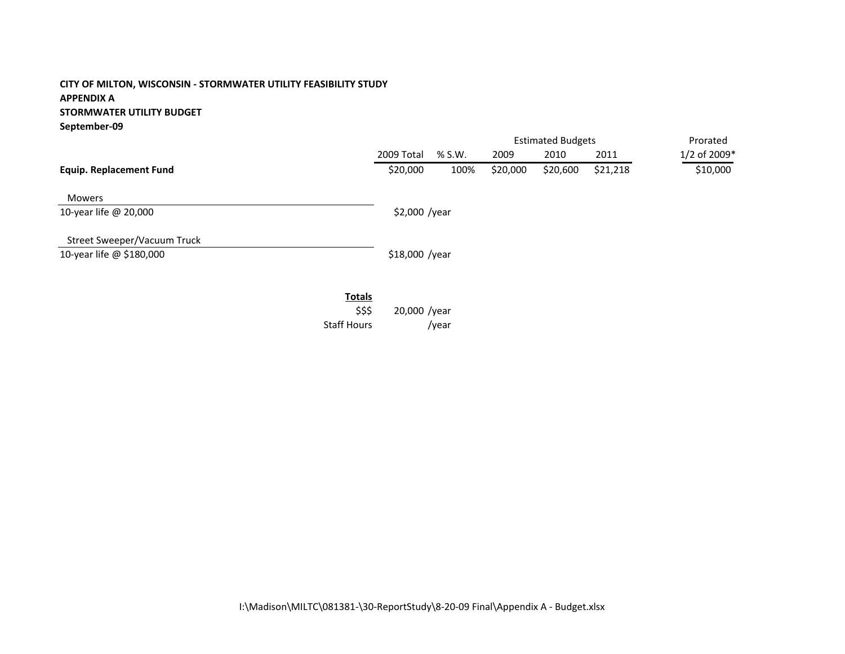# CITY OF MILTON, WISCONSIN - STORMWATER UTILITY FEASIBILITY STUDYAPPENDIX ASTORMWATER UTILITY BUDGET

September-09

|                                |                    |                |        | <b>Estimated Budgets</b> | Prorated |          |              |
|--------------------------------|--------------------|----------------|--------|--------------------------|----------|----------|--------------|
|                                |                    | 2009 Total     | % S.W. | 2009                     | 2010     | 2011     | 1/2 of 2009* |
| <b>Equip. Replacement Fund</b> |                    | \$20,000       | 100%   | \$20,000                 | \$20,600 | \$21,218 | \$10,000     |
| <b>Mowers</b>                  |                    |                |        |                          |          |          |              |
| 10-year life @ 20,000          |                    | $$2,000$ /year |        |                          |          |          |              |
| Street Sweeper/Vacuum Truck    |                    |                |        |                          |          |          |              |
| 10-year life @ \$180,000       |                    | \$18,000 /year |        |                          |          |          |              |
|                                |                    |                |        |                          |          |          |              |
|                                | <b>Totals</b>      |                |        |                          |          |          |              |
|                                | \$\$\$             | 20,000 /year   |        |                          |          |          |              |
|                                | <b>Staff Hours</b> |                | /year  |                          |          |          |              |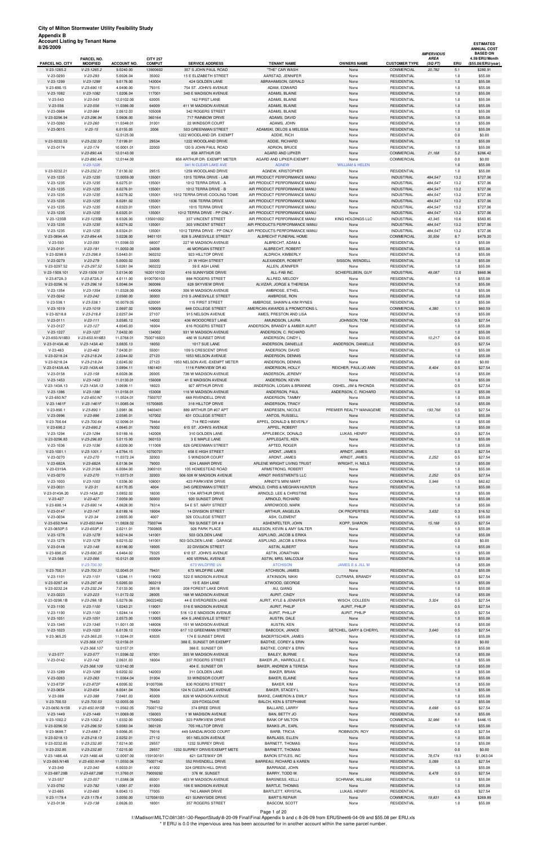| שיייטי<br>3/26/2009             |                                |                          |                                  |                                                  |                                                              |                              |                                          |                                            |              | <b>ESTIMATED</b><br><b>ANNUAL COST</b>                  |
|---------------------------------|--------------------------------|--------------------------|----------------------------------|--------------------------------------------------|--------------------------------------------------------------|------------------------------|------------------------------------------|--------------------------------------------|--------------|---------------------------------------------------------|
| PARCEL NO. CITY                 | PARCEL NO.<br><b>MODIFIED</b>  | <b>ACCOUNT NO.</b>       | <b>CITY 257</b><br><b>COMPUT</b> | <b>SERVICE ADDRESS</b>                           | <b>TENANT NAME</b>                                           | <b>OWNERS NAME</b>           | <b>CUSTOMER TYPE</b>                     | <b>IMPERVIOUS</b><br><b>AREA</b><br>(SQFT) | ERU          | <b>BASED ON</b><br>4.59/ERU/Month<br>(\$55.08/ERU/year) |
| $V-23-1265.2$                   | $V-23-1265.2$                  | 9.0240.00                | 13900602                         | 357 S JOHN PAUL ROAD                             | "THE" CAR WASH                                               | None                         | <b>COMMERCIAL</b>                        | 20,782                                     | 5.1          | \$280.91                                                |
| V-23-0293                       | $V-23-293$                     | 5.0026.04                | 35002                            | 15 E ELIZABETH STREET                            | AARSTAD, JENNIFER                                            | None                         | <b>RESIDENTIAL</b>                       |                                            | 1.0          | \$55.08                                                 |
| V-23-1299                       | $V-23-1299$                    | 9.0178.00                | 143004                           | 424 GOLDEN LANE                                  | ABRAHAMSON, GERALD                                           | None                         | <b>RESIDENTIAL</b>                       |                                            | 1.0          | \$55.08                                                 |
| V-23-690.15                     | $V-23-690.15$                  | 4.0490.00                | 79315                            | 754 ST. JOHN'S AVENUE                            | ADAM, EDWARD                                                 | None                         | <b>RESIDENTIAL</b>                       |                                            | 1.0          | \$55.08                                                 |
| V-23-1082                       | $V-23-1082$                    | 1.0206.04                | 117001                           | 340 E MADISON AVENUE                             | ADAMS, BLAINE                                                | None                         | <b>RESIDENTIAL</b>                       |                                            | 1.0          | \$55.08                                                 |
| $V-23-543$<br>$V-23-556$        | $V-23-543$<br>$V-23-556$       | 12.0102.00<br>11.0386.00 | 63005<br>64009                   | 162 FIRST LANE<br>411 W MADISON AVENUE           | ADAMS, BLAINE<br>ADAMS, BLAINE                               | None<br>None                 | <b>RESIDENTIAL</b><br><b>RESIDENTIAL</b> |                                            | 1.0<br>1.0   | \$55.08<br>\$55.08                                      |
| V-23-0984                       | $V-23-984$                     | 2.0612.03                | 105008                           | 342 ROGERS STREET                                | ADAMS, BLAINE                                                | None                         | <b>RESIDENTIAL</b>                       |                                            | 1.0          | \$55.08                                                 |
| V-23-0296.94                    | V-23-296.94                    | 5.0606.00                | 360164                           | 717 RAINBOW DRIVE                                | ADAMS, DAVID                                                 | None                         | <b>RESIDENTIAL</b>                       |                                            | 1.0          | \$55.08                                                 |
| V-23-0260                       | $V-23-260$                     | 11.0348.01               | 31001                            | 22 WINDSOR COURT                                 | ADAMS, JOHN                                                  | None                         | <b>RESIDENTIAL</b>                       |                                            | 1.0          | \$55.08                                                 |
| $V-23-0015$                     | $V-23-15$                      | 6.0155.05                | 2006                             | 503 GREENMAN STREET                              | ADAMSKI, DELOS & MELISSA                                     | None                         | <b>RESIDENTIAL</b>                       |                                            | 1.0          | \$55.08                                                 |
|                                 |                                | 12.0125.00               |                                  | 1222 WOODLAND DR- EXEMPT                         | ADDIE, RICH                                                  | None                         | <b>RESIDENTIAL</b>                       |                                            | 0.0          | \$0.00                                                  |
| V-23-0232.53                    | $V-23-232.53$                  | 7.0199.01                | 29534                            | 1222 WOODLAND DRIVE                              | ADDIE, RICHARD                                               | None                         | <b>RESIDENTIAL</b>                       |                                            | 1.0          | \$55.08                                                 |
| V-23-0174                       | $V-23-174$                     | 10.0001.01               | 22003                            | 120 S JOHN PAUL ROAD                             | ADRION, BRUCE                                                | None                         | <b>RESIDENTIAL</b>                       |                                            | 1.0          | \$55.08                                                 |
|                                 | V-23-890.4A<br>V-23-890.4A     | 12.0143.00<br>12.0144.00 |                                  | 858 ARTHUR DR<br>858 ARTHUR DR- EXEMPT METER     | <b>AGARD AND LIPKER</b><br>AGARD AND LIPKER-EXEMPT           | None<br>None                 | <b>COMMERCIAL</b><br>COMMERCIAL          | 21,168                                     | 5.2<br>0.0   | \$286.42<br>\$0.00                                      |
|                                 | $V-23-1226$                    |                          |                                  | <b>341 N CLEAR LAKE AVE</b>                      | <b>AGNEW</b>                                                 | <b>WILLIAM &amp; HELEN</b>   |                                          |                                            | 1.0          | \$55.08                                                 |
| V-23-0232.21                    | V-23-232.21                    | 7.0130.02                | 29515                            | 1259 WOODLAND DRIVE                              | AGNEW, KRISTOPHER                                            | None                         | <b>RESIDENTIAL</b>                       |                                            | 1.0          | \$55.08                                                 |
| $V-23-1235$                     | $V-23-1235$                    | 12.0059.00               | 135001                           | 1015 TERRA DRIVE - LAB                           | AIR PRODUCT PERFORMANCE MANU                                 | None                         | <b>INDUSTRIAL</b>                        | 484,547                                    | 13.2         | \$727.06                                                |
| $V-23-1235$                     | $V-23-1235$                    | 8.0275.01                | 135001                           | 1012 TERRA DRIVE - A                             | AIR PRODUCT PERFORMANCE MANU                                 | None                         | <b>INDUSTRIAL</b>                        | 484,547                                    | 13.2         | \$727.06                                                |
| $V-23-1235$                     | $V-23-1235$                    | 8.0276.01                | 135001                           | 1012 TERRA DRIVE - B                             | AIR PRODUCT PERFORMANCE MANU                                 | None                         | <b>INDUSTRIAL</b>                        | 484,547                                    | 13.2         | \$727.06                                                |
| $V-23-1235$                     | $V-23-1235$                    | 8.0278.02                | 135001                           | 1012 TERRA DRIVE-COOLING TOWE                    | AIR PRODUCT PERFORMANCE MANU                                 | None                         | <b>INDUSTRIAL</b>                        | 484,547                                    | 13.2         | \$727.06                                                |
| $V-23-1235$                     | $V-23-1235$                    | 8.0281.02                | 135001                           | 1036 TERRA DRIVE                                 | AIR PRODUCT PERFORMANCE MANU                                 | None                         | <b>INDUSTRIAL</b>                        | 484,547                                    | 13.2         | \$727.06                                                |
| $V-23-1235$                     | $V-23-1235$                    | 8.0323.01                | 135001                           | 1015 TERRA DRIVE<br>1012 TERRA DRIVE - PP ONLY - | AIR PRODUCT PERFORMANCE MANU                                 | None                         | <b>INDUSTRIAL</b>                        | 484,547                                    | 13.2         | \$727.06                                                |
| $V-23-1235$<br>V-23-1235B       | $V-23-1235$<br>$V-23-1235B$    | 8.0325.01<br>8.0326.00   | 135001<br>135001002              | 337 VINCENT STREET                               | AIR PRODUCT PERFORMANCE MANU<br>AIR PRODUCT PERFORMANCE MANU | None<br>KING HOLDINGS LLC    | <b>INDUSTRIAL</b><br><b>INDUSTRIAL</b>   | 484,547<br>43,345                          | 13.2<br>10.6 | \$727.06<br>\$583.85                                    |
| $V-23-1235$                     | $V-23-1235$                    | 8.0274.02                | 135001                           | 303 VINCENT STREET                               | AIR PRODUCTS PERFORMANCE MANU                                | None                         | <b>INDUSTRIAL</b>                        | 484,547                                    | 13.2         | \$727.06                                                |
| $V-23-1235$                     | $V-23-1235$                    | 8.0324.01                | 135001                           | 1012 TERRA DRIVE - PP ONLY                       | AIR PRODUCTS PERFORMANCE MANU                                | None                         | <b>INDUSTRIAL</b>                        | 484,547                                    | 13.2         | \$727.06                                                |
| V-23-0894.4A                    | V-23-894.4A                    | 3.0226.00                | 9401101                          | 828 S JANESVILLE STREET                          | ALBRECHT FUNERAL HOME                                        | None                         | <b>COMMERCIAL</b>                        | 35,506                                     | 8.7          | \$479.20                                                |
| $V-23-593$                      | $V-23-593$                     | 11.0398.03               | 68007                            | 227 W MADISON AVENUE                             | ALBRECHT, ADAM &                                             | None                         | <b>RESIDENTIAL</b>                       |                                            | 1.0          | \$55.08                                                 |
| V-23-0191                       | $V-23-191$                     | 11.0050.00               | 24008                            | 46 MORGAN STREET                                 | ALBRECHT, ROBERT                                             | None                         | <b>RESIDENTIAL</b>                       |                                            | 1.0          | \$55.08                                                 |
| V-23-0298.9                     | $V-23-298.9$                   | 5.0443.01                | 360232                           | 923 HILLTOP DRIVE                                | ALDRICH, KIMBERLY                                            | None                         | <b>RESIDENTIAL</b>                       |                                            | 1.0          | \$55.08                                                 |
| V-23-0279                       | $V-23-279$                     | 5.0003.02                | 33005                            | 21 W HIGH STREET                                 | ALEXANDER, ROBERT                                            | SISSON, WENDELL              | <b>RESIDENTIAL</b>                       |                                            | 1.0          | \$55.08                                                 |
| V-23-0297.52                    | $V-23-297.52$                  | 5.0261.04                | 360222                           | 39 E ASH LANE                                    | ALLEN, JENNIFER                                              | None                         | <b>RESIDENTIAL</b>                       |                                            | 1.0          | \$55.08                                                 |
| V-23-1509.101                   | V-23-1509.101                  | 3.0134.00                | 1620110102                       | 416 SUNNYSIDE DRIVE                              | ALL-FAB INC.                                                 | SCHIEFELBEIN, GUY            | <b>INDUSTRIAL</b>                        | 49,087                                     | 12.0         | \$660.96                                                |
| V-23-872A.3<br>V-23-0296.16     | V-23-872A.3<br>$V-23-296.16$   | 4.0111.00<br>5.0046.04   | 9100700103<br>360086             | 884 ROGERS STREET<br>628 SKYVIEW DRIVE           | ALLRED, MELODY                                               | None<br>None                 | <b>RESIDENTIAL</b><br><b>RESIDENTIAL</b> |                                            | 1.0<br>1.0   | \$55.08                                                 |
| $V-23-1354$                     | $V-23-1354$                    | 11.0328.00               | 149006                           | 306 W MADISON AVENUE                             | ALVIZAR, JORGE & THERESA<br>AMBROSE, ETHEL                   | None                         | <b>RESIDENTIAL</b>                       |                                            | 1.0          | \$55.08<br>\$55.08                                      |
| V-23-0242                       | $V-23-242$                     | 2.0560.00                | 30003                            | 210 S JANESVILLE STREET                          | AMBROSE, RON                                                 | None                         | <b>RESIDENTIAL</b>                       |                                            | 1.0          | \$55.08                                                 |
| $V-23-538.1$                    | $V-23-538.1$                   | 10.0079.05               | 620091                           | 115 FIRST STREET                                 | AMBROSE, SHAWN & KIM RYNES                                   | None                         | <b>RESIDENTIAL</b>                       |                                            | 1.0          | \$55.08                                                 |
| $V-23-1019$                     | $V-23-1019$                    | 2.0697.02                | 109009                           | 648 COLLEGE STREET                               | AMERICAN AWARDS & PROMOTIONS L                               | None                         | <b>COMMERCIAL</b>                        | 4,380                                      | 1.1          | \$60.59                                                 |
| V-23-0218.8                     | $V-23-218.8$                   | 2.0257.04                | 27107                            | 915 NELSON AVENUE                                | AMES, PRESTON AND LISA                                       | None                         | <b>RESIDENTIAL</b>                       |                                            | 1.0          | \$55.08                                                 |
| $V-23-0111$                     | $V-23-111$                     | 3.0585.12                | 14002                            | 436 WOODCREST LANE                               | AMUNDSON, LAURA                                              | JOHNSON, TOM                 | <b>RESIDENTIAL</b>                       |                                            | 0.5          | \$27.54                                                 |
| V-23-0127                       | $V-23-127$                     | 4.0045.03                | 16004                            | 616 ROGERS STREET                                | ANDERSON, BRANDY & AMBER AURIT                               | None                         | <b>RESIDENTIAL</b>                       |                                            | 1.0          | \$55.08                                                 |
| V-23-1227                       | $V-23-1227$                    | 7.0432.00                | 134002                           | 931 W MADISON AVENUE                             | ANDERSON, C. RICHARD                                         | None                         | <b>RESIDENTIAL</b>                       |                                            | 1.0          | \$55.08                                                 |
| V-23-650.N16B3<br>V-23-0143A.40 | V-23-650.N16B3<br>V-23-143A.40 | 11.0768.01<br>3.0835.13  | 7500716023<br>18050              | 480 W SUNSET DRIVE<br>1017 SUE LANE              | ANDERSON, CINDY L<br>ANDERSON, DANIELLE                      | None<br>ANDERSON, DANIELLE   | <b>RESIDENTIAL</b><br><b>RESIDENTIAL</b> | 10,217                                     | 0.6<br>0.5   | \$33.05<br>\$27.54                                      |
| $V-23-463$                      | $V-23-463$                     | 7.0430.01                | 55001                            | 109 S CRESCENT DRIVE                             | ANDERSON, DAVID                                              | None                         | <b>RESIDENTIAL</b>                       |                                            | 1.0          | \$55.08                                                 |
| V-23-0218.24                    | $V-23-218.24$                  | 2.0244.02                | 27123                            | 1053 NELSON AVENUE                               | ANDERSON, DENNIS                                             | None                         | <b>RESIDENTIAL</b>                       |                                            | 1.0          | \$55.08                                                 |
| V-23-0218.24                    | $V-23-218.24$                  | 2.0245.02                | 27123                            | 1053 NELSON AVE.-EXEMPT METER                    | ANDERSON, DENNIS                                             | None                         | <b>RESIDENTIAL</b>                       |                                            | 0.0          | \$0.00                                                  |
| V-23-0143A.4A                   | V-23-143A.4A                   | 3.0894.11                | 1801401                          | 1116 PARKVIEW DR #2                              | ANDERSON, HOLLY                                              | REICHER, PAUL/JO ANN         | <b>RESIDENTIAL</b>                       | 8,404                                      | 0.5          | \$27.54                                                 |
| $V-23-0158$                     | $V-23-158$                     | 8.0028.06                | 20005                            | 736 W MADISON AVENUE                             | ANDERSON, JEREMY                                             | None                         | <b>RESIDENTIAL</b>                       |                                            | 1.0          | \$55.08                                                 |
| $V-23-1453$                     | $V-23-1453$                    | 11.0130.01               | 156008                           | 41 E MADISON AVENUE                              | ANDERSON, KEVIN                                              | None                         | <b>RESIDENTIAL</b>                       |                                            | 1.0          | \$55.08                                                 |
| V-23-143A.13                    | V-23-143A.13                   | 3.0699.11                | 18023                            | 927 ARTHUR DRIVE                                 | ANDERSON, LOGAN & BRIANNE                                    | OSHEL, JIM & RHONDA          | <b>RESIDENTIAL</b><br><b>RESIDENTIAL</b> |                                            | 0.5          | \$27.54                                                 |
| V-23-1386<br>V-23-650.N7        | $V-23-1386$<br>V-23-650.N7     | 11.0156.01<br>11.0524.01 | 153008<br>7500707                | 116 W MADISON AVENUE<br>668 RIVENDELL DRIVE      | ANDERSON, PAUL<br>ANDERSON, TAMMY                            | ANDERSON, C. RICHARD<br>None | <b>RESIDENTIAL</b>                       |                                            | 1.0<br>1.0   | \$55.08<br>\$55.08                                      |
| V-23-1461F                      | $V-23-1461F$                   | 11.0085.04               | 15700805                         | 318 HILLTOP DRIVE                                | ANDERSON, TRACY                                              | None                         | <b>RESIDENTIAL</b>                       |                                            | 1.0          | \$55.08                                                 |
| $V-23-890.1$                    | $V-23-890.1$                   | 3.0981.06                | 9400401                          | 889 ARTHUR DR #07 APT                            | ANDRESEN, NICOLE                                             | PREMIER REALTY MANAGEME      | <b>RESIDENTIAL</b>                       | 193,766                                    | 0.5          | \$27.54                                                 |
| V-23-0996                       | $V-23-996$                     | 2.0585.01                | 107002                           | 631 COLLEGE STREET                               | ANTOS, RUSSELL                                               | None                         | <b>RESIDENTIAL</b>                       |                                            | 1.0          | \$55.08                                                 |
| V-23-700.64                     | V-23-700.64                    | 12.0096.01               | 79464                            | 714 RED HAWK                                     | APPEL, DONALD & BEVERLY                                      | None                         | <b>RESIDENTIAL</b>                       |                                            | 1.0          | \$55.08                                                 |
| $V-23-690.2$                    | $V-23-690.2$                   | 4.0645.01                | 79302                            | 615 ST. JOHN'S AVENUE                            | APPEL, ROBERT                                                | None                         | <b>RESIDENTIAL</b>                       |                                            | 1.0          | \$55.08                                                 |
| V-23-1294                       | V-23-1294                      | 9.0189.16                | 142008                           | 310 GOLDEN LANE                                  | APPLEBECK, DONALD                                            | LUKAS, HENRY                 | <b>RESIDENTIAL</b>                       |                                            | 0.5          | \$27.54                                                 |
| V-23-0296.83                    | $V-23-296.83$                  | 5.0115.00                | 360153                           | 3 E MAPLE LANE                                   | APPLEGATE, KEN                                               | None                         | <b>RESIDENTIAL</b>                       |                                            | 1.0          | \$55.08                                                 |
| V-23-1036<br>$V-23-1001.1$      | $V-23-1036$<br>$V-23-1001.1$   | 6.0209.00<br>4.0764.15   | 111008<br>10700701               | 626 GREENMAN STREET<br>658 E HIGH STREET         | APTED, ROGER<br>ARDNT, JAMES                                 | None<br>ARNDT, JAMES         | <b>RESIDENTIAL</b><br><b>RESIDENTIAL</b> |                                            | 1.0<br>0.5   | \$55.08<br>\$27.54                                      |
| V-23-0270                       | $V-23-270$                     | 11.0372.24               | 32003                            | 5 WINDSOR COURT                                  | ARDNT, JAMES                                                 | ARNDT, JAMES                 | <b>RESIDENTIAL</b>                       | 2,252                                      | 0.5          | \$27.54                                                 |
| V-23-682A                       | V-23-682A                      | 8.0136.04                | 79003                            | 624 LAMAR DRIVE                                  | ARLENE WRIGHT LIVING TRUST                                   | WRIGHT, H. NELS              | <b>RESIDENTIAL</b>                       |                                            | 1.0          | \$55.08                                                 |
| V-23-0319A                      | V-23-319A                      | 6.0084.00                | 3900101                          | 105 HOMESTEAD ROAD                               | ARMSTRONG, ROBERT                                            | None                         | <b>RESIDENTIAL</b>                       |                                            | 1.0          | \$55.08                                                 |
| V-23-0270                       | $V-23-270$                     | 11.0373.01               | 32003                            | 506-508 W MADISON AVENUE                         | ARNDT INVESTMENTS LLC                                        | None                         | <b>RESIDENTIAL</b>                       | 2,252                                      | 0.5          | \$27.54                                                 |
| $V-23-1003$                     | $V-23-1003$                    | 1.0336.00                | 108001                           | 423 PARKVIEW DRIVE                               | ARNDT'S MINI MART                                            | None                         | COMMERCIAL                               | 5,946                                      | 1.5          | \$82.62                                                 |
| V-23-0031                       | $V-23-31$                      | 6.0170.05                | 4004                             | 345 GREENMAN STREET                              | ARNOLD, CHRIS & MEGHAN HUNTER                                | None                         | <b>RESIDENTIAL</b>                       |                                            | 1.0          | \$55.08                                                 |
| V-23-0143A.20                   | V-23-143A.20                   | 3.0852.02                | 18030                            | 1104 ARTHUR DRIVE                                | ARNOLD, LEE & CHRISTINE                                      | None                         | <b>RESIDENTIAL</b>                       |                                            | 1.0          | \$55.08                                                 |
| $V-23-427$<br>$V-23-690.14$     | $V-23-427$<br>$V-23-690.14$    | 7.0059.00<br>4.0628.00   | 50003<br>79314                   | 920 SUNSET DRIVE<br>54 E ST. MARY STREET         | ARNOLD, RICHARD<br>ARROWOOD, MARK                            | None<br>None                 | <b>RESIDENTIAL</b><br><b>RESIDENTIAL</b> |                                            | 1.0<br>1.0   | \$55.08<br>\$55.08                                      |
| V-23-0147                       | $V-23-147$                     | 8.0189.16                | 19004                            | 14 DIVISION STREET                               | ARTHUR, ANGELEA                                              | <b>CK PROPERTIES</b>         | <b>RESIDENTIAL</b>                       | 3,632                                      | 0.3          | \$16.52                                                 |
| V-23-0034                       | $V-23-34$                      | 2.0655.00                | 4007                             | 326 COLLEGE STREET                               | ASH, CLEMENT                                                 | None                         | <b>RESIDENTIAL</b>                       |                                            | 1.0          | \$55.08                                                 |
| V-23-650.N44                    | V-23-650.N44                   | 11.0828.02               | 7500744                          | 769 SUNSET DR # 8                                | ASHENFELTER, JOHN                                            | KOPP, SHARON                 | <b>RESIDENTIAL</b>                       | 15,188                                     | 0.5          | \$27.54                                                 |
| V-23-0650P.5                    | $V-23-650P.5$                  | 2.0211.01                | 7500805                          | 926 PARK PLACE                                   | ASLESON, KEVIN & AMY SALTER                                  | None                         | <b>RESIDENTIAL</b>                       |                                            | 1.0          | \$55.08                                                 |
| V-23-1278                       | $V-23-1278$                    | 9.0214.04                | 141001                           | 503 GOLDEN LANE                                  | ASPLUND, JACOB & ERIKA                                       | None                         | <b>RESIDENTIAL</b>                       |                                            | 1.0          | \$55.08                                                 |
| V-23-1278                       | $V-23-1278$                    | 9.0215.02                | 141001                           | 503 GOLDEN LANE - GARAGE                         | ASPLUND, JACOB & ERIKA                                       | None                         | <b>RESIDENTIAL</b>                       |                                            | 0.0          | \$0.00                                                  |
| $V-23-0148$                     | $V-23-148$                     | 8.0186.00                | 19005                            | 22 DIVISION STREET                               | ASTIN, ALBERT                                                | None                         | <b>RESIDENTIAL</b>                       |                                            | 1.0          | \$55.08                                                 |
| V-23-690.25<br>$V-23-566$       | $V-23-690.25$<br>$V-23-566$    | 4.0464.02<br>10.0121.00  | 79325<br>65009                   | 610 ST. JOHN'S AVENUE<br>400 VERNAL AVENUE       | ASTIN, JONATHAN<br>ASTIN, MRS. MALCOLM                       | None<br>None                 | <b>RESIDENTIAL</b><br><b>RESIDENTIAL</b> |                                            | 1.0<br>1.0   | \$55.08<br>\$55.08                                      |
|                                 | $V-23-700.30$                  |                          |                                  | 673 WILDFIRE LN                                  | <b>ATCHISON</b>                                              | <b>JAMES E &amp; JILL M</b>  |                                          |                                            | 1.0          | \$55.08                                                 |
| V-23-700.31                     | V-23-700.31                    | 12.0045.01               | 79431                            | 673 WILDFIRE LANE                                | ATCHISON, JAMES                                              | None                         | <b>RESIDENTIAL</b>                       |                                            | 1.0          | \$55.08                                                 |
| $V-23-1101$                     | $V-23-1101$                    | 1.0246.11                | 119002                           | 522 E MADISON AVENUE                             | <b>ATKINSON, NIKKI</b>                                       | CUTRARA, BRANDY              | <b>RESIDENTIAL</b>                       |                                            | 0.5          | \$27.54                                                 |
| V-23-0297.49                    | $V-23-297.49$                  | 5.0265.03                | 360219                           | 19 E ASH LANE                                    | ATWOOD, GEORGE                                               | None                         | <b>RESIDENTIAL</b>                       |                                            | 1.0          | \$55.08                                                 |
| V-23-0232.24                    | V-23-232.24                    | 7.0133.00                | 29518                            | 208 FOREST LAKE DRIVE                            | AU, GIANG                                                    | None                         | <b>RESIDENTIAL</b>                       |                                            | 1.0          | \$55.08                                                 |
| V-23-0223                       | $V-23-223$                     | 11.0172.02               | 28005                            | 168 W MADISON AVENUE                             | AURIT, CINDY                                                 | None                         | <b>RESIDENTIAL</b>                       |                                            | 1.0          | \$55.08                                                 |
| V-23-0298.1B                    | $V-23-298.1B$                  | 5.0279.06                | 36022402                         | 44 E EVERGREEN LANE                              | AURIT, KYLE & JENNIFER                                       | WISCH, COLLEEN               | <b>RESIDENTIAL</b>                       | 3,324                                      | 0.5          | \$27.54                                                 |
| $V-23-1100$                     | $V-23-1100$                    | 1.0243.21                | 119001                           | 516 E MADISON AVENUE                             | <b>AURIT, PHILIP</b>                                         | AURIT, PHILIP                | <b>RESIDENTIAL</b>                       |                                            | 0.5          | \$27.54                                                 |
| V-23-1100                       | $V-23-1100$                    | 1.0244.14                | 119001                           | 516 1/2 E MADISON AVENUE                         | AURIT, PHILLIP                                               | AURIT, PHILIP                | <b>RESIDENTIAL</b>                       |                                            | 0.5          | \$27.54                                                 |

| $V-23-1345$    | $V-23-1345$   | 11.0011.00 | 148006    | 151 W MADISON AVENUE          | AUSTIN, KEN              | None                   | <b>RESIDENTIAL</b> |        | 1.0  | \$55.08    |
|----------------|---------------|------------|-----------|-------------------------------|--------------------------|------------------------|--------------------|--------|------|------------|
| $V-23-1023$    | $V-23-1023$   | 6.0139.12  | 110004    | 617 1/2 GREENMAN STREET       | <b>BABCOCK, JANICE</b>   | GETCHEL, GARY & CHERYL | <b>RESIDENTIAL</b> | 3.640  | 0.5  | \$27.54    |
| V-23-365.25    | $V-23-365.25$ | 11.0244.01 | 43035     | 174 E SUNSET DRIVE            | BADERTSCHER, JAMES       | None                   | <b>RESIDENTIAL</b> |        | 1.0  | \$55.08    |
|                | V-23-368.107  | 12.0156.01 |           | 388 E. SUNSET DR EXEMPT       | BADTKE, COREY & ERIN     | None                   | <b>RESIDENTIAL</b> |        | 0.0  | \$0.00     |
|                | V-23-368.107  | 12.0157.01 |           | 388 E. SUNSET DR              | BADTKE, COREY & ERIN     | None                   | <b>RESIDENTIAL</b> |        | 1.0  | \$55.08    |
| $V-23-577$     | $V-23-577$    | 11.0396.02 | 67001     | 305 W MADISON AVENUE          | <b>BAILEY, BURNIE</b>    | None                   | <b>RESIDENTIAL</b> |        | 1.0  | \$55.08    |
| $V-23-0142$    | $V-23-142$    | 2.0631.03  | 18004     | 337 ROGERS STREET             | BAKER JR., HARROLLE E.   | None                   | <b>RESIDENTIAL</b> |        | 1.0  | \$55.08    |
|                | V-23-368.109  | 12.0142.00 |           | 404 E. SUNSET DR              | BAKER, ANDREW & TERESA   | None                   | <b>RESIDENTIAL</b> |        | 1.0  | \$55.08    |
| V-23-1289      | V-23-1289     | 9.0202.02  | 142003    | 311 GOLDEN LANE               | <b>BAKER, BRIAN</b>      | None                   | <b>RESIDENTIAL</b> |        | 1.0  | \$55.08    |
| $V-23-0263$    | $V-23-263$    | 11.0364.04 | 31004     | 33 WINDSOR COURT              | <b>BAKER, ELAINE</b>     | None                   | <b>RESIDENTIAL</b> |        | 1.0  | \$55.08    |
| V-23-872F      | V-23-872F     | 4.0095.02  | 91007006  | 830 ROGERS STREET             | BAKER, KIM               | None                   | <b>RESIDENTIAL</b> |        | 1.0  | \$55.08    |
| $V-23-0654$    | $V-23-654$    | 8.0041.04  | 76004     | 124 N CLEAR LAKE AVENUE       | <b>BAKER, STACEY L</b>   | None                   | <b>RESIDENTIAL</b> |        | 1.0  | \$55.08    |
| $V-23-388$     | $V-23-388$    | 7.0461.03  | 45009     | 826 W MADISON AVENUE          | BAKKE, CAMERON & EMILY   | None                   | <b>RESIDENTIAL</b> |        | 1.0  | \$55.08    |
| V-23-700.53    | $V-23-700.53$ | 12.0055.00 | 79453     | 229 FOXGLOVE                  | BALCH, KEN & STEPHANIE   | None                   | <b>RESIDENTIAL</b> |        | 1.0  | \$55.08    |
| V-23-0650.N15B | V-23-650.N15B | 11.0562.05 | 75007152  | 374 BREE DRIVE                | BALLARD, LARRY           | None                   | <b>RESIDENTIAL</b> | 8.698  | 0.5  | \$27.54    |
| $V-23-1449$    | $V-23-1449$   | 11.0069.00 | 156003    | 1 W MADISON AVENUE            | BAN, BETTY JO            | None                   | <b>RESIDENTIAL</b> |        | 1.0  | \$55.08    |
| $V-23-1002.2$  | $V-23-1002.2$ | 1.0332.00  | 10700802  | 323 PARKVIEW DRIVE            | <b>BANK OF MILTON</b>    | None                   | COMMERCIAL         | 32.986 | 8.1  | \$446.15   |
| V-23-0296.50   | $V-23-296.50$ | 5.0083.04  | 360120    | 705 HILLTOP DRIVE             | <b>BANKS JR., EARL</b>   | None                   | <b>RESIDENTIAL</b> |        | 1.0  | \$55.08    |
| V-23-0688.7    | $V-23-688.7$  | 9.0066.05  | 79016     | 449 SANDALWOOD COURT          | <b>BARB, TRICIA</b>      | ROBINSON, ROY          | <b>RESIDENTIAL</b> |        | 0.5  | \$27.54    |
| V-23-0218.13   | $V-23-218.13$ | 2.0252.01  | 27112     | 951 NELSON AVENUE             | <b>BARLASS, ELLEN</b>    | None                   | <b>RESIDENTIAL</b> |        | 1.0  | \$55.08    |
| V-23-0232.85   | $V-23-232.85$ | 7.0214.00  | 29557     | 1232 SURREY DRIVE             | <b>BARNETT, THOMAS</b>   | None                   | <b>RESIDENTIAL</b> |        | 1.0  | \$55.08    |
| V-23-232.85    | $V-23-232.85$ | 7.0215.00  | 29557     | 1232 SURREY DRIVE/EXEMPT METE | <b>BARNETT, THOMAS</b>   | None                   | <b>RESIDENTIAL</b> |        | 0.0  | \$0.00     |
| V-23-1466.4A   | V-23-1466.4A  | 12.0097.00 | 159100101 | 621 GATEWAY DR                | <b>BARON STYLES, INC</b> | None                   | <b>RESIDENTIAL</b> | 78,574 | 19.3 | \$1,063.04 |
| V-23-065.N14B  | V-23-650.N14B | 11.0550.06 | 75007142  | 552 RIVENDELL DRIVE           | BARREAU, RICHARD & KAREN | None                   | <b>RESIDENTIAL</b> | 5,099  | 0.5  | \$27.54    |
| $V-23-340$     | $V-23-340$    | 6.0033.01  | 41002     | 324 GREEN HILL DRIVE          | BARRIAGE, JOHN           | None                   | <b>RESIDENTIAL</b> |        | 1.0  | \$55.08    |
| V-23-687.29B   | V-23-687.29B  | 11.3760.01 | 79009292  | 376 W. SUNSET                 | BARRY, TODD W.           | None                   | <b>RESIDENTIAL</b> | 6,478  | 0.5  | \$27.54    |
| $V-23-557$     | $V-23-557$    | 11.0388.08 | 65001     | 403 W MADISON AVENUE          | <b>BARSNESS, KELLI</b>   | SCHRANK, WILLIAM       | <b>RESIDENTIAL</b> |        | 1.0  | \$55.08    |
| V-23-0782      | $V-23-782$    | 1.0061.07  | 81003     | 106 E MADISON AVENUE          | <b>BARTLE, THOMAS</b>    | None                   | <b>RESIDENTIAL</b> |        | 1.0  | \$55.08    |
| $V-23-665$     | $V-23-665$    | 8.0043.13  | 77005     | 740 LAMAR DRIVE               | BARTLETT, KRYSTAL        | LUKAS, HENRY           | <b>RESIDENTIAL</b> |        | 0.5  | \$27.54    |
| $V-23-1179.4$  | $V-23-1179.4$ | 3.0050.00  | 127008103 | 421 SUNNYSIDE DRIVE           | <b>BART'S REPAIR</b>     | None                   | <b>COMMERCIAL</b>  | 19.831 | 4.9  | \$269.89   |
| V-23-0138      | $V-23-138$    | 2.0626.03  | 18001     | 357 ROGERS STREET             | BASCOM, SCOTT            | None                   | <b>RESIDENTIAL</b> |        | 1.0  | \$55.08    |

V-23-1051 V-23-1051 2.0573.00 113005 404 S JANESVILLE STREET AUSTIN, DALE None RESIDENTIAL 1.0 \$55.08

Page 1 of 20

I:\Madison\MILTC\081381-\30-ReportStudy\8-20-09 Final\Final Appendix b and c 8-26-09 from ERUSheet6-04-09 and \$55.08 per ERU.xls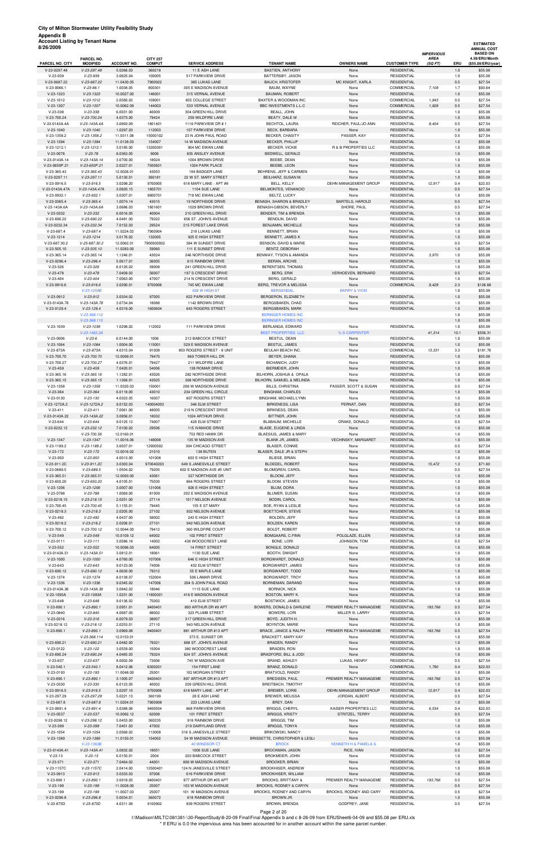| <b>Account Listing by Tenant Name</b><br>3/26/2009 |                               |                    |                                  |                        |                              |                                 |                      | <b>IMPERVIOUS</b>      |            | <b>ESTIMATED</b><br><b>ANNUAL COST</b><br><b>BASED ON</b> |
|----------------------------------------------------|-------------------------------|--------------------|----------------------------------|------------------------|------------------------------|---------------------------------|----------------------|------------------------|------------|-----------------------------------------------------------|
| PARCEL NO. CITY                                    | PARCEL NO.<br><b>MODIFIED</b> | <b>ACCOUNT NO.</b> | <b>CITY 257</b><br><b>COMPUT</b> | <b>SERVICE ADDRESS</b> | <b>TENANT NAME</b>           | <b>OWNERS NAME</b>              | <b>CUSTOMER TYPE</b> | <b>AREA</b><br>(SQ FT) | <b>ERU</b> | 4.59/ERU/Month<br>(\$55.08/ERU/year)                      |
| V-23-0297.48                                       | $V-23-297.48$                 | 5.0266.03          | 360218                           | 11 E ASH LANE          | <b>BASTIEN, ANTHONY</b>      | None                            | <b>RESIDENTIAL</b>   |                        | 1.0        | \$55.08                                                   |
| $V-23-939$                                         | $V-23-939$                    | 3.0625.04          | 100005                           | 517 PARKVIEW DRIVE     | BATTERSBY, JASON             | None                            | <b>RESIDENTIAL</b>   |                        | 1.0        | \$55.08                                                   |
| V-23-0687.22                                       | V-23-687.22                   | 11.0430.05         | 7900922                          | 365 LUKAS LANE         | <b>BAUCH, KRISTOFER</b>      | MC KNIGHT, KARLA                | <b>RESIDENTIAL</b>   |                        | 0.5        | \$27.54                                                   |
| $V-23-0066.1$                                      | $V-23-66.1$                   | 1.0038.05          | 800301                           | 305 E MADISON AVENUE   | BAUM, WAYNE                  | None                            | COMMERCIAL           | 7,109                  | 1.7        | \$93.64                                                   |
| $V-23-1323$                                        | $V-23-1323$                   | 10.0027.00         | 146001                           | 315 VERNAL AVENUE      | <b>BAUMAN, ROBERT</b>        | None                            | <b>RESIDENTIAL</b>   |                        | 1.0        | \$55.08                                                   |
| $V-23-1012$                                        | V-23-1012                     | 2.0580.02          | 109001                           | 655 COLLEGE STREET     | BAXTER & WOODMAN INC.        | None                            | COMMERCIAL           | 1,843                  | 0.5        | \$27.54                                                   |
| $V-23-1307$                                        | $V-23-1307$                   | 10.0062.09         | 144003                           | 533 VERNAL AVENUE      | <b>BBC INVESTMENTS L.L.C</b> | None                            | COMMERCIAL           | 1.928                  | 0.5        | \$27.54                                                   |
| $V-23-338$                                         | $V-23-338$                    | 6.0031.00          | 40009                            | 304 GREEN HILL DRIVE   | BEALL, JOHN                  | None                            | <b>RESIDENTIAL</b>   |                        | 1.0        | \$55.08                                                   |
| V-23-700.24                                        | $V-23-700.24$                 | 4.0373.00          | 79424                            | 259 WILDFIRE LANE      | BEATY, DALE M                | None                            | <b>RESIDENTIAL</b>   |                        | 1.0        | \$55.08                                                   |
| V-23-0143A.4A                                      | V-23-143A.4A                  | 3.0893.09          | 1801401                          | 1116 PARKVIEW DR #1    | BECHTOL, LAURA               | REICHER, PAUL/JO ANN            | <b>RESIDENTIAL</b>   | 8,404                  | 0.5        | \$27.54                                                   |
| $V-23-1040$                                        | $V - 23 - 1040$               | 1.0297.03          | 112003                           | 107 PARKVIEW DRIVE     | <b>BECK, BARBARA</b>         | None                            | <b>RESIDENTIAL</b>   |                        | 1.0        | \$55.08                                                   |
| V-23-1358.2                                        | $V-23-1358.2$                 | 11.0311.06         | 15000102                         | 23 N JOHN PAUL ROAD    | <b>BECKER, CHASITY</b>       | PASSER, KAY                     | <b>RESIDENTIAL</b>   |                        | 0.5        | \$27.54                                                   |
| $V-23-1394$                                        | $V-23-1394$                   | 11.0138.03         | 154007                           | 14 W MADISON AVENUE    | BECKER, PHILLIP              | None                            | <b>RESIDENTIAL</b>   |                        | 1.0        | \$55.08                                                   |
| $V-23-1212.1$                                      | $V-23-1212.1$                 | 3.0185.00          | 13200301                         | 904 MC EWAN LANE       | <b>BECKER, VICKIE</b>        | <b>R &amp; B PROPERTIES LLC</b> | <b>RESIDENTIAL</b>   |                        | 1.0        | \$55.08                                                   |
|                                                    |                               |                    |                                  |                        |                              |                                 |                      |                        |            |                                                           |

| $V-23-939$                  | $V-23-939$                     | 3.0625.04               | 100005             | 517 PARKVIEW DRIVE                         | BATTERSBY, JASON                                     | None                            | <b>RESIDENTIAL</b>                       |         | 1.0        | \$55.08            |
|-----------------------------|--------------------------------|-------------------------|--------------------|--------------------------------------------|------------------------------------------------------|---------------------------------|------------------------------------------|---------|------------|--------------------|
| V-23-0687.22                | V-23-687.22                    | 11.0430.05              | 7900922            | 365 LUKAS LANE                             | <b>BAUCH, KRISTOFER</b>                              | MC KNIGHT, KARLA                | <b>RESIDENTIAL</b>                       |         | 0.5        | \$27.54            |
| $V-23-0066.1$               | $V-23-66.1$                    | 1.0038.05               | 800301             | 305 E MADISON AVENUE                       | BAUM, WAYNE                                          | None                            | COMMERCIAL                               | 7,109   | 1.7        | \$93.64            |
| V-23-1323                   | $V-23-1323$                    | 10.0027.00              | 146001             | 315 VERNAL AVENUE                          | <b>BAUMAN, ROBERT</b>                                | None                            | <b>RESIDENTIAL</b>                       |         | 1.0        | \$55.08            |
| V-23-1012                   | $V-23-1012$                    | 2.0580.02               | 109001             | 655 COLLEGE STREET                         | BAXTER & WOODMAN INC.                                | None                            | COMMERCIAL                               | 1,843   | 0.5        | \$27.54            |
| $V-23-1307$<br>$V-23-338$   | $V-23-1307$<br>$V-23-338$      | 10.0062.09<br>6.0031.00 | 144003<br>40009    | 533 VERNAL AVENUE<br>304 GREEN HILL DRIVE  | BBC INVESTMENTS L.L.C<br>BEALL, JOHN                 | None<br>None                    | COMMERCIAL<br><b>RESIDENTIAL</b>         | 1,928   | 0.5<br>1.0 | \$27.54<br>\$55.08 |
| V-23-700.24                 | V-23-700.24                    | 4.0373.00               | 79424              | 259 WILDFIRE LANE                          | BEATY, DALE M                                        | None                            | <b>RESIDENTIAL</b>                       |         | 1.0        | \$55.08            |
| V-23-0143A.4A               | V-23-143A.4A                   | 3.0893.09               | 1801401            | 1116 PARKVIEW DR #1                        | BECHTOL, LAURA                                       | REICHER, PAUL/JO ANN            | <b>RESIDENTIAL</b>                       | 8,404   | 0.5        | \$27.54            |
| $V-23-1040$                 | $V-23-1040$                    | 1.0297.03               | 112003             | 107 PARKVIEW DRIVE                         | <b>BECK, BARBARA</b>                                 | None                            | <b>RESIDENTIAL</b>                       |         | 1.0        | \$55.08            |
| $V-23-1358.2$               | $V-23-1358.2$                  | 11.0311.06              | 15000102           | 23 N JOHN PAUL ROAD                        | BECKER, CHASITY                                      | PASSER, KAY                     | <b>RESIDENTIAL</b>                       |         | 0.5        | \$27.54            |
| V-23-1394                   | $V-23-1394$                    | 11.0138.03              | 154007             | 14 W MADISON AVENUE                        | <b>BECKER, PHILLIP</b>                               | None                            | <b>RESIDENTIAL</b>                       |         | 1.0        | \$55.08            |
| V-23-1212.1                 | $V-23-1212.1$                  | 3.0185.00               | 13200301           | 904 MC EWAN LANE<br>835 ANSLEY AVENUE      | <b>BECKER, VICKIE</b><br>BEDWELL, GERALD             | R & B PROPERTIES LLC            | <b>RESIDENTIAL</b>                       |         | 1.0        | \$55.08            |
| V-23-0078<br>V-23-0143A.14  | $V-23-78$<br>V-23-143A.14      | 8.0363.05<br>3.0700.00  | 9006<br>18024      | 1004 BROWN DRIVE                           | BEEBE, DEAN                                          | None<br>None                    | <b>RESIDENTIAL</b><br><b>RESIDENTIAL</b> |         | 1.0<br>1.0 | \$55.08<br>\$55.08 |
| V-23-0650P.21               | V-23-650P.21                   | 2.0227.01               | 7500821            | 1024 PARK PLACE                            | BEEBE, LEON                                          | None                            | <b>RESIDENTIAL</b>                       |         | 1.0        | \$55.08            |
| V-23-365.43                 | $V-23-365.43$                  | 12.0026.01              | 43053              | 184 BADGER LANE                            | BEHRENS, JEFF & CARMEN                               | None                            | <b>RESIDENTIAL</b>                       |         | 1.0        | \$55.08            |
| V-23-0297.11                | $V-23-297.11$                  | 5.0130.01               | 360181             | 22 W ST. MARY STREET                       | BEILHARZ, SUSAN M.                                   | None                            | <b>RESIDENTIAL</b>                       |         | 1.0        | \$55.08            |
| V-23-0916.5                 | $V-23-916.5$                   | 3.0298.20               | 9700905            | 618 MARY LANE - APT #8                     | <b>BELL. KELLY</b>                                   | DEHN MANAGEMENT GROUP           | <b>RESIDENTIAL</b>                       | 12,917  | 0.4        | \$22.03            |
| V-23-0143A.47A              | V-23-143A.47A                  | 3.0820.15               | 1805701            | 1104 SUE LANE                              | BELMONTES, VENANCIO                                  | None                            | <b>RESIDENTIAL</b>                       |         | 0.5        | \$27.54            |
| V-23-0932.1                 | $V-23-932.1$                   | 3.0307.01               | 9900701            | 718 MC EWAN LANE                           | BELTZ, LUCKY                                         | None                            | <b>RESIDENTIAL</b>                       |         | 1.0        | \$55.08            |
| V-23-0365.4                 | $V-23-365.4$                   | 1.0074.14               | 43015              | 19 NORTHSIDE DRIVE                         | BENASH, SHARON & BRADLEY                             | <b>BARTELS, HAROLD</b>          | <b>RESIDENTIAL</b>                       |         | 0.5        | \$27.54            |
| V-23-143A.6A<br>V-23-0332   | V-23-143A.6A<br>$V-23-332$     | 3.0686.03<br>6.0016.05  | 1801601<br>40004   | 1029 BROWN DRIVE<br>210 GREEN HILL DRIVE   | BENASH-GIBSON, BEVERLY<br>BENDER, TIM & BRENDA       | SHORE, PAUL<br>None             | <b>RESIDENTIAL</b><br><b>RESIDENTIAL</b> |         | 0.5<br>1.0 | \$27.54<br>\$55.08 |
| V-23-690.22                 | V-23-690.22                    | 4.0481.00               | 79322              | 656 ST. JOHN'S AVENUE                      | BENDLIN, DAVID                                       | None                            | <b>RESIDENTIAL</b>                       |         | 1.0        | \$55.08            |
| V-23-0232.34                | V-23-232.34                    | 7.0152.03               | 29524              | 215 FOREST LAKE DRIVE                      | BENJAMIN, MICHELLE                                   | None                            | <b>RESIDENTIAL</b>                       |         | 1.0        | \$55.08            |
| V-23-687.4                  | $V-23-687.4$                   | 11.0224.02              | 7900904            | 218 LUKAS LANE                             | BENNETT, BRIAN                                       | None                            | <b>RESIDENTIAL</b>                       |         | 1.0        | \$55.08            |
| $V-23-1214$                 | $V-23-1214$                    | 3.0176.02               | 132005             | 925 E HIGH STREET                          | BENNETT, JAMES K                                     | None                            | <b>RESIDENTIAL</b>                       |         | 1.0        | \$55.08            |
| V-23-687.30.2               | V-23-687.30.2                  | 12.0062.01              | 7900930002         | 384 W SUNSET DRIVE                         | BENSON, DAVID & MARIE                                | None                            | <b>RESIDENTIAL</b>                       |         | 0.5        | \$27.54            |
| $V-23-505.10$               | $V-23-505.10$                  | 11.0283.00              | 59060              | 111 E SUNSET DRIVE                         | BENTZ, DEBORAH                                       | None                            | <b>RESIDENTIAL</b>                       |         | 1.0        | \$55.08            |
| V-23-365.14                 | $V-23-365.14$                  | 1.1246.01               | 43024              | 246 NORTHSIDE DRIVE                        | BENWAY, TYSON & AMANDA                               | None                            | <b>RESIDENTIAL</b>                       | 3,970   | 1.0        | \$55.08            |
| V-23-0296.4<br>V-23-326     | $V-23-296.4$<br>$V-23-326$     | 5.0617.01<br>6.0120.02  | 36005<br>39008     | 615 RAINBOW DRIVE<br>241 GREEN HILL DRIVE  | BERAN, ARCHIE<br>BERENTSEN, THOMAS                   | None<br>None                    | <b>RESIDENTIAL</b><br><b>RESIDENTIAL</b> |         | 1.0<br>1.0 | \$55.08<br>\$55.08 |
| $V-23-478$                  | $V-23-478$                     | 7.0409.02               | 56007              | 197 S CRESCENT DRIVE                       | <b>BERG, ERIK</b>                                    | VERHOEVEN, BERNARD              | <b>RESIDENTIAL</b>                       |         | 0.5        | \$27.54            |
| $V-23-404$                  | $V-23-404$                     | 7.0063.00               | 47007              | 214 N CRESCENT DRIVE                       | BERG, GERALD                                         | None                            | <b>RESIDENTIAL</b>                       |         | 1.0        | \$55.08            |
| V-23-0916.6                 | $V-23-916.6$                   | 3.0290.01               | 9700906            | 745 MC EWAN LANE                           | BERG, TREVOR & MELISSA                               | None                            | COMMERCIAL                               | 9,429   | 2.3        | \$126.68           |
|                             | V-23-1259B                     |                         |                    | 828 W HIGH ST                              | <b>BERGENDAL</b>                                     | <b>BARRY &amp; VICKI</b>        |                                          |         | 1.0        | \$55.08            |
| V-23-0912                   | $V-23-912$                     | 3.0334.02               | 97005              | 622 PARKVIEW DRIVE                         | BERGERON, ELIZABETH                                  | None                            | <b>RESIDENTIAL</b>                       |         | $1.0\,$    | \$55.08            |
| V-23-0143A.78               | V-23-143A.78                   | 3.0734.04               | 18088              | 1142 BROWN DRIVE                           | BERGSBAKEN, CHAD                                     | None                            | <b>RESIDENTIAL</b>                       |         | 1.0        | \$55.08            |
| V-23-0129.4                 | $V-23-129.4$<br>V-23-368.112   | 4.0319.00               | 1600604            | 643 ROGERS STREET                          | <b>BERGSBAKEN, MARK</b><br><b>BERINGER HOMES INC</b> | None                            | <b>RESIDENTIAL</b>                       |         | 1.0<br>1.0 | \$55.08            |
|                             | $V-23-368.115$                 |                         |                    |                                            | <b>BERINGER HOMES INC</b>                            |                                 |                                          |         | 1.0        | \$55.08<br>\$55.08 |
| V-23-1039                   | $V-23-1039$                    | 1.0298.02               | 112002             | 111 PARKVIEW DRIVE                         | BERLANGA, EDWARD                                     | None                            | <b>RESIDENTIAL</b>                       |         | 1.0        | \$55.08            |
|                             | V-23-1463.2A                   |                         |                    |                                            | BEST PROPERTIES LLC                                  | % S CARPENTER                   |                                          | 41,314  | 10.1       | \$556.31           |
| $V-23-0006$                 | $V-23-6$                       | 6.0144.00               | 1006               | 212 BABCOCK STREET                         | BESTUL, DEAN                                         | None                            | <b>RESIDENTIAL</b>                       |         | 1.0        | \$55.08            |
| $V-23-1064$                 | $V-23-1064$                    | 1.0004.00               | 115001             | 529 E MADISON AVENUE                       | BESTUL, JAMES                                        | None                            | <b>RESIDENTIAL</b>                       |         | 1.0        | \$55.08            |
| V-23-873A                   | V-23-873A                      | 4.0315.04               | 91008              | 803 ROGERS STREET - 8 UNIT                 | BEULAH BEACH INC.                                    | None                            | COMMERCIAL                               | 13,331  | 3.3        | \$181.76           |
| V-23-700.70                 | $V-23-700.70$                  | 12.0099.01              | 79470              | 869 TOWER HILL DR                          | BEYER, SHANA                                         | None                            | <b>RESIDENTIAL</b>                       |         | 1.0        | \$55.08            |
| V-23-700.27                 | V-23-700.27                    | 4.0376.01               | 79427              | 211 WILDFIRE LANE                          | <b>BICHANICH, JUDY</b>                               | None                            | <b>RESIDENTIAL</b>                       |         | 1.0        | \$55.08            |
| $V-23-459$<br>V-23-365.16   | $V-23-459$<br>$V-23-365.16$    | 7.0420.01<br>1.1282.01  | 54006<br>43026     | 138 ROMAR DRIVE<br>282 NORTHSIDE DRIVE     | BIERMEIER, JOHN<br>BILHORN, JOSHUA & OPALA           | None<br>None                    | <b>RESIDENTIAL</b><br><b>RESIDENTIAL</b> |         | 1.0<br>1.0 | \$55.08<br>\$55.08 |
| V-23-365.15                 | $V-23-365.15$                  | 1.1268.01               | 43025              | 268 NORTHSIDE DRIVE                        | BILHORN, SAMUEL & MELINDA                            | None                            | <b>RESIDENTIAL</b>                       |         | 1.0        | \$55.08            |
| V-23-1358                   | $V-23-1358$                    | 11.0320.03              | 150001             | 206 W MADISON AVENUE                       | <b>BILLS, CHRISTINA</b>                              | PASSER, SCOTT & SUSAN           | <b>RESIDENTIAL</b>                       |         | 0.5        | \$27.54            |
| V-23-364                    | $V-23-364$                     | 6.0118.00               | 43010              | 234 GREEN HILL CIRCLE                      | <b>BINGHAM, CHARLES</b>                              | None                            | <b>RESIDENTIAL</b>                       |         | 1.0        | \$55.08            |
| V-23-0130                   | $V-23-130$                     | 4.0323.05               | 16007              | 607 ROGERS STREET                          | BINGHAM, MICHAEL/LYNN                                | None                            | <b>RESIDENTIAL</b>                       |         | 1.0        | \$55.08            |
| V-23-1272A.2                | V-23-1272A.2                   | 9.0152.03               | 140004003          | 346 ELM STREET                             | <b>BIRKENESS, LISA</b>                               | PERNAT, DAN                     | <b>RESIDENTIAL</b>                       |         | 0.5        | \$27.54            |
| $V-23-411$                  | $V-23-411$                     | 7.0061.00               | 48005              | 219 N CRESCENT DRIVE                       | <b>BIRKNESS, DEAN</b>                                | None                            | <b>RESIDENTIAL</b>                       |         | 1.0        | \$55.08            |
| V-23-0143A.22<br>$V-23-644$ | V-23-143A.22<br>$V-23-644$     | 3.0856.01<br>9.0125.12  | 18032<br>74007     | 1024 ARTHUR DRIVE<br>428 ELM STREET        | BITTNER, JOHN<br>BLABAUM, MICHELLE                   | None<br>DRAKE, DONALD           | <b>RESIDENTIAL</b><br><b>RESIDENTIAL</b> |         | 1.0<br>0.5 | \$55.08<br>\$27.54 |
| V-23-0232.12                | V-23-232.12                    | 7.0100.02               | 29506              | 115 IVANHOE DRIVE                          | BLADE, EUGENE & LINDA                                | None                            | <b>RESIDENTIAL</b>                       |         | 1.0        | \$55.08            |
|                             | $V-23-700.56$                  | 12.0160.01              |                    | 753 RED HAWK DR                            | BLAESIUS, JAMES & MARY                               | None                            | <b>RESIDENTIAL</b>                       |         | 1.0        | \$55.08            |
| V-23-1347                   | $V-23-1347$                    | 11.0016.06              | 148008             | 135 W MADISON AVE                          | <b>BLANK JR, JAMES</b>                               | VECHINSKY, MARGARET             | <b>RESIDENTIAL</b>                       |         | 1.0        | \$55.08            |
| V-23-1189.2                 | $V-23-1189.2$                  | 3.0037.01               | 12900502           | 304 CHICAGO STREET                         | BLASER, CONNIE                                       | None                            | <b>RESIDENTIAL</b>                       |         | 0.5        | \$27.54            |
| $V-23-172$                  | $V-23-172$                     | 12.0016.02              | 21010              | 138 BUTEN                                  | BLASER, DALE JR & STEPH                              | None                            | <b>RESIDENTIAL</b>                       |         | 1.0        | \$55.08            |
| $V-23-950$                  | $V-23-950$                     | 4.0013.00               | 101008             | 603 E HIGH STREET                          | BLIESE, BRIAN                                        | None                            | <b>RESIDENTIAL</b>                       |         | 1.0        | \$55.08            |
| V-23-911.2C                 | V-23-911.2C                    | 3.0303.04               | 970040203          | 649 S JANESVILLE STREET                    | <b>BLOEDEL, ROBERT</b>                               | None                            | <b>RESIDENTIAL</b>                       | 15,472  | 1.3        | \$71.60            |
| V-23-0689.5                 | $V-23-689.5$                   | 1.0504.02               | 79205              | 602 E MADISON AVE #5 UNIT                  | BLOMGREN, CAROL                                      | None                            | <b>RESIDENTIAL</b>                       |         | 0.5        | \$27.54            |
| V-23-365.51<br>V-23-650.20  | $V-23-365.51$<br>$V-23-650.20$ | 12.0093.00<br>4.0105.01 | 43061<br>75030     | 327 NORTHSIDE DR<br>864 ROGERS STREET      | BLOOM, JEFF<br>BLOOM, STEVEN                         | None<br>None                    | <b>RESIDENTIAL</b><br><b>RESIDENTIAL</b> |         | 1.0<br>1.0 | \$55.08<br>\$55.08 |
| $V-23-1206$                 | $V-23-1206$                    | 3.0007.00               | 131006             | 926 E HIGH STREET                          | BLUM, DORA                                           | None                            | <b>RESIDENTIAL</b>                       |         | $1.0\,$    | \$55.08            |
| V-23-0788                   | $V-23-788$                     | 1.0069.00               | 81009              | 202 E MADISON AVENUE                       | <b>BLUMER, SUSAN</b>                                 | None                            | <b>RESIDENTIAL</b>                       |         | 1.0        | \$55.08            |
| V-23-0218.15                | $V-23-218.15$                  | 2.0251.00               | 27114              | 1017 NELSON AVENUE                         | BODIN, CAROL                                         | None                            | <b>RESIDENTIAL</b>                       |         | 1.0        | \$55.08            |
| V-23-700.45                 | $V-23-700.45$                  | 5.1155.01               | 79445              | 155 E ST MARY                              | BOE, RYAN & LESLIE                                   | None                            | <b>RESIDENTIAL</b>                       |         | 1.0        | \$55.08            |
| V-23-0218.3                 | $V-23-218.3$                   | 2.0205.00               | 27102              | 932 NELSON AVENUE                          | BOETTCHER, STEVE                                     | None                            | <b>RESIDENTIAL</b>                       |         | 1.0        | \$55.08            |
| V-23-492                    | V-23-492                       | 4.0437.00               | 58002              | 243 E HIGH STREET                          | BOLDEN, JEFF                                         | None                            | <b>RESIDENTIAL</b>                       |         | 1.0        | \$55.08            |
| V-23-0218.2<br>V-23-700.12  | $V-23-218.2$<br>V-23-700.12    | 2.0206.01<br>12.0044.00 | 27101<br>79412     | 942 NELSON AVENUE<br>360 WILDFIRE COURT    | <b>BOLDEN, KAREN</b><br>BOLDT, ROBERT                | None<br>None                    | <b>RESIDENTIAL</b><br><b>RESIDENTIAL</b> |         | 1.0<br>1.0 | \$55.08<br>\$55.08 |
| $V-23-549$                  | $V-23-549$                     | 10.0109.12              | 64002              | 102 FIRST STREET                           | BOMGAARS, C.FINN                                     | POLGLAZE, ELLEN                 | <b>RESIDENTIAL</b>                       |         | 1.0        | \$55.08            |
| $V-23-0111$                 | $V-23-111$                     | 3.0586.18               | 14002              | 438 WOODCREST LANE                         | BONE, LORI                                           | JOHNSON, TOM                    | <b>RESIDENTIAL</b>                       |         | 0.5        | \$27.54            |
| $V-23-552$                  | $V-23-552$                     | 10.0096.03              | 64005              | 14 FIRST STREET                            | BONGLE, DONALD                                       | None                            | <b>RESIDENTIAL</b>                       |         | 1.0        | \$55.08            |
| V-23-0143A.51               | V-23-143A.51                   | 3.0812.01               | 18061              | 1130 SUE LANE                              | BOOTH, DWIGHT                                        | None                            | <b>RESIDENTIAL</b>                       |         | 1.0        | \$55.08            |
| $V-23-1000$                 | $V-23-1000$                    | 4.0760.00               | 107006             | 646 E HIGH STREET                          | BORGWARDT, DONALD                                    | None                            | <b>RESIDENTIAL</b>                       |         | 1.0        | \$55.08            |
| $V-23-643$                  | $V-23-643$                     | 9.0123.00               | 74006              | 432 ELM STREET                             | BORGWARDT, JAMES                                     | None                            | <b>RESIDENTIAL</b>                       |         | 1.0        | \$55.08            |
| V-23-690.12<br>$V-23-1374$  | $V-23-690.12$<br>$V-23-1374$   | 4.0630.00<br>8.0138.07  | 79312<br>152004    | 55 E MAPLE LANE<br>506 LAMAR DRIVE         | BORGWARDT, TODD<br>BORGWARDT, TROY                   | None<br>None                    | <b>RESIDENTIAL</b><br><b>RESIDENTIAL</b> |         | 1.0<br>1.0 | \$55.08<br>\$55.08 |
| $V-23-1336$                 | $V-23-1336$                    | 9.0345.02               | 147006             | 204 S JOHN PAUL ROAD                       | BORNEMAN, DARAND                                     | None                            | <b>RESIDENTIAL</b>                       |         | $1.0\,$    | \$55.08            |
| V-23-0143A.36               | V-23-143A.36                   | 3.0842.02               | 18046              | 1115 SUE LANE                              | <b>BORNICK, NICK</b>                                 | None                            | <b>RESIDENTIAL</b>                       |         | 1.0        | \$55.08            |
| V-23-1093A                  | V-23-1093A                     | 1.0231.00               | 11800301           | 416 E MADISON AVENUE                       | BOSTON, MARY K.                                      | None                            | <b>RESIDENTIAL</b>                       |         | 1.0        | \$55.08            |
| $V-23-648$                  | $V-23-648$                     | 9.0136.02               | 75002              | 410 ELM STREET                             | <b>BOSTWICK, JAMES</b>                               | None                            | <b>RESIDENTIAL</b>                       |         | 1.0        | \$55.08            |
| $V-23-890.1$                | $V-23-890.1$                   | 3.0951.01               | 9400401            | 893 ARTHUR DR #9 APT<br>323 PLUMB STREET   | BOWERS, DONALD & DARLENE                             | PREMIER REALTY MANAGEME         | <b>RESIDENTIAL</b>                       | 193,766 | 0.5        | \$27.54            |
| V-23-0840<br>V-23-0316      | $V-23-840$<br>$V-23-316$       | 4.0687.05<br>6.0079.03  | 88002<br>38007     | 317 GREEN HILL DRIVE                       | <b>BOWERS, LORI</b><br>BOYD, JUDITH H.               | MILLER III, LARRY<br>None       | <b>RESIDENTIAL</b><br><b>RESIDENTIAL</b> |         | 0.5<br>1.0 | \$27.54<br>\$55.08 |
| V-23-0218.12                | $V-23-218.12$                  | 2.0253.01               | 27110              | 943 NELSON AVENUE                          | BOYNTON, MARIE                                       | None                            | <b>RESIDENTIAL</b>                       |         | 1.0        | \$55.08            |
| $V-23-890.1$                | $V-23-890.1$                   | 3.0969.08               | 9400401            | 881 ARTHUR DR #13 APT                      | BRACE, JANICE & RALPH                                | PREMIER REALTY MANAGEME         | <b>RESIDENTIAL</b>                       | 193,766 | 0.5        | \$27.54            |
|                             | V-23-368.114                   | 12.0153.01              |                    | 373 E. SUNSET DR                           | BRACKETT, MARY KAY                                   | None                            | <b>RESIDENTIAL</b>                       |         | 1.0        | \$55.08            |
| V-23-690.21                 | $V-23-690.21$                  | 4.0482.00               | 79321              | 668 ST. JOHN'S AVENUE                      | <b>BRADEN, RANDY</b>                                 | None                            | <b>RESIDENTIAL</b>                       |         | 1.0        | \$55.08            |
| V-23-0122                   | $V-23-122$                     | 3.0559.00               | 15004              | 380 WOODCREST LANE                         | BRADEN, RON                                          | None                            | <b>RESIDENTIAL</b>                       |         | 1.0        | \$55.08            |
| V-23-690.24<br>$V-23-637$   | $V-23-690.24$<br>$V-23-637$    | 4.0465.03<br>8.0002.09  | 79324              | 624 ST. JOHN'S AVENUE                      | BRADFORD, BILL & JODI<br><b>BRAND, ASHLEY</b>        | None                            | <b>RESIDENTIAL</b><br><b>RESIDENTIAL</b> |         | 1.0        | \$55.08            |
| $V-23-540.1$                | $V-23-540.1$                   | 8.0412.06               | 73006<br>6300201   | 745 W MADISON AVE<br>154 FIRST LANE        | BRANZ, DONALD                                        | LUKAS, HENRY<br>None            | COMMERCIAL                               | 1,790   | 0.5<br>0.4 | \$27.54<br>\$22.03 |
| V-23-0193                   | $V-23-193$                     | 11.0048.00              | 25001              | 102 MORGAN STREET                          | BRATVOLD, RANDY                                      | None                            | <b>RESIDENTIAL</b>                       |         | 1.0        | \$55.08            |
| $V-23-890.1$                | $V-23-890.1$                   | 3.1005.07               | 9400401            | 897 ARTHUR DR #13 APT                      | <b>BREDISEN, PAUL</b>                                | PREMIER REALTY MANAGEME         | <b>RESIDENTIAL</b>                       | 193,766 | 0.5        | \$27.54            |
| V-23-0330                   | $V-23-330$                     | 6.0123.05               | 40002              | 209 GREEN HILL DRIVE                       | BREITBACH, TIMOTHY                                   | None                            | <b>RESIDENTIAL</b>                       |         | 1.0        | \$55.08            |
| V-23-0916.5                 | $V-23-916.5$                   | 3.0297.10               | 9700906            | 618 MARY LANE - APT #7                     | <b>BREMER, LORIE</b>                                 | <b>DEHN MANAGEMENT GROUP</b>    | <b>RESIDENTIAL</b>                       | 12,917  | 0.4        | \$22.03            |
| V-23-297.29                 | V-23-297.29                    | 5.0221.13               | 360199             | 28 E ASH LANE                              | BREWER, MELISSA                                      | JORDAN, ALBERT                  | <b>RESIDENTIAL</b>                       |         | 0.5        | \$27.54            |
| V-23-687.8<br>V-23-0891.4   | $V-23-687.8$<br>$V-23-891.4$   | 11.0204.01              | 7900908<br>9400504 | 223 LUKAS LANE<br>868 PARKVIEW DRIVE       | BREY, DAN<br><b>BRIGGS, CHERYL</b>                   | None<br>KAISER PROPERTIES LLC   | <b>RESIDENTIAL</b><br><b>RESIDENTIAL</b> | 6,534   | 1.0        | \$55.08<br>\$22.03 |
| V-23-0537                   | $V-23-537$                     | 3.0388.06<br>10.0082.12 | 62008              | 101 FIRST STREET                           | <b>BRIGGS, KRISTY</b>                                | STRITZEL, TERRY                 | <b>RESIDENTIAL</b>                       |         | 0.4<br>0.5 | \$27.54            |
| V-23-0298.12                | V-23-298.12                    | 5.0453.00               | 360235             | 918 RAINBOW DRIVE                          | <b>BRIGGS, TIM</b>                                   | None                            | <b>RESIDENTIAL</b>                       |         | 1.0        | \$55.08            |
| $V-23-399$                  | $V-23-399$                     | 7.0451.03               | 47002              | 219 DAIRYLAND DRIVE                        | <b>BRIGGS, TONYA</b>                                 | None                            | <b>RESIDENTIAL</b>                       |         | 1.0        | \$55.08            |
| V-23-1054                   | $V-23-1054$                    | 2.0568.02               | 113008             | 316 S JANESVILLE STREET                    | <b>BRIKOWSKI, NANCY</b>                              | None                            | <b>RESIDENTIAL</b>                       |         | 1.0        | \$55.08            |
| V-23-1389                   | $V-23-1389$                    | 11.0150.01              | 154002             | 54 W MADISON AVENUE                        | BRISSETTE, CHRISTOPHER & LESLI                       | None                            | <b>RESIDENTIAL</b>                       |         | 1.0        | \$55.08            |
|                             | V-23-1363B                     |                         |                    | <b>40 WINDSOR CT</b>                       | <b>BROCK</b>                                         | <b>KENNETH H &amp; PAMELA S</b> |                                          |         | 1.0        | \$55.08            |
| V-23-0143A.41               | V-23-143A.41                   | 3.0832.02               | 18051              | 1006 SUE LANE                              | BROCKMAN, JASON                                      | RICE, IVAN                      | <b>RESIDENTIAL</b>                       |         | 0.5        | \$27.54            |
| $V-23-13$<br>$V-23-371$     | $V-23-13$<br>$V-23-371$        | 6.0150.01<br>7.0464.02  | 2004<br>44001      | 203 BABCOCK STREET<br>806 W MADISON AVENUE | BROKMEIER, JOHN<br><b>BROOKER, BRIAN</b>             | None<br>None                    | <b>RESIDENTIAL</b><br><b>RESIDENTIAL</b> |         | 1.0<br>1.0 | \$55.08<br>\$55.08 |
| V-23-1157C                  | V-23-1157C                     | 2.0414.00               | 12500401           | 124 N JANESVILLE STREET                    | BROOKHISER, ANDREW                                   | None                            | <b>RESIDENTIAL</b>                       |         | 1.0        | \$55.08            |
| V-23-0913                   | $V-23-913$                     | 3.0333.03               | 97006              | 616 PARKVIEW DRIVE                         | <b>BROOKHISER, WILLIAM</b>                           | None                            | <b>RESIDENTIAL</b>                       |         | 1.0        | \$55.08            |
| V-23-890.1                  | $V-23-890.1$                   | 3.0918.05               | 9400401            | 877 ARTHUR DR #05 APT                      | <b>BROOKS, BRITTANY &amp;</b>                        | PREMIER REALTY MANAGEME         | <b>RESIDENTIAL</b>                       | 193,766 | 0.5        | \$27.54            |
| $V-23-199$                  | $V-23-199$                     | 11.0028.00              | 25007              | 103 W MADISON AVENUE                       | BROOKS, RODNEY & CARYN                               | None                            | <b>RESIDENTIAL</b>                       |         | 0.5        | \$27.54            |
| $V-23-199$                  | $V-23-199$                     | 11.0027.03              | 25007              | 101 W MADISON AVENUE                       | BROOKS, RODNEY AND CARYN                             | BROOKS, RODNEY AND CARY         | <b>RESIDENTIAL</b>                       |         | 0.5        | \$27.54            |
| V-23-0296.8<br>V-23-873D    | $V-23-296.8$<br>V-23-873D      | 5.0034.01<br>4.0311.08  | 360072<br>9100902  | 618 RAINBOW DRIVE<br>839 ROGERS STREET     | BROWN JR.<br>BROWN, BRENDA                           | None<br>GODFREY, JANE           | <b>RESIDENTIAL</b><br><b>RESIDENTIAL</b> |         | 1.0<br>0.5 | \$55.08<br>\$27.54 |
|                             |                                |                         |                    |                                            |                                                      |                                 |                                          |         |            |                    |

Page 2 of 20

I:\Madison\MILTC\081381-\30-ReportStudy\8-20-09 Final\Final Appendix b and c 8-26-09 from ERUSheet6-04-09 and \$55.08 per ERU.xls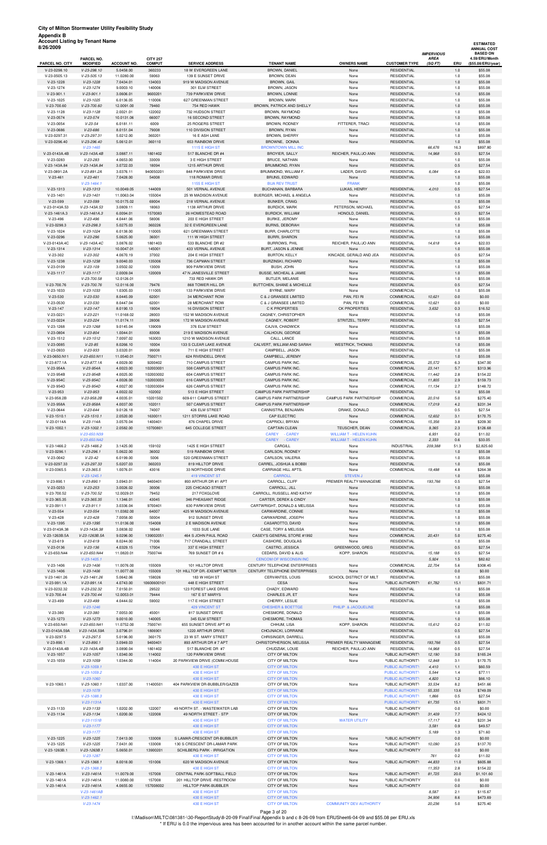| <b>Account Listing by Tenant Name</b><br>3/26/2009 |                               |                    |                                  |                            |                           |                      |                      | <b>IMPERVIOUS</b>     |      | <b>ESTIMATED</b><br><b>ANNUAL COST</b><br><b>BASED ON</b> |
|----------------------------------------------------|-------------------------------|--------------------|----------------------------------|----------------------------|---------------------------|----------------------|----------------------|-----------------------|------|-----------------------------------------------------------|
| PARCEL NO. CITY                                    | PARCEL NO.<br><b>MODIFIED</b> | <b>ACCOUNT NO.</b> | <b>CITY 257</b><br><b>COMPUT</b> | <b>SERVICE ADDRESS</b>     | <b>TENANT NAME</b>        | <b>OWNERS NAME</b>   | <b>CUSTOMER TYPE</b> | <b>AREA</b><br>(SQFT) | ERU  | 4.59/ERU/Month<br>(\$55.08/ERU/year)                      |
| V-23-0298.10                                       | $V-23-298.10$                 | 5.0458.00          | 360233                           | 18 W EVERGREEN LANE        | <b>BROWN, DANIEL</b>      | None                 | <b>RESIDENTIAL</b>   |                       | 1.0  | \$55.08                                                   |
| V-23-0505.13                                       | $V-23-505.13$                 | 11.0280.00         | 59063                            | 139 E SUNSET DRIVE         | BROWN, DEAN               | None                 | <b>RESIDENTIAL</b>   |                       | 1.0  | \$55.08                                                   |
| V-23-1228                                          | $V-23-1228$                   | 7.0434.01          | 134003                           | 919 W MADISON AVENUE       | <b>BROWN, GAIL</b>        | None                 | <b>RESIDENTIAL</b>   |                       | 1.0  | \$55.08                                                   |
| $V-23-1274$                                        | $V-23-1274$                   | 9.0003.10          | 140006                           | 301 ELM STREET             | BROWN, JASON              | None                 | <b>RESIDENTIAL</b>   |                       | 1.0  | \$55.08                                                   |
| $V-23-901.1$                                       | $V-23-901.1$                  | 3.0606.01          | 9600201                          | 739 PARKVIEW DRIVE         | <b>BROWN, LONNIE</b>      | None                 | <b>RESIDENTIAL</b>   |                       | 1.0  | \$55.08                                                   |
| $V-23-1025$                                        | $V-23-1025$                   | 6.0136.05          | 110006                           | 627 GREENMAN STREET        | <b>BROWN, MARK</b>        | None                 | <b>RESIDENTIAL</b>   |                       | 1.0  | \$55.08                                                   |
| V-23-700.60                                        | $V-23-700.60$                 | 12.0091.00         | 79460                            | 754 RED HAWK               | BROWN, PATRICK AND SHELLY | None                 | <b>RESIDENTIAL</b>   |                       | 1.0  | \$55.08                                                   |
| $V-23-1128$                                        | $V-23-1128$                   | 2.0021.01          | 122002                           | 732 HUDSON STREET          | BROWN, RAYMOND            | None                 | <b>RESIDENTIAL</b>   |                       | 1.0  | \$55.08                                                   |
| $V-23-0574$                                        | $V-23-574$                    | 10.0131.06         | 66007                            | 16 SECOND STREET           | BROWN, RAYMOND            | None                 | <b>RESIDENTIAL</b>   |                       | 1.0  | \$55.08                                                   |
| $V-23-0054$                                        | $V-23-54$                     | 6.0181.11          | 6009                             | 25 ROGERS STREET           | BROWN, RODNEY             | FITTERER, TRACI      | <b>RESIDENTIAL</b>   |                       | 1.0  | \$55.08                                                   |
| V-23-0686                                          | $V-23-686$                    | 8.0151.04          | 79008                            | <b>110 DIVISION STREET</b> | BROWN, RYAN               | None                 | <b>RESIDENTIAL</b>   |                       | 1.0  | \$55.08                                                   |
| V-23-0297.31                                       | $V-23-297.31$                 | 5.0212.00          | 360201                           | 16 E ASH LANE              | <b>BROWN, SHERRY</b>      | None                 | <b>RESIDENTIAL</b>   |                       | 1.0  | \$55.08                                                   |
| V-23-0296.40                                       | $V-23-296.40$                 | 5.0612.01          | 360110                           | 653 RAINBOW DRIVE          | BROWNE, DONNA             | None                 | <b>RESIDENTIAL</b>   |                       | 1.0  | \$55.08                                                   |
|                                                    | $V-23-1465$                   |                    |                                  | <b>1115 E HIGH ST</b>      | <b>BROWNTOWN MILL INC</b> |                      |                      | 66,676                | 16.3 | \$897.80                                                  |
| V-23-0143A.4B                                      | V-23-143A.4B                  | 3.0887.11          | 1801402                          | 517 BLANCHE DR #4          | <b>BROYIER, SALLY</b>     | REICHER, PAUL/JO ANN | <b>RESIDENTIAL</b>   | 14,968                | 0.5  | \$27.54                                                   |
| V-23-0283                                          | $V-23-283$                    | 4.0653.00          | 33009                            | 3 E HIGH STREET            | <b>BRUCE, NATHAN</b>      | None                 | <b>RESIDENTIAL</b>   |                       | 1.0  | \$55.08                                                   |
| V-23-143A.84                                       | V-23-143A.84                  | 3.0722.03          | 18094                            | 1215 ARTHUR DRIVE          | BRUMMOND, RYAN            | None                 | <b>RESIDENTIAL</b>   |                       | 0.5  | \$27.54                                                   |
| V-23-0891.2A                                       | V-23-891.2A                   | 3.0376.11          | 940050201                        | 848 PARKVIEW DRIVE         | BRUMMOND, WILLIAM F.      | LADER, DAVID         | <b>RESIDENTIAL</b>   | 6,084                 | 0.4  | \$22.03                                                   |
| $V-23-461$                                         | $V - 23 - 461$                | 7.0428.00          | 54008                            | 118 ROMAR DRIVE            | BRUNS, EDWARD             | None                 | <b>RESIDENTIAL</b>   |                       | 1.0  | \$55.08                                                   |
|                                                    | $V-23-1464.1$                 |                    |                                  | <b>1155 E HIGH ST</b>      | <b>BUA REV TRUST</b>      | <b>FRANK</b>         |                      |                       | 1.0  | \$55.08                                                   |
| $V-23-1313$                                        | $V-23-1313$                   | 10.0049.05         | 144009                           | 501 VERNAL AVENUE          | BUCHANAN, BARBARA         | LUKAS, HENRY         | <b>RESIDENTIAL</b>   | 4,010                 | 0.5  | \$27.54                                                   |
| $V-23-1401$                                        | $V-23-1401$                   | 11.0063.04         | 155004                           | 25 W MADISON AVENUE        | BUERGER, MICHAEL & ANGELA | None                 | <b>RESIDENTIAL</b>   |                       | 1.0  | \$55.08                                                   |
| $V-23-599$                                         | $V-23-599$                    | 10.0175.02         | 69004                            | 218 VERNAL AVENUE          | <b>BUNKER, CRAIG</b>      | None                 | <b>RESIDENTIAL</b>   |                       | 1.0  | \$55.08                                                   |
| V-23-0143A.53                                      | V-23-143A.53                  | 3.0809.11          | 18063                            | 1138 ARTHUR DRIVE          | <b>BURDICK, MARK</b>      | PETERSON, MICHAEL    | <b>RESIDENTIAL</b>   |                       | 0.5  | \$27.54                                                   |

| V-23-1025                | $V-23-1025$                  | 6.0136.05  | 110006           | 627 GREENMAN STREET                | <b>BROWN, MARK</b>                             | None                           | <b>RESIDENTIAL</b>      |                  | 1.0        | \$55.08              |
|--------------------------|------------------------------|------------|------------------|------------------------------------|------------------------------------------------|--------------------------------|-------------------------|------------------|------------|----------------------|
| V-23-700.60              | $V-23-700.60$                | 12.0091.00 | 79460            | 754 RED HAWK                       | BROWN, PATRICK AND SHELLY                      | None                           | <b>RESIDENTIAL</b>      |                  | 1.0        | \$55.08              |
| V-23-1128                | $V-23-1128$                  | 2.0021.01  | 122002           | 732 HUDSON STREET                  | <b>BROWN, RAYMOND</b>                          | None                           | <b>RESIDENTIAL</b>      |                  | 1.0        | \$55.08              |
| $V-23-0574$              | $V-23-574$                   | 10.0131.06 | 66007            | 16 SECOND STREET                   | <b>BROWN, RAYMOND</b>                          | None                           | <b>RESIDENTIAL</b>      |                  | 1.0        | \$55.08              |
| V-23-0054                | $V-23-54$                    | 6.0181.11  | 6009             | 25 ROGERS STREET                   | <b>BROWN, RODNEY</b>                           | FITTERER, TRACI                | <b>RESIDENTIAL</b>      |                  | 1.0        | \$55.08              |
| V-23-0686                | $V-23-686$                   | 8.0151.04  | 79008            | 110 DIVISION STREET                | BROWN, RYAN                                    | None                           | <b>RESIDENTIAL</b>      |                  | 1.0        | \$55.08              |
| V-23-0297.31             | $V-23-297.31$                |            |                  | 16 E ASH LANE                      |                                                |                                | <b>RESIDENTIAL</b>      |                  |            |                      |
|                          |                              | 5.0212.00  | 360201<br>360110 |                                    | <b>BROWN, SHERRY</b>                           | None                           |                         |                  | 1.0        | \$55.08              |
| V-23-0296.40             | $V-23-296.40$                | 5.0612.01  |                  | 653 RAINBOW DRIVE                  | BROWNE, DONNA<br><b>BROWNTOWN MILL INC</b>     | None                           | <b>RESIDENTIAL</b>      |                  | 1.0        | \$55.08              |
|                          | $V-23-1465$                  |            |                  | <b>1115 E HIGH ST</b>              |                                                |                                |                         | 66,676           | 16.3       | \$897.80             |
| V-23-0143A.4B            | V-23-143A.4B                 | 3.0887.11  | 1801402          | 517 BLANCHE DR #4                  | <b>BROYIER, SALLY</b>                          | REICHER, PAUL/JO ANN           | <b>RESIDENTIAL</b>      | 14,968           | 0.5        | \$27.54              |
| V-23-0283                | $V-23-283$                   | 4.0653.00  | 33009            | 3 E HIGH STREET                    | <b>BRUCE, NATHAN</b>                           | None                           | <b>RESIDENTIAL</b>      |                  | 1.0        | \$55.08              |
| V-23-143A.84             | V-23-143A.84                 | 3.0722.03  | 18094            | 1215 ARTHUR DRIVE                  | BRUMMOND, RYAN                                 | None                           | <b>RESIDENTIAL</b>      |                  | 0.5        | \$27.54              |
| V-23-0891.2A             | V-23-891.2A                  | 3.0376.11  | 940050201        | 848 PARKVIEW DRIVE                 | BRUMMOND, WILLIAM F.                           | LADER, DAVID                   | <b>RESIDENTIAL</b>      | 6,084            | 0.4        | \$22.03              |
| $V-23-461$               | $V-23-461$                   | 7.0428.00  | 54008            | 118 ROMAR DRIVE                    | <b>BRUNS, EDWARD</b>                           | None                           | <b>RESIDENTIAL</b>      |                  | 1.0        | \$55.08              |
|                          | $V-23-1464.1$                |            |                  | <b>1155 E HIGH ST</b>              | <b>BUA REV TRUST</b>                           | <b>FRANK</b>                   |                         |                  | 1.0        | \$55.08              |
| $V-23-1313$              | $V-23-1313$                  | 10.0049.05 | 144009           | 501 VERNAL AVENUE                  | BUCHANAN, BARBARA                              | LUKAS, HENRY                   | <b>RESIDENTIAL</b>      | 4,010            | 0.5        | \$27.54              |
| $V-23-1401$              | $V-23-1401$                  | 11.0063.04 | 155004           | 25 W MADISON AVENUE                | BUERGER, MICHAEL & ANGELA                      | None                           | <b>RESIDENTIAL</b>      |                  | 1.0        | \$55.08              |
| $V-23-599$               | $V-23-599$                   | 10.0175.02 | 69004            | 218 VERNAL AVENUE                  | <b>BUNKER, CRAIG</b>                           | None                           | <b>RESIDENTIAL</b>      |                  | 1.0        | \$55.08              |
| V-23-0143A.53            | V-23-143A.53                 | 3.0809.11  | 18063            | 1138 ARTHUR DRIVE                  | <b>BURDICK, MARK</b>                           | PETERSON, MICHAEL              | <b>RESIDENTIAL</b>      |                  | 0.5        | \$27.54              |
| V-23-1461A.3             | $V-23-1461A.3$               | 6.0094.01  | 1570083          | 26 HOMESTEAD ROAD                  | <b>BURDICK, WILLIAM</b>                        | HONOLD, DANIEL                 | <b>RESIDENTIAL</b>      |                  | 0.5        | \$27.54              |
| $V-23-496$               | $V-23-496$                   | 4.0441.06  | 58006            | 203 E HIGH STREET                  | <b>BURKE, JEROMY</b>                           | None                           | <b>RESIDENTIAL</b>      |                  | 1.0        | \$55.08              |
| V-23-0298.3              | $V-23-298.3$                 | 5.0275.03  | 360226           | 32 E EVERGREEN LANE                | <b>BURNS, DEBORAH</b>                          | None                           | <b>RESIDENTIAL</b>      |                  | 1.0        | \$55.08              |
| V-23-1024                | $V-23-1024$                  |            | 110005           | 621 GREENMAN STREET                | BURR, CHARLOTTE                                |                                | <b>RESIDENTIAL</b>      |                  | 1.0        | \$55.08              |
|                          |                              | 6.0138.00  |                  |                                    |                                                | None                           |                         |                  |            |                      |
| V-23-0296                | $V-23-296$                   | 5.0625.00  | 36001            | 111 W HIGH STREET                  | <b>BURRI, SHARON</b>                           | None                           | <b>RESIDENTIAL</b>      |                  | 1.0        | \$55.08              |
| V-23-0143A.4C            | V-23-143A.4C                 | 3.0876.02  | 1801403          | 533 BLANCHE DR #2                  | <b>BURROWS, PHIL</b>                           | REICHER, PAUL/JO ANN           | <b>RESIDENTIAL</b>      | 14,618           | 0.4        | \$22.03              |
| $V-23-1314$              | $V-23-1314$                  | 10.0047.01 | 145001           | 433 VERNAL AVENUE                  | BURT, JASON & JENNIE                           | None                           | <b>RESIDENTIAL</b>      |                  | 1.0        | \$55.08              |
| V-23-302                 | $V-23-302$                   | 4.0670.19  | 37002            | 204 E HIGH STREET                  | <b>BURTON, KELLY</b>                           | KINCADE, GERALD AND JEA        | <b>RESIDENTIAL</b>      |                  | 0.5        | \$27.54              |
| V-23-1238                | $V-23-1238$                  | 9.0040.03  | 135006           | 736 CAPMAN STREET                  | BURZINSKI, RICHARD                             | None                           | <b>RESIDENTIAL</b>      |                  | 1.0        | \$55.08              |
| $V-23-0109$              | $V-23-109$                   | 3.0502.02  | 13009            | 909 PARKVIEW DRIVE                 | BUSH, JOHN                                     | None                           | <b>RESIDENTIAL</b>      |                  | 1.0        | \$55.08              |
| $V-23-1117$              | $V-23-1117$                  | 2.0009.04  | 120009           | 47 N JANESVILLE STREET             | BUSSE, MICHEAL & JAMIE                         | None                           | <b>RESIDENTIAL</b>      |                  | 1.0        | \$55.08              |
|                          | $V-23-700.58$                | 12.0126.01 |                  | 733 RED HAWK DR                    | BUTLER, MELANIE                                | None                           | <b>RESIDENTIAL</b>      |                  | 1.0        | \$55.08              |
| V-23-700.76              | $V-23-700.76$                | 12.0116.00 | 79476            | 868 TOWER HILL DR                  | BUTTCHEN, SHANE & MICHELLE                     | None                           | <b>RESIDENTIAL</b>      |                  | 0.5        | \$27.54              |
| V-23-1033                | $V-23-1033$                  | 1.0305.03  | 111005           | 133 PARKVIEW DRIVE                 | BYRNE, MARY                                    | None                           | COMMERCIAL              |                  | 1.0        | \$55.08              |
| $V-23-530$               | $V-23-530$                   | 8.0445.09  | 62001            | 34 MERCHANT ROW                    | C & J GRANSEE LIMITED                          | PAN, FEI RI                    | COMMERCIAL              | 10,621           | 0.0        | \$0.00               |
| V-23-0530                | $V-23-530$                   | 8.0447.04  | 62001            | 28 MERCHANT ROW                    | C & J GRANSEE LIMITED                          | PAN, FEI RI                    | COMMERCIAL              | 10,621           | 0.0        | \$0.00               |
| $V-23-147$               | $V-23-147$                   | 8.0190.13  | 19004            | 16 DIVISION STREET                 | <b>C K PROPERTIES</b>                          | <b>CK PROPERTIES</b>           | <b>RESIDENTIAL</b>      | 3,632            | 0.3        | \$16.52              |
| V-23-0221                | $V-23-221$                   | 11.0168.02 | 28003            | 152 W MADISON AVENUE               | CAGNEY, CHRISTOPHER                            | None                           | RESIDENTIAL             |                  | 1.0        | \$55.08              |
| V-23-0224                | $V-23-224$                   | 11.0174.11 | 28006            | 172 W MADISON AVENUE               | CAGNEY, ROBERT                                 | STRITZEL, TERRY                | <b>RESIDENTIAL</b>      |                  | 0.5        | \$27.54              |
| V-23-1268                | $V-23-1268$                  | 9.0145.04  | 139009           | 376 ELM STREET                     | CAJVA, CHADWICK                                | None                           | <b>RESIDENTIAL</b>      |                  | 1.0        | \$55.08              |
| V-23-0804                | $V-23-804$                   | 1.0044.01  | 83006            | 219 E MADISON AVENUE               | CALHOUN, GEORGE                                | None                           | <b>RESIDENTIAL</b>      |                  | 1.0        | \$55.08              |
| $V-23-1512$              | $V-23-1512$                  | 7.0097.02  | 163003           | 1210 W MADISON AVENUE              | CALL, LANCE                                    | None                           | <b>RESIDENTIAL</b>      |                  | 1.0        | \$55.08              |
|                          |                              |            |                  |                                    |                                                |                                |                         |                  |            |                      |
| V-23-0085                | $V-23-85$                    | 8.0266.10  | 10004            | 133 S CLEAR LAKE AVENUE            | CALVERT, WILLIAM AND SARAH                     | <b>WESTRICK, THOMAS</b>        | <b>RESIDENTIAL</b>      |                  | 1.0        | \$55.08              |
| V-23-0933                | $V-23-933$                   | 3.0320.01  | 99008            | 711 E HIGH STREET                  | CAMPBELL, JASON                                | None                           | <b>RESIDENTIAL</b>      |                  | 1.0        | \$55.08              |
| V-23-0650.N11            | V-23-650.N11                 | 11.0540.01 | 7500711          | 624 RIVENDELL DRIVE                | CAMPBELL, JEREMY                               | None                           | <b>RESIDENTIAL</b>      |                  | 1.0        | \$55.08              |
| V-23-877.1A              | V-23-877.1A                  | 4.0029.00  | 9200402          | 710 CAMPUS STREET                  | CAMPUS PARK INC.                               | None                           | COMMERCIAL              | 25,572           | 6.3        | \$347.00             |
| V-23-954A                | $V-23-954A$                  | 4.0023.00  | 102003001        | 508 CAMPUS STREET                  | CAMPUS PARK INC.                               | None                           | COMMERCIAL              | 23,141           | 5.7        | \$313.96             |
| V-23-954B                | $V-23-954B$                  | 4.0025.00  | 102003002        | 604 CAMPUS STREET                  | CAMPUS PARK INC.                               | None                           | COMMERCIAL              | 11,442           | 2.8        | \$154.22             |
| V-23-954C                | V-23-954C                    | 4.0026.00  | 102003003        | 616 CAMPUS STREET                  | CAMPUS PARK INC.                               | None                           | COMMERCIAL              | 11,805           | 2.9        | \$159.73             |
| V-23-954D                | $V-23-954D$                  | 4.0027.00  | 102003004        | 626 CAMPUS STREET                  | CAMPUS PARK INC.                               | None                           | COMMERCIAL              | 11,134           | 2.7        | \$148.72             |
| $V-23-953$               | $V-23-953$                   | 4.0022.02  | 102002           | 513 E HIGH STREET                  | <b>CAMPUS PARK PARTNERSHIP</b>                 | None                           | <b>RESIDENTIAL</b>      |                  | 1.0        | \$55.08              |
| V-23-958.2B              | $V-23-958.2B$                | 4.0035.01  | 10201502         | 609-611 CAMPUS STREET              | CAMPUS PARK PARTNERSHIP                        | CAMPUS PARK PARTNERSHIP        | COMMERCIAL              | 20,516           | 5.0        | \$275.40             |
| V-23-958A                | V-23-958A                    | 4.0037.00  | 102011           | 507 CAMPUS STREET                  | <b>CAMPUS PARK PARTNERSHIP</b>                 | None                           | COMMERCIAL              | 17,019           | 4.2        | \$231.34             |
| V-23-0644                | $V-23-644$                   | 9.0126.18  | 74007            | 426 ELM STREET                     | CANNISTRA, BENJAMIN                            | DRAKE, DONALD                  | <b>RESIDENTIAL</b>      |                  | 0.5        | \$27.54              |
| $V-23-1510.1$            | $V-23-1510.1$                | 2.0520.00  | 1630011          | 1211 STORRS LAKE ROAD              | CAP ELECTRIC                                   | None                           | COMMERCIAL              | 12,602           | 3.1        | \$170.75             |
| V-23-0114A               | $V-23-114A$                  | 3.0570.04  | 1400401          | 876 CHAPEL DRIVE                   | CAPRIOLI, BRYAN                                | None                           | COMMERCIAL              | 15,356           | 3.8        | \$209.30             |
|                          |                              |            |                  |                                    |                                                | TEUSCHER, DEAN                 |                         |                  |            |                      |
| V-23-1002.1              | $V-23-1002.1$                | 2.0582.00  | 10700801         | 645 COLLEGE STREET                 | <b>CAPTAIN CLEAN</b>                           | <b>WILLIAM T - HELEN KUHN</b>  | COMMERCIAL              | 9,365            | 2.3        | \$126.68             |
|                          | V-23-650.N39                 |            |                  |                                    | CAREY - CAREY                                  |                                |                         | 6,931            | 0.2        | \$11.02              |
|                          | V-23-650.N42                 |            |                  |                                    | CAREY - CAREY                                  | <b>WILLIAM T - HELEN KUHN</b>  |                         | 2,333            | 0.6        | \$33.05              |
| V-23-1466.2              | $V-23-1466.2$                | 3.1425.00  | 159102           | 1425 E HIGH STREET                 | CARGILL                                        | None                           | <b>INDUSTRIAL</b>       | 209,388          | 51.3       | \$2,825.60           |
| V-23-0296.1              | $V-23-296.1$                 | 5.0622.00  | 36002            | 519 RAINBOW DRIVE                  | CARLSON, RODNEY                                | None                           | <b>RESIDENTIAL</b>      |                  | 1.0        | \$55.08              |
| V-23-0042                | $V-23-42$                    | 6.0199.00  | 5006             | 520 GREENMAN STREET                | CARLSON, VALERIA                               | None                           | <b>RESIDENTIAL</b>      |                  | 1.0        | \$55.08              |
| V-23-0297.33             | $V-23-297.33$                | 5.0207.03  | 360203           | 819 HILLTOP DRIVE                  | CARREL, JOSHUA & BOBBI                         | None                           | <b>RESIDENTIAL</b>      |                  | 1.0        | \$55.08              |
| V-23-0365.5              | $V-23-365.5$                 | 1.0076.01  | 43016            | 33 NORTHSIDE DRIVE                 | CARRIAGE HILL APTS.                            | None                           | COMMERCIAL              | 19,498           | 4.8        | \$264.38             |
|                          | $V-23-1245.1$                |            |                  | <b>419 VINCENT ST</b>              | <b>CARROLL</b>                                 | <b>STEVEN J</b>                |                         |                  | 1.0        | \$55.08              |
| $V-23-890.1$             | $V-23-890.1$                 | 3.0943.01  | 9400401          | 893 ARTHUR DR #1 APT               | CARROLL, CLIFF                                 | PREMIER REALTY MANAGEME        | <b>RESIDENTIAL</b>      | 193,766          | 0.5        | \$27.54              |
| V-23-0253                | $V-23-253$                   | 3.0026.02  | 30006            | 225 CHICAGO STREET                 | CARROLL, JILL                                  | None                           | <b>RESIDENTIAL</b>      |                  | 1.0        | \$55.08              |
| V-23-700.52              | $V-23-700.52$                | 12.0029.01 | 79452            | 217 FOXGLOVE                       | CARROLL, RUSSELL AND KATHY                     | None                           | <b>RESIDENTIAL</b>      |                  | 1.0        | \$55.08              |
| V-23-365.35              | $V-23-365.35$                | 1.1346.01  | 43045            | 346 PHEASANT RIDGE                 | CARTER, DEREK & CINDY                          | None                           | <b>RESIDENTIAL</b>      |                  | 1.0        | \$55.08              |
| V-23-0911.1              | $V-23-911.1$                 | 3.0336.04  | 9700401          | 630 PARKVIEW DRIVE                 | CARTWRIGHT, DONALD & MELISSA                   | None                           | <b>RESIDENTIAL</b>      |                  | 1.0        | \$55.08              |
| $V-23-554$               | $V-23-554$                   | 11.0382.00 | 64007            | 425 W MADISON AVENUE               | CARWARDINE, CONNIE                             | None                           | <b>RESIDENTIAL</b>      |                  | 1.0        | \$55.08              |
| $V-23-428$               | $V-23-428$                   | 7.0058.00  | 50004            | 912 SUNSET DRIVE                   | CARWARDINE, JOSEPH                             | None                           | RESIDENTIAL             |                  | 1.0        | \$55.08              |
| $V-23-1395$              | $V-23-1395$                  | 11.0136.00 | 154008           | 2 E MADISON AVENUE                 | CASAROTTO, DAVID                               | None                           | <b>RESIDENTIAL</b>      |                  | 1.0        | \$55.08              |
|                          |                              |            |                  | 1033 SUE LANE                      |                                                |                                |                         |                  |            |                      |
| V-23-0143A.38            | V-23-143A.38                 | 3.0838.02  | 18048            |                                    | CASE, TORY & MELISSA                           | None                           | <b>RESIDENTIAL</b>      |                  | 1.0        | \$55.08              |
| V-23-1263B.5A            | V-23-1263B.5A                | 9.0296.00  | 139002051        | 464 S JOHN PAUL ROAD               | CASEY'S GENERAL STORE #1992                    | None                           | COMMERCIAL              | 20,431           | 5.0        | \$275.40             |
| $V-23-619$               | $V-23-619$                   | 8.0244.00  | 71006            | 717 CRANDALL STREET                | CASHORE, DOUGLAS                               | None                           | <b>RESIDENTIAL</b>      |                  | 1.0        | \$55.08              |
| V-23-0136                | $V-23-136$                   | 4.0329.15  | 17004            | 337 E HIGH STREET                  | CASTRO, JESSICA                                | GREENWOOD, GREG                | <b>RESIDENTIAL</b>      |                  | 0.5        | \$27.54              |
| V-23-650.N44             | V-23-650.N44                 | 11.0820.01 | 7500744          | 769 SUNSET DR # 6                  | CEDARS, DAVID & ALIS                           | KOPP, SHARON                   | <b>RESIDENTIAL</b>      | 15,188           | 0.5        | \$27.54              |
|                          | $V-23-1405.1$                |            |                  |                                    | <b>CENCOM OF WISCONSIN INC</b>                 |                                |                         | 5,924            | 1.5        | \$82.62              |
| $V-23-1406$              | $V-23-1406$                  | 11.0076.00 | 155009           | 101 HILLTOP DRIVE                  | CENTURY TELEPHONE ENTERPRISES                  | None                           | COMMERCIAL              | 22,704           | 5.6        | \$308.45             |
| $V-23-1406$              | $V-23-1406$                  | 11.0077.00 | 155009           | 101 HILLTOP DR.-EXEMPT METER       | CENTURY TELEPHONE ENTERPRISES                  | None                           | COMMERCIAL              |                  | 0.0        | \$0.00               |
| V-23-1461.26             | V-23-1461.26                 | 5.0642.06  | 158026           | 183 W HIGH ST                      | CERVANTES, LOUIS                               | SCHOOL DISTRICT OF MILT        | <b>RESIDENTIAL</b>      |                  | 1.0        | \$55.08              |
| V-23-991.1A              | $V-23-991.1A$                | 4.0743.00  | 10600600101      | 448 E HIGH STREET                  | <b>CESA</b>                                    | None                           | PUBLIC AUTHORITY        | 61,782           | 15.1       | \$831.71             |
| V-23-0232.32             | V-23-232.32                  | 7.0150.01  | 29522            | 123 FOREST LAKE DRIVE              | CHADY, EDWARD                                  | None                           | <b>RESIDENTIAL</b>      |                  | 1.0        | \$55.08              |
| V-23-700.44              | $V-23-700.44$                | 12.0053.01 | 79444            | 167 E ST MARYS                     | CHARLES JR, ET                                 | None                           | <b>RESIDENTIAL</b>      |                  | 1.0        | \$55.08              |
| V-23-499                 | $V-23-499$                   | 4.0444.02  | 59002            | 117 E HIGH STREET                  | CHERRY, LESLIE                                 | None                           | <b>RESIDENTIAL</b>      |                  | 1.0        | \$55.08              |
|                          | $V-23-1246$                  |            |                  | <b>429 VINCENT ST</b>              | <b>CHESHER &amp; BOETTGE</b>                   | PHILIP & JACQUELINE            |                         |                  | 1.0        | \$55.08              |
| $V-23-380$               | $V-23-380$                   | 7.0053.00  | 45001            | 817 SUNSET DRIVE                   | CHESMORE, DONALD                               | None                           | <b>RESIDENTIAL</b>      |                  | 1.0        | \$55.08              |
| $V-23-1273$              | $V-23-1273$                  | 9.0010.00  | 140005           | 345 ELM STREET                     | CHESMORE, THOMAS                               | None                           | <b>RESIDENTIAL</b>      |                  | 1.0        | \$55.08              |
| V-23-650.N41             | V-23-650.N41                 | 11.0752.00 | 7500741          | 655 SUNSET DRIVE APT #3            | CHHUM, LISA                                    | KOPP, SHARON                   | <b>RESIDENTIAL</b>      | 15,612           | 0.2        | \$11.02              |
| V-23-0143A.59A           | V-23-143A.59A                | 3.0796.01  | 1806901          | 1220 ARTHUR DRIVE                  | CHOJNACKI, LORRAINE                            | None                           | <b>RESIDENTIAL</b>      |                  | 0.5        | \$27.54              |
| V-23-0297.5              | $V-23-297.5$                 | 5.0196.00  | 360175           | 23 W ST. MARY STREET               | CHRISINGER, DARRELL                            | None                           | <b>RESIDENTIAL</b>      |                  | 1.0        | \$55.08              |
| $V-23-890.1$             | $V-23-890.1$                 | 3.0949.03  | 9400401          | 893 ARTHUR DR # 7 APT              | CHRISTOPHERSON, MELISSA                        | PREMIER REALTY MANAGEME        | <b>RESIDENTIAL</b>      | 193,766          | 0.5        | \$27.54              |
| V-23-0143A.4B            | V-23-143A.4B                 | 3.0890.04  | 1801402          | 517 BLANCHE DR #7                  | CHUDZIAK, LOUIE                                | REICHER, PAUL/JO ANN           | <b>RESIDENTIAL</b>      | 14,968           | 0.5        | \$27.54              |
|                          | $V-23-1057$                  |            |                  |                                    | <b>CITY OF MILTON</b>                          |                                |                         | 12,190           |            |                      |
| V-23-1057<br>$V-23-1059$ |                              | 1.0340.00  | 114002<br>114004 | 120 PARKVIEW DRIVE                 | CITY OF MILTON                                 | None                           | PUBLIC AUTHORITY        |                  | 3.0        | \$165.24             |
|                          | $V-23-1059$                  | 1.0344.00  |                  | 20 PARKVIEW DRIVE (COMM.HOUSE      |                                                | None                           | PUBLIC AUTHORITY        | 12,848           | 3.1        | \$170.75             |
|                          | $V-23-1059.1$                |            |                  | 430 E HIGH ST                      | <b>CITY OF MILTON</b>                          |                                | <b>PUBLIC AUTHORITY</b> | 4,410            | 1.1        | \$60.59              |
|                          | $V-23-1059.2$                |            |                  | 430 E HIGH ST                      | <b>CITY OF MILTON</b>                          |                                | PUBLIC AUTHORITY        | 5,544            | 1.4        | \$77.11              |
|                          | $V-23-1060$                  |            |                  | 430 E HIGH ST                      | <b>CITY OF MILTON</b>                          |                                | PUBLIC AUTHORITY        | 4,820            | 1.2        | \$66.10              |
| $V-23-1060.1$            | $V-23-1060.1$                | 1.0337.00  | 11400501         | 404 PARKVIEW DR-BUBBLER/GAZEB      | CITY OF MILTON                                 | None                           | PUBLIC AUTHORITY        | 33,534           | 8.2        | \$451.66             |
|                          | $V-23-1078$                  |            |                  | 430 E HIGH ST                      | <b>CITY OF MILTON</b>                          |                                | <b>PUBLIC AUTHORITY</b> | 55,335           | 13.6       | \$749.09             |
|                          | $V-23-1088.3$                |            |                  | 430 E HIGH ST                      | <b>CITY OF MILTON</b>                          |                                | <b>PUBLIC AUTHORITY</b> | 1,866            | 0.5        | \$27.54              |
|                          | $V-23-1131A$                 |            |                  | 430 E HIGH ST                      | <b>CITY OF MILTON</b>                          |                                | PUBLIC AUTHORITY        | 61,735           | 15.1       | \$831.71             |
| $V-23-1133$              | $V-23-1133$                  | 1.0202.00  | 122007           | 49 NORTH ST. - WASTEWATER LAB      | CITY OF MILTON                                 | None                           | PUBLIC AUTHORITY        |                  | 0.0        | \$0.00               |
| $V-23-1134$              | $V-23-1134$                  | 1.0200.00  | 122008           | 49 NORTH STREET - STP              | <b>CITY OF MILTON</b>                          | None                           | PUBLIC AUTHORITY        | 31,409           | 7.7        | \$424.12             |
|                          | $V-23-1151B$                 |            |                  | 430 E HIGH ST                      | <b>CITY OF MILTON</b>                          | <b>WATER UTILITY</b>           |                         | 17,117           | 4.2        | \$231.34             |
|                          | $V-23-1177$                  |            |                  | 430 E HIGH ST                      | <b>CITY OF MILTON</b>                          |                                |                         | 3,581            | 0.9        | \$49.57              |
|                          | $V-23-1177$                  |            |                  | 430 E HIGH ST                      | <b>CITY OF MILTON</b>                          |                                |                         | 5,189            | 1.3        | \$71.60              |
| $V-23-1225$              |                              | 7.0413.00  | 133008           | S LAMAR-CRESCENT DR-BUBBLER        | CITY OF MILTON                                 | None                           | PUBLIC AUTHORITY        |                  | 0.0        | \$0.00               |
| V-23-1225                |                              |            |                  | 130 S CRESCENT DR-LAMAR PARK       | CITY OF MILTON                                 | None                           | PUBLIC AUTHORITY        | 10,090           | 2.5        | \$137.70             |
|                          | $V-23-1225$                  |            |                  |                                    |                                                |                                |                         |                  |            |                      |
|                          | $V-23-1225$                  | 7.0431.00  | 133008           |                                    |                                                |                                |                         |                  |            |                      |
| V-23-1263B.1             | V-23-1263B.1                 | 5.0650.01  | 13900201         | <b>SCHILBERG PARK - IRRIGATION</b> | CITY OF MILTON                                 | None                           | PUBLIC AUTHORITY        |                  | 0.0        | \$0.00               |
|                          | $V-23-1287$                  |            |                  | 430 E HIGH ST                      | <b>CITY OF MILTON</b>                          |                                |                         | 761              | 0.2        | \$11.02              |
| $V-23-1368.1$            | $V-23-1368.1$                | 8.0018.00  | 151006           | 620 W MADISON AVENUE               | CITY OF MILTON                                 | None                           | PUBLIC AUTHORITY        | 44,833           | 11.0       | \$605.88             |
|                          | $V-23-1368.3$                |            |                  | 430 E HIGH ST                      | <b>CITY OF MILTON</b>                          |                                |                         | 11,353           | 2.8        | \$154.22             |
| V-23-1461A               | $V-23-1461A$                 | 11.0079.00 | 157008           | CENTRAL PARK-SOFTBALL FIELD        | CITY OF MILTON                                 | None                           | PUBLIC AUTHORITY        | 81,725           | 20.0       | \$1,101.60           |
| V-23-1461A               | $V-23-1461A$                 | 11.0080.00 | 157008           | 201 HILLTOP DRIVE -RESTROOM        | CITY OF MILTON                                 | None                           | PUBLIC AUTHORITY        |                  | 0.0        | \$0.00               |
| V-23-1461A               | $V-23-1461A$                 | 4.0655.00  | 157008002        | HILLTOP PARK-BUBBLER               | CITY OF MILTON                                 | None                           | PUBLIC AUTHORITY        |                  | 0.0        | \$0.00               |
|                          | $V-23-1461AB$                |            |                  | 430 E HIGH ST                      | <b>CITY OF MILTON</b>                          |                                |                         | 8,587            | 2.1        | \$115.67             |
|                          | $V-23-1462.1$<br>$V-23-1474$ |            |                  | 430 E HIGH ST<br>430 E HIGH ST     | <b>CITY OF MILTON</b><br><b>CITY OF MILTON</b> | <b>COMMUNITY DEV AUTHORITY</b> |                         | 34,906<br>20,236 | 8.6<br>5.0 | \$473.69<br>\$275.40 |

Page 3 of 20

I:\Madison\MILTC\081381-\30-ReportStudy\8-20-09 Final\Final Appendix b and c 8-26-09 from ERUSheet6-04-09 and \$55.08 per ERU.xls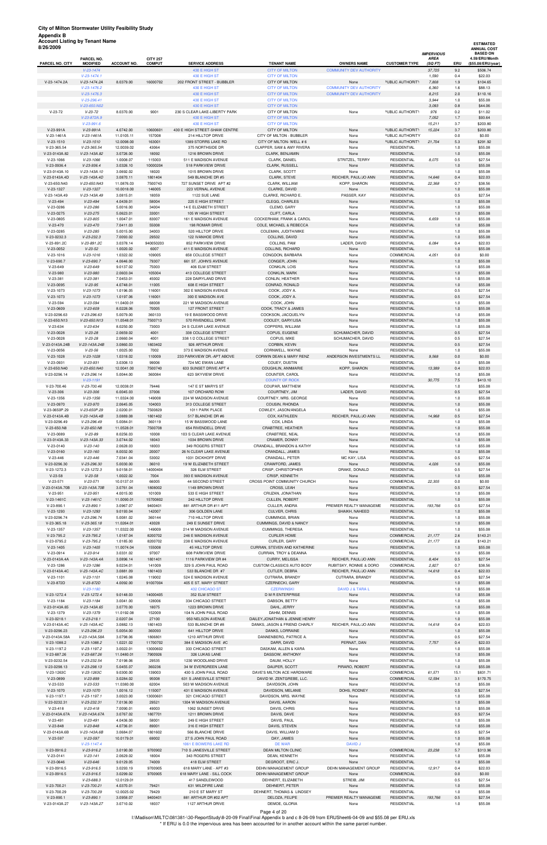| שיייט<br>3/26/2009<br>PARCEL NO. CITY | PARCEL NO.<br><b>MODIFIED</b> | <b>ACCOUNT NO.</b>      | <b>CITY 257</b><br><b>COMPUT</b> | <b>SERVICE ADDRESS</b>                         | <b>TENANT NAME</b>                             | <b>OWNERS NAME</b>             | <b>CUSTOMER TYPE</b>                     | <b>IMPERVIOUS</b><br><b>AREA</b><br>(SQFT) | ERU        | <b>ESTIMATED</b><br><b>ANNUAL COST</b><br><b>BASED ON</b><br>4.59/ERU/Month<br>(\$55.08/ERU/year) |
|---------------------------------------|-------------------------------|-------------------------|----------------------------------|------------------------------------------------|------------------------------------------------|--------------------------------|------------------------------------------|--------------------------------------------|------------|---------------------------------------------------------------------------------------------------|
|                                       | $V-23-1474$                   |                         |                                  | 430 E HIGH ST                                  | <b>CITY OF MILTON</b>                          | <b>COMMUNITY DEV AUTHORITY</b> |                                          | 37,725                                     | 9.2        | \$506.74                                                                                          |
|                                       | $V-23-1474.1$                 |                         |                                  | 430 E HIGH ST                                  | <b>CITY OF MILTON</b>                          |                                |                                          | 1,590                                      | 0.4        | \$22.03                                                                                           |
| V-23-1474.2A                          | V-23-1474.2A                  | 8.0379.00               | 16000702                         | 202 FRONT STREET - BUBBLER                     | <b>CITY OF MILTON</b>                          | None                           | PUBLIC AUTHORITY                         | 7,808                                      | 1.9        | \$104.65                                                                                          |
|                                       | $V-23-1476.2$                 |                         |                                  | 430 E HIGH ST                                  | <b>CITY OF MILTON</b>                          | <b>COMMUNITY DEV AUTHORITY</b> |                                          | 6,360                                      | 1.6        | \$88.13                                                                                           |
|                                       | $V-23-1476.3$                 |                         |                                  | 430 E HIGH ST                                  | <b>CITY OF MILTON</b>                          | <b>COMMUNITY DEV AUTHORITY</b> |                                          | 8,215                                      | 2.0        | \$110.16                                                                                          |
|                                       | $V-23-296.41$                 |                         |                                  | 430 E HIGH ST                                  | <b>CITY OF MILTON</b>                          |                                |                                          | 3,944                                      | 1.0        | \$55.08                                                                                           |
|                                       | V-23-650.N02                  |                         |                                  | 430 E HIGH ST                                  | <b>CITY OF MILTON</b>                          |                                |                                          | 3,093                                      | 0.8        | \$44.06                                                                                           |
| $V-23-72$                             | $V-23-72$<br>$V-23-872A.9$    | 8.0370.00               | 9001                             | 230 S CLEAR LAKE-LIBERTY PARK<br>430 E HIGH ST | <b>CITY OF MILTON</b><br><b>CITY OF MILTON</b> | None                           | PUBLIC AUTHORITY                         | 976<br>7,052                               | 0.2<br>1.7 | \$11.02<br>\$93.64                                                                                |
|                                       | $V-23-991.6$                  |                         |                                  | 430 E HIGH ST                                  | <b>CITY OF MILTON</b>                          |                                |                                          | 15,211                                     | 3.7        | \$203.80                                                                                          |
| V-23-991A                             | $V-23-991A$                   | 4.0742.00               | 10600601                         | 430 E HIGH STREET-SHAW CENTRE                  | CITY OF MILTON                                 | None                           | PUBLIC AUTHORITY                         | 15,224                                     | 3.7        | \$203.80                                                                                          |
| V-23-1461A                            | $V-23-1461A$                  | 11.0105.11              | 157008                           | 214 HILLTOP DRIVE                              | CITY OF MILTON - BUBBLER                       | None                           | PUBLIC AUTHORITY                         |                                            | 0.0        | \$0.00                                                                                            |
| $V-23-1510$                           | $V-23-1510$                   | 12.0098.00              | 163001                           | 1389 STORRS LAKE RD                            | CITY OF MILTON- WELL #6                        | None                           | PUBLIC AUTHORITY                         | 21,704                                     | 5.3        | \$291.92                                                                                          |
| V-23-365.54                           | $V-23-365.54$                 | 12.0039.02              | 43064                            | 375 NORTHSIDE DR                               | CLAPPER, SAM & AMY RIVERA                      | None                           | <b>RESIDENTIAL</b>                       |                                            | 1.0        | \$55.08                                                                                           |
| V-23-0143A.82                         | V-23-143A.82                  | 3.0726.00               | 18092                            | 1216 BROWN DRIVE                               | CLARK, BENJAMIN                                | None                           | <b>RESIDENTIAL</b>                       |                                            | 1.0        | \$55.08                                                                                           |
| $V-23-1066$                           | $V-23-1066$                   | 1.0008.07               | 115003                           | 511 E MADISON AVENUE                           | CLARK, DANIEL                                  | STRITZEL, TERRY                | <b>RESIDENTIAL</b>                       | 8,075                                      | 0.5        | \$27.54                                                                                           |
| V-23-0936.4                           | $V-23-936.4$                  | 3.0326.10               | 10000204                         | 518 PARKVIEW DRIVE                             | <b>CLARK, RUSSELL</b>                          | None                           | <b>RESIDENTIAL</b>                       |                                            | 1.0        | \$55.08                                                                                           |
| V-23-0143A.10                         | V-23-143A.10                  | 3.0692.02               | 18020                            | 1015 BROWN DRIVE                               | CLARK, SCOTT                                   | None                           | <b>RESIDENTIAL</b>                       |                                            | 1.0        | \$55.08                                                                                           |
| V-23-0143A.4D                         | V-23-143A.4D                  | 3.0870.11               | 1801404                          | 549 BLANCHE DR #5                              | CLARK, STEVE                                   | REICHER, PAUL/JO ANN           | <b>RESIDENTIAL</b>                       | 14,646                                     | 0.4        | \$22.03                                                                                           |
| V-23-650.N43                          | V-23-650.N43                  | 11.0876.03              | 7500743                          | 727 SUNSET DRIVE APT #2                        | CLARK, WILLIAM                                 | KOPP, SHARON                   | <b>RESIDENTIAL</b>                       | 22,368                                     | 0.7        | \$38.56                                                                                           |
| V-23-1327                             | $V-23-1327$                   | 10.0018.00              | 146005                           | 223 VERNAL AVENUE                              | CLARKE, DAVID                                  | None                           | <b>RESIDENTIAL</b>                       |                                            | 1.0        | \$55.08                                                                                           |
| V-23-143A.49                          | V-23-143A.49                  | 3.0815.01               | 18059                            | 1122 SUE LANE                                  | CLARKE, RICHARD E.                             | PASSER, KAY                    | <b>RESIDENTIAL</b>                       |                                            | 0.5        | \$27.54                                                                                           |
| $V-23-494$                            | $V-23-494$                    | 4.0439.01               | 58004                            | 225 E HIGH STREET                              | CLEGG, CHARLES                                 | None                           | <b>RESIDENTIAL</b>                       |                                            | 1.0        | \$55.08                                                                                           |
| V-23-0286                             | $V-23-286$                    | 5.0016.00               | 34004                            | 14 E ELIZABETH STREET                          | CLEMO, GARY                                    | None                           | <b>RESIDENTIAL</b>                       |                                            | 1.0        | \$55.08                                                                                           |
| V-23-0275                             | $V-23-275$                    | 5.0623.01               | 33001                            | 105 W HIGH STREET                              | CLIFT, CARLA                                   | None                           | <b>RESIDENTIAL</b>                       |                                            | 1.0        | \$55.08                                                                                           |
| $V-23-0805$                           | $V-23-805$                    | 1.0047.01               | 83007                            | 161 E MADISON AVENUE                           | COCKERHAM, FRANK & CAROL                       | None                           | <b>RESIDENTIAL</b>                       | 6,659                                      | 1.0        | \$55.08                                                                                           |
| $V-23-470$                            | $V-23-470$                    | 7.0411.03               | 55008                            | 198 ROMAR DRIVE                                | COLE, MICHAEL & REBECCA                        | None                           | <b>RESIDENTIAL</b>                       |                                            | 1.0        | \$55.08                                                                                           |
| V-23-0285                             | $V-23-285$                    | 5.0015.00               | 34003                            | 520 HILLTOP DRIVE                              | COLEMAN, JUDITH/MIKE                           | None                           | <b>RESIDENTIAL</b>                       |                                            | 1.0        | \$55.08                                                                                           |
| V-23-0232.3                           | $V-23-232.3$                  | 7.0093.02               | 29502                            | 122 IVANHOE DRIVE                              | COLLINS, DAVID                                 | None                           | <b>RESIDENTIAL</b>                       |                                            | 1.0        | \$55.08                                                                                           |
| V-23-891.2C                           | V-23-891.2C                   | 3.0378.14               | 940050203                        | 852 PARKVIEW DRIVE                             | COLLINS, PAM                                   | LADER, DAVID                   | <b>RESIDENTIAL</b>                       | 6,084                                      | 0.4        | \$22.03                                                                                           |
| V-23-0052                             | $V-23-52$                     | 1.0020.02               | 6007                             | 411 E MADISON AVENUE                           | COLLINS, RICHARD                               | None                           | <b>RESIDENTIAL</b>                       |                                            | 1.0        | \$55.08                                                                                           |
| $V-23-1016$                           | $V-23-1016$                   | 1.0322.02               | 109005                           | 658 COLLEGE STREET                             | CONGDON, BARBARA                               | None                           | COMMERCIAL                               | 4,051                                      | 0.0        | \$0.00                                                                                            |
| V-23-690.7                            | $V-23-690.7$                  | 4.0646.00               | 79307                            | 661 ST. JOHN'S AVENUE                          | CONGER, JOHN                                   | None                           | <b>RESIDENTIAL</b>                       |                                            | 1.0        | \$55.08                                                                                           |
| $V-23-649$                            | $V-23-649$                    | 9.0137.02               | 75003                            | 406 ELM STREET<br>413 COLLEGE STREET           | CONKLIN, LOIS                                  | None                           | <b>RESIDENTIAL</b><br><b>RESIDENTIAL</b> |                                            | 1.0        | \$55.08                                                                                           |
| $V-23-980$<br>$V-23-381$              | $V-23-980$<br>$V-23-381$      | 2.0603.04<br>7.0453.01  | 105004<br>45002                  | 228 DAIRYLAND DRIVE                            | <b>CONKLIN, MARK</b><br>CONLIN, HEATHER        | None<br>None                   | <b>RESIDENTIAL</b>                       |                                            | 1.0<br>1.0 | \$55.08<br>\$55.08                                                                                |
| V-23-0095                             | $V-23-95$                     | 4.0748.01               | 11005                            | 608 E HIGH STREET                              | CONRAD, RONALD                                 | None                           | <b>RESIDENTIAL</b>                       |                                            | 1.0        | \$55.08                                                                                           |
| $V-23-1073$                           | $V-23-1073$                   | 1.0196.05               | 116001                           | 302 E MADISON AVENUE                           | COOK, JODY A.                                  | None                           | <b>RESIDENTIAL</b>                       |                                            | 0.5        | \$27.54                                                                                           |
| V-23-1073                             | $V-23-1073$                   | 1.0197.06               | 116001                           | 300 E MADISON AVE                              | COOK, JODY A.                                  | None                           | <b>RESIDENTIAL</b>                       |                                            | 0.5        | \$27.54                                                                                           |
| V-23-594                              | $V-23-594$                    | 11.0400.01              | 68008                            | 221 W MADISON AVENUE                           | COOK, JOHN                                     | None                           | <b>RESIDENTIAL</b>                       |                                            | 1.0        | \$55.08                                                                                           |
| $V-23-0609$                           | $V-23-609$                    | 8.0228.06               | 70005                            | 127 FRONT STREET                               | COOK, TRACY & JAMES                            | None                           | <b>RESIDENTIAL</b>                       |                                            | 1.0        | \$55.08                                                                                           |
| V-23-0296.63                          | $V-23-296.63$                 | 5.0079.00               | 360133                           | 19 E BASSWOOD DRIVE                            | COOKSON, JACQUELYN                             | None                           | <b>RESIDENTIAL</b>                       |                                            | 1.0        | \$55.08                                                                                           |
| V-23-650.N13                          | $V-23-650.N13$                | 11.0548.01              | 7500713                          | 570 RIVENDELL DRIVE                            | COOLEY, GARY/LISA                              | None                           | <b>RESIDENTIAL</b>                       |                                            | 1.0        | \$55.08                                                                                           |
| $V-23-634$                            | $V-23-634$                    | 8.0250.00               | 73003                            | 24 S CLEAR LAKE AVENUE                         | COPPERS, WILLIAM                               | None                           | <b>RESIDENTIAL</b>                       |                                            | 1.0        | \$55.08                                                                                           |
| V-23-0028                             | $V-23-28$                     | 2.0659.02               | 4001                             | 338 COLLEGE STREET                             | COPUS, EUGENE                                  | SCHUMACHER, DAVID              | <b>RESIDENTIAL</b>                       |                                            | 0.5        | \$27.54                                                                                           |
| V-23-0028                             | $V-23-28$                     | 2.0660.04               | 4001                             | 338 1/2 COLLEGE STREET                         | COPUS, MIKE                                    | SCHUMACHER, DAVID              | <b>RESIDENTIAL</b>                       |                                            | 0.5        | \$27.54                                                                                           |
| V-23-0143A.24B                        | V-23-143A.24B                 | 3.0860.03               | 1803402                          | 926 ARTHUR DRIVE                               | CORBIN, KEVIN                                  | None                           | <b>RESIDENTIAL</b>                       |                                            | 0.5        | \$27.54                                                                                           |
| $V-23-0056$                           | $V-23-56$                     | 1.0025.00               | 7002                             | 373 E MADISON AVENUE                           | CORNWELL, WAYNE                                | None                           | <b>RESIDENTIAL</b>                       |                                            | 1.0        | \$55.08                                                                                           |
| V-23-1028                             | $V-23-1028$                   | 1.0318.02               | 110009                           | 233 PARKVIEW DR.-APT ABOVE                     | CORWIN DEAN & MARY RENZ                        | ANDERSON INVESTMENTS LL        | <b>RESIDENTIAL</b>                       | 9,568                                      | 0.0        | \$0.00                                                                                            |
| V-23-0931                             | $V-23-931$                    | 3.0308.13               | 99006                            | 724 MC EWAN LANE                               | COUEY, DUSTIN                                  | None                           | <b>RESIDENTIAL</b>                       |                                            | 1.0        | \$55.08                                                                                           |
| V-23-650.N40                          | V-23-650.N40                  | 12.0041.00              | 7500740                          | 633 SUNSET DRIVE APT 4                         | COUGHLIN, ANNMARIE                             | KOPP, SHARON                   | <b>RESIDENTIAL</b>                       | 13,389                                     | 0.4        | \$22.03                                                                                           |
| V-23-0296.14                          | V-23-296.14                   | 5.0044.00               | 360084                           | 623 SKYVIEW DRIVE                              | COUNTER, CAROL                                 | None                           | <b>RESIDENTIAL</b>                       |                                            | 1.0        | \$55.08                                                                                           |
|                                       | $V-23-1191$                   |                         |                                  |                                                | <b>COUNTY OF ROCK</b>                          |                                |                                          | 30,775                                     | 7.5        | \$413.10                                                                                          |
| V-23-700.46                           | $V-23-700.46$                 | 12.0038.01              | 79446                            | 147 E ST MARYS ST                              | COUPAR, MATTHEW                                | None                           | <b>RESIDENTIAL</b>                       |                                            | 1.0        | \$55.08                                                                                           |
| $V-23-306$                            | $V-23-306$                    | 6.0045.03               | 37006                            | 107 ORCHARD ROW                                | COURTNEY, JIM                                  | LADER, DAVID                   | <b>RESIDENTIAL</b>                       |                                            | 0.5        | \$27.54                                                                                           |
| $V-23-1356$                           | $V-23-1356$                   | 11.0324.00              | 149008                           | 224 W MADISON AVENUE                           | COURTNEY, MRS. GEORGE                          | None                           | <b>RESIDENTIAL</b>                       |                                            | 1.0        | \$55.08                                                                                           |
| V-23-0970                             | $V-23-970$                    | 2.0645.05               | 104003                           | 313 COLLEGE STREET                             | COUSIN, RHONDA                                 | None                           | <b>RESIDENTIAL</b>                       |                                            | 1.0        | \$55.08                                                                                           |
| V-23-0650P.29                         | V-23-650P.29                  | 2.0200.01               | 7500829                          | 1011 PARK PLACE                                | COWLEY, JASON/ANGELA                           | None<br>REICHER, PAUL/JO ANN   | <b>RESIDENTIAL</b>                       |                                            | 1.0        | \$55.08                                                                                           |
| V-23-0143A.4B                         | V-23-143A.4B                  | 3.0889.08               | 1801402                          | 517 BLANCHE DR #6                              | COX, KATHLEEN                                  |                                | <b>RESIDENTIAL</b>                       | 14,968                                     | 0.5        | \$27.54                                                                                           |
| V-23-0296.49                          | $V-23-296.49$                 | 5.0084.01               | 360119                           | 15 W BASSWOOD LANE                             | COX, LINDA                                     | None                           | <b>RESIDENTIAL</b>                       |                                            | 1.0        | \$55.08                                                                                           |
| V-23-650.N8<br>V-23-0089              | V-23-650.N8<br>$V-23-89$      | 11.0528.01<br>8.0256.03 | 7500708<br>10008                 | 654 RIVENDELL DRIVE<br>103 S CLEAR LAKE AVENUE | CRABTREE, HEATHER<br>CRABTREE, NEAL            | None<br>None                   | <b>RESIDENTIAL</b><br><b>RESIDENTIAL</b> |                                            | 1.0<br>1.0 | \$55.08<br>\$55.08                                                                                |
| V-23-0143A.33                         | V-23-143A.33                  | 3.0744.02               | 18043                            | 1034 BROWN DRIVE                               | CRAMER, DONNY                                  | None                           | <b>RESIDENTIAL</b>                       |                                            | 1.0        | \$55.08                                                                                           |
| V-23-0140                             | $V-23-140$                    | 2.0628.03               | 18003                            | 349 ROGERS STREET                              | CRANDALL, BRANDON & KATHY                      | None                           | <b>RESIDENTIAL</b>                       |                                            | 1.0        | \$55.08                                                                                           |
| V-23-0160                             | $V-23-160$                    | 8.0032.00               | 20007                            | 26 N CLEAR LAKE AVENUE                         | CRANDALL, JAMES                                | None                           | <b>RESIDENTIAL</b>                       |                                            | 1.0        | \$55.08                                                                                           |
| $V-23-446$                            | $V-23-446$                    | 7.0341.04               | 53002                            | 1031 DICKHOFF DRIVE                            | CRANDALL, PETER                                | MC KAY, LISA                   | <b>RESIDENTIAL</b>                       |                                            | 0.5        | \$27.54                                                                                           |
| V-23-0296.30                          | $V-23-296.30$                 | 5.0030.00               | 36010                            | 19 W ELIZABETH STREET                          | CRAWFORD, JAMES                                | None                           | <b>RESIDENTIAL</b>                       | 4,026                                      | 1.0        | \$55.08                                                                                           |
| V-23-1272.3                           | $V-23-1272.3$                 | 9.0158.01               | 14000404                         | 326 ELM STREET                                 | CRISP, CHRISTOPHER                             | DRAKE, DONALD                  | <b>RESIDENTIAL</b>                       |                                            | 0.5        | \$27.54                                                                                           |
| $V-23-58$                             | $V-23-58$                     | 1.0022.02               | 7004                             | 393 E MADISON AVENUE                           | CRISP, KENNETH                                 | None                           | <b>RESIDENTIAL</b>                       |                                            | 1.0        | \$55.08                                                                                           |
| $V-23-571$                            | $V-23-571$                    | 10.0137.01              | 66005                            | 44 SECOND STREET                               | CROSS POINT COMMUNITY CHURCH                   | None                           | COMMERCIAL                               | 22,305                                     | 0.0        | \$0.00                                                                                            |

V-23-0143A.70B V-23-143A.70B 3.0761.04 1808002 1149 BROWN DRIVE CROSS, LEAH None RESIDENTIAL 0.5 \$27.54 V-23-951 V-23-951 4.0015.00 101009 533 E HIGH STREET CRUZAN, JONATHAN None RESIDENTIAL 1.0 \$55.08 V-23-1461C V-23-1461C 11.0090.01 15700802 242 HILLTOP DRIVE CULLEN, ROBERT None RESIDENTIAL 1.0 \$55.08 V-23-890.1 V-23-890.1 3.0967.07 9400401 881 ARTHUR DR #11 APT CULLER, ANDRA PREMIER REALTY MANAGEME RESIDENTIAL 193,766 0.5 \$27.54 V-23-1293 V-23-1293 9.0193.04 142007 306 GOLDEN LANE CULVER, CHRIS SHAIKH, NAHEED RESIDENTIAL 1.0 \$55.08 V-23-0296.74 V-23-296.74 5.0081.02 360144 710 HILLTOP DRIVE CUMMINGS, BRIAN None RESIDENTIAL 1.0 \$55.08 V-23-365.18 V-23-365.18 11.0264.01 43028 249 E SUNSET DRIVE CUMMINGS, DAVID & NANCY None RESIDENTIAL 1.0 \$55.08 V-23-1357 V-*23-1357* 11.0322.00 149009 214 W MADISON AVENUE CUMMINGS, THERESA None RESIDENTIAL 1.0 \$55.08 V-23-795.2 V-23-795.2 1.0187.04 8200702 246 E MADISON AVENUE CURLER HOME None COMMERCIAL 21,177 2.6 \$143.21 V-23-0795.2 V-23-795.2 1.0185.00 8200702 238 E MADISON AVENUE CURLER, GARY None COMMERCIAL 21,177 2.6 \$143.21 V-23-1405 V-23-1405 11.0074.04 155008 45 HILLTOP DRIVE CURRAN, STEVEN AND KATHERINE None RESIDENTIAL 1.0 \$55.08 V-23-0914 V-23-914 3.0331.02 97007 608 PARKVIEW DRIVE CURRAN, TROY & DEANNA None RESIDENTIAL 1.0 \$55.08<br>-23-0143A.4A V-23-143A.4A 3.0896.14 1801401 1116 PARKVIEW DR #4 CURRY, MELISSA REICHER, PAUL/JO ANN RESIDENTIAL 8,404 V-23-0143A.4A V-23-143A.4A 3.0896.14 1801401 1116 PARKVIEW DR #4 CURRY, MELISSA REICHER, PAUL/JO ANN RESIDENTIAL 8,404 0.5 \$27.54 V-23-1286 V-23-1286 9.0234.01 141009 329 S JOHN PAUL ROAD CUSTOM CLASSICS AUTO BODY RUBITSKY, RONNIE & DORO COMMERCIAL 2,827 0.7 \$38.56<br>-23-0143A.4C V-23-143A.4C 3.0881.09 1801403 533 BLANCHE DR#7 CUTLER, DEBRA REICHER, PA V-23-0143A.4C V-23-143A.4C 3.0881.09 1801403 533 BLANCHE DR #7 CUTLER, DEBRA REICHER, PAUL/JO ANN RESIDENTIAL 14,618 0.4 \$22.03 V-23-1101 V-23-1101 1.0245.08 119002 524 E MADISON AVENUE CUTRARA, BRANDY CUTRARA, BRANDY RESIDENTIAL 0.5 \$27.54 V-23-872D V-23-872D 4.0092.00 91007004 405 E ST. MARY STREET CZERNECKI, GARY None RESIDENTIAL 1.0 \$55.08

V-23-1180 432 CHICAGO ST CZERWINSKI DAVID J & TARA L 1.0 \$55.08

V-23-1272.4 V-23-1272.4 9.0148.03 14000405 352 ELM STREET D M R ENTERPRISE None RESIDENTIAL 1.0 \$55.08 V-23-1184 V-23-1184 3.0041.00 128006 334 CHICAGO STREET DABSON, BETTY None RESIDENTIAL 1.0 \$55.08 V-23-0143A.65 V-23-143A.65 3.0770.00 18075 1223 BROWN DRIVE DAHL, JERRY None RESIDENTIAL 1.0 \$55.08 V-23-1379 V-23-1379 11.0192.08 152009 104 N JOHN PAUL ROAD DAHM, DENNIS None RESIDENTIAL 1.0 \$55.08 V-23-0218.1 V-23-218.1 2.0207.04 27100 950 NELSON AVENUE DAILEY,JONATHAN & JENNIE HENRY None RESIDENTIAL 1.0 \$55.08

| V-23-0143A.4C  | V-23-143A.4C   | 3.0882.13  | 1801403  | 533 BLANCHE DR #8         | DANKS, JASON & FRIEND CHARLY | REICHER, PAUL/JO ANN    | <b>RESIDENTIAL</b> | 14,618  | 0.4  | \$22.03  |
|----------------|----------------|------------|----------|---------------------------|------------------------------|-------------------------|--------------------|---------|------|----------|
| V-23-0296.23   | $V-23-296.23$  | 5.0054.00  | 360093   | 641 HILLTOP DRIVE         | DANKS, LORRAINE              | None                    | <b>RESIDENTIAL</b> |         | 1.0  | \$55.08  |
| V-23-0143A.58A | V-23-143A.58A  | 3.0798.06  | 1806801  | 1210 ARTHUR DRIVE         | DANNENBERG, PATRICE A.       | None                    | <b>RESIDENTIAL</b> |         | 0.5  | \$27.54  |
| V-23-1088.2    | $V-23-1088.2$  | 1.0221.02  | 11700702 | 384 E MADISON AVE #C      | DARR, DAVID                  | PERNAT, DAN             | <b>RESIDENTIAL</b> | 7,757   | 0.4  | \$22.03  |
| V-23-1197.2    | $V-23-1197.2$  | 3.0022.01  | 13000602 | 333 CHICAGO STREET        | DASKAM, ALLEN & KARA         | None                    | <b>RESIDENTIAL</b> |         | 1.0  | \$55.08  |
| V-23-687.26    | $V-23-687.26$  | 11.0480.01 | 7900926  | 326 LUKAS LANE            | DASSOW, ANTHONY              | None                    | <b>RESIDENTIAL</b> |         | 1.0  | \$55.08  |
| V-23-0232.54   | $V-23-232.54$  | 7.0198.06  | 29535    | 1230 WOODLAND DRIVE       | DAUM. HOLLY                  | None                    | <b>RESIDENTIAL</b> |         | 1.0  | \$55.08  |
| V-23-0298.13   | $V-23-298.13$  | 5.0455.07  | 360236   | 34 W EVERGREEN LANE       | DAUPER, SCOTT                | PIRARO, ROBERT          | <b>RESIDENTIAL</b> |         | 1.0  | \$55.08  |
| V-23-1263C     | V-23-1263C     | 9.0300.00  | 139003   | 430 S JOHN PAUL ROAD      | DAVE'S MILTON ACE HARDWARE   | None                    | COMMERCIAL         | 61,571  | 15.1 | \$831.71 |
| V-23-0899      | $V-23-899$     | 3.0284.02  | 95008    | 631 S JANESVILLE STREET   | DAVID W. ZENTGREBE, LLC.     | None                    | <b>COMMERCIAL</b>  | 12.594  | 3.1  | \$170.75 |
| $V-23-533$     | $V-23-533$     | 11.0380.00 | 62004    | 503 W MADISON AVENUE      | DAVIDSON, JOHN               | None                    | <b>RESIDENTIAL</b> |         | 1.0  | \$55.08  |
| $V-23-1070$    | $V-23-1070$    | 1.0016.12  | 115007   | 431 E MADISON AVENUE      | DAVIDSON, MELANIE            | DOHS, RODNEY            | <b>RESIDENTIAL</b> |         | 0.5  | \$27.54  |
| $V-23-1197.1$  | $V-23-1197.1$  | 3.0023.00  | 13000601 | 321 CHICAGO STREET        | DAVIDSON, MRS. WAYNE         | None                    | <b>RESIDENTIAL</b> |         | 1.0  | \$55.08  |
| V-23-0232.31   | $V-23-232.31$  | 7.0136.00  | 29521    | 1304 W MADISON AVENUE     | DAVIS, AARON                 | None                    | <b>RESIDENTIAL</b> |         | 1.0  | \$55.08  |
| $V-23-418$     | $V-23-418$     | 7.0090.01  | 49003    | 1062 SUNSET DRIVE         | DAVIS, CHRIS                 | None                    | <b>RESIDENTIAL</b> |         | 1.0  | \$55.08  |
| V-23-0143A.67A | V-23-143A.67A  | 3.0767.02  | 1807701  | 1211 BROWN DRIVE          | DAVIS, DAVE                  | None                    | <b>RESIDENTIAL</b> |         | 0.5  | \$27.54  |
| $V-23-491$     | $V-23-491$     | 4.0436.00  | 58001    | 249 E HIGH STREET         | DAVIS, PAUL                  | None                    | <b>RESIDENTIAL</b> |         | 1.0  | \$55.08  |
| $V-23-848$     | $V - 23 - 848$ | 4.0736.01  | 89001    | 316 E HIGH STREET         | DAVIS, STEVEN                | None                    | <b>RESIDENTIAL</b> |         | 1.0  | \$55.08  |
| V-23-0143A.6B  | V-23-143A.6B   | 3.0684.07  | 1801602  | 566 BLANCHE DRIVE         | DAVIS, WILLIAM D             | None                    | <b>RESIDENTIAL</b> |         | 0.5  | \$27.54  |
| $V-23-597$     | $V-23-597$     | 10.0179.01 | 69002    | 27 S JOHN PAUL ROAD       | DAY, JAMES                   | None                    | <b>RESIDENTIAL</b> |         | 1.0  | \$55.08  |
|                | $V-23-1147.4$  |            |          | 1061 E BOWERS LAKE RD     | <b>DE WAR</b>                | <b>DAVID J</b>          |                    |         | 1.0  | \$55.08  |
| V-23-0916.2    | $V-23-916.2$   | 3.0190.00  | 9700902  | 710 S JANESVILLE STREET   | <b>DEAN MILTON CLINIC</b>    | None                    | <b>COMMERCIAL</b>  | 23,238  | 5.7  | \$313.96 |
| $V-23-0141$    | $V-23-141$     | 2.0629.02  | 18004    | 343 ROGERS STREET         | DEAN, KENNETH                | None                    | <b>RESIDENTIAL</b> |         | 1.0  | \$55.08  |
| V-23-0646      | $V-23-646$     | 9.0129.05  | 74009    | 418 ELM STREET            | DEGROOT, ERIC J.             | None                    | <b>RESIDENTIAL</b> |         | 1.0  | \$55.08  |
| V-23-0916.5    | $V-23-916.5$   | 3.0293.19  | 9700905  | 618 MARY LANE - APT #3    | DEHN MANAGEMENT GROUP        | DEHN MANAGEMENT GROUP   | <b>RESIDENTIAL</b> | 12.917  | 0.4  | \$22.03  |
| $V-23-0916.5$  | $V-23-916.5$   | 3.0299.02  | 9700905  | 618 MARY LANE - SILL COCK | <b>DEHN MANAGEMENT GROUP</b> | None                    | COMMERCIAL         |         | 0.0  | \$0.00   |
|                | $V-23-688.3$   | 12.0129.01 |          | 417 SANDLEWOOD            | DEHNERT, ELIZABETH           | STREIB, JIM             | <b>RESIDENTIAL</b> |         | 0.5  | \$27.54  |
| V-23-700.21    | $V-23-700.21$  | 4.0370.01  | 79421    | 631 WILDFIRE LANE         | DEHNERT, PETER               | None                    | <b>RESIDENTIAL</b> |         | 1.0  | \$55.08  |
| V-23-700.29    | $V-23-700.29$  | 12.0025.02 | 79429    | 210 E ST MARY ST          | DEHNERT, THOMAS & LINDSEY    | None                    | <b>RESIDENTIAL</b> |         | 1.0  | \$55.08  |
| $V-23-890.1$   | $V-23-890.1$   | 3.0958.07  | 9400401  | 881 ARTHUR DR #02 APT     | DELOZA, FELIPE               | PREMIER REALTY MANAGEME | <b>RESIDENTIAL</b> | 193.766 | 0.5  | \$27.54  |
| V-23-0143A.27  | V-23-143A.27   | 3.0710.02  | 18037    | 1127 ARTHUR DRIVE         | DEMOE, GLORIA                | None                    | <b>RESIDENTIAL</b> |         | 1.0  | \$55.08  |

#### Page 4 of 20

I:\Madison\MILTC\081381-\30-ReportStudy\8-20-09 Final\Final Appendix b and c 8-26-09 from ERUSheet6-04-09 and \$55.08 per ERU.xls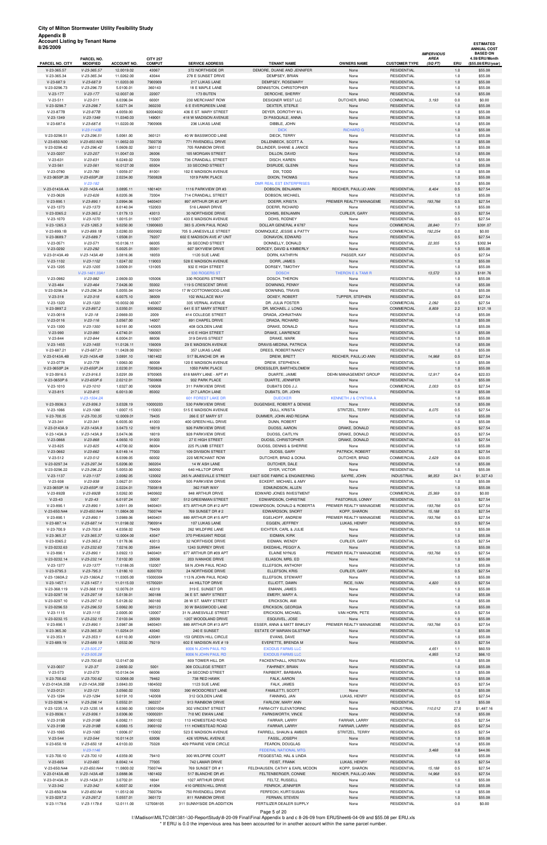**ESTIMATED** 

| 8/26/2009                    |                               |                         |                   |                                              |                                                   |                                  |                                          |                                  |            | <b>ANNUAL COST</b>                |
|------------------------------|-------------------------------|-------------------------|-------------------|----------------------------------------------|---------------------------------------------------|----------------------------------|------------------------------------------|----------------------------------|------------|-----------------------------------|
|                              | PARCEL NO.                    |                         | <b>CITY 257</b>   |                                              |                                                   |                                  |                                          | <b>IMPERVIOUS</b><br><b>AREA</b> |            | <b>BASED ON</b><br>4.59/ERU/Month |
| PARCEL NO. CITY              | <b>MODIFIED</b>               | <b>ACCOUNT NO.</b>      | <b>COMPUT</b>     | <b>SERVICE ADDRESS</b>                       | <b>TENANT NAME</b>                                | <b>OWNERS NAME</b>               | <b>CUSTOMER TYPE</b>                     | (SQFT)                           | ERU        | (\$55.08/ERU/year)                |
| V-23-365.57                  | $V-23-365.57$                 | 12.0019.02              | 43067             | 372 NORTHSIDE DR                             | DEMORE, DUANE AND JENNIFER                        | None                             | <b>RESIDENTIAL</b>                       |                                  | 1.0        | \$55.08                           |
| V-23-365.34                  | $V-23-365.34$                 | 11.0262.00              | 43044             | 278 E SUNSET DRIVE                           | DEMPSEY, BRIAN                                    | None                             | <b>RESIDENTIAL</b>                       |                                  | 1.0        | \$55.08                           |
| V-23-687.9<br>V-23-0296.73   | $V-23-687.9$<br>V-23-296.73   | 11.0203.00<br>5.0100.01 | 7900909<br>360143 | 217 LUKAS LANE<br>18 E MAPLE LANE            | DEMPSEY, ROSEMARY<br>DENNISTON, CHRISTOPHER       | None<br>None                     | <b>RESIDENTIAL</b><br><b>RESIDENTIAL</b> |                                  | 1.0<br>1.0 | \$55.08<br>\$55.08                |
| $V-23-177$                   | $V-23-177$                    | 12.0037.00              | 22007             | 173 BUTEN                                    | DEROCHE, SHERRY                                   | None                             | <b>RESIDENTIAL</b>                       |                                  | 1.0        | \$55.08                           |
| $V-23-511$                   | $V-23-511$                    | 8.0396.04               | 60001             | 230 MERCHANT ROW                             | DESIGNER WEST LLC                                 | DUTCHER, BRAD                    | COMMERCIAL                               | 3,193                            | 0.0        | \$0.00                            |
| V-23-0298.7                  | $V-23-298.7$                  | 5.0271.04               | 360230            | 6 E EVERGREEN LANE                           | DEXTER, STERLE                                    | None                             | <b>RESIDENTIAL</b>                       |                                  | 1.0        | \$55.08                           |
| V-23-877B                    | $V-23-877B$                   | 4.0059.00               | 92004002          | 436 E ST. MARY STREET                        | DEYER, DOROTHY M L                                | None                             | <b>RESIDENTIAL</b>                       |                                  | 1.0        | \$55.08                           |
| $V-23-1349$                  | $V-23-1349$                   | 11.0340.03              | 149001            | 418 W MADISON AVENUE                         | DI PASQUALE, ANNA                                 | None                             | <b>RESIDENTIAL</b>                       |                                  | 1.0        | \$55.08                           |
| V-23-687.6                   | $V-23-687.6$                  | 11.0220.00              | 7900906           | 236 LUKAS LANE                               | DIBBLE, JOHN                                      | None                             | <b>RESIDENTIAL</b>                       |                                  | 1.0        | \$55.08                           |
|                              | $V-23-1143B$                  |                         |                   |                                              | <b>DICK</b>                                       | <b>RICHARD G</b>                 |                                          |                                  | 1.0        | \$55.08                           |
| V-23-0296.51                 | $V-23-296.51$                 | 5.0061.00               | 360121            | 40 W BASSWOOD LANE                           | DIECK, TERRY                                      | None                             | <b>RESIDENTIAL</b>                       |                                  | 1.0        | \$55.08                           |
| V-23-650.N30<br>V-23-0296.42 | V-23-650.N30<br>V-23-296.42   | 11.0652.03<br>5.0609.02 | 7500730<br>360112 | 771 RIVENDELL DRIVE<br>705 RAINBOW DRIVE     | DILLENBECK, SCOTT A.<br>DILLINDER, SHANE & JANICE | None<br>None                     | <b>RESIDENTIAL</b><br><b>RESIDENTIAL</b> |                                  | 1.0<br>1.0 | \$55.08<br>\$55.08                |
| V-23-0207                    | $V-23-207$                    | 11.0047.03              | 26006             | 105 MORGAN STREET                            | DILLON, DAVID                                     | None                             | <b>RESIDENTIAL</b>                       |                                  | 1.0        | \$55.08                           |
| $V-23-631$                   | $V-23-631$                    | 8.0249.02               | 72009             | 736 CRANDALL STREET                          | DISCH, KAREN                                      | None                             | <b>RESIDENTIAL</b>                       |                                  | 1.0        | \$55.08                           |
| $V-23-561$                   | $V-23-561$                    | 10.0127.00              | 65004             | 33 SECOND STREET                             | DISRUDE, GLENN                                    | None                             | <b>RESIDENTIAL</b>                       |                                  | 1.0        | \$55.08                           |
| V-23-0780                    | $V-23-780$                    | 1.0059.07               | 81001             | 102 E MADISON AVENUE                         | DIX, TODD                                         | None                             | <b>RESIDENTIAL</b>                       |                                  | 1.0        | \$55.08                           |
| V-23-0650P.28                | V-23-650P.28                  | 2.0234.00               | 7500828           | 1019 PARK PLACE                              | DIXON, THOMAS                                     | None                             | <b>RESIDENTIAL</b>                       |                                  | 1.0        | \$55.08                           |
|                              | $V-23-182$                    |                         |                   |                                              | <b>DMR REAL EST ENTERPRISES</b>                   |                                  |                                          |                                  | 1.0        | \$55.08                           |
| V-23-0143A.4A                | V-23-143A.4A                  | 3.0895.11               | 1801401           | 1116 PARKVIEW DR #3                          | DOBSON, BENJAMIN                                  | REICHER, PAUL/JO ANN             | <b>RESIDENTIAL</b>                       | 8,404                            | 0.5        | \$27.54                           |
| V-23-0626                    | $V-23-626$                    | 8.0205.06               | 72004             | 714 CRANDALL STREET                          | DOBSON, MICHAEL                                   | None                             | <b>RESIDENTIAL</b>                       |                                  | 1.0        | \$55.08                           |
| $V-23-890.1$                 | $V-23-890.1$                  | 3.0994.06               | 9400401           | 897 ARTHUR DR #2 APT                         | DOERR, KRISTA                                     | PREMIER REALTY MANAGEME          | <b>RESIDENTIAL</b>                       | 193,766                          | 0.5        | \$27.54                           |
| $V-23-1373$                  | $V-23-1373$                   | 8.0140.04               | 152003            | 516 LAMAR DRIVE                              | DOERR, RICHARD                                    | None                             | <b>RESIDENTIAL</b>                       |                                  | 1.0        | \$55.08                           |
| $V-23-0365.2$<br>V-23-1070   | $V-23-365.2$<br>$V-23-1070$   | 1.0179.13<br>1.0015.01  | 43013<br>115007   | 30 NORTHSIDE DRIVE<br>433 E MADISON AVENUE   | DOHMS, BENJAMIN<br>DOHS, RODNEY                   | CURLER, GARY<br>None             | <b>RESIDENTIAL</b><br><b>RESIDENTIAL</b> |                                  | 0.5<br>0.5 | \$27.54<br>\$27.54                |
| $V-23-1265.3$                | $V-23-1265.3$                 | 9.0250.00               | 13900603          | 383 S JOHN PAUL ROAD                         | DOLLAR GENERAL # 6787                             | None                             | <b>COMMERCIAL</b>                        | 28,840                           | 7.1        | \$391.07                          |
| V-23-899.1B                  | $V-23-899.1B$                 | 3.0280.03               | 9500902           | 705 S JANESVILLE STREET                      | DOMINQUEZ, JESSIE & PATTY                         | None                             | <b>COMMERCIAL</b>                        | 192,254                          | 0.0        | \$0.00                            |
| V-23-0689.7                  | $V-23-689.7$                  | 1.0508.01               | 79207             | 602 E MADISON AVE #7 UNIT                    | DONAVON, EDWARD                                   | None                             | <b>RESIDENTIAL</b>                       |                                  | 0.5        | \$27.54                           |
| V-23-0571                    | $V-23-571$                    | 10.0136.11              | 66005             | 36 SECOND STREET                             | DONNELLY, DONALD                                  | None                             | <b>RESIDENTIAL</b>                       | 22,305                           | 5.5        | \$302.94                          |
| V-23-0292                    | $V-23-292$                    | 5.0025.01               | 35001             | 607 SKYVIEW DRIVE                            | DORCEY, DAVID & KIMBERLY                          | None                             | <b>RESIDENTIAL</b>                       |                                  | 1.0        | \$55.08                           |
| V-23-0143A.49                | V-23-143A.49                  | 3.0816.06               | 18059             | 1120 SUE LANE                                | DORN, KATHRYN                                     | PASSER, KAY                      | <b>RESIDENTIAL</b>                       |                                  | 0.5        | \$27.54                           |
| $V-23-1102$                  | $V-23-1102$                   | 1.0247.02               | 119003            | 528 E MADISON AVENUE                         | DORR, JAMES                                       | None                             | <b>RESIDENTIAL</b>                       |                                  | 1.0        | \$55.08                           |
| $V-23-1205$                  | $V-23-1205$                   | 3.0009.01               | 131005            | 932 E HIGH STREET                            | DORSEY, TIMOTHY                                   | None                             | <b>RESIDENTIAL</b>                       |                                  | 1.0        | \$55.08                           |
|                              | V-23-1461.33A1                |                         |                   | 330 ROGERS ST                                | <b>DOSCH</b>                                      | THERON E & TAMI R                |                                          | 13,572                           | 3.3        | \$181.76                          |
| V-23-0982                    | $V-23-982$                    | 2.0609.03               | 105006            | 330 ROGERS STREET                            | DOSCH, THERON                                     | None                             | <b>RESIDENTIAL</b>                       |                                  | 1.0        | \$55.08                           |
| $V-23-464$<br>V-23-0296.34   | $V-23-464$<br>$V-23-296.34$   | 7.0426.00<br>5.0055.04  | 55002<br>360104   | 119 S CRESCENT DRIVE<br>17 W COTTONWOOD LANE | DOWNING, PENNY<br>DOWNING, TRAVIS                 | None<br>None                     | <b>RESIDENTIAL</b><br><b>RESIDENTIAL</b> |                                  | 1.0<br>1.0 | \$55.08<br>\$55.08                |
| $V-23-318$                   | $V-23-318$                    | 6.0075.10               | 38009             | 102 WALLACE WAY                              | DOXEY, ROBERT                                     | TUPPER, STEPHEN                  | <b>RESIDENTIAL</b>                       |                                  | 0.5        | \$27.54                           |
| V-23-1320                    | $V-23-1320$                   | 10.0032.00              | 145007            | 335 VERNAL AVENUE                            | DR. JULIA FOSTER                                  | None                             | COMMERCIAL                               | 2,092                            | 0.5        | \$27.54                           |
| V-23-0897.2                  | $V-23-897.2$                  | 3.0350.01               | 9500602           | 641 E ST MARY STREET                         | DR. MICHAEL J. LONG                               | None                             | <b>COMMERCIAL</b>                        | 8,809                            | 2.2        | \$121.18                          |
| $V-23-0018$                  | $V-23-18$                     | 2.0669.03               | 2009              | 414 COLLEGE STREET                           | DRADA, JOHNATHAN                                  | None                             | <b>RESIDENTIAL</b>                       |                                  | 1.0        | \$55.08                           |
| $V-23-0116$                  | $V-23-116$                    | 3.0567.00               | 14007             | 891 CHAPEL DRIVE                             | DRADA, RICHARD                                    | None                             | <b>RESIDENTIAL</b>                       |                                  | 1.0        | \$55.08                           |
| $V-23-1300$                  | $V-23-1300$                   | 9.0181.00               | 143005            | 408 GOLDEN LANE                              | DRAKE, DONALD                                     | None                             | <b>RESIDENTIAL</b>                       |                                  | 1.0        | \$55.08                           |
| $V-23-990$                   | $V-23-990$                    | 4.0740.01               | 106005            | 410 E HIGH STREET                            | DRAKE, LAWRENCE                                   | None                             | <b>RESIDENTIAL</b>                       |                                  | 1.0        | \$55.08                           |
| $V-23-844$                   | $V-23-844$                    | 6.0004.01               | 88006             | 319 DAVIS STREET                             | DRAKE, MARK                                       | None                             | <b>RESIDENTIAL</b>                       |                                  | 1.0        | \$55.08                           |
| $V-23-1455$                  | $V-23-1455$                   | 11.0126.11              | 156009            | 29 E MADISON AVENUE                          | DRAVIS-MEDINA, PATRICIA                           | None                             | <b>RESIDENTIAL</b>                       |                                  | 1.0        | \$55.08                           |
| V-23-687.21                  | $V-23-687.21$                 | 11.0428.00              | 7900921           | 357 LUKAS LANE                               | DREES, ROBERT/NANCY                               | None                             | <b>RESIDENTIAL</b>                       |                                  | 1.0        | \$55.08                           |
| V-23-0143A.4B<br>V-23-0778   | V-23-143A.4B<br>$V-23-778$    | 3.0891.10<br>1.0063.00  | 1801402<br>80008  | 517 BLANCHE DR #8<br>120 E MADISON AVENUE    | DREW, BRETT<br>DREW, STEPHEN K.                   | REICHER, PAUL/JO ANN<br>None     | <b>RESIDENTIAL</b><br><b>RESIDENTIAL</b> | 14,968                           | 0.5<br>1.0 | \$27.54<br>\$55.08                |
| V-23-0650P.24                | V-23-650P.24                  | 2.0230.01               | 7500824           | 1050 PARK PLACE                              | DROESSLER, BARTHOLOMEW                            | None                             | <b>RESIDENTIAL</b>                       |                                  | 1.0        | \$55.08                           |
| V-23-0916.5                  | $V-23-916.5$                  | 3.0291.09               | 9700905           | 618 MARY LANE - APT #1                       | DUARTE, JAIME                                     | DEHN MANAGEMENT GROUP            | <b>RESIDENTIAL</b>                       | 12,917                           | 0.4        | \$22.03                           |
| V-23-0650P.6                 | $V-23-650P.6$                 | 2.0212.01               | 7500806           | 932 PARK PLACE                               | DUARTE, JENNIFER                                  | None                             | <b>RESIDENTIAL</b>                       |                                  | 1.0        | \$55.08                           |
| $V-23-1010$                  | $V-23-1010$                   | 1.0327.00               | 108008            | 311 PARKVIEW DRIVE                           | DUBATS DDS J.J.                                   | None                             | COMMERCIAL                               | 2,003                            | 0.5        | \$27.54                           |
| $V-23-815$                   | $V-23-815$                    | 6.0013.00               | 85002             | 217 LARCH LANE                               | DUBATS, DR. JOHN                                  | None                             | <b>RESIDENTIAL</b>                       |                                  | 1.0        | \$55.08                           |
|                              | V-23-1504.2A                  |                         |                   | <b>601 FOREST LAKE DR</b>                    | <b>DUECKER</b>                                    | <b>KENNETH J &amp; CYNTHIA A</b> |                                          |                                  | 1.0        | \$55.08                           |
| V-23-0936.3                  | $V-23-936.3$                  | 3.0328.19               | 10000203          | 530 PARKVIEW DRIVE                           | DUGENSKE, ROBERT & DENISE                         | None                             | <b>RESIDENTIAL</b>                       |                                  | 1.0        | \$55.08                           |
| $V-23-1066$                  | $V-23-1066$<br>$V-23-700.35$  | 1.0007.15<br>12.0009.01 | 115003            | 515 E MADISON AVENUE                         | DULL, KRISTA<br>DUMMER, JOHN AND REGINA           | STRITZEL, TERRY                  | <b>RESIDENTIAL</b><br><b>RESIDENTIAL</b> | 8,075                            | 0.5        | \$27.54                           |
| V-23-700.35<br>$V-23-341$    | $V-23-341$                    | 6.0035.00               | 79435<br>41003    | 266 E ST MARY ST<br>400 GREEN HILL DRIVE     | DUNN, ROBERT                                      | None<br>None                     | <b>RESIDENTIAL</b>                       |                                  | 1.0<br>1.0 | \$55.08<br>\$55.08                |
| V-23-0143A.9                 | $V-23-143A.9$                 | 3.0473.12               | 18019             | 926 PARKVIEW DRIVE                           | DUOSS, AARON                                      | DRAKE, DONALD                    | <b>RESIDENTIAL</b>                       |                                  | 0.5        | \$27.54                           |
| V-23-143A.9                  | $V-23-143A.9$                 | 3.0474.06               | 18019             | 928 PARKVIEW DRIVE                           | DUOSS, CAITLYN                                    | DRAKE, DONALD                    | <b>RESIDENTIAL</b>                       |                                  | 0.5        | \$27.54                           |
| V-23-0868                    | $V-23-868$                    | 4.0650.10               | 91003             | 27 E HIGH STREET                             | DUOSS, CHRISTOPHER                                | DRAKE, DONALD                    | <b>RESIDENTIAL</b>                       |                                  | 0.5        | \$27.54                           |
| $V-23-825$                   | $V-23-825$                    | 4.0700.02               | 86004             | 225 PLUMB STREET                             | DUOSS, DENNIS & SHERRIE                           | None                             | <b>RESIDENTIAL</b>                       |                                  | 1.0        | \$55.08                           |
| V-23-0662                    | $V-23-662$                    | 8.0149.14               | 77003             | 109 DIVISION STREET                          | DUOSS, GARY                                       | PATRICK, ROBERT                  | <b>RESIDENTIAL</b>                       |                                  | 0.5        | \$27.54                           |
| $V-23-512$                   | $V-23-512$                    | 8.0399.05               | 60002             | 220 MERCHANT ROW                             | DUTCHER, BRAD & DONA                              | DUTCHER, BRAD                    | COMMERCIAL                               | 2,629                            | 0.6        | \$33.05                           |
| V-23-0297.34                 | V-23-297.34                   | 5.0206.00               | 360204            | 14 W ASH LANE                                | DUTCHER, DALE                                     | None                             | <b>RESIDENTIAL</b>                       |                                  | 1.0        | \$55.08                           |
| V-23-0296.22                 | V-23-296.22                   | 5.0053.00<br>2.0082.05  | 360092            | 640 HILLTOP DRIVE<br>265 N JANESVILLE STREET | DYER, VICTOR<br>EAST SIDE FABRIC & ENGINEERING    | None                             | <b>RESIDENTIAL</b><br><b>INDUSTRIAL</b>  |                                  | 1.0        | \$55.08                           |
| $V-23-1137$                  | $V-23-1137$                   |                         | 123002            |                                              |                                                   | SAYRE, JOHN                      |                                          | 98,353                           | 24.1       | \$1,327.43                        |
| V-23-938<br>V-23-0650P.18    | $V-23-938$<br>V-23-650P.18    | 3.0627.01<br>2.0224.01  | 100004<br>7500818 | 505 PARKVIEW DRIVE<br>362 FAIR WAY           | ECKERT, MICHAEL & AMY<br>EDMUNDSON, ALLEN         | None<br>None                     | <b>RESIDENTIAL</b><br><b>RESIDENTIAL</b> |                                  | 1.0<br>1.0 | \$55.08<br>\$55.08                |
| V-23-892B                    | $V-23-892B$                   | 3.0262.00               | 9400602           | 848 ARTHUR DRIVE                             | EDWARD JONES INVESTMENT                           | None                             | COMMERCIAL                               | 25,369                           | 0.0        | \$0.00                            |
| $V-23-43$                    | $V-23-43$                     | 6.0197.24               | 5007              | 512 GREENMAN STREET                          | EDWARDSON, CHRISTINE                              | PASTORIUS, LONNY                 | <b>RESIDENTIAL</b>                       |                                  | 0.5        | \$27.54                           |
| V-23-890.1                   | $V-23-890.1$                  | 3.0911.09               | 9400401           | 873 ARTHUR DR #12 APT                        | EDWARDSON, DONALD & ROBERTA                       | PREMIER REALTY MANAGEME          | <b>RESIDENTIAL</b>                       | 193,766                          | 0.5        | \$27.54                           |
| V-23-650.N44                 | V-23-650.N44                  | 11.0804.00              | 7500744           | 769 SUNSET DR # 2                            | EDWARDSON, SNORT                                  | KOPP, SHARON                     | <b>RESIDENTIAL</b>                       | 15,188                           | 0.5        | \$27.54                           |
| $V-23-890.1$                 | $V-23-890.1$                  | 3.0989.06               | 9400401           | 889 ARTHUR DR #15 APT                        | EGELHOFF, ANDREW                                  | PREMIER REALTY MANAGEME          | <b>RESIDENTIAL</b>                       | 193,766                          | 0.5        | \$27.54                           |
| V-23-687.14                  | V-23-687.14                   | 11.0198.02              | 7900914           | 107 LUKAS LANE                               | EGGEN, JEFFREY                                    | LUKAS, HENRY                     | <b>RESIDENTIAL</b>                       |                                  | 0.5        | \$27.54                           |
| V-23-700.9                   | $V-23-700.9$                  | 4.0358.02               | 79409             | 262 WILDFIRE LANE                            | EICHTER, CARL & JULIE                             | None                             | <b>RESIDENTIAL</b>                       |                                  | 1.0        | \$55.08                           |
| V-23-365.37                  | $V-23-365.37$                 | 12.0004.00              | 43047             | 370 PHEASANT RIDGE                           | EIDMAN, KIRK                                      | None                             | <b>RESIDENTIAL</b>                       |                                  | 1.0        | \$55.08                           |
| V-23-0365.2<br>V-23-0232.63  | $V-23-365.2$<br>$V-23-232.63$ | 1.0178.06<br>7.0216.00  | 43013<br>29544    | 32 NORTHSIDE DRIVE<br>1243 SURREY DRIVE      | EIDMAN, WENDY<br>EKEDAHL, PEGGY A.                | CURLER, GARY<br>None             | <b>RESIDENTIAL</b><br><b>RESIDENTIAL</b> |                                  | 0.5<br>1.0 | \$27.54<br>\$55.08                |
| V-23-890.1                   | $V-23-890.1$                  | 3.0922.13               | 9400401           | 877 ARTHUR DR #09 APT                        | <b>ELAINE NYNUS</b>                               | PREMIER REALTY MANAGEME          | <b>RESIDENTIAL</b>                       | 193,766                          | 0.5        | \$27.54                           |
| V-23-0232.14                 | V-23-232.14                   | 7.0102.00               | 29508             | 203 IVANHOE DRIVE                            | ELIASON, MRS. ED                                  | None                             | <b>RESIDENTIAL</b>                       |                                  | 1.0        | \$55.08                           |
| V-23-1377                    | $V-23-1377$                   | 11.0188.05              | 152007            | 58 N JOHN PAUL ROAD                          | ELLEFSON, ANTHONY                                 | None                             | <b>RESIDENTIAL</b>                       |                                  | 1.0        | \$55.08                           |
| V-23-0795.3                  | $V-23-795.3$                  | 1.0180.10               | 8200703           | 24 NORTHSIDE DRIVE                           | ELLEFSON, KRIS                                    | CURLER, GARY                     | <b>RESIDENTIAL</b>                       |                                  | 0.5        | \$27.54                           |
| V-23-1360A.2                 | V-23-1360A.2                  | 11.0305.00              | 15000304          | 113 N JOHN PAUL ROAD                         | ELLEFSON, STEWART                                 | None                             | <b>RESIDENTIAL</b>                       |                                  | 1.0        | \$55.08                           |
| $V-23-1457.1$                | $V-23-1457.1$                 | 11.0115.03              | 15700201          | 44 HILLTOP DRIVE                             | ELLIOTT, DAWN                                     | RICE, IVAN                       | <b>RESIDENTIAL</b>                       | 4,820                            | 0.5        | \$27.54                           |
| V-23-368.119                 | V-23-368.119                  | 12.0076.01              | 43319             | 319 E. SUNSET DR                             | EMANN, JAMES                                      | None                             | <b>RESIDENTIAL</b>                       |                                  | 1.0        | \$55.08                           |
| V-23-0297.18                 | $V-23-297.18$                 | 5.0139.01               | 360188            | 36 E ST. MARY STREET                         | EMERY, MARY A.                                    | None                             | <b>RESIDENTIAL</b>                       |                                  | 1.0        | \$55.08                           |
| V-23-0297.10                 | V-23-297.10                   | 5.0128.02               | 360180            | 28 W ST. MARY STREET                         | ERICKSON, AMI                                     | None                             | <b>RESIDENTIAL</b>                       |                                  | 1.0        | \$55.08                           |
| V-23-0296.53<br>$V-23-1115$  | $V-23-296.53$<br>$V-23-1115$  | 5.0062.00<br>2.0005.00  | 360123<br>120007  | 30 W BASSWOOD LANE<br>31 N JANESVILLE STREET | ERICKSON, GEORGIA<br>ERICKSON, MICHAEL            | None<br>VAN HORN, PETE           | <b>RESIDENTIAL</b><br><b>RESIDENTIAL</b> |                                  | 1.0<br>0.5 | \$55.08<br>\$27.54                |
|                              |                               |                         |                   |                                              |                                                   |                                  |                                          |                                  |            |                                   |

V-23-1115 V-23-1115 2.0005.00 120007 31 N JANESVILLE STREET ERICKSON, MICHAEL VAN HORN, PETE RESIDENTIAL 0.5 \$27.54

V-23-0232.15 V-23-232.15 7.0103.04 29509 1207 WOODLAND DRIVE ESQUIVEL, JOSE None RESIDENTIAL 1.0 \$55.08

| $V-23-890.1$   | $V-23-890.1$   | 3.0987.08  | 9400401   | 889 ARTHUR DR #13 APT     | ESSER. ANNA & MATT BINKLEY       | PREMIER REALTY MANAGEME | <b>RESIDENTIAL</b> | 193,766 | 0.5  | \$27.54    |
|----------------|----------------|------------|-----------|---------------------------|----------------------------------|-------------------------|--------------------|---------|------|------------|
| V-23-365.30    | $V-23-365.30$  | 11.0254.01 | 43040     | 240 E SUNSET              | <b>ESTATE OF MARIAN GILSTRAP</b> | None                    | <b>RESIDENTIAL</b> |         | 1.0  | \$55.08    |
| $V-23-353.1$   | $V-23-353.1$   | 6.0110.00  | 420081    | 153 GREEN HILL CIRCLE     | EVANS, DAVE                      | None                    | <b>RESIDENTIAL</b> |         | 1.0  | \$55.08    |
| V-23-689.19    | $V-23-689.19$  | 1.0532.00  | 79219     | 602 E MADISON AVE #19     | EVERETTE, BRENDA M               | None                    | <b>RESIDENTIAL</b> |         | 0.5  | \$27.54    |
|                | $V-23-505.27$  |            |           | 8006 N JOHN PAUL RD       | <b>EXODUS FARMS LLC</b>          |                         |                    | 4,651   | 1.1  | \$60.59    |
|                | $V-23-505.28$  |            |           | 8006 N JOHN PAUL RD       | <b>EXODUS FARMS LLC</b>          |                         |                    | 4.955   | 1.2  | \$66.10    |
|                | $V-23-700.65$  | 12.0147.00 |           | 809 TOWER HILL DR         | FACKENTHALL, KRISTIAN            | None                    | <b>RESIDENTIAL</b> |         | 1.0  | \$55.08    |
| V-23-0037      | $V-23-37$      | 2.0650.02  | 5001      | 308 COLLEGE STREET        | FAHRNEY, BRIAN                   | None                    | <b>RESIDENTIAL</b> |         | 1.0  | \$55.08    |
| $V-23-573$     | $V-23-573$     | 10.0134.04 | 66006     | 24 SECOND STREET          | FAIRBERT, BARBARA                | None                    | <b>RESIDENTIAL</b> |         | 1.0  | \$55.08    |
| V-23-700.62    | V-23-700.62    | 12.0068.00 | 79462     | 738 RED HAWK              | FALK, AARON                      | None                    | <b>RESIDENTIAL</b> |         | 1.0  | \$55.08    |
| V-23-0143A.35B | V-23-143A.35B  | 3.0843.03  | 1804502   | 1123 SUE LANE             | FALK, JAMES                      | None                    | <b>RESIDENTIAL</b> |         | 0.5  | \$27.54    |
| $V-23-0121$    | $V-23-121$     | 3.0560.02  | 15003     | 390 WOODCREST LANE        | FAMILETTI, SCOTT                 | None                    | <b>RESIDENTIAL</b> |         | 1.0  | \$55.08    |
| V-23-1294      | $V-23-1294$    | 9.0191.10  | 142008    | 312 GOLDEN LANE           | FANNING, JAN                     | LUKAS, HENRY            | <b>RESIDENTIAL</b> |         | 0.5  | \$27.54    |
| V-23-0298.14   | $V-23-298.14$  | 5.0552.01  | 360237    | 913 RAINBOW DRIVE         | FARLOW, MARY ANN                 | None                    | <b>RESIDENTIAL</b> |         | 1.0  | \$55.08    |
| V-23-1235.1A   | V-23-1235.1A   | 8.0360.00  | 135001004 | 302 VINCENT STREET        | FARM-CITY ELEVATORINC            | None                    | <b>INDUSTRIAL</b>  | 110.012 | 27.0 | \$1,487.16 |
| V-23-0936.1    | $V-23-936.1$   | 3.0306.00  | 10000201  | 710 MC EWAN LANE          | FARNSWORTH, VINCE                | None                    | <b>RESIDENTIAL</b> |         | 1.0  | \$55.08    |
| V-23-319B      | $V-23-319B$    | 6.0082.11  | 3900102   | 113 HOMESTEAD ROAD        | FARRAR, LARRY                    | FARRAR, LARRY           | <b>RESIDENTIAL</b> |         | 0.5  | \$27.54    |
| V-23-319B      | $V-23-319B$    | 6.0083.15  | 3900102   | 111 HOMESTEAD ROAD        | FARRAR, LARRY                    | FARRAR, LARRY           | <b>RESIDENTIAL</b> |         | 0.5  | \$27.54    |
| $V-23-1065$    | $V-23-1065$    | 1.0006.07  | 115002    | 523 E MADISON AVENUE      | FARRELL, SHAUN & AMBER           | STRITZEL, TERRY         | <b>RESIDENTIAL</b> |         | 0.5  | \$27.54    |
| $V-23-544$     | $V-23-544$     | 10.0114.01 | 63006     | 426 VERNAL AVENUE         | FASSL, JOSEPH                    | None                    | <b>RESIDENTIAL</b> |         | 1.0  | \$55.08    |
| $V-23-650.18$  | $V-23-650.18$  | 4.0103.03  | 75028     | 409 PRAIRIE VIEW CIRCLE   | FEARON, DOUGLAS                  | None                    | <b>RESIDENTIAL</b> |         | 1.0  | \$55.08    |
|                | $V-23-1146$    |            |           |                           | <b>FEDERAL NATIONAL MTG</b>      |                         |                    | 3,468   | 0.8  | \$44.06    |
| $V-23-700.10$  | $V-23-700.10$  | 4.0359.00  | 79410     | 300 WILDFIRE COURT        | FEGGESTAD, HAL & LINDA           | None                    | <b>RESIDENTIAL</b> |         | 1.0  | \$55.08    |
| $V-23-665$     | $V-23-665$     | 8.0042.14  | 77005     | 742 LAMAR DRIVE           | FEIST, FRANK                     | LUKAS, HENRY            | <b>RESIDENTIAL</b> |         | 0.5  | \$27.54    |
| V-23-650.N44   | V-23-650.N44   | 11.0800.02 | 7500744   | 769 SUNSET DR #1          | FELDHAUSEN, CATHY & EARL MCDON   | KOPP, SHARON            | <b>RESIDENTIAL</b> | 15,188  | 0.5  | \$27.54    |
| V-23-0143A.4B  | $V-23-143A.4B$ | 3.0888.06  | 1801402   | 517 BLANCHE DR #5         | FELTENBERGER, CONNIE             | REICHER, PAUL/JO ANN    | <b>RESIDENTIAL</b> | 14.968  | 0.5  | \$27.54    |
| V-23-0143A.31  | V-23-143A.31   | 3.0702.01  | 18041     | 1027 ARTHUR DRIVE         | FELTZ, RUSSELL                   | None                    | <b>RESIDENTIAL</b> |         | 1.0  | \$55.08    |
| $V-23-342$     | $V-23-342$     | 6.0037.02  | 41004     | 410 GREEN HILL DRIVE      | FENRICK, JENNIFER                | None                    | <b>RESIDENTIAL</b> |         | 1.0  | \$55.08    |
| V-23-650.N4    | V-23-650.N4    | 11.0512.00 | 7500704   | 750 RIVENDELL DRIVE       | FERFECKI, KURT/SUSAN             | None                    | <b>RESIDENTIAL</b> |         | 1.0  | \$55.08    |
| V-23-0297.2    | $V-23-297.2$   | 5.0557.01  | 360172    | 811 RAINBOW DRIVE         | FERNAN, STEVEN                   | None                    | <b>RESIDENTIAL</b> |         | 1.0  | \$55.08    |
| $V-23-1179.6$  | $V-23-1179.6$  | 12.0111.00 | 127008105 | 311 SUNNYSIDE DR-ADDITION | FERTILIZER DEALER SUPPLY         | None                    | <b>RESIDENTIAL</b> |         | 0.0  | \$0.00     |

#### Page 5 of 20

I:\Madison\MILTC\081381-\30-ReportStudy\8-20-09 Final\Final Appendix b and c 8-26-09 from ERUSheet6-04-09 and \$55.08 per ERU.xls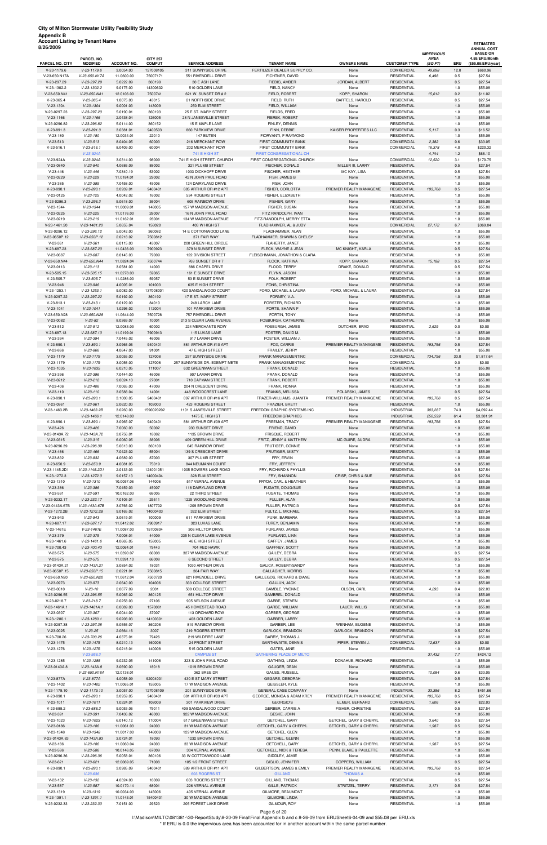| ັ້ນສ<br>3/26/2009             |                               |                         |                                  |                                            |                                                        |                                        |                                          | <b>IMPERVIOUS</b>      |            | <b>ESTIMATED</b><br><b>ANNUAL COST</b><br><b>BASED ON</b> |
|-------------------------------|-------------------------------|-------------------------|----------------------------------|--------------------------------------------|--------------------------------------------------------|----------------------------------------|------------------------------------------|------------------------|------------|-----------------------------------------------------------|
| PARCEL NO. CITY               | PARCEL NO.<br><b>MODIFIED</b> | <b>ACCOUNT NO.</b>      | <b>CITY 257</b><br><b>COMPUT</b> | <b>SERVICE ADDRESS</b>                     | <b>TENANT NAME</b>                                     | <b>OWNERS NAME</b>                     | <b>CUSTOMER TYPE</b>                     | <b>AREA</b><br>(SQ FT) | ERU        | 4.59/ERU/Month<br>(\$55.08/ERU/year)                      |
| $V-23-1179.6$                 | $V-23-1179.6$                 | 3.0054.00               | 127008105                        | 311 SUNNYSIDE DRIVE                        | FERTILIZER DEALER SUPPLY CO.                           | None                                   | <b>COMMERCIAL</b>                        | 49,098                 | 12.0       | \$660.96                                                  |
| V-23-650.N17A                 | V-23-650.N17A                 | 11.0600.00              | 75007171                         | 551 RIVENDELL DRIVE                        | FICHTNER, DAVID                                        | None                                   | <b>RESIDENTIAL</b>                       | 6,498                  | 0.5        | \$27.54                                                   |
| V-23-297.29                   | V-23-297.29                   | 5.0222.09               | 360199                           | 30 E ASH LANE                              | FIEBIG, AMBER                                          | JORDAN, ALBERT                         | <b>RESIDENTIAL</b>                       |                        | 0.5        | \$27.54                                                   |
| V-23-1302.2                   | $V-23-1302.2$                 | 9.0175.00               | 14300602                         | 510 GOLDEN LANE                            | FIELD, NANCY                                           | None                                   | <b>RESIDENTIAL</b>                       |                        | 1.0        | \$55.08                                                   |
| V-23-650.N41<br>V-23-365.4    | V-23-650.N41<br>V-23-365.4    | 12.0106.00<br>1.0075.00 | 7500741<br>43015                 | 621 W. SUNSET DR # 2<br>21 NORTHSIDE DRIVE | FIELD, ROBERT<br>FIELD, RUTH                           | KOPP, SHARON<br><b>BARTELS, HAROLD</b> | <b>RESIDENTIAL</b><br><b>RESIDENTIAL</b> | 15,612                 | 0.2<br>0.5 | \$11.02<br>\$27.54                                        |
| $V-23-1304$                   | $V-23-1304$                   | 9.0001.03               | 143009                           | 250 ELM STREET                             | FIELD, WILLIAM                                         | None                                   | <b>RESIDENTIAL</b>                       |                        | 1.0        | \$55.08                                                   |
| V-23-0297.23                  | V-23-297.23                   | 5.0190.01               | 360193                           | 25 E ST. MARY STREET                       | FIELDS, FRED                                           | None                                   | <b>RESIDENTIAL</b>                       |                        | 1.0        | \$55.08                                                   |
| $V-23-1166$                   | $V-23-1166$                   | 2.0438.04               | 126005                           | 28 N JANESVILLE STREET                     | <b>FIEREK, ROBERT</b>                                  | None                                   | <b>RESIDENTIAL</b>                       |                        | 1.0        | \$55.08                                                   |
| V-23-0296.82                  | V-23-296.82                   | 5.0114.00               | 360152                           | 15 E MAPLE LANE                            | FINLEY, DENNIS                                         | None                                   | <b>RESIDENTIAL</b>                       |                        | 1.0        | \$55.08                                                   |
| $V-23-891.3$                  | $V-23-891.3$                  | 3.0381.01               | 9400503                          | 860 PARKVIEW DRIVE                         | FINN, DEBBIE                                           | KAISER PROPERTIES LLC                  | <b>RESIDENTIAL</b>                       | 5,117                  | 0.3        | \$16.52                                                   |
| $V-23-180$                    | $V-23-180$                    | 12.0034.01              | 22010                            | 147 BUTEN                                  | FIORVANTI, F RAYMOND                                   | None                                   | <b>RESIDENTIAL</b>                       |                        | 1.0        | \$55.08                                                   |
| $V-23-513$                    | $V-23-513$                    | 8.0404.05               | 60003                            | 216 MERCHANT ROW                           | FIRST COMMUNITY BANK                                   | None                                   | COMMERCIAL                               | 2,382                  | 0.6        | \$33.05                                                   |
| $V-23-516.1$                  | $V-23-516.1$                  | 8.0409.00               | 60004                            | 202 MERCHANT ROW                           | FIRST COMMUNITY BANK                                   | None                                   | COMMERCIAL                               | 16,378                 | 4.0        | \$220.32                                                  |
| V-23-924A                     | V-23-924A<br>V-23-924A        | 3.0314.00               | 98009                            | 741 E HIGH ST<br>741 E HIGH STREET- CHURCH | FIRST CONGREGATIONAL CH<br>FIRST CONGREGATIONAL CHURCH | None                                   | COMMERCIAL                               | 4,744<br>12,520        | 1.2<br>3.1 | \$66.10<br>\$170.75                                       |
| V-23-0840                     | $V-23-840$                    | 4.0686.09               | 88002                            | 321 PLUMB STREET                           | FISCHER, DONALD                                        | MILLER III, LARRY                      | <b>RESIDENTIAL</b>                       |                        | 0.5        | \$27.54                                                   |
| $V-23-446$                    | $V-23-446$                    | 7.0340.19               | 53002                            | 1033 DICKHOFF DRIVE                        | <b>FISCHER, HEATHER</b>                                | MC KAY, LISA                           | <b>RESIDENTIAL</b>                       |                        | 0.5        | \$27.54                                                   |
| V-23-0229                     | $V-23-229$                    | 11.0184.01              | 29002                            | 42 N JOHN PAUL ROAD                        | FISH, JAMES B                                          | None                                   | <b>RESIDENTIAL</b>                       |                        | 1.0        | \$55.08                                                   |
| $V-23-385$                    | $V-23-385$                    | 7.0458.00               | 45006                            | 124 DAIRYLAND DRIVE                        | FISH, JOHN                                             | None                                   | <b>RESIDENTIAL</b>                       |                        | 1.0        | \$55.08                                                   |
| $V-23-890.1$                  | $V-23-890.1$                  | 3.0939.01               | 9400401                          | 885 ARTHUR DR #12 APT                      | FISHER, CORLOTTA                                       | PREMIER REALTY MANAGEME                | <b>RESIDENTIAL</b>                       | 193,766                | 0.5        | \$27.54                                                   |
| $V-23-0125$                   | $V-23-125$                    | 4.0042.02               | 16002                            | 534 ROGERS STREET                          | FISHER, ELIZABETH                                      | None                                   | <b>RESIDENTIAL</b>                       |                        | 1.0        | \$55.08                                                   |
| V-23-0296.3                   | $V-23-296.3$                  | 5.0618.00               | 36004                            | 605 RAINBOW DRIVE                          | FISHER, GARY                                           | None                                   | <b>RESIDENTIAL</b>                       |                        | 1.0        | \$55.08                                                   |
| V-23-1344                     | $V-23-1344$                   | 11.0009.01              | 148005                           | 157 W MADISON AVENUE                       | FISHER, SUSAN                                          | None                                   | <b>RESIDENTIAL</b>                       |                        | 1.0        | \$55.08                                                   |
| V-23-0225                     | $V-23-225$                    | 11.0176.00              | 28007                            | 16 N JOHN PAUL ROAD                        | FITZ RANDOLPH, IVAN                                    | None                                   | <b>RESIDENTIAL</b>                       |                        | 1.0        | \$55.08                                                   |
| V-23-0219                     | $V-23-219$                    | 11.0162.01              | 28001                            | 134 W MADISON AVENUE                       | FITZ-RANDOLPH, MERRY ETTA                              | None                                   | <b>RESIDENTIAL</b>                       |                        | 1.0        | \$55.08                                                   |
| V-23-1461.20                  | $V-23-1461.20$                | 5.0655.04               | 158020                           | 403 W HIGH ST                              | FLADHAMMER, AL & JUDY                                  | None                                   | COMMERCIAL                               | 27,172                 | 6.7        | \$369.04                                                  |
| V-23-0296.12<br>V-23-0650P.12 | V-23-296.12<br>V-23-650P.12   | 5.0042.00<br>2.0218.02  | 360082                           | 14 E COTTONWOOD LANE<br>371 FAIR WAY       | FLADHAMMER, ALAN<br>FLADHAMMER, SHAWN & CHELSY         | None<br>None                           | <b>RESIDENTIAL</b><br><b>RESIDENTIAL</b> |                        | 1.0<br>1.0 | \$55.08                                                   |
| $V-23-361$                    | $V-23-361$                    | 6.0115.00               | 7500812<br>43007                 | 200 GREEN HILL CIRCLE                      | FLAHERTY, JANET                                        | None                                   | <b>RESIDENTIAL</b>                       |                        | 1.0        | \$55.08<br>\$55.08                                        |
| V-23-687.23                   | V-23-687.23                   | 11.0436.03              | 7900923                          | 379 N SUNSET DRIVE                         | FLECK, WAYNE & JEAN                                    | MC KNIGHT, KARLA                       | <b>RESIDENTIAL</b>                       |                        | 0.5        | \$27.54                                                   |
| V-23-0687                     | $V-23-687$                    | 8.0145.03               | 79009                            | 122 DIVISION STREET                        | FLEISCHMANN, JONATHON & CLARA                          | None                                   | <b>RESIDENTIAL</b>                       |                        | 1.0        | \$55.08                                                   |
| V-23-650.N44                  | V-23-650.N44                  | 11.0824.04              | 7500744                          | 769 SUNSET DR #7                           | FLOCK, KATRINA                                         | KOPP, SHARON                           | <b>RESIDENTIAL</b>                       | 15,188                 | 0.5        | \$27.54                                                   |
| $V-23-0113$                   | $V-23-113$                    | 3.0581.00               | 14003                            | 886 CHAPEL DRIVE                           | FLOOD, TERRY                                           | DRAKE, DONALD                          | <b>RESIDENTIAL</b>                       |                        | 0.5        | \$27.54                                                   |
| $V-23-505.15$                 | $V-23-505.15$                 | 11.0278.03              | 59065                            | 161 E SUNSET DRIVE                         | FLYNN, JASON                                           | None                                   | <b>RESIDENTIAL</b>                       |                        | 1.0        | \$55.08                                                   |
| $V-23-505.7$                  | $V-23-505.7$                  | 11.0286.00              | 59057                            | 53 E SUNSET DRIVE                          | FOLK, ROBERT                                           | None                                   | <b>RESIDENTIAL</b>                       |                        | 1.0        | \$55.08                                                   |
| $V-23-946$                    | $V-23-946$                    | 4.0005.01               | 101003                           | 635 E HIGH STREET                          | FONS, CHRISTINA                                        | None                                   | <b>RESIDENTIAL</b>                       |                        | 1.0        | \$55.08                                                   |
| $V-23-1253.1$                 | $V-23-1253.1$                 | 9.0082.00               | 137008001                        | 420 SANDALWOOD COURT                       | FORD, MICHAEL & LAURA                                  | FORD, MICHAEL & LAURA                  | <b>RESIDENTIAL</b>                       |                        | 0.5        | \$27.54                                                   |
| V-23-0297.22                  | V-23-297.22                   | 5.0192.00               | 360192                           | 17 E ST. MARY STREET                       | FORNEY, V.A.                                           | None                                   | <b>RESIDENTIAL</b>                       |                        | 1.0        | \$55.08                                                   |
| $V-23-813.1$                  | $V-23-813.1$                  | 6.0129.00               | 84010                            | 248 LARCH LANE                             | FORSTER, RICHARD                                       | None                                   | <b>RESIDENTIAL</b>                       |                        | 1.0        | \$55.08                                                   |
| $V-23-1041$<br>V-23-650.N28   | $V-23-1041$<br>V-23-650.N28   | 1.0296.02<br>11.0644.00 | 112004<br>7500728                | 101 PARKVIEW DRIVE<br>757 RIVENDELL DRIVE  | FORTE, SHAWN F<br>FORTIN, TONY                         | None<br>None                           | <b>RESIDENTIAL</b><br><b>RESIDENTIAL</b> |                        | 1.0<br>1.0 | \$55.08<br>\$55.08                                        |
| V-23-0082                     | $V-23-82$                     | 8.0369.07               | 10001                            | 213 S CLEAR LAKE AVENUE                    | FOSBURGH, CATHERINE                                    | None                                   | <b>RESIDENTIAL</b>                       |                        | 1.0        | \$55.08                                                   |
| $V-23-512$                    | $V-23-512$                    | 12.0083.03              | 60002                            | 224 MERCHANTS ROW                          | FOSBURGH, JAMES                                        | DUTCHER, BRAD                          | <b>RESIDENTIAL</b>                       | 2,629                  | 0.0        | \$0.00                                                    |
| V-23-687.13                   | $V-23-687.13$                 | 11.0199.01              | 7900913                          | 115 LUKAS LANE                             | FOSTER, DAVID M.                                       | None                                   | <b>RESIDENTIAL</b>                       |                        | 1.0        | \$55.08                                                   |
| $V-23-394$                    | $V-23-394$                    | 7.0445.02               | 46006                            | 917 LAMAR DRIVE                            | FOSTER, WILLIAM J.                                     | None                                   | <b>RESIDENTIAL</b>                       |                        | 1.0        | \$55.08                                                   |
| $V-23-890.1$                  | $V-23-890.1$                  | 3.0966.06               | 9400401                          | 881 ARTHUR DR #10 APT                      | FOX, CARRIE                                            | PREMIER REALTY MANAGEME                | <b>RESIDENTIAL</b>                       | 193,766                | 0.5        | \$27.54                                                   |
| $V-23-866$                    | $V-23-866$                    | 4.0647.00               | 91001                            | 47 E HIGH STREET                           | FRAILEY, JERRY                                         | None                                   | <b>RESIDENTIAL</b>                       |                        | 1.0        | \$55.08                                                   |
| V-23-1179                     | $V-23-1179$                   | 3.0055.00               | 127008                           | 257 SUNNYSIDE DRIVE                        | FRANK MANAGEMENTINC                                    | None                                   | COMMERCIAL                               | 134,756                | 33.0       | \$1,817.64                                                |
| $V-23-1179$                   | $V-23-1179$                   | 3.0056.00               | 127008                           | 257 SUNNYSIDE DR.-EXEMPT METE              | FRANK MANAGEMENTINC                                    | None                                   | COMMERCIAL                               |                        | 0.0        | \$0.00                                                    |
| $V-23-1035$<br>V-23-396       | $V-23-1035$<br>$V-23-396$     | 6.0210.05<br>7.0444.00  | 111007<br>46008                  | 632 GREENMAN STREET<br>907 LAMAR DRIVE     | FRANK, DONALD<br>FRANK, DONALD                         | None                                   | <b>RESIDENTIAL</b><br><b>RESIDENTIAL</b> |                        | 1.0<br>1.0 | \$55.08<br>\$55.08                                        |
| V-23-0212                     | $V-23-212$                    | 9.0024.10               | 27001                            | 710 CAPMAN STREET                          | FRANK, ROBERT                                          | None<br>None                           | <b>RESIDENTIAL</b>                       |                        | 1.0        | \$55.08                                                   |
| $V-23-406$                    | $V-23-406$                    | 7.0065.00               | 47009                            | 204 N CRESCENT DRIVE                       | FRANK, RONNA                                           | None                                   | <b>RESIDENTIAL</b>                       |                        | 1.0        | \$55.08                                                   |
| $V-23-110$                    | $V-23-110$                    | 3.0588.04               | 14001                            | 448 WOODCREST LANE                         | <b>FRANKS, MELISSA</b>                                 | POLARSKI, JAMES                        | <b>RESIDENTIAL</b>                       |                        | 0.5        | \$27.54                                                   |
| $V-23-890.1$                  | $V-23-890.1$                  | 3.1008.05               | 9400401                          | 897 ARTHUR DR #16 APT                      | FRAZER-WILLIAMS, JUANITA                               | PREMIER REALTY MANAGEME                | <b>RESIDENTIAL</b>                       | 193,766                | 0.5        | \$27.54                                                   |
| V-23-0961                     | $V-23-961$                    | 2.0620.03               | 103003                           | 423 ROGERS STREET                          | FRAZIER, BRETT                                         | None                                   | <b>RESIDENTIAL</b>                       |                        | 1.0        | \$55.08                                                   |
| V-23-1463.2B                  | V-23-1463.2B                  | 3.0260.00               | 1590020202                       | 1101 S JANESVILLE STREET                   | FREEDOM GRAPHIC SYSTEMS INC                            | None                                   | <b>INDUSTRIAL</b>                        | 303,287                | 74.3       | \$4,092.44                                                |
|                               | $V-23-1466.1$                 | 12.0148.00              |                                  | 1475 E. HIGH ST                            | <b>FREEDOM GRAPHICS</b>                                | None                                   | <b>INDUSTRIAL</b>                        | 250,599                | 61.4       | \$3,381.91                                                |
| $V-23-890.1$                  | $V-23-890.1$                  | 3.0965.07               | 9400401                          | 881 ARTHUR DR #09 APT                      | FREEMAN, TRACY                                         | PREMIER REALTY MANAGEME                | <b>RESIDENTIAL</b>                       | 193,766                | 0.5        | \$27.54                                                   |
| $V-23-426$                    | $V-23-426$                    | 7.0060.03               | 50002                            | 930 SUNSET DRIVE                           | FRIEND, DAVID                                          | None                                   | <b>RESIDENTIAL</b>                       |                        | 1.0        | \$55.08                                                   |
| V-23-0143A.72                 | V-23-143A.72                  | 3.0756.01               | 18082                            | 1135 BROWN DRIVE                           | <b>FRISQUE, ROBERT</b>                                 | None<br>MC GUIRE, AUDRA                | <b>RESIDENTIAL</b>                       |                        | 1.0<br>1.0 | \$55.08                                                   |
| $V-23-0315$<br>V-23-0296.39   | $V-23-315$<br>V-23-296.39     | 6.0060.05<br>5.0613.00  | 38006<br>360109                  | 409 GREEN HILL DRIVE<br>645 RAINBOW DRIVE  | FRITZ, JENNY & MATTHEW<br>FRUTIGER, CONNIE             | None                                   | <b>RESIDENTIAL</b><br><b>RESIDENTIAL</b> |                        | 1.0        | \$55.08<br>\$55.08                                        |
| $V-23-466$                    | $V-23-466$                    | 7.0423.02               | 55004                            | 139 S CRESCENT DRIVE                       | FRUTIGER, MISTY                                        | None                                   | <b>RESIDENTIAL</b>                       |                        | 1.0        | \$55.08                                                   |
| V-23-832                      | $V-23-832$                    | 4.0689.00               | 87003                            | 307 PLUMB STREET                           | FRY, ERVIN                                             | None                                   | <b>RESIDENTIAL</b>                       |                        | 1.0        | \$55.08                                                   |
| $V-23-650.9$                  | $V-23-650.9$                  | 4.0081.05               | 75019                            | 844 NEUMANN COURT                          | FRY, JEFFREY                                           | None                                   | <b>RESIDENTIAL</b>                       |                        | 1.0        | \$55.08                                                   |
| V-23-1145.2D1                 | V-23-1145.2D1                 | 2.0133.03               | 124001051                        | 1005 BOWERS LAKE ROAD                      | FRY, RICHARD & PHYLLIS                                 | None                                   | <b>RESIDENTIAL</b>                       |                        | 0.5        | \$27.54                                                   |
| V-23-1272.3                   | $V-23-1272.3$                 | 9.0157.13               | 14000404                         | 328 ELM STREET                             | FRY, SHANNON                                           | CRISP, CHRIS & SUE                     | <b>RESIDENTIAL</b>                       |                        | 0.5        | \$27.54                                                   |
| V-23-1310                     | $V-23-1310$                   | 10.0057.06              | 144006                           | 517 VERNAL AVENUE                          | FRYDA, CARL & HEATHER                                  | None                                   | <b>RESIDENTIAL</b>                       |                        | 1.0        | \$55.08                                                   |
| $V-23-386$                    | $V-23-386$                    | 7.0459.03               | 45007                            | 118 DAIRYLAND DRIVE                        | FUGATE, DOUG/SUE                                       | None                                   | <b>RESIDENTIAL</b>                       |                        | 1.0        | \$55.08                                                   |
| $V-23-591$                    | $V-23-591$                    | 10.0162.03              | 68005                            | 22 THIRD STREET                            | <b>FUGATE, THOMAS</b>                                  | None                                   | <b>RESIDENTIAL</b>                       |                        | 1.0        | \$55.08                                                   |
| V-23-0232.17                  | V-23-232.17                   | 7.0105.01               | 29511                            | 1225 WOODLAND DRIVE                        | FULLER, ALAN                                           | None                                   | <b>RESIDENTIAL</b>                       |                        | 1.0        | \$55.08                                                   |
| V-23-0143A.67B                | V-23-143A.67B                 | 3.0766.02               | 1807702                          | 1209 BROWN DRIVE                           | FULLER, PATRICIA                                       | None                                   | <b>RESIDENTIAL</b>                       |                        | 0.5        | \$27.54                                                   |
| V-23-1272.2B                  | V-23-1272.2B                  | 9.0165.02               | 14000403                         | 322 ELM STREET                             | FULTZ, L. MICHAEL                                      | None                                   | <b>RESIDENTIAL</b>                       |                        | 0.5        | \$27.54                                                   |
| $V-23-943$<br>V-23-687.17     | $V-23-943$<br>$V-23-687.17$   | 3.0619.01<br>11.0412.02 | 100009<br>7900917                | 611 PARKVIEW DRIVE<br>323 LUKAS LANE       | FUNK, BARBARA<br>FUREY, BENJAMIN                       | None<br>None                           | <b>RESIDENTIAL</b><br><b>RESIDENTIAL</b> |                        | 1.0<br>1.0 | \$55.08<br>\$55.08                                        |
| V-23-1461E                    | $V-23-1461E$                  | 11.0087.00              | 15700804                         | 306 HILLTOP DRIVE                          | FURLANO, JAMES                                         | None                                   | <b>RESIDENTIAL</b>                       |                        | 1.0        | \$55.08                                                   |
| $V-23-379$                    | $V-23-379$                    | 7.0008.01               | 44009                            | 235 N CLEAR LAKE AVENUE                    | FURLANO, LINN                                          | None                                   | <b>RESIDENTIAL</b>                       |                        | 1.0        | \$55.08                                                   |
| $V-23-1461.6$                 | $V-23-1461.6$                 | 4.0665.05               | 158005                           | 46 E HIGH STREET                           | GAFFEY, JAMES                                          | None                                   | <b>RESIDENTIAL</b>                       |                        | 1.0        | \$55.08                                                   |
| V-23-700.43                   | $V-23-700.43$                 | 12.0064.01              | 79443                            | 704 RED HAWK                               | GAFFNEY, SCOTT                                         | None                                   | <b>RESIDENTIAL</b>                       |                        | 1.0        | \$55.08                                                   |
| $V-23-575$                    | $V-23-575$                    | 11.0390.07              | 66008                            | 327 W MADISON AVENUE                       | GAILEY, DEBRA                                          | None                                   | <b>RESIDENTIAL</b>                       |                        | 0.5        | \$27.54                                                   |
| $V-23-575$                    | $V-23-575$                    | 11.0391.10              | 66008                            | 6 SECOND STREET                            | GAILEY, DEBRA                                          | None                                   | <b>RESIDENTIAL</b>                       |                        | 0.5        | \$27.54                                                   |
| V-23-0143A.21                 | V-23-143A.21                  | 3.0854.02               | 18031                            | 1030 ARTHUR DRIVE                          | GALICA, ROBERT/SANDY                                   | None                                   | <b>RESIDENTIAL</b>                       |                        | 1.0        | \$55.08                                                   |

V-23-0650P.15 V-23-650P.15 2.0221.01 7500815 384 FAIR WAY GALLAGHER, MORRIS None RESIDENTIAL 1.0 \$55.08 V-23-650.N20 V-23-650.N20 11.0612.04 7500720 621 RIVENDELL DRIVE GALLEGOS, RICHARD & DIANE None RESIDENTIAL 1.0 \$55.08 V-23-0973 V-23-973 2.0640.00 104006 333 COLLEGE STREET GALLUN, JACK None RESIDENTIAL 1.0 \$55.08 V-23-0010 V-23-10 2.0677.09 2001 508 COLLEGE STREET GAMBLE, YVONNE OLSON, CARL RESIDENTIAL 4,293 0.4 \$22.03 V-23-0296.55 V-23-296.55 5.0065.02 360125 651 HILLTOP DRIVE GAMBREL, DONALD None RESIDENTIAL 1.0 \$55.08 V-23-0218.7 V-23-218.7 2.0258.03 27106 905 NELSON AVENUE GARBE, STEVEN None RESIDENTIAL 1.0 \$55.08 V-23-1461A.1 V-23-1461A.1 6.0089.00 1570081 45 HOMESTEAD ROAD GARBE, WILLIAM LAUER, WILLIS RESIDENTIAL 1.0 \$55.08 V-23-0307 V-23-307 6.0044.00 37007 113 ORCHARD ROW GARBER, GEORGE None RESIDENTIAL 1.0 \$55.08 V-23-1280.1 V-23-1280.1 9.0208.03 14100301 403 GOLDEN LANE GARBER, LARRY None RESIDENTIAL 1.0 \$55.08

| V-23-0297.38  | V-23-297.38    | 5.0556.07  | 360208    | 819 RAINBOW DRIVE     | GARBER, LEE                           | WENHAM, EUGENE                    | <b>RESIDENTIAL</b> |         | 1.0 | \$55.08  |
|---------------|----------------|------------|-----------|-----------------------|---------------------------------------|-----------------------------------|--------------------|---------|-----|----------|
| $V-23-0025$   | $V-23-25$      | 2.0664.16  | 3007      | 219 ROGERS STREET     | GARLOCK, BRANDON                      | <b>GARLOCK, BRANDON</b>           | <b>RESIDENTIAL</b> |         | 0.5 | \$27.54  |
| V-23-700.26   | $V-23-700.26$  | 4.0375.01  | 79426     | 219 WILDFIRE LANE     | GARRY, THOMAS J.                      | None                              | <b>RESIDENTIAL</b> |         | 1.0 | \$55.08  |
| $V-23-1475$   | $V-23-1475$    | 8.0210.13  | 160008    | 24 FRONT STREET       | GARTHWAITE, DENNIS                    | PIPER, STEVEN J.                  | <b>COMMERCIAL</b>  | 12,637  | 0.0 | \$0.00   |
| $V-23-1276$   | $V-23-1276$    | 9.0218.01  | 140008    | 515 GOLDEN LANE       | GATES, JANE                           | None                              | <b>RESIDENTIAL</b> |         | 1.0 | \$55.08  |
|               | $V-23-958.3$   |            |           | <b>CAMPUS ST</b>      | <b>GATHERING PLACE OF MILTO</b>       |                                   |                    | 31,432  | 7.7 | \$424.12 |
| $V-23-1285$   | $V-23-1285$    | 9.0232.05  | 141008    | 323 S JOHN PAUL ROAD  | <b>GATHING, LINDA</b>                 | DONAHUE, RICHARD                  | <b>RESIDENTIAL</b> |         | 1.0 | \$55.08  |
| V-23-0143A.8  | $V-23-143A.8$  | 3.0690.00  | 18018     | 1019 BROWN DRIVE      | GAUGER, DEAN                          | None                              | <b>RESIDENTIAL</b> |         | 1.0 | \$55.08  |
|               | V-23-650.N16A  | 12.0138.01 |           | 362 BREE DR           | GAUSS, RUSSELL                        | None                              | <b>RESIDENTIAL</b> | 10.084  | 0.6 | \$33.05  |
| V-23-877A     | $V-23-877A$    | 4.0058.09  | 92004001  | 430 E ST MARY STREET  | GEGARE, DEBORAH                       | None                              | <b>RESIDENTIAL</b> |         | 0.5 | \$27.54  |
| $V-23-1402$   | $V-23-1402$    | 11.0065.01 | 155005    | 17 W MADISON AVENUE   | GEISSLER, KYLE                        | None                              | <b>RESIDENTIAL</b> |         | 1.0 | \$55.08  |
| V-23-1179.10  | $V-23-1179.10$ | 3.0057.00  | 127008109 | 201 SUNNYSIDE DRIVE   | <b>GENERAL CASE COMPANY</b>           | None                              | <b>INDUSTRIAL</b>  | 33,386  | 8.2 | \$451.66 |
| $V-23-890.1$  | $V-23-890.1$   | 3.0959.05  | 9400401   | 881 ARTHUR DR #03 APT | <b>GEORGE, MONICA &amp; ADAM KREY</b> | PREMIER REALTY MANAGEME           | <b>RESIDENTIAL</b> | 193.766 | 0.5 | \$27.54  |
| $V-23-1011$   | $V-23-1011$    | 1.0324.01  | 108009    | 301 PARKVIEW DRIVE    | <b>GEORGIO'S</b>                      | ELMER, BERNARD                    | <b>COMMERCIAL</b>  | 1,606   | 0.4 | \$22.03  |
| V-23-688.2    | $V-23-688.2$   | 9.0053.06  | 79011     | 409 SANDALWOOD COURT  | GERBER, CARRIE A                      | FISHER, CHRISTINE                 | <b>RESIDENTIAL</b> |         | 0.5 | \$27.54  |
| $V-23-391$    | $V-23-391$     | 7.0436.02  | 46003     | 922 W MADISON AVENUE  | GESKE, JOHN                           | None                              | <b>RESIDENTIAL</b> |         | 1.0 | \$55.08  |
| $V-23-1023$   | $V-23-1023$    | 6.0140.12  | 110004    | 617 GREENMAN STREET   | GETCHEL, GARY                         | <b>GETCHEL, GARY &amp; CHERYL</b> | <b>RESIDENTIAL</b> | 3.640   | 0.5 | \$27.54  |
| $V-23-0186$   | $V-23-186$     | 11.0061.03 | 24003     | 31 W MADISON AVENUE   | GETCHEL, GARY & CHERYL                | GETCHEL, GARY & CHERYL            | <b>RESIDENTIAL</b> | 1.987   | 0.5 | \$27.54  |
| $V-23-1348$   | $V-23-1348$    | 11.0017.00 | 148009    | 129 W MADISON AVENUE  | GETCHEL, GLEN                         | None                              | <b>RESIDENTIAL</b> |         | 1.0 | \$55.08  |
| V-23-0143A.83 | V-23-143A.83   | 3.0724.01  | 18093     | 1232 BROWN DRIVE      | <b>GETCHEL, GLENN</b>                 | None                              | <b>RESIDENTIAL</b> |         | 1.0 | \$55.08  |
| $V-23-186$    | $V-23-186$     | 11.0060.04 | 24003     | 33 W MADISON AVENUE   | GETCHELL, GARY                        | GETCHEL, GARY & CHERYL            | <b>RESIDENTIAL</b> | 1,987   | 0.5 | \$27.54  |
| $V-23-586$    | $V-23-586$     | 10.0146.05 | 67009     | 304 VERNAL AVENUE     | <b>GETCHELL, NICK &amp; TERESA</b>    | PENN, BLAKE & PAULETTE            | <b>RESIDENTIAL</b> |         | 1.0 | \$55.08  |
| V-23-0296.36  | $V-23-296.36$  | 5.0058.01  | 360106    | 33 W COTTONWOOD LANE  | GIDDLEY, JAMIE                        | None                              | <b>RESIDENTIAL</b> |         | 1.0 | \$55.08  |
| $V-23-621$    | $V-23-621$     | 12.0069.05 | 71008     | 105 1/2 FRONT STREET  | GIGLIO, JENNIFER                      | COPPERS, WILLIAM                  | <b>RESIDENTIAL</b> |         | 0.5 | \$27.54  |
| $V-23-890.1$  | $V-23-890.1$   | 3.0985.09  | 9400401   | 889 ARTHUR DR #11 APT | GILBERTSON, JAMES & EMILY             | PREMIER REALTY MANAGEME           | <b>RESIDENTIAL</b> | 193,766 | 0.5 | \$27.54  |
|               | $V - 23 - 636$ |            |           | 603 ROGERS ST         | <b>GILLAND</b>                        | <b>THOMAS A</b>                   |                    |         | 1.0 | \$55.08  |
| $V-23-132$    | $V-23-132$     | 4.0324.00  | 16009     | 603 ROGERS STREET     | GILLAND, THOMAS                       | None                              | <b>RESIDENTIAL</b> |         | 0.5 | \$27.54  |
| $V-23-587$    | $V-23-587$     | 10.0170.14 | 68001     | 226 VERNAL AVENUE     | GILLE, PATRICK                        | STRITZEL, TERRY                   | <b>RESIDENTIAL</b> | 3.171   | 0.5 | \$27.54  |
| $V-23-1319$   | $V-23-1319$    | 10.0034.03 | 145006    | 405 VERNAL AVENUE     | GILMORE, BEAUMONT                     | None                              | <b>RESIDENTIAL</b> |         | 1.0 | \$55.08  |
| $V-23-1391.1$ | $V-23-1391.1$  | 11.0143.01 | 15400401  | 30 W MADISON AVENUE   | GILMORE, LINDA                        | None                              | <b>RESIDENTIAL</b> |         | 1.0 | \$55.08  |
| V-23-0232.33  | $V-23-232.33$  | 7.0151.00  | 29523     | 205 FOREST LAKE DRIVE | GILMOUR, ROY                          | None                              | <b>RESIDENTIAL</b> |         | 1.0 | \$55.08  |

Page 6 of 20

I:\Madison\MILTC\081381-\30-ReportStudy\8-20-09 Final\Final Appendix b and c 8-26-09 from ERUSheet6-04-09 and \$55.08 per ERU.xls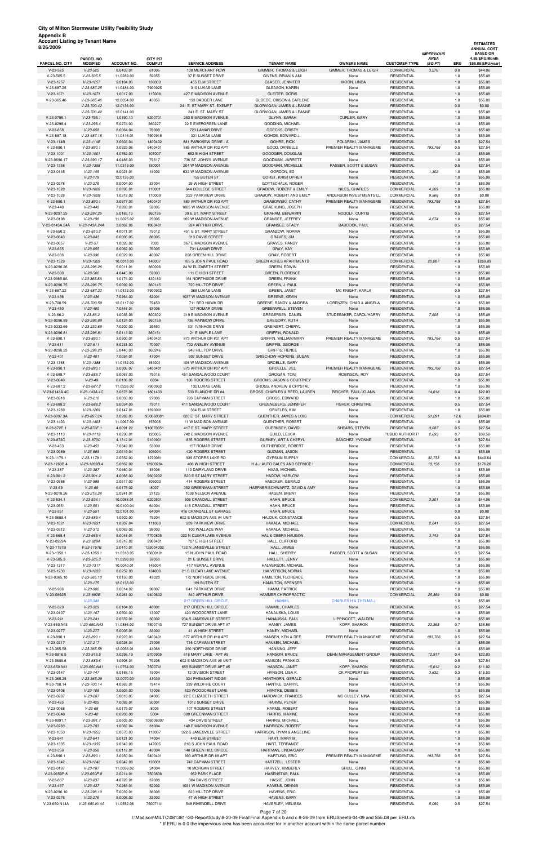| ັ້ນສ<br>3/26/2009             |                               |                         |                                  |                                               |                                                                      |                                           |                                          | <b>IMPERVIOUS</b>      |             | <b>ESTIMATED</b><br><b>ANNUAL COST</b><br><b>BASED ON</b> |
|-------------------------------|-------------------------------|-------------------------|----------------------------------|-----------------------------------------------|----------------------------------------------------------------------|-------------------------------------------|------------------------------------------|------------------------|-------------|-----------------------------------------------------------|
| PARCEL NO. CITY               | PARCEL NO.<br><b>MODIFIED</b> | <b>ACCOUNT NO.</b>      | <b>CITY 257</b><br><b>COMPUT</b> | <b>SERVICE ADDRESS</b>                        | <b>TENANT NAME</b>                                                   | <b>OWNERS NAME</b>                        | <b>CUSTOMER TYPE</b>                     | <b>AREA</b><br>(SQ FT) | ERU         | 4.59/ERU/Month<br>(\$55.08/ERU/year)                      |
| $V-23-525$                    | $V-23-525$                    | 8.0433.01               | 61005                            | 108 MERCHANT ROW                              | GIMMER, THOMAS & LEIGH                                               | GIMMER, THOMAS & LEIGH                    | <b>COMMERCIAL</b>                        | 3,276                  | 0.8         | \$44.06                                                   |
| $V-23-505.5$                  | $V-23-505.5$                  | 11.0289.00              | 59055                            | 37 E SUNSET DRIVE                             | GIVENS, BRIAN & AMI                                                  | None                                      | <b>RESIDENTIAL</b>                       |                        | 1.0         | \$55.08                                                   |
| $V-23-1257$<br>V-23-687.25    | $V-23-1257$<br>$V-23-687.25$  | 9.0104.06<br>11.0484.00 | 138003<br>7900925                | 455 ELM STREET<br>310 LUKAS LANE              | GLASER, JENNIFER<br><b>GLEASON, KAREN</b>                            | MOON, LINDA<br>None                       | <b>RESIDENTIAL</b><br><b>RESIDENTIAL</b> |                        | 1.0<br>1.0  | \$55.08<br>\$55.08                                        |
| $V-23-1071$                   | $V-23-1071$                   | 1.0017.00               | 115008                           | 427 E MADISON AVENUE                          | GLEITER, DORIS                                                       | None                                      | <b>RESIDENTIAL</b>                       |                        | 1.0         | \$55.08                                                   |
| V-23-365.46                   | $V-23-365.46$                 | 12.0054.00              | 43056                            | 193 BADGER LANE                               | GLOEDE, DIXSON & CARLENE                                             | None                                      | <b>RESIDENTIAL</b>                       |                        | 1.0         | \$55.08                                                   |
|                               | V-23-700.42                   | 12.0136.00              |                                  | 241 E. ST MARY ST- EXEMPT                     | GLORVIGAN, JAMES & LEANNE                                            | None                                      | <b>RESIDENTIAL</b>                       |                        | 0.0         | \$0.00                                                    |
| V-23-0795.1                   | V-23-700.42<br>$V-23-795.1$   | 12.0141.00<br>1.0190.10 | 8200701                          | 241 E. ST. MARY ST<br>252 E MADISON AVENUE    | GLORVIGAN, JAMES & LEANNE<br>GLYNN, SARAH                            | None<br>CURLER, GARY                      | <b>RESIDENTIAL</b><br><b>RESIDENTIAL</b> |                        | 1.0<br>1.0  | \$55.08<br>\$55.08                                        |
| V-23-0298.4                   | V-23-298.4                    | 5.0274.00               | 360227                           | 22 E EVERGREEN LANE                           | GODDING, MICHAEL                                                     | None                                      | <b>RESIDENTIAL</b>                       |                        | 1.0         | \$55.08                                                   |
| $V-23-658$                    | $V-23-658$                    | 8.0064.04               | 76008                            | 723 LAMAR DRIVE                               | <b>GOECKS, CRISTY</b>                                                | None                                      | <b>RESIDENTIAL</b>                       |                        | 1.0         | \$55.08                                                   |
| V-23-687.18                   | $V-23-687.18$                 | 11.0416.01              | 7900918                          | 331 LUKAS LANE                                | GOHDE, EDWARD J.                                                     | None                                      | <b>RESIDENTIAL</b>                       |                        | 1.0         | \$55.08                                                   |
| $V-23-114B$                   | $V-23-114B$                   | 3.0603.04               | 1400402                          | 881 PARKVIEW DRIVE - A                        | GOHRE, RICK                                                          | POLARSKI, JAMES                           | <b>RESIDENTIAL</b>                       |                        | 0.5         | \$27.54                                                   |
| $V-23-890.1$                  | $V-23-890.1$                  | 3.0929.06               | 9400401                          | 885 ARTHUR DR #02 APT<br>652 E HIGH STREET    | GOOD, DANIELLE<br>GOODGER, DOUGLAS                                   | PREMIER REALTY MANAGEME                   | <b>RESIDENTIAL</b><br><b>RESIDENTIAL</b> | 193,766                | 0.5         | \$27.54                                                   |
| $V-23-1001$<br>V-23-0690.17   | $V-23-1001$<br>$V-23-690.17$  | 4.0762.00<br>4.0488.03  | 107007<br>79317                  | 736 ST. JOHN'S AVENUE                         | GOODMAN, JARRETT                                                     | None<br>None                              | <b>RESIDENTIAL</b>                       |                        | 1.0<br>1.0  | \$55.08<br>\$55.08                                        |
| $V-23-1358$                   | $V-23-1358$                   | 11.0319.09              | 150001                           | 204 W MADISON AVENUE                          | GOODMAN, MICHELLE                                                    | PASSER, SCOTT & SUSAN                     | <b>RESIDENTIAL</b>                       |                        | 0.5         | \$27.54                                                   |
| $V-23-0145$                   | $V-23-145$                    | 8.0021.01               | 19002                            | 632 W MADISON AVENUE                          | GORDON, ED                                                           | None                                      | <b>RESIDENTIAL</b>                       | 1,302                  | 1.0         | \$55.08                                                   |
|                               | $V-23-179$                    | 12.0135.00              |                                  | 155 BUTEN ST                                  | <b>GORST, KRISTOPHER</b>                                             | None                                      | <b>RESIDENTIAL</b>                       |                        | 1.0         | \$55.08                                                   |
| V-23-0278                     | $V-23-278$                    | 5.0004.00               | 33004                            | 29 W HIGH STREET                              | GOTTSCHALK, ROGER                                                    | None                                      | <b>RESIDENTIAL</b>                       |                        | 1.0         | \$55.08                                                   |
| V-23-1020<br>$V-23-1028$      | $V-23-1020$<br>$V-23-1028$    | 2.0696.01<br>1.0312.02  | 110001<br>110009                 | 644 COLLEGE STREET<br>223 PARKVIEW DRIVE      | <b>GRABOW, ROBERT &amp; EMILY</b><br><b>GRABOW, ROBERT AND EMILY</b> | NILES, CHARLES<br>ANDERSON INVESTMENTS LL | <b>COMMERCIAL</b><br>COMMERCIAL          | 4,269<br>9,568         | 1.0<br>0.0  | \$55.08<br>\$0.00                                         |
| $V-23-890.1$                  | $V-23-890.1$                  | 3.0977.03               | 9400401                          | 889 ARTHUR DR #03 APT                         | GRABOWSKI, CATHY                                                     | PREMIER REALTY MANAGEME                   | <b>RESIDENTIAL</b>                       | 193,766                | 0.5         | \$27.54                                                   |
| $V-23-440$                    | $V-23-440$                    | 7.0268.01               | 52005                            | 1005 W MADISON AVENUE                         | GRAEHLING, JOSEPH                                                    | None                                      | <b>RESIDENTIAL</b>                       |                        | 1.0         | \$55.08                                                   |
| V-23-0297.25                  | $V-23-297.25$                 | 5.0183.13               | 360195                           | 39 E ST. MARY STREET                          | GRAHAM, BENJAMIN                                                     | NODOLF, CURTIS                            | <b>RESIDENTIAL</b>                       |                        | 0.5         | \$27.54                                                   |
| V-23-0198                     | $V-23-198$                    | 11.0025.02              | 25006                            | 109 W MADISON AVENUE                          | <b>GRANSEE, JEFFREY</b>                                              | None                                      | <b>RESIDENTIAL</b>                       | 4,674                  | 1.0         | \$55.08                                                   |
| V-23-0143A.24A                | V-23-143A.24A                 | 3.0862.06               | 1803401                          | 924 ARTHUR DRIVE                              | <b>GRANSEE, STACY</b>                                                | <b>BABCOCK, PAUL</b>                      | <b>RESIDENTIAL</b>                       |                        | 0.5         | \$27.54                                                   |
| V-23-650.2<br>V-23-0843       | $V-23-650.2$<br>$V-23-843$    | 4.0071.01<br>6.0006.05  | 75012<br>88005                   | 451 E ST. MARY STREET<br>313 DAVIS STREET     | GRANZOW, NORMA<br>GRAVES, JIM                                        | None<br>None                              | <b>RESIDENTIAL</b><br><b>RESIDENTIAL</b> |                        | 1.0<br>1.0  | \$55.08<br>\$55.08                                        |
| V-23-0057                     | $V-23-57$                     | 1.0026.02               | 7003                             | 367 E MADISON AVENUE                          | GRAVES, RANDY                                                        | None                                      | <b>RESIDENTIAL</b>                       |                        | 1.0         | \$55.08                                                   |
| $V-23-655$                    | $V-23-655$                    | 8.0062.00               | 76005                            | 731 LAMAR DRIVE                               | GRAY, KAY                                                            | None                                      | <b>RESIDENTIAL</b>                       |                        | 1.0         | \$55.08                                                   |
| $V-23-336$                    | $V-23-336$                    | 6.0029.00               | 40007                            | 228 GREEN HILL DRIVE                          | <b>GRAY, ROBERT</b>                                                  | None                                      | <b>RESIDENTIAL</b>                       |                        | 1.0         | \$55.08                                                   |
| V-23-1329                     | $V-23-1329$                   | 10.0013.00              | 146007                           | 165 S JOHN PAUL ROAD                          | <b>GREEN ACRES APARTMENTS</b>                                        | None                                      | <b>COMMERCIAL</b>                        | 20,087                 | 4.9         | \$269.89                                                  |
| V-23-0296.26<br>$V-23-500$    | $V-23-296.26$<br>$V-23-500$   | 5.0011.01<br>4.0445.00  | 360096<br>59003                  | 24 W ELIZABETH STREET<br>111 E HIGH STREET    | GREEN, EDWIN<br>GREEN, FLORENCE                                      | None<br>None                              | <b>RESIDENTIAL</b><br><b>RESIDENTIAL</b> |                        | 1.0<br>1.0  | \$55.08<br>\$55.08                                        |
| V-23-0365.8A                  | V-23-365.8A                   | 1.0174.00               | 430180                           | 164 NORTHSIDE DRIVE                           | GREEN, FRANK                                                         | None                                      | <b>RESIDENTIAL</b>                       |                        | 1.0         | \$55.08                                                   |
| V-23-0296.75                  | $V-23-296.75$                 | 5.0099.00               | 360145                           | 720 HILLTOP DRIVE                             | GREEN, J. PAUL                                                       | None                                      | <b>RESIDENTIAL</b>                       |                        | 1.0         | \$55.08                                                   |
| V-23-687.22                   | $V-23-687.22$                 | 11.0432.03              | 7900922                          | 369 LUKAS LANE                                | GREEN, JANET                                                         | MC KNIGHT, KARLA                          | <b>RESIDENTIAL</b>                       |                        | 0.5         | \$27.54                                                   |
| $V-23-436$                    | $V-23-436$                    | 7.0264.00               | 52001                            | 1037 W MADISON AVENUE                         | GREENE, KEVIN                                                        | None                                      | <b>RESIDENTIAL</b>                       |                        | 1.0         | \$55.08                                                   |
| V-23-700.59<br>$V-23-450$     | $V-23-700.59$<br>$V-23-450$   | 12.0117.02              | 79459                            | 711 RED HAWK DR<br>127 ROMAR DRIVE            | GREENE, RANDY & ANDREA<br><b>GREENWELL, STEVEN</b>                   | LORENZEN, CHAD & ANGELA                   | <b>RESIDENTIAL</b><br><b>RESIDENTIAL</b> |                        | 1.0<br>1.0  | \$55.08<br>\$55.08                                        |
| $V-23-66.2$                   | $V-23-66.2$                   | 7.0346.01<br>1.0036.06  | 53006<br>800302                  | 319 E MADISON AVENUE                          | GREGERSEN, DANIEL                                                    | None<br>STUDEBAKER, CAROL/HARRY           | <b>RESIDENTIAL</b>                       | 7,608                  | 1.0         | \$55.08                                                   |
| V-23-0296.89                  | $V-23-296.89$                 | 5.0124.00               | 360159                           | 736 RAINBOW DRIVE                             | GREGORY, RUTH                                                        | None                                      | <b>RESIDENTIAL</b>                       |                        | 1.0         | \$55.08                                                   |
| V-23-0232.69                  | $V-23-232.69$                 | 7.0202.02               | 29550                            | 331 IVANHOE DRIVE                             | GREINERT, CHERYL                                                     | None                                      | <b>RESIDENTIAL</b>                       |                        | 1.0         | \$55.08                                                   |
| V-23-0296.81                  | $V-23-296.81$                 | 5.0113.00               | 360151                           | 21 E MAPLE LANE                               | <b>GRIFFIN, RONALD</b>                                               | None                                      | <b>RESIDENTIAL</b>                       |                        | 1.0         | \$55.08                                                   |
| $V-23-890.1$                  | $V-23-890.1$                  | 3.0900.01               | 9400401                          | 873 ARTHUR DR #01 APT                         | GRIFFIN, WILLIAM/MARY                                                | PREMIER REALTY MANAGEME                   | <b>RESIDENTIAL</b>                       | 193,766                | 0.5         | \$27.54                                                   |
| $V-23-611$<br>V-23-0298.23    | $V-23-611$<br>$V-23-298.23$   | 8.0231.00<br>5.0440.03  | 70007<br>360246                  | 732 ANSLEY AVENUE<br>943 HILLTOP DRIVE        | <b>GRIFFIS, GEORGE</b><br>GRIFFIS, RENEE                             | None<br>None                              | <b>RESIDENTIAL</b><br><b>RESIDENTIAL</b> |                        | 1.0<br>1.0  | \$55.08<br>\$55.08                                        |
| $V-23-401$                    | $V-23-401$                    | 7.0054.01               | 47004                            | 907 SUNSET DRIVE                              | GRISCHOW-HOPKINS, SUSAN                                              | None                                      | <b>RESIDENTIAL</b>                       |                        | 1.0         | \$55.08                                                   |
| V-23-1388                     | $V-23-1388$                   | 11.0152.00              | 154001                           | 106 W MADISON AVENUE                          | GROELLE, GARY                                                        | None                                      | <b>RESIDENTIAL</b>                       |                        | 1.0         | \$55.08                                                   |
| $V-23-890.1$                  | $V-23-890.1$                  | 3.0906.07               | 9400401                          | 873 ARTHUR DR #07 APT                         | <b>GROELLE, JILL</b>                                                 | PREMIER REALTY MANAGEME                   | <b>RESIDENTIAL</b>                       | 193,766                | 0.5         | \$27.54                                                   |
| V-23-688.7                    | V-23-688.7                    | 9.0067.03               | 79016                            | 451 SANDALWOOD COURT                          | <b>GROGAN, TONI</b>                                                  | ROBINSON, ROY                             | <b>RESIDENTIAL</b>                       |                        | 0.5         | \$27.54                                                   |
| V-23-0049<br>V-23-687.2       | $V-23-49$<br>$V-23-687.2$     | 6.0186.02<br>11.0226.02 | 6004<br>7900902                  | 106 ROGERS STREET<br>132 LUKAS LANE           | GROOMS, JASON & COURTNEY<br><b>GROSS, ANDREW &amp; CRYSTAL</b>       | None<br>None                              | <b>RESIDENTIAL</b><br><b>RESIDENTIAL</b> |                        | 1.0<br>1.0  | \$55.08<br>\$55.08                                        |
| V-23-0143A.4C                 | V-23-143A.4C                  | 3.0878.06               | 1801403                          | 533 BLANCHE DR #4                             | GROSS, CHARLES & REED, LAUREN                                        | REICHER, PAUL/JO ANN                      | <b>RESIDENTIAL</b>                       | 14,618                 | 0.4         | \$22.03                                                   |
| V-23-0218                     | $V-23-218$                    | 9.0030.00               | 27006                            | 726 CAPMAN STREET                             | GROSS, EDWARD                                                        | None                                      | <b>RESIDENTIAL</b>                       |                        | 1.0         | \$55.08                                                   |
| V-23-688.2                    | $V-23-688.2$                  | 9.0054.09               | 79011                            | 411 SANDALWOOD COURT                          | GRUENEBERG, JENNIFER                                                 | FISHER, CHRISTINE                         | <b>RESIDENTIAL</b>                       |                        | 0.5         | \$27.54                                                   |
| V-23-1269                     | $V-23-1269$                   | 9.0147.01               | 1390091                          | 364 ELM STREET                                | GRVELES, KIM                                                         | None                                      | <b>RESIDENTIAL</b>                       |                        | 1.0         | \$55.08                                                   |
| V-23-0897.3A<br>$V-23-1403$   | V-23-897.3A<br>$V-23-1403$    | 3.0283.03               | 950060301<br>155006              | 620 E ST. MARY STREET<br>11 W MADISON AVENUE  | <b>GUENTHER, JAMES &amp; LOIS</b><br>GUENTHER, ROBERT                | None<br>None                              | <b>COMMERCIAL</b><br><b>RESIDENTIAL</b>  | 51,291                 | 12.6<br>1.0 | \$694.01<br>\$55.08                                       |
| V-23-872E.1                   | V-23-872E.1                   | 11.0067.09<br>4.0091.22 | 910070051                        | 417 E ST. MARY STREET                         | GUERNSEY, DAVID                                                      | SHEARS, STEVEN                            | <b>RESIDENTIAL</b>                       | 3,687                  | 0.5         | \$27.54                                                   |
| $V-23-1113$                   | $V-23-1113$                   | 1.0290.01               | 120005                           | 742 E MADISON AVENUE                          | GUILD, LEUCA                                                         | None                                      | PUBLIC AUTHORITY                         | 2,693                  | 0.7         | \$38.56                                                   |
| V-23-873C                     | $V-23-873C$                   | 4.1312.01               | 9100901                          | 835 ROGERS STREET                             | <b>GURNEY, ART &amp; CHERYL</b>                                      | SANCHEZ, YVONNE                           | <b>RESIDENTIAL</b>                       |                        | 0.5         | \$27.54                                                   |
| $V-23-453$                    | $V-23-453$                    | 7.0349.00               | 53009                            | 157 ROMAR DRIVE                               | GUTHERIDGE, ROBERT                                                   | None                                      | <b>RESIDENTIAL</b>                       |                        | 1.0         | \$55.08                                                   |
| V-23-0989                     | $V-23-989$                    | 2.0619.04               | 106004                           | 420 ROGERS STREET                             | GUZMAN, JASON                                                        | None                                      | <b>RESIDENTIAL</b>                       |                        | 1.0         | \$55.08                                                   |
| $V-23-1179.1$<br>V-23-1263B.4 | $V-23-1179.1$<br>V-23-1263B.4 | 2.0552.00<br>5.0662.00  | 1270081<br>13900204              | 939 STORRS LAKE RD<br>406 W HIGH STREET       | <b>GYPSUM SUPPLY</b><br>H & J AUTO SALES AND SERVICE I               | None<br>None                              | COMMERCIAL<br><b>COMMERCIAL</b>          | 32,733<br>13,156       | 8.0<br>3.2  | \$440.64<br>\$176.26                                      |
| V-23-387                      | $V-23-387$                    | 7.0460.01               | 45008                            | 110 DAIRYLAND DRIVE                           | HAAS, MICHAEL                                                        | None                                      | <b>RESIDENTIAL</b>                       |                        | 1.0         | \$55.08                                                   |
| V-23-901.2                    | $V-23-901.2$                  | 4.0068.00               | 9600202                          | 520 E ST.MARY STREET                          | <b>HADOW, HARLOW</b>                                                 | None                                      | <b>RESIDENTIAL</b>                       |                        | 1.0         | \$55.08                                                   |
| V-23-0988                     | $V-23-988$                    | 2.0617.03               | 106003                           | 414 ROGERS STREET                             | HAECKER, GERALD                                                      | None                                      | <b>RESIDENTIAL</b>                       |                        | 1.0         | \$55.08                                                   |
| $V-23-69$                     | $V-23-69$                     | 6.0178.02               | 8007                             | 352 GREENMAN STREET                           | HAEFNER/SCHWARTZ, DAVID & AMY                                        | None                                      | <b>RESIDENTIAL</b>                       |                        | 1.0         | \$55.08                                                   |
| V-23-0218.26<br>$V-23-534.1$  | $V-23-218.26$<br>$V-23-534.1$ | 2.0241.01<br>10.0088.01 | 27125<br>6200501                 | 1038 NELSON AVENUE<br>506 CRANDALL STREET     | <b>HAGEN, BRENT</b><br>HAHN, BRUCE                                   | None<br>None                              | <b>RESIDENTIAL</b><br><b>COMMERCIAL</b>  | 3,301                  | 1.0<br>0.8  | \$55.08<br>\$44.06                                        |
| $V-23-0551$                   | $V-23-551$                    | 10.0100.04              | 64004                            | 416 CRANDALL STREET                           | HAHN, BRUCE                                                          | None                                      | <b>RESIDENTIAL</b>                       |                        | 1.0         | \$55.08                                                   |
| $V-23-551$                    | $V-23-551$                    | 12.0101.00              | 64004                            | 416 CRANDALL ST GARAGE                        | HAHN, BRUCE                                                          | None                                      | <b>RESIDENTIAL</b>                       |                        | 0.0         | \$0.00                                                    |
| V-23-0689.4                   | $V-23-689.4$                  | 1.0502.00               | 79204                            | 602 E MADISON AVE #4 UNIT                     | HAJDUK, CONSTANCE                                                    | None                                      | <b>RESIDENTIAL</b>                       |                        | 0.5         | \$27.54                                                   |
| $V-23-1031$                   | $V-23-1031$                   | 1.0307.04               | 111003                           | 209 PARKVIEW DRIVE                            | HAKALA, MICHAEL                                                      | None                                      | <b>COMMERCIAL</b>                        | 2,041                  | 0.5         | \$27.54                                                   |
| V-23-0312                     | $V-23-312$                    | 6.0063.02               | 38003                            | 103 WALLACE WAY                               | HAKALA, MICHAEL                                                      | None                                      | <b>RESIDENTIAL</b>                       |                        | 1.0         | \$55.08                                                   |
| $V-23-668.4$<br>V-23-0929A    | $V-23-668.4$<br>V-23-929A     | 8.0048.01<br>3.0316.02  | 7700805<br>9900401               | 222 N CLEAR LAKE AVENUE<br>727 E HIGH STREET  | HAL & DEBRA HAUGON<br>HALL, CLIFFORD                                 | None<br>None                              | <b>RESIDENTIAL</b><br><b>RESIDENTIAL</b> | 3,743                  | 0.5<br>1.0  | \$27.54<br>\$55.08                                        |
| V-23-1157B                    | $V-23-1157B$                  | 2.0410.01               | 125004002                        | 132 N JANESVILLE STREET                       | HALL, JAMES                                                          | None                                      | <b>RESIDENTIAL</b>                       |                        | 1.0         | \$55.08                                                   |
| $V-23-1358.1$                 | $V-23-1358.1$                 | 11.0318.05              | 15000101                         | 15 N JOHN PAUL ROAD                           | HALL, SHERRY                                                         | PASSER, SCOTT & SUSAN                     | <b>RESIDENTIAL</b>                       |                        | 0.5         | \$27.54                                                   |
| $V-23-505.3$                  | $V-23-505.3$                  | 11.0290.03              | 59053                            | 21 E SUNSET DRIVE                             | HALLETT, JENNY                                                       | None                                      | <b>RESIDENTIAL</b>                       |                        | 1.0         | \$55.08                                                   |
| V-23-1317                     | $V-23-1317$                   | 10.0040.01              | 145004                           | 417 VERNAL AVENUE                             | HALVERSON, MICHAEL                                                   | None                                      | <b>RESIDENTIAL</b>                       |                        | 1.0         | \$55.08                                                   |
| V-23-1233<br>V-23-0365.10     | $V-23-1233$<br>$V-23-365.10$  | 8.0252.00<br>1.0150.00  | 134008<br>43020                  | 21 S CLEAR LAKE AVENUE<br>172 NORTHSIDE DRIVE | HALVERSON, NORMA<br>HAMILTON, FLORENCE                               | None                                      | <b>RESIDENTIAL</b><br><b>RESIDENTIAL</b> |                        | 1.0<br>1.0  | \$55.08<br>\$55.08                                        |
|                               |                               |                         |                                  |                                               |                                                                      | None                                      |                                          |                        |             |                                                           |

V-23-906 *V-23-906* 3.0614.02 96007 641 PARKVIEW DRIVE HAMM, PATRICK None RESIDENTIAL 1.0 \$55.08 V-23-0892B V-23-892B 3.0261.00 9400602 840 ARTHUR DRIVE HAMMER CHIROPRACTIC None COMMERCIAL 25,369 0.0 \$0.00

V-23-329 V-23-329 6.0104.00 40001 217 GREEN HILL CIRCLE HAMMIL, CHARLES None RESIDENTIAL 0.5 \$27.54 V-23-0107 V-23-107 3.0504.00 13007 423 WOODCREST LANE HANAUSKA, LOUIS None RESIDENTIAL 1.0 \$55.08 V-23-241 V-23-241 2.0559.01 30002 204 S JANESVILLE STREET HANAUSKA, PAUL LIPPINCOTT, WALDEN RESIDENTIAL 1.0 \$55.08

V-23-175 12.0133.00 189 BUTEN ST HAMILTON, SPENSER None RESIDENTIAL 1.0 \$55.08

V-23-348 217 GREEN HILL CIRCLE HAMMIL CHARLES H & THELMA J 1.0 \$55.08

| V-23-650.N43  | V-23-650.N43   | 11.0886.02 | 7500743   | 727 SUNSET DRIVE APT #7   | HANEY, JAMES              | KOPP, SHARON            | <b>RESIDENTIAL</b> | 22,368  | 0.7 | \$38.56 |
|---------------|----------------|------------|-----------|---------------------------|---------------------------|-------------------------|--------------------|---------|-----|---------|
| $V-23-0277$   | $V - 23 - 277$ | 5.0005.01  | 33003     | 41 W HIGH STREET          | HANEY, MICHAEL            | None                    | <b>RESIDENTIAL</b> |         | 1.0 | \$55.08 |
| $V-23-890.1$  | $V-23-890.1$   | 3.0923.03  | 9400401   | 877 ARTHUR DR #10 APT     | HANSEN, KEN & DEE         | PREMIER REALTY MANAGEME | <b>RESIDENTIAL</b> | 193.766 | 0.5 | \$27.54 |
| V-23-0217     | $V-23-217$     | 9.0026.04  | 27005     | 716 CAPMAN STREET         | HANSEN, MICHAEL           | None                    | <b>RESIDENTIAL</b> |         | 1.0 | \$55.08 |
| $V-23-365.58$ | $V-23-365.58$  | 12.0056.01 | 43068     | 360 NORTHSIDE DRIVE       | HANSING, JEFF             | None                    | <b>RESIDENTIAL</b> |         | 1.0 | \$55.08 |
| $V-23-0916.5$ | $V-23-916.5$   | 3.0295.19  | 9700905   | 618 MARY LANE - APT #5    | HANSON, BRUCE             | DEHN MANAGEMENT GROUP   | <b>RESIDENTIAL</b> | 12.917  | 0.4 | \$22.03 |
| V-23-0689.6   | $V-23-689.6$   | 1.0506.01  | 79206     | 602 E MADISON AVE #6 UNIT | HANSON, FRANK D.          | None                    | <b>RESIDENTIAL</b> |         | 0.5 | \$27.54 |
| V-23-650.N41  | V-23-650.N41   | 11.0754.00 | 7500741   | 655 SUNSET DRIVE APT #5   | HANSON, JANET             | KOPP, SHARON            | <b>RESIDENTIAL</b> | 15,612  | 0.2 | \$11.02 |
| V-23-0147     | $V - 23 - 147$ | 8.0188.15  | 19004     | <b>12 DIVISION STREET</b> | HANSON, LISA K.           | <b>CK PROPERTIES</b>    | <b>RESIDENTIAL</b> | 3,632   | 0.3 | \$16.52 |
| V-23-365.29   | $V-23-365.29$  | 12.0070.00 | 43039     | 334 PHEASANT RIDGE        | HANTHORN, GERALD          | None                    | <b>RESIDENTIAL</b> |         | 1.0 | \$55.08 |
| V-23-700.14   | V-23-700.14    | 4.0363.01  | 79414     | 339 WILDFIRE COURT        | HANTKE, DARRYL            | None                    | <b>RESIDENTIAL</b> |         | 1.0 | \$55.08 |
| $V-23-0108$   | $V-23-108$     | 3.0503.00  | 13008     | 429 WOODCREST LANE        | HANTKE, DEBBIE            | None                    | <b>RESIDENTIAL</b> |         | 1.0 | \$55.08 |
| V-23-0287     | $V-23-287$     | 5.0018.05  | 34005     | 22 E ELIZABETH STREET     | <b>HARDWICK, FRANCES</b>  | MC CULLEY, NINA         | <b>RESIDENTIAL</b> |         | 0.5 | \$27.54 |
| $V-23-425$    | $V-23-425$     | 7.0082.01  | 50001     | 1012 SUNSET DRIVE         | HARMS, PETER              | None                    | <b>RESIDENTIAL</b> |         | 1.0 | \$55.08 |
| V-23-0068     | $V-23-68$      | 6.0179.07  | 8005      | 107 ROGERS STREET         | HARMS, ROBERT             | None                    | <b>RESIDENTIAL</b> |         | 1.0 | \$55.08 |
| $V-23-0040$   | $V-23-40$      | 6.0203.00  | 5004      | 600 GREENMAN STREET       | HARRIS, MAXINE            | None                    | <b>RESIDENTIAL</b> |         | 1.0 | \$55.08 |
| V-23-0991.7   | $V-23-991.7$   | 2.0602.00  | 106006007 | 434 DAVIS STREET          | HARRIS, MICHAEL           | None                    | <b>RESIDENTIAL</b> |         | 1.0 | \$55.08 |
| V-23-0783     | $V-23-783$     | 1.0065.04  | 81004     | 140 E MADISON AVENUE      | <b>HARRISON, ROBERT</b>   | None                    | <b>RESIDENTIAL</b> |         | 1.0 | \$55.08 |
| $V-23-1053$   | $V-23-1053$    | 2.0570.03  | 113007    | 322 S JANESVILLE STREET   | HARRISON, RYAN & ANGELINE | None                    | <b>RESIDENTIAL</b> |         | 1.0 | \$55.08 |
| $V-23-641$    | $V-23-641$     | 9.0121.00  | 74004     | 440 ELM STREET            | HART, MARY M.             | None                    | <b>RESIDENTIAL</b> |         | 1.0 | \$55.08 |
| $V-23-1335$   | $V-23-1335$    | 9.0343.00  | 147005    | 210 S JOHN PAUL ROAD      | HART, TERRANCE            | None                    | <b>RESIDENTIAL</b> |         | 1.0 | \$55.08 |
| $V-23-358$    | $V-23-358$     | 6.0112.01  | 43004     | 148 GREEN HILL CIRCLE     | HARTMAN, LINDA/GARY       | None                    | <b>RESIDENTIAL</b> |         | 1.0 | \$55.08 |
| $V-23-890.1$  | $V-23-890.1$   | 3.0950.04  | 9400401   | 893 ARTHUR DR #8 APT      | HARTUNG, ERIC             | PREMIER REALTY MANAGEME | <b>RESIDENTIAL</b> | 193.766 | 0.5 | \$27.54 |
| $V-23-1242$   | $V-23-1242$    | 9.0042.00  | 136001    | 742 CAPMAN STREET         | HARTZELL, LESTER          | None                    | <b>RESIDENTIAL</b> |         | 1.0 | \$55.08 |
| V-23-0187     | $V-23-187$     | 11.0056.02 | 24004     | 18 MORGAN STREET          | HARVEY, KIMBERLY          | SHULL, GINNI            | <b>RESIDENTIAL</b> |         | 1.0 | \$55.08 |
| V-23-0650P.8  | $V-23-650P.8$  | 2.0214.01  | 7500808   | 952 PARK PLACE            | <b>HASENSTAB, PAUL</b>    | None                    | <b>RESIDENTIAL</b> |         | 1.0 | \$55.08 |
| $V-23-837$    | $V-23-837$     | 4.0728.01  | 87008     | 304 DAVIS STREET          | HASKE, JOHN               | None                    | <b>RESIDENTIAL</b> |         | 1.0 | \$55.08 |
| $V-23-437$    | $V - 23 - 437$ | 7.0265.01  | 52002     | 1031 W MADISON AVENUE     | HAVENS, DENNIS            | None                    | <b>RESIDENTIAL</b> |         | 1.0 | \$55.08 |
| V-23-0296.10  | $V-23-296.10$  | 5.0039.01  | 36008     | 623 HILLTOP DRIVE         | <b>HAVENS, ERIC</b>       | None                    | <b>RESIDENTIAL</b> |         | 1.0 | \$55.08 |
| V-23-0276     | $V-23-276$     | 5.0006.02  | 33002     | 47 W HIGH STREET          | HAVENS, GARY              | None                    | <b>RESIDENTIAL</b> |         | 1.0 | \$55.08 |
| V-23-650.N14A | V-23-650.N14A  | 11.0552.06 | 75007141  | 548 RIVENDELL DRIVE       | HAVERLEY, MELISSA         | None                    | <b>RESIDENTIAL</b> | 5.099   | 0.5 | \$27.54 |
|               |                |            |           |                           |                           |                         |                    |         |     |         |

Page 7 of 20

I:\Madison\MILTC\081381-\30-ReportStudy\8-20-09 Final\Final Appendix b and c 8-26-09 from ERUSheet6-04-09 and \$55.08 per ERU.xls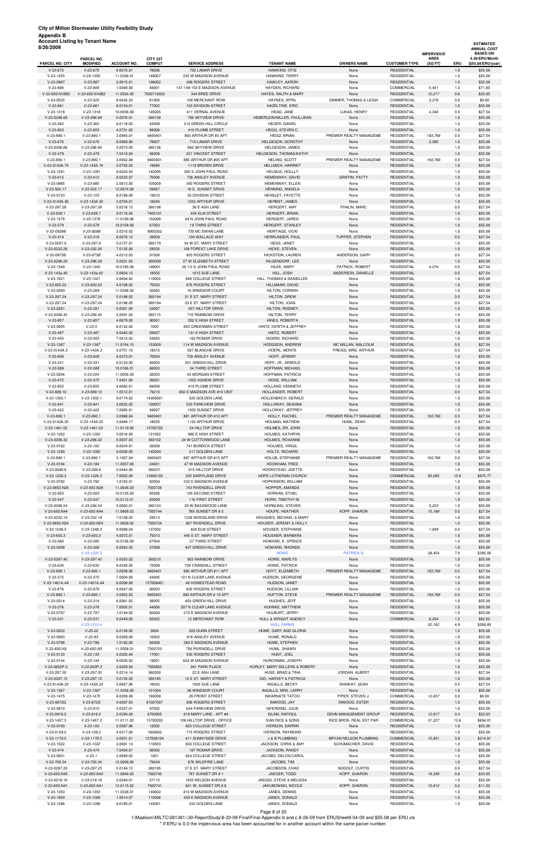**ESTIMATED** 

| 3/26/2009                     |                               |                         |                                  |                                            |                                        |                                 |                                          | <b>IMPERVIOUS</b>      |            | <b>ANNUAL COST</b><br><b>BASED ON</b> |
|-------------------------------|-------------------------------|-------------------------|----------------------------------|--------------------------------------------|----------------------------------------|---------------------------------|------------------------------------------|------------------------|------------|---------------------------------------|
| PARCEL NO. CITY               | PARCEL NO.<br><b>MODIFIED</b> | <b>ACCOUNT NO.</b>      | <b>CITY 257</b><br><b>COMPUT</b> | <b>SERVICE ADDRESS</b>                     | <b>TENANT NAME</b>                     | <b>OWNERS NAME</b>              | <b>CUSTOMER TYPE</b>                     | <b>AREA</b><br>(SQ FT) | ERU        | 4.59/ERU/Month<br>(\$55.08/ERU/year)  |
| $V-23-675$                    | $V-23-675$                    | 8.0070.01               | 78006                            | 702 LAMAR DRIVE                            | HAWKINS, OTIS                          | None                            | <b>RESIDENTIAL</b>                       |                        | 1.0        | \$55.08                               |
| $V-23-1355$                   | $V-23-1355$                   | 11.0326.01              | 149007                           | 232 W MADISON AVENUE                       | HAWKINS, TERRY                         | None                            | <b>RESIDENTIAL</b>                       |                        | 1.0        | \$55.08                               |
| V-23-0987                     | $V-23-987$                    | 2.0615.01               | 106002                           | 408 ROGERS STREET                          | HAWLEY, AARON                          | None                            | <b>RESIDENTIAL</b>                       |                        | 1.0        | \$55.08                               |
| $V-23-806$                    | $V-23-806$                    | 1.0048.00               | 84001                            | 147-149-153 E MADISON AVENUE               | HAYDEN, RICHARD                        | None                            | COMMERCIAL                               | 5,401                  | 1.3        | \$71.60                               |
| V-23-650.N16B2                | V-23-650.N16B2                | 11.0554.00              | 7500716022                       | 344 BREE DRIVE                             | HAYES, RALPH & MARY                    | None                            | <b>RESIDENTIAL</b>                       | 10,217                 | 0.6        | \$33.05                               |
| $V-23-0525$                   | $V-23-525$                    | 8.0432.23               | 61005                            | 106 MERCHANT ROW                           | HAYNES, APRIL                          | GIMMER, THOMAS & LEIGH          | COMMERCIAL                               | 3,276                  | 0.0        | \$0.00                                |
| $V-23-661$                    | $V-23-661$                    | 8.0154.01               | 77002                            | 103 DIVISION STREET                        | HAZELTINE, ERIC                        | None                            | <b>RESIDENTIAL</b>                       |                        | 1.0        | \$55.08                               |
| V-23-1318                     | $V-23-1318$                   | 10.0036.00              | 145005                           | 411 VERNAL AVENUE                          | HEAD, JANE                             | LUKAS, HENRY                    | <b>RESIDENTIAL</b>                       | 4,346                  | 0.5        | \$27.54                               |
| V-23-0296.68                  | $V-23-296.68$                 | 5.0076.01               | 360138                           | 706 SKYVIEW DRIVE                          | HEBERLEIN/MILLER, PAUL/JEAN            | None                            | <b>RESIDENTIAL</b>                       |                        | 1.0        | \$55.08                               |
| $V-23-362$                    | $V-23-362$                    | 6.0116.02               | 43008                            | 214 GREEN HILL CIRCLE                      | HEDER, DANIEL                          | None                            | <b>RESIDENTIAL</b>                       |                        | 1.0        | \$55.08                               |
| $V-23-853$                    | $V-23-853$                    | 4.0731.02               | 89006                            | 410 PLUMB STREET                           | <b>HEGG, STEVEN C.</b>                 | None                            | <b>RESIDENTIAL</b>                       |                        | 1.0        | \$55.08                               |
| $V-23-890.1$                  | $V-23-890.1$                  | 3.0945.01               | 9400401                          | 893 ARTHUR DR #3 APT                       | <b>HEISZ, BRIAN</b>                    | PREMIER REALTY MANAGEME         | <b>RESIDENTIAL</b>                       | 193,766                | 0.5        | \$27.54                               |
| $V-23-676$                    | $V-23-676$                    | 8.0069.00               | 78007                            | 710 LAMAR DRIVE                            | HELGESON, DOROTHY                      | None                            | <b>RESIDENTIAL</b>                       | 2,585                  | 1.0        | \$55.08                               |
| V-23-0296.66                  | $V-23-296.66$                 | 5.0074.00               | 360136                           | 662 SKYVIEW DRIVE                          | HELGESON, JAMES                        | None                            | <b>RESIDENTIAL</b>                       |                        | 1.0        | \$55.08                               |
| $V-23-479$                    | $V-23-479$                    | 7.0410.04               | 56008                            | 221 VINCENT STREET                         | HELGESON, THOMAS/KATHY                 | None                            | <b>RESIDENTIAL</b>                       |                        | 1.0        | \$55.08                               |
| $V-23-890.1$                  | $V-23-890.1$                  | 3.0932.06               | 9400401                          | 885 ARTHUR DR #05 APT                      | <b>HELING, SCOTT</b>                   | PREMIER REALTY MANAGEME         | <b>RESIDENTIAL</b>                       | 193,766                | 0.5        | \$27.54                               |
| V-23-0143A.74<br>$V-23-1291$  | V-23-143A.74<br>$V-23-1291$   | 3.0752.02<br>9.0224.03  | 18084<br>142005                  | 1119 BROWN DRIVE<br>205 S JOHN PAUL ROAD   | HELLMICH, HARRIET<br>HELMUS, HOLLLY    | None<br>None                    | <b>RESIDENTIAL</b><br><b>RESIDENTIAL</b> |                        | 1.0<br>1.0 | \$55.08<br>\$55.08                    |
| $V-23-612$                    | $V-23-612$                    | 8.0233.07               | 70008                            | 736 ANSLEY AVENUE                          | HEMENWAY, DAVID                        | <b>GRIFFIN, PATTY</b>           | <b>RESIDENTIAL</b>                       |                        | 1.0        | \$55.08                               |
| $V-23-0985$                   | $V-23-985$                    | 2.0613.00               | 105009                           | 350 ROGERS STREET                          | HEMENWAY, ELLEN                        | None                            | <b>RESIDENTIAL</b>                       |                        | 1.0        | \$55.08                               |
| V-23-505.17                   | $V-23-505.17$                 | 12.0074.00              | 59067                            | 16 E. SUNSET DRIVE                         | HENNING, ANGELA                        | None                            | <b>RESIDENTIAL</b>                       |                        | 1.0        | \$55.08                               |
| $V-23-0153$                   | $V-23-153$                    | 8.0168.00               | 19010                            | 35 DIVISION STREET                         | HENSLEY, FAYETTE                       | None                            | <b>RESIDENTIAL</b>                       |                        | 1.0        | \$55.08                               |
| V-23-0143A.30                 | V-23-143A.30                  | 3.0704.01               | 18040                            | 1033 ARTHUR DRIVE                          | HERBST, JAMES                          | None                            | <b>RESIDENTIAL</b>                       |                        | 1.0        | \$55.08                               |
| V-23-297.28                   | V-23-297.28                   | 5.0216.12               | 360198                           | 36 E ASH LANE                              | <b>HERGERT, AMY</b>                    | PHALIN, MARC                    | <b>RESIDENTIAL</b>                       |                        | 0.5        | \$27.54                               |
| $V-23-638.1$                  | $V-23-638.1$                  | 9.0116.04               | 7400101                          | 454 ELM STREET                             | HERGERT, BRIAN                         | None                            | <b>RESIDENTIAL</b>                       |                        | 1.0        | \$55.08                               |
| V-23-1378                     | $V-23-1378$                   | 11.0190.06              | 152008                           | 64 N JOHN PAUL ROAD                        | HERGERT, JARED                         | None                            | <b>RESIDENTIAL</b>                       |                        | 1.0        | \$55.08                               |
| $V-23-579$                    | $V-23-579$                    | 10.0158.00              | 67003                            | 19 THIRD STREET                            | <b>HERGERT, STANLEY</b>                | None                            | <b>RESIDENTIAL</b>                       |                        | 1.0        | \$55.08                               |
| V-23-0928B                    | $V-23-928B$                   | 3.0310.02               | 9900302                          | 730 MC EWAN LANE                           | <b>HERITAGE, VICKI</b>                 | None                            | <b>RESIDENTIAL</b>                       |                        | 1.0        | \$55.08                               |
| $V-23-318$                    | $V-23-318$                    | 6.0076.12               | 38009                            | 104 WALLACE WAY                            | <b>HERRLINGER, PAUL</b>                | TUPPER, STEPHEN                 | <b>RESIDENTIAL</b>                       |                        | 0.5        | \$27.54                               |
| V-23-0297.9                   | $V-23-297.9$                  | 5.0127.01               | 360179                           | 34 W ST. MARY STREET                       | HESS, JANET                            | None                            | <b>RESIDENTIAL</b>                       |                        | 1.0        | \$55.08                               |
| V-23-0232.26                  | $V-23-232.26$                 | 7.0135.00               | 29520                            | 108 FOREST LAKE DRIVE                      | HICKE, STEVEN                          | None                            | <b>RESIDENTIAL</b>                       |                        | 1.0        | \$55.08                               |
| V-23-0873B                    | $V-23-873B$                   | 4.0313.03               | 91009                            | 823 ROGERS STREET                          | HICKSTEIN, LAUREN                      | ANDERSON, GARY                  | <b>RESIDENTIAL</b>                       |                        | 0.5        | \$27.54                               |
| V-23-0296.29                  | V-23-296.29                   | 5.0031.02               | 360099                           | 27 W ELIZABETH STREET                      | HILGENDORF, LEE                        | None                            | <b>RESIDENTIAL</b>                       |                        | 1.0        | \$55.08                               |
| V-23-1340                     | $V-23-1340$                   | 10.0185.06              | 148001                           | 20 1/2 S JOHN PAUL ROAD                    | HILKE, MARY                            | PATRICK, ROBERT                 | <b>RESIDENTIAL</b>                       | 4,074                  | 0.5        | \$27.54                               |
| V-23-143a.40                  | V-23-143a.40                  | 3.0834.13               | 18050                            | 1015 SUE LANE                              | HILL, JOSH                             | ANDERSON, DANIELLE              | <b>RESIDENTIAL</b>                       |                        | 0.5        | \$27.54                               |
| $V-23-1021$                   | $V-23-1021$                   | 2.0694.02               | 110002                           | 640 COLLEGE STREET                         | HILL, THOMAS & DANIELLEE               | None                            | <b>RESIDENTIAL</b>                       |                        | 1.0        | \$55.08                               |
| V-23-650.22                   | $V-23-650.22$                 | 4.0108.02               | 75032                            | 876 ROGERS STREET                          | HILLMANN, DAVID                        | None                            | <b>RESIDENTIAL</b>                       |                        | 1.0        | \$55.08                               |
| V-23-0269                     | $V-23-269$                    | 11.0346.00              | 32002                            | 16 WINDSOR COURT                           | HILTON, CORWIN                         | None                            | <b>RESIDENTIAL</b>                       |                        | 1.0        | \$55.08                               |
| V-23-297.24                   | V-23-297.24                   | 5.0188.02               | 360194                           | 31 E ST. MARY STREET                       | HILTON, DREW                           | None                            | <b>RESIDENTIAL</b>                       |                        | 0.5        | \$27.54                               |
| V-23-297.24                   | V-23-297.24                   | 5.0186.05               | 360194                           | 33 E ST. MARY STREET                       | HILTON, JOAN                           | None                            | <b>RESIDENTIAL</b><br><b>RESIDENTIAL</b> |                        | 0.5        | \$27.54                               |
| V-23-0281<br>V-23-0296.45     | $V-23-281$<br>$V-23-296.45$   | 5.0001.00<br>5.0091.02  | 33007<br>360115                  | 507 HILLTOP DRIVE<br>710 RAINBOW DRIVE     | HILTON, RODNEY<br><b>HILTON, TERRY</b> | None<br>None                    | <b>RESIDENTIAL</b>                       |                        | 1.0<br>1.0 | \$55.08<br>\$55.08                    |
| $V-23-857$                    | $V-23-857$                    | 4.0679.00               | 90001                            | 252 E HIGH STREET                          | HINES, ROBERTA                         | None                            | <b>RESIDENTIAL</b>                       |                        | 1.0        | \$55.08                               |
| $V-23-0005$                   | $V-23-5$                      | 6.0142.02               | 1005                             | 603 GREENMAN STREET                        | HINTZ, KERITH & JEFFREY                | None                            | <b>RESIDENTIAL</b>                       |                        | 1.0        | \$55.08                               |
| $V-23-497$                    | $V-23-497$                    | 4.0442.03               | 58007                            | 131 E HIGH STREET                          | HINTZ, ROBERT                          | None                            | <b>RESIDENTIAL</b>                       |                        | 1.0        | \$55.08                               |
| $V-23-455$                    | $V-23-455$                    | 7.0412.02               | 54002                            | 182 ROMAR DRIVE                            | HOARD, RICHARD                         | None                            | <b>RESIDENTIAL</b>                       |                        | 1.0        | \$55.08                               |
| V-23-1387                     | $V-23-1387$                   | 11.0154.15              | 153009                           | 114 W MADISON AVENUE                       | HODGSON, ANDREW                        | MC MILLAN, MALCOLM              | <b>RESIDENTIAL</b>                       |                        | 0.5        | \$27.54                               |
| V-23-0143A.3                  | V-23-143A.3                   | 3.0751.10               | 18013                            | 567 BLANCHE DRIVE                          | HOERL, MONTE                           | PREISS, MRS. ARTHUR             | <b>RESIDENTIAL</b>                       |                        | 0.5        | \$27.54                               |
| $V-23-608$                    | $V-23-608$                    | 8.0373.01               | 70004                            | 739 ANSLEY AVENUE                          | HOFF, JEREMY                           |                                 | <b>RESIDENTIAL</b>                       |                        | 1.0        | \$55.08                               |
| $V-23-331$                    | $V-23-331$                    | 6.0124.00               | 40003                            | 201 GREEN HILL DRIVE                       | HOFF, JR., ARNOLD                      | None                            | <b>RESIDENTIAL</b>                       |                        | 1.0        | \$55.08                               |
| $V-23-589$                    | $V-23-589$                    | 10.0166.01              | 68003                            | 34 THIRD STREET                            | HOFFMAN, MICHAEL                       | None                            | <b>RESIDENTIAL</b>                       |                        | 1.0        | \$55.08                               |
| V-23-0204                     | $V-23-204$                    | 11.0036.00              | 26003                            | 43 MORGAN STREET                           | HOFFMAN, PATRICIA                      | None                            | <b>RESIDENTIAL</b>                       |                        | 1.0        | \$55.08                               |
| $V-23-472$                    | $V-23-472$                    | 7.0401.00               | 56001                            | 1025 AGNEW DRIVE                           | HOGE, WILLIAM                          | None                            | <b>RESIDENTIAL</b>                       |                        | 1.0        | \$55.08                               |
| $V-23-855$                    | $V-23-855$                    | 4.0682.01               | 89008                            | 419 PLUMB STREET                           | HOLLAND, KENNETH                       | None                            | <b>RESIDENTIAL</b>                       |                        | 1.0        | \$55.08                               |
| V-23-689.10                   | $V-23-689.10$                 | 1.0512.01               | 79210                            | 602 E MADISON AVE #10 UNIT                 | HOLLANDER, ROBERT                      | None                            | <b>RESIDENTIAL</b>                       |                        | 0.5        | \$27.54                               |
| V-23-1302.1                   | $V-23-1302.1$                 | 9.0174.02               | 14300601                         | 520 GOLDEN LANE                            | HOLLENBACH, GERALD                     | None                            | <b>RESIDENTIAL</b>                       |                        | 1.0        | \$55.08                               |
| $V-23-941$                    | $V-23-941$                    | 3.0622.02               | 100007                           | 535 PARKVIEW DRIVE                         | HOLLOWAY, DEANNA                       | None                            | <b>RESIDENTIAL</b>                       |                        | 1.0        | \$55.08                               |
| $V-23-422$                    | $V-23-422$                    | 7.0085.01               | 49007                            | 1032 SUNSET DRIVE                          | HOLLOWAY, JEFFREY                      | None<br>PREMIER REALTY MANAGEME | <b>RESIDENTIAL</b>                       |                        | 1.0        | \$55.08                               |
| $V-23-890.1$<br>V-23-0143A.25 | $V-23-890.1$<br>V-23-143A.25  | 3.0968.04<br>3.0848.17  | 9400401<br>18035                 | 881 ARTHUR DR #12 APT<br>1122 ARTHUR DRIVE | HOLLY, RACHEL<br>HOLMAN, MATHEW        | HUML, DEAN                      | <b>RESIDENTIAL</b><br><b>RESIDENTIAL</b> | 193,766                | 0.5<br>0.5 | \$27.54<br>\$27.54                    |
| V-23-1461.02                  | V-23-1461.02                  | 11.0119.00              | 15700702                         | 24 HILLTOP DRIVE                           | HOLMES, DR. JOHN                       | None                            | <b>RESIDENTIAL</b>                       |                        | 1.0        | \$55.08                               |
| V-23-1202                     | V-23-1202                     | 3.0016.00               | 131002                           | 960 E HIGH STREET                          | HOLMES, KATHRYN                        | None                            | <b>RESIDENTIAL</b>                       |                        | 1.0        | \$55.08                               |
| V-23-0296.32                  | $V-23-296.32$                 | 5.0037.03               | 360102                           | 24 W COTTONWOOD LANE                       | HOLMES, ROXANNE                        | None                            | <b>RESIDENTIAL</b>                       |                        | 1.0        | \$55.08                               |
| V-23-0162                     | $V-23-162$                    | 8.0034.01               | 20009                            | 741 BURDICK STREET                         | HOLMES, VIRGIL                         | None                            | <b>RESIDENTIAL</b>                       |                        | 1.0        | \$55.08                               |
| V-23-1290                     | $V-23-1290$                   | 9.0200.00               | 142004                           | 217 GOLDEN LANE                            | HOLTZ, RICHARD                         | None                            | <b>RESIDENTIAL</b>                       |                        | 1.0        | \$55.08                               |
| $V-23-890.1$                  | $V-23-890.1$                  | 3.1007.04               | 9400401                          | 897 ARTHUR DR #15 APT                      | HOLUB, STEPHANIE                       | PREMIER REALTY MANAGEME         | <b>RESIDENTIAL</b>                       | 193,766                | 0.5        | \$27.54                               |
| V-23-0184                     | $V-23-184$                    | 11.0057.00              | 24001                            | 47 W MADISON AVENUE                        | HOOKHAM, FRED                          | None                            | <b>RESIDENTIAL</b>                       |                        | 1.0        | \$55.08                               |
| V-23-0298.8                   | $V-23-298.8$                  | 5.0444.00               | 360231                           | 915 HILLTOP DRIVE                          | HOOKSTEAD, JOETTE                      | None                            | <b>RESIDENTIAL</b>                       |                        | 1.0        | \$55.08                               |
| V-23-1226.3                   | $V-23-1226.3$                 | 7.0052.00               | 13400103                         | 335 DAIRYLAND DRIVE                        | HOPE LUTHERAN CHURCH                   | None                            | <b>COMMERCIAL</b>                        | 65,065                 | 15.9       | \$875.77                              |
| V-23-0792                     | V-23-792                      | 1.0183.01               | 82004                            | 232 E MADISON AVENUE                       | HOPKINSON, WILLIAM                     | None                            | <b>RESIDENTIAL</b>                       |                        | 1.0        | \$55.08                               |
| V-23-0650.N26                 | V-23-650.N26                  | 11.0636.03              | 7500726                          | 743 RIVENDELL DRIVE                        | HOPPER, AMANDA                         | None                            | <b>RESIDENTIAL</b>                       |                        | 1.0        | \$55.08                               |
| $V-23-563$                    | $V-23-563$                    | 10.0125.00              | 65006                            | 105 SECOND STREET                          | HORKAN, ETHEL                          | None                            | <b>RESIDENTIAL</b>                       |                        | 1.0        | \$55.08                               |
| $V-23-547$                    | $V-23-547$                    | 10.0112.01              | 63009                            | 116 FIRST STREET                           | HORN, TIMOTHY M.                       | None                            | <b>RESIDENTIAL</b>                       |                        | 1.0        | \$55.08                               |
| V-23-0296.54<br>V-23-650.N44  | V-23-296.54<br>V-23-650.N44   | 5.0063.01<br>11.0808.02 | 360124<br>7500744                | 20 W BASSWOOD LANE<br>769 SUNSET DR # 3    | HORNUNG, STEVEN<br>HOUFE, HEATHER      | None<br>KOPP, SHARON            | <b>RESIDENTIAL</b><br><b>RESIDENTIAL</b> | 3,223<br>15,188        | 1.0<br>0.5 | \$55.08<br>\$27.54                    |
| V-23-0232.19                  | V-23-232.19                   | 7.0108.02               | 29513                            | 1239 WOODLAND DRIVE                        | HOUGHES, MICHAEL & MARY                | None                            | <b>RESIDENTIAL</b>                       |                        | 1.0        | \$55.08                               |
| V-23-0650.N24                 | V-23-650.N24                  | 11.0628.02              | 7500724                          | 667 RIVENDELL DRIVE                        | HOUSER, JEREMY & HOLLY                 | None                            | <b>RESIDENTIAL</b>                       |                        | 1.0        | \$55.08                               |
| V-23-1248.3                   | $V-23-1248.3$                 | 9.0089.04               | 137002                           | 409 ELM STREET                             | HOUSER, STEPHANIE                      | None                            | <b>RESIDENTIAL</b>                       | 1,839                  | 0.5        | \$27.54                               |
| $V-23-650.3$                  | $V-23-650.3$                  | 4.0072.01               | 75013                            | 445 E ST. MARY STREET                      | HOUSNER, BARBARA                       | None                            | <b>RESIDENTIAL</b>                       |                        | 1.0        | \$55.08                               |
| $V-23-580$                    | $V-23-580$                    | 10.0156.00              | 67004                            | 27 THIRD STREET                            | HOWARD, K. SPENCE                      | None                            | <b>RESIDENTIAL</b>                       |                        | 1.0        | \$55.08                               |
| V-23-0308                     | $V-23-308$                    | 6.0043.03               | 37008                            | 437 GREEN HILL DRIVE                       | HOWARD, RHONDA                         | None                            | <b>RESIDENTIAL</b>                       |                        | 1.0        | \$55.08                               |
|                               | $V-23-1235.3$                 |                         |                                  |                                            | <b>HOWE</b>                            | <b>PATRICK G</b>                |                                          | 28,454                 | 7.0        | \$385.56                              |
| V-23-0297.40                  | V-23-297.40                   | 5.0553.02               | 360210                           | 903 RAINBOW DRIVE                          | HOWE, MARLYS                           | None                            | <b>RESIDENTIAL</b>                       |                        | 1.0        | \$55.08                               |
| $V-23-630$                    | $V-23-630$                    | 8.0248.05               | 72008                            | 728 CRANDALL STREET                        | HOWE, PATRICK                          | None                            | <b>RESIDENTIAL</b>                       |                        | 1.0        | \$55.08                               |
| $V-23-890.1$                  | $V-23-890.1$                  | 3.0938.06               | 9400401                          | 885 ARTHUR DR #11 APT                      | HOYT, ELIZABETH                        | PREMIER REALTY MANAGEME         | <b>RESIDENTIAL</b>                       | 193,766                | 0.5        | \$27.54                               |
| $V-23-375$                    | $V-23-375$                    | 7.0004.00               | 44005                            | 121 N CLEAR LAKE AVENUE                    | HUDSON, GEORGENE                       | None                            | <b>RESIDENTIAL</b>                       |                        | 1.0        | \$55.08                               |
| V-23-1461A.4A                 | V-23-1461A.4A                 | 6.0099.00               | 157008401                        | 46 HOMESTEAD ROAD                          | HUDSON, JANET                          | None                            | <b>RESIDENTIAL</b>                       |                        | 1.0        | \$55.08                               |
| V-23-876                      | $V-23-876$                    | 4.0047.00               | 92003                            | 630 ROGERS STREET                          | HUDSON, LILLIAN                        | None                            | <b>RESIDENTIAL</b>                       |                        | 1.0        | \$55.08                               |

V-23-890.1 V-23-890.1 3.0952.03 9400401 893 ARTHUR DR # 10 APT HUFTON, STEVE PREMIER REALTY MANAGEME RESIDENTIAL 193,766 0.5 \$27.54 V-23-0314 V-23-314 6.0061.02 38005 403 GREEN HILL DRIVE HUGHES, JEFF None RESIDENTIAL 1.0 \$55.08

V-23-0797 V-23-797 1.0194.02 82009 272 E MADISON AVENUE HULBURT, JERRY None None RESIDENTIAL 1.0 \$55.08<br>V-23-531 V-23-531 8.0449.00 62002 12 MERCHANT ROW HULL & WRIGHT AGENCY None None COMMERCIAL 6,254 1.5 \$82.62

207 N CLEAR LAKE AVENUE

| $V-23-531$    | $V - 23 - 531$ | 8.0449.00  | 62002     | 12 MERCHANT ROW            | HULL & WRIGHT AGENCY              | None                         | COMMERCIAL         | 6,254  | 1.5     | \$82.62  |
|---------------|----------------|------------|-----------|----------------------------|-----------------------------------|------------------------------|--------------------|--------|---------|----------|
|               | $V-23-1510.4$  |            |           |                            | <b>HULL FARMS</b>                 |                              |                    | 20.162 | 4.9     | \$269.89 |
| V-23-0022     | $V-23-22$      | 6.0158.02  | 3004      | 203 DUNN STREET            | HUME. GARY AND GLORIA             | None                         | <b>RESIDENTIAL</b> |        | 1.0     | \$55.08  |
| V-23-0083     | $V-23-83$      | 8.0269.00  | 10002     | 816 ANSLEY AVENUE          | HUME, RONALD                      | None                         | <b>RESIDENTIAL</b> |        | 1.0     | \$55.08  |
| V-23-0796     | $V-23-796$     | 1.0192.00  | 82008     | 260 E MADISON AVENUE       | HUME, STEPHEN                     | None                         | <b>RESIDENTIAL</b> |        | 1.0     | \$55.08  |
| V-23-650.N3   | V-23-650.N3    | 11.0508.01 | 7500703   | 756 RIVENDELL DRIVE        | HUML, SHAWN                       | None                         | <b>RESIDENTIAL</b> |        | 1.0     | \$55.08  |
| V-23-0133     | $V-23-133$     | 4.0325.04  | 17001     | 535 ROGERS STREET          | HUNT, JOEL                        | None                         | <b>RESIDENTIAL</b> |        | 1.0     | \$55.08  |
| $V-23-0144$   | $V - 23 - 144$ | 8.0020.03  | 19001     | 624 W MADISON AVENUE       | HURCKMAN, JOSEPH                  | None                         | <b>RESIDENTIAL</b> |        | 1.0     | \$55.08  |
| V-23-0650P.3  | $V-23-650P.3$  | 2.0209.04  | 7500803   | 941 PARK PLACE             | HURLEY, MARY SELLERS & ROBERT     | None                         | <b>RESIDENTIAL</b> |        | 1.0     | \$55.08  |
| V-23-297.30   | V-23-297.30    | 5.0214.14  | 360200    | 22 E ASH LANE              | HUSE, BRAD & TINA                 | JORDAN, ALBERT               | <b>RESIDENTIAL</b> |        | 0.5     | \$27.54  |
| V-23-0297.15  | $V-23-297.15$  | 5.0135.02  | 360185    | 12 E ST. MARY STREET       | <b>IGO, HARVEY &amp; PATRICIA</b> | None                         | <b>RESIDENTIAL</b> |        | 1.0     | \$55.08  |
| V-23-0143A.23 | V-23-143A.23   | 3.0857.06  | 18033     | 1005 SUE LANE              | <b>INGALLS, BECKY</b>             | SHINKAY, SEAN                | <b>RESIDENTIAL</b> |        | 0.5     | \$27.54  |
| $V-23-1367$   | $V-23-1367$    | 11.0356.00 | 151004    | 36 WINDSOR COURT           | INGALLS, MRS. LARRY               | None                         | <b>RESIDENTIAL</b> |        | 1.0     | \$55.08  |
| $V-23-1475$   | $V-23-1475$    | 8.0209.08  | 160008    | 26 FRONT STREET            | <b>INKARNATE TATOO</b>            | PIPER, STEVEN J.             | <b>COMMERCIAL</b>  | 12.637 | 0.0     | \$0.00   |
| V-23-0872G    | $V-23-872G$    | 4.0097.03  | 91007007  | 836 ROGERS STREET          | INWOOD, JAY                       | INWOOD, ESTER                | <b>RESIDENTIAL</b> |        | 1.0     | \$55.08  |
| V-23-0910     | $V-23-910$     | 3.0337.01  | 97002     | 634 PARKVIEW DRIVE         | ISFERDING, JULIE                  | None                         | <b>RESIDENTIAL</b> |        | 1.0     | \$55.08  |
| $V-23-0916.5$ | $V-23-916.5$   | 3.0294.28  | 9700905   | 618 MARY LANE - APT #4     | <b>ISLAM, RAFIQUL</b>             | <b>DEHN MANAGEMENT GROUP</b> | <b>RESIDENTIAL</b> | 12,917 | 0.4     | \$22.03  |
| $V-23-1457.3$ | $V-23-1457.3$  | 11.0111.02 | 15700203  | 108 HILLTOP DRIVE - OFFICE | <b>IVAN RICE &amp; SONS</b>       | RICE BROS, REAL EST PAR      | <b>COMMERCIAL</b>  | 51.227 | 12.6    | \$694.01 |
| $V-23-0100$   | $V-23-100$     | 2.0587.06  | 12002     | 625 COLLEGE STREET         | <b>IVERSON, DARRIN</b>            | None                         | <b>RESIDENTIAL</b> |        | 1.0     | \$55.08  |
| V-23-0129.2   | $V-23-129.2$   | 4.0317.00  | 1600602   | 715 ROGERS STREET          | <b>IVERSON, RAYMOND</b>           | None                         | <b>RESIDENTIAL</b> |        | 1.0     | \$55.08  |
| $V-23-1179.5$ | $V-23-1179.5$  | 3.0051.01  | 127008104 | 411 SUNNYSIDE DRIVE        | J & B PLUMBING                    | BRYAN NELSON PLUMBING        | COMMERCIAL         | 15.851 | 3.9     | \$214.81 |
| V-23-1022     | $V-23-1022$    | 2.0691.14  | 110003    | 630 COLLEGE STREET         | JACKSON, CHRIS & AMY              | SCHUMACHER, DAVID            | <b>RESIDENTIAL</b> |        | 1.0     | \$55.08  |
| $V-23-474$    | $V-23-474$     | 7.0404.01  | 56003     | 187 ROMAR DRIVE            | JACKSON, RANDY                    | None                         | <b>RESIDENTIAL</b> |        | 1.0     | \$55.08  |
| $V-23-0001$   | $V-23-1$       | 2.0689.02  | 1001      | 624 COLLEGE STREET         | JACOBS, DELOS/CAROL               | None                         | <b>RESIDENTIAL</b> |        | 1.0     | \$55.08  |
| V-23-700.34   | V-23-700.34    | 12.0008.00 | 79434     | 676 WILDFIRE LANE          | JACOBS, TIM                       | None                         | <b>RESIDENTIAL</b> |        | 1.0     | \$55.08  |
| V-23-0297.25  | V-23-297.25    | 5.0184.13  | 360195    | 37 E ST. MARY STREET       | JACOBSON, CHAD                    | NODOLF, CURTIS               | <b>RESIDENTIAL</b> |        | 0.5     | \$27.54  |
| V-23-650.N45  | V-23-650.N45   | 11.0840.02 | 7500745   | 787 SUNSET DR #1           | JAEGER, TODD                      | KOPP, SHARON                 | <b>RESIDENTIAL</b> | 19,338 | $0.6\,$ | \$33.05  |
| V-23-0218.16  | $V-23-218.16$  | 2.0249.01  | 27115     | 1025 NELSON AVENUE         | JAEGGI, STEVE & MELISSA           | None                         | <b>RESIDENTIAL</b> |        | 1.0     | \$55.08  |
| V-23-650.N41  | $V-23-650.N41$ | 12.0115.02 | 7500741   | 621 W. SUNSET DR # 8       | <b>JAKUBOWSKI, NICOLE</b>         | KOPP, SHARON                 | <b>RESIDENTIAL</b> | 15.612 | 0.2     | \$11.02  |
| $V-23-1350$   | $V-23-1350$    | 11.0338.01 | 149002    | 410 W MADISON AVENUE       | JANES, DENNIS                     | None                         | <b>RESIDENTIAL</b> |        | 1.0     | \$55.08  |
| $V-23-1069$   | $V-23-1069$    | 1.0014.07  | 115006    | 439 E MADISON AVENUE       | JANES, DONALD                     | None                         | <b>RESIDENTIAL</b> |        | 1.0     | \$55.08  |
| V-23-1296     | $V-23-1296$    | 9.0185.01  | 143001    | 332 GOLDEN LANE            | JANES, DONALD                     | None                         | <b>RESIDENTIAL</b> |        | 1.0     | \$55.08  |

#### Page 8 of 20

I:\Madison\MILTC\081381-\30-ReportStudy\8-20-09 Final\Final Appendix b and c 8-26-09 from ERUSheet6-04-09 and \$55.08 per ERU.xls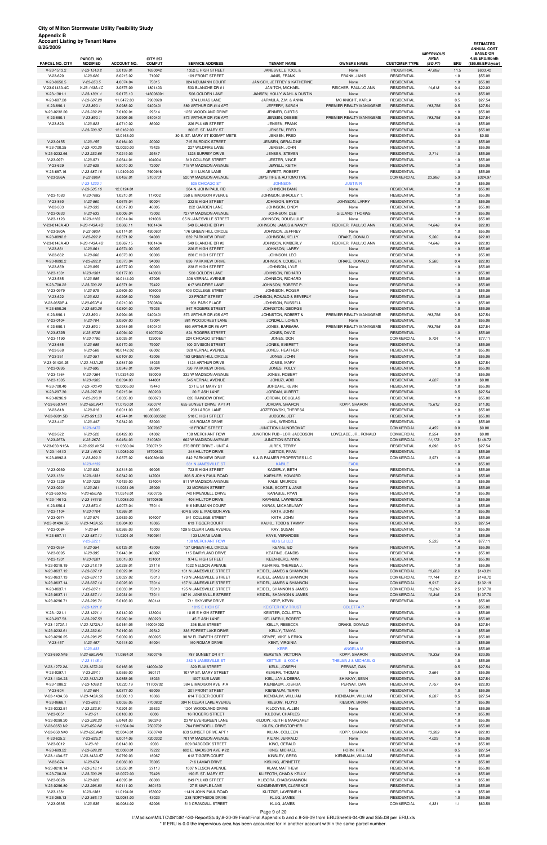| Account Listing by Tenant Name<br>3/26/2009<br>PARCEL NO. CITY | PARCEL NO.<br><b>MODIFIED</b> | <b>ACCOUNT NO.</b> | <b>CITY 257</b><br><b>COMPUT</b> | <b>SERVICE ADDRESS</b>        | <b>TENANT NAME</b>           | <b>OWNERS NAME</b>      | <b>CUSTOMER TYPE</b> | <b>IMPERVIOUS</b><br><b>AREA</b><br>(SQFT) | ERU  | <b>ESTIMATED</b><br><b>ANNUAL COST</b><br><b>BASED ON</b><br>4.59/ERU/Month<br>(\$55.08/ERU/year) |
|----------------------------------------------------------------|-------------------------------|--------------------|----------------------------------|-------------------------------|------------------------------|-------------------------|----------------------|--------------------------------------------|------|---------------------------------------------------------------------------------------------------|
| V-23-1513.2                                                    | $V-23-1513.2$                 | 3.0139.01          | 1630042                          | 1352 E HIGH STREET            | <b>JANESVILLE TOOL &amp;</b> | None                    | <b>INDUSTRIAL</b>    | 47,088                                     | 11.5 | \$633.42                                                                                          |
| V-23-620                                                       | $V-23-620$                    | 8.0215.02          | 71007                            | 109 FRONT STREET              | JANIS, FRANK                 | FRANK, JANIS            | <b>RESIDENTIAL</b>   |                                            | 1.0  | \$55.08                                                                                           |
| $V-23-0650.5$                                                  | $V-23-650.5$                  | 4.0074.04          | 75015                            | 824 NEUMANN COURT             | JANISCH, JEFFREY & KATHERINE | None                    | <b>RESIDENTIAL</b>   |                                            | 1.0  | \$55.08                                                                                           |
| V-23-0143A.4C                                                  | V-23-143A.4C                  | 3.0875.09          | 1801403                          | 533 BLANCHE DR #1             | JANITCH, MICHAEL             | REICHER, PAUL/JO ANN    | <b>RESIDENTIAL</b>   | 14,618                                     | 0.4  | \$22.03                                                                                           |
| $V-23-1301.1$                                                  | $V-23-1301.1$                 | 9.0176.10          | 143006001                        | 506 GOLDEN LANE               | JANSEN, HOLLY WAHL & DUSTIN  | None                    | <b>RESIDENTIAL</b>   |                                            | 1.0  | \$55.08                                                                                           |
| V-23-687.28                                                    | V-23-687.28                   | 11.0472.03         | 7900928                          | 374 LUKAS LANE                | JARMULA, Z.M. & ANNA         | MC KNIGHT, KARLA        | <b>RESIDENTIAL</b>   |                                            | 0.5  | \$27.54                                                                                           |
| $V-23-890.1$                                                   | $V-23-890.1$                  | 3.0988.02          | 9400401                          | 889 ARTHUR DR #14 APT         | JEFFERY, SARAH               | PREMIER REALTY MANAGEME | <b>RESIDENTIAL</b>   | 193,766                                    | 0.5  | \$27.54                                                                                           |
| V-23-0232.20                                                   | $V-23-232.20$                 | 7.0109.01          | 29514                            | 1253 WOODLAND DRIVE           | JENNER, CURTIS               | None                    | <b>RESIDENTIAL</b>   |                                            | 1.0  | \$55.08                                                                                           |
| $V-23-890.1$                                                   | $V-23-890.1$                  | 3.0905.06          | 9400401                          | 873 ARTHUR DR #06 APT         | JENSEN, DEBBIE               | PREMIER REALTY MANAGEME | <b>RESIDENTIAL</b>   | 193,766                                    | 0.5  | \$27.54                                                                                           |
| V-23-823                                                       | $V-23-823$                    | 4.0710.02          | 86002                            | 226 PLUMB STREET              | JENSEN, FRANK                | None                    | <b>RESIDENTIAL</b>   |                                            | 1.0  | \$55.08                                                                                           |
|                                                                | V-23-700.37                   | 12.0162.00         |                                  | 300 E. ST. MARY ST            | JENSEN, FRED                 | None                    | <b>RESIDENTIAL</b>   |                                            | 1.0  | \$55.08                                                                                           |
|                                                                |                               | 12.0163.00         |                                  | 30 E. ST. MARY ST EXEMPT METE | JENSEN, FRED                 | None                    | <b>RESIDENTIAL</b>   |                                            | 0.0  | \$0.00                                                                                            |
| $V-23-0155$                                                    | $V-23-155$                    | 8.0164.00          | 20002                            | 715 BURDICK STREET            | JENSEN, GERALDINE            | None                    | <b>RESIDENTIAL</b>   |                                            | 1.0  | \$55.08                                                                                           |
| V-23-700.25                                                    | $V-23-700.25$                 | 12.0020.00         | 79425                            | 227 WILDFIRE LANE             | JENSEN, JOHN                 | None                    | <b>RESIDENTIAL</b>   |                                            | 1.0  | \$55.08                                                                                           |
| V-23-0232.66                                                   | $V-23-232.66$                 | 7.0219.03          | 29547                            | 1223 SURREY DRIVE             | JENSEN, STEVEN               | None                    | <b>RESIDENTIAL</b>   | 3,714                                      | 1.0  | \$55.08                                                                                           |
| V-23-0971                                                      | $V-23-971$                    | 2.0644.01          | 104004                           | 319 COLLEGE STREET            | JESTER, VINCE                | None                    | <b>RESIDENTIAL</b>   |                                            | 1.0  | \$55.08                                                                                           |
| $V-23-629$                                                     | $V-23-629$                    |                    | 72007                            | 715 W MADISON AVENUE          | JEWELL, KEITH                |                         | <b>RESIDENTIAL</b>   |                                            | 1.0  | \$55.08                                                                                           |
| V-23-687.16                                                    |                               | 8.0010.00          | 7900916                          | 311 LUKAS LANE                | JEWETT, ROBERT               | None                    | <b>RESIDENTIAL</b>   |                                            |      | \$55.08                                                                                           |
|                                                                | $V-23-687.16$                 | 11.0409.00         |                                  |                               |                              | None                    |                      |                                            | 1.0  |                                                                                                   |
| V-23-266A                                                      | V-23-266A                     | 8.0452.01          | 3100701                          | 520 W MADISON AVENUE          | JIM'S TIRE & AUTOMOTIVE      | None                    | <b>COMMERCIAL</b>    | 23,980                                     | 5.9  | \$324.97                                                                                          |
|                                                                | $V-23-1220.1$                 |                    |                                  | <b>525 CHICAGO ST</b>         | <b>JOHNSON</b>               | <b>JUSTIN R</b>         |                      |                                            | 1.0  | \$55.08                                                                                           |
|                                                                | $V-23-505.16$                 | 12.0124.01         |                                  | 304 N. JOHN PAUL RD           | <b>JOHNSON BANK</b>          | None                    | <b>RESIDENTIAL</b>   |                                            | 1.0  | \$55.08                                                                                           |
| V-23-1083                                                      | $V-23-1083$                   | 1.0210.01          | 117002                           | 350 E MADISON AVENUE          | JOHNSON, BRADLEY T.          | None                    | <b>RESIDENTIAL</b>   |                                            | 1.0  | \$55.08                                                                                           |
| $V-23-860$                                                     | $V-23-860$                    | 4.0676.04          | 90004                            | 232 E HIGH STREET             | JOHNSON, BRYCE               | JOHNSON, LARRY          | <b>RESIDENTIAL</b>   |                                            | 1.0  | \$55.08                                                                                           |
| $V-23-333$                                                     | $V-23-333$                    | 6.0017.00          | 40005                            | 222 GARDEN LANE               | JOHNSON, CINDY               | None                    | <b>RESIDENTIAL</b>   |                                            | 1.0  | \$55.08                                                                                           |
| V-23-0633                                                      | $V-23-633$                    | 8.0006.04          | 73002                            | 727 W MADISON AVENUE          | JOHNSON, DEB                 | GILLAND, THOMAS         | <b>RESIDENTIAL</b>   |                                            | 1.0  | \$55.08                                                                                           |
| $V-23-1123$                                                    | $V-23-1123$                   | 2.0014.04          | 121006                           | 65 N JANESVILLE STREET        | JOHNSON, DOUG/JULIE          | None                    | <b>RESIDENTIAL</b>   |                                            | 1.0  | \$55.08                                                                                           |
| V-23-0143A.4D                                                  | V-23-143A.4D                  | 3.0866.11          | 1801404                          | 549 BLANCHE DR #1             | JOHNSON, JAMES & NANCY       | REICHER, PAUL/JO ANN    | <b>RESIDENTIAL</b>   | 14,646                                     | 0.4  | \$22.03                                                                                           |
| V-23-360A                                                      | V-23-360A                     | 6.0114.01          | 4300601                          | 176 GREEN HILL CIRCLE         | JOHNSON, JEFFREY             | None                    | <b>RESIDENTIAL</b>   |                                            | 1.0  | \$55.08                                                                                           |
| V-23-0892.2                                                    | $V-23-892.2$                  | 3.0371.02          | 94008                            | 832 PARKVIEW DRIVE            | JOHNSON, KELLY               | DRAKE, DONALD           | <b>RESIDENTIAL</b>   | 5,360                                      | 0.4  | \$22.03                                                                                           |
| V-23-0143A.4D                                                  | V-23-143A.4D                  | 3.0867.15          | 1801404                          | 549 BLANCHE DR #2             | JOHNSON, KIMBERLY            | REICHER, PAUL/JO ANN    | <b>RESIDENTIAL</b>   | 14,646                                     | 0.4  | \$22.03                                                                                           |
| $V-23-861$                                                     | $V-23-861$                    | 4.0674.00          | 90005                            | 226 E HIGH STREET             | JOHNSON, LARRY               | None                    | <b>RESIDENTIAL</b>   |                                            | 1.0  | \$55.08                                                                                           |
| $V-23-862$                                                     | $V-23-862$                    | 4.0673.00          | 90006                            | 220 E HIGH STREET             | JOHNSON, LEO                 | None                    | <b>RESIDENTIAL</b>   |                                            | 1.0  | \$55.08                                                                                           |
| V-23-0892.2                                                    | $V-23-892.2$                  | 3.0373.04          | 94008                            | 836 PARKVIEW DRIVE            | JOHNSON, LOUISE H.           | DRAKE, DONALD           | <b>RESIDENTIAL</b>   | 5,360                                      | 0.4  | \$22.03                                                                                           |
| $V-23-859$                                                     | $V-23-859$                    | 4.0677.00          | 90003                            | 238 E HIGH STREET             | JOHNSON, LYLE                | None                    | <b>RESIDENTIAL</b>   |                                            | 1.0  | \$55.08                                                                                           |
| $V-23-1301$                                                    | $V-23-1301$                   | 9.0177.03          | 143006                           | 500 GOLDEN LANE               | JOHNSON, RICHARD             | None                    | <b>RESIDENTIAL</b>   |                                            | 1.0  | \$55.08                                                                                           |
| $V-23-585$                                                     | $V-23-585$                    | 10.0144.00         | 67008                            | 308 VERNAL AVENUE             | JOHNSON, RICHARD             | None                    | <b>RESIDENTIAL</b>   |                                            | 1.0  | \$55.08                                                                                           |
| V-23-700.22                                                    | V-23-700.22                   | 4.0371.01          | 79422                            | 617 WILDFIRE LANE             | JOHNSON, ROBERT P.           | None                    | <b>RESIDENTIAL</b>   |                                            | 1.0  | \$55.08                                                                                           |
| V-23-0979                                                      | $V-23-979$                    | 2.0605.00          | 105003                           | 403 COLLEGE STREET            | JOHNSON, ROGER               | None                    | <b>RESIDENTIAL</b>   |                                            | 1.0  | \$55.08                                                                                           |
| V-23-622                                                       | $V-23-622$                    | 8.0208.02          | 71009                            | 23 FRONT STREET               | JOHNSON, RONALD & BEVERLY    | None                    | <b>RESIDENTIAL</b>   |                                            | 1.0  | \$55.08                                                                                           |
| V-23-0650P.4                                                   | $V-23-650P.4$                 | 2.0210.00          | 7500804                          | 931 PARK PLACE                | JOHNSON, RUSSELL             | None                    | <b>RESIDENTIAL</b>   |                                            | 1.0  | \$55.08                                                                                           |
| $V-23-650.26$                                                  | $V-23-650.26$                 | 4.0304.00          | 75036                            | 867 ROGERS STREET             | JOHNSTON, GEORGE             | None                    | <b>RESIDENTIAL</b>   |                                            | 1.0  | \$55.08                                                                                           |
| $V-23-890.1$                                                   | $V-23-890.1$                  | 3.0904.06          | 9400401                          | 873 ARTHUR DR #05 APT         | JOHNSTON, ROBERT &           | PREMIER REALTY MANAGEME | <b>RESIDENTIAL</b>   | 193,766                                    | 0.5  | \$27.54                                                                                           |
| V-23-0104                                                      | $V-23-104$                    | 3.0507.00          | 13004                            | 381 WOODCREST LANE            | JONDALL, LOREN               | None                    | <b>RESIDENTIAL</b>   |                                            | 1.0  | \$55.08                                                                                           |
| $V-23-890.1$                                                   | $V-23-890.1$                  | 3.0948.05          | 9400401                          | 893 ARTHUR DR #6 APT          | JONES, BARBARA               | PREMIER REALTY MANAGEME | <b>RESIDENTIAL</b>   | 193,766                                    | 0.5  | \$27.54                                                                                           |
| V-23-872B                                                      | $V-23-872B$                   | 4.0094.02          | 91007002                         | 824 ROGERS STREET             | JONES, DAVID                 | None                    | <b>RESIDENTIAL</b>   |                                            | 1.0  | \$55.08                                                                                           |
| $V-23-1190$                                                    | $V-23-1190$                   | 3.0035.01          | 129006                           | 224 CHICAGO STREET            | JONES, DON                   | None                    | COMMERCIAL           | 5,724                                      | 1.4  | \$77.11                                                                                           |
| V-23-685                                                       | V-23-685                      | 8.0170.03          | 79007                            | 100 DIVISION STREET           | JONES, EVERETT               | None                    | RESIDENTIAL          |                                            | 1.0  | \$55.08                                                                                           |
| $V-23-568$                                                     | $V-23-568$                    | 10.0142.02         | 66002                            | 320 VERNAL AVENUE             | JONES, HEATHER               | None                    | <b>RESIDENTIAL</b>   |                                            | 1.0  | \$55.08                                                                                           |
| $V-23-351$                                                     | $V-23-351$                    | 6.0107.00          | 42006                            | 183 GREEN HILL CIRCLE         | JONES, JOHN                  | None                    | <b>RESIDENTIAL</b>   |                                            | 1.0  | \$55.08                                                                                           |
| V-23-0143A.25                                                  | V-23-143A.25                  | 3.0847.09          | 18035                            | 1124 ARTHUR DRIVE             | JONES, MARY                  | None                    | <b>RESIDENTIAL</b>   |                                            | 0.5  | \$27.54                                                                                           |
| V-23-0895                                                      | $V-23-895$                    | 3.0349.01          | 95004                            | 726 PARKVIEW DRIVE            | JONES, POLLY                 |                         | <b>RESIDENTIAL</b>   |                                            | 1.0  | \$55.08                                                                                           |
|                                                                |                               |                    |                                  |                               |                              | None                    |                      |                                            |      |                                                                                                   |
| V-23-1364                                                      | $V-23-1364$                   | 11.0334.00         | 150009                           | 332 W MADISON AVENUE          | JONES, ROBERT                | None                    | <b>RESIDENTIAL</b>   |                                            | 1.0  | \$55.08                                                                                           |
| $V-23-1305$                                                    | $V-23-1305$                   | 8.0394.00          | 144001                           | 545 VERNAL AVENUE             | JONUZI, ABIB                 | None                    | <b>RESIDENTIAL</b>   | 4,627                                      | 0.0  | \$0.00                                                                                            |
| V-23-700.40                                                    | $V-23-700.40$                 | 12.0005.00         | 79440                            | 271 E ST MARY ST              | JORDAHL, KEVIN               | None                    | <b>RESIDENTIAL</b>   |                                            | 1.0  | \$55.08                                                                                           |
| V-23-297.30                                                    | $V-23-297.30$                 | 5.0215.01          | 360200                           | 20 E ASH LANE                 | JORDAN, ALBERT               | None                    | <b>RESIDENTIAL</b>   |                                            | 0.5  | \$27.54                                                                                           |
| V-23-0296.9                                                    | $V-23-296.9$                  | 5.0035.00          | 360073                           | 626 RAINBOW DRIVE             | JORDAN, DOUGLAS              | None                    | <b>RESIDENTIAL</b>   |                                            | 1.0  | \$55.08                                                                                           |
| V-23-650.N41                                                   | V-23-650.N41                  | 11.0750.01         | 7500741                          | 655 SUNSET DRIVE APT #1       | JORDAN, SHARON               | KOPP, SHARON            | <b>RESIDENTIAL</b>   | 15,612                                     | 0.2  | \$11.02                                                                                           |
| $V-23-818$                                                     | $V-23-818$                    | 6.0011.00          | 85005                            | 239 LARCH LANE                | JOZEFOWSKI, THERESA          | None                    | <b>RESIDENTIAL</b>   |                                            | 1.0  | \$55.08                                                                                           |

|               |               | 12.0163.00 |             | 30 E. ST. MARY ST EXEMPT METE | JENSEN, FRED                 | None                    | <b>RESIDENTIAL</b> |         | 0.0     | \$0.00   |
|---------------|---------------|------------|-------------|-------------------------------|------------------------------|-------------------------|--------------------|---------|---------|----------|
|               |               |            |             |                               |                              |                         |                    |         |         |          |
| $V-23-0155$   | $V-23-155$    | 8.0164.00  | 20002       | 715 BURDICK STREET            | JENSEN, GERALDINE            | None                    | <b>RESIDENTIAL</b> |         | 1.0     | \$55.08  |
| V-23-700.25   | $V-23-700.25$ | 12.0020.00 | 79425       | 227 WILDFIRE LANE             | JENSEN, JOHN                 | None                    | <b>RESIDENTIAL</b> |         | 1.0     | \$55.08  |
| V-23-0232.66  | $V-23-232.66$ | 7.0219.03  | 29547       | 1223 SURREY DRIVE             | JENSEN, STEVEN               | None                    | <b>RESIDENTIAL</b> | 3,714   | 1.0     | \$55.08  |
| V-23-0971     | $V-23-971$    | 2.0644.01  | 104004      | 319 COLLEGE STREET            | JESTER, VINCE                | None                    | <b>RESIDENTIAL</b> |         | 1.0     | \$55.08  |
| $V-23-629$    | $V-23-629$    | 8.0010.00  | 72007       | 715 W MADISON AVENUE          | JEWELL, KEITH                | None                    | <b>RESIDENTIAL</b> |         | 1.0     | \$55.08  |
| V-23-687.16   | $V-23-687.16$ | 11.0409.00 | 7900916     | 311 LUKAS LANE                | <b>JEWETT, ROBERT</b>        | None                    | <b>RESIDENTIAL</b> |         | 1.0     | \$55.08  |
| V-23-266A     | V-23-266A     | 8.0452.01  | 3100701     | 520 W MADISON AVENUE          | JIM'S TIRE & AUTOMOTIVE      | None                    | COMMERCIAL         | 23,980  | 5.9     | \$324.97 |
|               | $V-23-1220.1$ |            |             | 525 CHICAGO ST                | <b>JOHNSON</b>               | <b>JUSTIN R</b>         |                    |         | 1.0     | \$55.08  |
|               | $V-23-505.16$ | 12.0124.01 |             | 304 N. JOHN PAUL RD           | <b>JOHNSON BANK</b>          | None                    | <b>RESIDENTIAL</b> |         | 1.0     | \$55.08  |
| $V-23-1083$   | $V-23-1083$   | 1.0210.01  | 117002      | 350 E MADISON AVENUE          | JOHNSON, BRADLEY T.          | None                    | <b>RESIDENTIAL</b> |         | 1.0     | \$55.08  |
|               |               |            |             |                               |                              |                         |                    |         |         |          |
| $V-23-860$    | $V-23-860$    | 4.0676.04  | 90004       | 232 E HIGH STREET             | JOHNSON, BRYCE               | JOHNSON, LARRY          | <b>RESIDENTIAL</b> |         | 1.0     | \$55.08  |
| $V-23-333$    | $V-23-333$    | 6.0017.00  | 40005       | 222 GARDEN LANE               | JOHNSON, CINDY               | None                    | <b>RESIDENTIAL</b> |         | 1.0     | \$55.08  |
| V-23-0633     | $V-23-633$    | 8.0006.04  | 73002       | 727 W MADISON AVENUE          | JOHNSON, DEB                 | GILLAND, THOMAS         | <b>RESIDENTIAL</b> |         | 1.0     | \$55.08  |
| $V-23-1123$   | $V-23-1123$   | 2.0014.04  | 121006      | 65 N JANESVILLE STREET        | JOHNSON, DOUG/JULIE          | None                    | <b>RESIDENTIAL</b> |         | 1.0     | \$55.08  |
| V-23-0143A.4D | V-23-143A.4D  | 3.0866.11  | 1801404     | 549 BLANCHE DR #1             | JOHNSON, JAMES & NANCY       | REICHER, PAUL/JO ANN    | <b>RESIDENTIAL</b> | 14,646  | 0.4     | \$22.03  |
| V-23-360A     | V-23-360A     | 6.0114.01  | 4300601     | 176 GREEN HILL CIRCLE         | JOHNSON, JEFFREY             | None                    | <b>RESIDENTIAL</b> |         | 1.0     | \$55.08  |
| V-23-0892.2   | $V-23-892.2$  | 3.0371.02  | 94008       | 832 PARKVIEW DRIVE            | JOHNSON, KELLY               | DRAKE, DONALD           | <b>RESIDENTIAL</b> | 5,360   | 0.4     | \$22.03  |
| V-23-0143A.4D | V-23-143A.4D  |            |             | 549 BLANCHE DR #2             | JOHNSON, KIMBERLY            |                         | <b>RESIDENTIAL</b> | 14,646  |         |          |
|               |               | 3.0867.15  | 1801404     |                               |                              | REICHER, PAUL/JO ANN    |                    |         | 0.4     | \$22.03  |
| $V-23-861$    | $V-23-861$    | 4.0674.00  | 90005       | 226 E HIGH STREET             | JOHNSON, LARRY               | None                    | <b>RESIDENTIAL</b> |         | 1.0     | \$55.08  |
| V-23-862      | $V-23-862$    | 4.0673.00  | 90006       | 220 E HIGH STREET             | JOHNSON, LEO                 | None                    | <b>RESIDENTIAL</b> |         | 1.0     | \$55.08  |
| V-23-0892.2   | $V-23-892.2$  | 3.0373.04  | 94008       | 836 PARKVIEW DRIVE            | JOHNSON, LOUISE H.           | DRAKE, DONALD           | <b>RESIDENTIAL</b> | 5,360   | 0.4     | \$22.03  |
| $V-23-859$    | $V-23-859$    | 4.0677.00  | 90003       | 238 E HIGH STREET             | JOHNSON, LYLE                | None                    | <b>RESIDENTIAL</b> |         | 1.0     | \$55.08  |
| $V-23-1301$   | $V-23-1301$   | 9.0177.03  | 143006      | 500 GOLDEN LANE               | JOHNSON, RICHARD             | None                    | <b>RESIDENTIAL</b> |         | 1.0     | \$55.08  |
| $V-23-585$    | $V-23-585$    | 10.0144.00 | 67008       | 308 VERNAL AVENUE             | JOHNSON, RICHARD             | None                    | <b>RESIDENTIAL</b> |         | 1.0     | \$55.08  |
| V-23-700.22   | $V-23-700.22$ | 4.0371.01  | 79422       | 617 WILDFIRE LANE             | JOHNSON, ROBERT P.           | None                    | <b>RESIDENTIAL</b> |         | 1.0     | \$55.08  |
| V-23-0979     | $V-23-979$    | 2.0605.00  | 105003      | 403 COLLEGE STREET            | JOHNSON, ROGER               | None                    | <b>RESIDENTIAL</b> |         | 1.0     | \$55.08  |
|               |               |            |             |                               |                              |                         |                    |         |         |          |
| $V-23-622$    | $V-23-622$    | 8.0208.02  | 71009       | 23 FRONT STREET               | JOHNSON, RONALD & BEVERLY    | None                    | <b>RESIDENTIAL</b> |         | 1.0     | \$55.08  |
| V-23-0650P.4  | V-23-650P.4   | 2.0210.00  | 7500804     | 931 PARK PLACE                | JOHNSON, RUSSELL             | None                    | <b>RESIDENTIAL</b> |         | 1.0     | \$55.08  |
| V-23-650.26   | $V-23-650.26$ | 4.0304.00  | 75036       | 867 ROGERS STREET             | JOHNSTON, GEORGE             | None                    | <b>RESIDENTIAL</b> |         | 1.0     | \$55.08  |
| V-23-890.1    | $V-23-890.1$  | 3.0904.06  | 9400401     | 873 ARTHUR DR #05 APT         | JOHNSTON, ROBERT &           | PREMIER REALTY MANAGEME | <b>RESIDENTIAL</b> | 193,766 | 0.5     | \$27.54  |
| $V-23-0104$   | $V-23-104$    | 3.0507.00  | 13004       | 381 WOODCREST LANE            | JONDALL, LOREN               | None                    | <b>RESIDENTIAL</b> |         | 1.0     | \$55.08  |
| $V-23-890.1$  | $V-23-890.1$  | 3.0948.05  | 9400401     | 893 ARTHUR DR #6 APT          | JONES, BARBARA               | PREMIER REALTY MANAGEME | <b>RESIDENTIAL</b> | 193,766 | 0.5     | \$27.54  |
| V-23-872B     | $V-23-872B$   | 4.0094.02  | 91007002    | 824 ROGERS STREET             | JONES, DAVID                 | None                    | <b>RESIDENTIAL</b> |         | 1.0     | \$55.08  |
|               |               |            |             |                               |                              |                         |                    |         |         |          |
| V-23-1190     | $V-23-1190$   | 3.0035.01  | 129006      | 224 CHICAGO STREET            | JONES, DON                   | None                    | COMMERCIAL         | 5,724   | 1.4     | \$77.11  |
| $V-23-685$    | $V-23-685$    | 8.0170.03  | 79007       | 100 DIVISION STREET           | JONES, EVERETT               | None                    | <b>RESIDENTIAL</b> |         | 1.0     | \$55.08  |
| $V-23-568$    | $V-23-568$    | 10.0142.02 | 66002       | 320 VERNAL AVENUE             | JONES, HEATHER               | None                    | <b>RESIDENTIAL</b> |         | 1.0     | \$55.08  |
| $V-23-351$    | $V-23-351$    | 6.0107.00  | 42006       | 183 GREEN HILL CIRCLE         | JONES, JOHN                  | None                    | <b>RESIDENTIAL</b> |         | 1.0     | \$55.08  |
| V-23-0143A.25 | V-23-143A.25  | 3.0847.09  | 18035       | 1124 ARTHUR DRIVE             | JONES, MARY                  | None                    | <b>RESIDENTIAL</b> |         | 0.5     | \$27.54  |
| V-23-0895     | $V-23-895$    | 3.0349.01  | 95004       | 726 PARKVIEW DRIVE            | JONES, POLLY                 | None                    | <b>RESIDENTIAL</b> |         | 1.0     | \$55.08  |
| $V-23-1364$   | $V-23-1364$   | 11.0334.00 | 150009      | 332 W MADISON AVENUE          | JONES, ROBERT                | None                    | <b>RESIDENTIAL</b> |         | 1.0     | \$55.08  |
| $V-23-1305$   | $V-23-1305$   | 8.0394.00  | 144001      | 545 VERNAL AVENUE             | JONUZI, ABIB                 | None                    | <b>RESIDENTIAL</b> | 4,627   | 0.0     | \$0.00   |
|               |               |            |             |                               |                              |                         |                    |         |         |          |
| V-23-700.40   | V-23-700.40   | 12.0005.00 | 79440       | 271 E ST MARY ST              | JORDAHL, KEVIN               | None                    | <b>RESIDENTIAL</b> |         | 1.0     | \$55.08  |
| V-23-297.30   | $V-23-297.30$ | 5.0215.01  | 360200      | 20 E ASH LANE                 | JORDAN, ALBERT               | None                    | <b>RESIDENTIAL</b> |         | 0.5     | \$27.54  |
| V-23-0296.9   | $V-23-296.9$  | 5.0035.00  | 360073      | 626 RAINBOW DRIVE             | JORDAN, DOUGLAS              | None                    | <b>RESIDENTIAL</b> |         | 1.0     | \$55.08  |
| V-23-650.N41  | V-23-650.N41  | 11.0750.01 | 7500741     | 655 SUNSET DRIVE APT #1       | JORDAN, SHARON               | KOPP, SHARON            | <b>RESIDENTIAL</b> | 15,612  | 0.2     | \$11.02  |
| $V-23-818$    | $V-23-818$    | 6.0011.00  | 85005       | 239 LARCH LANE                | JOZEFOWSKI, THERESA          | None                    | <b>RESIDENTIAL</b> |         | 1.0     | \$55.08  |
| V-23-0991.5B  | $V-23-991.5B$ | 4.0744.01  | 10600600502 | 510 E HIGH STREET             | JUDSON, JEFF                 | None                    | <b>RESIDENTIAL</b> |         | 1.0     | \$55.08  |
| $V-23-447$    | $V-23-447$    | 7.0342.03  | 53003       | 103 ROMAR DRIVE               | JUHL, WENDELL                | None                    | <b>RESIDENTIAL</b> |         | 1.0     | \$55.08  |
|               | $V-23-1473$   |            | 7007067     | 18 FRONT STREET               | JUNCTION LAUNDROMAT          | None                    | COMMERCIAL         | 4,459   | 0.0     | \$0.00   |
|               |               |            |             | 130 MERCHANT ROW              |                              |                         |                    |         |         |          |
| $V-23-522$    | $V-23-522$    | 8.0422.00  | 61002       |                               | JUNCTION PUB - LORI JACOBSON | LOVELACE, JR., RONALD   | COMMERCIAL         | 2,954   | 0.0     | \$0.00   |
| V-23-267A     | V-23-267A     | 8.0454.03  | 3100801     | 602 W MADISON AVENUE          | JUNCTION STATION             | None                    | COMMERCIAL         | 11,173  | 2.7     | \$148.72 |
| V-23-650.N15A | V-23-650.N15A | 11.0560.04 | 75007151    | 376 BREE DRIVE - UNIT A       | JUREK, TERRY                 | None                    | <b>RESIDENTIAL</b> | 8,698   | 0.5     | \$27.54  |
| V-23-1461D    | $V-23-1461D$  | 11.0089.02 | 15700803    | 248 HILLTOP DRIVE             | JUSTICE, RYAN                | None                    | <b>RESIDENTIAL</b> |         | 1.0     | \$55.08  |
| V-23-0892.3   | $V-23-892.3$  | 3.0375.02  | 940080100   | 842 PARKVIEW DRIVE            | K & G PALMER PROPERTIES LLC  | None                    | COMMERCIAL         | 3,971   | 1.0     | \$55.08  |
|               | $V-23-1139$   |            |             | 331 N JANESVILLE ST           | <b>KABILE</b>                | <b>FADIL</b>            |                    |         | 1.0     | \$55.08  |
| V-23-0930     | $V-23-930$    | 3.0318.03  | 99005       | 723 E HIGH STREET             | KADERLY, BETH                | None                    | <b>RESIDENTIAL</b> |         | 1.0     | \$55.08  |
|               |               |            |             | 306 S JOHN PAUL ROAD          |                              |                         | <b>RESIDENTIAL</b> |         |         |          |
| $V-23-1331$   | $V-23-1331$   | 9.0342.00  | 147001      |                               | KAEHLER, HOWARD              | None                    |                    |         | 1.0     | \$55.08  |
| V-23-1229     | V-23-1229     | 7.0439.00  | 134004      | 911 W MADISON AVENUE          | KALB, MAURICE                | None                    | <b>RESIDENTIAL</b> |         | 1.0     | \$55.08  |
| $V-23-0201$   | $V-23-201$    | 11.0031.08 | 25009       | 23 MORGAN STREET              | KALB, SCOTT & JANE           | None                    | <b>RESIDENTIAL</b> |         | 1.0     | \$55.08  |
| V-23-650.N5   | $V-23-650.N5$ | 11.0516.01 | 7500705     | 740 RIVENDELL DRIVE           | KANABLE, RYAN                | None                    | <b>RESIDENTIAL</b> |         | 1.0     | \$55.08  |
| $V-23-1461G$  | $V-23-1461G$  | 11.0083.00 | 15700806    | 406 HILLTOP DRIVE             | KAPHEIM, LAWRENCE            | None                    | <b>RESIDENTIAL</b> |         | $1.0\,$ | \$55.08  |
| $V-23-650.4$  | $V-23-650.4$  | 4.0073.04  | 75014       | 816 NEUMANN COURT             | KARAS, MICHAEL/AMY           | None                    | <b>RESIDENTIAL</b> |         | 1.0     | \$55.08  |
| $V-23-1104$   | $V-23-1104$   | 1.0268.01  |             | 604 & 606 E. MADISON AVE      | KATH, JOHN                   | None                    | <b>RESIDENTIAL</b> |         | 1.0     | \$55.08  |
| V-23-0974     | $V-23-974$    | 2.0639.00  | 104007      | 341 COLLEGE STREET            | KATH, JOHN                   | None                    | <b>RESIDENTIAL</b> |         | 1.0     | \$55.08  |
|               |               |            |             |                               | KAUKL, TODD & TAMMY          |                         | <b>RESIDENTIAL</b> |         |         |          |
| V-23-0143A.55 | V-23-143A.55  | 3.0804.00  | 18065       | 613 TIGGER COURT              |                              | None                    |                    |         | 0.5     | \$27.54  |
| V-23-0084     | $V-23-84$     | 8.0265.03  | 10003       | 129 S CLEAR LAKE AVENUE       | KAY, SUSAN                   | None                    | <b>RESIDENTIAL</b> |         | 1.0     | \$55.08  |
| V-23-687.11   | $V-23-687.11$ | 11.0201.01 | 7900911     | 133 LUKAS LANE                | KAYE, VERAROSE               | None                    | <b>RESIDENTIAL</b> |         | 1.0     | \$55.08  |
|               | $V-23-522.1$  |            |             | <b>130 MERCHANT ROW</b>       | <b>KB &amp; LJ LLC</b>       |                         |                    | 5,533   | 1.4     | \$77.11  |
| V-23-0354     | $V-23-354$    | 6.0125.01  | 42009       | 137 GREEN HILL CIRCLE         | KEANE, ED                    | None                    | <b>RESIDENTIAL</b> |         | 1.0     | \$55.08  |
| V-23-0395     | $V-23-395$    | 7.0443.01  | 46007       | 115 DAIRYLAND DRIVE           | <b>KEATING, CANDIS</b>       | None                    | <b>RESIDENTIAL</b> |         | 1.0     | \$55.08  |
| $V-23-1201$   | $V-23-1201$   | 3.0018.00  | 131001      | 974 E HIGH STREET             | KEEN-BERG, ANN               | None                    | <b>RESIDENTIAL</b> |         | 1.0     | \$55.08  |
| V-23-0218.19  | $V-23-218.19$ | 2.0238.01  | 27118       | 1022 NELSON AVENUE            | KEHRING, THERESA J.          | None                    | <b>RESIDENTIAL</b> |         | 1.0     | \$55.08  |
|               |               |            |             |                               |                              |                         |                    |         |         |          |
| V-23-0637.12  | $V-23-637.12$ | 2.0029.01  | 73012       | 181 N JANESVILLE STREET       | KEIDEL, JAMES & SHANNON      | None                    | COMMERCIAL         | 10,603  | 2.6     | \$143.21 |
| V-23-0637.13  | $V-23-637.13$ | 2.0027.02  | 73013       | 173 N JANESVILLE STREET       | KEIDEL, JAMES & SHANNON      | None                    | COMMERCIAL         | 11,144  | 2.7     | \$148.72 |
| V-23-0637.14  | $V-23-637.14$ | 2.0026.03  | 73014       | 167 N JANESVILLE STREET       | KEIDEL, JAMES & SHANNON      | None                    | COMMERCIAL         | 9,917   | 2.4     | \$132.19 |
| V-23-0637.1   | $V-23-637.1$  | 2.0033.01  | 73010       | 195 N JANESVILLE STREET       | KEIDEL, SHANNON & JAMES      | None                    | COMMERCIAL         | 10,210  | 2.5     | \$137.70 |
| V-23-0637.11  | $V-23-637.11$ | 2.0031.01  | 73011       | 187 N JANESVILLE STREET       | KEIDEL, SHANNON & JAMES      | None                    | COMMERCIAL         | 10,346  | 2.5     | \$137.70 |
| V-23-0296.71  | V-23-296.71   | 5.0103.03  | 360141      | 711 SKYVIEW DRIVE             | KEIP, KEVIN                  | None                    | <b>RESIDENTIAL</b> |         | 1.0     | \$55.08  |
|               | $V-23-1221.2$ |            |             | <b>1015 E HIGH ST</b>         | <b>KEISTER REV TRUST</b>     | <b>COLETTA P</b>        |                    |         | 1.0     | \$55.08  |
| $V-23-1221.1$ | $V-23-1221.1$ | 3.0140.00  | 133004      | 1015 E HIGH STREET            | KEISTER, COLLETTA            | None                    | <b>RESIDENTIAL</b> |         | 1.0     | \$55.08  |
| V-23-297.53   | $V-23-297.53$ | 5.0260.01  | 360223      | 45 E ASH LANE                 | <b>KELLNER II, ROBERT</b>    | None                    | <b>RESIDENTIAL</b> |         | 1.0     | \$55.08  |
|               |               |            |             |                               |                              |                         |                    |         |         |          |
| V-23-1272A.1  | V-23-1272A.1  | 9.0154.05  | 140004002   | 336 ELM STREET                | KELLY, REBECCA               | DRAKE, DONALD           | <b>RESIDENTIAL</b> |         | 0.5     | \$27.54  |
| V-23-0232.61  | $V-23-232.61$ | 7.0190.03  | 29542       | 336 FOREST LAKE DRIVE         | KELLY, TANYA                 | None                    | <b>RESIDENTIAL</b> |         | 1.0     | \$55.08  |
| V-23-0296.25  | $V-23-296.25$ | 5.0009.03  | 360095      | 30 W ELIZABETH STREET         | KEMPF, MIKE & ERIKA          | None                    | <b>RESIDENTIAL</b> |         | 1.0     | \$55.08  |
| $V-23-457$    | $V-23-457$    | 7.0418.00  | 54004       | 160 ROMAR DRIVE               | KENT, VIRGINIA               | None                    | <b>RESIDENTIAL</b> |         | 1.0     | \$55.08  |
|               | $V-23-433$    |            |             |                               | <b>KERR</b>                  | <b>ANGELA M</b>         |                    |         | 1.0     | \$55.08  |
| V-23-650.N45  | V-23-650.N45  | 11.0864.01 | 7500745     | 787 SUNSET DR # 7             | <b>KERSTEN, VICTORIA</b>     | KOPP, SHARON            | <b>RESIDENTIAL</b> | 19,338  | 0.6     | \$33.05  |
|               | $V-23-1145.1$ |            |             | 382 N JANESVILLE ST           | KETTLE & KOCH                | THELMA J & MICHAEL G    |                    |         | 1.0     | \$55.08  |
|               |               |            |             |                               |                              |                         |                    |         |         |          |
| V-23-1272.2A  | V-23-1272.2A  | 9.0166.06  | 14000402    | 320 ELM STREET                | KEUL, JOSEPH                 | PERNAT, DAN             | <b>RESIDENTIAL</b> |         | 0.5     | \$27.54  |
| V-23-0297.1   | $V-23-297.1$  | 5.0559.00  | 360171      | 107 W ST. MARY STREET         | <b>KEVERN, THOMAS</b>        | None                    | <b>RESIDENTIAL</b> | 3,664   | 1.0     | \$55.08  |
| V-23-143A.23  | V-23-143A.23  | 3.0858.06  | 18033       | 1007 SUE LANE                 | KIEL, JAY & DEBRA            | SHINKAY, SEAN           | <b>RESIDENTIAL</b> |         | 0.5     | \$27.54  |
| V-23-1088.2   | V-23-1088.2   | 1.0220.19  | 11700702    | 384 E MADISON AVE # A         | KIENBAUM, JOSHUA             | PERNAT, DAN             | <b>RESIDENTIAL</b> | 7,757   | 0.4     | \$22.03  |
| $V-23-604$    | $V-23-604$    | 8.0377.00  | 69009       | 201 FRONT STREET              | KIENBAUM, TERRY              | None                    | <b>RESIDENTIAL</b> |         | 1.0     | \$55.08  |
| V-23-143A.56  | V-23-143A.56  | 3.0800.10  | 18066       | 614 TIGGER COURT              | KIENBAUM, WILLIAM            | KIENBAUM, WILLIAM       | <b>RESIDENTIAL</b> | 6,287   | 0.5     | \$27.54  |
| V-23-0668.1   | $V-23-668.1$  | 8.0055.05  | 7700802     | 304 N CLEAR LAKE AVENUE       | KIESOW, FLOYD                | KIESOW, BRIAN           | <b>RESIDENTIAL</b> |         | 1.0     | \$55.08  |
|               |               |            |             | 1204 WOODLAND DRIVE           |                              |                         |                    |         |         |          |
| V-23-0232.51  | $V-23-232.51$ | 7.0201.01  | 29532       |                               | KILCOYNE, ALLEN              | None                    | <b>RESIDENTIAL</b> |         | 1.0     | \$55.08  |
| $V-23-0051$   | $V-23-51$     | 6.0183.00  | 6006        | <b>16 ROGERS STREET</b>       | KILDOW, CHARLES              | None                    | <b>RESIDENTIAL</b> |         | 1.0     | \$55.08  |
| V-23-0298.20  | V-23-298.20   | 5.0461.03  | 360243      | 23 W EVERGREEN LANE           | KILDOW, KEITH & MARGARET     | None                    | <b>RESIDENTIAL</b> |         | 1.0     | \$55.08  |
| V-23-0650.N2  | V-23-650.N2   | 11.0504.04 | 7500702     | 764 RIVENDELL DRIVE           | KILEN, CHRISTOPHER           | None                    | <b>RESIDENTIAL</b> |         | 1.0     | \$55.08  |
| V-23-650.N40  | V-23-650.N40  | 12.0046.01 | 7500740     | 633 SUNSET DRIVE APT 1        | KILIAN, COLLEEN              | KOPP, SHARON            | <b>RESIDENTIAL</b> | 13,389  | 0.4     | \$22.03  |
| V-23-625.2    | $V-23-625.2$  | 8.0014.06  | 7200302     | 701 W MADISON AVENUE          | KILIAN, JERRALD              | None                    | <b>RESIDENTIAL</b> | 4,029   | 1.0     | \$55.08  |
| $V-23-0012$   | $V-23-12$     | 6.0148.00  | 2003        | 209 BABCOCK STREET            | KING, GERALD                 | None                    | <b>RESIDENTIAL</b> |         | 1.0     | \$55.08  |
| V-23-689.22   | $V-23-689.22$ | 12.0080.01 | 79222       | 602 E. MADISON AVE # 22       | KING, MICHAEL                | HORN, RITA              | <b>RESIDENTIAL</b> |         | 0.5     | \$27.54  |
|               |               |            |             |                               |                              |                         |                    |         |         |          |
| V-23-143A.57  | V-23-143A.57  | 3.0799.03  | 18067       | 612 TIGGER COURT              | KINSLEY, GREG                | KIENBAUM, WILLIAM       | <b>RESIDENTIAL</b> |         | 1.0     | \$55.08  |
| V-23-674      | $V-23-674$    | 8.0068.00  | 78005       | 716 LAMAR DRIVE               | KISLING, JENNETTE            | None                    | <b>RESIDENTIAL</b> |         | 1.0     | \$55.08  |
| V-23-0218.14  | $V-23-218.14$ | 2.0250.01  | 27113       | 1007 NELSON AVENUE            | KLAM, MATTHEW                | None                    | <b>RESIDENTIAL</b> |         | 1.0     | \$55.08  |
| V-23-700.28   | V-23-700.28   | 12.0072.00 | 79428       | 190 E. ST. MARY ST            | KLIEFOTH, CHAD & KELLY       | None                    | <b>RESIDENTIAL</b> |         | 1.0     | \$55.08  |
| V-23-0828     | $V-23-828$    | 4.0695.01  | 86008       | 249 PLUMB STREET              | KLIGORA, CHAD/SHANNON        | None                    | <b>RESIDENTIAL</b> |         | 1.0     | \$55.08  |
| V-23-0296.80  | $V-23-296.80$ | 5.0111.00  | 360150      | 27 E MAPLE LANE               | KLINGENMEYER, CLARENCE       | None                    | <b>RESIDENTIAL</b> |         | 1.0     | \$55.08  |
| V-23-1381     | $V-23-1381$   | 11.0194.01 | 153002      | 114 N JOHN PAUL ROAD          | KLITZKE, LAVERNE H.          | None                    | <b>RESIDENTIAL</b> |         | 1.0     | \$55.08  |
|               |               |            |             |                               |                              |                         |                    |         |         |          |
| V-23-365.13   | $V-23-365.13$ | 12.0081.00 | 43023       | 238 NORTHSIDE DRIVE           | KLUG, JAMES                  | None                    | <b>RESIDENTIAL</b> |         | $1.0\,$ | \$55.08  |
| V-23-0535     | $V-23-535$    | 10.0084.02 | 62006       | 513 CRANDALL STREET           | KLUG, JAMES                  | None                    | COMMERCIAL         | 4,331   | 1.1     | \$60.59  |

Page 9 of 20

I:\Madison\MILTC\081381-\30-ReportStudy\8-20-09 Final\Final Appendix b and c 8-26-09 from ERUSheet6-04-09 and \$55.08 per ERU.xls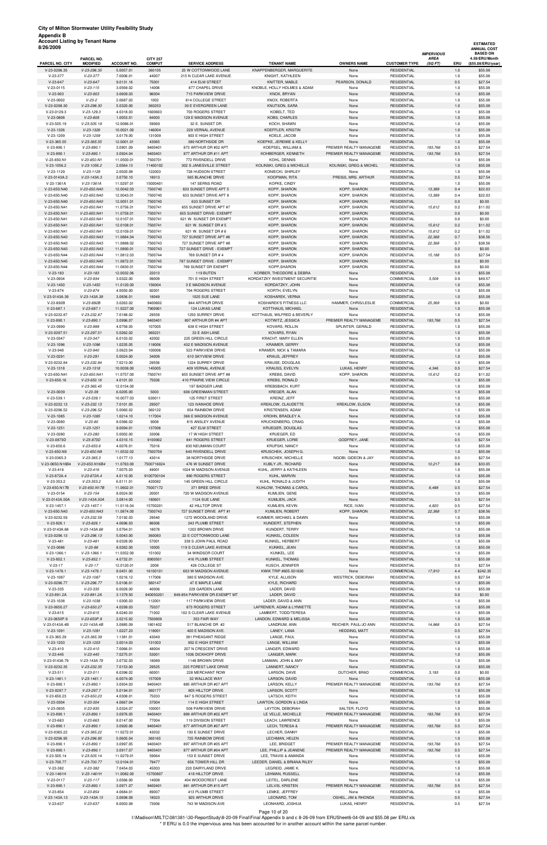|                      |     | <b>ESTIMATED</b>   |
|----------------------|-----|--------------------|
|                      |     | <b>ANNUAL COST</b> |
| <i><b>RVIOUS</b></i> |     | <b>BASED ON</b>    |
| REA                  |     | 4.59/ERU/Month     |
| Q FT)                | ERU | (\$55.08/ERU/year) |
|                      | 1 ດ | \$55.08            |

|                               | PARCEL NO.                    |                          | <b>CITY 257</b>     |                                                     |                                                       |                                                    |                                          | <b>IMPERVIOUS</b><br><b>AREA</b> |            | <b>BASED ON</b><br>4.59/ERU/Month |
|-------------------------------|-------------------------------|--------------------------|---------------------|-----------------------------------------------------|-------------------------------------------------------|----------------------------------------------------|------------------------------------------|----------------------------------|------------|-----------------------------------|
| PARCEL NO. CITY               | <b>MODIFIED</b>               | <b>ACCOUNT NO.</b>       | <b>COMPUT</b>       | <b>SERVICE ADDRESS</b>                              | <b>TENANT NAME</b>                                    | <b>OWNERS NAME</b>                                 | <b>CUSTOMER TYPE</b>                     | (SQFT)                           | <b>ERU</b> | (\$55.08/ERU/year)                |
| V-23-0296.35<br>$V-23-377$    | $V-23-296.35$<br>$V-23-377$   | 5.0057.01<br>7.0006.01   | 360105<br>44007     | 25 W COTTONWOOD LANE<br>215 N CLEAR LAKE AVENUE     | KNAPPENBERGER, MARGUERITE<br>KNIGHT, KATHLEEN         | None<br>None                                       | <b>RESIDENTIAL</b><br><b>RESIDENTIAL</b> |                                  | 1.0<br>1.0 | \$55.08<br>\$55.08                |
| $V-23-647$                    | $V-23-647$                    | 9.0131.16                | 75001               | 414 ELM STREET                                      | KNITTER, MABLE                                        | PEARSON, DONALD                                    | <b>RESIDENTIAL</b>                       |                                  | 0.5        | \$27.54                           |
| $V-23-0115$<br>$V-23-903$     | $V-23-115$<br>$V-23-903$      | 3.0569.02<br>3.0609.03   | 14006<br>96004      | 877 CHAPEL DRIVE<br>715 PARKVIEW DRIVE              | KNOBLE, HOLLY HOLMES & ADAM<br>KNOX, BRYAN            | None<br>None                                       | <b>RESIDENTIAL</b><br><b>RESIDENTIAL</b> |                                  | 1.0<br>1.0 | \$55.08<br>\$55.08                |
| V-23-0002                     | $V-23-2$                      | 2.0687.02                | 1002                | 614 COLLEGE STREET                                  | KNOX, ROBERTA                                         | None                                               | <b>RESIDENTIAL</b>                       |                                  | 1.0        | \$55.08                           |
| V-23-0298.30<br>V-23-0129.3   | $V-23-298.30$<br>$V-23-129.3$ | 5.0320.00<br>4.0318.03   | 360253<br>1600603   | 39 E EVERGREEN LANE<br>703 ROGERS STREET            | KNUTSON, SARA<br>KOBELT, TED                          | None<br>None                                       | <b>RESIDENTIAL</b><br><b>RESIDENTIAL</b> |                                  | 1.0<br>1.0 | \$55.08<br>\$55.08                |
| V-23-0808                     | $V-23-808$                    | 1.0053.01                | 84003               | 129 E MADISON AVENUE                                | KOBS, CHARLES                                         | None                                               | <b>RESIDENTIAL</b>                       |                                  | 1.0        | \$55.08                           |
| $V-23-505.19$                 | $V-23-505.19$                 | 12.0086.01               | 59069               | 32 E. SUNSET DR                                     | KOCH, SHAWN                                           | None                                               | <b>RESIDENTIAL</b>                       |                                  | 1.0        | \$55.08                           |
| $V-23-1326$<br>V-23-1209      | $V-23-1326$<br>$V-23-1209$    | 10.0021.00<br>3.0179.00  | 146004<br>131009    | 229 VERNAL AVENUE<br>903 E HIGH STREET              | <b>KOEFFLER, KRISTIN</b><br>KOELE, JACOB              | None<br>None                                       | <b>RESIDENTIAL</b><br><b>RESIDENTIAL</b> |                                  | 1.0<br>1.0 | \$55.08<br>\$55.08                |
| $V-23-365.55$                 | $V-23-365.55$                 | 12.0001.01               | 43065               | 389 NORTHSIDE DR                                    | KOEPKE, JEREMIE & KELLY                               | None                                               | <b>RESIDENTIAL</b>                       |                                  | 1.0        | \$55.08                           |
| $V-23-890.1$<br>$V-23-890.1$  | $V-23-890.1$<br>$V-23-890.1$  | 3.0901.09<br>3.0924.04   | 9400401<br>9400401  | 873 ARTHUR DR #02 APT<br>877 ARTHUR DR #11 APT      | KOEPSEL, WILLIAM &<br>KOHBERGER, KENNETH              | PREMIER REALTY MANAGEME<br>PREMIER REALTY MANAGEME | <b>RESIDENTIAL</b><br><b>RESIDENTIAL</b> | 193,766<br>193,766               | 0.5<br>0.5 | \$27.54<br>\$27.54                |
| V-23-650.N1                   | $V-23-650.N1$                 | 11.0500.01               | 7500701             | 772 RIVENDELL DRIVE                                 | KOHL, DENNIS                                          | None                                               | <b>RESIDENTIAL</b>                       |                                  | 1.0        | \$55.08                           |
| $V-23-1056.2$<br>$V-23-1129$  | $V-23-1056.2$<br>$V-23-1129$  | 2.0564.13                | 11400102            | 302 S JANESVILLE STREET<br>728 HUDSON STREET        | KOLINSKI, GREG & MICHELLE<br>KONIECKI, SHIRLEY        | KOLINSKI, GREG & MICHEL                            | <b>RESIDENTIAL</b><br><b>RESIDENTIAL</b> |                                  | 1.0        | \$55.08                           |
| V-23-0143A.3                  | $V-23-143A.3$                 | 2.0020.08<br>3.0750.10   | 122003<br>18013     | 565 BLANCHE DRIVE                                   | KOOPMAN, RITA                                         | None<br>PREISS, MRS. ARTHUR                        | <b>RESIDENTIAL</b>                       |                                  | 1.0<br>0.5 | \$55.08<br>\$27.54                |
| V-23-1361A                    | $V-23-1361A$                  | 11.0297.01               | 15000401            | 147 SERNS ROAD                                      | <b>KOPKE, CINDY</b>                                   | None                                               | RESIDENTIAL                              |                                  | 1.0        | \$55.08                           |
| V-23-650.N40<br>V-23-650.N40  | V-23-650.N40<br>V-23-650.N40  | 12.0042.03<br>12.0043.01 | 7500740<br>7500740  | 633 SUNSET DRIVE APT 5<br>633 SUNSET DRIVE APT 8    | KOPP, SHARON<br>KOPP, SHARON                          | KOPP, SHARON<br>KOPP, SHARON                       | <b>RESIDENTIAL</b><br><b>RESIDENTIAL</b> | 13,389<br>13,389                 | 0.4<br>0.4 | \$22.03<br>\$22.03                |
| V-23-650.N40                  | V-23-650.N40                  | 12.0051.01               | 7500740             | 633 SUNSET DR                                       | KOPP, SHARON                                          | KOPP, SHARON                                       | <b>RESIDENTIAL</b>                       |                                  | 0.0        | \$0.00                            |
| V-23-650.N41<br>V-23-650.N41  | V-23-650.N41<br>V-23-650.N41  | 11.0756.01<br>11.0758.01 | 7500741<br>7500741  | 655 SUNSET DRIVE APT #7<br>655 SUNSET DRIVE- EXEMPT | KOPP, SHARON<br>KOPP, SHARON                          | KOPP, SHARON<br>KOPP, SHARON                       | <b>RESIDENTIAL</b><br><b>RESIDENTIAL</b> | 15,612                           | 0.2<br>0.0 | \$11.02<br>\$0.00                 |
| V-23-650.N41                  | V-23-650.N41                  | 12.0107.01               | 7500741             | 621 W. SUNSET DR EXEMPT                             | KOPP, SHARON                                          | KOPP, SHARON                                       | <b>RESIDENTIAL</b>                       |                                  | 0.0        | \$0.00                            |
| V-23-650.N41                  | V-23-650.N41                  | 12.0108.01               | 7500741             | 621 W. SUNSET DR #5                                 | <b>KOPP, SHARON</b>                                   | <b>KOPP, SHARON</b>                                | <b>RESIDENTIAL</b>                       | 15,612                           | 0.2        | \$11.02                           |
| V-23-650.N41<br>V-23-650.N43  | V-23-650.N41<br>V-23-650.N43  | 12.0109.01<br>11.0884.04 | 7500741<br>7500743  | 621 W. SUNSET DR # 6<br>727 SUNSET DRIVE APT #6     | <b>KOPP, SHARON</b><br>KOPP, SHARON                   | KOPP, SHARON<br><b>KOPP, SHARON</b>                | RESIDENTIAL<br><b>RESIDENTIAL</b>        | 15,612<br>22,368                 | 0.2<br>0.7 | \$11.02<br>\$38.56                |
| V-23-650.N43                  | V-23-650.N43                  | 11.0888.02               | 7500743             | 727 SUNSET DRIVE APT #8                             | KOPP, SHARON                                          | KOPP, SHARON                                       | <b>RESIDENTIAL</b>                       | 22,368                           | 0.7        | \$38.56                           |
| V-23-650.N43<br>V-23-650.N44  | V-23-650.N43<br>V-23-650.N44  | 11.0890.01<br>11.0812.03 | 7500743<br>7500744  | 727 SUNSET DRIVE - EXEMPT<br>769 SUNSET DR # 4      | KOPP, SHARON<br>KOPP, SHARON                          | KOPP, SHARON<br>KOPP, SHARON                       | <b>RESIDENTIAL</b><br><b>RESIDENTIAL</b> | 15,188                           | 0.0<br>0.5 | \$0.00<br>\$27.54                 |
| V-23-650.N45                  | V-23-650.N45                  | 11.0872.01               | 7500745             | 787 SUNSET DRIVE - EXEMPT                           | KOPP, SHARON                                          | KOPP, SHARON                                       | <b>RESIDENTIAL</b>                       |                                  | 0.0        | \$0.00                            |
| V-23-650.N44<br>$V-23-183$    | V-23-650.N44<br>$V-23-183$    | 11.0830.01<br>12.0032.06 | 7500744<br>22013    | 769 SUNSET DR EXEMPT<br>119 BUTEN                   | KOPP, SHARON<br>KORBER, THEODORE & DEBRA              | KOPP, SHARON<br>None                               | <b>RESIDENTIAL</b><br><b>RESIDENTIAL</b> |                                  | 0.0<br>1.0 | \$0.00<br>\$55.08                 |
| V-23-0934                     | $V-23-934$                    | 3.0322.00                | 99009               | 701 E HIGH STREET                                   | KORDATZKY INVESTMENT SECURITIE                        | None                                               | COMMERCIAL                               | 3,509                            | 0.9        | \$49.57                           |
| $V-23-1450$                   | $V-23-1450$                   | 11.0120.00               | 156004              | 3 E MADISON AVENUE                                  | KORDATZKY, JOHN                                       | None                                               | <b>RESIDENTIAL</b>                       |                                  | 1.0        | \$55.08                           |
| $V-23-874$<br>V-23-0143A.39   | $V-23-874$<br>V-23-143A.39    | 4.0050.00<br>3.0836.01   | 92001<br>18049      | 704 ROGERS STREET<br>1025 SUE LANE                  | KORTH, EVELYN<br>KOSHAREK, VERNA                      | None<br>None                                       | <b>RESIDENTIAL</b><br><b>RESIDENTIAL</b> |                                  | 1.0<br>1.0 | \$55.08<br>\$55.08                |
| V-23-892B                     | $V-23-892B$                   | 3.0263.02                | 9400602             | 844 ARTHUR DRIVE                                    | KOSHAREK'S FITNESS LLC                                | HAMMER, CHRIS/LESLIE                               | COMMERCIAL                               | 25,369                           | 0.0        | \$0.00                            |
| $V-23-687.1$<br>V-23-0232.87  | $V-23-687.1$<br>V-23-232.87   | 11.0227.00<br>7.0188.02  | 7900901<br>29559    | 124 LUKAS LANE<br>1250 SURREY DRIVE                 | KOTTHAUS, MICHAEL<br>KOTTHAUS, WILFRED & BEVERLY      | None<br>None                                       | <b>RESIDENTIAL</b><br><b>RESIDENTIAL</b> |                                  | 1.0<br>1.0 | \$55.08<br>\$55.08                |
| $V-23-890.1$                  | $V-23-890.1$                  | 3.0996.07                | 9400401             | 897 ARTHUR DR #4 APT                                | KOTWITZ, JESSICA                                      | PREMIER REALTY MANAGEME                            | <b>RESIDENTIAL</b>                       | 193,766                          | 0.5        | \$27.54                           |
| V-23-0999                     | $V-23-999$                    | 4.0758.05                | 107005              | 638 E HIGH STREET                                   | KOVARS, ROLLIN                                        | SPLINTER, GERALD                                   | <b>RESIDENTIAL</b><br><b>RESIDENTIAL</b> |                                  | 1.0        | \$55.08                           |
| V-23-0297.51<br>V-23-0347     | $V-23-297.51$<br>$V-23-347$   | 5.0262.02<br>6.0103.02   | 360221<br>42002     | 33 E ASH LANE<br>225 GREEN HILL CIRCLE              | <b>KOVARS, RYAN</b><br>KRACHT, MARY ELLEN             | None<br>None                                       | <b>RESIDENTIAL</b>                       |                                  | 1.0<br>1.0 | \$55.08<br>\$55.08                |
| $V-23-1096$                   | $V-23-1096$                   | 1.0235.05                | 118006              | 432 E MADISON AVENUE                                | <b>KRAIMER, GERRY</b>                                 | None                                               | <b>RESIDENTIAL</b>                       |                                  | 1.0        | \$55.08                           |
| $V-23-940$<br>V-23-0291       | $V-23-940$<br>$V-23-291$      | 3.0623.04<br>5.0024.00   | 100006<br>34009     | 523 PARKVIEW DRIVE<br>610 SKYVIEW DRIVE             | KRAMER, NICK & TAMARA<br><b>KRAUS, JEFFREY</b>        | None<br>None                                       | <b>RESIDENTIAL</b><br><b>RESIDENTIAL</b> |                                  | 1.0<br>1.0 | \$55.08<br>\$55.08                |
| V-23-0232.84                  | V-23-232.84                   | 7.0213.00                | 29556               | 1224 SURREY DRIVE                                   | KRAUSE, DOUGLAS                                       | None                                               | <b>RESIDENTIAL</b>                       |                                  | 1.0        | \$55.08                           |
| $V-23-1318$<br>V-23-650.N41   | $V-23-1318$<br>V-23-650.N41   | 10.0038.00<br>11.0757.00 | 145005<br>7500741   | 409 VERNAL AVENUE<br>655 SUNSET DRIVE APT #8        | KRAUSS, EVELYN<br>KREBS, DAVID                        | LUKAS, HENRY<br>KOPP, SHARON                       | <b>RESIDENTIAL</b><br><b>RESIDENTIAL</b> | 4,346<br>15,612                  | 0.5<br>0.2 | \$27.54<br>\$11.02                |
| $V-23-650.16$                 | $V-23-650.16$                 | 4.0101.03                | 75026               | 410 PRAIRIE VIEW CIRCLE                             | <b>KREBS, RONALD</b>                                  | None                                               | <b>RESIDENTIAL</b>                       |                                  | 1.0        | \$55.08                           |
|                               | $V-23-365.45$                 | 12.0154.00               |                     | 197 BADGER LANE                                     | KREBSBACH, KURT                                       | None                                               | <b>RESIDENTIAL</b>                       |                                  | 1.0        | \$55.08                           |
| V-23-0039<br>$V-23-539.1$     | $V-23-39$<br>$V-23-539.1$     | 6.0205.00<br>10.0077.03  | 5003<br>630011      | 606 GREENMAN STREET<br>125 FIRST STREET             | KREGER, ALAN<br>KREINZ, JEFF                          | None<br>None                                       | <b>RESIDENTIAL</b><br><b>RESIDENTIAL</b> |                                  | 1.0<br>1.0 | \$55.08<br>\$55.08                |
| V-23-0232.13                  | $V-23-232.13$                 | 7.0101.05                | 29507               | 123 IVANHOE DRIVE                                   | KREKLOW, CLAUDETTE                                    | KREKLOW, ELSON                                     | <b>RESIDENTIAL</b>                       |                                  | 1.0        | \$55.08                           |
| V-23-0296.52<br>V-23-1085     | $V-23-296.52$<br>$V-23-1085$  | 5.0060.02<br>1.0214.10   | 360122<br>117004    | 654 RAINBOW DRIVE<br>366 E MADISON AVENUE           | KRISTENSEN, ADAM<br>KROHN, BRADLEY A.                 | None<br>None                                       | <b>RESIDENTIAL</b><br><b>RESIDENTIAL</b> |                                  | 1.0<br>1.0 | \$55.08<br>\$55.08                |
| V-23-0080                     | $V-23-80$                     | 8.0366.02                | 9008                | 815 ANSLEY AVENUE                                   | KRUCKENBERG, CRAIG                                    | None                                               | <b>RESIDENTIAL</b>                       |                                  | 1.0        | \$55.08                           |
| $V-23-1251$<br>V-23-0280      | $V-23-1251$<br>$V-23-280$     | 9.0094.01<br>5.0002.00   | 137006<br>33006     | 427 ELM STREET<br>17 W HIGH STREET                  | KRUEGER, DOUGLAS<br>KRUEGER, ED                       | None<br>None                                       | <b>RESIDENTIAL</b><br><b>RESIDENTIAL</b> |                                  | 1.0<br>1.0 | \$55.08<br>\$55.08                |
| V-23-0873D                    | V-23-873D                     | 4.0310.15                | 9100902             | 841 ROGERS STREET                                   | KRUEGER, LORIE                                        | GODFREY, JANE                                      | <b>RESIDENTIAL</b>                       |                                  | 0.5        | \$27.54                           |
| $V-23-650.6$<br>V-23-650.N9   | $V-23-650.6$<br>$V-23-650.N9$ | 4.0076.01<br>11.0532.02  | 75016<br>7500709    | 830 NEUMANN COURT<br>640 RIVENDELL DRIVE            | <b>KRUPSKI, NANCY</b><br>KRUSCHEK, JOSEPH G.          | None<br>None                                       | <b>RESIDENTIAL</b><br><b>RESIDENTIAL</b> |                                  | 1.0<br>1.0 | \$55.08<br>\$55.08                |
| V-23-0365.3                   | $V-23-365.3$                  | 1.0177.13                | 43014               | 38 NORTHSIDE DRIVE                                  | KRUSCHEK, MICHELLE                                    | NGOBI, GIDEON & JAY                                | <b>RESIDENTIAL</b>                       |                                  | 0.5        | \$27.54                           |
| V-23-0650.N16B4               | V-23-650.N16B4                | 11.0763.00               | 7500716024          | 476 W SUNSET DRIVE                                  | KUBLY JR., RICHARD                                    | None                                               | <b>RESIDENTIAL</b>                       | 10,217                           | 0.6        | \$33.05                           |
| $V-23-416$<br>V-23-872A.4     | $V-23-416$<br>V-23-872A.4     | 7.0075.03<br>4.0110.00   | 49001<br>9100700104 | 1024 W MADISON AVENUE<br>880 ROGERS STREET          | KUHL, JERRY & KATHLEEN<br>KUHL, MARVIN                | None<br>None                                       | <b>RESIDENTIAL</b><br><b>RESIDENTIAL</b> |                                  | 1.0<br>1.0 | \$55.08<br>\$55.08                |
| $V-23-353.2$                  | $V-23-353.2$                  | 6.0111.01                | 420082              | 145 GREEN HILL CIRCLE                               | KUHL, RONALD & JUDITH                                 | None                                               | RESIDENTIAL                              |                                  | 1.0        | \$55.08                           |
| V-23-650.N17B<br>V-23-0154    | V-23-650.N17B<br>$V-23-154$   | 11.0602.01<br>8.0024.00  | 75007172<br>20001   | 371 BREE DRIVE<br>720 W MADISON AVENUE              | KUHLOW, THOMAS & CAROL<br>KUMLIEN, GENE               | None<br>None                                       | <b>RESIDENTIAL</b><br><b>RESIDENTIAL</b> | 6,498                            | 0.5<br>1.0 | \$27.54<br>\$55.08                |
| V-23-0143A.50A                | V-23-143A.50A                 | 3.0814.00                | 180601              | 1124 SUE LANE                                       | KUMLIEN, JACK                                         | None                                               | <b>RESIDENTIAL</b>                       |                                  | 0.5        | \$27.54                           |
| $V-23-1457.1$<br>V-23-650.N43 | $V-23-1457.1$<br>V-23-650.N43 | 11.0116.04<br>11.0874.00 | 15700201<br>7500743 | 42 HILLTOP DRIVE<br>727 SUNSET DRIVE APT #1         | KUMLIEN, KEVIN<br>KUMLIEN, ROBERT                     | RICE, IVAN<br>KOPP, SHARON                         | <b>RESIDENTIAL</b><br><b>RESIDENTIAL</b> | 4,820<br>22,368                  | 0.5<br>0.7 | \$27.54<br>\$38.56                |
| V-23-0232.59                  | $V-23-232.59$                 | 7.0192.03                | 29540               | 1272 WOODLAND DRIVE                                 | KUMMER, MICHAEL & DAWN                                | None                                               | <b>RESIDENTIAL</b>                       |                                  | 1.0        | \$55.08                           |
| $V-23-826.1$                  | $V-23-826.1$                  | 4.0696.03                | 86006<br>18078      | 243 PLUMB STREET<br>1203 BROWN DRIVE                | KUNDERT, STEPHEN                                      | None                                               | <b>RESIDENTIAL</b><br><b>RESIDENTIAL</b> |                                  | 1.0        | \$55.08                           |
| V-23-0143A.68<br>V-23-0296.13 | V-23-143A.68<br>$V-23-296.13$ | 3.0764.01<br>5.0043.00   | 360083              | 22 E COTTONWOOD LANE                                | KUNDERT, TERRY<br>KUNKEL, COLEEN                      | None<br>None                                       | <b>RESIDENTIAL</b>                       |                                  | 1.0<br>1.0 | \$55.08<br>\$55.08                |
| $V-23-481$                    | $V-23-481$                    | 9.0328.00                | 57001               | 338 S JOHN PAUL ROAD                                | KUNKEL, HERBERT                                       | None                                               | <b>RESIDENTIAL</b>                       |                                  | 1.0        | \$55.08                           |
| V-23-0086<br>V-23-1366.1      | $V-23-86$<br>$V-23-1366.1$    | 8.0262.00<br>11.0352.00  | 10005<br>151002     | 119 S CLEAR LAKE AVENUE<br>34 WINDSOR COURT         | KUNKEL, JEAN<br>KUNKEL, LEE                           | None<br>None                                       | <b>RESIDENTIAL</b><br><b>RESIDENTIAL</b> |                                  | 1.0<br>1.0 | \$55.08<br>\$55.08                |
| $V-23-852.1$                  | $V-23-852.1$                  | 4.0732.01                | 8900501             | 416 PLUMB STREET                                    | KUNKEL, THOMAS                                        | None                                               | <b>RESIDENTIAL</b>                       |                                  | $1.0\,$    | \$55.08                           |
| $V-23-17$<br>V-23-1476.1      | $V-23-17$<br>$V-23-1476.1$    | 12.0120.01<br>8.0451.00  | 2008<br>16100101    | 426 COLLEGE ST<br>603 W MADISON AVENUE              | KUSCH, JENNIFER<br>KWIK TRIP #605-501630              | None<br>None                                       | <b>RESIDENTIAL</b><br>COMMERCIAL         | 17,910                           | 0.5<br>4.4 | \$27.54<br>\$242.35               |
| $V-23-1087$                   | $V-23-1087$                   | 1.0216.12                | 117006              | 380 E MADISON AVE.                                  | KYLE, ALLISON                                         | <b>WESTRICK, DEBORAH</b>                           | <b>RESIDENTIAL</b>                       |                                  | 0.5        | \$27.54                           |
| V-23-0296.77<br>V-23-335      | V-23-296.77<br>$V-23-335$     | 5.0106.01<br>6.0028.00   | 360147<br>40006     | 47 E MAPLE LANE<br>229 GARDEN LANE                  | KYLE, RICHARD<br>LADER, DAVID                         | None<br>None                                       | <b>RESIDENTIAL</b><br><b>RESIDENTIAL</b> |                                  | 1.0<br>1.0 | \$55.08<br>\$55.08                |
| V-23-891.2A                   | V-23-891.2A                   | 3.1379.50                | 940050201           | 848-854 PARKVIEW DR-EXEMPT MT                       | LADER, DAVID                                          | None                                               | <b>RESIDENTIAL</b>                       |                                  | 0.0        | \$0.00                            |
| $V-23-1038$<br>V-23-0650.27   | $V-23-1038$<br>$V-23-650.27$  | 1.0300.03<br>4.0299.03   | 112001<br>75037     | 117 PARKVIEW DRIVE<br>873 ROGERS STREET             | LADER, DAVID & ANN<br>LAFRENIER, ADAM & LYNNETTE      | None<br>None                                       | <b>RESIDENTIAL</b><br><b>RESIDENTIAL</b> |                                  | 1.0<br>1.0 | \$55.08<br>\$55.08                |
| $V-23-615$                    | $V-23-615$                    | 8.0240.03                | 71002               | 102 S CLEAR LAKE AVENUE                             | LAMBERT, TODD/TERESA                                  | None                                               | <b>RESIDENTIAL</b>                       |                                  | 1.0        | \$55.08                           |
| V-23-0650P.9                  | $V-23-650P.9$                 | 2.0215.02                | 7500809             | 353 FAIR WAY                                        | LANDON, EDWARD & MELISSA                              | None                                               | <b>RESIDENTIAL</b>                       |                                  | 1.0        | \$55.08                           |
| V-23-0143A.4B<br>$V-23-1091$  | V-23-143A.4B<br>$V-23-1091$   | 3.0885.09<br>1.0227.23   | 1801402<br>118001   | 517 BLANCHE DR #2<br>400 E MADISON AVE.             | LANDRUM, ANN<br>LANEY, LANA                           | REICHER, PAUL/JO ANN<br>HEDDING, MATT              | <b>RESIDENTIAL</b><br><b>RESIDENTIAL</b> | 14,968                           | 0.5<br>0.5 | \$27.54<br>\$27.54                |
| V-23-365.39                   | $V-23-365.39$                 | 1.1381.01                | 43049               | 381 PHEASANT RIDGE                                  | LANGE, PAUL                                           | None                                               | <b>RESIDENTIAL</b>                       |                                  | 1.0        | \$55.08                           |
| V-23-1203<br>$V-23-410$       | $V-23-1203$<br>$V-23-410$     | 3.0014.03<br>7.0066.01   | 131003<br>48004     | 952 E HIGH STREET<br>207 N CRESCENT DRIVE           | LANGE, WILLIAM<br>LANGER, EDWARD                      | None<br>None                                       | <b>RESIDENTIAL</b><br><b>RESIDENTIAL</b> |                                  | 1.0<br>1.0 | \$55.08<br>\$55.08                |
| $V-23-445$                    | $V-23-445$                    | 7.0275.01                | 53001               | 1036 DICKHOFF DRIVE                                 | LANGER, MARK                                          | None                                               | <b>RESIDENTIAL</b>                       |                                  | 1.0        | \$55.08                           |
| V-23-0143A.79                 | V-23-143A.79                  | 3.0732.03                | 18089<br>29525      | 1148 BROWN DRIVE<br>225 FOREST LAKE DRIVE           | LANMAN, JOHN & AMY                                    | None                                               | <b>RESIDENTIAL</b>                       |                                  | 1.0        | \$55.08                           |
| V-23-0232.35<br>$V-23-511$    | $V-23-232.35$<br>$V-23-511$   | 7.0153.00<br>8.0398.02   | 60001               | 228 MERCHANT ROW                                    | LANNERT, NANCY<br>LARSON, DAVE                        | None<br>DUTCHER, BRAD                              | <b>RESIDENTIAL</b><br>COMMERCIAL         | 3,193                            | 1.0<br>0.0 | \$55.08<br>\$0.00                 |
| $V-23-1461.1$                 | $V-23-1461.1$                 | 6.0074.00                | 157009              | 32 WALLACE WAY                                      | LARSON, DAVID                                         | None                                               | <b>RESIDENTIAL</b>                       |                                  | 1.0        | \$55.08                           |
| V-23-890.1<br>V-23-0297.7     | $V-23-890.1$<br>$V-23-297.7$  | 3.0934.03<br>5.0194.01   | 9400401<br>360177   | 885 ARTHUR DR #07 APT<br>805 HILLTOP DRIVE          | LARSON, KELLY<br>LARSON, SCOTT                        | PREMIER REALTY MANAGEME<br>None                    | <b>RESIDENTIAL</b><br><b>RESIDENTIAL</b> | 193,766                          | 0.5<br>1.0 | \$27.54<br>\$55.08                |
| V-23-650.23                   | $V-23-650.23$                 | 4.0308.01                | 75033               | 847 S ROGERS STREET                                 | LATSCH, KEITH                                         | None                                               | <b>RESIDENTIAL</b>                       |                                  | 1.0        | \$55.08                           |
| V-23-0304<br>V-23-0935        | $V-23-304$<br>$V-23-935$      | 4.0667.04<br>3.0324.07   | 37004<br>100001     | 114 E HIGH STREET<br>508 PARKVIEW DRIVE             | LAWTON, GORDON & LINDA<br>LAYTON, DEBORAH             | None<br>SALTER, FLOYD                              | <b>RESIDENTIAL</b><br><b>RESIDENTIAL</b> |                                  | 1.0<br>1.0 | \$55.08<br>\$55.08                |
| $V-23-890.1$                  | $V-23-890.1$                  | 3.0976.05                | 9400401             | 889 ARTHUR DR #02 APT                               | LE VELLE, MICHELLE                                    | PREMIER REALTY MANAGEME                            | <b>RESIDENTIAL</b>                       | 193,766                          | 0.5        | \$27.54                           |
| V-23-663<br>$V-23-890.1$      | $V-23-663$<br>$V-23-890.1$    | 8.0147.00<br>3.0920.06   | 77004<br>9400401    | 119 DIVISION STREET<br>877 ARTHUR DR #07 APT        | LEACH, LAWRENCE<br>LECH, TERESA &                     | None<br>PREMIER REALTY MANAGEME                    | <b>RESIDENTIAL</b><br><b>RESIDENTIAL</b> | 193,766                          | 1.0<br>0.5 | \$55.08<br>\$27.54                |
| V-23-0365.22                  | V-23-365.22                   | 11.0272.01               | 43032               | 193 E SUNSET DRIVE                                  | LECHER, DANNY                                         | None                                               | <b>RESIDENTIAL</b>                       |                                  | 1.0        | \$55.08                           |
| V-23-0296.95<br>V-23-890.1    | $V-23-296.95$<br>$V-23-890.1$ | 5.0605.04<br>3.0997.05   | 360165<br>9400401   | 725 RAINBOW DRIVE<br>897 ARTHUR DR #05 APT          | LECHMAN, HELEN<br>LEE, BRIDGET                        | None<br>PREMIER REALTY MANAGEME                    | <b>RESIDENTIAL</b><br><b>RESIDENTIAL</b> | 193,766                          | 1.0<br>0.5 | \$55.08<br>\$27.54                |
| $V-23-890.1$                  | $V-23-890.1$                  | 3.0917.07                | 9400401             | 877 ARTHUR DR #04 APT                               | LEE, PHILLIP & JEANENE                                | PREMIER REALTY MANAGEME                            | <b>RESIDENTIAL</b>                       | 193,766                          | 0.5        | \$27.54                           |
| V-23-505.14<br>V-23-700.77    | $V-23-505.14$<br>V-23-700.77  | 11.0279.01<br>12.0104.01 | 59064<br>79477      | 153 E SUNSET DRIVE<br>856 TOWER HILL DR             | LEE, TRAVIS & AMANDA<br>LEEDER, DANIEL & BRIANA RILEY | None<br>None                                       | <b>RESIDENTIAL</b><br><b>RESIDENTIAL</b> |                                  | 1.0<br>1.0 | \$55.08<br>\$55.08                |
| V-23-382                      | $V-23-382$                    | 7.0454.03                | 45003               | 220 DAIRYLAND DRIVE                                 | LEGREID, JAMIE K.                                     | None                                               | <b>RESIDENTIAL</b>                       |                                  | 1.0        | \$55.08                           |
| V-23-1461H                    | $V-23-1461H$                  | 11.0082.00               | 15700807            | 418 HILLTOP DRIVE                                   | LEHMAN, RUSSELL                                       | None                                               | <b>RESIDENTIAL</b>                       |                                  | 1.0        | \$55.08                           |
| V-23-0117<br>$V-23-890.1$     | $V-23-117$<br>$V-23-890.1$    | 3.0566.00<br>3.0971.07   | 14008<br>9400401    | 404 WOODCREST LANE<br>881 ARTHUR DR #15 APT         | LEITEL, DARLENE<br>LELVIS, KRISTEN                    | None<br>PREMIER REALTY MANAGEME                    | <b>RESIDENTIAL</b><br><b>RESIDENTIAL</b> | 193,766                          | 1.0<br>0.5 | \$55.08<br>\$27.54                |
| $V-23-854$                    | $V-23-854$                    | 4.0684.01                | 89007               | 413 PLUMB STREET                                    | LEMKE, JEFFREY                                        | None                                               | <b>RESIDENTIAL</b>                       |                                  | 1.0        | \$55.08                           |
| V-23-143A.13<br>V-23-637      | V-23-143A.13<br>$V-23-637$    | 3.0698.08<br>8.0003.08   | 18023<br>73006      | 925 ARTHUR DRIVE<br>743 W MADISON AVE               | LEONARD, TOM<br>LEONHARD, JOSHUA                      | OSHEL, JIM & RHONDA<br>LUKAS, HENRY                | <b>RESIDENTIAL</b><br><b>RESIDENTIAL</b> |                                  | 0.5<br>0.5 | \$27.54<br>\$27.54                |

Page 10 of 20

I:\Madison\MILTC\081381-\30-ReportStudy\8-20-09 Final\Final Appendix b and c 8-26-09 from ERUSheet6-04-09 and \$55.08 per ERU.xls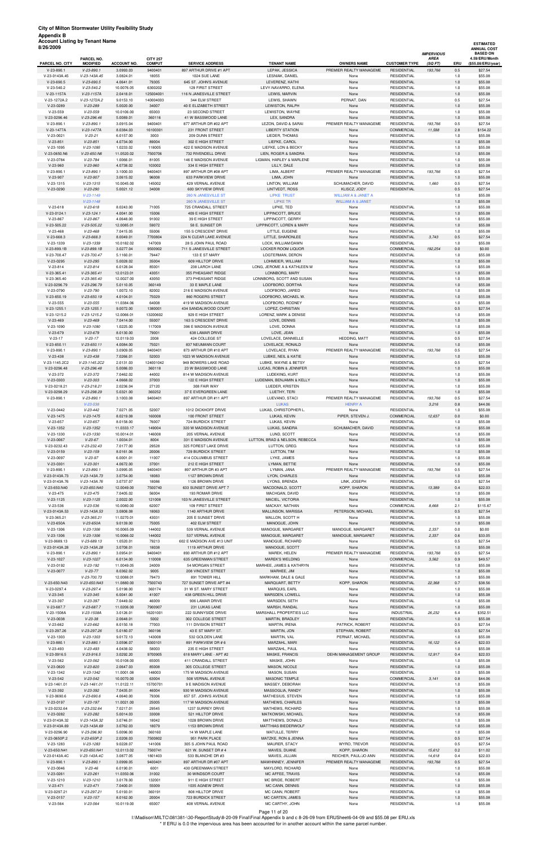| <b>ESTIMATED</b>   |
|--------------------|
| <b>ANNUAL COST</b> |
| <b>BASED ON</b>    |
| 4.59/ERU/Month     |

|                               | PARCEL NO.                     |                          | <b>CITY 257</b>      |                                                          |                                                  |                                                                |                                          | <b>IMPERVIOUS</b><br><b>AREA</b> |                | ANNUAL COST<br><b>BASED ON</b><br>4.59/ERU/Month |
|-------------------------------|--------------------------------|--------------------------|----------------------|----------------------------------------------------------|--------------------------------------------------|----------------------------------------------------------------|------------------------------------------|----------------------------------|----------------|--------------------------------------------------|
| PARCEL NO. CITY               | <b>MODIFIED</b>                | <b>ACCOUNT NO.</b>       | <b>COMPUT</b>        | <b>SERVICE ADDRESS</b>                                   | <b>TENANT NAME</b>                               | <b>OWNERS NAME</b>                                             | <b>CUSTOMER TYPE</b>                     | (SQFT)                           | ERU            | (\$55.08/ERU/year)                               |
| $V-23-890.1$<br>V-23-0143A.45 | $V-23-890.1$<br>V-23-143A.45   | 3.0993.03<br>3.0824.01   | 9400401<br>18055     | 897 ARTHUR DRIVE #1 APT<br>1024 SUE LANE                 | LEPAK, JESSICA<br>LESNIAK, DANIEL                | PREMIER REALTY MANAGEME<br>None                                | <b>RESIDENTIAL</b><br><b>RESIDENTIAL</b> | 193,766                          | 0.5<br>1.0     | \$27.54<br>\$55.08                               |
| $V-23-690.5$                  | $V-23-690.5$                   | 4.0641.01                | 79305                | 645 ST. JOHN'S AVENUE                                    | LEVERENZ, KATHI                                  | None                                                           | <b>RESIDENTIAL</b>                       |                                  | 1.0            | \$55.08                                          |
| $V-23-540.2$<br>V-23-1157A    | $V-23-540.2$<br>$V-23-1157A$   | 10.0076.05<br>2.0418.01  | 6300202<br>125004001 | 129 FIRST STREET<br>116 N JANESVILLE STREET              | LEVY-NAVARRO, ELENA<br>LEWIS, MARVIN             | None<br>None                                                   | <b>RESIDENTIAL</b><br><b>RESIDENTIAL</b> |                                  | 1.0<br>1.0     | \$55.08<br>\$55.08                               |
| V-23-1272A.2                  | V-23-1272A.2                   | 9.0153.10                | 140004003            | 344 ELM STREET                                           | LEWIS, SHAWN                                     | PERNAT, DAN                                                    | <b>RESIDENTIAL</b>                       |                                  | 0.5            | \$27.54                                          |
| V-23-0289<br>$V-23-559$       | $V-23-289$<br>$V-23-559$       | 5.0020.00<br>10.0106.00  | 34007<br>65003       | 40 E ELIZABETH STREET<br>23 SECOND STREET                | LEWISTON, RALPH<br>LEWISTON, WAYNE               | None<br>None                                                   | <b>RESIDENTIAL</b><br><b>RESIDENTIAL</b> |                                  | 1.0<br>1.0     | \$55.08<br>\$55.08                               |
| V-23-0296.46                  | $V-23-296.46$                  | 5.0089.01                | 360116               | 41 W BASSWOOD LANE                                       | LEX, SANDRA                                      | None                                                           | <b>RESIDENTIAL</b>                       |                                  | 1.0            | \$55.08                                          |
| V-23-890.1<br>V-23-1477A      | $V-23-890.1$<br>V-23-1477A     | 3.0915.04<br>8.0384.03   | 9400401<br>16100301  | 877 ARTHUR DR #02 APT<br>231 FRONT STREET                | LEZON, DAVID & SARAI<br><b>LIBERTY STATION</b>   | PREMIER REALTY MANAGEME<br>None                                | <b>RESIDENTIAL</b><br><b>COMMERCIAL</b>  | 193,766<br>11,588                | 0.5<br>2.8     | \$27.54<br>\$154.22                              |
| V-23-0021                     | $V-23-21$                      | 6.0157.00                | 3003                 | 209 DUNN STREET                                          | LIEDER, THOMAS                                   | None                                                           | <b>RESIDENTIAL</b>                       |                                  | 1.0            | \$55.08                                          |
| $V-23-851$<br>$V-23-1095$     | $V-23-851$<br>$V-23-1095$      | 4.0734.00<br>1.0233.02   | 89004<br>118005      | 302 E HIGH STREET<br>422 E MADISON AVENUE                | LIEFKE, CAROL<br>LIEFKE, LON & BECKY             | None<br>None                                                   | <b>RESIDENTIAL</b><br><b>RESIDENTIAL</b> |                                  | 1.0<br>1.0     | \$55.08<br>\$55.08                               |
| V-23-0650.N6                  | V-23-650.N6                    | 11.0520.02               | 7500706              | 732 RIVENDELL DRIVE                                      | LIEN, ROGER & SANDRA                             | None                                                           | <b>RESIDENTIAL</b>                       |                                  | 1.0            | \$55.08                                          |
| V-23-0784<br>$V-23-960$       | $V-23-784$<br>$V-23-960$       | 1.0066.01<br>4.0738.02   | 81005<br>103002      | 146 E MADISON AVENUE<br>334 E HIGH STREET                | LIGMAN, HARLEY & MARLENE<br>LILLY, DALE          | None<br>None                                                   | <b>RESIDENTIAL</b><br><b>RESIDENTIAL</b> |                                  | 1.0<br>1.0     | \$55.08<br>\$55.08                               |
| V-23-890.1                    | $V-23-890.1$                   | 3.1000.03                | 9400401              | 897 ARTHUR DR #08 APT                                    | LIMA, ALBERT                                     | PREMIER REALTY MANAGEME                                        | <b>RESIDENTIAL</b>                       | 193,766                          | 0.5            | \$27.54                                          |
| $V-23-907$<br>$V-23-1315$     | $V-23-907$<br>$V-23-1315$      | 3.0615.02<br>10.0045.00  | 96008<br>145002      | 633 PARKVIEW DRIVE<br>429 VERNAL AVENUE                  | LIMA, JOHN<br>LINTON, WILLIAM                    | None<br>SCHUMACHER, DAVID                                      | <b>RESIDENTIAL</b><br><b>RESIDENTIAL</b> | 1,660                            | 1.0<br>0.5     | \$55.08<br>\$27.54                               |
| V-23-0290                     | $V-23-290$                     | 5.0021.12                | 34008                | 600 SKYVIEW DRIVE                                        | LINTVEDT, ROSS                                   | KLISCZ, JODY                                                   | <b>RESIDENTIAL</b>                       |                                  | 0.5            | \$27.54                                          |
|                               | $V-23-1149$<br>$V-23-1148$     |                          |                      | <b>260 N JANESVILLE ST</b><br><b>260 N JANESVILLE ST</b> | <b>LIPKE TRUST</b><br><b>LIPKE TR</b>            | <b>WILLIAM A &amp; JANET A</b><br><b>WILLIAM A &amp; JANET</b> |                                          |                                  | 1.0<br>1.0     | \$55.08<br>\$55.08                               |
| $V-23-618$<br>V-23-0124.1     | $V-23-618$                     | 8.0243.00                | 71005                | 725 CRANDALL STREET                                      | LIPKE, TED                                       | None<br>None                                                   | <b>RESIDENTIAL</b><br><b>RESIDENTIAL</b> |                                  | 1.0            | \$55.08                                          |
| V-23-867                      | $V-23-124.1$<br>$V-23-867$     | 4.0041.00<br>4.0648.00   | 15006<br>91002       | 409 E HIGH STREET<br>39 E HIGH STREET                    | LIPPINCOTT, BRUCE<br>LIPPINCOTT, GERRY           | None                                                           | <b>RESIDENTIAL</b>                       |                                  | 1.0<br>1.0     | \$55.08<br>\$55.08                               |
| $V-23-505.22$<br>$V-23-468$   | $V-23-505.22$<br>$V-23-468$    | 12.0085.01<br>7.0415.05  | 59072<br>55006       | 58 E. SUNSET DR<br>155 S CRESCENT DRIVE                  | LIPPINCOTT, LOREN & MARY<br>LITTLE, EUGENE       | None<br>None                                                   | <b>RESIDENTIAL</b><br><b>RESIDENTIAL</b> |                                  | 1.0<br>1.0     | \$55.08<br>\$55.08                               |
| $V-23-668.3$                  | $V-23-668.3$                   | 8.0049.01                | 7700804              | 224 N CLEAR LAKE AVENUE                                  | LITTLE, SHARONLEE                                | None                                                           | <b>RESIDENTIAL</b>                       | 3,743                            | 0.5            | \$27.54                                          |
| V-23-1339<br>V-23-899.1B      | $V-23-1339$<br>$V-23-899.1B$   | 10.0182.02<br>3.0277.04  | 147009<br>9500902    | 28 S JOHN PAUL ROAD<br>711 S JANESVILLE STREET           | LOCK, WILLIAM/DAWN<br>LOCKER ROOM LIQUOR         | None<br>None                                                   | <b>RESIDENTIAL</b><br><b>COMMERCIAL</b>  | 192,254                          | 1.0<br>0.0     | \$55.08<br>\$0.00                                |
| V-23-700.47                   | V-23-700.47                    | 5.1160.01                | 79447                | 133 E ST MARY                                            | LOGTERMAN, DERON                                 | None                                                           | <b>RESIDENTIAL</b>                       |                                  | 1.0            | \$55.08                                          |
| V-23-0295<br>$V-23-814$       | $V-23-295$<br>$V-23-814$       | 5.0028.02<br>6.0128.04   | 35004<br>85001       | 609 HILLTOP DRIVE<br>238 LARCH LANE                      | LOHMEIER, WILLIAM<br>LONG, JEROME A & KATHLEEN M | None<br>None                                                   | <b>RESIDENTIAL</b><br><b>RESIDENTIAL</b> |                                  | 1.0<br>1.0     | \$55.08<br>\$55.08                               |
| $V-23-365.41$                 | $V-23-365.41$                  | 12.0123.01               | 43051                | 355 PHEASANT RIDGE                                       | LONNBORG, MARY                                   | None                                                           | <b>RESIDENTIAL</b>                       |                                  | 1.0            | \$55.08                                          |
| V-23-365.40<br>V-23-0296.79   | $V-23-365.40$<br>$V-23-296.79$ | 12.0027.00               | 43050<br>360149      | 373 PHEASANT RIDGE<br>33 E MAPLE LANE                    | LONNBORG, SCOTT AND SUSAN<br>LOOFBORO, DORTHA    | None<br>None                                                   | <b>RESIDENTIAL</b><br><b>RESIDENTIAL</b> |                                  | 1.0<br>1.0     | \$55.08<br>\$55.08                               |
| V-23-0790                     | $V-23-790$                     | 5.0110.05<br>1.0072.10   | 82002                | 216 E MADISON AVENUE                                     | LOOFBORO, JARED                                  | None                                                           | <b>RESIDENTIAL</b>                       |                                  | 1.0            | \$55.08                                          |
| $V-23-650.19$<br>$V-23-555$   | $V-23-650.19$<br>$V-23-555$    | 4.0104.01                | 75029<br>64008       | 860 ROGERS STREET                                        | LOOFBORO, MICHAEL W.                             | None                                                           | <b>RESIDENTIAL</b>                       |                                  | 1.0<br>1.0     | \$55.08                                          |
| $V-23-1255.1$                 | $V-23-1255.1$                  | 11.0384.06<br>9.0072.00  | 1380001              | 419 W MADISON AVENUE<br>434 SANDALWOOD COURT             | LOOFBORO, RODNEY<br>LOPEZ, CHRISTIAN             | None<br>None                                                   | <b>RESIDENTIAL</b><br><b>RESIDENTIAL</b> |                                  | 0.5            | \$55.08<br>\$27.54                               |
| V-23-1215.2                   | $V-23-1215.2$                  | 12.0066.01               | 13200602             | 929 E HIGH STREET                                        | LORENZ, MARK & DENISE                            | None                                                           | <b>RESIDENTIAL</b>                       |                                  | 1.0            | \$55.08                                          |
| $V-23-469$<br>V-23-1090       | $V-23-469$<br>$V-23-1090$      | 7.0414.00<br>1.0225.00   | 55007<br>117009      | 163 S CRESCENT DRIVE<br>396 E MADISON AVENUE             | LOVE, DENNIS<br>LOVE, DONNA                      | None<br>None                                                   | <b>RESIDENTIAL</b><br><b>RESIDENTIAL</b> |                                  | 1.0<br>1.0     | \$55.08<br>\$55.08                               |
| $V-23-679$                    | $V-23-679$                     | 8.0130.00                | 79001                | 638 LAMAR DRIVE                                          | LOVE, JEAN                                       | None                                                           | <b>RESIDENTIAL</b>                       |                                  | 1.0            | \$55.08                                          |
| $V-23-17$<br>V-23-650.11      | $V-23-17$<br>$V-23-650.11$     | 12.0119.03<br>4.0084.00  | 2008<br>75021        | 424 COLLEGE ST<br>837 NEUMANN COURT                      | LOVELACE, DANNIELLE<br>LOVELACE, RONALD          | HEDDING, MATT<br>None                                          | <b>RESIDENTIAL</b><br><b>RESIDENTIAL</b> |                                  | 0.5<br>1.0     | \$27.54<br>\$55.08                               |
| $V-23-890.1$                  | $V-23-890.1$                   | 3.0909.05                | 9400401              | 873 ARTHUR DR #10 APT                                    | LOVELACE, RYAN                                   | PREMIER REALTY MANAGEME                                        | <b>RESIDENTIAL</b>                       | 193,766                          | 0.5            | \$27.54                                          |
| $V-23-438$<br>V-23-1145.2C2   | $V-23-438$<br>V-23-1145.2C2    | 7.0266.01<br>2.0131.03   | 52003<br>124001042   | 1023 W MADISON AVENUE<br>949 BOWERS LAKE ROAD            | LUBKE, NEIL & KATIE<br>LUBKE, WAYNE & BETSY      | None<br>None                                                   | <b>RESIDENTIAL</b><br><b>RESIDENTIAL</b> |                                  | 1.0<br>0.5     | \$55.08<br>\$27.54                               |
| V-23-0296.48                  | $V-23-296.48$                  | 5.0086.03                | 360118               | 23 W BASSWOOD LANE                                       | LUCAS, ROBIN & JENNIFER                          | None                                                           | <b>RESIDENTIAL</b>                       |                                  | 1.0            | \$55.08                                          |
| $V-23-372$<br>$V-23-0303$     | $V-23-372$<br>$V-23-303$       | 7.0462.02<br>4.0668.02   | 44002<br>37003       | 814 W MADISON AVENUE<br>122 E HIGH STREET                | LUDEKING, KURT<br>LUDEMAN, BENJAMIN & KELLY      | None<br>None                                                   | <b>RESIDENTIAL</b><br><b>RESIDENTIAL</b> |                                  | 1.0<br>1.0     | \$55.08<br>\$55.08                               |
| V-23-0218.21                  | $V-23-218.21$                  | 2.0236.04                | 27120                | 308 FAIR WAY                                             | LUEDER, KRISTEN                                  | None                                                           | <b>RESIDENTIAL</b>                       |                                  | 1.0            | \$55.08                                          |
| V-23-0298.29<br>V-23-890.1    | $V-23-298.29$<br>$V-23-890.1$  | 5.0321.00<br>3.1003.08   | 360252<br>9400401    | 37 E EVERGREEN LANE<br>897 ARTHUR DR #11 APT             | LUETHY, TERI<br>LUEVANO, STACI                   | None<br>PREMIER REALTY MANAGEME                                | <b>RESIDENTIAL</b><br><b>RESIDENTIAL</b> | 193,766                          | 1.0<br>0.5     | \$55.08<br>\$27.54                               |
|                               | $V-23-538$                     |                          |                      |                                                          | <b>LUKAS</b>                                     | <b>HENRY A</b>                                                 |                                          | 3,216                            | $0.8\,$        | \$44.06                                          |
| V-23-0442<br>$V-23-1475$      | $V-23-442$<br>$V-23-1475$      | 7.0271.05<br>8.0219.08   | 52007<br>160008      | 1012 DICKHOFF DRIVE<br>100 FRONT STREET                  | LUKAS, CHRISTOPHER L.<br>LUKAS, KEVIN            | None<br>PIPER, STEVEN J.                                       | <b>RESIDENTIAL</b><br>COMMERCIAL         | 12,637                           | 1.0<br>0.0     | \$55.08<br>\$0.00                                |
| $V-23-657$                    | $V-23-657$                     | 8.0158.00                | 76007                | 724 BURDICK STREET                                       | LUKAS, KEVIN                                     | None                                                           | <b>RESIDENTIAL</b>                       |                                  | 1.0            | \$55.08                                          |
| $V-23-1352$<br>V-23-1330      | $V-23-1352$<br>$V-23-1330$     | 11.0333.17<br>10.0014.01 | 149004<br>146008     | 320 W MADISON AVENUE<br>205 VERNAL AVENUE                | LUKAS, SANDRA<br>LUND, SCOTT                     | SCHUMACHER, DAVID<br>None                                      | <b>RESIDENTIAL</b><br><b>RESIDENTIAL</b> |                                  | 1.0<br>1.0     | \$55.08<br>\$55.08                               |
| V-23-0067                     | $V-23-67$                      | 1.0034.01                | 8004                 | 331 E MADISON AVENUE                                     | LUTTON, BRAD & NELSON, REBECCA                   | None                                                           | <b>RESIDENTIAL</b>                       |                                  | 1.0            | \$55.08                                          |
| V-23-0232.43<br>V-23-0159     | V-23-232.43<br>$V-23-159$      | 7.0177.00<br>8.0161.06   | 29528<br>20006       | 325 FOREST LAKE DRIVE<br>729 BURDICK STREET              | LUTTON, GREG<br>LUTTON, TIM                      | None<br>None                                                   | <b>RESIDENTIAL</b><br><b>RESIDENTIAL</b> |                                  | 1.0<br>$1.0$   | \$55.08<br>\$55.08                               |
| V-23-0097                     | $V-23-97$                      | 6.0001.01                | 11007                | 414 COLUMBUS STREET                                      | LYKE, JAMES                                      | None                                                           | <b>RESIDENTIAL</b>                       |                                  | 1.0            | \$55.08                                          |
| V-23-0301<br>V-23-890.1       | $V-23-301$<br>$V-23-890.1$     | 4.0672.00<br>3.0995.05   | 37001<br>9400401     | 212 E HIGH STREET<br>897 ARTHUR DR #3 APT                | LYMAN, BETTIE<br>LYMAN, JANA                     | None<br>PREMIER REALTY MANAGEME                                | <b>RESIDENTIAL</b><br><b>RESIDENTIAL</b> | 193,766                          | 1.0<br>0.5     | \$55.08<br>\$27.54                               |
| V-23-0143A.73                 | V-23-143A.73                   | 3.0754.00                | 18083                | 1127 BROWN DRIVE                                         | LYON, CHARLES                                    | None                                                           | <b>RESIDENTIAL</b>                       |                                  | 1.0            | \$55.08                                          |
| V-23-0143A.76<br>V-23-650.N40 | V-23-143A.76<br>V-23-650.N40   | 3.0737.07<br>12.0049.00  | 18086<br>7500740     | 1126 BROWN DRIVE<br>633 SUNSET DRIVE APT 7               | LYONS, BRENDA<br>MACDONALD, SCOTT                | LINK, JOSEPH<br>KOPP, SHARON                                   | <b>RESIDENTIAL</b><br><b>RESIDENTIAL</b> | 13,389                           | 0.5<br>0.4     | \$27.54<br>\$22.03                               |
| $V-23-475$                    | $V-23-475$                     | 7.0405.02                | 56004                | 193 ROMAR DRIVE                                          | MACHGAN, DAVID                                   | None                                                           | <b>RESIDENTIAL</b>                       |                                  | 1.0            | \$55.08                                          |
| $V-23-1125$<br>$V-23-536$     | $V-23-1125$<br>$V-23-536$      | 2.0022.00<br>10.0080.00  | 121008<br>62007      | 103 N JANESVILLE STREET<br>109 FIRST STREET              | MACIEL, VICTORIA<br>MACKAY, NATHAN               | None<br>None                                                   | <b>RESIDENTIAL</b><br>COMMERCIAL         | 8,668                            | $1.0$<br>2.1   | \$55.08<br>\$115.67                              |
| V-23-0143A.53                 | V-23-143A.53                   | 3.0808.08                | 18063                | 1140 ARTHUR DRIVE                                        | MALLINSON, MARISSA                               | PETERSON, MICHAEL                                              | <b>RESIDENTIAL</b>                       |                                  | 0.5            | \$27.54                                          |
| V-23-365.21<br>V-23-650A      | $V-23-365.21$<br>V-23-650A     | 11.0270.01<br>9.0139.00  | 43031<br>75005       | 205 E SUNSET DRIVE<br>402 ELM STREET                     | MALLON, SCOTT H<br>MANOGUE, JOHN                 | None<br>None                                                   | <b>RESIDENTIAL</b><br><b>RESIDENTIAL</b> |                                  | 1.0<br>1.0     | \$55.08<br>\$55.08                               |
| $V-23-1306$                   | $V-23-1306$                    | 10.0065.09               | 144002               | 539 VERNAL AVENUE                                        | MANOGUE, MARGARET                                | MANOGUE, MARGARET                                              | <b>RESIDENTIAL</b>                       | 2,337                            | 0.0            | \$0.00                                           |
| $V-23-1306$<br>V-23-0689.13   | $V-23-1306$<br>$V-23-689.13$   | 10.0066.02<br>1.0520.01  | 144002<br>79213      | 537 VERNAL AVENUE<br>602 E MADISON AVE #13 UNIT          | MANOGUE, MARGARET<br>MANOGUE, RICHARD            | MANOGUE, MARGARET<br>None                                      | <b>RESIDENTIAL</b><br><b>RESIDENTIAL</b> | 2,337                            | 0.6<br>0.5     | \$33.05<br>\$27.54                               |
| V-23-0143A.28                 | V-23-143A.28                   | 3.0708.01                | 18038                | 1119 ARTHUR DRIVE                                        | MANOGUE, SCOTT                                   | None                                                           | <b>RESIDENTIAL</b>                       |                                  | 1.0            | \$55.08                                          |
| V-23-890.1<br>V-23-1027       | $V-23-890.1$<br>$V-23-1027$    | 3.0954.01<br>6.0134.00   | 9400401<br>110008    | 893 ARTHUR DR #12 APT<br>635 GREENMAN STREET             | MAREK, HELEN<br><b>MAREK'S WELDING</b>           | PREMIER REALTY MANAGEME<br>None                                | <b>RESIDENTIAL</b><br>COMMERCIAL         | 193,766<br>3,562                 | 0.5<br>0.9     | \$27.54<br>\$49.57                               |
| V-23-0192                     | $V-23-192$                     | 11.0049.05               | 24009                | 54 MORGAN STREET                                         | MARHEE, JAMES & KATHRYN                          | None                                                           | <b>RESIDENTIAL</b>                       |                                  | 1.0            | \$55.08                                          |
| V-23-0077                     | $V-23-77$<br>V-23-700.73       | 8.0362.02<br>12.0088.01  | 9005<br>79473        | 208 VINCENT STREET<br>891 TOWER HILL                     | MARHEE, JIM<br>MARKHAM, DALE & GALE              | None<br>None                                                   | <b>RESIDENTIAL</b><br><b>RESIDENTIAL</b> |                                  | 1.0<br>1.0     | \$55.08<br>\$55.08                               |
| V-23-650.N43                  | V-23-650.N43                   | 11.0880.00               | 7500743              | 727 SUNSET DRIVE APT #4                                  | MARQUART, BETTY                                  | KOPP, SHARON                                                   | <b>RESIDENTIAL</b>                       | 22,368                           | 0.7            | \$38.56                                          |
| V-23-0297.4<br>$V-23-345$     | $V-23-297.4$<br>$V-23-345$     | 5.0198.00<br>6.0041.00   | 360174<br>41007      | 31 W ST. MARY STREET<br>438 GREEN HILL DRIVE             | MARQUIS, EARL<br>MARSDEN, LOWELL                 | None<br>None                                                   | <b>RESIDENTIAL</b><br><b>RESIDENTIAL</b> |                                  | 1.0<br>$1.0$   | \$55.08<br>\$55.08                               |
| V-23-397                      | $V-23-397$                     | 7.0449.02                | 46009                | 906 LAMAR DRIVE                                          | MARSDEN, SETH                                    | None                                                           | <b>RESIDENTIAL</b>                       |                                  | 1.0            | \$55.08                                          |
| V-23-687.7<br>V-23-1508A      | $V-23-687.7$<br>V-23-1508A     | 11.0206.00<br>3.0126.01  | 7900907<br>16201001  | 231 LUKAS LANE<br>222 SUNNYSIDE DRIVE                    | MARSH, RANDAL<br>MARSHALL PROPERTIES LLC         | None<br>None                                                   | <b>RESIDENTIAL</b><br><b>INDUSTRIAL</b>  | 26,232                           | $1.0\,$<br>6.4 | \$55.08<br>\$352.51                              |
| V-23-0038                     | $V-23-38$                      | 2.0648.01                | 5002                 | 302 COLLEGE STREET                                       | MARTIN, BRADLEY                                  | None                                                           | <b>RESIDENTIAL</b>                       |                                  | 1.0            | \$55.08                                          |
| V-23-662<br>V-23-297.26       | $V-23-662$<br>$V-23-297.26$    | 8.0150.18<br>5.0180.07   | 77003<br>360196      | 111 DIVISION STREET<br>43 E ST MARY ST.                  | <b>MARTIN, IRENA</b><br>MARTIN, JON              | PATRICK, ROBERT<br>STEPHAN, ROBERT                             | <b>RESIDENTIAL</b><br><b>RESIDENTIAL</b> |                                  | 0.5<br>0.5     | \$27.54<br>\$27.54                               |
| $V-23-1303$                   | $V-23-1303$                    | 9.0172.13                | 143008               | 532 GOLDEN LANE                                          | MARTIN, VAL                                      | PERNAT, MICHAEL                                                | <b>RESIDENTIAL</b>                       |                                  | 1.0            | \$55.08                                          |
| $V-23-880.1$<br>$V-23-493$    | $V-23-880.1$<br>$V-23-493$     | 3.0596.07<br>4.0438.02   | 9300101<br>58003     | 891 PARKVIEW DR #6<br>235 E HIGH STREET                  | MARZAHL, MARI<br>MARZAHL, PAUL                   | None<br>None                                                   | <b>RESIDENTIAL</b><br><b>RESIDENTIAL</b> | 16,122                           | 0.4<br>1.0     | \$22.03<br>\$55.08                               |
| V-23-0916.5                   | $V-23-916.5$                   | 3.0292.20                | 9700905              | 618 MARY LANE - APT #2                                   | MASKE, FRANCIS                                   | DEHN MANAGEMENT GROUP                                          | <b>RESIDENTIAL</b>                       | 12,917                           | 0.4            | \$22.03                                          |
| $V-23-562$<br>V-23-0820       | $V-23-562$<br>$V-23-820$       | 10.0108.00<br>2.0647.03  | 65005<br>85008       | 411 CRANDALL STREET<br>305 COLLEGE STREET                | MASKE, JOHN<br>MASON, NICOLE                     | None<br>None                                                   | <b>RESIDENTIAL</b><br><b>RESIDENTIAL</b> |                                  | 1.0<br>1.0     | \$55.08<br>\$55.08                               |
| V-23-1342                     | $V-23-1342$                    | 11.0001.08               | 148003               | 175 W MADISON AVENUE                                     | MASON, SUSAN                                     | None                                                           | <b>RESIDENTIAL</b>                       |                                  | 1.0            | \$55.08                                          |
| $V-23-542$<br>V-23-1461.01    | $V-23-542$<br>V-23-1461.01     | 10.0070.00<br>11.0122.11 | 63004<br>15700701    | 508 VERNAL AVENUE<br>9 E MADISON AVENUE                  | <b>MASONIC TEMPLE</b><br>MASSEY, DEBORAH         | None<br>None                                                   | COMMERCIAL<br><b>RESIDENTIAL</b>         | 3,141                            | 0.8<br>1.0     | \$44.06<br>\$55.08                               |
| $V-23-392$                    | $V-23-392$                     | 7.0435.01                | 46004                | 930 W MADISON AVENUE                                     | MASSOGLIA, RANDY                                 | None                                                           | <b>RESIDENTIAL</b>                       |                                  | 1.0            | \$55.08                                          |
| V-23-0690.6<br>V-23-0197      | $V-23-690.6$<br>$V-23-197$     | 4.0640.00<br>11.0021.00  | 79306<br>25005       | 657 ST. JOHN'S AVENUE<br>117 W MADISON AVENUE            | MATHESIUS, STEVEN<br>MATHEWS, CHARLES            | None<br>None                                                   | <b>RESIDENTIAL</b><br><b>RESIDENTIAL</b> |                                  | 1.0<br>1.0     | \$55.08<br>\$55.08                               |
| V-23-0232.64                  | V-23-232.64                    | 7.0217.01                | 29545                | 1237 SURREY DRIVE                                        | MATHEWS, RICHARD                                 | None                                                           | <b>RESIDENTIAL</b>                       |                                  | 1.0            | \$55.08                                          |
| V-23-0282<br>V-23-0143A.32    | $V-23-282$<br>V-23-143A.32     | 5.0014.03<br>3.0746.01   | 33008<br>18042       | 521 HILLTOP DRIVE<br>1028 BROWN DRIVE                    | MATKOWSKI, MICHAEL<br>MATTHEWS, DONALD           | None<br>None                                                   | <b>RESIDENTIAL</b><br><b>RESIDENTIAL</b> |                                  | 1.0<br>1.0     | \$55.08<br>\$55.08                               |
| V-23-0143A.69                 | V-23-143A.69                   | 3.0762.03                | 18079                | 1153 BROWN DRIVE                                         | <b>MATTHIAS BIEDERWOLF</b>                       | None                                                           | <b>RESIDENTIAL</b>                       |                                  | 1.0            | \$55.08                                          |
| V-23-0296.90<br>V-23-0650P.2  | V-23-296.90<br>$V-23-650P.2$   | 5.0096.00<br>2.0208.03   | 360160<br>7500802    | 14 W MAPLE LANE<br>951 PARK PLACE                        | MATULLE, TERRY<br>MATZKE, RON & JENNA            | None<br>None                                                   | <b>RESIDENTIAL</b><br><b>RESIDENTIAL</b> |                                  | 1.0<br>0.5     | \$55.08<br>\$27.54                               |
| V-23-1283                     | $V-23-1283$                    | 9.0228.07                | 141006               | 305 S JOHN PAUL ROAD                                     | MAURER, STACY                                    | WYRO, TREVOR                                                   | <b>RESIDENTIAL</b>                       |                                  | 0.5            | \$27.54                                          |
| V-23-650.N41<br>V-23-0143A.4C | V-23-650.N41<br>V-23-143A.4C   | 12.0113.02<br>3.0877.05  | 7500741<br>1801403   | 621 W. SUNSET DR # 4<br>533 BLANCHE DR #3                | MAVES, DUANE<br>MAVES, JILLIAN                   | KOPP, SHARON<br>REICHER, PAUL/JO ANN                           | <b>RESIDENTIAL</b><br><b>RESIDENTIAL</b> | 15,612<br>14,618                 | 0.2<br>0.4     | \$11.02<br>\$22.03                               |
| $V-23-890.1$                  | $V-23-890.1$                   | 3.0999.05                | 9400401              | 897 ARTHUR DR #07 APT                                    | MAWHINNEY, JENNIFER                              | PREMIER REALTY MANAGEME                                        | <b>RESIDENTIAL</b>                       | 193,766                          | 0.5            | \$27.54                                          |
| V-23-0046<br>V-23-0261        | $V-23-46$<br>$V-23-261$        | 6.0190.01<br>11.0350.06  | 6001<br>31002        | 430 GREENMAN STREET                                      | MAYLORD, RICHARD<br>MC AFFEE, TRAVIS             | None                                                           | <b>RESIDENTIAL</b><br><b>RESIDENTIAL</b> |                                  | 1.0<br>1.0     | \$55.08<br>\$55.08                               |
| $V-23-1210$                   | $V-23-1210$                    | 3.0178.00                | 132001               | 30 WINDSOR COURT<br>911 E HIGH STREET                    | MC BRIDE, ROBERT                                 | None<br>None                                                   | <b>RESIDENTIAL</b>                       |                                  | 1.0            | \$55.08                                          |
| $V-23-471$                    | $V-23-471$                     | 7.0400.01                | 55009                | 1035 AGNEW DRIVE                                         | MC CANN, DENNIS                                  | None                                                           | <b>RESIDENTIAL</b>                       |                                  | 1.0            | \$55.08                                          |
| V-23-0297.21<br>V-23-0157     | V-23-297.21<br>$V-23-157$      | 5.0193.01<br>8.0162.00   | 360191<br>20004      | 808 HILLTOP DRIVE<br>723 BURDICK STREET                  | MC CANN, ROBERT<br>MC CARTEN, JAMES              | None<br>None                                                   | <b>RESIDENTIAL</b><br><b>RESIDENTIAL</b> |                                  | 1.0<br>1.0     | \$55.08<br>\$55.08                               |
| V-23-564                      | $V-23-564$                     | 10.0119.00               | 65007                | 408 VERNAL AVENUE                                        | MC CARTHY, JOHN                                  | None                                                           | <b>RESIDENTIAL</b>                       |                                  | 1.0            | \$55.08                                          |

Page 11 of 20

I:\Madison\MILTC\081381-\30-ReportStudy\8-20-09 Final\Final Appendix b and c 8-26-09 from ERUSheet6-04-09 and \$55.08 per ERU.xls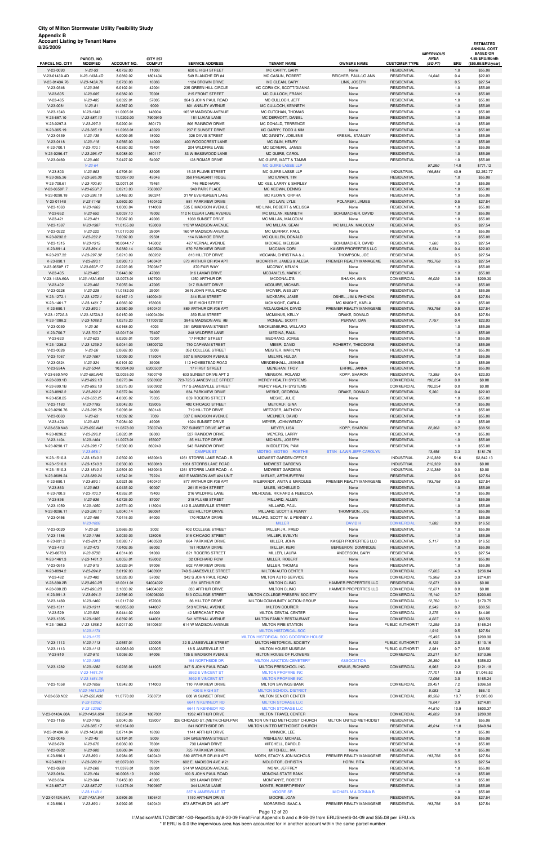| <b>Account Listing by Tenant Name</b><br>8/26/2009 | PARCEL NO.                   |                         | <b>CITY 257</b>   |                                              |                                       |                              |                                          | <b>IMPERVIOUS</b><br><b>AREA</b> |            | <b>ESTIMATED</b><br><b>ANNUAL COST</b><br><b>BASED ON</b><br>4.59/ERU/Month |
|----------------------------------------------------|------------------------------|-------------------------|-------------------|----------------------------------------------|---------------------------------------|------------------------------|------------------------------------------|----------------------------------|------------|-----------------------------------------------------------------------------|
| PARCEL NO. CITY                                    | <b>MODIFIED</b>              | <b>ACCOUNT NO.</b>      | <b>COMPUT</b>     | <b>SERVICE ADDRESS</b>                       | <b>TENANT NAME</b>                    | <b>OWNERS NAME</b>           | <b>CUSTOMER TYPE</b>                     | (SQFT)                           | ERU        | (\$55.08/ERU/year)                                                          |
| V-23-0093                                          | $V-23-93$                    | 4.0752.00               | 11003             | 620 E HIGH STREET<br>549 BLANCHE DR #4       | MC CARTY, GARY                        | None<br>REICHER, PAUL/JO ANN | <b>RESIDENTIAL</b>                       |                                  | 1.0        | \$55.08                                                                     |
| V-23-0143A.4D<br>V-23-0143A.76                     | V-23-143A.4D<br>V-23-143A.76 | 3.0869.02<br>3.0738.08  | 1801404<br>18086  | 1124 BROWN DRIVE                             | MC CASLIN, ROBERT<br>MC CLEAN, GARY   | LINK, JOSEPH                 | <b>RESIDENTIAL</b><br><b>RESIDENTIAL</b> | 14,646                           | 0.4<br>0.5 | \$22.03<br>\$27.54                                                          |
| V-23-0346                                          | $V-23-346$                   | 6.0102.01               | 42001             | 235 GREEN HILL CIRCLE                        | MC CORMICK, SCOTT/DIANNA              | None                         | <b>RESIDENTIAL</b>                       |                                  | 1.0        | \$55.08                                                                     |
| $V-23-605$                                         | $V-23-605$                   | 8.0382.00               | 70001             | 215 FRONT STREET                             | MC CULLOCH, FRANK                     | None                         | <b>RESIDENTIAL</b>                       |                                  | 1.0        | \$55.08                                                                     |
| $V-23-485$                                         | $V-23-485$                   | 9.0322.01               | 57005             | 364 S JOHN PAUL ROAD                         | MC CULLOCH, JEFF                      | None                         | <b>RESIDENTIAL</b>                       |                                  | 1.0        | \$55.08                                                                     |
| V-23-0081                                          | $V-23-81$                    | 8.0367.00               | 9009              | 801 ANSLEY AVENUE                            | MC CULLOCH, KENNETH                   | None                         | <b>RESIDENTIAL</b>                       |                                  | 1.0        | \$55.08                                                                     |
| V-23-1343                                          | $V-23-1343$                  | 11.0005.01              | 148004            | 165 W MADISON AVENUE                         | MC CUTCHAN, THOMAS                    | None                         | <b>RESIDENTIAL</b>                       |                                  | 1.0        | \$55.08                                                                     |
| V-23-687.10                                        | V-23-687.10                  | 11.0202.00              | 7900910           | 151 LUKAS LANE                               | MC DERMOTT, DANIEL                    | None                         | <b>RESIDENTIAL</b>                       |                                  | 1.0        | \$55.08                                                                     |
| V-23-0297.3                                        | V-23-297.3                   | 5.0200.01               | 360173            | 806 RAINBOW DRIVE                            | MC DONALD, TERRENCE                   | None                         | <b>RESIDENTIAL</b>                       |                                  | 1.0        | \$55.08                                                                     |
| V-23-365.19                                        | V-23-365.19                  | 11.0266.01              | 43029             | 237 E SUNSET DRIVE                           | MC GARRY, TODD & KIM                  | None                         | <b>RESIDENTIAL</b>                       |                                  | 1.0        | \$55.08                                                                     |
| V-23-0139                                          | $V-23-139$                   | 6.0009.05               | 18002             | 328 DAVIS STREET                             | MC GINNITY, JOELENE                   | KRESAL, STANLEY              | <b>RESIDENTIAL</b>                       |                                  | 1.0        | \$55.08                                                                     |
| $V-23-0118$                                        | $V-23-118$                   | 3.0565.00               | 14009             | 400 WOODCREST LANE<br>204 WILDFIRE LANE      | MC GLIN, HENRY<br>MC GOVERN, JAMES    | None                         | <b>RESIDENTIAL</b>                       |                                  | 1.0        | \$55.08                                                                     |
| $V-23-700.1$<br>V-23-0296.47                       | $V-23-700.1$<br>V-23-296.47  | 4.0350.02<br>5.0088.00  | 79401<br>360117   | 33 W BASSWOOD LANE                           | MC GUIRE, CAROL                       | None<br>None                 | <b>RESIDENTIAL</b><br><b>RESIDENTIAL</b> |                                  | 1.0<br>1.0 | \$55.08<br>\$55.08                                                          |
| V-23-0460                                          | $V-23-460$                   | 7.0427.02               | 54007             | 128 ROMAR DRIVE                              | MC GUIRE, MATT & TAMMI                | None                         | <b>RESIDENTIAL</b>                       |                                  | 1.0        | \$55.08                                                                     |
|                                                    | $V-23-64$                    |                         |                   |                                              | <b>MC GUIRE-LASSE LLP</b>             |                              |                                          | 57,260                           | 14.0       | \$771.12                                                                    |
| $V-23-803$                                         | $V-23-803$                   | 4.0706.01               | 83005             | 15-35 PLUMB STREET                           | MC GUIRE-LASSE LLP                    | None                         | <b>INDUSTRIAL</b>                        | 166,884                          | 40.9       | \$2,252.77                                                                  |
| V-23-365.36                                        | $V-23-365.36$                | 12.0057.00              | 43046             | 358 PHEASANT RIDGE                           | MC ILWAIN, TIM                        | None                         | <b>RESIDENTIAL</b>                       |                                  | 1.0        | \$55.08                                                                     |
| V-23-700.61                                        | $V-23-700.61$                | 12.0071.01              | 79461             | 746 RED HAWK                                 | MC KEE, LARRY & SHIRLEY               | None                         | <b>RESIDENTIAL</b>                       |                                  | 1.0        | \$55.08                                                                     |
| V-23-0650P.7                                       | V-23-650P.7                  | 2.0213.03               | 7500807           | 940 PARK PLACE                               | MC KEOWN, DENNIS                      | None                         | <b>RESIDENTIAL</b>                       |                                  | 1.0        | \$55.08                                                                     |
| V-23-0298.18                                       | $V-23-298.18$                | 5.0462.00               | 360241            | 31 W EVERGREEN LANE                          | MC KEOWN, ORPHA                       | None                         | <b>RESIDENTIAL</b>                       |                                  | 1.0        | \$55.08                                                                     |
| V-23-0114B                                         | $V-23-114B$                  | 3.0602.00               | 1400402           | 881 PARKVIEW DRIVE                           | MC LAIN, LYLE                         | POLARSKI, JAMES              | <b>RESIDENTIAL</b>                       |                                  | 0.5        | \$27.54                                                                     |
| V-23-1063                                          | $V-23-1063$                  | 1.0003.04               | 114008            | 535 E MADISON AVENUE                         | MC LINN, ROBERT & MELISSA             | None                         | <b>RESIDENTIAL</b>                       |                                  | 1.0        | \$55.08                                                                     |
| $V-23-652$                                         | $V-23-652$                   | 8.0037.10               | 76002             | 112 N CLEAR LAKE AVENUE                      | MC MILLAN, KENNETH                    | SCHUMACHER, DAVID            | <b>RESIDENTIAL</b>                       |                                  | 1.0        | \$55.08                                                                     |
| $V-23-421$                                         | $V-23-421$                   | 7.0087.00               | 49006             | 1038 SUNSET DRIVE                            | MC MILLAN, MALCOLM                    | None                         | <b>RESIDENTIAL</b>                       |                                  | 1.0        | \$55.08                                                                     |
| V-23-1387                                          | $V-23-1387$                  | 11.0155.08              | 153009            | 112 W MADISON AVENUE                         | MC MILLAN, SEAN                       | MC MILLAN, MALCOLM           | <b>RESIDENTIAL</b>                       |                                  | 0.5        | \$27.54                                                                     |
| V-23-0222                                          | $V-23-222$                   | 11.0170.00              | 28004             | 160 W MADISON AVENUE                         | MC MURRAY, PAUL                       | None                         | <b>RESIDENTIAL</b>                       |                                  | 1.0        | \$55.08                                                                     |
| V-23-0232.2                                        | $V-23-232.2$                 | 7.0092.00               | 29501             | 114 IVANHOE DRIVE                            | MC QUILLEN, DONALD                    | None<br>SCHUMACHER, DAVID    | <b>RESIDENTIAL</b>                       |                                  | 1.0        | \$55.08                                                                     |
| $V-23-1315$<br>$V-23-891.4$                        | $V-23-1315$<br>$V-23-891.4$  | 10.0044.17<br>3.0389.14 | 145002<br>9400504 | 427 VERNAL AVENUE<br>870 PARKVIEW DRIVE      | MCCABE, MELISSA<br><b>MCCANN CORI</b> | KAISER PROPERTIES LLC        | <b>RESIDENTIAL</b><br><b>RESIDENTIAL</b> | 1,660<br>6,534                   | 0.5<br>0.4 | \$27.54<br>\$22.03                                                          |
| V-23-297.32                                        | V-23-297.32                  | 5.0210.09               | 360202            | 818 HILLTOP DRIVE                            | MCCANN, CHRISTINA & J.                | THOMPSON, JOE                | <b>RESIDENTIAL</b>                       |                                  | 0.5        | \$27.54                                                                     |
| $V-23-890.1$                                       | $V-23-890.1$                 | 3.0903.13               | 9400401           | 873 ARTHUR DR #04 APT                        | MCCARTHY, JAMES & ALESA               | PREMIER REALTY MANAGEME      | <b>RESIDENTIAL</b>                       | 193,766                          | 0.5        | \$27.54                                                                     |
| V-23-0650P.17                                      | V-23-650P.17                 | 2.0223.06               | 7500817           | 370 FAIR WAY                                 | MCCRAY, KELVIN                        | None                         | <b>RESIDENTIAL</b>                       |                                  | 1.0        | \$55.08                                                                     |
| $V-23-405$                                         | $V-23-405$                   | 7.0448.02               | 47008             | 916 LAMAR DRIVE                              | MCDANIELS, MARK K.                    | None                         | <b>RESIDENTIAL</b>                       |                                  | 1.0        | \$55.08                                                                     |
| V-23-143A.60A                                      | V-23-143A.60A                | 12.0073.01              | 1807001           | 1250 ARTHUR DR                               | MCDONALD'S                            | SHAIKH, AMIN                 | COMMERCIAL                               | 46,029                           | 3.8        | \$209.30                                                                    |
| $V-23-402$                                         | $V-23-402$                   | 7.0055.04               | 47005             | 917 SUNSET DRIVE                             | MCGUIRE, MICHAEL                      | None                         | <b>RESIDENTIAL</b>                       |                                  | 1.0        | \$55.08                                                                     |
| V-23-0228                                          | $V-23-228$                   | 11.0182.03              | 29001             | 36 N JOHN PAUL ROAD                          | MCIVER, WESLEY                        | None                         | <b>RESIDENTIAL</b>                       |                                  | 1.0        | \$55.08                                                                     |
| V-23-1272.1                                        | V-23-1272.1                  | 9.0167.10               | 14000401          | 314 ELM STREET                               | MCKEARN, JAMIE                        | OSHEL, JIM & RHONDA          | <b>RESIDENTIAL</b>                       |                                  | 0.5        | \$27.54                                                                     |
| V-23-1461.7                                        | $V-23-1461.7$                | 4.0663.02               | 158006            | 38 E HIGH STREET                             | MCKNIGHT, CARLA                       | MC KNIGHT, KARLA             | <b>RESIDENTIAL</b>                       |                                  | 1.0        | \$55.08                                                                     |
| $V-23-890.1$                                       | $V-23-890.1$                 | 3.0980.09               | 9400401           | 889 ARTHUR DR #06 APT                        | MCLAUGHLIN, DAVID                     | PREMIER REALTY MANAGEME      | <b>RESIDENTIAL</b>                       | 193,766                          | 0.5        | \$27.54                                                                     |
| V-23-1272A.3                                       | V-23-1272A.3                 | 9.0150.09               | 140004004         | 350 ELM STREET                               | MCMANUS, KELLY                        | DRAKE, DONALD                | <b>RESIDENTIAL</b>                       |                                  | 0.5        | \$27.54                                                                     |
| V-23-1088.2                                        | V-23-1088.2                  | 1.0219.20               | 11700702          | 384 E MADISON AVE #B                         | MCNEAL, SCOTT                         | PERNAT, DAN                  | <b>RESIDENTIAL</b>                       | 7,757                            | 0.4        | \$22.03                                                                     |
| V-23-0030                                          | $V-23-30$                    | 6.0168.00               | 4003              | 351 GREENMAN STREET                          | MECKLENBURG, WILLARD                  | None                         | <b>RESIDENTIAL</b>                       |                                  | 1.0        | \$55.08                                                                     |
| V-23-700.7                                         | $V-23-700.7$                 | 12.0017.01              | 79407             | 248 WILDFIRE LANE<br>17 FRONT STREET         | MEDINA, RAUL                          | None                         | <b>RESIDENTIAL</b>                       |                                  | 1.0        | \$55.08                                                                     |
| $V-23-623$<br>V-23-1239.2                          | $V-23-623$<br>$V-23-1239.2$  | 8.0203.01<br>9.0044.03  | 72001<br>13500702 | 750 CAPMAN STREET                            | MEDRANO, JORGE<br>MEIER, DAVID        | None<br>ROHERTY, THEODORE    | <b>RESIDENTIAL</b><br><b>RESIDENTIAL</b> |                                  | 1.0<br>1.0 | \$55.08<br>\$55.08                                                          |
| V-23-0026                                          | V-23-26                      | 2.0662.00               | 3008              | 352 COLLEGE STREET                           | MEISTER, MARILYN                      | None                         | RESIDENTIAL                              |                                  | 1.0        | \$55.08                                                                     |
| V-23-1067                                          | $V-23-1067$                  | 1.0009.00               | 115004            | 507 E MADISON AVENUE                         | MELVIN, HULDA                         | None                         | <b>RESIDENTIAL</b>                       |                                  | 1.0        | \$55.08                                                                     |
| V-23-0324                                          | $V-23-324$                   | 6.0101.02               | 39006             | 112 HOMESTEAD ROAD                           | MENDENHALL, JEANINE                   | None                         | <b>RESIDENTIAL</b>                       |                                  | 1.0        | \$55.08                                                                     |
| V-23-534A                                          | V-23-534A                    | 10.0094.09              | 62005001          | 17 FIRST STREET                              | MENEHAN, TROY                         | EHRKE, JANNA                 | <b>RESIDENTIAL</b>                       |                                  | 1.0        | \$55.08                                                                     |
| V-23-650.N40                                       | V-23-650.N40                 | 12.0035.00              | 7500740           | 633 SUNSET DRIVE APT 2                       | MENGONI, ROLAND                       | KOPP, SHARON                 | <b>RESIDENTIAL</b>                       | 13,389                           | 0.4        | \$22.03                                                                     |
| V-23-899.1B                                        | $V-23-899.1B$                | 3.0273.04               | 9500902           | 723-725 S JANESVILLE STREET                  | MERCY HEALTH SYSTEMS                  | None                         | COMMERCIAL                               | 192,254                          | 0.0        | \$0.00                                                                      |
| V-23-899.1B                                        | $V-23-899.1B$                | 3.0275.03               | 9500902           | 717 S JANESVILLE STREET                      | MERCY HEALTH SYSTEMS                  | None                         | COMMERCIAL                               | 192,254                          | 0.0        | \$0.00                                                                      |
| V-23-0892.2                                        | $V-23-892.2$                 | 3.0372.04               | 94008             | 834 PARKVIEW DRIVE                           | MESKE, GEORGIA                        | DRAKE, DONALD                | <b>RESIDENTIAL</b>                       | 5,360                            | 0.4        | \$22.03                                                                     |
| V-23-650.25                                        | $V-23-650.25$                | 4.0305.02               | 75035             | 859 ROGERS STREET                            | MESKE, JULIE                          | None                         | <b>RESIDENTIAL</b>                       |                                  | 1.0        | \$55.08                                                                     |
| $V-23-1183$                                        | $V-23-1183$                  | 3.0042.03               | 128005            | 402 CHICAGO STREET                           | METCALF, GINA                         | None                         | <b>RESIDENTIAL</b>                       |                                  | 1.0        | \$55.08                                                                     |
| V-23-0296.76                                       | V-23-296.76                  | 5.0098.01               | 360146            | 719 HILLTOP DRIVE                            | METZGER, ANTHONY                      | None                         | <b>RESIDENTIAL</b>                       |                                  | 1.0        | \$55.08                                                                     |
| V-23-0063                                          | $V-23-63$                    | 1.0032.02               | 7009              | 337 E MADISON AVENUE                         | MEUNIER, DAVID                        | None                         | <b>RESIDENTIAL</b>                       |                                  | 1.0        | \$55.08                                                                     |
| $V-23-423$<br>V-23-650.N43                         | $V-23-423$<br>V-23-650.N43   | 7.0084.02<br>11.0878.00 | 49008<br>7500743  | 1024 SUNSET DRIVE<br>727 SUNSET DRIVE APT #3 | MEYER, JOHN/WENDY<br>MEYER, LISA      | None<br>KOPP, SHARON         | <b>RESIDENTIAL</b><br><b>RESIDENTIAL</b> | 22,368                           | 1.0<br>0.7 | \$55.08<br>\$38.56                                                          |
| V-23-0296.2                                        | $V-23-296.2$                 | 5.0620.01               | 36003             | 527 RAINBOW DRIVE                            | <b>MEYERS, LARRY</b>                  | None                         | <b>RESIDENTIAL</b>                       |                                  | 1.0        | \$55.08                                                                     |
| $V-23-1404$                                        | $V-23-1404$                  | 11.0073.01              | 155007            | 35 HILLTOP DRIVE                             | MICHAEL, JOSEPH                       | None                         | <b>RESIDENTIAL</b>                       |                                  | 1.0        | \$55.08                                                                     |
| V-23-0298.17                                       | V-23-298.17                  | 5.0500.00               | 360240            | 943 RAINBOW DRIVE                            | MIDDLETON, PAM                        | None                         | <b>RESIDENTIAL</b>                       |                                  | 1.0        | \$55.08                                                                     |
|                                                    | $V-23-958.1$                 |                         |                   | <b>CAMPUS ST</b>                             | MIDTBO- MIDTBO - ROETHE               | STAN -LAWR-JEFF-CAROLYN      |                                          | 13,456                           | 3.3        | \$181.76                                                                    |
| V-23-1510.3                                        | $V-23-1510.3$                | 2.0502.00               | 1630013           | 1261 STORRS LAKE ROAD - B                    | MIDWEST GARDEN OFFICE                 | None                         | <b>INDUSTRIAL</b>                        | 210,389                          | 51.6       | \$2,842.13                                                                  |
| $V-23-1510.3$                                      | $V-23-1510.3$                | 2.0500.00               | 1630013           | 1261 STORRS LAKE ROAD                        | MIDWEST GARDENS                       | None                         | <b>INDUSTRIAL</b>                        | 210,389                          | 0.0        | \$0.00                                                                      |
| $V-23-1510.3$                                      | $V-23-1510.3$                | 2.0501.00               | 1630013           | 1261 STORRS LAKE ROAD - A                    | MIDWEST GARDENS                       | None                         | <b>INDUSTRIAL</b>                        | 210,389                          | 0.0        | \$0.00                                                                      |
| V-23-0689.24                                       | V-23-689.24                  | 1.0542.01               | 79224             | 602 E MADISON AVE #24 UNIT                   | MIELKE, ARTHUR/FERN                   | None                         | <b>RESIDENTIAL</b>                       |                                  | 0.5        | \$27.54                                                                     |
| $V-23-890.1$                                       | $V-23-890.1$                 | 3.0921.06               | 9400401           | 877 ARTHUR DR #08 APT                        | MILBRANDT, ANITA & MARQUES            | PREMIER REALTY MANAGEME      | <b>RESIDENTIAL</b>                       | 193,766                          | 0.5        | \$27.54                                                                     |
| $V-23-863$                                         | $V-23-863$                   | 4.0435.02               | 90007             | 261 E HIGH STREET                            | MILES, MICHELLE D.                    | None                         | <b>RESIDENTIAL</b>                       |                                  | 1.0        | \$55.08                                                                     |
| $V-23-700.3$                                       | $V-23-700.3$                 | 4.0352.01               | 79403             | 216 WILDFIRE LANE                            | MILHOUSE, RICHARD & REBECCA           | None                         | <b>RESIDENTIAL</b>                       |                                  | 1.0        | \$55.08                                                                     |
| $V-23-836$                                         | $V-23-836$                   | 4.0726.00               | 87007             | 318 PLUMB STREET                             | MILLARD, ALLEN                        | None                         | <b>RESIDENTIAL</b>                       |                                  | 1.0        | \$55.08                                                                     |
| $V-23-1050$                                        | $V-23-1050$                  | 2.0574.00               | 113004            | 412 S JANESVILLE STREET                      | MILLARD, PAUL                         | None                         | <b>RESIDENTIAL</b>                       |                                  | 1.0        | \$55.08                                                                     |
| V-23-0296.11                                       | V-23-296.11                  | 5.0040.14               | 360081            | 622 HILLTOP DRIVE                            | MILLARD, SCOTT & PENNY                | THOMPSON, JOE                | <b>RESIDENTIAL</b>                       |                                  | 1.0        | \$55.08                                                                     |

V-23-0456 V-23-456 7.0416.03 54003 170 ROMAR DRIVE MILLARD, SCOTT W. & PENNEY J. None RESIDENTIAL 1.0 \$55.08 V-23-1026 MILLER DAVID H COMMERCIAL 1,082 0.3 \$16.52 V-23-0020 V-23-20 2.0665.03 3002 402 COLLEGE STREET MILLER JR., FRED None RESIDENTIAL 1.0 \$55.08 V-23-1186 *V-23-1186* 3.0039.03 128008 318 CHICAGO STREET MILLER, EVELYN None RESIDENTIAL \$55.08 V-23-891.3 V-23-891.3 3.0383.17 9400503 864 PARKVIEW DRIVE MILLER, JOHN KAISER PROPERTIES LLC RESIDENTIAL 5,117 0.3 \$16.52 V-23-473 V-23-473 7.0402.05 56002 181 ROMAR DRIVE MILLER, KERI BERGERON, DOMINIQUE RESIDENTIAL 1.0 \$55.08 V-23-0873B V-23-873B 4.0314.08 91009 821 ROGERS STREET MILLER, LAURA ANDERSON, GARY RESIDENTIAL 0.5 \$27.54 V-23-1461.3 V-23-1461.3 6.0053.01 158002 32 ORCHARD ROW MILLER, ROBERT None RESIDENTIAL 1.0 \$55.08 V-23-0915 V*-23-915* 3.0329.04 97008 602 PARKVIEW DRIVE MILLER, THOMAS None RESIDENTIAL 1.0 \$55.08 V-23-0894.2 V-23-894.2 3.0192.03 9400901 740 S JANESVILLE STREET MILTON AUTO CENTER None COMMERCIAL 17,665 4.3 \$236.84 V-23-482 V-23-482 9.0326.03 57002 342 S JOHN PAUL ROAD MILTON AUTO SERVICE None COMMERCIAL 15,968 3.9 \$214.81 V-23-890.2B V-23-890.2B 12.0011.01 94004022 831 ARTHUR DR MILTON CLINIC HAMMER PROPERTIES LLC RESIDENTIAL 12,071 0.0 \$0.00 V-23-890.2B V-23-890.2B 3.1833.02 94004022 833 ARTHUR DRIVE MILTON CLINIC HAMMER PROPERTIES LLC COMMERCIAL 12,071 0.0 \$0.00 V-23-991.3 V-23-991.3 2.0596.00 106006003 513 COLLEGE STREET MILTON COLLEGE PRESERV SOCIETY None COMMERCIAL 15,140 3.7 \$203.80 V-23-1460 V-23-1460 11.0117.02 157006 36 HILLTOP DRIVE MILTON COMMUNITY ACTION GROUP None COMMERCIAL 12,760 3.1 \$170.75

V-23-1311 V-23-1311 10.0055.00 144007 513 VERNAL AVENUE MILTON COURIER None COMMERCIAL 2,949 0.7 \$38.56 V-23-529 V-23-529 8.0444.02 61009 42 MERCHANT ROW MILTON DENTAL CENTER None COMMERCIAL 3,276 0.8 \$44.06

| $V-23-1305$    | $V-23-1305$    | 8.0392.05  | 144001   | 541 VERNAL AVENUE             | MILTON FAMILY RESTAURANT             | None                    | <b>COMMERCIAL</b>  | 4.627   | 1.1  | \$60.59    |
|----------------|----------------|------------|----------|-------------------------------|--------------------------------------|-------------------------|--------------------|---------|------|------------|
| V-23-1368.2    | $V-23-1368.2$  | 8.0017.00  | 15100601 | 614 W MADISON AVENUE          | <b>MILTON FIRE STATION</b>           | None                    | PUBLIC AUTHORITY   | 12,299  | 3.0  | \$165.24   |
|                | $V-23-1174$    |            |          |                               | <b>MILTON HISTORICAL SOC</b>         |                         |                    | 1.919   | 0.5  | \$27.54    |
|                | $V-23-1175$    |            |          |                               | MILTON HISTORICAL SOC GOODRICH HOUSE |                         |                    | 15,495  | 3.8  | \$209.30   |
| $V-23-1113$    | $V-23-1113$    | 2.0557.01  | 120005   | 32 S JANESVILLE STREET        | MILTON HISTORICAL SOCIETY            | None                    | PUBLIC AUTHORITY   | 8,129   | 2.0  | \$110.16   |
| $V-23-1113$    | $V-23-1113$    | 12.0063.00 | 120005   | 18 S JANESVILLE ST            | MILTON HOUSE MUSEUM                  | None                    | PUBLIC AUTHORITY   | 2,981   | 0.7  | \$38.56    |
| $V-23-810$     | $V - 23 - 810$ | 1.0056.00  | 84006    | 105 E MADISON AVENUE          | MILTON HOUSE OF FLOWERS              | None                    | <b>COMMERCIAL</b>  | 23,211  | 5.7  | \$313.96   |
|                | $V-23-1359$    |            |          | <b>164 NORTHSIDE DR</b>       | <b>MILTON JUNCTION CEMETERY</b>      | <b>ASSOCIATION</b>      |                    | 26,390  | 6.5  | \$358.02   |
| $V-23-1282$    | $V-23-1282$    | 9.0236.06  | 141005   | 347 S JOHN PAUL ROAD          | MILTON PRESCHOOL INC.                | <b>KRAUS, RICHARD</b>   | <b>COMMERCIAL</b>  | 8,963   | 2.2  | \$121.18   |
|                | $V-23-1461.34$ |            |          | 3992 E VINCENT ST             | <b>MILTON PROPANE INC</b>            |                         |                    | 77.701  | 19.0 | \$1,046.52 |
|                | $V-23-1461.36$ |            |          | 3992 E VINCENT ST             | <b>MILTON PROPANE INC</b>            |                         |                    | 12,096  | 3.0  | \$165.24   |
| $V-23-1058$    | $V-23-1058$    | 1.0342.00  | 114003   | 110 PARKVIEW DRIVE            | <b>MILTON SAVINGS BANK</b>           | None                    | COMMERCIAL         | 29,451  | 7.2  | \$396.58   |
|                | V-23-1461.25A  |            |          | 430 E HIGH ST                 | <b>MILTON SCHOOL DISTRICT</b>        |                         |                    | 5,053   | 1.2  | \$66.10    |
| V-23-650.N32   | V-23-650.N32   | 11.0770.00 | 7500731  | 600 W SUNSET DRIVE            | <b>MILTON SENIOR CENTER</b>          | None                    | COMMERCIAL         | 80,568  | 19.7 | \$1,085.08 |
|                | $V-23-1235C$   |            |          | 6641 N KENNEDY RD             | <b>MILTON STORAGE LLC</b>            |                         |                    | 16,047  | 3.9  | \$214.81   |
|                | $V-23-1235D$   |            |          | 6641 N KENNEDY RD             | <b>MILTON STORAGE LLC</b>            |                         |                    | 44.510  | 10.9 | \$600.37   |
| V-23-0143A.60A | V-23-143A.60A  | 3.0254.01  | 1807001  | 1262 ARTHUR DRIVE             | <b>MILTON TRAVEL CENTER</b>          | None                    | COMMERCIAL         | 46,029  | 3.8  | \$209.30   |
| $V-23-1185$    | $V-23-1185$    | 3.0040.05  | 128007   | 326 CHICAGO ST.(METH.CHUR.PAR | MILTON UNITED METHODIST CHURCH       | MILTON UNITED METHODIST | <b>RESIDENTIAL</b> |         | 1.0  | \$55.08    |
|                | $V-23-365.17$  | 12.0134.00 |          | 241 NORTHSIDE DR              | MILTON UNITED METHODIST CHURCH       | None                    | <b>RESIDENTIAL</b> | 48.014  | 11.8 | \$649.94   |
| V-23-0143A.88  | V-23-143A.88   | 3.0714.04  | 18098    | 1141 ARTHUR DRIVE             | MINNICK, LEE                         | None                    | <b>RESIDENTIAL</b> |         | 1.0  | \$55.08    |
| $V-23-0045$    | $V-23-45$      | 6.0194.01  | 5009     | 504 GREENMAN STREET           | MISHLEAU, MICHAEL                    | None                    | <b>RESIDENTIAL</b> |         | 1.0  | \$55.08    |
| $V-23-670$     | $V-23-670$     | 8.0060.00  | 78001    | 730 LAMAR DRIVE               | MITCHELL, DAROLD                     | None                    | <b>RESIDENTIAL</b> |         | 1.0  | \$55.08    |
| V-23-0902      | $V-23-902$     | 3.0608.04  | 96003    | 725 PARKVIEW DRIVE            | MITCHELL, IVA                        | None                    | <b>RESIDENTIAL</b> |         | 1.0  | \$55.08    |
| $V-23-890.1$   | $V-23-890.1$   | 3.0984.05  | 9400401  | 889 ARTHUR DR #10 APT         | MOEN, STACY & JON NICHOLS            | PREMIER REALTY MANAGEME | <b>RESIDENTIAL</b> | 193,766 | 0.5  | \$27.54    |
| V-23-689.21    | $V-23-689.21$  | 12.0079.03 | 79221    | 602 E. MADISON AVE # 21       | MOLOITOR, CHRISTIN                   | HORN, RITA              | <b>RESIDENTIAL</b> |         | 0.5  | \$27.54    |
| V-23-0268      | $V-23-268$     | 11.0376.01 | 32001    | 514 W MADISON AVENUE          | MONK, JEFFREY                        | None                    | <b>RESIDENTIAL</b> |         | 1.0  | \$55.08    |
| $V-23-0164$    | $V - 23 - 164$ | 10.0008.10 | 21002    | 100 S JOHN PAUL ROAD          | <b>MONONA STATE BANK</b>             | None                    | <b>RESIDENTIAL</b> |         | 1.0  | \$55.08    |
| $V-23-384$     | $V-23-384$     | 7.0456.00  | 45005    | 820 LAMAR DRIVE               | MONTANYE, ROBERT                     | None                    | <b>RESIDENTIAL</b> |         | 1.0  | \$55.08    |
| V-23-687.27    | $V-23-687.27$  | 11.0476.01 | 7900937  | 344 LUKAS LANE                | MONTE, ROBERT/PENNY                  | None                    | <b>RESIDENTIAL</b> |         | 1.0  | \$55.08    |
|                | $V-23-1143.1$  |            |          | 387 N JANESVILLE ST           | <b>MOORE SR</b>                      | MICHAEL M & DONNA B     |                    |         | 1.0  | \$55.08    |
| V-23-0143A.54A | V-23-143A.54A  | 3.0806.05  | 1806401  | 1150 ARTHUR DRIVE             | MOORE, JOAN                          | None                    | <b>RESIDENTIAL</b> |         | 0.5  | \$27.54    |
| $V-23-890.1$   | $V-23-890.1$   | 3.0902.05  | 9400401  | 873 ARTHUR DR #03 APT         | <b>MORAREND ISAAC &amp;</b>          | PREMIER REALTY MANAGEME | <b>RESIDENTIAL</b> | 193.766 | 0.5  | \$27.54    |

Page 12 of 20

I:\Madison\MILTC\081381-\30-ReportStudy\8-20-09 Final\Final Appendix b and c 8-26-09 from ERUSheet6-04-09 and \$55.08 per ERU.xls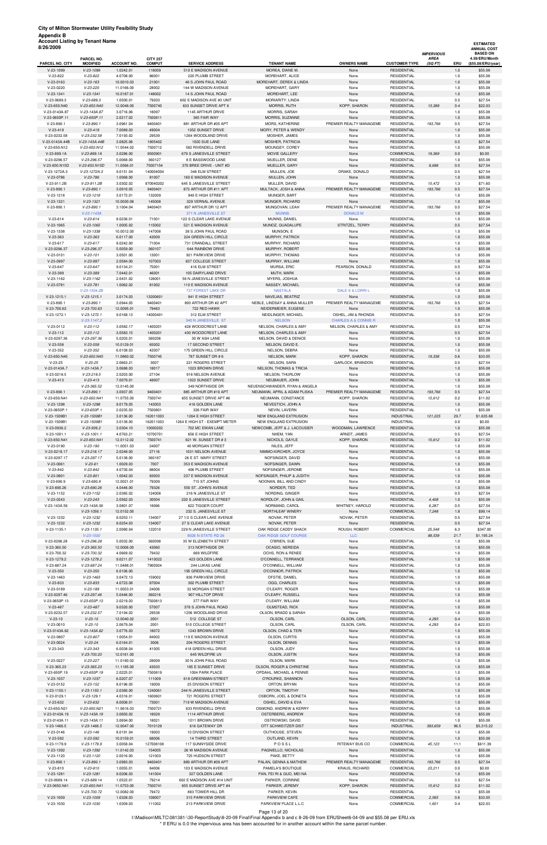| Appendix B<br><b>Account Listing by Tenant Name</b><br>3/26/2009 |                               |                    |                                  |                           |                              |                                 |                      | <b>IMPERVIOUS</b>      |     | <b>ESTIMATED</b><br><b>ANNUAL COST</b><br><b>BASED ON</b> |
|------------------------------------------------------------------|-------------------------------|--------------------|----------------------------------|---------------------------|------------------------------|---------------------------------|----------------------|------------------------|-----|-----------------------------------------------------------|
| PARCEL NO. CITY                                                  | PARCEL NO.<br><b>MODIFIED</b> | <b>ACCOUNT NO.</b> | <b>CITY 257</b><br><b>COMPUT</b> | <b>SERVICE ADDRESS</b>    | <b>TENANT NAME</b>           | <b>OWNERS NAME</b>              | <b>CUSTOMER TYPE</b> | <b>AREA</b><br>(SQ FT) | ERU | 4.59/ERU/Month<br>(\$55.08/ERU/year)                      |
| $V-23-1099$                                                      | $V-23-1099$                   | 1.0242.01          | 118009                           | 510 E MADISON AVENUE      | MOREA, DIANE M.              | None                            | <b>RESIDENTIAL</b>   |                        | 1.0 | \$55.08                                                   |
| $V-23-822$                                                       | $V-23-822$                    | 4.0708.00          | 86001                            | 220 PLUMB STREET          | MOREHART, ALICE              | None                            | <b>RESIDENTIAL</b>   |                        | 1.0 | \$55.08                                                   |
| V-23-0163                                                        | $V-23-163$                    | 10.0010.03         | 21001                            | 46 S JOHN PAUL ROAD       | MOREHART, DEREK & LINDA      | None                            | <b>RESIDENTIAL</b>   |                        | 1.0 | \$55.08                                                   |
| V-23-0220                                                        | $V-23-220$                    | 11.0166.00         | 28002                            | 144 W MADISON AVENUE      | MOREHART, GARY               | None                            | <b>RESIDENTIAL</b>   |                        | 1.0 | \$55.08                                                   |
| $V-23-1341$                                                      | $V-23-1341$                   | 10.0187.01         | 148002                           | 14 S JOHN PAUL ROAD       | MOREHART, LEE                | None                            | <b>RESIDENTIAL</b>   |                        | 1.0 | \$55.08                                                   |
| V-23-0689.3                                                      | $V-23-689.3$                  | 1.0500.01          | 79203                            | 602 E MADISON AVE #3 UNIT | MORIARITY, LINDA             | None                            | <b>RESIDENTIAL</b>   |                        | 0.5 | \$27.54                                                   |
| V-23-650.N40                                                     | V-23-650.N40                  | 12.0048.00         | 7500740                          | 633 SUNSET DRIVE APT 6    | MORRIS, RUTH                 | KOPP, SHARON                    | <b>RESIDENTIAL</b>   | 13,389                 | 0.4 | \$22.03                                                   |
|                                                                  |                               |                    |                                  |                           |                              |                                 |                      |                        |     |                                                           |
| V-23-0143A.87                                                    | V-23-143A.87                  | 3.0716.06          | 18097                            | 1145 ARTHUR DRIVE         | <b>MORRIS, SARAH</b>         | None                            | <b>RESIDENTIAL</b>   |                        | 1.0 | \$55.08                                                   |
| V-23-0650P.11                                                    | V-23-650P.11                  | 2.0217.02          | 7500811                          | 365 FAIR WAY              | MORRIS, SUZANNE              | None                            | <b>RESIDENTIAL</b>   |                        | 1.0 | \$55.08                                                   |
| $V-23-890.1$                                                     | $V-23-890.1$                  | 3.0961.04          | 9400401                          | 881 ARTHUR DR #05 APT     | MORS, KATHERINE              | PREMIER REALTY MANAGEME         | <b>RESIDENTIAL</b>   | 193,766                | 0.5 | \$27.54                                                   |
| $V-23-419$                                                       | $V-23-419$                    | 7.0089.03          | 49004                            | 1052 SUNSET DRIVE         | MORY, PETER & WENDY          | None                            | <b>RESIDENTIAL</b>   |                        | 1.0 | \$55.08                                                   |
| V-23-0232.58                                                     | $V-23-232.58$                 | 7.0193.02          | 29539                            | 1264 WOODLAND DRIVE       | MOSHER, JAMES                | None                            | <b>RESIDENTIAL</b>   |                        | 1.0 | \$55.08                                                   |
| V-23-0143A.44B                                                   | V-23-143A.44B                 | 3.0825.06          | 1805402                          | 1020 SUE LANE             | MOSHER, PATRICIA             | None                            | <b>RESIDENTIAL</b>   |                        | 0.5 | \$27.54                                                   |
| V-23-650.N12                                                     | V-23-650.N12                  | 11.0544.02         | 7500712                          | 582 RIVENDELL DRIVE       | MOUNGEY, COREY               | None                            | <b>RESIDENTIAL</b>   |                        | 1.0 | \$55.08                                                   |
| V-23-899.1A                                                      | V-23-899.1A                   | 3.0286.00          | 9500901                          | 679 S JANESVILLE STREET   | MOVIE GALLERY                | None                            | <b>COMMERCIAL</b>    | 19,369                 | 0.0 | \$0.00                                                    |
| V-23-0296.57                                                     | $V-23-296.57$                 | 5.0068.00          | 360127                           | 8 E BASSWOOD LANE         | MUELLER, DENE                | None                            | <b>RESIDENTIAL</b>   |                        | 1.0 | \$55.08                                                   |
| V-23-650.N15D                                                    | V-23-650.N15D                 | 11.0566.01         | 75007154                         | 370 BREE DRIVE - UNIT #D  | MUELLER, GARY                | None                            | <b>RESIDENTIAL</b>   | 8,698                  | 0.5 | \$27.54                                                   |
| V-23-1272A.3                                                     | V-23-1272A.3                  | 9.0151.04          | 140004004                        | 348 ELM STREET            | MULLEN, JOE                  | DRAKE, DONALD                   | <b>RESIDENTIAL</b>   |                        | 0.5 | \$27.54                                                   |
| V-23-0786                                                        | $V-23-786$                    | 1.0068.00          | 81007                            | 160 E MADISON AVENUE      | MULLEN, JOHN                 | None                            | <b>RESIDENTIAL</b>   |                        | 1.0 | \$55.08                                                   |
| V-23-911.2B                                                      | $V-23-911.2B$                 | 3.0302.02          | 970040202                        | 645 S JANESVILLE STREET   | MULLER, DAVID                | None                            | <b>RESIDENTIAL</b>   | 15.472                 | 1.3 | \$71.60                                                   |
| $V-23-890.1$                                                     | $V-23-890.1$                  | 3.0910.05          | 9400401                          | 873 ARTHUR DR #11 APT     | MULTACK, JOSH & ANNA         | PREMIER REALTY MANAGEME         | <b>RESIDENTIAL</b>   | 193,766                | 0.5 | \$27.54                                                   |
| $V-23-1218$                                                      | $V-23-1218$                   | 3.0172.01          | 132009                           | 949 E HIGH STREET         | MUNGER, BART                 | None                            | <b>RESIDENTIAL</b>   |                        | 1.0 | \$55.08                                                   |
| $V-23-1321$                                                      | $V-23-1321$                   | 10.0030.08         | 145008                           | 329 VERNAL AVENUE         | MUNGER, RICHARD              | None                            | <b>RESIDENTIAL</b>   |                        | 1.0 | \$55.08                                                   |
| $V-23-890.1$                                                     | $V-23-890.1$                  | 3.1004.04          | 9400401                          | 897 ARTHUR DR 12 APT      | MUNGOVAN, LEAH               | PREMIER REALTY MANAGEME         | <b>RESIDENTIAL</b>   | 193,766                | 0.5 | \$27.54                                                   |
|                                                                  | $V-23-1143A$                  |                    |                                  | 371 N JANESVILLE ST       | <b>MUNNS</b>                 | <b>DONALD M</b>                 |                      |                        | 1.0 | \$55.08                                                   |
| $V-23-614$                                                       | $V-23-614$                    | 8.0236.01          | 71001                            | 122 S CLEAR LAKE AVENUE   | MUNNS, DANIEL                | None                            | <b>RESIDENTIAL</b>   |                        | 1.0 | \$55.08                                                   |
| $V-23-1065$                                                      | $V-23-1065$                   | 1.0005.02          | 115002                           | 521 E MADISON AVENUE      | MUNOZ, GUADALUPE             | STRITZEL, TERRY                 | <b>RESIDENTIAL</b>   |                        | 0.5 | \$27.54                                                   |
| V-23-1338                                                        | $V-23-1338$                   | 10.0012.00         | 147008                           | 38 S JOHN PAUL ROAD       | MUNSON, E                    | None                            | <b>RESIDENTIAL</b>   |                        | 1.0 | \$55.08                                                   |
| $V-23-363$                                                       | $V - 23 - 363$                | 6.0117.00          | 43009                            | 224 GREEN HILL CIRCLE     | <b>MURPHY, PATRICK</b>       | None                            | <b>RESIDENTIAL</b>   |                        | 1.0 | \$55.08                                                   |
| $V-23-617$                                                       | $V-23-617$                    | 8.0242.00          | 71004                            | 731 CRANDALL STREET       | MURPHY, RICHARD              | None                            | <b>RESIDENTIAL</b>   |                        | 1.0 | \$55.08                                                   |
| V-23-0296.37                                                     | $V-23-296.37$                 | 5.0059.00          | 360107                           | 644 RAINBOW DRIVE         | MURPHY, ROBERT               | None                            | <b>RESIDENTIAL</b>   |                        | 1.0 | \$55.08                                                   |
| $V-23-0101$                                                      | $V - 23 - 101$                | 3.0501.00          | 13001                            | 921 PARKVIEW DRIVE        | MURPHY, THOMAS               | None                            | <b>RESIDENTIAL</b>   |                        | 1.0 | \$55.08                                                   |
| V-23-0997                                                        | $V-23-997$                    | 2.0584.00          | 107003                           | 637 COLLEGE STREET        | MURRAY, WILLIAM              | None                            | <b>RESIDENTIAL</b>   |                        | 1.0 | \$55.08                                                   |
| $V-23-647$                                                       | $V-23-647$                    | 9.0134.21          | 75001                            | 416 ELM STREET            | MURSA, ERIC                  | PEARSON, DONALD                 | <b>RESIDENTIAL</b>   |                        | 0.5 | \$27.54                                                   |
| $V-23-389$                                                       | $V-23-389$                    | 7.0442.01          | 46001                            | 105 DAIRYLAND DRIVE       | MUTH, MARK                   | None                            | <b>RESIDENTIAL</b>   |                        | 1.0 | \$55.08                                                   |
| $V-23-1162$                                                      | $V-23-1162$                   | 2.0431.02          | 126001                           | 56 N JANESVILLE STREET    | MYERS, JOSHUA                | None                            | <b>RESIDENTIAL</b>   |                        | 1.0 | \$55.08                                                   |
| V-23-0781                                                        | $V-23-781$                    | 1.0062.02          | 81002                            | 110 E MADISON AVENUE      | NASSEY, MICHAEL              | None                            | <b>RESIDENTIAL</b>   |                        | 1.0 | \$55.08                                                   |
|                                                                  | $V-23-1504.2B$                |                    |                                  | <b>737 FOREST LAKE DR</b> | <b>NASTALA</b>               | <b>DALE S &amp; LORRI L</b>     |                      |                        | 1.0 | \$55.08                                                   |
| $V-23-1215.1$                                                    | $V-23-1215.1$                 | 3.0174.03          | 13200601                         | 941 E HIGH STREET         | NAVEJAS, BEATRIZ             | None                            | <b>RESIDENTIAL</b>   |                        | 1.0 | \$55.08                                                   |
| $V-23-890.1$                                                     | $V-23-890.1$                  | 3.0944.05          | 9400401                          | 893 ARTHUR DR #2 APT      | NEBLE, LINDSAY & ANNA MULLER | PREMIER REALTY MANAGEME         | <b>RESIDENTIAL</b>   | 193,766                | 0.5 | \$27.54                                                   |
| V-23-700.63                                                      | $V-23-700.63$                 | 12.0095.01         | 79463                            | 722 RED HAWK              | NEIDERMEIER, EUGENE          | None                            | <b>RESIDENTIAL</b>   |                        | 1.0 | \$55.08                                                   |
| $V-23-1272.1$                                                    |                               |                    |                                  | 312 ELM STREET            | NEIDLINGER, MICHAEL          |                                 | <b>RESIDENTIAL</b>   |                        |     |                                                           |
|                                                                  | $V-23-1272.1$                 | 9.0168.13          | 14000401                         |                           | <b>NELSON</b>                | OSHEL, JIM & RHONDA             |                      |                        | 0.5 | \$27.54                                                   |
|                                                                  | $V-23-1147.2$                 |                    |                                  | 340 N JANESVILLE ST       |                              | <b>CHARLES A &amp; CONNIE R</b> |                      |                        | 1.0 | \$55.08                                                   |
| V-23-0112                                                        | $V-23-112$                    | 3.0582.17          | 1400201                          | 428 WOODCREST LANE        | NELSON, CHARLES & AMY        | NELSON, CHARLES & AMY           | <b>RESIDENTIAL</b>   |                        | 0.5 | \$27.54                                                   |
| $V-23-112$                                                       | $V-23-112$                    | 3.0583.15          | 1400201                          | 430 WOODCREST LANE        | NELSON, CHARLES & AMY        | None                            | <b>RESIDENTIAL</b>   |                        | 0.5 | \$27.54                                                   |
| V-23-0297.36                                                     | $V-23-297.36$                 | 5.0203.01          | 360206                           | 30 W ASH LANE             | NELSON, DAVID & DENICE       | None                            | <b>RESIDENTIAL</b>   |                        | 1.0 | \$55.08                                                   |
| $V-23-558$                                                       | $V-23-558$                    | 10.0129.01         | 65002                            | 17 SECOND STREET          | NELSON, DAVID E.             | None                            | <b>RESIDENTIAL</b>   |                        | 1.0 | \$55.08                                                   |
| $V-23-352$                                                       | $V - 23 - 352$                | 6.0108.03          | 42007                            | 175 GREEN HILL CIRCLE     | NELSON, DEBRA                | None                            | <b>RESIDENTIAL</b>   |                        | 1.0 | \$55.08                                                   |
| V-23-650.N45                                                     | V-23-650.N45                  | 11.0860.02         | 7500745                          | 787 SUNSET DR # 6         | NELSON, MARK                 | KOPP, SHARON                    | <b>RESIDENTIAL</b>   | 19,338                 | 0.6 | \$33.05                                                   |

| $V-23-0163$                   |                                |                         |                       |                                                   |                                                       |                                           |                                          |                   |            |                     |
|-------------------------------|--------------------------------|-------------------------|-----------------------|---------------------------------------------------|-------------------------------------------------------|-------------------------------------------|------------------------------------------|-------------------|------------|---------------------|
|                               | $V-23-163$                     | 10.0010.03              | 21001                 | 46 S JOHN PAUL ROAD                               | MOREHART, DEREK & LINDA                               | None                                      | <b>RESIDENTIAL</b>                       |                   | 1.0        | \$55.08             |
| V-23-0220                     | $V-23-220$                     | 11.0166.00              | 28002                 | 144 W MADISON AVENUE                              | MOREHART, GARY                                        | None                                      | <b>RESIDENTIAL</b>                       |                   | 1.0        | \$55.08             |
| $V-23-1341$                   | $V-23-1341$                    | 10.0187.01              | 148002                | 14 S JOHN PAUL ROAD<br>602 E MADISON AVE #3 UNIT  | MOREHART, LEE                                         | None                                      | <b>RESIDENTIAL</b>                       |                   | 1.0        | \$55.08             |
| V-23-0689.3<br>V-23-650.N40   | $V-23-689.3$<br>V-23-650.N40   | 1.0500.01<br>12.0048.00 | 79203<br>7500740      | 633 SUNSET DRIVE APT 6                            | MORIARITY, LINDA<br>MORRIS, RUTH                      | None<br>KOPP, SHARON                      | <b>RESIDENTIAL</b><br><b>RESIDENTIAL</b> | 13,389            | 0.5<br>0.4 | \$27.54<br>\$22.03  |
| V-23-0143A.87                 | V-23-143A.87                   | 3.0716.06               | 18097                 | 1145 ARTHUR DRIVE                                 | MORRIS, SARAH                                         | None                                      | <b>RESIDENTIAL</b>                       |                   | 1.0        | \$55.08             |
| V-23-0650P.11                 | V-23-650P.11                   | 2.0217.02               | 7500811               | 365 FAIR WAY                                      | MORRIS, SUZANNE                                       | None                                      | <b>RESIDENTIAL</b>                       |                   | 1.0        | \$55.08             |
| V-23-890.1                    | $V-23-890.1$                   | 3.0961.04               | 9400401               | 881 ARTHUR DR #05 APT                             | MORS, KATHERINE                                       | PREMIER REALTY MANAGEME                   | <b>RESIDENTIAL</b>                       | 193,766           | 0.5        | \$27.54             |
| $V-23-419$                    | $V-23-419$                     | 7.0089.03               | 49004                 | 1052 SUNSET DRIVE                                 | MORY, PETER & WENDY                                   | None                                      | <b>RESIDENTIAL</b>                       |                   | 1.0        | \$55.08             |
| V-23-0232.58                  | $V-23-232.58$                  | 7.0193.02               | 29539                 | 1264 WOODLAND DRIVE                               | MOSHER, JAMES                                         | None                                      | <b>RESIDENTIAL</b>                       |                   | 1.0        | \$55.08             |
| V-23-0143A.44B                | V-23-143A.44B                  | 3.0825.06               | 1805402               | 1020 SUE LANE                                     | MOSHER, PATRICIA                                      | None                                      | <b>RESIDENTIAL</b>                       |                   | 0.5        | \$27.54             |
| V-23-650.N12                  | V-23-650.N12                   | 11.0544.02              | 7500712               | 582 RIVENDELL DRIVE                               | MOUNGEY, COREY                                        | None                                      | <b>RESIDENTIAL</b>                       |                   | 1.0        | \$55.08             |
| V-23-899.1A                   | V-23-899.1A                    | 3.0286.00               | 9500901               | 679 S JANESVILLE STREET                           | MOVIE GALLERY                                         | None                                      | COMMERCIAL                               | 19,369            | 0.0        | \$0.00              |
| V-23-0296.57<br>V-23-650.N15D | $V-23-296.57$<br>V-23-650.N15D | 5.0068.00<br>11.0566.01 | 360127<br>75007154    | 8 E BASSWOOD LANE<br>370 BREE DRIVE - UNIT #D     | MUELLER, DENE<br>MUELLER, GARY                        | None<br>None                              | <b>RESIDENTIAL</b><br><b>RESIDENTIAL</b> | 8,698             | 1.0<br>0.5 | \$55.08<br>\$27.54  |
| V-23-1272A.3                  | V-23-1272A.3                   | 9.0151.04               | 140004004             | 348 ELM STREET                                    | MULLEN, JOE                                           | DRAKE, DONALD                             | <b>RESIDENTIAL</b>                       |                   | 0.5        | \$27.54             |
| V-23-0786                     | $V-23-786$                     | 1.0068.00               | 81007                 | 160 E MADISON AVENUE                              | MULLEN, JOHN                                          | None                                      | <b>RESIDENTIAL</b>                       |                   | 1.0        | \$55.08             |
| V-23-911.2B                   | $V-23-911.2B$                  | 3.0302.02               | 970040202             | 645 S JANESVILLE STREET                           | MULLER, DAVID                                         | None                                      | <b>RESIDENTIAL</b>                       | 15,472            | 1.3        | \$71.60             |
| $V-23-890.1$                  | $V-23-890.1$                   | 3.0910.05               | 9400401               | 873 ARTHUR DR #11 APT                             | MULTACK, JOSH & ANNA                                  | PREMIER REALTY MANAGEME                   | <b>RESIDENTIAL</b>                       | 193,766           | 0.5        | \$27.54             |
| $V-23-1218$                   | $V-23-1218$                    | 3.0172.01               | 132009                | 949 E HIGH STREET                                 | MUNGER, BART                                          | None                                      | <b>RESIDENTIAL</b>                       |                   | 1.0        | \$55.08             |
| $V-23-1321$                   | $V-23-1321$                    | 10.0030.08              | 145008                | 329 VERNAL AVENUE                                 | MUNGER, RICHARD                                       | None                                      | <b>RESIDENTIAL</b>                       |                   | 1.0        | \$55.08             |
| $V-23-890.1$                  | $V-23-890.1$                   | 3.1004.04               | 9400401               | 897 ARTHUR DR 12 APT                              | MUNGOVAN, LEAH                                        | PREMIER REALTY MANAGEME                   | <b>RESIDENTIAL</b>                       | 193,766           | 0.5        | \$27.54             |
|                               | V-23-1143A                     |                         |                       | 371 N JANESVILLE ST                               | <b>MUNNS</b>                                          | <b>DONALD M</b>                           |                                          |                   | 1.0        | \$55.08             |
| $V-23-614$                    | $V-23-614$                     | 8.0236.01               | 71001                 | 122 S CLEAR LAKE AVENUE                           | MUNNS, DANIEL                                         | None                                      | <b>RESIDENTIAL</b>                       |                   | 1.0        | \$55.08             |
| $V-23-1065$                   | $V-23-1065$                    | 1.0005.02               | 115002                | 521 E MADISON AVENUE                              | MUNOZ, GUADALUPE                                      | STRITZEL, TERRY                           | <b>RESIDENTIAL</b>                       |                   | 0.5        | \$27.54             |
| $V-23-1338$                   | $V-23-1338$                    | 10.0012.00              | 147008                | 38 S JOHN PAUL ROAD                               | MUNSON, E                                             | None                                      | <b>RESIDENTIAL</b>                       |                   | 1.0        | \$55.08             |
| $V-23-363$                    | $V-23-363$                     | 6.0117.00               | 43009                 | 224 GREEN HILL CIRCLE                             | MURPHY, PATRICK                                       | None                                      | <b>RESIDENTIAL</b>                       |                   | 1.0        | \$55.08             |
| $V-23-617$                    | $V-23-617$                     | 8.0242.00               | 71004                 | 731 CRANDALL STREET<br>644 RAINBOW DRIVE          | MURPHY, RICHARD                                       | None<br>None                              | <b>RESIDENTIAL</b><br><b>RESIDENTIAL</b> |                   | 1.0        | \$55.08             |
| V-23-0296.37<br>V-23-0101     | V-23-296.37<br>$V-23-101$      | 5.0059.00<br>3.0501.00  | 360107<br>13001       | 921 PARKVIEW DRIVE                                | MURPHY, ROBERT<br>MURPHY, THOMAS                      | None                                      | <b>RESIDENTIAL</b>                       |                   | 1.0<br>1.0 | \$55.08<br>\$55.08  |
| V-23-0997                     | $V-23-997$                     | 2.0584.00               | 107003                | 637 COLLEGE STREET                                | MURRAY, WILLIAM                                       | None                                      | <b>RESIDENTIAL</b>                       |                   | 1.0        | \$55.08             |
| V-23-647                      | $V-23-647$                     | 9.0134.21               | 75001                 | 416 ELM STREET                                    | MURSA, ERIC                                           | PEARSON, DONALD                           | <b>RESIDENTIAL</b>                       |                   | 0.5        | \$27.54             |
| $V-23-389$                    | $V-23-389$                     | 7.0442.01               | 46001                 | 105 DAIRYLAND DRIVE                               | MUTH, MARK                                            | None                                      | <b>RESIDENTIAL</b>                       |                   | 1.0        | \$55.08             |
| $V-23-1162$                   | $V-23-1162$                    | 2.0431.02               | 126001                | 56 N JANESVILLE STREET                            | MYERS, JOSHUA                                         | None                                      | <b>RESIDENTIAL</b>                       |                   | 1.0        | \$55.08             |
| V-23-0781                     | $V-23-781$                     | 1.0062.02               | 81002                 | 110 E MADISON AVENUE                              | NASSEY, MICHAEL                                       | None                                      | <b>RESIDENTIAL</b>                       |                   | 1.0        | \$55.08             |
|                               | V-23-1504.2B                   |                         |                       | 737 FOREST LAKE DR                                | <b>NASTALA</b>                                        | DALE S & LORRI L                          |                                          |                   | 1.0        | \$55.08             |
| $V-23-1215.1$                 | $V-23-1215.1$                  | 3.0174.03               | 13200601              | 941 E HIGH STREET                                 | NAVEJAS, BEATRIZ                                      | None                                      | <b>RESIDENTIAL</b>                       |                   | 1.0        | \$55.08             |
| $V-23-890.1$                  | $V-23-890.1$                   | 3.0944.05               | 9400401               | 893 ARTHUR DR #2 APT                              | NEBLE, LINDSAY & ANNA MULLER                          | PREMIER REALTY MANAGEME                   | <b>RESIDENTIAL</b>                       | 193,766           | 0.5        | \$27.54             |
| V-23-700.63                   | $V-23-700.63$                  | 12.0095.01              | 79463                 | 722 RED HAWK                                      | NEIDERMEIER, EUGENE                                   | None                                      | <b>RESIDENTIAL</b>                       |                   | 1.0        | \$55.08             |
| V-23-1272.1                   | $V-23-1272.1$                  | 9.0168.13               | 14000401              | 312 ELM STREET                                    | NEIDLINGER, MICHAEL                                   | OSHEL, JIM & RHONDA                       | <b>RESIDENTIAL</b>                       |                   | 0.5        | \$27.54             |
|                               | $V-23-1147.2$                  |                         |                       | 340 N JANESVILLE ST                               | <b>NELSON</b>                                         | <b>CHARLES A &amp; CONNIE R</b>           |                                          |                   | 1.0        | \$55.08             |
| V-23-0112                     | $V-23-112$                     | 3.0582.17               | 1400201               | 428 WOODCREST LANE                                | NELSON, CHARLES & AMY                                 | NELSON, CHARLES & AMY                     | <b>RESIDENTIAL</b>                       |                   | 0.5        | \$27.54             |
| $V-23-112$                    | $V-23-112$                     | 3.0583.15               | 1400201               | 430 WOODCREST LANE                                | NELSON, CHARLES & AMY                                 | None                                      | <b>RESIDENTIAL</b>                       |                   | 0.5        | \$27.54             |
| V-23-0297.36<br>$V-23-558$    | V-23-297.36<br>$V-23-558$      | 5.0203.01<br>10.0129.01 | 360206<br>65002       | 30 W ASH LANE<br>17 SECOND STREET                 | NELSON, DAVID & DENICE<br>NELSON, DAVID E.            | None<br>None                              | <b>RESIDENTIAL</b><br><b>RESIDENTIAL</b> |                   | 1.0<br>1.0 | \$55.08<br>\$55.08  |
| $V-23-352$                    | $V-23-352$                     | 6.0108.03               | 42007                 | 175 GREEN HILL CIRCLE                             | NELSON, DEBRA                                         | None                                      | <b>RESIDENTIAL</b>                       |                   | 1.0        | \$55.08             |
| V-23-650.N45                  | $V-23-650.N45$                 | 11.0860.02              | 7500745               | 787 SUNSET DR # 6                                 | NELSON, MARK                                          | KOPP, SHARON                              | <b>RESIDENTIAL</b>                       | 19,338            | 0.6        | \$33.05             |
| $V-23-25$                     | $V-23-25$                      | 2.0663.21               | 3007                  | 221 ROGERS STREET                                 | NELSON, SARA                                          | GARLOCK, BRANDON                          | <b>RESIDENTIAL</b>                       |                   | 0.5        | \$27.54             |
| V-23-0143A.7                  | V-23-143A.7                    | 3.0688.03               | 18017                 | 1023 BROWN DRIVE                                  | NELSON, THOMAS & TRICIA                               | None                                      | <b>RESIDENTIAL</b>                       |                   | 1.0        | \$55.08             |
| $V-23-0218.5$                 | $V-23-218.5$                   | 2.0203.00               | 27104                 | 916 NELSON AVENUE                                 | NELSON, THURLOW                                       | None                                      | <b>RESIDENTIAL</b>                       |                   | 1.0        | \$55.08             |
| $V-23-413$                    | $V-23-413$                     | 7.0079.01               | 48007                 | 1023 SUNSET DRIVE                                 | NEUBAUER, JOHN                                        | None                                      | <b>RESIDENTIAL</b>                       |                   | 1.0        | \$55.08             |
|                               | $V-23-365.52$                  | 12.0145.00              |                       | 349 NORTHSIDE DR                                  | NEUENSCHWANDER, RYAN & ANGELA                         | None                                      | <b>RESIDENTIAL</b>                       |                   | 1.0        | \$55.08             |
| $V-23-890.1$                  | $V-23-890.1$                   | 3.0937.05               | 9400401               | 885 ARTHUR DR #10 APT                             | NEUMANN, APRIL & ADAM PLISKA                          | PREMIER REALTY MANAGEME                   | <b>RESIDENTIAL</b>                       | 193,766           | 0.5        | \$27.54             |
| V-23-650.N41                  | V-23-650.N41                   | 11.0755.00              | 7500741               | 655 SUNSET DRIVE APT #6                           | NEUMANN, CONSTANCE                                    | KOPP, SHARON                              | <b>RESIDENTIAL</b>                       | 15,612            | 0.2        | \$11.02             |
| V-23-1298                     | $V-23-1298$                    | 9.0179.05               | 143003                | 416 GOLDEN LANE                                   | NEVESTICH, JOHN A                                     | None                                      | <b>RESIDENTIAL</b>                       |                   | 1.0        | \$55.08             |
| V-23-0650P.1                  | $V-23-650P.1$                  | 2.0235.03               | 7500801               | 326 FAIR WAY                                      | NEVIN, LAVERN                                         | None                                      | <b>RESIDENTIAL</b>                       |                   | 1.0        | \$55.08             |
| V-23-1509B1                   | V-23-1509B1                    | 3.0136.00               | 162011003             | 1264 E HIGH STREET                                | NEW ENGLAND EXTRUSION                                 | None                                      | <b>INDUSTRIAL</b>                        | 121,225           | 29.7       | \$1,635.88          |
| V-23-1509B1<br>V-23-0936.2    | V-23-1509B1<br>$V-23-936.2$    | 3.0138.00<br>3.0304.10  | 162011003<br>10000202 | 1264 E HIGH ST - EXEMPT METER<br>702 MC EWAN LANE | NEW ENGLAND EXTRUSION<br>NEWCOMB, JEFF & J. LACOUSIER | None<br>WOODMAN, LAWRENCE                 | <b>INDUSTRIAL</b><br><b>RESIDENTIAL</b>  |                   | 0.0<br>1.0 | \$0.00<br>\$55.08   |
| $V-23-1001.1$                 | $V-23-1001.1$                  | 4.0763.21               | 10700701              | 656 E HIGH STREET                                 | NHEM, YAN                                             | ARNDT, JAMES                              | <b>RESIDENTIAL</b>                       |                   | 0.5        | \$27.54             |
| V-23-650.N41                  | V-23-650.N41                   | 12.0112.02              | 7500741               | 621 W. SUNSET DR #3                               | NICKOLS, GAYLE                                        | KOPP, SHARON                              | <b>RESIDENTIAL</b>                       | 15,612            | 0.2        | \$11.02             |
| V-23-0190                     | $V-23-190$                     | 11.0051.03              | 24007                 | 40 MORGAN STREET                                  | NILES, JEFF                                           | None                                      | <b>RESIDENTIAL</b>                       |                   | 1.0        | \$55.08             |
| V-23-0218.17                  | $V-23-218.17$                  | 2.0248.00               | 27116                 | 1031 NELSON AVENUE                                | NIMMO-KIRCHER, JOYCE                                  | None                                      | <b>RESIDENTIAL</b>                       |                   | 1.0        | \$55.08             |
| V-23-0297.17                  | V-23-297.17                    | 5.0138.00               | 360187                | 26 E ST. MARY STREET                              | NOFSINGER, DAVID                                      | None                                      | <b>RESIDENTIAL</b>                       |                   | 1.0        | \$55.08             |
| V-23-0061                     | $V-23-61$                      | 1.0029.03               | 7007                  | 353 E MADISON AVENUE                              | NOFSINGER, DAWN                                       | None                                      | <b>RESIDENTIAL</b>                       |                   | 1.0        | \$55.08             |
|                               | $V-23-842$                     |                         | 88004                 | 406 PLUMB STREET                                  | NOFSINGER, JEROME                                     | None                                      | <b>RESIDENTIAL</b>                       |                   | 1.0        | \$55.08             |
| $V-23-842$                    |                                | 4.0730.04               |                       |                                                   |                                                       |                                           |                                          |                   |            |                     |
| $V-23-0801$                   | $V-23-801$                     | 1.0042.03               | 83003                 | 237 E MADISON AVENUE                              | NOFSINGER, PHILIP & JUDITH                            | None                                      | <b>RESIDENTIAL</b>                       |                   | 1.0        | \$55.08             |
| $V-23-690.9$                  | $V-23-690.9$                   | 12.0021.01              | 79309                 | 715 ST JOHNS                                      | NOONAN, BILL AND CINDY                                | None                                      | <b>RESIDENTIAL</b>                       |                   | 1.0        | \$55.08             |
| V-23-690.26                   | $V-23-690.26$                  | 4.0446.00               | 79326                 | 550 ST. JOHN'S AVENUE                             | NORDER, TED                                           | None                                      | <b>RESIDENTIAL</b>                       |                   | 1.0        | \$55.08             |
| V-23-1152                     | $V-23-1152$                    | 2.0385.02               | 124008                | 216 N JANESVILLE ST                               | NORDING, GINGER                                       | None                                      | <b>RESIDENTIAL</b>                       |                   | 0.5        | \$27.54             |
| $V-23-0243$                   | $V-23-243$                     | 2.0562.03               | 30004                 | 220 S JANESVILLE STREET                           | NORDLOF, JOHN & GAIL                                  | None                                      | <b>RESIDENTIAL</b>                       | 4,408             | 1.0        | \$55.08             |
| V-23-143A.56                  | $V-23-143A.56$                 | 3.0801.07               | 18066                 | 622 TIGGER COURT                                  | NORMAND, CAROL                                        | WHITNEY, HAROLD                           | <b>RESIDENTIAL</b>                       | 6,287             | 0.5        | \$27.54             |
|                               | $V-23-1056.1$                  | 12.0152.00              |                       | 232 S. JANESVILLE ST                              | NORTHLEAF WINERY                                      | None                                      | COMMERCIAL                               | 7,248             | 1.8        | \$99.14             |
| V-23-1232                     | V-23-1232                      | 8.0253.11               | 134007                | 27 1/2 S CLEAR LAKE AVENUE                        | NOVAK, PETER                                          | NOVAK, PETER                              | <b>RESIDENTIAL</b>                       |                   | 0.5        | \$27.54             |
| V-23-1232<br>$V-23-1135.1$    | $V-23-1232$<br>$V-23-1135.1$   | 8.0254.03<br>2.0080.04  | 134007<br>122010      | 27 S CLEAR LAKE AVENUE<br>229 N JANESVILLE STREET | NOVAK, PETER<br>OAK RIDGE CADDY SHACK                 | None<br>ROUSH, ROBERT                     | <b>RESIDENTIAL</b><br>COMMERCIAL         | 25,548            | 0.5<br>6.3 | \$27.54<br>\$347.00 |
|                               | $V-23-1500$                    |                         |                       | 8026 N STATE RD 26                                | OAK RIDGE GOLF COURSE                                 | <b>LLC</b>                                |                                          | 88,539            | 21.7       | \$1,195.24          |
| V-23-0296.28                  | V-23-296.28                    | 5.0032.00               | 360098                | 35 W ELIZABETH STREET                             | O'BRIEN, SUE                                          | None                                      | <b>RESIDENTIAL</b>                       |                   | 1.0        | \$55.08             |
| $V-23-365.50$                 | $V-23-365.50$                  | 12.0006.00              | 43060                 | 313 NORTHSIDE DR                                  | OCASIO, NEREIDA                                       | None                                      | <b>RESIDENTIAL</b>                       |                   | 1.0        | \$55.08             |
| V-23-700.32                   | V-23-700.32                    | 4.0669.02               | 79432                 | 669 WILDFIRE                                      | OCHS, RON & RENEE                                     | None                                      | <b>RESIDENTIAL</b>                       |                   | 1.0        | \$55.08             |
| V-23-1279.2                   | $V-23-1279.2$                  | 9.0211.07               | 1410022               | 423 GOLDEN LANE                                   | O'CONNELL, TERRANCE                                   | None                                      | <b>RESIDENTIAL</b>                       |                   | 1.0        | \$55.08             |
| V-23-687.24                   | V-23-687.24                    | 11.0488.01              | 7900924               | 244 LUKAS LANE                                    | O'CONNELL, WILLIAM                                    | None                                      | <b>RESIDENTIAL</b>                       |                   | 1.0        | \$55.08             |
| $V-23-350$                    | $V-23-350$                     | 6.0106.00               |                       | 195 GREEN HILL CIRCLE                             | O'CONNOR, PATRICK                                     | None                                      | <b>RESIDENTIAL</b>                       |                   | 1.0        | \$55.08             |
| $V-23-1463$                   | $V-23-1463$                    | 3.0472.13               | 159002                | 936 PARKVIEW DRIVE                                | OFSTIE, DANIEL                                        | None                                      | <b>RESIDENTIAL</b>                       |                   | 1.0        | \$55.08             |
| $V-23-833$                    | $V-23-833$                     | 4.0723.08               | 87004                 | 302 PLUMB STREET                                  | OGG, CHARLES                                          | None                                      | <b>RESIDENTIAL</b>                       |                   | 1.0        | \$55.08             |
| V-23-0189<br>V-23-0297.46     | $V-23-189$<br>$V-23-297.46$    | 11.0053.01<br>5.0446.00 | 24006<br>360216       | 32 MORGAN STREET<br>907 HILLTOP DRIVE             | O'LEARY, ROGER<br>O'LEARY, RUSSELL                    | None<br>None                              | <b>RESIDENTIAL</b><br><b>RESIDENTIAL</b> |                   | 1.0<br>1.0 | \$55.08<br>\$55.08  |
| V-23-0650P.13                 | V-23-650P.13                   | 2.0219.03               | 7500813               | 377 FAIR WAY                                      | O'LEARY, WILLIAM                                      | None                                      | <b>RESIDENTIAL</b>                       |                   | 1.0        | \$55.08             |
| $V-23-487$                    | $V-23-487$                     | 9.0320.00               | 57007                 | 378 S JOHN PAUL ROAD                              | OLMSTEAD, RICK                                        | None                                      | <b>RESIDENTIAL</b>                       |                   | $1.0\,$    | \$55.08             |
| V-23-0232.57                  | V-23-232.57                    | 7.0194.02               | 29538                 | 1256 WOODLAND DRIVE                               | OLSON, BRADD & SARAH                                  | None                                      | <b>RESIDENTIAL</b>                       |                   | 1.0        | \$55.08             |
| $V-23-10$                     | $V-23-10$                      | 12.0040.02              | 2001                  | 512 COLLEGE ST                                    | OLSON, CARL                                           | OLSON, CARL                               | <b>RESIDENTIAL</b>                       | 4,293             | 0.4        | \$22.03             |
| $V-23-0010$                   | $V-23-10$                      | 2.0679.04               | 2001                  | 510 COLLEGE STREET                                | OLSON, CARL                                           | OLSON, CARL                               | <b>RESIDENTIAL</b>                       | 4,293             | 0.4        | \$22.03             |
| V-23-0143A.62                 | V-23-143A.62                   | 3.0776.03               | 18072                 | 1243 BROWN DRIVE                                  | OLSON, CHAD & TERI                                    | None                                      | <b>RESIDENTIAL</b>                       |                   | 1.0        | \$55.08             |
| V-23-0807                     | $V-23-807$                     | 1.0054.01               | 84002                 | 119 E MADISON AVENUE                              | OLSON, CURTIS                                         | None                                      | <b>RESIDENTIAL</b>                       |                   | 1.0        | \$55.08             |
| V-23-0024                     | $V-23-24$                      | 6.0164.01               | 3006                  | 204 ROGERS STREET                                 | OLSON, DENNIS                                         | None                                      | <b>RESIDENTIAL</b>                       |                   | 1.0        | \$55.08             |
| $V-23-343$                    | $V-23-343$                     | 6.0038.04               | 41005                 | 418 GREEN HILL DRIVE                              | OLSON, JUDY                                           | None                                      | <b>RESIDENTIAL</b>                       |                   | 1.0        | \$55.08             |
|                               | $V-23-700.20$                  | 12.0161.00              |                       | 645 WILDFIRE LN                                   | OLSON, JUSTIN                                         | None                                      | <b>RESIDENTIAL</b>                       |                   | 1.0        | \$55.08             |
| V-23-0227                     | $V-23-227$                     | 11.0180.02              | 28009                 | 30 N JOHN PAUL ROAD                               | OLSON, MARK                                           | None                                      | <b>RESIDENTIAL</b>                       |                   | 1.0        | \$55.08             |
| V-23-365.23                   | $V-23-365.23$                  | 11.1185.00              | 43033                 | 185 E SUNSET DRIVE                                | OLSON, ROGER & CHRISTINE<br>OPDAHL, MICHAEL & PENNIE  | None                                      | <b>RESIDENTIAL</b>                       |                   | 1.0        | \$55.08             |
| V-23-650P.19                  | V-23-650P.19<br>$V-23-1037$    | 2.0225.01               | 7500819               | 1004 PARK PLACE<br>618 GREENMAN STREET            |                                                       | None                                      | <b>RESIDENTIAL</b>                       |                   | 1.0        | \$55.08             |
| $V-23-1037$<br>V-23-0152      | $V-23-152$                     | 6.0207.07<br>8.0196.05  | 111009<br>19009       | 25 DIVISION STREET                                | O'ROURKE, SHANNON<br>ORTON, BRYAN                     | None<br>None                              | <b>RESIDENTIAL</b><br><b>RESIDENTIAL</b> |                   | 1.0<br>1.0 | \$55.08<br>\$55.08  |
| $V-23-1150.1$                 | $V-23-1150.1$                  | 2.0380.00               | 1240061               | 244 N JANESVILLE STREET                           | ORTON, TIMOTHY                                        | None                                      | <b>RESIDENTIAL</b>                       |                   | 1.0        | \$55.08             |
| V-23-0129.1                   | $V-23-129.1$                   | 4.0316.01               | 1600601               | 721 ROGERS STREET                                 | OSBORN, JOEL & DONETA                                 | None                                      | <b>RESIDENTIAL</b>                       |                   | 1.0        | \$55.08             |
| V-23-632                      | $V-23-632$                     | 8.0008.01               | 73001                 | 719 W MADISON AVENUE                              | OSHEL, DAVID & EVA                                    | None                                      | <b>RESIDENTIAL</b>                       |                   | 1.0        | \$55.08             |
| V-23-650.N21                  | V-23-650.N21                   | 11.0616.03              | 7500721               | 633 RIVENDELL DRIVE                               | OSMOND, ANDREW & KERRY                                | None                                      | <b>RESIDENTIAL</b>                       |                   | 1.0        | \$55.08             |
| V-23-0143A.19                 | V-23-143A.19                   | 3.0850.02               | 18029                 | 1114 ARTHUR DRIVE                                 | OSTERBERG, ANDREW                                     | None                                      | <b>RESIDENTIAL</b>                       |                   | 1.0        | \$55.08             |
| V-23-0143A.11                 | V-23-143A.11                   | 3.0694.00               | 18021                 | 1011 BROWN DRIVE                                  | OSTROWSKI, DAVID                                      | None                                      | <b>RESIDENTIAL</b>                       |                   | 1.0        | \$55.08             |
| $V-23-1466.5$                 | $V-23-1466.5$                  | 12.0047.00              | 7010129               | 616 GATEWAY DR                                    | OTT SCHWEITZER DIST                                   | None                                      | <b>INDUSTRIAL</b>                        | 393,659           | 96.5       | \$5,315.22          |
| V-23-0146                     | $V-23-146$                     | 8.0191.04               | 19003                 | 10 DIVISION STREET                                | OUTHOUSE, STEVEN                                      | None                                      | <b>RESIDENTIAL</b>                       |                   | 1.0        | \$55.08             |
| $V-23-592$                    | $V-23-592$                     | 10.0159.01              | 68006                 | 14 THIRD STREET                                   | OUTLAND, KEVIN                                        | None                                      | <b>RESIDENTIAL</b>                       |                   | 1.0        | \$55.08             |
| V-23-1179.9                   | $V-23-1179.9$                  | 3.0058.04               | 127008108             | 117 SUNNYSIDE DRIVE                               | POSSL                                                 | RITEWAY BUS CO                            | COMMERCIAL                               | 45,123            | 11.1       | \$611.39            |
| V-23-1392                     | $V-23-1392$                    | 11.0142.03              | 154005                | 26 W MADISON AVENUE                               | PAGNIELLO, NICHOLAS                                   | None                                      | <b>RESIDENTIAL</b>                       |                   | 1.0        | \$55.08             |
| V-23-1120                     | $V-23-1120$                    | 2.0016.00               | 121003                | 725 HUDSON STREET                                 | PAKE, BETTY                                           | None                                      | <b>RESIDENTIAL</b>                       |                   | 1.0        | \$55.08             |
| $V-23-890.1$<br>$V-23-810$    | $V-23-890.1$<br>$V-23-810$     | 3.0983.03<br>1.0055.01  | 9400401<br>84006      | 889 ARTHUR DR #09 APT<br>103 E MADISON AVENUE     | PALAN, GENNA & MATHEW<br>PAMELA'S BOUTIQUE            | PREMIER REALTY MANAGEME<br>KRAUS, RICHARD | <b>RESIDENTIAL</b><br>COMMERCIAL         | 193,766<br>23,211 | 0.5<br>0.0 | \$27.54<br>\$0.00   |
| $V-23-1281$                   | $V-23-1281$                    | 9.0206.03               | 141004                | 327 GOLDEN LANE                                   | PAN, FEI RI & GUO, MEI NA                             | None                                      | <b>RESIDENTIAL</b>                       |                   | 1.0        | \$55.08             |
| V-23-0689.14                  | $V-23-689.14$                  | 1.0522.01               | 79214                 | 602 E MADISON AVE #14 UNIT                        | PARKER, CORINNE                                       | None                                      | RESIDENTIAL                              |                   | 0.5        | \$27.54             |
| V-23-0650.N41                 | V-23-650.N41                   | 11.0753.00              | 7500741               | 655 SUNSET DRIVE APT #4                           | PARKER, JEREMY                                        | KOPP, SHARON                              | <b>RESIDENTIAL</b>                       | 15,612            | 0.2        | \$11.02             |
|                               | V-23-700.72                    | 12.0082.00              | 79472                 | 883 TOWER HILL DR                                 | PARKER, KEVIN                                         | None                                      | <b>RESIDENTIAL</b>                       |                   | 1.0        | \$55.08             |
| $V-23-1009$<br>V-23-1030      | $V-23-1009$<br>V-23-1030       | 1.0328.03<br>1.0309.03  | 108007<br>111002      | 315 PARKVIEW DRIVE<br>213 PARKVIEW DRIVE          | PARKVIEW CAFE<br>PARKVIEW PLACE L.L.C                 | None<br>None                              | COMMERCIAL<br>COMMERCIAL                 | 2,565<br>1,601    | 0.6<br>0.4 | \$33.05<br>\$22.03  |

Page 13 of 20

I:\Madison\MILTC\081381-\30-ReportStudy\8-20-09 Final\Final Appendix b and c 8-26-09 from ERUSheet6-04-09 and \$55.08 per ERU.xls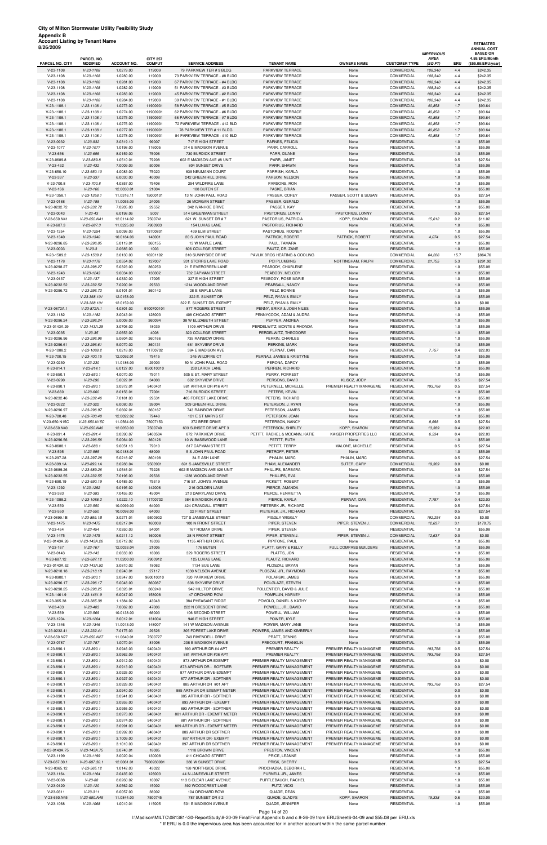| <b>Account Listing by Tenant Name</b><br>3/26/2009 |                               |                    |                                  |                               |                               |                       |                      | <b>IMPERVIOUS</b>      |      | <b>ESTIMATED</b><br><b>ANNUAL COST</b><br><b>BASED ON</b> |
|----------------------------------------------------|-------------------------------|--------------------|----------------------------------|-------------------------------|-------------------------------|-----------------------|----------------------|------------------------|------|-----------------------------------------------------------|
| PARCEL NO. CITY                                    | PARCEL NO.<br><b>MODIFIED</b> | <b>ACCOUNT NO.</b> | <b>CITY 257</b><br><b>COMPUT</b> | <b>SERVICE ADDRESS</b>        | <b>TENANT NAME</b>            | <b>OWNERS NAME</b>    | <b>CUSTOMER TYPE</b> | <b>AREA</b><br>(SQ FT) | ERU  | 4.59/ERU/Month<br>(\$55.08/ERU/year)                      |
| $V-23-1108$                                        | $V-23-1108$                   | 1.0279.00          | 119009                           | 79 PARKVIEW TER # 9 BLDG      | PARKVIEW TERRACE              | None                  | COMMERCIAL           | 108,340                | 4.4  | \$242.35                                                  |
| $V-23-1108$                                        | $V-23-1108$                   | 1.0280.00          | 119009                           | 73 PARKVIEW TERRACE - #8 BLDG | PARKVIEW TERRACE              | None                  | COMMERCIAL           | 108,340                | 4.4  | \$242.35                                                  |
| $V-23-1108$                                        | $V-23-1108$                   | 1.0281.00          | 119009                           | 67 PARKVIEW TERRACE - #4 BLDG | PARKVIEW TERRACE              | None                  | <b>COMMERCIAL</b>    | 108,340                | 4.4  | \$242.35                                                  |
| $V-23-1108$                                        | $V-23-1108$                   | 1.0282.00          | 119009                           | 51 PARKVIEW TERRACE - #3 BLDG | PARKVIEW TERRACE              | None                  | COMMERCIAL           | 108,340                | 4.4  | \$242.35                                                  |
| $V-23-1108$                                        | $V-23-1108$                   | 1.0283.00          | 119009                           | 45 PARKVIEW TERRACE - #2 BLDG | PARKVIEW TERRACE              | None                  | <b>COMMERCIAL</b>    | 108,340                | 4.4  | \$242.35                                                  |
| $V-23-1108$                                        | $V-23-1108$                   | 1.0284.00          | 119009                           | 39 PARKVIEW TERRACE - #1 BLDG | PARKVIEW TERRACE              | None                  | COMMERCIAL           | 108,340                | 4.4  | \$242.35                                                  |
| $V-23-1108.1$                                      | $V-23-1108.1$                 | 1.0273.00          | 11900901                         | 58 PARKVIEW TERRACE - #5 BLDG | PARKVIEW TERRACE              | None                  | <b>COMMERCIAL</b>    | 40,858                 | 1.7  | \$93.64                                                   |
| V-23-1108.1                                        | $V-23-1108.1$                 | 1.0274.00          | 11900901                         | 62 PARKVIEW TERRACE - #6 BLDG | PARKVIEW TERRACE              | None                  | COMMERCIAL           | 40,858                 | 1.7  | \$93.64                                                   |
| $V-23-1108.1$                                      | $V-23-1108.1$                 | 1.0275.00          | 11900901                         | 66 PARKVIEW TERRACE - #7 BLDG | PARKVIEW TERRACE              | None                  | <b>COMMERCIAL</b>    | 40,858                 | 1.7  | \$93.64                                                   |
| V-23-1108.1                                        | $V-23-1108.1$                 | 1.0276.00          | 11900901                         | 72 PARKVIEW TERRACE - #12 BLD | PARKVIEW TERRACE              | None                  | <b>COMMERCIAL</b>    | 40,858                 | 1.7  | \$93.64                                                   |
| $V-23-1108.1$                                      | $V-23-1108.1$                 | 1.0277.00          | 11900901                         | 78 PARKVIEW TER # 11 BLDG     | PARKVIEW TERRACE              | None                  | <b>COMMERCIAL</b>    | 40,858                 | 1.7  | \$93.64                                                   |
| $V-23-1108.1$                                      | $V-23-1108.1$                 | 1.0278.00          | 11900901                         | 84 PARKVIEW TERRACE - #10 BLD | PARKVIEW TERRACE              | None                  | <b>COMMERCIAL</b>    | 40,858                 | 1.7  | \$93.64                                                   |
| V-23-0932                                          | $V-23-932$                    | 3.0319.10          | 99007                            | 717 E HIGH STREET             | PARNES, FELICIA               | None                  | <b>RESIDENTIAL</b>   |                        | 1.0  | \$55.08                                                   |
| V-23-1077                                          | $V-23-1077$                   | 1.0198.00          | 116005                           | 314 E MADISON AVENUE          | PARR, CARROLL                 | None                  | <b>RESIDENTIAL</b>   |                        | 1.0  | \$55.08                                                   |
| $V-23-656$                                         | $V-23-656$                    | 8.0159.00          | 76006                            | 730 BURDICK STREET            | PARR, DUANE                   | None                  | <b>RESIDENTIAL</b>   |                        | 1.0  | \$55.08                                                   |
| V-23-0689.8                                        | $V-23-689.8$                  | 1.0510.01          | 79208                            | 602 E MADISON AVE #8 UNIT     | PARR, JANET                   | None                  | <b>RESIDENTIAL</b>   |                        | 0.5  | \$27.54                                                   |
| $V-23-432$                                         | $V-23-432$                    | 7.0009.03          | 50008                            | 804 SUNSET DRIVE              | PARR, SHAWN                   | None                  | <b>RESIDENTIAL</b>   |                        | 1.0  | \$55.08                                                   |
| $V-23-650.10$                                      | $V-23-650.10$                 | 4.0083.00          | 75020                            | 839 NEUMANN COURT             | PARRISH, KARLA                | None                  | <b>RESIDENTIAL</b>   |                        | 1.0  | \$55.08                                                   |
| $V-23-337$                                         |                               |                    | 40008                            | 242 GREEN HILL DRIVE          | PARSON, NELSON                |                       | <b>RESIDENTIAL</b>   |                        | 1.0  |                                                           |
|                                                    | $V-23-337$                    | 6.0030.00          |                                  |                               |                               | None                  |                      |                        |      | \$55.08                                                   |
| $V-23-700.8$                                       | $V-23-700.8$                  | 4.0357.00          | 79408                            | 254 WILDFIRE LANE             | PARSONS, RON                  | None                  | <b>RESIDENTIAL</b>   |                        | 1.0  | \$55.08                                                   |
| $V-23-166$                                         | $V-23-166$                    | 12.0030.01         | 21004                            | 188 BUTEN ST                  | PASKE, BRIAN                  | None                  | <b>RESIDENTIAL</b>   |                        | 1.0  | \$55.08                                                   |
| $V-23-1358.1$                                      | $V-23-1358.1$                 | 11.0316.11         | 15000101                         | 13 N JOHN PAUL ROAD           | PASSER, COREY                 | PASSER, SCOTT & SUSAN | <b>RESIDENTIAL</b>   |                        | 0.5  | \$27.54                                                   |
| V-23-0188                                          | $V-23-188$                    | 11.0055.03         | 24005                            | 26 MORGAN STREET              | PASSER, GERALD                | None                  | <b>RESIDENTIAL</b>   |                        | 1.0  | \$55.08                                                   |
| V-23-0232.72                                       | V-23-232.72                   | 7.0205.00          | 29552                            | 342 IVANHOE DRIVE             | PASSER, KAY                   | None                  | <b>RESIDENTIAL</b>   |                        | 1.0  | \$55.08                                                   |
| $V-23-0043$                                        | $V - 23 - 43$                 | 6.0198.06          | 5007                             | 514 GREENMAN STREET           | PASTORIUS, LONNY              | PASTORIUS, LONNY      | <b>RESIDENTIAL</b>   |                        | 0.5  | \$27.54                                                   |
| V-23-650.N41                                       | V-23-650.N41                  | 12.0114.02         | 7500741                          | 621 W. SUNSET DR #7           | PASTORIUS, PATRICIA           | KOPP, SHARON          | <b>RESIDENTIAL</b>   | 15,612                 | 0.2  | \$11.02                                                   |
| $V-23-687.3$                                       | $V-23-687.3$                  | 11.0225.00         | 7900903                          | 154 LUKAS LANE                | PASTORIUS, RICHARD            | None                  | <b>RESIDENTIAL</b>   |                        | 1.0  | \$55.08                                                   |
| $V-23-1254$                                        | $V-23-1254$                   | 9.0098.03          | 13700801                         | 439 ELM STREET                | PASTORIUS, RODNEY             | None                  | <b>RESIDENTIAL</b>   |                        | 1.0  | \$55.08                                                   |
| $V-23-1340$                                        | $V-23-1340$                   | 10.0184.06         | 148001                           | 20 S JOHN PAUL ROAD           | PATRICK, ROBERT               | PATRICK, ROBERT       | <b>RESIDENTIAL</b>   | 4,074                  | 0.5  | \$27.54                                                   |
| V-23-0296.85                                       | $V-23-296.85$                 | 5.0119.01          | 360155                           | 13 W MAPLE LANE               | PAUL, TAMARA                  | None                  | <b>RESIDENTIAL</b>   |                        | 1.0  | \$55.08                                                   |
| $V-23-0003$                                        | $V-23-3$                      | 2.0685.00          | 1003                             | 606 COLLEGE STREET            | PAUTZ, DR. ZANE               | None                  | <b>RESIDENTIAL</b>   |                        | 1.0  | \$55.08                                                   |
| $V-23-1509.2$                                      | $V-23-1509.2$                 | 3.0130.00          | 16201102                         | 310 SUNNYSIDE DRIVE           | PAVLIK BROS HEATING & COOLING | None                  | COMMERCIAL           | 64,226                 | 15.7 | \$864.76                                                  |
| $V-23-1178$                                        | $V-23-1178$                   | 2.0554.02          | 127007                           | 931 STORRS LAKE ROAD          | PCI PLUMBING                  | NOTTINGHAM, RALPH     | <b>COMMERCIAL</b>    | 21,755                 | 5.3  | \$291.92                                                  |
| V-23-0298.27                                       | V-23-298.27                   | 5.0323.00          | 360250                           | 21 E EVERGREEN LANE           | PEABODY, CHARLENE             | None                  | <b>RESIDENTIAL</b>   |                        | 1.0  | \$55.08                                                   |
| V-23-1243                                          | $V-23-1243$                   | 9.0034.00          | 136002                           | 732 CAPMAN STREET             | PEABODY, MELODY               | None                  | <b>RESIDENTIAL</b>   |                        | 1.0  | \$55.08                                                   |
| V-23-0137                                          | $V-23-137$                    | 4.0330.00          | 17005                            | 327 E HIGH STREET             | PEABODY, ROSE MARIE           | None                  | <b>RESIDENTIAL</b>   |                        | 1.0  | \$55.08                                                   |
| V-23-0232.52                                       | $V-23-232.52$                 | 7.0200.01          | 29533                            | 1214 WOODLAND DRIVE           | PEARSALL, NANCY               | None                  | <b>RESIDENTIAL</b>   |                        | 1.0  | \$55.08                                                   |
| V-23-0296.72                                       | V-23-296.72                   | 5.0101.01          | 360142                           | 28 E MAPLE LANE               | PELZ, BONNIE                  | None                  | <b>RESIDENTIAL</b>   |                        | 1.0  | \$55.08                                                   |
|                                                    | V-23-368.101                  | 12.0158.00         |                                  | 322 E. SUNSET DR              | PELZ, RYAN & EMILY            | None                  | <b>RESIDENTIAL</b>   |                        | 1.0  | \$55.08                                                   |
|                                                    | V-23-368.101                  | 12.0159.00         |                                  | 322 E. SUNSET DR- EXEMPT      | PELZ, RYAN & EMILY            | None                  | <b>RESIDENTIAL</b>   |                        | 0.0  | \$0.00                                                    |
| V-23-0872A.1                                       | V-23-872A.1                   | 4.0301.02          | 9100700101                       | 877 ROGERS STREET             | PENNY, ERIKA & JOSH NILES     | None                  | <b>RESIDENTIAL</b>   |                        | 1.0  | \$55.08                                                   |
| V-23-1182                                          | $V-23-1182$                   | 3.0043.01          | 128003                           | 408 CHICAGO STREET            | PENNYCOOK, ADAM & AUDRA       | None                  | <b>RESIDENTIAL</b>   |                        | 1.0  | \$55.08                                                   |
| V-23-0296.24                                       | V-23-296.24                   | 5.0008.03          | 360094                           | 38 W ELIZABETH STREET         | PEPPER, ANDREA                | None                  | <b>RESIDENTIAL</b>   |                        | 1.0  | \$55.08                                                   |
| V-23-0143A.29                                      | V-23-143A.29                  | 3.0706.02          | 18039                            | 1109 ARTHUR DRIVE             | PERDELWITZ, MONTE & RHONDA    | None                  | <b>RESIDENTIAL</b>   |                        | 1.0  | \$55.08                                                   |
| $V-23-0035$                                        | $V-23-35$                     | 2.0653.00          | 4008                             | 320 COLLEGE STREET            | PERDELWITZ, THEODORE          | None                  | <b>RESIDENTIAL</b>   |                        | 1.0  | \$55.08                                                   |
| V-23-0296.96                                       | $V-23-296.96$                 | 5.0604.02          | 360166                           | 735 RAINBOW DRIVE             | PERKIN, CHARLES               | None                  | <b>RESIDENTIAL</b>   |                        | 1.0  | \$55.08                                                   |
| V-23-0296.61                                       | $V-23-296.61$                 | 5.0070.02          | 360131                           | 661 SKYVIEW DRIVE             | PERKINS, MARK                 | None                  | <b>RESIDENTIAL</b>   |                        | 1.0  | \$55.08                                                   |
| V-23-1088.2                                        | $V-23-1088.2$                 | 1.0218.00          | 11700702                         | 384 E MADISON AVE             | PERNAT, DAN                   | None                  | <b>RESIDENTIAL</b>   | 7,757                  | 0.4  | \$22.03                                                   |
| $V-23-700.15$                                      | $V-23-700.15$                 | 12.0092.01         | 79415                            | 345 WILDFIRE CT               | PERNAU, JAMES & KRISTYNE      | None                  | <b>RESIDENTIAL</b>   |                        | 1.0  | \$55.08                                                   |
| V-23-0230                                          | $V-23-230$                    | 11.0186.03         | 29003                            | 50 N JOHN PAUL ROAD           | PERONA, DARCY                 | None                  | <b>RESIDENTIAL</b>   |                        | 1.0  | \$55.08                                                   |
| $V-23-814.1$                                       | $V-23-814.1$                  | 6.0127.00          | 850010010                        | 230 LARCH LANE                | PERREN, RICHARD               |                       | <b>RESIDENTIAL</b>   |                        | 1.0  | \$55.08                                                   |
| $V-23-650.1$                                       | $V-23-650.1$                  | 4.0070.00          | 75011                            | 505 E ST. MARY STREET         | PERRY, FORREST                | None<br>None          | <b>RESIDENTIAL</b>   |                        | 1.0  | \$55.08                                                   |
| V-23-0290                                          | $V - 23 - 290$                | 5.0022.01          | 34008                            | 602 SKYVIEW DRIVE             | PERSONS, DAVID                |                       | <b>RESIDENTIAL</b>   |                        |      |                                                           |
|                                                    |                               |                    |                                  |                               |                               | KLISCZ, JODY          |                      |                        | 0.5  | \$27.54                                                   |

| $V-23-1108$                    | $V-23-1108$                    | 1.0283.00               | 119009               | 45 PARKVIEW TERRACE - #2 BLDG                                  | PARKVIEW TERRACE                                       | None                                               | <b>COMMERCIAL</b>                        | 108,340          | 4.4         | \$242.35            |
|--------------------------------|--------------------------------|-------------------------|----------------------|----------------------------------------------------------------|--------------------------------------------------------|----------------------------------------------------|------------------------------------------|------------------|-------------|---------------------|
| $V-23-1108$                    | $V-23-1108$                    | 1.0284.00               | 119009               | 39 PARKVIEW TERRACE - #1 BLDG                                  | PARKVIEW TERRACE                                       | None                                               | COMMERCIAL                               | 108,340          | 4.4         | \$242.35            |
| $V-23-1108.1$<br>$V-23-1108.1$ | $V-23-1108.1$<br>$V-23-1108.1$ | 1.0273.00<br>1.0274.00  | 11900901<br>11900901 | 58 PARKVIEW TERRACE - #5 BLDG<br>62 PARKVIEW TERRACE - #6 BLDG | PARKVIEW TERRACE<br>PARKVIEW TERRACE                   | None<br>None                                       | <b>COMMERCIAL</b><br><b>COMMERCIAL</b>   | 40,858<br>40,858 | 1.7<br>1.7  | \$93.64<br>\$93.64  |
| $V-23-1108.1$                  | $V-23-1108.1$                  | 1.0275.00               | 11900901             | 66 PARKVIEW TERRACE - #7 BLDG                                  | PARKVIEW TERRACE                                       | None                                               | COMMERCIAL                               | 40,858           | 1.7         | \$93.64             |
| V-23-1108.1                    | $V-23-1108.1$                  | 1.0276.00               | 11900901             | 72 PARKVIEW TERRACE - #12 BLD                                  | PARKVIEW TERRACE                                       | None                                               | COMMERCIAL                               | 40,858           | 1.7         | \$93.64             |
| $V-23-1108.1$                  | $V-23-1108.1$                  | 1.0277.00               | 11900901             | 78 PARKVIEW TER # 11 BLDG                                      | PARKVIEW TERRACE                                       | None                                               | <b>COMMERCIAL</b>                        | 40,858           | 1.7         | \$93.64             |
| $V-23-1108.1$                  | $V-23-1108.1$                  | 1.0278.00               | 11900901             | 84 PARKVIEW TERRACE - #10 BLD                                  | PARKVIEW TERRACE                                       | None                                               | <b>COMMERCIAL</b>                        | 40,858           | 1.7         | \$93.64             |
| V-23-0932                      | $V-23-932$                     | 3.0319.10               | 99007                | 717 E HIGH STREET                                              | PARNES, FELICIA                                        | None                                               | <b>RESIDENTIAL</b>                       |                  | 1.0         | \$55.08             |
| V-23-1077                      | $V-23-1077$                    | 1.0198.00               | 116005               | 314 E MADISON AVENUE                                           | PARR, CARROLL                                          | None                                               | <b>RESIDENTIAL</b>                       |                  | 1.0         | \$55.08             |
| $V-23-656$                     | $V-23-656$                     | 8.0159.00               | 76006                | 730 BURDICK STREET                                             | PARR, DUANE                                            | None                                               | <b>RESIDENTIAL</b>                       |                  | 1.0         | \$55.08             |
| V-23-0689.8                    | $V-23-689.8$                   | 1.0510.01               | 79208                | 602 E MADISON AVE #8 UNIT                                      | PARR, JANET                                            | None                                               | <b>RESIDENTIAL</b>                       |                  | 0.5         | \$27.54             |
| $V-23-432$                     | $V-23-432$                     | 7.0009.03               | 50008                | 804 SUNSET DRIVE                                               | PARR, SHAWN                                            | None                                               | <b>RESIDENTIAL</b>                       |                  | 1.0         | \$55.08             |
| V-23-650.10                    | $V-23-650.10$                  | 4.0083.00               | 75020                | 839 NEUMANN COURT                                              | PARRISH, KARLA                                         | None                                               | <b>RESIDENTIAL</b><br><b>RESIDENTIAL</b> |                  | 1.0         | \$55.08             |
| $V-23-337$<br>$V-23-700.8$     | $V-23-337$<br>$V-23-700.8$     | 6.0030.00<br>4.0357.00  | 40008<br>79408       | 242 GREEN HILL DRIVE<br>254 WILDFIRE LANE                      | PARSON, NELSON<br>PARSONS, RON                         | None<br>None                                       | <b>RESIDENTIAL</b>                       |                  | 1.0<br>1.0  | \$55.08<br>\$55.08  |
| $V-23-166$                     | $V-23-166$                     | 12.0030.01              | 21004                | 188 BUTEN ST                                                   | PASKE, BRIAN                                           | None                                               | <b>RESIDENTIAL</b>                       |                  | 1.0         | \$55.08             |
| V-23-1358.1                    | $V-23-1358.1$                  | 11.0316.11              | 15000101             | 13 N JOHN PAUL ROAD                                            | PASSER, COREY                                          | PASSER, SCOTT & SUSAN                              | <b>RESIDENTIAL</b>                       |                  | 0.5         | \$27.54             |
| V-23-0188                      | $V-23-188$                     | 11.0055.03              | 24005                | 26 MORGAN STREET                                               | PASSER, GERALD                                         | None                                               | <b>RESIDENTIAL</b>                       |                  | 1.0         | \$55.08             |
| V-23-0232.72                   | V-23-232.72                    | 7.0205.00               | 29552                | 342 IVANHOE DRIVE                                              | PASSER, KAY                                            | None                                               | <b>RESIDENTIAL</b>                       |                  | 1.0         | \$55.08             |
| $V-23-0043$                    | $V-23-43$                      | 6.0198.06               | 5007                 | 514 GREENMAN STREET                                            | PASTORIUS, LONNY                                       | PASTORIUS, LONNY                                   | <b>RESIDENTIAL</b>                       |                  | 0.5         | \$27.54             |
| V-23-650.N41                   | V-23-650.N41                   | 12.0114.02              | 7500741              | 621 W. SUNSET DR #7                                            | PASTORIUS, PATRICIA                                    | KOPP, SHARON                                       | <b>RESIDENTIAL</b>                       | 15,612           | 0.2         | \$11.02             |
| V-23-687.3                     | $V-23-687.3$                   | 11.0225.00              | 7900903              | 154 LUKAS LANE                                                 | PASTORIUS, RICHARD                                     | None                                               | <b>RESIDENTIAL</b>                       |                  | 1.0         | \$55.08             |
| $V-23-1254$                    | $V-23-1254$                    | 9.0098.03               | 13700801             | 439 ELM STREET                                                 | PASTORIUS, RODNEY                                      | None                                               | <b>RESIDENTIAL</b>                       |                  | 1.0         | \$55.08             |
| $V-23-1340$                    | $V-23-1340$                    | 10.0184.06              | 148001               | 20 S JOHN PAUL ROAD                                            | PATRICK, ROBERT                                        | PATRICK, ROBERT                                    | <b>RESIDENTIAL</b>                       | 4,074            | 0.5         | \$27.54             |
| V-23-0296.85                   | $V-23-296.85$                  | 5.0119.01               | 360155               | 13 W MAPLE LANE                                                | PAUL, TAMARA                                           | None                                               | <b>RESIDENTIAL</b>                       |                  | 1.0         | \$55.08             |
| $V-23-0003$<br>$V-23-1509.2$   | $V-23-3$<br>$V-23-1509.2$      | 2.0685.00<br>3.0130.00  | 1003<br>16201102     | 606 COLLEGE STREET<br>310 SUNNYSIDE DRIVE                      | PAUTZ, DR. ZANE<br>PAVLIK BROS HEATING & COOLING       | None<br>None                                       | <b>RESIDENTIAL</b><br><b>COMMERCIAL</b>  | 64,226           | 1.0<br>15.7 | \$55.08<br>\$864.76 |
| $V-23-1178$                    | $V-23-1178$                    | 2.0554.02               | 127007               | 931 STORRS LAKE ROAD                                           | PCI PLUMBING                                           | NOTTINGHAM, RALPH                                  | <b>COMMERCIAL</b>                        | 21,755           | 5.3         | \$291.92            |
| V-23-0298.27                   | V-23-298.27                    | 5.0323.00               | 360250               | 21 E EVERGREEN LANE                                            | PEABODY, CHARLENE                                      | None                                               | <b>RESIDENTIAL</b>                       |                  | 1.0         | \$55.08             |
| $V-23-1243$                    | $V-23-1243$                    | 9.0034.00               | 136002               | 732 CAPMAN STREET                                              | PEABODY, MELODY                                        | None                                               | <b>RESIDENTIAL</b>                       |                  | 1.0         | \$55.08             |
| V-23-0137                      | $V-23-137$                     | 4.0330.00               | 17005                | 327 E HIGH STREET                                              | PEABODY, ROSE MARIE                                    | None                                               | <b>RESIDENTIAL</b>                       |                  | 1.0         | \$55.08             |
| V-23-0232.52                   | $V-23-232.52$                  | 7.0200.01               | 29533                | 1214 WOODLAND DRIVE                                            | PEARSALL, NANCY                                        | None                                               | <b>RESIDENTIAL</b>                       |                  | 1.0         | \$55.08             |
| V-23-0296.72                   | V-23-296.72                    | 5.0101.01               | 360142               | 28 E MAPLE LANE                                                | PELZ, BONNIE                                           | None                                               | <b>RESIDENTIAL</b>                       |                  | 1.0         | \$55.08             |
|                                | V-23-368.101                   | 12.0158.00              |                      | 322 E. SUNSET DR                                               | PELZ, RYAN & EMILY                                     | None                                               | <b>RESIDENTIAL</b>                       |                  | 1.0         | \$55.08             |
|                                | V-23-368.101                   | 12.0159.00              |                      | 322 E. SUNSET DR- EXEMPT                                       | PELZ, RYAN & EMILY                                     | None                                               | <b>RESIDENTIAL</b>                       |                  | 0.0         | \$0.00              |
| V-23-0872A.1                   | V-23-872A.1                    | 4.0301.02               | 9100700101           | 877 ROGERS STREET                                              | PENNY, ERIKA & JOSH NILES                              | None                                               | <b>RESIDENTIAL</b>                       |                  | 1.0         | \$55.08             |
| V-23-1182<br>V-23-0296.24      | V-23-1182<br>V-23-296.24       | 3.0043.01<br>5.0008.03  | 128003<br>360094     | 408 CHICAGO STREET<br>38 W ELIZABETH STREET                    | PENNYCOOK, ADAM & AUDRA<br>PEPPER, ANDREA              | None<br>None                                       | <b>RESIDENTIAL</b><br><b>RESIDENTIAL</b> |                  | 1.0<br>1.0  | \$55.08<br>\$55.08  |
| V-23-0143A.29                  | V-23-143A.29                   | 3.0706.02               | 18039                | 1109 ARTHUR DRIVE                                              | PERDELWITZ, MONTE & RHONDA                             | None                                               | <b>RESIDENTIAL</b>                       |                  | 1.0         | \$55.08             |
| $V-23-0035$                    | $V-23-35$                      | 2.0653.00               | 4008                 | 320 COLLEGE STREET                                             | PERDELWITZ, THEODORE                                   | None                                               | <b>RESIDENTIAL</b>                       |                  | 1.0         | \$55.08             |
| V-23-0296.96                   | $V-23-296.96$                  | 5.0604.02               | 360166               | 735 RAINBOW DRIVE                                              | PERKIN, CHARLES                                        | None                                               | <b>RESIDENTIAL</b>                       |                  | 1.0         | \$55.08             |
| V-23-0296.61                   | $V-23-296.61$                  | 5.0070.02               | 360131               | 661 SKYVIEW DRIVE                                              | PERKINS, MARK                                          | None                                               | <b>RESIDENTIAL</b>                       |                  | 1.0         | \$55.08             |
| V-23-1088.2                    | $V-23-1088.2$                  | 1.0218.00               | 11700702             | 384 E MADISON AVE                                              | PERNAT, DAN                                            | None                                               | <b>RESIDENTIAL</b>                       | 7,757            | 0.4         | \$22.03             |
| V-23-700.15                    | $V-23-700.15$                  | 12.0092.01              | 79415                | 345 WILDFIRE CT                                                | PERNAU, JAMES & KRISTYNE                               | None                                               | <b>RESIDENTIAL</b>                       |                  | 1.0         | \$55.08             |
| $V-23-0230$                    | $V-23-230$                     | 11.0186.03              | 29003                | 50 N JOHN PAUL ROAD                                            | PERONA, DARCY                                          | None                                               | <b>RESIDENTIAL</b>                       |                  | 1.0         | \$55.08             |
| $V-23-814.1$                   | $V-23-814.1$                   | 6.0127.00               | 850010010            | 230 LARCH LANE                                                 | PERREN, RICHARD                                        | None                                               | <b>RESIDENTIAL</b>                       |                  | 1.0         | \$55.08             |
| $V-23-650.1$                   | $V-23-650.1$                   | 4.0070.00               | 75011                | 505 E ST. MARY STREET                                          | PERRY, FORREST                                         | None                                               | <b>RESIDENTIAL</b>                       |                  | 1.0         | \$55.08             |
| V-23-0290                      | $V-23-290$                     | 5.0022.01               | 34008                | 602 SKYVIEW DRIVE                                              | PERSONS, DAVID                                         | KLISCZ, JODY                                       | <b>RESIDENTIAL</b>                       |                  | 0.5         | \$27.54             |
| $V-23-890.1$                   | $V-23-890.1$                   | 3.0972.01               | 9400401              | 881 ARTHUR DR #16 APT                                          | PETERNELL, MICHELLE                                    | PREMIER REALTY MANAGEME                            | <b>RESIDENTIAL</b>                       | 193,766          | 0.5         | \$27.54             |
| $V-23-660$<br>V-23-0232.46     | $V-23-660$<br>V-23-232.46      | 8.0156.01               | 77001<br>29531       | 716 BURDICK STREET<br>405 FOREST LAKE DRIVE                    | PETERS, KEVIN<br>PETERS, RICHARD                       | None<br>None                                       | <b>RESIDENTIAL</b><br><b>RESIDENTIAL</b> |                  | 1.0         | \$55.08<br>\$55.08  |
| V-23-0322                      | $V-23-322$                     | 7.0181.00<br>6.0080.03  | 39004                | 309 GREEN HILL DRIVE                                           | PETERSON, J. RYAN                                      | None                                               | <b>RESIDENTIAL</b>                       |                  | 1.0<br>1.0  | \$55.08             |
| V-23-0296.97                   | $V-23-296.97$                  | 5.0602.01               | 360167               | 743 RAINBOW DRIVE                                              | PETERSON, JAMES                                        | None                                               | <b>RESIDENTIAL</b>                       |                  | 1.0         | \$55.08             |
| V-23-700.48                    | $V-23-700.48$                  | 12.0022.02              | 79448                | 121 E ST MARYS ST                                              | PETERSON, JOAN                                         | None                                               | <b>RESIDENTIAL</b>                       |                  | 1.0         | \$55.08             |
| V-23-650.N15C                  | V-23-650.N15C                  | 11.0564.03              | 75007153             | 372 BREE DRIVE                                                 | PETERSON, NANCY                                        | None                                               | <b>RESIDENTIAL</b>                       | 8,698            | 0.5         | \$27.54             |
| V-23-650.N40                   | V-23-650.N40                   | 12.0050.00              | 7500740              | 633 SUNSET DRIVE APT 3                                         | PETERSON, SHIRLEY                                      | KOPP, SHARON                                       | <b>RESIDENTIAL</b>                       | 13,389           | 0.4         | \$22.03             |
| $V-23-891.4$                   | $V-23-891.4$                   | 3.0390.07               | 9400504              | 872 PARKVIEW DRIVE                                             | PETITT. RACHEL & MCCANN. KATIE                         | KAISER PROPERTIES LLC                              | <b>RESIDENTIAL</b>                       | 6,534            | 0.4         | \$22.03             |
| V-23-0296.56                   | $V-23-296.56$                  | 5.0064.00               | 360126               | 10 W BASSWOOD LANE                                             | PETITT, RUTH                                           | None                                               | <b>RESIDENTIAL</b>                       |                  | 1.0         | \$55.08             |
| V-23-0688.1                    | $V-23-688.1$                   | 9.0051.18               | 79010                | 817 CAPMAN STREET                                              | PETITT, TERRY                                          | MALONE, MICHELLE                                   | <b>RESIDENTIAL</b>                       |                  | 0.5         | \$27.54             |
| $V-23-595$                     | $V-23-595$                     | 10.0188.01              | 68009                | 5 S JOHN PAUL ROAD                                             | PETROFF, PETER                                         | None                                               | <b>RESIDENTIAL</b>                       |                  | 1.0         | \$55.08             |
| V-23-297.28                    | $V-23-297.28$                  | 5.0218.07               | 360198               | 34 E ASH LANE                                                  | PHALIN, MARC                                           | PHALIN, MARC                                       | <b>RESIDENTIAL</b>                       |                  | 0.5         | \$27.54             |
| V-23-899.1A                    | V-23-899.1A                    | 3.0288.04               | 9500901              | 691 S JANESVILLE STREET                                        | PHAM, ALEXANDER                                        | SUTER, GARY                                        | <b>COMMERCIAL</b>                        | 19,369           | 0.0         | \$0.00              |
| V-23-0689.26<br>V-23-0232.55   | V-23-689.26<br>$V-23-232.55$   | 1.0546.01               | 79226<br>29536       | 602 E MADISON AVE #26 UNIT<br>1238 WOODLAND DRIVE              | PHILLIPS, BARBARA<br>PHILLIPS, EVA                     | None<br>None                                       | <b>RESIDENTIAL</b><br><b>RESIDENTIAL</b> |                  | 0.5<br>1.0  | \$27.54<br>\$55.08  |
| V-23-690.19                    | $V-23-690.19$                  | 7.0196.00<br>4.0485.00  | 79319                | 716 ST. JOHN'S AVENUE                                          | PICKETT, ROBERT                                        | None                                               | <b>RESIDENTIAL</b>                       |                  | 1.0         | \$55.08             |
| V-23-1292                      | $V-23-1292$                    | 9.0195.02               | 142006               | 216 GOLDEN LANE                                                | PIERCE, AMANDA                                         | None                                               | <b>RESIDENTIAL</b>                       |                  | 1.0         | \$55.08             |
| $V-23-383$                     | $V-23-383$                     | 7.0455.00               | 45004                | 210 DAIRYLAND DRIVE                                            | PIERCE, HENRIETTA                                      | None                                               | <b>RESIDENTIAL</b>                       |                  | 1.0         | \$55.08             |
| V-23-1088.2                    | V-23-1088.2                    | 1.0222.10               | 11700702             | 384 E MADISON AVE #D                                           | PIERCE, KARLA                                          | PERNAT, DAN                                        | <b>RESIDENTIAL</b>                       | 7,757            | 0.4         | \$22.03             |
| $V-23-550$                     | $V-23-550$                     | 10.0099.00              | 64003                | 424 CRANDALL STREET                                            | PIETEREK JR., RICHARD                                  | None                                               | <b>RESIDENTIAL</b>                       |                  | 0.5         | \$27.54             |
| $V-23-550$                     | $V-23-550$                     | 10.0098.00              | 64003                | 22 FIRST STREET                                                | PIETEREK, JR., RICHARD                                 | None                                               | <b>RESIDENTIAL</b>                       |                  | 0.5         | \$27.54             |
| V-23-0899.1B                   | $V-23-899.1B$                  | 3.0271.01               | 9500902              | 727 S JANESVILLE STREET                                        | PIGGLY-WIGGLY                                          | None                                               | COMMERCIAL                               | 192,254          | 0.0         | \$0.00              |
| $V-23-1475$                    | $V-23-1475$                    | 8.0217.04               | 160008               | 100 N FRONT STREET                                             | PIPER, STEVEN                                          | PIPER, STEVEN J.                                   | COMMERCIAL                               | 12,637           | 3.1         | \$170.75            |
| $V-23-454$                     | $V-23-454$                     | 7.0350.03               | 54001                | 167 ROMAR DRIVE                                                | PIPER, STEVEN                                          | None                                               | <b>RESIDENTIAL</b>                       |                  | 1.0         | \$55.08             |
| $V-23-1475$<br>V-23-0143A.26   | $V-23-1475$<br>V-23-143A.26    | 8.0211.12<br>3.0712.02  | 160008<br>18036      | 28 N FRONT STREET<br>1135 ARTHUR DRIVE                         | PIPER, STEVEN J.<br>PIPITONE, PAUL                     | PIPER, STEVEN J.<br>None                           | <b>COMMERCIAL</b><br><b>RESIDENTIAL</b>  | 12,637           | 0.0<br>1.0  | \$0.00<br>\$55.08   |
| $V-23-167$                     | $V-23-167$                     | 12.0033.04              | 21005                | 176 BUTEN                                                      | PLATT, GARY & KELLY                                    | FULL COMPASS BUILDERS                              | <b>RESIDENTIAL</b>                       |                  | 1.0         | \$55.08             |
| $V-23-0143$                    | $V-23-143$                     | 2.0633.00               | 18006                | 329 ROGERS STREET                                              | PLATTS, JON                                            | None                                               | <b>RESIDENTIAL</b>                       |                  | 1.0         | \$55.08             |
| V-23-687.12                    | $V-23-687.12$                  | 11.0200.00              | 7900912              | 125 LUKAS LANE                                                 | PLAUTZ, RICHARD                                        | None                                               | <b>RESIDENTIAL</b>                       |                  | 1.0         | \$55.08             |
| V-23-0143A.52                  | V-23-143A.52                   | 3.0810.02               | 18062                | 1134 SUE LANE                                                  | PLOSZAJ, BRYAN                                         | None                                               | <b>RESIDENTIAL</b>                       |                  | 1.0         | \$55.08             |
| V-23-0218.18                   | $V-23-218.18$                  | 2.0240.01               | 27117                | 1030 NELSON AVENUE                                             | PLOSZAJ, JR., RAYMOND                                  | None                                               | <b>RESIDENTIAL</b>                       |                  | 1.0         | \$55.08             |
| V-23-0900.1                    | $V-23-900.1$                   | 3.0347.00               | 960010010            | 720 PARKVIEW DRIVE                                             | POLARSKI, JAMES                                        | None                                               | <b>RESIDENTIAL</b>                       |                  | 1.0         | \$55.08             |
| V-23-0296.17                   | V-23-296.17                    | 5.0048.00               | 360087               | 636 SKYVIEW DRIVE                                              | POLGLAZE, STEVEN                                       | None                                               | <b>RESIDENTIAL</b>                       |                  | 1.0         | \$55.08             |
| V-23-0298.25<br>$V-23-1461.9$  | $V-23-298.25$<br>$V-23-1461.9$ | 5.0326.01<br>6.0047.00  | 360248<br>158008     | 942 HILLTOP DRIVE<br>47 ORCHARD ROW                            | POLLENTIER, DAVID & JULIE<br>POMPLUN, HARVEY           | None<br>None                                       | <b>RESIDENTIAL</b><br><b>RESIDENTIAL</b> |                  | 1.0<br>1.0  | \$55.08<br>\$55.08  |
| V-23-365.38                    | $V-23-365.38$                  | 1.1384.02               | 43048                | 384 PHEASANT RIDGE                                             | POVOLO, DANIEL & KATHY                                 | None                                               | <b>RESIDENTIAL</b>                       |                  | 1.0         | \$55.08             |
| $V-23-403$                     | $V-23-403$                     | 7.0062.00               | 47006                | 222 N CRESCENT DRIVE                                           | POWELL, JR., DAVID                                     | None                                               | <b>RESIDENTIAL</b>                       |                  | 1.0         | \$55.08             |
| $V-23-569$                     | $V-23-569$                     | 10.0138.00              | 66003                | 106 SECOND STREET                                              | POWELL, WILLIAM                                        | None                                               | <b>RESIDENTIAL</b>                       |                  | 1.0         | \$55.08             |
| $V-23-1204$                    | $V-23-1204$                    | 3.0012.01               | 131004               | 946 E HIGH STREET                                              | POWER, KYLE                                            | None                                               | <b>RESIDENTIAL</b>                       |                  | 1.0         | \$55.08             |
| $V-23-1346$                    | $V-23-1346$                    | 11.0013.00              | 148007               | 141 W MADISON AVENUE                                           | POWER, MARY JANE                                       | None                                               | <b>RESIDENTIAL</b>                       |                  | 1.0         | \$55.08             |
| V-23-0232.41                   | $V-23-232.41$                  | 7.0175.03               | 29526                | 305 FOREST LAKE DRIVE                                          | POWERS, JAMES AND KIMBERLY                             | None                                               | <b>RESIDENTIAL</b>                       |                  | 1.0         | \$55.08             |
| V-23-650.N27                   | V-23-650.N27                   | 11.0640.01              | 7500727              | 749 RIVENDELL DRIVE                                            | PRATT, DENNIS                                          | None                                               | <b>RESIDENTIAL</b>                       |                  | 1.0         | \$55.08             |
| V-23-0787                      | $V-23-787$                     | 1.0070.04               | 81008                | 208 E MADISON AVENUE                                           | PRECOURT, FRANKLIN                                     | None                                               | <b>RESIDENTIAL</b>                       |                  | 1.0         | \$55.08             |
| $V-23-890.1$                   | $V-23-890.1$                   | 3.0946.03               | 9400401              | 893 ARTHUR DR #4 APT<br>881 ARTHUR DR #06 APT                  | PREMIER REALTY<br>PREMIER REALTY                       | PREMIER REALTY MANAGEME<br>PREMIER REALTY MANAGEME | <b>RESIDENTIAL</b><br><b>RESIDENTIAL</b> | 193,766          | 0.5         | \$27.54             |
| $V-23-890.1$<br>$V-23-890.1$   | $V-23-890.1$<br>$V-23-890.1$   | 3.0962.09<br>3.0912.00  | 9400401<br>9400401   | 873 ARTHUR DR-EXEMPT                                           | PREMIER REALTY MANAGEMENT                              | PREMIER REALTY MANAGEME                            | <b>RESIDENTIAL</b>                       | 193,766          | 0.5<br>0.0  | \$27.54<br>\$0.00   |
| $V-23-890.1$                   | $V-23-890.1$                   | 3.0913.00               | 9400401              | 873 ARTHUR DR - SOFTNER                                        | PREMIER REALTY MANAGEMENT                              | PREMIER REALTY MANAGEME                            | <b>RESIDENTIAL</b>                       |                  | 0.0         | \$0.00              |
| $V-23-890.1$                   | $V-23-890.1$                   | 3.0926.00               | 9400401              | 877 ARTHUR DRIVE-EXEMPT                                        | PREMIER REALTY MANAGEMENT                              | PREMIER REALTY MANAGEME                            | <b>RESIDENTIAL</b>                       |                  | 0.0         | \$0.00              |
| $V-23-890.1$                   | $V-23-890.1$                   | 3.0927.00               | 9400401              | 877 ARTHUR DR - SOFTNER                                        | PREMIER REALTY MANAGEMENT                              | PREMIER REALTY MANAGEME                            | <b>RESIDENTIAL</b>                       |                  | 0.0         | \$0.00              |
| $V-23-890.1$                   | $V-23-890.1$                   | 3.0928.00               | 9400401              | 885 ARTHUR DR #01 APT                                          | PREMIER REALTY MANAGEMENT                              | PREMIER REALTY MANAGEME                            | <b>RESIDENTIAL</b>                       | 193,766          | 0.5         | \$27.54             |
| $V-23-890.1$                   | $V-23-890.1$                   | 3.0940.00               | 9400401              | 885 ARTHUR DR EXEMPT METER                                     | PREMIER REALTY MANAGEMENT                              | PREMIER REALTY MANAGEME                            | <b>RESIDENTIAL</b>                       |                  | 0.0         | \$0.00              |
| V-23-890.1                     | $V-23-890.1$                   | 3.0941.00               | 9400401              | 885 ARTHUR DR - SOFTNER                                        | PREMIER REALTY MANAGEMENT                              | PREMIER REALTY MANAGEME                            | <b>RESIDENTIAL</b>                       |                  | 0.0         | \$0.00              |
| $V-23-890.1$                   | $V-23-890.1$                   | 3.0955.00               | 9400401              | 893 ARTHUR DR - EXEMPT                                         | PREMIER REALTY MANAGEMENT                              | PREMIER REALTY MANAGEME                            | <b>RESIDENTIAL</b>                       |                  | 0.0         | \$0.00              |
| $V-23-890.1$                   | $V-23-890.1$                   | 3.0956.00               | 9400401              | 893 ARTHUR DR - SOFTNER                                        | PREMIER REALTY MANAGEMENT                              | PREMIER REALTY MANAGEME                            | <b>RESIDENTIAL</b>                       |                  | 0.0         | \$0.00              |
| $V-23-890.1$                   | $V-23-890.1$                   | 3.0973.00               | 9400401              | 881 ARTHUR DR - EXEMPT METER                                   | PREMIER REALTY MANAGEMENT                              | PREMIER REALTY MANAGEME                            | <b>RESIDENTIAL</b>                       |                  | 0.0         | \$0.00              |
| $V-23-890.1$                   | $V-23-890.1$                   | 3.0974.00               | 9400401              | 881 ARTHUR DR - SOFTNER                                        | PREMIER REALTY MANAGEMENT                              | PREMIER REALTY MANAGEME                            | <b>RESIDENTIAL</b>                       |                  | 0.0         | \$0.00              |
| $V-23-890.1$<br>$V-23-890.1$   | $V-23-890.1$<br>$V-23-890.1$   | 3.0991.00<br>3.0992.00  | 9400401<br>9400401   | 889 ARTHUR DR - EXEMPT METER<br>889 ARTHUR DR SOFTNER          | PREMIER REALTY MANAGEMENT<br>PREMIER REALTY MANAGEMENT | PREMIER REALTY MANAGEME<br>PREMIER REALTY MANAGEME | <b>RESIDENTIAL</b><br><b>RESIDENTIAL</b> |                  | 0.0<br>0.0  | \$0.00<br>\$0.00    |
| $V-23-890.1$                   | $V-23-890.1$                   | 3.1009.00               | 9400401              | 897 ARTHUR DR- EXEMPT                                          | PREMIER REALTY MANAGEMENT                              | PREMIER REALTY MANAGEME                            | <b>RESIDENTIAL</b>                       |                  | 0.0         | \$0.00              |
| V-23-890.1                     | $V-23-890.1$                   | 3.1010.00               | 9400401              | 897 ARTHUR DR SOFTNER                                          | PREMIER REALTY MANAGEMENT                              | PREMIER REALTY MANAGEME                            | <b>RESIDENTIAL</b>                       |                  | 0.0         | \$0.00              |
| V-23-0143A.75                  | V-23-143A.75                   | 3.0740.01               | 18085                | 1118 BROWN DRIVE                                               | PRESTON, VINCENT                                       | None                                               | <b>RESIDENTIAL</b>                       |                  | 1.0         | \$55.08             |
| V-23-1199                      | $V-23-1199$                    | 3.0020.04               | 130008               | 411 CHICAGO STREET                                             | PRICE, LEANNE                                          | None                                               | <b>RESIDENTIAL</b>                       |                  | 1.0         | \$55.08             |
| V-23-687.30.1                  | V-23-687.30.1                  | 12.0061.01              | 7900930001           | 380 W SUNSET DRIVE                                             | PRISK, SHERRY                                          | None                                               | <b>RESIDENTIAL</b>                       |                  | 0.5         | \$27.54             |
| V-23-0365.12                   | V-23-365.12                    | 1.0142.03               | 43022                | 188 NORTHSIDE DRIVE                                            | PROCHAZKA, DEBORAH L.                                  | None                                               | <b>RESIDENTIAL</b>                       |                  | 1.0         | \$55.08             |
| $V-23-1164$                    | $V-23-1164$                    | 2.0435.00               | 126003               | 44 N JANESVILLE STREET                                         | PURNELL JR., JAMES                                     | None                                               | <b>RESIDENTIAL</b>                       |                  | 1.0         | \$55.08             |
| V-23-0088                      | $V-23-88$                      | 8.0260.02               | 10007                | 113 S CLEAR LAKE AVENUE                                        | PURTLEBAUGH, RACHEL                                    | None                                               | <b>RESIDENTIAL</b>                       |                  | 1.0         | \$55.08             |
| $V-23-0120$                    | $V-23-120$                     | 3.0562.02               | 15002                | 392 WOODCREST LANE                                             | PUTZ, VICKI                                            | None                                               | <b>RESIDENTIAL</b>                       |                  | 1.0         | \$55.08             |
| V-23-0311                      | $V-23-311$                     | 6.0057.00               | 38002                | 104 ORCHARD ROW                                                | QUADE, DEAN                                            | None                                               | <b>RESIDENTIAL</b>                       |                  | 1.0         | \$55.08             |
| V-23-650.N45                   | V-23-650.N45<br>$V-23-1068$    | 11.0844.00<br>1.0010.01 | 7500745<br>115005    | 787 SUNSET DR # 2<br>501 E MADISON AVENUE                      | QUADE, GLADYS<br>QUADE, JENNIFER                       | KOPP, SHARON<br>None                               | <b>RESIDENTIAL</b><br><b>RESIDENTIAL</b> | 19,338           | 0.6<br>1.0  | \$33.05             |
| V-23-1068                      |                                |                         |                      |                                                                |                                                        |                                                    |                                          |                  |             | \$55.08             |

Page 14 of 20

I:\Madison\MILTC\081381-\30-ReportStudy\8-20-09 Final\Final Appendix b and c 8-26-09 from ERUSheet6-04-09 and \$55.08 per ERU.xls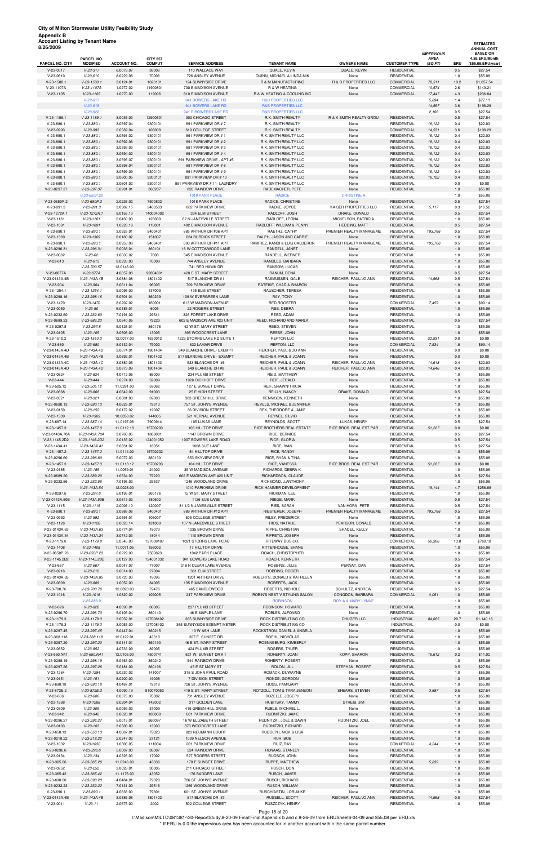| Account Listing by Tenant Name<br>3/26/2009 |                                |                         |                                  |                                                     |                                                              |                                 |                                          | <b>IMPERVIOUS</b>     |            | <b>ESTIMATED</b><br><b>ANNUAL COST</b><br><b>BASED ON</b> |
|---------------------------------------------|--------------------------------|-------------------------|----------------------------------|-----------------------------------------------------|--------------------------------------------------------------|---------------------------------|------------------------------------------|-----------------------|------------|-----------------------------------------------------------|
| <b>PARCEL NO. CITY</b>                      | PARCEL NO.<br><b>MODIFIED</b>  | <b>ACCOUNT NO.</b>      | <b>CITY 257</b><br><b>COMPUT</b> | <b>SERVICE ADDRESS</b>                              | <b>TENANT NAME</b>                                           | <b>OWNERS NAME</b>              | <b>CUSTOMER TYPE</b>                     | <b>AREA</b><br>(SQFT) | ERU        | 4.59/ERU/Month<br>(\$55.08/ERU/year)                      |
| V-23-0317                                   | $V-23-317$                     | 6.0078.07               | 38008                            | 110 WALLACE WAY                                     | QUALE, KEVIN                                                 | QUALE, KEVIN                    | <b>RESIDENTIAL</b>                       |                       | 0.5        | \$27.54                                                   |
| V-23-0610                                   | $V-23-610$                     | 8.0229.08               | 70006                            | 726 ANSLEY AVENUE                                   | QUINN, MICHAEL & LINDA MIK                                   | None                            | <b>RESIDENTIAL</b>                       |                       | 1.0        | \$55.08                                                   |
| $V-23-1508.1$                               | $V-23-1508.1$                  | 3.0124.01               | 1620101                          | 124 SUNNYSIDE DRIVE                                 | R & M MANUFACTURING                                          | R & B PROPERTIES LLC            | <b>COMMERCIAL</b>                        | 78,511                | 19.2       | \$1,057.54                                                |
| V-23-1107A                                  | V-23-1107A                     | 1.0272.02               | 11900801                         | 700 E MADISON AVENUE                                | R & W HEATING                                                | None                            | COMMERCIAL                               | 10,574                | 2.6        | \$143.21                                                  |
| $V-23-1105$                                 | $V-23-1105$<br>$V-23-917$      | 1.0270.00               | 119006                           | 610 E MADISON AVENUE<br>941 BOWERS LAKE RD          | R & W HEATING & COOLING INC<br><b>R&amp;B PROPERTIES LLC</b> | None                            | <b>COMMERCIAL</b>                        | 17,447<br>5,694       | 4.3<br>1.4 | \$236.84<br>\$77.11                                       |
|                                             | $V-23-918$                     |                         |                                  | 941 BOWERS LAKE RD                                  | <b>R&amp;B PROPERTIES LLC</b>                                |                                 |                                          | 14,567                | 3.6        | \$198.29                                                  |
|                                             | $V-23-922$                     |                         |                                  | 941 E BOWERS LAKE RD                                | <b>R&amp;B PROPERTIES LLC</b>                                |                                 |                                          | 2,106                 | 0.5        | \$27.54                                                   |
| V-23-1189.1                                 | $V-23-1189.1$                  | 3.0036.03               | 12900501                         | 302 CHICAGO STREET                                  | R.K. SMITH REALTY                                            | R & K SMITH REALTY GROU         | <b>RESIDENTIAL</b>                       |                       | 0.5        | \$27.54                                                   |
| $V-23-880.1$                                | $V-23-880.1$                   | 3.0597.04               | 9300101                          | 891 PARKVIEW DR #7                                  | R.K. SMITH REALTY                                            | None                            | <b>RESIDENTIAL</b>                       | 16,122                | 0.4        | \$22.03                                                   |
| V-23-0993                                   | $V-23-993$                     | 2.0589.04               | 106008                           | 619 COLLEGE STREET                                  | R.K. SMITH REALTY                                            | None                            | <b>COMMERCIAL</b>                        | 14,531                | 3.6        | \$198.29                                                  |
| $V-23-880.1$                                | $V-23-880.1$                   | 3.0591.02               | 9300101                          | 891 PARKVIEW DR #1                                  | R.K. SMITH REALTY LLC                                        | None                            | <b>RESIDENTIAL</b>                       | 16,122                | 0.4        | \$22.03                                                   |
| $V-23-880.1$                                | $V-23-880.1$                   | 3.0592.06               | 9300101                          | 891 PARKVIEW DR #2                                  | R.K. SMITH REALTY LLC                                        | None                            | <b>RESIDENTIAL</b>                       | 16,122                | 0.4        | \$22.03                                                   |
| $V-23-880.1$<br>$V-23-880.1$                | $V-23-880.1$<br>$V-23-880.1$   | 3.0593.03<br>3.0594.02  | 9300101<br>9300101               | 891 PARKVIEW DR #3<br>891 PARKVIEW DR #4            | R.K. SMITH REALTY LLC<br>R.K. SMITH REALTY LLC               | None<br>None                    | <b>RESIDENTIAL</b><br><b>RESIDENTIAL</b> | 16,122<br>16,122      | 0.4<br>0.4 | \$22.03<br>\$22.03                                        |
| $V-23-880.1$                                | $V-23-880.1$                   | 3.0595.07               | 9300101                          | 891 PARKVIEW DRIVE - APT #5                         | R.K. SMITH REALTY LLC                                        | None                            | <b>RESIDENTIAL</b>                       | 16,122                | 0.4        | \$22.03                                                   |
| $V-23-880.1$                                | $V-23-880.1$                   | 3.0598.04               | 9300101                          | 891 PARKVIEW DR #8                                  | R.K. SMITH REALTY LLC                                        | None                            | <b>RESIDENTIAL</b>                       | 16,122                | 0.4        | \$22.03                                                   |
| $V-23-880.1$                                | $V-23-880.1$                   | 3.0599.09               | 9300101                          | 891 PARKVIEW DR # 9                                 | R.K. SMITH REALTY LLC                                        | None                            | <b>RESIDENTIAL</b>                       | 16,122                | 0.4        | \$22.03                                                   |
| $V-23-880.1$                                | $V-23-880.1$                   | 3.0600.05               | 9300101                          | 891 PARKVIEW DR # 10                                | R.K. SMITH REALTY LLC                                        | None                            | <b>RESIDENTIAL</b>                       | 16,122                | 0.4        | \$22.03                                                   |
| $V-23-880.1$                                | $V-23-880.1$                   | 3.0601.02               | 9300101                          | 891 PARKVIEW DR # 11- LAUNDRY                       | R.K. SMITH REALTY LLC                                        | None                            | <b>RESIDENTIAL</b>                       |                       | 0.0        | \$0.00                                                    |
| V-23-0297.37                                | V-23-297.37                    | 5.0201.01               | 360207                           | 820 RAINBOW DRIVE                                   | RADEMACHER, PETE                                             | None                            | <b>RESIDENTIAL</b>                       |                       | 1.0        | \$55.08                                                   |
|                                             | V-23-650P.20                   |                         |                                  | 1018 PARK PLACE                                     | <b>RADICE</b>                                                | <b>CHRISTINE A</b>              |                                          |                       | 1.0        | \$55.08                                                   |
| V-23-0650P.2<br>$V-23-891.3$                | $V-23-650P.2$<br>$V-23-891.3$  | 2.0226.02<br>3.0382.15  | 7500802<br>9400503               | 1018 PARK PLACE<br>862 PARKVIEW DRIVE               | RADICE, CHRISTINE<br>RADKE, JOYCE                            | None<br>KAISER PROPERTIES LLC   | <b>RESIDENTIAL</b><br><b>RESIDENTIAL</b> | 5,117                 | 0.5<br>0.3 | \$27.54<br>\$16.52                                        |
| V-23-1272A.1                                | V-23-1272A.1                   | 9.0155.13               | 140004002                        | 334 ELM STREET                                      | RADLOFF, JOSH                                                | DRAKE, DONALD                   | <b>RESIDENTIAL</b>                       |                       | 0.5        | \$27.54                                                   |
| $V-23-1161$                                 | $V-23-1161$                    | 2.0430.00               | 125009                           | 62 N JANESVILLE STREET                              | RADLOFF, LEONA                                               | MICKELSON, PATRICIA             | <b>RESIDENTIAL</b>                       |                       | 1.0        | \$55.08                                                   |
| $V-23-1091$                                 | $V-23-1091$                    | 1.0228.18               | 118001                           | 402 E MADISON AVENUE                                | RADLOFF, WILLIAM & PENNY                                     | HEDDING, MATT                   | <b>RESIDENTIAL</b>                       |                       | 0.5        | \$27.54                                                   |
| $V-23-890.1$                                | $V-23-890.1$                   | 3.0933.01               | 9400401                          | 885 ARTHUR DR #06 APT                               | RAETHZ, CATHY                                                | PREMIER REALTY MANAGEME         | <b>RESIDENTIAL</b>                       | 193,766               | 0.5        | \$27.54                                                   |
| $V-23-1369$                                 | $V-23-1369$                    | 8.0180.02               | 151007                           | <b>624 BURDICK STREET</b>                           | RALPH, JASON AND CARRIE                                      | None                            | <b>RESIDENTIAL</b>                       |                       | 1.0        | \$55.08                                                   |
| $V-23-890.1$                                | $V-23-890.1$                   | 3.0953.08               | 9400401                          | 893 ARTHUR DR #11 APT                               | RAMIREZ, KANDI & LUIS CALDERON                               | PREMIER REALTY MANAGEME         | <b>RESIDENTIAL</b>                       | 193,766               | 0.5        | \$27.54                                                   |
| V-23-0296.31                                | $V-23-296.31$                  | 5.0038.01               | 360101                           | 16 W COTTONWOOD LANE                                | RANDELL, JANET                                               | None                            | <b>RESIDENTIAL</b>                       |                       | 1.0        | \$55.08                                                   |
| V-23-0062                                   | $V-23-62$                      | 1.0030.02               | 7008                             | 345 E MADISON AVENUE                                | RANDELL, WERNER                                              | None                            | <b>RESIDENTIAL</b>                       |                       | 1.0        | \$55.08                                                   |
| $V-23-613$                                  | $V-23-613$<br>V-23-700.57      | 8.0235.00<br>12.0146.00 | 70009                            | 744 ANSLEY AVENUE<br>741 RED HAWK DR                | RANDLES, BARBARA<br>RANSOM, LUCAS                            | None<br>None                    | <b>RESIDENTIAL</b><br><b>RESIDENTIAL</b> |                       | 1.0<br>1.0 | \$55.08<br>\$55.08                                        |
| V-23-0877A                                  | V-23-877A                      | 4.0057.08               | 92004001                         | 428 E ST. MARY STREET                               | RANUM, DENA                                                  | None                            | <b>RESIDENTIAL</b>                       |                       | 0.5        | \$27.54                                                   |
| V-23-0143A.4B                               | V-23-143A.4B                   | 3.0884.08               | 1801402                          | 517 BLANCHE DR #1                                   | RASMUSSEN, GALE                                              | REICHER, PAUL/JO ANN            | <b>RESIDENTIAL</b>                       | 14,968                | 0.5        | \$27.54                                                   |
| $V-23-904$                                  | $V-23-904$                     | 3.0611.04               | 96005                            | 709 PARKVIEW DRIVE                                  | RATEIKE, CHAD & SHARON                                       | None                            | <b>RESIDENTIAL</b>                       |                       | 1.0        | \$55.08                                                   |
| V-23-1254.1                                 | $V-23-1254.1$                  | 9.0096.00               | 137009                           | 435 ELM STREET                                      | RAUSCHER, TERESA                                             | None                            | <b>RESIDENTIAL</b>                       |                       | 1.0        | \$55.08                                                   |
| V-23-0298.16                                | $V-23-298.16$                  | 5.0501.01               | 360239                           | 109 W EVERGREEN LANE                                | RAY, TONY                                                    | None                            | <b>RESIDENTIAL</b>                       |                       | 1.0        | \$55.08                                                   |
| $V-23-1470$                                 | $V-23-1470$                    | 8.0202.02               | 160001                           | 613 W MADISON AVENUE                                | <b>RED ROOSTER</b>                                           | None                            | COMMERCIAL                               | 7,459                 | 1.8        | \$99.14                                                   |
| $V-23-0050$                                 | $V-23-50$                      | 6.0185.01               | 6005                             | 22 ROGERS STREET                                    | REE, DEBRA                                                   | None                            | <b>RESIDENTIAL</b>                       |                       | 1.0        | \$55.08                                                   |
| V-23-0232.60<br>V-23-0689.23                | $V-23-232.60$<br>$V-23-689.23$ | 7.0191.02<br>1.0540.05  | 29541<br>79223                   | 326 FOREST LAKE DRIVE<br>602 E MADISON AVE #23 UNIT | REED, ADAM<br>REED, RICHARD AND MARLA                        | None<br>None                    | <b>RESIDENTIAL</b><br><b>RESIDENTIAL</b> |                       | 1.0<br>0.5 | \$55.08<br>\$27.54                                        |
| V-23-0297.8                                 | $V-23-297.8$                   | 5.0126.01               | 360178                           | 42 W ST. MARY STREET                                | REED, STEVEN                                                 | None                            | <b>RESIDENTIAL</b>                       |                       | 1.0        | \$55.08                                                   |
| $V-23-0105$                                 | $V-23-105$                     | 3.0506.00               | 13005                            | 395 WOODCREST LANE                                  | REESE, JOHN                                                  | None                            | <b>RESIDENTIAL</b>                       |                       | 1.0        | \$55.08                                                   |
| $V-23-1510.2$                               | $V-23-1510.2$                  | 12.0077.00              | 1630012                          | 1223 STORRS LAKE RD SUITE 1                         | <b>REFTON LLC</b>                                            | None                            | <b>RESIDENTIAL</b>                       | 22,931                | 0.0        | \$0.00                                                    |
| $V-23-680$                                  | $V-23-680$                     | 8.0132.04               | 79002                            | 632 LAMAR DRIVE                                     | <b>REFTON, LLC</b>                                           | None                            | COMMERCIAL                               | 7,534                 | 1.8        | \$99.14                                                   |
| V-23-0143A.4D                               | V-23-143A.4D                   | 3.0874.01               | 1801404                          | 549 BLANCHE DRIVE- EXEMPT                           | REICHER, PAUL & JO ANN                                       | None                            | <b>RESIDENTIAL</b>                       |                       | 0.0        | \$0.00                                                    |
| V-23-0143A.4B                               | V-23-143A.4B                   | 3.0892.01               | 1801402                          | 517 BLANCHE DRIVE - EXEMPT                          | REICHER, PAUL & JOANN                                        | None                            | <b>RESIDENTIAL</b>                       |                       | 0.0        | \$0.00                                                    |
| V-23-0143A.4C                               | V-23-143A.4C                   | 3.0880.05               | 1801403                          | 533 BLANCHE DR #6                                   | REICHER, PAUL & JOANN                                        | REICHER, PAUL/JO ANN            | <b>RESIDENTIAL</b>                       | 14,618                | 0.4        | \$22.03                                                   |
| V-23-0143A.4D                               | V-23-143A.4D                   | 3.0873.09               | 1801404                          | 549 BLANCHE DR #8                                   | REICHER, PAUL & JOANN                                        | REICHER, PAUL/JO ANN            | <b>RESIDENTIAL</b>                       | 14,646                | 0.4        | \$22.03                                                   |
| V-23-0824<br>$V-23-444$                     | $V-23-824$<br>$V-23-444$       | 4.0712.06<br>7.0274.00  | 86003<br>52009                   | 234 PLUMB STREET<br>1026 DICKHOFF DRIVE             | REID, MATTHEW<br>REIF, JERALD                                | None<br>None                    | <b>RESIDENTIAL</b><br><b>RESIDENTIAL</b> |                       | 1.0<br>1.0 | \$55.08<br>\$55.08                                        |
| $V-23-505.12$                               | $V-23-505.12$                  | 11.0281.00              | 59062                            | 127 E SUNSET DRIVE                                  | REIF, SHAWN/TRICIA                                           | None                            | <b>RESIDENTIAL</b>                       |                       | 1.0        | \$55.08                                                   |
| V-23-0868                                   | $V-23-868$                     | 4.0649.09               | 91003                            | 25 E HIGH STREET                                    | REILLY, NANCY                                                | DRAKE, DONALD                   | <b>RESIDENTIAL</b>                       |                       | 0.5        | \$27.54                                                   |
| V-23-0321                                   | $V-23-321$                     | 6.0081.00               | 39003                            | 303 GREEN HILL DRIVE                                | RENNISON, KENNETH                                            | None                            | <b>RESIDENTIAL</b>                       |                       | 1.0        | \$55.08                                                   |
| V-23-0690.13                                | $V-23-690.13$                  | 4.0629.01               | 79313                            | 757 ST. JOHN'S AVENUE                               | REVELS, MICHAEL & JENNIFER                                   | None                            | <b>RESIDENTIAL</b>                       |                       | 1.0        | \$55.08                                                   |
| $V-23-0150$                                 | $V-23-150$                     | 8.0172.02               | 19007                            | 36 DIVISION STREET                                  | REX, THEODORE & JAMIE                                        | None                            | <b>RESIDENTIAL</b>                       |                       | 1.0        | \$55.08                                                   |
| V-23-1309                                   | $V-23-1309$                    | 10.0058.02              | 144005                           | 521 VERNAL AVENUE                                   | REYNEL, SILVIO                                               | None                            | <b>RESIDENTIAL</b>                       |                       | 1.0        | \$55.08                                                   |
| V-23-687.14                                 | $V-23-687.14$                  | 11.0197.06              | 7900914                          | 105 LUKAS LANE                                      | REYNOLDS, SCOTT                                              | LUKAS, HENRY                    | <b>RESIDENTIAL</b>                       |                       | 0.5        | \$27.54                                                   |
| $V-23-1457.3$<br>V-23-0143A.70A             | $V-23-1457.3$<br>V-23-143A.70A | 11.0112.18<br>3.0760.05 | 15700203<br>1808001              | 106 HILLTOP DRIVE<br>1147 BROWN DRIVE               | RICE BROTHERS REAL ESTATE<br>RICE, BERNICE                   | RICE BROS, REAL EST PAR<br>None | <b>RESIDENTIAL</b><br><b>RESIDENTIAL</b> | 51,227                | 0.0<br>0.5 | \$0.00<br>\$27.54                                         |
| V-23-1145.2D2                               | V-23-1145.2D2                  | 2.0135.02               | 124001052                        | 1007 BOWERS LAKE ROAD                               | RICE, GLORIA                                                 | None                            | <b>RESIDENTIAL</b>                       |                       | 0.5        | \$27.54                                                   |
| V-23-143A.41                                | V-23-143A.41                   | 3.0831.02               | 18051                            | 1008 SUE LANE                                       | RICE, IVAN                                                   | None                            | <b>RESIDENTIAL</b>                       |                       | 0.5        | \$27.54                                                   |
| $V-23-1457.2$                               | $V-23-1457.2$                  | 11.0114.02              | 15700202                         | 54 HILLTOP DRIVE                                    | RICE, RANDY                                                  | None                            | <b>RESIDENTIAL</b>                       |                       | 1.0        | \$55.08                                                   |
| V-23-0296.60                                | $V-23-296.60$                  | 5.0072.03               | 360130                           | 653 SKYVIEW DRIVE                                   | RICE, RYAN & TINA                                            | None                            | <b>RESIDENTIAL</b>                       |                       | 1.0        | \$55.08                                                   |
| $V-23-1457.3$                               | $V-23-1457.3$                  | 11.0113.12              | 15700203                         | 104 HILLTOP DRIVE                                   | RICE, VANESSA                                                | RICE BROS. REAL EST PAR         | <b>RESIDENTIAL</b>                       | 51,227                | 0.0        | \$0.00                                                    |
| V-23-0185                                   | $V-23-185$                     | 11.0059.01              | 24002                            | 39 W MADISON AVENUE                                 | RICHARDS, DEBRA K.                                           | None                            | <b>RESIDENTIAL</b>                       |                       | 1.0        | \$55.08                                                   |
| V-23-0689.20                                | $V-23-689.20$                  | 1.0534.00               | 79220                            | 602 E MADISON AVE #20 UNIT                          | RICHARDSON, CLAUDE                                           | None                            | <b>RESIDENTIAL</b>                       |                       | 0.5        | \$27.54                                                   |
| V-23-0232.56                                | $V-23-232.56$                  | 7.0195.02               | 29537                            | 1246 WOODLAND DRIVE                                 | RICHMOND, J.ANTHONY                                          | None                            | <b>RESIDENTIAL</b>                       |                       | 1.0        | \$55.08                                                   |
|                                             | V-23-143A.5A                   | 12.0028.00              |                                  | 1010 PARKVIEW DRIVE                                 | RICK HAMMER DEVELOPMENT                                      | None                            | <b>RESIDENTIAL</b>                       | 19,144                | 4.7        | \$258.88                                                  |
| V-23-0297.6<br>V-23-0143A.50B               | V-23-297.6                     | 5.0195.01               | 360176                           | 15 W ST. MARY STREET                                | RICKMAN, LEE                                                 | None                            | <b>RESIDENTIAL</b><br><b>RESIDENTIAL</b> |                       | 1.0        | \$55.08                                                   |
| $V-23-1115$                                 | V-23-143A.50B<br>$V-23-1115$   | 3.0813.02<br>2.0006.10  | 180602<br>120007                 | 1126 SUE LANE<br>31 1/2 N JANESVILLE STREET         | RIEGE, MARK<br>RIES, SARAH                                   | None<br>VAN HORN, PETE          | <b>RESIDENTIAL</b>                       |                       | 0.5<br>0.5 | \$27.54<br>\$27.54                                        |
| $V-23-890.1$                                | $V-23-890.1$                   | 3.0986.06               | 9400401                          | 889 ARTHUR DR #12 APT                               | RIESTERER, JOSEPH                                            | PREMIER REALTY MANAGEME         | <b>RESIDENTIAL</b>                       | 193,766               | 0.5        | \$27.54                                                   |
| V-23-0992                                   | $V-23-992$                     | 2.0591.01               | 106007                           | 605 COLLEGE STREET                                  | RILEY, FREDERICK                                             | None                            | <b>RESIDENTIAL</b>                       |                       | 1.0        | \$55.08                                                   |
| $V-23-1126$                                 | $V-23-1126$                    | 2.0023.14               | 121009                           | 107 N JANESVILLE STREET                             | RIOS, NATALIE                                                | PEARSON, DONALD                 | <b>RESIDENTIAL</b>                       |                       | 1.0        | \$55.08                                                   |
| V-23-0143A.63                               | V-23-143A.63                   | 3.0774.04               | 18073                            | 1235 BROWN DRIVE                                    | RIPPE, CHRISTIAN                                             | SHADEL, KELLY                   | <b>RESIDENTIAL</b>                       |                       | 1.0        | \$55.08                                                   |
| V-23-0143A.34                               | V-23-143A.34                   | 3.0742.03               | 18044                            | 1110 BROWN DRIVE                                    | RIPPETO, JOSEPH                                              | None                            | <b>RESIDENTIAL</b>                       |                       | 1.0        | \$55.08                                                   |
| V-23-1179.8                                 | $V-23-1179.8$                  | 2.0545.00               | 127008107                        | 1021 STORRS LAKE ROAD                               | RITEWAY BUS CO.                                              | None                            | COMMERCIAL                               | 56,366                | 13.8       | \$760.10                                                  |
| $V-23-1408$                                 | $V-23-1408$                    | 11.0071.05              | 156002                           | 17 HILLTOP DRIVE                                    | RITTENHOUSE, SHANE                                           | None                            | <b>RESIDENTIAL</b>                       |                       | 1.0        | \$55.08                                                   |
| V-23-0650P.23<br>V-23-1145.2B2              | V-23-650P.23<br>V-23-1145.2B2  | 2.0229.00<br>2.0127.00  | 7500823<br>124001032             | 1042 PARK PLACE<br>941 BOWERS LAKE ROAD             | ROACH, CHRISTOPHER<br>ROACH, KENNETH                         | None<br>None                    | <b>RESIDENTIAL</b><br><b>RESIDENTIAL</b> |                       | 1.0<br>0.5 | \$55.08<br>\$27.54                                        |
|                                             |                                |                         |                                  |                                                     |                                                              |                                 |                                          |                       |            |                                                           |

V-23-667 V-23-667 8.0047.07 77007 218 N CLEAR LAKE AVENUE ROBBINS, JULIE PERNAT, DAN RESIDENTIAL 0.5 \$27.54 V-23-0216 *V-23-216* 9.0014.00 27004 361 ELM STREET ROBBINS, ROGER None RESIDENTIAL 1.0 \$55.08 V-23-0143A.85 V-23-143A.85 3.0720.03 18095 1201 ARTHUR DRIVE ROBERTS, DONALD & KATHLEEN None RESIDENTIAL 1.0 \$55.08 V-23-0809 *V-23-809* 1.0052.00 84005 135 E MADISON AVENUE ROBERTS, JACK None RESIDENTIAL 1.0 \$55.08 V-23-700.76 V-23-700.76 12.0023.03 79476 465 SANDLEWOOD ROBERTS, NICHOLE SCHULTZ, ANDREW RESIDENTIAL 0.5 \$27.54 V-23-1016 V-23-1016 1.0320.02 109005 247 PARKVIEW DRIVE ROBIN'S NEST V STYLING SALON CONGDON, BARBARA COMMERCIAL 4,051 1.0 \$55.08

V-23-826 *V-23-826* 4.0698.01 86005 237 PLUMB STREET ROBINSON, HOWARD None RESIDENTIAL 1.0 \$55.08 V-23-0296.70 V-23-296.70 5.0105.04 360140 46 E MAPLE LANE ROBLES, ALFONSO None RESIDENTIAL 1.0 \$55.08 V-23-1179.3 V-23-1179.3 3.0052.01 127008102 365 SUNNYSIDE DRIVE ROCK DISTRIBUTING CO CHUGER LLC INDUSTRIAL 84,665 20.7 \$1,140.16

V-23-688.9 ROBINSON ROY A & MARY LYNNE 1.0 \$55.08

| V-23-1179.3   | $V-23-1179.3$  | 3.0053.00  | 127008102 | 365 SUNNYSIDE EXEMPT METER | ROCK DISTRIBUTING CO       | None                 | <b>INDUSTRIAL</b>  |        | 0.0 | \$0.00  |
|---------------|----------------|------------|-----------|----------------------------|----------------------------|----------------------|--------------------|--------|-----|---------|
| V-23-0297.45  | $V-23-297.45$  | 5.0447.04  | 360215    | 13 W ASH LANE              | ROCKSTRON, DANIEL & ANGELA | None                 | <b>RESIDENTIAL</b> |        | 1.0 | \$55.08 |
| V-23-368.118  | $V-23-368.118$ | 12.0122.01 | 43318     | 327 E. SUNSET DR           | ROEHL, NICHOLAS            | None                 | <b>RESIDENTIAL</b> |        | 1.0 | \$55.08 |
| V-23-0297.20  | V-23-297.20    | 5.0141.01  | 360190    | 46 E ST. MARY STREET       | ROENNEBURG, KIMBERLY       | None                 | <b>RESIDENTIAL</b> |        | 1.0 | \$55.08 |
| V-23-0852     | $V-23-852$     | 4.0733.09  | 89005     | 424 PLUMB STREET           | ROGERS, TYLER              | None                 | <b>RESIDENTIAL</b> |        | 1.0 | \$55.08 |
| V-23-650.N41  | V-23-650.N41   | 12.0105.00 | 7500741   | 621 W. SUNSET DR #1        | ROHERTY, JOAN              | KOPP, SHARON         | <b>RESIDENTIAL</b> | 15.612 | 0.2 | \$11.02 |
| V-23-0298.19  | $V-23-298.19$  | 5.0463.00  | 360242    | 944 RAINBOW DRIVE          | ROHERTY, ROBERT            | None                 | <b>RESIDENTIAL</b> |        | 1.0 | \$55.08 |
| V-23-0297.26  | $V-23-297.26$  | 5.0181.09  | 360196    | 45 E ST MARY ST            | ROLON, JILL                | STEPHAN, ROBERT      | <b>RESIDENTIAL</b> |        | 0.5 | \$27.54 |
| V-23-1284     | $V-23-1284$    | 9.0230.02  | 141007    | 315 S JOHN PAUL ROAD       | ROMACK, DUWAYNE            | None                 | <b>RESIDENTIAL</b> |        | 1.0 | \$55.08 |
| $V-23-0151$   | $V-23-151$     | 8.0200.00  | 19008     | 7 DIVISION STREET          | RONDE, GORDON              | None                 | <b>RESIDENTIAL</b> |        | 1.0 | \$55.08 |
| V-23-690.18   | $V-23-690.18$  | 4.0487.01  | 79318     | 726 ST. JOHN'S AVENUE      | ROSS, PAM/GARY             | None                 | <b>RESIDENTIAL</b> |        | 1.0 | \$55.08 |
| V-23-872E.2   | V-23-872E.2    | 4.0090.19  | 910070052 | 419 E ST. MARY STREET      | ROTZOLL. TOM & TARA JENSON | SHEARS, STEVEN       | <b>RESIDENTIAL</b> | 3.687  | 0.5 | \$27.54 |
| $V-23-606$    | $V-23-606$     | 8.0375.00  | 70002     | 731 ANSLEY AVENUE          | ROZELLE, JOSEPH            | None                 | <b>RESIDENTIAL</b> |        | 1.0 | \$55.08 |
| V-23-1288     | $V-23-1288$    | 9.0204.04  | 142002    | 317 GOLDEN LANE            | RUBITSKY, TAMMY            | STREIB, JIM          | <b>RESIDENTIAL</b> |        | 1.0 | \$55.08 |
| $V-23-0309$   | $V-23-309$     | 6.0059.02  | 37009     | 419 GREEN HILL DRIVE       | RUBLE, MICHAEL L.          | None                 | <b>RESIDENTIAL</b> |        | 1.0 | \$55.08 |
| $V-23-942$    | $V-23-942$     | 3.0620.01  | 100008    | 601 PARKVIEW DRIVE         | RUDNITZKI, JAMIE           | None                 | <b>RESIDENTIAL</b> |        | 1.0 | \$55.08 |
| V-23-0296.27  | V-23-296.27    | 5.0013.01  | 360097    | 16 W ELIZABETH STREET      | RUDNITZKI, JOEL & DAWN     | RUDNITZKI, JOEL      | <b>RESIDENTIAL</b> |        | 1.0 | \$55.08 |
| $V-23-0103$   | $V - 23 - 103$ | 3.0508.00  | 13003     | 373 WOODCREST LANE         | RUDNITZKI, RICHARD         | None                 | <b>RESIDENTIAL</b> |        | 1.0 | \$55.08 |
| $V-23-650.13$ | $V-23-650.13$  | 4.0087.01  | 75023     | 823 NEUMANN COURT          | RUDOLPH, NICK & LISA       | None                 | <b>RESIDENTIAL</b> |        | 1.0 | \$55.08 |
| V-23-0218.22  | $V-23-218.22$  | 2.0247.02  | 27121     | 1039 NELSON AVENUE         | RUH, BOB                   | None                 | <b>RESIDENTIAL</b> |        | 1.0 | \$55.08 |
| V-23-1032     | $V-23-1032$    | 1.0306.05  | 111004    | 201 PARKVIEW DRIVE         | RUIZ, RAY                  | None                 | <b>COMMERCIAL</b>  | 4.244  | 1.0 | \$55.08 |
| V-23-0296.6   | $V-23-296.6$   | 5.0007.00  | 36007     | 524 RAINBOW DRIVE          | RUNAAS, STANLEY            | None                 | <b>RESIDENTIAL</b> |        | 1.0 | \$55.08 |
| V-23-0134     | $V - 23 - 134$ | 4.0326.03  | 17002     | 527 ROGERS STREET          | RUOSCH, JOHN               | None                 | <b>RESIDENTIAL</b> |        | 1.0 | \$55.08 |
| V-23-365.26   | $V-23-365.26$  | 11.0246.00 | 43036     | 178 E SUNSET DRIVE         | RUPPE, MATTHEW             | None                 | <b>RESIDENTIAL</b> | 5.839  | 1.0 | \$55.08 |
| V-23-0252     | V-23-252       | 3.0028.01  | 30005     | 211 CHICAGO STREET         | RUSCH, DON                 | None                 | <b>RESIDENTIAL</b> |        | 1.0 | \$55.08 |
| V-23-365.42   | $V-23-365.42$  | 11.1176.00 | 43052     | 176 BADGER LANE            | RUSCH, JAMES               | None                 | <b>RESIDENTIAL</b> |        | 1.0 | \$55.08 |
| V-23-690.20   | V-23-690.20    | 4.0484.01  | 79320     | 706 ST. JOHN'S AVENUE      | RUSCH, RICHARD             | None                 | <b>RESIDENTIAL</b> |        | 1.0 | \$55.08 |
| V-23-0232.22  | $V-23-232.22$  | 7.0131.00  | 29516     | 1269 WOODLAND DRIVE        | RUSCH, WILLIAM             | None                 | <b>RESIDENTIAL</b> |        | 1.0 | \$55.08 |
| $V-23-690.1$  | $V-23-690.1$   | 4.0638.00  | 79301     | 601 ST. JOHN'S AVENUE      | RUSCH/ASTIN, LORI/MIKE     | None                 | <b>RESIDENTIAL</b> |        | 1.0 | \$55.08 |
| V-23-0143A.4B | V-23-143A.4B   | 3.0886.08  | 1801402   | 517 BLANCHE DR #3          | RUSSELL, SCOTT             | REICHER, PAUL/JO ANN | <b>RESIDENTIAL</b> | 14,968 | 0.5 | \$27.54 |
| $V-23-0011$   | $V - 23 - 11$  | 2.0675.00  | 2002      | 502 COLLEGE STREET         | RUSZCZYK, HENRY            | None                 | <b>RESIDENTIAL</b> |        | 1.0 | \$55.08 |

Page 15 of 20

I:\Madison\MILTC\081381-\30-ReportStudy\8-20-09 Final\Final Appendix b and c 8-26-09 from ERUSheet6-04-09 and \$55.08 per ERU.xls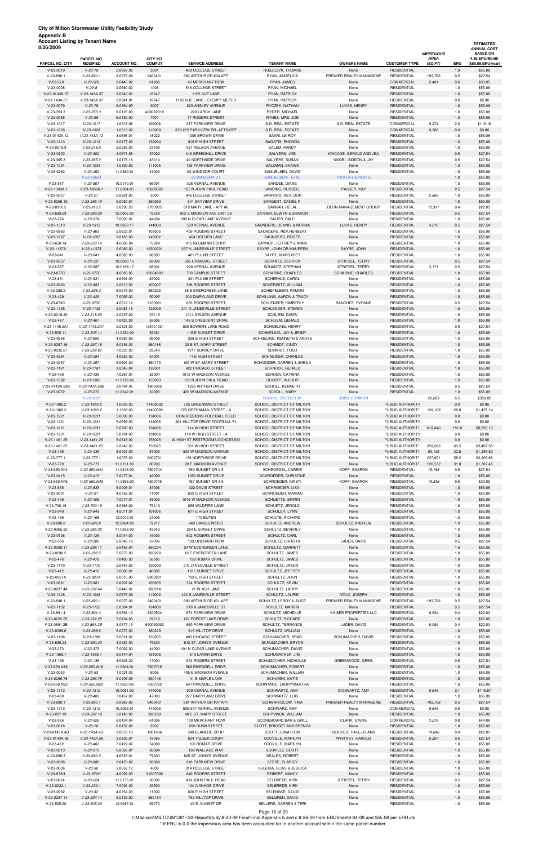| Account Listing by Tenant Name<br>3/26/2009 | PARCEL NO.                     |                          | <b>CITY 257</b>    |                                                        |                                                        |                                                |                                          | <b>IMPERVIOUS</b><br><b>AREA</b> |            | <b>ESTIMATED</b><br><b>ANNUAL COST</b><br><b>BASED ON</b><br>4.59/ERU/Month |
|---------------------------------------------|--------------------------------|--------------------------|--------------------|--------------------------------------------------------|--------------------------------------------------------|------------------------------------------------|------------------------------------------|----------------------------------|------------|-----------------------------------------------------------------------------|
| PARCEL NO. CITY                             | <b>MODIFIED</b>                | <b>ACCOUNT NO.</b>       | <b>COMPUT</b>      | <b>SERVICE ADDRESS</b>                                 | <b>TENANT NAME</b>                                     | <b>OWNERS NAME</b>                             | <b>CUSTOMER TYPE</b>                     | (SQ FT)                          | ERU        | (\$55.08/ERU/year)                                                          |
| $V-23-0019$                                 | $V-23-19$                      | 2.0667.02                | 3001               | 408 COLLEGE STREET                                     | RUSZCZYK, THOMAS                                       | None                                           | <b>RESIDENTIAL</b>                       |                                  | 1.0        | \$55.08                                                                     |
| $V-23-890.1$                                | $V-23-890.1$                   | 3.0978.09                | 9400401            | 889 ARTHUR DR #04 APT                                  | RYAN, ANGELICA                                         | PREMIER REALTY MANAGEME                        | <b>RESIDENTIAL</b>                       | 193,766                          | 0.5        | \$27.54                                                                     |
| $V-23-528$<br>V-23-0008                     | $V-23-528$<br>$V-23-8$         | 8.0440.02<br>2.0680.02   | 61008<br>1008      | 46 MERCHANT ROW<br>518 COLLEGE STREET                  | RYAN, JAMES<br>RYAN, MICHAEL                           | None<br>None                                   | <b>COMMERCIAL</b><br><b>RESIDENTIAL</b>  | 2,481                            | 0.6<br>1.0 | \$33.05<br>\$55.08                                                          |
| V-23-0143A.37                               | V-23-143A.37                   | 3.0840.01                | 18047              | 1105 SUE LANE                                          | RYAN, PATRICK                                          | None                                           | <b>RESIDENTIAL</b>                       |                                  | 1.0        | \$55.08                                                                     |
| V-23-143A.37                                | V-23-143A.37                   | 3.0841.01                | 18047              | 1105 SUE LANE - EXEMPT METER                           | RYAN, PATRICK                                          | None                                           | <b>RESIDENTIAL</b>                       |                                  | 0.0        | \$0.00                                                                      |
| V-23-0079                                   | $V-23-79$                      | 8.0364.05                | 9007               | 823 ANSLEY AVENUE                                      | RYCZEK, NATHAN                                         | LUKAS, HENRY                                   | <b>RESIDENTIAL</b>                       |                                  | 1.0        | \$55.08                                                                     |
| $V-23-353.3$<br>$V-23-0055$                 | $V-23-353.3$<br>$V-23-55$      | 6.0126.00<br>6.0182.00   | 420082010<br>7001  | 220 LARCH LANE<br>17 ROGERS STREET                     | RYDER, MICHAEL<br>RYNES, MRS. JOE                      | None                                           | <b>RESIDENTIAL</b><br><b>RESIDENTIAL</b> |                                  | 1.0<br>1.0 | \$55.08<br>\$55.08                                                          |
| $V-23-1017$                                 | $V-23-1017$                    | 1.0316.06                | 109006             | 237 PARKVIEW DRIVE                                     | S.D. REAL ESTATE                                       | None<br>S.D. REAL ESTATE                       | COMMERCIAL                               | 8,274                            | 2.0        | \$110.16                                                                    |
| V-23-1028                                   | $V-23-1028$                    | 1.0313.02                | 110009             | 223-225 PARKVIEW DR.-APTS/OFF                          | S.D. REAL ESTATE                                       | None                                           | <b>COMMERCIAL</b>                        | 9,568                            | 0.0        | \$0.00                                                                      |
| V-23-0143A.12                               | V-23-143A.12                   | 3.0695.01                | 18022              | 1005 BROWN DRIVE                                       | SAARI, LE ROY                                          | None                                           | <b>RESIDENTIAL</b>                       |                                  | 1.0        | \$55.08                                                                     |
| $V-23-1213$                                 | $V-23-1213$                    | 3.0177.03                | 132004             | 919 E HIGH STREET                                      | SAGATIS, RHONDA                                        | None                                           | <b>RESIDENTIAL</b>                       |                                  | 1.0        | \$55.08                                                                     |
| V-23-0218.9                                 | $V-23-218.9$                   | 2.0256.00                | 27108              | 921 NELSON AVENUE                                      | SALEM, RANDY                                           | None                                           | <b>RESIDENTIAL</b>                       |                                  | 1.0        | \$55.08                                                                     |
| V-23-0302<br>V-23-365.3                     | $V-23-302$<br>$V-23-365.3$     | 4.0671.05<br>1.0176.16   | 37002<br>43014     | 448 GREENHILL DRIVE<br>40 NORTHSIDE DRIVE              | SALYERS, JOE<br>SALYERS, SUSAN                         | KINCADE, GERALD AND JEA<br>NGOBI, GIDEON & JAY | <b>RESIDENTIAL</b><br><b>RESIDENTIAL</b> |                                  | 0.5<br>0.5 | \$27.54<br>\$27.54                                                          |
| V-23-1034                                   | $V-23-1034$                    | 1.0303.02                | 111006             | 125 PARKVIEW DRIVE                                     | SALZMAN, SHAWN                                         | None                                           | <b>RESIDENTIAL</b>                       |                                  | 1.0        | \$55.08                                                                     |
| V-23-0262                                   | $V-23-262$                     | 11.0360.01               | 31003              | 52 WINDSOR COURT                                       | SAMUELSEN, DAVID                                       | None                                           | <b>RESIDENTIAL</b>                       |                                  | 1.0        | \$55.08                                                                     |
|                                             | V-23-1363A                     |                          |                    | 52 WINDSOR CT                                          | <b>SAMUELSON - ETAL</b>                                | <b>THOR A &amp; BIRGIT E</b>                   |                                          |                                  | 1.0        | \$55.08                                                                     |
| $V-23-567$                                  | $V-23-567$                     | 10.0140.01               | 66001              | 326 VERNAL AVENUE                                      | SANDEE, DIANE                                          | None                                           | <b>RESIDENTIAL</b>                       |                                  | 1.0        | \$55.08                                                                     |
| V-23-1360A.1                                | V-23-1360A.1                   | 11.0304.05               | 15000303           | 125 N JOHN PAUL ROAD                                   | SANDING, RUSSELL                                       | PASSER, KAY                                    | <b>RESIDENTIAL</b>                       |                                  | 0.5        | \$27.54                                                                     |
| V-23-0027<br>V-23-0296.19                   | $V-23-27$<br>$V-23-296.19$     | 2.0661.00<br>5.0050.01   | 3009<br>360089     | 346 COLLEGE STREET<br>641 SKYVIEW DRIVE                | SANFORD, REV. DON<br>SARGENT, DANIEL P.                | None<br>None                                   | <b>RESIDENTIAL</b><br><b>RESIDENTIAL</b> | 2,868                            | 1.0<br>1.0 | \$55.08<br>\$55.08                                                          |
| V-23-0916.5                                 | $V-23-916.5$                   | 3.0296.28                | 9700905            | 618 MARY LANE - APT #6                                 | SARKAR, HELAL                                          | <b>DEHN MANAGEMENT GROUP</b>                   | <b>RESIDENTIAL</b>                       | 12,917                           | 0.4        | \$22.03                                                                     |
| V-23-689.29                                 | V-23-689.29                    | 12.0002.00               | 79229              | 602 E MADISON AVE UNIT 29                              | SATHER, ELWYN & SHARON                                 | None                                           | <b>RESIDENTIAL</b>                       |                                  | 0.5        | \$27.54                                                                     |
| $V-23-374$                                  | $V-23-374$                     | 7.0003.01                | 44004              | 109 N CLEAR LAKE AVENUE                                | SAUER, DALE                                            | None                                           | <b>RESIDENTIAL</b>                       |                                  | 1.0        | \$55.08                                                                     |
| $V-23-1313$                                 | $V-23-1313$                    | 10.0050.17               | 144009             | 503 VERNAL AVENUE                                      | SAUNDERS, DENNIS & NORMA                               | LUKAS, HENRY                                   | <b>RESIDENTIAL</b>                       | 4,010                            | 0.5        | \$27.54                                                                     |
| V-23-0963                                   | $V-23-963$                     | 2.0623.01                | 103005             | 409 ROGERS STREET                                      | SAUNDERS, REV.HERBERT                                  | None                                           | <b>RESIDENTIAL</b>                       |                                  | 1.0        | \$55.08                                                                     |
| V-23-1297<br>V-23-650.14                    | $V-23-1297$<br>$V-23-650.14$   | 9.0183.00<br>4.0088.04   | 143002<br>75024    | 404 GOLDEN LANE<br>815 NEUMANN COURT                   | SAUNDERS, ROGER<br>SAYNOR, JEFFREY & ANNA              | None<br>None                                   | <b>RESIDENTIAL</b><br><b>RESIDENTIAL</b> |                                  | 1.0<br>1.0 | \$55.08<br>\$55.08                                                          |
| V-23-1137A                                  | V-23-1137A                     | 2.0083.02                | 12300201           | 267 N JANESVILLE STREET                                | SAYRE, JOHN OR MAUREEN                                 | SAYRE, JOHN                                    | <b>RESIDENTIAL</b>                       |                                  | 1.0        | \$55.08                                                                     |
| $V-23-841$                                  | $V-23-841$                     | 4.0685.00                | 88003              | 401 PLUMB STREET                                       | SAYRE, MARGARET                                        | None                                           | <b>RESIDENTIAL</b>                       |                                  | 1.0        | \$55.08                                                                     |
| V-23-0537                                   | $V-23-537$                     | 10.0083.16               | 62008              | 505 CRANDALL STREET                                    | SCHANTZ, DERRICK                                       | STRITZEL, TERRY                                | <b>RESIDENTIAL</b>                       |                                  | 0.5        | \$27.54                                                                     |
| $V-23-587$                                  | $V-23-587$                     | 10.0168.17               | 68001              | 228 VERNAL AVENUE                                      | SCHANTZ, STEPHAN                                       | STRITZEL, TERRY                                | <b>RESIDENTIAL</b>                       | 3,171                            | 0.5        | \$27.54                                                                     |
| V-23-877C                                   | V-23-877C                      | 4.0060.05                | 92004003           | 739 CAMPUS STREET                                      | SCHARINE, CHARLES                                      | SCHARINE, CHARLES                              | <b>RESIDENTIAL</b>                       |                                  | 1.0        | \$55.08                                                                     |
| $V-23-831$<br>V-23-0983                     | $V-23-831$<br>$V-23-983$       | 4.0691.00<br>2.0610.00   | 87002<br>105007    | 301 PLUMB STREET<br>336 ROGERS STREET                  | SCHEEHLE, CAROL<br>SCHERWITZ, WILLIAM                  | None<br>None                                   | <b>RESIDENTIAL</b><br><b>RESIDENTIAL</b> |                                  | 1.0<br>1.0 | \$55.08<br>\$55.08                                                          |
| V-23-298.2                                  | $V-23-298.2$                   | 5.0276.00                | 360225             | 38 E EVERGREEN LANE                                    | SCHIEFELBEIN, RAMON                                    | None                                           | <b>RESIDENTIAL</b>                       |                                  | 1.0        | \$55.08                                                                     |
| $V-23-429$                                  | $V-23-429$                     | 7.0056.02                | 50005              | 303 DAIRYLAND DRIVE                                    | SCHILLING, AARON & TRACY                               | None                                           | <b>RESIDENTIAL</b>                       |                                  | 1.0        | \$55.08                                                                     |
| V-23-873C                                   | $V-23-873C$                    | 4.0312.12                | 9100901            | 833 ROGERS STREET                                      | SCHLENDER, KIMBERLY                                    | SANCHEZ, YVONNE                                | <b>RESIDENTIAL</b>                       |                                  | 0.5        | \$27.54                                                                     |
| $V-23-1135$                                 | $V-23-1135$                    | 2.0081.16                | 122009             | 241 N JANESVILLE STREET                                | SCHLENDER, STEVEN                                      | None                                           | <b>RESIDENTIAL</b>                       |                                  | 1.0        | \$55.08                                                                     |
| V-23-0218.20                                | V-23-218.20                    | 2.0237.02                | 27119              | 1014 NELSON AVENUE                                     | SCHLIEM, DAWN                                          | None                                           | <b>RESIDENTIAL</b>                       |                                  | 1.0        | \$55.08                                                                     |
| $V-23-467$<br>V-23-1145.2A1                 | $V-23-467$<br>V-23-1145.2A1    | 7.0422.00<br>2.0121.03   | 55005<br>124001021 | 145 S CRESCENT DRIVE<br>925 BOWERS LAKE ROAD           | SCHLIEM, GERALD<br><b>SCHMELING, HENRY</b>             | None<br>None                                   | <b>RESIDENTIAL</b><br><b>RESIDENTIAL</b> |                                  | 1.0<br>0.5 | \$55.08<br>\$27.54                                                          |
| $V-23-505.11$                               | $V-23-505.11$                  | 11.0282.00               | 59061              | 119 E SUNSET DRIVE                                     | SCHMELING, JAY & JENNY                                 | None                                           | <b>RESIDENTIAL</b>                       |                                  | 1.0        | \$55.08                                                                     |
| $V-23-0856$                                 | $V-23-856$                     | 4.0680.08                | 89009              | 258 E HIGH STREET                                      | SCHMELING, KENNETH & ARDYS                             | None                                           | <b>RESIDENTIAL</b>                       |                                  | 1.0        | \$55.08                                                                     |
| V-23-0297.16                                | $V-23-297.16$                  | 5.0136.03                | 360186             | 20 E ST. MARY STREET                                   | SCHMIDT, CINDY                                         | None                                           | <b>RESIDENTIAL</b>                       |                                  | 1.0        | \$55.08                                                                     |
| V-23-0232.67                                | V-23-232.67                    | 7.0220.03                | 29548              | 1217 SURREY DRIVE                                      | SCHMIDT, TODD                                          | None                                           | <b>RESIDENTIAL</b>                       |                                  | 1.0        | \$55.08                                                                     |
| V-23-0284                                   | $V-23-284$                     | 4.0652.00                | 34001              | 11 E HIGH STREET<br>106 W ST. MARY STREET              | <b>SCHNEIDER, CHARLES</b>                              | None                                           | <b>RESIDENTIAL</b><br><b>RESIDENTIAL</b> |                                  | 1.0        | \$55.08                                                                     |
| V-23-0297<br>$V-23-1181$                    | $V-23-297$<br>$V-23-1181$      | 5.0601.02<br>3.0045.04   | 360170<br>128001   | 422 CHICAGO STREET                                     | SCHNEIDER, DARREN & SHEILA<br>SCHNUCK, GERALD          | None<br>None                                   | <b>RESIDENTIAL</b>                       |                                  | 1.0<br>1.0 | \$55.08<br>\$55.08                                                          |
| $V-23-439$                                  | $V-23-439$                     | 7.0267.01                | 52004              | 1015 W MADISON AVENUE                                  | SCHOEN, CATRINA                                        | None                                           | <b>RESIDENTIAL</b>                       |                                  | 1.0        | \$55.08                                                                     |
| V-23-1382                                   | $V-23-1382$                    | 11.0196.00               | 153003             | 122 N JOHN PAUL ROAD                                   | SCHOFF, WILBUR                                         | None                                           | <b>RESIDENTIAL</b>                       |                                  | 1.0        | \$55.08                                                                     |
| V-23-0143A.59B                              | V-23-143A.59B                  | 3.0794.05                | 1806902            | 1222 ARTHUR DRIVE                                      | SCHOLL, KENNETH                                        | None                                           | <b>RESIDENTIAL</b>                       |                                  | 0.5        | \$27.54                                                                     |
| V-23-0272                                   | $V-23-272$                     | 11.0342.01               | 32005              | 426 W MADISON AVENUE                                   | SCHOLL, MARY                                           | None                                           | <b>RESIDENTIAL</b>                       |                                  | 1.0        | \$55.08                                                                     |
| V-23-1060.2                                 | $V-23-1231$<br>$V-23-1060.2$   | 1.0338.00                | 11400502           | 725 GREENMAN STREET                                    | <b>SCHOOL DISTRICT #1</b><br>SCHOOL DISTRICT OF MILTON | <b>JOINT COMMON</b><br>None                    | PUBLIC AUTHORITY                         | 26,629                           | 6.5<br>0.0 | \$358.02<br>\$0.00                                                          |
| V-23-1060.2                                 | $V-23-1060.2$                  | 1.1338.00                | 11400502           | 725 GREENMAN STREET - A                                | SCHOOL DISTRICT OF MILTON                              | None                                           | PUBLIC AUTHORITY                         | 109,169                          | 26.8       | \$1,476.14                                                                  |
| $V-23-1231$                                 | $V-23-1231$                    | 5.0698.00                | 134006             | CONCESSIONS-FOOTBALL FIELD                             | SCHOOL DISTRICT OF MILTON                              | None                                           | PUBLIC AUTHORITY                         |                                  | 0.0        | \$0.00                                                                      |
| V-23-1231                                   | $V-23-1231$                    | 5.0699.00                | 134006             | 301 HILLTOP DRIVE-FOOTBALL FL                          | SCHOOL DISTRICT OF MILTON                              | None                                           | PUBLIC AUTHORITY                         |                                  | 0.0        | \$0.00                                                                      |
| V-23-1231                                   | $V-23-1231$                    | 5.0700.00                | 134006             | 114 W HIGH STREET                                      | SCHOOL DISTRICT OF MILTON                              | None                                           | PUBLIC AUTHORITY                         | 618,640                          | 151.6      | \$8,350.13                                                                  |
| V-23-1231<br>V-23-1461.25                   | $V-23-1231$<br>$V-23-1461.25$  | 5.0701.00<br>5.0648.00   | 134006<br>158025   | 114 W HIGH STREET - A<br>W HIGH ST-RESTROOMS/CONCESSIO | SCHOOL DISTRICT OF MILTON                              | None<br>None                                   | PUBLIC AUTHORITY<br>PUBLIC AUTHORITY     |                                  | 0.0<br>0.0 | \$0.00<br>\$0.00                                                            |
| V-23-1461.25                                | $V-23-1461.25$                 | 5.0649.00                | 158025             | 301 W HIGH STREET                                      | SCHOOL DISTRICT OF MILTON<br>SCHOOL DISTRICT OF MILTON | None                                           | PUBLIC AUTHORITY                         | 259,083                          | 63.5       | \$3,497.58                                                                  |
| $V-23-435$                                  | $V - 23 - 435$                 | 8.0001.00                | 51003              | 825 W MADISON AVENUE                                   | SCHOOL DISTRICT OF MILTON                              | None                                           | PUBLIC AUTHORITY                         | 93,125                           | 22.8       | \$1,255.82                                                                  |
| $V-23-777.1$                                | $V-23-777.1$                   | 1.0078.00                | 8000701            | 159 NORTHSIDE DRIVE                                    | SCHOOL DISTRICT OF MILTON                              | None                                           | PUBLIC AUTHORITY                         | 237,651                          | 58.2       | \$3,205.66                                                                  |
| $V-23-779$                                  | $V-23-779$                     | 11.0131.00               | 80009              | 20 E MADISON AVENUE                                    | SCHOOL DISTRICT OF MILTON                              | None                                           | PUBLIC AUTHORITY                         | 126,532                          | 31.0       | \$1,707.48                                                                  |
| V-23-650.N44                                | V-23-650.N44                   | 11.0816.00               | 7500744            | 769 SUNSET DR # 5                                      | SCHROEDEL, CARRIE                                      | KOPP, SHARON                                   | <b>RESIDENTIAL</b>                       | 15,188                           | 0.5        | \$27.54                                                                     |
| $V-23-0415$                                 | $V-23-415$                     | 7.0077.01                | 48009              | 1053 SUNSET DRIVE                                      | SCHROEDER, CHRISTINE                                   | None                                           | <b>RESIDENTIAL</b>                       |                                  | 1.0        | \$55.08                                                                     |
| V-23-650.N45<br>$V-23-835$                  | V-23-650.N45<br>$V - 23 - 835$ | 11.0856.00<br>6.0008.01  | 7500745<br>87006   | 787 SUNSET DR # 5<br>322 DAVIS STREET                  | SCHROEDER, KRISTI<br>SCHROEDER, LISA                   | KOPP, SHARON<br>None                           | <b>RESIDENTIAL</b><br><b>RESIDENTIAL</b> | 19,338                           | 0.6<br>1.0 | \$33.05<br>\$55.08                                                          |
| V-23-0091                                   | $V-23-91$                      | 4.0756.00                | 11001              | 632 E HIGH STREET                                      | SCHROEDER, MARIAN                                      | None                                           | <b>RESIDENTIAL</b>                       |                                  | 1.0        | \$55.08                                                                     |
| $V-23-408$                                  | $V-23-408$                     | 7.0074.01                | 48002              | 1016 W MADISON AVENUE                                  | SCHUETTE, ERWIN                                        | None                                           | <b>RESIDENTIAL</b>                       |                                  | 1.0        | \$55.08                                                                     |
| V-23-700.19                                 | V-23-700.19                    | 4.0368.02                | 79419              | 659 WILDFIRE LANE                                      | SCHUETZ, JEROLD                                        | None                                           | <b>RESIDENTIAL</b>                       |                                  | 1.0        | \$55.08                                                                     |
| V-23-949                                    | $V-23-949$                     | 4.0011.01                | 101006             | 611 E HIGH STREET                                      | SCHULER, LYNN                                          | None                                           | <b>RESIDENTIAL</b>                       |                                  | 1.0        | \$55.08                                                                     |
| $V-23-168$                                  | $V-23-168$                     | 12.0012.01               | 21006              | 170 BUTEN                                              | SCHULTE, RICHARD                                       | None                                           | <b>RESIDENTIAL</b>                       |                                  | 1.0        | \$55.08                                                                     |
| V-23-688.8<br>V-23-0365.32                  | $V-23-688.8$<br>V-23-365.32    | 12.0024.00<br>11.0258.00 | 79017<br>43042     | 463 SANDLEWOOD<br>254 E SUNSET DRIVE                   | SCHULTZ, ANDREW<br>SCHULTZ, BEVERLY                    | SCHULTZ, ANDREW<br>None                        | <b>RESIDENTIAL</b><br><b>RESIDENTIAL</b> |                                  | 1.0<br>1.0 | \$55.08<br>\$55.08                                                          |
| V-23-0126                                   | $V-23-126$                     | 4.0044.00                | 16003              | 602 ROGERS STREET                                      | SCHULTZ, CARL                                          | None                                           | <b>RESIDENTIAL</b>                       |                                  | 1.0        | \$55.08                                                                     |
| $V-23-306$                                  | $V-23-306$                     | 6.0046.16                | 37006              | 103 ORCHARD ROW                                        | SCHULTZ, CHRISTA                                       | LADER, DAVID                                   | <b>RESIDENTIAL</b>                       |                                  | 0.5        | \$27.54                                                                     |
| V-23-0298.11                                | V-23-298.11                    | 5.0456.04                | 360234             | 24 W EVERGREEN LANE                                    | SCHULTZ, GARRETT                                       | None                                           | <b>RESIDENTIAL</b>                       |                                  | 1.0        | \$55.08                                                                     |
| V-23-0298.5                                 | $V-23-298.5$                   | 5.0273.00                | 360228             | 16 E EVERGREEN LANE                                    | SCHULTZ, JAMES                                         | None                                           | <b>RESIDENTIAL</b>                       |                                  | 1.0        | \$55.08                                                                     |
| $V-23-476$                                  | $V-23-476$                     | 7.0406.00                | 56005              | 199 ROMAR DRIVE                                        | SCHULTZ, JAMES                                         | None                                           | <b>RESIDENTIAL</b>                       |                                  | 1.0        | \$55.08                                                                     |
| V-23-1170<br>$V-23-412$                     | $V-23-1170$<br>$V-23-412$      | 2.0445.02<br>7.0080.01   | 126009<br>48006    | 2 N JANESVILLE STREET<br>1015 SUNSET DRIVE             | SCHULTZ, JASON<br>SCHULTZ, JEFFREY                     | None<br>None                                   | <b>RESIDENTIAL</b><br><b>RESIDENTIAL</b> |                                  | 1.0<br>1.0 | \$55.08<br>\$55.08                                                          |

V-23-0927A V-23-927A 3.0315.00 9900201 733 E HIGH STREET SCHULTZ, JOHN None RESIDENTIAL 1.0 \$55.08 V-23-0981 *V-23-981* 2.0607.02 105005 324 ROGERS STREET SCHULTZ, KEVIN None RESIDENTIAL 1.0 \$55.08 V-23-0297.44 V-23-297.44 5.0448.02 360214 21 W ASH LANE SCHULTZ, LARRY None RESIDENTIAL 1.0 \$55.08 V-23-1048 V-23-1048 2.0576.09 113002 422 S JANESVILLE STREET SCHULTZ, LAURIE VOLK, JOSEPH RESIDENTIAL 1.0 \$55.08 V-23-890.1 V-23-*890.1* 3.0975.09 9400401 889 ARTHUR DR #01 APT SCHULTZ, LEROY & ALICE PREMIER REALTY MANAGEME RESIDENTIAL *193,766* 0.5 \$27.54<br>V-23-1152 V-23-*1152* 2.0384.01 124008 218 N JANESVILLE ST SCHULTZ, MARVIN N V-23-1152 V-23-1152 2.0384.01 124008 218 N JANESVILLE ST SCHULTZ, MARVIN None RESIDENTIAL 0.5 \$27.54 V-23-891.4 V-23-891.4 3.0391.10 9400504 874 PARKVIEW DRIVE SCHULTZ, MICHELLE KAISER PROPERTIES LLC RESIDENTIAL 6,534 0.4 \$22.03 V-23-0232.25 V-23-232.25 7.0134.03 29519 122 FOREST LAKE DRIVE SCHULTZ, RICHARD None RESIDENTIAL 1.0 \$55.08

| V-23-0891.2B  | $V-23-891.2B$  | 3.0377.15  | 940050202 | 850 PARKVIEW DRIVE      | SCHULTZ, TERRANCE                 | LADER, DAVID            | <b>RESIDENTIAL</b> | 6,084   | 0.4 | \$22.03  |
|---------------|----------------|------------|-----------|-------------------------|-----------------------------------|-------------------------|--------------------|---------|-----|----------|
| V-23-0298.6   | $V-23-298.6$   | 5.0270.00  | 360229    | 916 HILLTOP DRIVE       | SCHULTZ, WILLIAM                  | None                    | <b>RESIDENTIAL</b> |         | 1.0 | \$55.08  |
| $V-23-1196$   | $V-23-1196$    | 3.0021.02  | 130005    | 403 CHICAGO STREET      | SCHUMACHER, BRAD                  | SCHUMACHER, DAVID       | <b>RESIDENTIAL</b> |         | 1.0 | \$55.08  |
| V-23-690.23   | $V-23-690.23$  | 4.0480.00  | 79323     | 642 ST. JOHN'S AVENUE   | SCHUMACHER, BRYON                 | None                    | <b>RESIDENTIAL</b> |         | 1.0 | \$55.08  |
| V-23-373      | $V-23-373$     | 7.0002.00  | 44003     | 101 N CLEAR LAKE AVENUE | SCHUMACHER, DAVID                 | None                    | <b>RESIDENTIAL</b> |         | 1.0 | \$55.08  |
| $V-23-1369.1$ | $V-23-1369.1$  | 8.0144.04  | 151008    | 619 LAMAR DRIVE         | SCHUMACHER, JIM                   | None                    | <b>RESIDENTIAL</b> |         | 1.0 | \$55.08  |
| $V-23-136$    | $V-23-136$     | 4.0328.20  | 17004     | 513 ROGERS STREET       | SCHUMACHER, NICHOLAS              | GREENWOOD, GREG         | <b>RESIDENTIAL</b> |         | 0.5 | \$27.54  |
| V-23-650.N18  | $V-23-650.N18$ | 11.0604.01 | 7500718   | 569 RIVENDELL DRIVE     | SCHUMACHER, ROBERT                | None                    | <b>RESIDENTIAL</b> |         | 1.0 | \$55.08  |
| $V-23-0053$   | $V-23-53$      | 1.0021.02  | 6008      | 405 E MADISON AVENUE    | SCHUMACHER, WILLIAM               | None                    | <b>RESIDENTIAL</b> |         | 1.0 | \$55.08  |
| V-23-0296.78  | $V-23-296.78$  | 5.0108.05  | 360148    | 41 E MAPLE LANE         | SCHUREN, KATIE                    | None                    | <b>RESIDENTIAL</b> |         | 1.0 | \$55.08  |
| V-23-650.N22  | V-23-650.N22   | 11.0620.02 | 7500722   | 641 RIVENDELL DRIVE     | SCHWANKE, LARRY/MARTHA            | None                    | <b>RESIDENTIAL</b> |         | 1.0 | \$55.08  |
| $V-23-1312$   | $V-23-1312$    | 10.0051.03 | 144008    | 509 VERNAL AVENUE       | SCHWARTZ, AMY                     | SCHWARTZ, AMY           | <b>RESIDENTIAL</b> | 8.646   | 2.1 | \$115.67 |
| $V-23-400$    | $V-23-400$     | 7.0452.00  | 47003     | 227 DAIRYLAND DRIVE     | SCHWARTZ, LOIS                    | None                    | <b>RESIDENTIAL</b> |         | 1.0 | \$55.08  |
| $V-23-890.1$  | $V-23-890.1$   | 3.0963.05  | 9400401   | 881 ARTHUR DR #07 APT   | SCHWARTZLOW, TINA                 | PREMIER REALTY MANAGEME | <b>RESIDENTIAL</b> | 193,766 | 0.5 | \$27.54  |
| $V-23-1312$   | $V-23-1312$    | 10.0052.01 | 144008    | 505-507 VERNAL AVENUE   | SCHWARZ, AMY                      | None                    | <b>COMMERCIAL</b>  | 8.646   | 0.0 | \$0.00   |
| V-23-297.19   | $V-23-297.19$  | 5.0140.00  | 360189    | 40 E ST. MARY STREET    | SCHYVINCK, WILLIAM                | None                    | <b>RESIDENTIAL</b> |         | 1.0 | \$55.08  |
| $V-23-526$    | $V-23-526$     | 8.0434.04  | 61006     | 100 MERCHANT ROW        | <b>SCOREBOARD BAR &amp; GRILL</b> | CLARK, STEVE            | COMMERCIAL         | 3,276   | 0.8 | \$44.06  |
| $V-23-0016$   | $V-23-16$      | 6.0156.06  | 2007      | 208 DUNN STREET         | SCOTT, BRIDGET AND BRENDA         | None                    | <b>RESIDENTIAL</b> |         | 1.0 | \$55.08  |
| V-23-0143A.4D | V-23-143A.4D   | 3.0872.16  | 1801404   | 549 BLANCHE DR #7       | SCOTT, JONATHON                   | REICHER, PAUL/JO ANN    | <b>RESIDENTIAL</b> | 14.646  | 0.4 | \$22.03  |
| V-23-0143A.56 | $V-23-143A.56$ | 3.0802.01  | 18066     | 624 TIGGER COURT        | SCOVILLE, MARILYN                 | WHITNEY, HAROLD         | <b>RESIDENTIAL</b> | 6,287   | 0.5 | \$27.54  |
| $V-23-462$    | V-23-462       | 7.0429.02  | 54009     | 106 ROMAR DRIVE         | SCOVILLE, MARILYN                 | None                    | <b>RESIDENTIAL</b> |         | 1.0 | \$55.08  |
| $V-23-0313$   | $V - 23 - 313$ | 6.0062.01  | 38004     | 109 WALLACE WAY         | SCOVILLE, SCOTT                   | None                    | <b>RESIDENTIAL</b> |         | 1.0 | \$55.08  |
| $V-23-690.3$  | $V-23-690.3$   | 4.0625.01  | 79303     | 625 ST. JOHN'S AVENUE   | SEALES, ROBERT                    | None                    | <b>RESIDENTIAL</b> |         | 1.0 | \$55.08  |
| V-23-0886     | $V-23-886$     | 3.0470.02  | 93009     | 916 PARKVIEW DRIVE      | SEESE, CLARICY                    | None                    | <b>RESIDENTIAL</b> |         | 1.0 | \$55.08  |
| V-23-0036     | $V-23-36$      | 2.0652.12  | 4009      | 314 COLLEGE STREET      | SEGURA, ELIAS & JESSICA           | None                    | <b>RESIDENTIAL</b> |         | 1.0 | \$55.08  |
| V-23-872H     | V-23-872H      | 4.0099.00  | 91007008  | 840 ROGERS STREET       | SEIBERT, NANCY                    | None                    | <b>RESIDENTIAL</b> |         | 1.0 | \$55.08  |
| V-23-0224     | $V-23-224$     | 11.0175.07 | 28006     | 4 N JOHN PAUL ROAD      | SELBREDE, KIRK                    | STRITZEL, TERRY         | <b>RESIDENTIAL</b> |         | 0.5 | \$27.54  |
| $V-23-0232.1$ | $V-23-232.1$   | 7.0091.02  | 29500     | 104 IVANHOE DRIVE       | SELBREDE, KIRK                    | None                    | <b>RESIDENTIAL</b> |         | 1.0 | \$55.08  |
| V-23-0092     | $V-23-92$      | 4.0754.03  | 11002     | 626 E HIGH STREET       | SELENSKE, DAVID                   | None                    | <b>RESIDENTIAL</b> |         | 1.0 | \$55.08  |
| V-23-0297.14  | $V-23-297.14$  | 5.0133.00  | 360184    | 752 HILLTOP DRIVE       | SELGREN, DAVID                    | None                    | <b>RESIDENTIAL</b> |         | 1.0 | \$55.08  |
| $V-23-505.20$ | $V-23-505.20$  | 12.0087.01 | 59070     | 40 E. SUNSET DR         | SELLERS, DARREN & TERI            | None                    | <b>RESIDENTIAL</b> |         | 1.0 | \$55.08  |

#### Page 16 of 20

I:\Madison\MILTC\081381-\30-ReportStudy\8-20-09 Final\Final Appendix b and c 8-26-09 from ERUSheet6-04-09 and \$55.08 per ERU.xls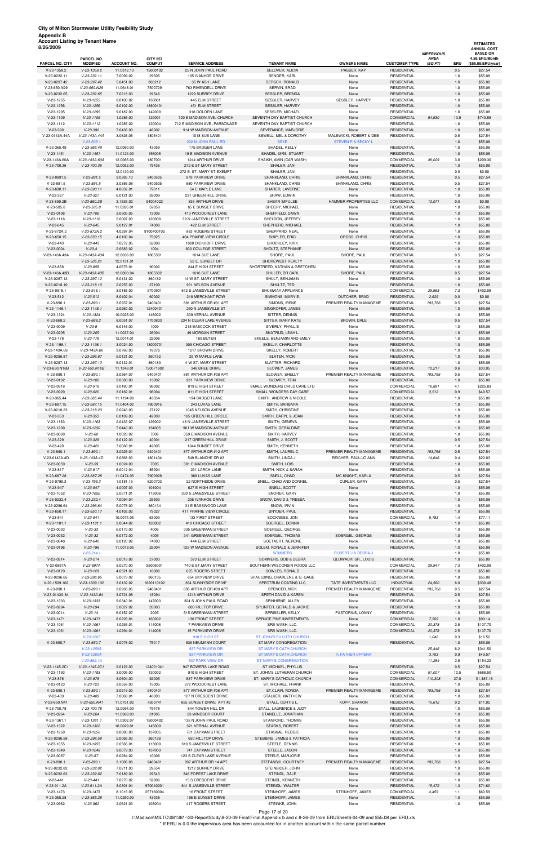| <b>Account Listing by Tenant Name</b><br>8/26/2009 | PARCEL NO.                       |                           | <b>CITY 257</b>           |                                                   |                                                  |                                   |                                            | <b>IMPERVIOUS</b><br><b>AREA</b> |            | <b>ESTIMATED</b><br><b>ANNUAL COST</b><br><b>BASED ON</b><br>4.59/ERU/Month |
|----------------------------------------------------|----------------------------------|---------------------------|---------------------------|---------------------------------------------------|--------------------------------------------------|-----------------------------------|--------------------------------------------|----------------------------------|------------|-----------------------------------------------------------------------------|
| PARCEL NO. CITY<br>$V-23-1358.2$                   | <b>MODIFIED</b><br>$V-23-1358.2$ | ACCOUNT NO.<br>11.0312.13 | <b>COMPUT</b><br>15000102 | <b>SERVICE ADDRESS</b><br>25 N JOHN PAUL ROAD     | <b>TENANT NAME</b><br>SELOVER, ALICIA            | <b>OWNERS NAME</b><br>PASSER, KAY | <b>CUSTOMER TYPE</b><br><b>RESIDENTIAL</b> | (SQFT)                           | ERU<br>0.5 | (\$55.08/ERU/year)<br>\$27.54                                               |
| V-23-0232.11                                       | $V-23-232.11$                    | 7.0099.02                 | 29505                     | 105 IVANHOE DRIVE                                 | SENGER, KARL                                     | None                              | <b>RESIDENTIAL</b>                         |                                  | 1.0        | \$55.08                                                                     |
| V-23-0297.42                                       | $V-23-297.42$                    | 5.0451.00                 | 360212                    | 35 W ASH LANE                                     | SERSCH, RONALD                                   | None                              | <b>RESIDENTIAL</b>                         |                                  | 1.0        | \$55.08                                                                     |
| V-23-650.N29                                       | V-23-650.N29                     | 11.0648.01                | 7500729                   | 763 RIVENDELL DRIVE                               | SERVIN, BRAD                                     | None                              | <b>RESIDENTIAL</b>                         |                                  | 1.0        | \$55.08                                                                     |
| V-23-0232.65                                       | $V-23-232.65$                    | 7.0218.03                 | 29546                     | 1229 SURREY DRIVE                                 | SESSLER, BRENDA                                  | None                              | <b>RESIDENTIAL</b>                         |                                  | 1.0        | \$55.08                                                                     |
| $V-23-1255$<br>$V-23-1256$                         | $V-23-1255$<br>$V-23-1256$       | 9.0100.02<br>9.0102.00    | 138001<br>13800101        | 445 ELM STREET<br>451 ELM STREET                  | SESSLER, HARVEY<br><b>SESSLER, HARVEY</b>        | SESSLER, HARVEY<br>None           | <b>RESIDENTIAL</b><br><b>RESIDENTIAL</b>   |                                  | 1.0<br>1.0 | \$55.08<br>\$55.08                                                          |
| V-23-1295                                          | $V-23-1295$                      | 9.0187.00                 | 142009                    | 318 GOLDEN LANE                                   | SESSLER, MICHAEL                                 | None                              | <b>RESIDENTIAL</b>                         |                                  | 1.0        | \$55.08                                                                     |
| $V-23-1109$                                        | $V-23-1109$                      | 1.0286.00                 | 120001                    | 720 E MADISON AVE.-CHURCH                         | SEVENTH DAY BAPTIST CHURCH                       | None                              | COMMERCIAL                                 | 54,930                           | 13.5       | \$743.58                                                                    |
| $V-23-1112$                                        | $V-23-1112$                      | 1.0285.02                 | 120004                    | 712 E MADISON AVE.-PARSONAGE                      | SEVENTH DAY BAPTIST CHURCH                       | None                              | <b>RESIDENTIAL</b>                         |                                  | 1.0        | \$55.08                                                                     |
| $V-23-390$<br>V-23-0143A.44A                       | $V-23-390$<br>V-23-143A.44A      | 7.0438.00<br>3.0826.05    | 46002<br>1805401          | 914 W MADISON AVENUE<br>1018 SUE LANE             | SEVERANCE, MARJORIE<br>SEWELL, MEL & DOROTHY     | None<br>MALEWICKI, ROBERT & DEB   | <b>RESIDENTIAL</b><br><b>RESIDENTIAL</b>   |                                  | 1.0<br>0.5 | \$55.08<br>\$27.54                                                          |
|                                                    | $V-23-505.1$                     |                           |                           | 232 N JOHN PAUL RD                                | <b>SEXE</b>                                      | <b>STEVEN P &amp; BECKY L</b>     |                                            |                                  | 1.0        | \$55.08                                                                     |
| V-23-365.49                                        | $V-23-365.49$                    | 12.0060.00                | 43059                     | 175 BADGER LANE                                   | SHADEL, KELLY                                    | None                              | <b>RESIDENTIAL</b>                         |                                  | 1.0        | \$55.08                                                                     |
| $V-23-1451$                                        | $V-23-1451$                      | 11.0124.00                | 156005                    | 19 E MADISON AVENUE                               | SHADEL, MRS. STUART                              | None                              | <b>RESIDENTIAL</b>                         |                                  | 1.0        | \$55.08                                                                     |
| V-23-143A.60A                                      | V-23-143A.60A                    | 12.0065.00                | 1807001                   | 1244 ARTHUR DRIVE                                 | SHAIKH, AMIN (CAR WASH)                          | None                              | COMMERCIAL                                 | 46,029                           | 3.8        | \$209.30                                                                    |
| V-23-700.36                                        | $V-23-700.36$                    | 12.0052.00<br>12.0130.00  | 79436                     | 272 E ST MARY STREET<br>272 E. ST. MARY ST-EXEMPT | SHALER, JAN<br>SHALER, JAN                       | None<br>None                      | <b>RESIDENTIAL</b><br><b>RESIDENTIAL</b>   |                                  | 1.0<br>0.0 | \$55.08<br>\$0.00                                                           |
| $V-23-0891.5$                                      | $V-23-891.5$                     | 3.0385.10                 | 9400505                   | 878 PARKVIEW DRIVE                                | SHANKLAND, CHRIS                                 | SHANKLAND, CHRIS                  | <b>RESIDENTIAL</b>                         |                                  | 0.5        | \$27.54                                                                     |
| $V-23-891.5$                                       | $V-23-891.5$                     | 3.0386.08                 | 9400505                   | 880 PARKVIEW DRIVE                                | SHANKLAND, CHRIS                                 | SHANKLAND, CHRIS                  | <b>RESIDENTIAL</b>                         |                                  | 0.5        | \$27.54                                                                     |
| V-23-690.11                                        | $V-23-690.11$                    | 4.0632.01                 | 79311                     | 54 E MAPLE LANE                                   | SHARER, LAVERNE                                  | None                              | <b>RESIDENTIAL</b>                         |                                  | 1.0        | \$55.08                                                                     |
| $V-23-327$                                         | $V-23-327$                       | 6.0121.00                 | 39009                     | 231 GREEN HILL DRIVE                              | SHAW, EDWIN                                      | None                              | <b>RESIDENTIAL</b>                         |                                  | 1.0        | \$55.08                                                                     |
| V-23-890.2B<br>$V-23-505.8$                        | V-23-890.2B<br>$V-23-505.8$      | 3.1835.02<br>11.0285.01   | 94004022<br>59058         | 835 ARTHUR DRIVE<br>65 E SUNSET DRIVE             | SHEAR IMPULSE<br>SHEEHY, MICHAEL                 | HAMMER PROPERTIES LLC<br>None     | <b>COMMERCIAL</b><br><b>RESIDENTIAL</b>    | 12,071                           | 0.0<br>1.0 | \$0.00<br>\$55.08                                                           |
| V-23-0106                                          | $V-23-106$                       | 3.0505.05                 | 13006                     | 413 WOODCREST LANE                                | SHEFFIELD, DAWN                                  | None                              | <b>RESIDENTIAL</b>                         |                                  | 1.0        | \$55.08                                                                     |
| $V-23-1116$                                        | $V-23-1116$                      | 2.0007.03                 | 120008                    | 39 N JANESVILLE STREET                            | SHELDON, JEFFREY                                 | None                              | <b>RESIDENTIAL</b>                         |                                  | 1.0        | \$55.08                                                                     |
| $V-23-645$                                         | $V-23-645$                       | 9.0127.01                 | 74008                     | 422 ELM STREET                                    | SHEPHERD, MICHAEL                                | None                              | <b>RESIDENTIAL</b>                         |                                  | 1.0        | \$55.08                                                                     |
| V-23-872A.2                                        | V-23-872A.2                      | 4.0297.04                 | 9100700102                | 883 ROGERS STREET                                 | SHEPPARD, NEAL                                   | None                              | <b>RESIDENTIAL</b>                         |                                  | 1.0        | \$55.08                                                                     |
| $V-23-650.15$                                      | $V-23-650.15$                    | 4.0100.04                 | 75025                     | 404 PRAIRIE VIEW CIRCLE                           | SHIPLER, ERIC                                    | GROSS, CHRIS                      | <b>RESIDENTIAL</b>                         |                                  | 1.0        | \$55.08                                                                     |
| $V-23-443$<br>$V-23-0004$                          | $V-23-443$<br>$V-23-4$           | 7.0272.05<br>2.0683.02    | 52008<br>1004             | 1020 DICKHOFF DRIVE<br>600 COLLEGE STREET         | SHOCKLEY, KIRK<br>SHOLTZ, STEPHANIE              | None<br>None                      | <b>RESIDENTIAL</b><br><b>RESIDENTIAL</b>   |                                  | 1.0<br>1.0 | \$55.08<br>\$55.08                                                          |
| V-23-143A.43A                                      | V-23-143A.43A                    | 12.0036.00                | 1805301                   | 1014 SUE LANE                                     | SHORE, PAUL                                      | SHORE, PAUL                       | <b>RESIDENTIAL</b>                         |                                  | 0.5        | \$27.54                                                                     |
|                                                    | $V-23-505.21$                    | 12.0131.01                |                           | 52 E. SUNSET DR                                   | SHOREWEST REALTY                                 | None                              | <b>RESIDENTIAL</b>                         |                                  | 1.0        | \$55.08                                                                     |
| $V-23-858$                                         | $V-23-858$                       | 4.0678.01                 | 90002                     | 244 E HIGH STREET                                 | SHORTREED, NATHAN & GRETCHEN                     | None                              | <b>RESIDENTIAL</b>                         |                                  | 1.0        | \$55.08                                                                     |
| V-23-143A.43B                                      | V-23-143A.43B                    | 12.0003.04                | 1805302                   | 1016 SUE LANE                                     | SHULER, DR CARL                                  | SHORE, PAUL                       | <b>RESIDENTIAL</b>                         |                                  | 0.5        | \$27.54                                                                     |
| V-23-0297.12                                       | V-23-297.12                      | 5.0131.02<br>2.0255.03    | 360182<br>27109           | 14 W ST. MARY STREET<br>931 NELSON AVENUE         | SHULT, BENJAMIN<br>SHULTZ, TED                   | None                              | <b>RESIDENTIAL</b><br><b>RESIDENTIAL</b>   |                                  | 1.0<br>1.0 | \$55.08<br>\$55.08                                                          |
| V-23-0218.10<br>V-23-0916.1                        | $V-23-218.10$<br>$V-23-916.1$    | 3.0186.00                 | 9700901                   | 612 S JANESVILLE STREET                           | SHUMWAY APPLIANCE                                | None<br>None                      | COMMERCIAL                                 | 29,963                           | 7.3        | \$402.08                                                                    |
| $V-23-512$                                         | $V-23-512$                       | 8.0402.04                 | 60002                     | 218 MERCHANT ROW                                  | SIMMONS, MARY E.                                 | DUTCHER, BRAD                     | <b>RESIDENTIAL</b>                         | 2,629                            | 0.0        | \$0.00                                                                      |
| $V-23-890.1$                                       | $V-23-890.1$                     | 3.0957.01                 | 9400401                   | 881 ARTHUR DR #01 APT                             | SIMONS, IRENE                                    | PREMIER REALTY MANAGEME           | <b>RESIDENTIAL</b>                         | 193,766                          | 0.5        | \$27.54                                                                     |
| $V-23-1148.1$                                      | $V-23-1148.1$                    | 2.0260.02                 | 12400401                  | 290 N JANESVILLE ST                               | SINGKOFER, JAMES                                 | None                              | <b>RESIDENTIAL</b>                         |                                  | 1.0        | \$55.08                                                                     |
| V-23-1324<br>V-23-668.2                            | $V-23-1324$<br>$V-23-668.2$      | 10.0025.00<br>8.0051.07   | 146002<br>7700803         | 309 VERNAL AVENUE<br>234 N CLEAR LAKE AVENUE      | SITTER, DENNIS<br>SITTER, MARY KATE              | None<br>BROWN, DALE               | <b>RESIDENTIAL</b><br><b>RESIDENTIAL</b>   |                                  | 1.0<br>0.5 | \$55.08<br>\$27.54                                                          |
| V-23-0009                                          | $V-23-9$                         | 6.0146.00                 | 1009                      | 215 BABCOCK STREET                                | SIVERLY, PHYLLIS                                 | None                              | <b>RESIDENTIAL</b>                         |                                  | 1.0        | \$55.08                                                                     |
| $V-23-0205$                                        | $V-23-205$                       | 11.0037.04                | 26004                     | 49 MORGAN STREET                                  | SKATRUD, LEAH L.                                 | None                              | <b>RESIDENTIAL</b>                         |                                  | 1.0        | \$55.08                                                                     |
| $V-23-178$                                         | $V-23-178$                       | 12.0014.01                | 22008                     | 169 BUTEN                                         | SKEELS, BENJAMIN AND EMILY                       | None                              | <b>RESIDENTIAL</b>                         |                                  | 1.0        | \$55.08                                                                     |
| $V-23-1198.1$                                      | $V-23-1198.1$                    | 3.0024.00                 | 13000701                  | 309 CHICAGO STREET                                | SKELLY, CHARLOTTE                                | None                              | <b>RESIDENTIAL</b>                         |                                  | 1.0        | \$55.08                                                                     |
| V-23-143A.66<br>V-23-0296.87                       | V-23-143A.66                     | 3.0768.00                 | 18076                     | 1217 BROWN DRIVE                                  | SKELLY, ROBERT                                   | None                              | RESIDENTIAL                                |                                  | 1.0        | \$55.08                                                                     |
| V-23-0297.13                                       | V-23-296.87<br>$V-23-297.13$     | 5.0121.00<br>5.0132.01    | 360152<br>360183          | 29 W MAPLE LANE<br>4 W ST. MARY STREET            | SLATEN, VICKI<br>SLATTER, RICHARD                | None<br>None                      | <b>RESIDENTIAL</b><br><b>RESIDENTIAL</b>   |                                  | 1.0<br>1.0 | \$55.08<br>\$55.08                                                          |
| V-23-650.N16B                                      | V-23-650.N16B                    | 11.1348.01                | 750071602                 | 348 BREE DRIVE                                    | SLOWEY, JAMES                                    | None                              | <b>RESIDENTIAL</b>                         | 10,217                           | 0.6        | \$33.05                                                                     |
| V-23-890.1                                         | $V-23-890.1$                     | 3.0964.07                 | 9400401                   | 881 ARTHUR DR #08 APT                             | SLOWEY, SHELLY                                   | PREMIER REALTY MANAGEME           | <b>RESIDENTIAL</b>                         | 193,766                          | 0.5        | \$27.54                                                                     |
| V-23-0102                                          | $V-23-102$                       | 3.0500.00                 | 13002                     | 931 PARKVIEW DRIVE                                | SLOWEY, TOM                                      | None                              | <b>RESIDENTIAL</b>                         |                                  | 1.0        | \$55.08                                                                     |
| V-23-0918                                          | $V-23-918$                       | 3.0180.01                 | 98002<br>98004            | 819 E HIGH STREET                                 | SMALL WONDERS CHILD CARE LTD                     | None                              | COMMERCIAL                                 | 16,881                           | 4.1        | \$225.83                                                                    |
| V-23-0920<br>V-23-365.44                           | $V-23-920$<br>$V-23-365.44$      | 3.0182.01<br>11.1194.00   | 43054                     | 811 E HIGH STREET<br>194 BADGER LANE              | SMALL WONDERS DAY CARE<br>SMITH, ANDREW & NICOLE | None<br>None                      | COMMERCIAL<br><b>RESIDENTIAL</b>           | 3,512                            | 0.9<br>1.0 | \$49.57<br>\$55.08                                                          |
| V-23-687.15                                        | $V-23-687.15$                    | 11.0404.02                | 7900915                   | 243 LUKAS LANE                                    | SMITH, BARBARA                                   | None                              | <b>RESIDENTIAL</b>                         |                                  | 1.0        | \$55.08                                                                     |
| V-23-0218.23                                       | $V-23-218.23$                    | 2.0246.00                 | 27122                     | 1045 NELSON AVENUE                                | SMITH, CHRISTINE                                 | None                              | <b>RESIDENTIAL</b>                         |                                  | 1.0        | \$55.08                                                                     |
| $V-23-353$                                         | $V-23-353$                       | 6.0109.03                 | 42008                     | 165 GREEN HILL CIRCLE                             | SMITH, DARYL & JOAN                              | None                              | <b>RESIDENTIAL</b>                         |                                  | 1.0        | \$55.08                                                                     |
| $V-23-1163$<br>V-23-1230                           | $V-23-1163$<br>$V-23-1230$       | 2.0433.07                 | 126002                    | 48 N JANESVILLE STREET                            | SMITH, GENEVA                                    | None<br>None                      | <b>RESIDENTIAL</b><br><b>RESIDENTIAL</b>   |                                  | 1.0<br>1.0 | \$55.08                                                                     |
| V-23-0060                                          | $V-23-60$                        | 7.0440.00<br>1.0028.02    | 134005<br>7006            | 901 W MADISON AVENUE<br>359 E MADISON AVENUE      | SMITH, GERALDINE<br>SMITH, HARVEY                | None                              | <b>RESIDENTIAL</b>                         |                                  | 1.0        | \$55.08<br>\$55.08                                                          |
| $V-23-329$                                         | $V-23-329$                       | 6.0122.03                 | 40001                     | 217 GREEN HILL DRIVE                              | SMITH, J. SCOTT                                  | None                              | <b>RESIDENTIAL</b>                         |                                  | 0.5        | \$27.54                                                                     |
| $V-23-420$                                         | $V-23-420$                       | 7.0088.01                 | 49005                     | 1044 SUNSET DRIVE                                 | SMITH, KENNETH                                   | None                              | <b>RESIDENTIAL</b>                         |                                  | 1.0        | \$55.08                                                                     |
| $V-23-890.1$                                       | $V-23-890.1$                     | 3.0925.01                 | 9400401                   | 877 ARTHUR DR #12 APT                             | SMITH, LAUREL C                                  | PREMIER REALTY MANAGEME           | <b>RESIDENTIAL</b>                         | 193,766                          | 0.5        | \$27.54                                                                     |
| V-23-0143A.4D<br>V-23-0059                         | V-23-143A.4D<br>$V-23-59$        | 3.0868.03<br>1.0024.00    | 1801404<br>7005           | 549 BLANCHE DR #3<br>381 E MADISON AVENUE         | SMITH, LINDA J.<br>SMITH, LOIS                   | REICHER, PAUL/JO ANN<br>None      | <b>RESIDENTIAL</b><br><b>RESIDENTIAL</b>   | 14,646                           | 0.4<br>1.0 | \$22.03<br>\$55.08                                                          |
| $V-23-817$                                         | $V-23-817$                       | 6.0012.04                 | 85004                     | 231 LARCH LANE                                    | SMITH, NICK & SARAH                              | None                              | <b>RESIDENTIAL</b>                         |                                  | 1.0        | \$55.08                                                                     |
| V-23-687.28                                        | $V-23-687.28$                    | 11.0474.05                | 7900928                   | 368 LUKAS LANE                                    | SNELL, CHAD                                      | MC KNIGHT, KARLA                  | <b>RESIDENTIAL</b>                         |                                  | 0.5        | \$27.54                                                                     |
| V-23-0795.3                                        | $V-23-795.3$                     | 1.0181.15                 | 8200703                   | 22 NORTHSIDE DRIVE                                | SNELL, CHAD AND DONNEL                           | CURLER, GARY                      | <b>RESIDENTIAL</b>                         |                                  | 0.5        | \$27.54                                                                     |
| V-23-947                                           | $V-23-947$                       | 4.0007.03                 | 101004                    | 627 E HIGH STREET                                 | SNELL, SCOTT                                     | None                              | <b>RESIDENTIAL</b>                         |                                  | 1.0        | \$55.08                                                                     |
| V-23-1052<br>V-23-0232.4                           | $V-23-1052$<br>$V-23-232.4$      | 2.0571.01<br>7.0094.04    | 113006<br>29503           | 330 S JANESVILLE STREET<br>206 IVANHOE DRIVE      | SNOREK, GARY<br>SNOW, DAVID & TRESSA             | None<br>None                      | <b>RESIDENTIAL</b><br><b>RESIDENTIAL</b>   |                                  | 1.0<br>1.0 | \$55.08<br>\$55.08                                                          |
| V-23-0296.64                                       | V-23-296.64                      | 5.0078.00                 | 360134                    | 31 E BASSWOOD LANE                                | SNOW, IRVIN                                      | None                              | <b>RESIDENTIAL</b>                         |                                  | 1.0        | \$55.08                                                                     |
| V-23-650.17                                        | $V-23-650.17$                    | 4.0102.02                 | 75027                     | 411 PRAIRIE VIEW CIRCLE                           | SNYDER, PAUL                                     | None                              | <b>RESIDENTIAL</b>                         |                                  | 1.0        | \$55.08                                                                     |
| $V-23-541$                                         | $V-23-541$                       | 10.0074.05                | 63003                     | 133 FIRST STREET                                  | SOCKNESS, JON                                    | None                              | COMMERCIAL                                 | 5,783                            | 1.4        | \$77.11                                                                     |
| $V-23-1181.1$                                      | $V-23-1181.1$                    | 3.0044.02                 | 128002                    | 418 CHICAGO STREET                                | SOERGEL, DONNA                                   | None                              | <b>RESIDENTIAL</b>                         |                                  | 1.0        | \$55.08                                                                     |
| V-23-0033                                          | $V-23-33$                        | 6.0173.00                 | 4006                      | 335 GREENMAN STREET                               | SOERGEL, GEORGE                                  | None                              | <b>RESIDENTIAL</b>                         |                                  | 1.0        | \$55.08                                                                     |
| V-23-0032<br>V-23-0640                             | $V-23-32$<br>$V-23-640$          | 6.0172.00<br>9.0120.02    | 4005<br>74003             | 341 GREENMAN STREET<br>444 ELM STREET             | SOERGEL, THOMAS<br>SOETAERT, NERONE              | SOERGEL, GEORGE<br>None           | <b>RESIDENTIAL</b><br><b>RESIDENTIAL</b>   |                                  | 1.0<br>1.0 | \$55.08<br>\$55.08                                                          |
| V-23-0196                                          | $V-23-196$                       | 11.0019.05                | 25004                     | 125 W MADISON AVENUE                              | SOLEM, RONALD & JENNIFER                         | None                              | <b>RESIDENTIAL</b>                         |                                  | 1.0        | \$55.08                                                                     |
|                                                    | $V-23-214.1$                     |                           |                           |                                                   | <b>SOMMERS</b>                                   | ROBERT J & DEBRA J                |                                            |                                  | 1.0        | \$55.08                                                                     |
| V-23-0214                                          | $V-23-214$                       | 9.0018.06                 | 27003                     | 373 ELM STREET                                    | SOMMERS, BOB & DEBRA                             | <b>GLOWACKI SR., LOUIS</b>        | <b>RESIDENTIAL</b>                         |                                  | 1.0        | \$55.08                                                                     |
| V-23-0897A                                         | V-23-897A                        | 3.0270.00                 | 95006001                  | 740 E ST.MARY STREET                              | SOUTHERN WISCONSIN FOODS LLC                     | None                              | COMMERCIAL                                 | 29,947                           | 7.3        | \$402.08                                                                    |
| V-23-0129<br>V-23-0296.65                          | $V-23-129$<br>V-23-296.65        | 4.0321.00<br>5.0073.02    | 16006<br>360135           | 625 ROGERS STREET<br>654 SKYVIEW DRIVE            | SOWLES, RONALD<br>SPAULDING, CHARLENE & G. GAGE  | None<br>None                      | <b>RESIDENTIAL</b><br><b>RESIDENTIAL</b>   |                                  | 1.0<br>1.0 | \$55.08<br>\$55.08                                                          |
| V-23-1509.102                                      | V-23-1509.102                    | 3.0132.02                 | 1620110102                | 364 SUNNYSIDE DRIVE                               | SPECTRUM COATING LLC                             | TATE INVESTMENTS LLC              | <b>INDUSTRIAL</b>                          | 24,560                           | 6.0        | \$330.48                                                                    |
| V-23-890.1                                         | $V-23-890.1$                     | 3.0936.05                 | 9400401                   | 885 ARTHUR DR #09 APT                             | SPENCER, NICK                                    | PREMIER REALTY MANAGEME           | <b>RESIDENTIAL</b>                         | 193,766                          | 0.5        | \$27.54                                                                     |
| V-23-0143A.84                                      | V-23-143A.84                     | 3.0721.08                 | 18094                     | 1213 ARTHUR DRIVE                                 | SPETH DAVID & KAREN                              | None                              | <b>RESIDENTIAL</b>                         |                                  | 0.5        | \$27.54                                                                     |
| V-23-1333                                          | $V-23-1333$                      | 9.0340.01                 | 147003                    | 324 S JOHN PAUL ROAD                              | SPINHIRNE, ALLEN                                 | None                              | <b>RESIDENTIAL</b>                         |                                  | 1.0        | \$55.08                                                                     |
| V-23-0294<br>V-23-0014                             | $V-23-294$<br>$V-23-14$          | 5.0027.02<br>6.0152.07    | 35003<br>2005             | 608 HILLTOP DRIVE<br>515 GREENMAN STREET          | SPLINTER, GERALD & JACKIE<br>SPRISSLER, KELLY    | None<br>PASTORIUS, LONNY          | <b>RESIDENTIAL</b><br><b>RESIDENTIAL</b>   |                                  | 1.0<br>1.0 | \$55.08<br>\$55.08                                                          |
|                                                    |                                  |                           |                           |                                                   |                                                  |                                   |                                            |                                  |            |                                                                             |

| $V-23-0014$   | $V-23-14$      | 6.0152.07  | 2005      | 515 GREENMAN STREET     | SPRISSLER, KELLY              | PASTORIUS, LONNY        | <b>RESIDENTIAL</b> |         | 1.0  | \$55.08    |
|---------------|----------------|------------|-----------|-------------------------|-------------------------------|-------------------------|--------------------|---------|------|------------|
| $V-23-1471$   | $V-23-1471$    | 8.0226.01  | 160002    | 130 FRONT STREET        | SPRUCE PINE INVESTMENTS       | None                    | <b>COMMERCIAL</b>  | 7,509   | 1.8  | \$99.14    |
| $V-23-1061$   | $V-23-1061$    | 1.0293.01  | 114006    | 7 PARKVIEW DRIVE        | SRB WASH, LLC.                | None                    | <b>COMMERCIAL</b>  | 20,378  | 2.5  | \$137.70   |
| $V-23-1061$   | $V-23-1061$    | 1.0294.01  | 114006    | 15 PARKVIEW DRIVE       | SRB WASH, LLC.                | None                    | COMMERCIAL         | 20,378  | 2.5  | \$137.70   |
|               | $V-23-1207$    |            |           | 910 E HIGH ST           | ST JOHN'S EV LUTH CHURCH      |                         |                    | 1,042   | 0.3  | \$16.52    |
| $V-23-650.7$  | $V-23-650.7$   | 4.0078.02  | 75017     | 836 NEUMANN COURT       | ST MARY CONGREGATION          | None                    | <b>RESIDENTIAL</b> |         | 1.0  | \$55.08    |
|               | $V-23-1258A$   |            |           | <b>837 PARKVIEW DR</b>  | <b>ST MARY'S CATH CHURCH</b>  |                         |                    | 25,446  | 6.2  | \$341.50   |
|               | $V-23-1260A$   |            |           | 837 PARKVIEW DR         | <b>ST MARY'S CATH CHURCH</b>  | % FATHER UPPENA         |                    | 3,753   | 0.9  | \$49.57    |
|               | $V-23-892.1A$  |            |           | <b>837 PARK VIEW DR</b> | <b>ST MARY'S CONGREGATION</b> |                         |                    | 11,284  | 2.8  | \$154.22   |
| V-23-1145.2C1 | V-23-1145.2C1  | 2.0129.03  | 124001041 | 947 BOWERS LAKE ROAD    | ST MICHAEL, PHYLLIS           | None                    | <b>RESIDENTIAL</b> |         | 0.5  | \$27.54    |
| $V-23-1193$   | $V-23-1193$    | 3.0005.00  | 130002    | 910 E HIGH STREET       | ST. JOHN'S LUTHERAN CHURCH    | None                    | <b>COMMERCIAL</b>  | 51,007  | 12.5 | \$688.50   |
| $V-23-878$    | $V-23-878$     | 3.0604.00  | 92005     | 837 PARKVIEW DRIVE      | ST. MARY'S CATHOLIC CHURCH    | None                    | <b>COMMERCIAL</b>  | 110,308 | 27.0 | \$1,487.16 |
| V-23-0123     | $V-23-123$     | 3.0558.00  | 15005     | 372 WOODCREST LANE      | ST. MICHAEL, FRANK            | None                    | <b>RESIDENTIAL</b> |         | 1.0  | \$55.08    |
| $V-23-890.1$  | $V-23-890.1$   | 3.0919.03  | 9400401   | 877 ARTHUR DR #06 APT   | ST.CLAIR, RONDA               | PREMIER REALTY MANAGEME | <b>RESIDENTIAL</b> | 193,766 | 0.5  | \$27.54    |
| $V-23-409$    | $V-23-409$     | 7.0068.01  | 48003     | 127 N CRESCENT DRIVE    | STALKER, MATTHEW              | None                    | <b>RESIDENTIAL</b> |         | 1.0  | \$55.08    |
| V-23-650.N41  | $V-23-650.N41$ | 11.0751.02 | 7500741   | 655 SUNSET DRIVE APT #2 | STALL, CURTIS L.              | KOPP, SHARON            | <b>RESIDENTIAL</b> | 15,612  | 0.2  | \$11.02    |
| V-23-700.78   | V-23-700.78    | 12.0094.00 | 79478     | 844 TOWER HILL DR       | STALL, LAURENCE & JUDY        | None                    | <b>RESIDENTIAL</b> |         | 1.0  | \$55.08    |
| V-23-0264     | $V-23-264$     | 11.0368.03 | 31005     | 23 WINDSOR COURT        | STANELLE, JONATHAN            | None                    | <b>RESIDENTIAL</b> |         | 1.0  | \$55.08    |
| $V-23-1361.1$ | $V-23-1361.1$  | 11.0302.07 | 15000402  | 135 N JOHN PAUL ROAD    | STANFORD, THOMAS              | None                    | <b>RESIDENTIAL</b> |         | 1.0  | \$55.08    |
| V-23-1322     | $V-23-1322$    | 10.0029.01 | 145009    | 321 VERNAL AVENUE       | <b>STARKS, ROBERT</b>         | None                    | <b>RESIDENTIAL</b> |         | 1.0  | \$55.08    |
| $V-23-1250$   | $V-23-1250$    | 9.0080.00  | 137005    | 731 CAPMAN STREET       | STASKAL, REDGIE               | None                    | <b>RESIDENTIAL</b> |         | 1.0  | \$55.08    |
| V-23-0296.58  | $V-23-296.58$  | 5.0066.03  | 360128    | 650 HILLTOP DRIVE       | STEBBINS, JAMES & PATRICIA    | None                    | <b>RESIDENTIAL</b> |         | 1.0  | \$55.08    |
| $V-23-1055$   | $V-23-1055$    | 2.0566.01  | 113009    | 310 S JANESVILLE STREET | STEELE, DENNIS                | None                    | <b>RESIDENTIAL</b> |         | 1.0  | \$55.08    |
| $V-23-1249$   | $V-23-1249$    | 9.0079.03  | 137003    | 741 CAPMAN STREET       | STEELE, JASON                 | None                    | <b>RESIDENTIAL</b> |         | 1.0  | \$55.08    |
| V-23-0087     | $V-23-87$      | 8.0264.02  | 10006     | 123 S CLEAR LAKE AVENUE | STEELE, MARJORIE              | None                    | <b>RESIDENTIAL</b> |         | 1.0  | \$55.08    |
| $V-23-890.1$  | $V-23-890.1$   | 3.1006.06  | 9400401   | 897 ARTHUR DR 14 APT    | STEFANSKI, COURTNEY           | PREMIER REALTY MANAGEME | <b>RESIDENTIAL</b> | 193.766 | 0.5  | \$27.54    |
| V-23-0232.82  | V-23-232.82    | 7.0211.00  | 29554     | 1212 SURREY DRIVE       | STEINBICER, JOHN              | None                    | <b>RESIDENTIAL</b> |         | 1.0  | \$55.08    |
| V-23-0232.62  | $V-23-232.62$  | 7.0189.00  | 29543     | 346 FOREST LAKE DRIVE   | STEINDL, DALE                 | None                    | <b>RESIDENTIAL</b> |         | 1.0  | \$55.08    |
| $V-23-441$    | $V-23-441$     | 7.0270.02  | 52006     | 15 S CRESCENT DRIVE     | STEINDL, KENNETH              | None                    | <b>RESIDENTIAL</b> |         | 1.0  | \$55.08    |
| V-23-911.2A   | $V-23-911.2A$  | 3.0301.04  | 970040201 | 641 S JANESVILLE STREET | STEINDL, WALTER               | None                    | <b>RESIDENTIAL</b> | 15,472  | 1.3  | \$71.60    |
| $V-23-1473$   | $V-23-1473$    | 8.1016.05  | 257160004 | 16 FRONT STREET         | STEINHOFF, JAMES              | STEINHOFF, JAMES        | COMMERCIAL         | 4.459   | 1.1  | \$60.59    |
| V-23-365.28   | $V-23-365.28$  | 11.0250.00 | 43038     | 196 E SUNSET DRIVE      | STEINHOFF, JAMES              | None                    | <b>RESIDENTIAL</b> |         | 1.0  | \$55.08    |
| V-23-0962     | $V-23-962$     | 2.0621.03  | 103004    | 417 ROGERS STREET       | STEINKE, JOHN                 | None                    | <b>RESIDENTIAL</b> |         | 1.0  | \$55.08    |

Page 17 of 20

I:\Madison\MILTC\081381-\30-ReportStudy\8-20-09 Final\Final Appendix b and c 8-26-09 from ERUSheet6-04-09 and \$55.08 per ERU.xls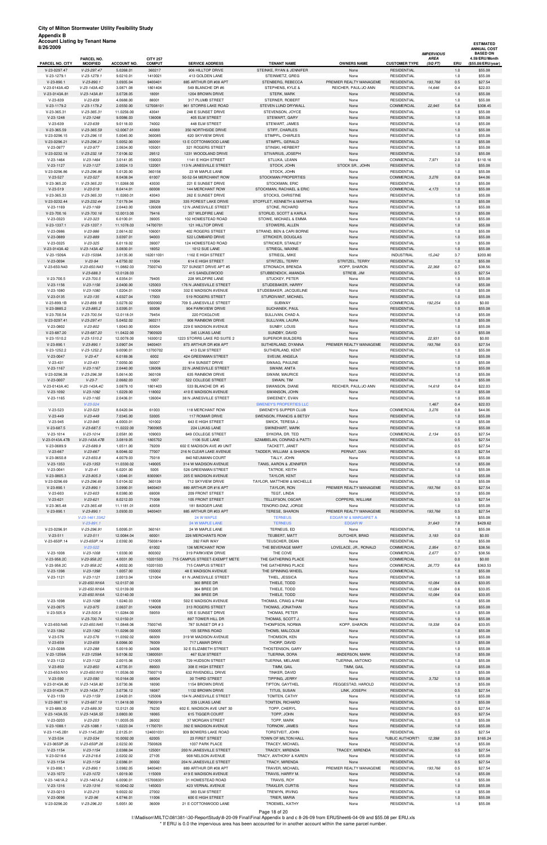| <b>CUSTOMER TYPE</b> | <b>IMPERVIOUS</b><br><b>AREA</b><br>(SQ FT) | ERU | ESTIMATED<br><b>ANNUAL COST</b><br><b>BASED ON</b><br>4.59/ERU/Month<br>(\$55.08/ERU/year) |
|----------------------|---------------------------------------------|-----|--------------------------------------------------------------------------------------------|
| <b>RESIDENTIAL</b>   |                                             | 1.0 | \$55.08                                                                                    |
| <b>RESIDENTIAL</b>   |                                             | 1.0 | \$55.08                                                                                    |
| <b>RESIDENTIAL</b>   | 193,766                                     | 0.5 | \$27.54                                                                                    |
| <b>RESIDENTIAL</b>   | 14.646                                      | 0.4 | \$22.03                                                                                    |
| <b>RESIDENTIAL</b>   |                                             | 1.0 | \$55.08                                                                                    |
| <b>RESIDENTIAL</b>   |                                             | 1.0 | \$55.08                                                                                    |
| <b>COMMERCIAL</b>    | 22.945                                      | 5.6 | \$308.45                                                                                   |
| <b>RESIDENTIAL</b>   |                                             | 1.0 | \$55.08                                                                                    |
| <b>RESIDENTIAL</b>   |                                             | 1.0 | \$55.08                                                                                    |
| <b>RESIDENTIAL</b>   |                                             | 1.0 | \$55.08                                                                                    |
| <b>RESIDENTIAL</b>   |                                             | 1.0 | \$55.08                                                                                    |
| <b>RESIDENTIAL</b>   |                                             | 1.0 | \$55.08                                                                                    |
|                      |                                             |     |                                                                                            |

| PARCEL NO. CITY               | <b>PARCEL NO.</b><br><b>MODIFIED</b> | <b>ACCOUNT NO.</b>       | <b>CITY 257</b><br><b>COMPUT</b> | <b>SERVICE ADDRESS</b>                              | <b>TENANT NAME</b>                                     | <b>OWNERS NAME</b>                              | <b>CUSTOMER TYPE</b>                     | --------<br><b>AREA</b><br>(SQFT) | <b>ERU</b> | 4.59/ERU/Month<br>(\$55.08/ERU/year) |
|-------------------------------|--------------------------------------|--------------------------|----------------------------------|-----------------------------------------------------|--------------------------------------------------------|-------------------------------------------------|------------------------------------------|-----------------------------------|------------|--------------------------------------|
| V-23-0297.47                  | $V-23-297.47$                        | 5.0268.01                | 360217                           | 906 HILLTOP DRIVE                                   | STEINKE, RYAN & JENNIFER                               | None                                            | <b>RESIDENTIAL</b>                       |                                   | 1.0        | \$55.08                              |
| V-23-1279.1<br>$V-23-890.1$   | $V-23-1279.1$<br>$V-23-890.1$        | 9.0210.01<br>3.0935.04   | 1410021<br>9400401               | 413 GOLDEN LANE<br>885 ARTHUR DR #08 APT            | STEINMETZ, GREG<br>STENBERG, REBECCA                   | None<br>PREMIER REALTY MANAGEME                 | <b>RESIDENTIAL</b><br><b>RESIDENTIAL</b> | 193,766                           | 1.0<br>0.5 | \$55.08<br>\$27.54                   |
| V-23-0143A.4D                 | V-23-143A.4D                         | 3.0871.08                | 1801404                          | 549 BLANCHE DR #6                                   | STEPHENS, KYLE &                                       | REICHER, PAUL/JO ANN                            | <b>RESIDENTIAL</b>                       | 14,646                            | 0.4        | \$22.03                              |
| V-23-0143A.81<br>$V-23-839$   | V-23-143A.81<br>$V-23-839$           | 3.0728.05<br>4.0688.00   | 18091<br>88001                   | 1204 BROWN DRIVE<br>317 PLUMB STREET                | STERK, MARK<br>STERNER, ROBERT                         | None<br>None                                    | <b>RESIDENTIAL</b><br><b>RESIDENTIAL</b> |                                   | 1.0<br>1.0 | \$55.08<br>\$55.08                   |
| V-23-1179.2                   | $V-23-1179.2$                        | 2.0550.00                | 127008101                        | 961 STORRS LAKE ROAD                                | STEVEN LUND DRYWALL                                    | None                                            | COMMERCIAL                               | 22,945                            | 5.6        | \$308.45                             |
| V-23-365.31<br>V-23-1248      | $V-23-365.31$<br>$V-23-1248$         | 11.0256.00<br>9.0086.03  | 43041<br>136008                  | 248 E SUNSET DRIVE<br>405 ELM STREET                | STEVENSON, JOYCE<br>STEWART, GARY                      | None<br>None                                    | <b>RESIDENTIAL</b><br><b>RESIDENTIAL</b> |                                   | 1.0<br>1.0 | \$55.08<br>\$55.08                   |
| $V-23-639$                    | $V-23-639$                           | 9.0118.03                | 74002                            | 448 ELM STREET                                      | STEWART, JAMES                                         | None                                            | <b>RESIDENTIAL</b>                       |                                   | 1.0        | \$55.08                              |
| $V-23-365.59$<br>V-23-0296.15 | $V-23-365.59$<br>$V-23-296.15$       | 12.0067.01<br>5.0045.00  | 43069<br>360085                  | 350 NORTHSIDE DRIVE<br>620 SKYVIEW DRIVE            | <b>STIFF, CHARLES</b><br>STIMPFL, CHARLES              | None<br>None                                    | <b>RESIDENTIAL</b><br><b>RESIDENTIAL</b> |                                   | 1.0<br>1.0 | \$55.08<br>\$55.08                   |
| V-23-0296.21                  | $V-23-296.21$                        | 5.0052.00                | 360091                           | 13 E COTTONWOOD LANE                                | STIMPFL, GERALD                                        | None                                            | <b>RESIDENTIAL</b>                       |                                   | 1.0        | \$55.08                              |
| V-23-0977<br>V-23-0232.18     | $V-23-977$<br>$V-23-232.18$          | 2.0634.00<br>7.0106.02   | 105001<br>29512                  | 321 ROGERS STREET<br>1231 WOODLAND DRIVE            | STINSKI, HERBERT<br>STIVARIUS, JOSEPH                  | None<br>None                                    | <b>RESIDENTIAL</b><br><b>RESIDENTIAL</b> |                                   | 1.0<br>1.0 | \$55.08<br>\$55.08                   |
| $V-23-1464$                   | $V-23-1464$                          | 3.0141.05                | 159003                           | 1141 E HIGH STREET                                  | STLUKA, LEANN                                          | None                                            | COMMERCIAL                               | 7,971                             | 2.0        | \$110.16                             |
| $V-23-1127$<br>V-23-0296.86   | $V-23-1127$<br>$V-23-296.86$         | 2.0024.13<br>5.0120.00   | 122001<br>360156                 | 113 N JANESVILLE STREET<br>23 W MAPLE LANE          | STOCK, JOHN<br>STOCK, JOHN                             | STOCK SR., JOHN<br>None                         | <b>RESIDENTIAL</b><br><b>RESIDENTIAL</b> |                                   | 1.0<br>1.0 | \$55.08<br>\$55.08                   |
| $V-23-527$                    | $V-23-527$                           | 8.0438.04                | 61007                            | 50-52-54 MERCHANT ROW                               | STOCKMAN PROPERTIES                                    | None                                            | COMMERCIAL                               | 3,276                             | 0.8        | \$44.06                              |
| V-23-365.20<br>$V-23-519$     | $V-23-365.20$<br>$V-23-519$          | 11.0268.00<br>8.0414.01  | 43030<br>60008                   | 221 E SUNSET DRIVE<br>144 MERCHANT ROW              | STOCKMAN, ERIC<br>STOCKMAN, RACHAEL & ERIC             | None<br>None                                    | <b>RESIDENTIAL</b><br>COMMERCIAL         | 4,173                             | 1.0<br>1.0 | \$55.08<br>\$55.08                   |
| V-23-365.33                   | $V-23-365.33$                        | 11.0260.01               | 43043                            | 262 E SUNSET DRIVE                                  | STOCKS, CHRISTINE                                      | None                                            | <b>RESIDENTIAL</b>                       |                                   | 1.0        | \$55.08                              |
| V-23-0232.44<br>$V-23-1169$   | V-23-232.44<br>$V-23-1169$           | 7.0179.04<br>2.0443.00   | 29529<br>126008                  | 335 FOREST LAKE DRIVE<br>12 N JANESVILLE STREET     | STOFFLET, KENNETH & MARTHA<br>STONE, RICHARD           | None<br>None                                    | <b>RESIDENTIAL</b><br><b>RESIDENTIAL</b> |                                   | 1.0<br>1.0 | \$55.08<br>\$55.08                   |
| V-23-700.16                   | $V-23-700.16$                        | 12.0013.00               | 79416                            | 357 WILDFIRE LANE                                   | STORLID, SCOTT & KARLA                                 | None                                            | <b>RESIDENTIAL</b>                       |                                   | 1.0        | \$55.08                              |
| V-23-0323<br>$V-23-1337.1$    | $V-23-323$<br>$V-23-1337.1$          | 6.0100.01<br>11.1078.03  | 39005<br>14700701                | 102 HOMESTEAD ROAD<br>121 HILLTOP DRIVE             | STOWE, MICHAEL & EMMA<br>STOWERS, ALLEN                | None<br>None                                    | <b>RESIDENTIAL</b><br><b>RESIDENTIAL</b> |                                   | 1.0<br>1.0 | \$55.08<br>\$55.08                   |
| V-23-0986                     | $V-23-986$                           | 2.0614.02                | 106001                           | 402 ROGERS STREET                                   | STRAND, BEN & CARI BORNE                               | None                                            | <b>RESIDENTIAL</b>                       |                                   | 1.0        | \$55.08                              |
| V-23-0889<br>V-23-0325        | $V-23-889$<br>$V-23-325$             | 3.0397.01<br>6.0119.02   | 94003<br>39007                   | 522 LOMBARD DRIVE<br>124 HOMESTEAD ROAD             | <b>STRICKER, DOUGLAS</b><br>STRICKER, STANLEY          | None<br>None                                    | <b>RESIDENTIAL</b><br><b>RESIDENTIAL</b> |                                   | 1.0<br>1.0 | \$55.08<br>\$55.08                   |
| V-23-0143A.42                 | V-23-143A.42                         | 3.0830.01                | 18052                            | 1012 SUE LANE                                       | STRIEGL, MAXINE                                        | None                                            | <b>RESIDENTIAL</b>                       |                                   | 1.0        | \$55.08                              |
| V-23-1509A                    | V-23-1509A<br>$V-23-94$              | 3.0135.00                | 162011001                        | 1162 E HIGH STREET<br>614 E HIGH STREET             | STRIEGL, MIKE                                          | None<br>STRITZEL, TERRY                         | <b>INDUSTRIAL</b><br><b>RESIDENTIAL</b>  | 15,242                            | 3.7        | \$203.80                             |
| V-23-0094<br>V-23-650.N43     | V-23-650.N43                         | 4.0750.02<br>11.0882.03  | 11004<br>7500743                 | 727 SUNSET DRIVE APT #5                             | STRITZEL, TERRY<br>STRONACH, BRENDA                    | KOPP, SHARON                                    | <b>RESIDENTIAL</b>                       | 22,368                            | 1.0<br>0.7 | \$55.08<br>\$38.56                   |
|                               | $V-23-688.3$                         | 12.0128.03               |                                  | 415 SANDLEWOOD                                      | STUBBENDICK, AMANDA                                    | STREIB, JIM                                     | <b>RESIDENTIAL</b>                       |                                   | 0.5        | \$27.54                              |
| $V-23-700.5$<br>$V-23-1156$   | $V-23-700.5$<br>$V-23-1156$          | 4.0354.01<br>2.0400.00   | 79405<br>125003                  | 228 WILDFIRE LANE<br>176 N JANESVILLE STREET        | STUCKEY, PETER<br>STUDEBAKER, HARRY                    | None<br>None                                    | <b>RESIDENTIAL</b><br><b>RESIDENTIAL</b> |                                   | 1.0<br>1.0 | \$55.08<br>\$55.08                   |
| $V-23-1080$                   | $V-23-1080$                          | 1.0204.01                | 116008                           | 332 E MADISON AVENUE                                | STUDEBAKER, JACQUELINE                                 | None                                            | <b>RESIDENTIAL</b>                       |                                   | 1.0        | \$55.08                              |
| V-23-0135<br>V-23-899.1B      | $V-23-135$<br>$V-23-899.1B$          | 4.0327.04<br>3.0278.02   | 17003<br>9500902                 | 519 ROGERS STREET<br>709 S JANESVILLE STREET        | STURDIVANT, MICHAEL<br>SUBWAY                          | None<br>None                                    | <b>RESIDENTIAL</b><br>COMMERCIAL         | 192,254                           | 1.0<br>0.0 | \$55.08<br>\$0.00                    |
| V-23-0885.2                   | $V-23-885.2$                         | 3.0395.01                | 93008                            | 904 PARKVIEW DRIVE                                  | SUCHANEK, PAUL                                         | None                                            | <b>RESIDENTIAL</b>                       |                                   | 1.0        | \$55.08                              |
| V-23-700.54<br>V-23-0297.41   | V-23-700.54<br>$V-23-297.41$         | 12.0118.01<br>5.0452.02  | 79454<br>360211                  | 220 FOXGLOVE<br>908 RAINBOW DRIVE                   | SULLIVAN, CHAD A.<br>SULLIVAN, LAURA                   | None<br>None                                    | <b>RESIDENTIAL</b><br><b>RESIDENTIAL</b> |                                   | 1.0<br>1.0 | \$55.08<br>\$55.08                   |
| V-23-0802                     | $V-23-802$                           | 1.0043.00                | 83004                            | 229 E MADISON AVENUE                                | SUNBY, LOUIS                                           | None                                            | <b>RESIDENTIAL</b>                       |                                   | 1.0        | \$55.08                              |
| V-23-687.20<br>$V-23-1510.2$  | $V-23-687.20$<br>$V-23-1510.2$       | 11.0422.00<br>12.0078.00 | 7900920<br>1630012               | 345 LUKAS LANE<br>1223 STORRS LAKE RD SUITE 2       | SUNDBY, DAVID<br>SUPERIOR BUILDERS                     | None<br>None                                    | <b>RESIDENTIAL</b><br><b>RESIDENTIAL</b> | 22,931                            | 1.0<br>0.0 | \$55.08<br>\$0.00                    |
| $V-23-890.1$                  | $V-23-890.1$                         | 3.0907.04                | 9400401                          | 873 ARTHUR DR #08 APT                               | SUTHERLAND, DYANNA                                     | PREMIER REALTY MANAGEME                         | <b>RESIDENTIAL</b>                       | 193,766                           | 0.5        | \$27.54                              |
| $V-23-1252.2$<br>V-23-0047    | $V-23-1252.2$<br>$V-23-47$           | 9.0090.01<br>6.0189.06   | 13700702<br>6002                 | 413 ELM STREET<br>424 GREENMAN STREET               | SUTHERLAND, KENT<br>SVEUM, ANGELA                      | None<br>None                                    | <b>RESIDENTIAL</b><br><b>RESIDENTIAL</b> |                                   | 1.0<br>1.0 | \$55.08<br>\$55.08                   |
| $V-23-431$                    | $V-23-431$                           | 7.0050.00                | 50007                            | 814 SUNSET DRIVE                                    | SWAAG, PAULINE                                         | None                                            | <b>RESIDENTIAL</b>                       |                                   | 1.0        | \$55.08                              |
| $V-23-1167$<br>V-23-0296.38   | $V-23-1167$<br>$V-23-296.38$         | 2.0440.00<br>5.0614.00   | 126006<br>360108                 | 22 N JANESVILLE STREET<br>635 RAINBOW DRIVE         | SWAIM, ANITA<br>SWAIM, MAURICE                         | None<br>None                                    | <b>RESIDENTIAL</b><br><b>RESIDENTIAL</b> |                                   | 1.0<br>1.0 | \$55.08<br>\$55.08                   |
| V-23-0007                     | $V-23-7$                             | 2.0682.03                | 1007                             | 522 COLLEGE STREET                                  | SWAIN, TIM                                             | None                                            | <b>RESIDENTIAL</b>                       |                                   | 1.0        | \$55.08                              |
| V-23-0143A.4C<br>V-23-1092    | V-23-143A.4C<br>$V-23-1092$          | 3.0879.10<br>1.0229.00   | 1801403<br>118002                | 533 BLANCHE DR #5<br>410 E MADISON AVENUE           | SWANSON, DIANE<br>SWANSON, JOHN                        | REICHER, PAUL/JO ANN<br>None                    | <b>RESIDENTIAL</b><br><b>RESIDENTIAL</b> | 14,618                            | 0.4<br>1.0 | \$22.03<br>\$55.08                   |
| $V-23-1165$                   | $V-23-1165$                          | 2.0436.01                | 126004                           | 38 N JANESVILLE STREET                              | SWEENEY, EVAN                                          | None                                            | <b>RESIDENTIAL</b>                       |                                   | 1.0        | \$55.08                              |
| $V-23-523$                    | $V-23-524$<br>$V-23-523$             | 8.0420.04                | 61003                            | 118 MERCHANT ROW                                    | <b>SWENEY'S PROPERTIES LLC</b><br>SWENEY'S SUPPER CLUB | None                                            | COMMERCIAL                               | 1,467<br>3,276                    | 0.4<br>0.8 | \$22.03<br>\$44.06                   |
| $V-23-449$                    | $V-23-449$                           | 7.0345.00                | 53005                            | 117 ROMAR DRIVE                                     | SWENSON, FRANCIS & BETSY                               | None                                            | <b>RESIDENTIAL</b>                       |                                   | 1.0        | \$55.08                              |
| $V-23-945$<br>$V-23-687.5$    | $V-23-945$<br>$V-23-687.5$           | 4.0003.01<br>11.0222.00  | 101002<br>7900905                | 643 E HIGH STREET<br>224 LUKAS LANE                 | SWICK, TERESA J.<br>SWINEHART, MARK                    | None<br>None                                    | <b>RESIDENTIAL</b><br><b>RESIDENTIAL</b> |                                   | 1.0<br>1.0 | \$55.08<br>\$55.08                   |
| $V-23-1014$                   | $V-23-1014$                          | 2.0581.00                | 109003                           | 649 COLLEGE STREET                                  | SYKORA, DR. TED                                        | None                                            | COMMERCIAL                               | 2,134                             | 0.5        | \$27.54                              |
| V-23-0143A.47B<br>V-23-0689.9 | V-23-143A.47B<br>$V-23-689.9$        | 3.0819.05<br>1.0511.00   | 1805702<br>79209                 | 1106 SUE LANE<br>602 E MADISON AVE #9 UNIT          | SZAMBELAN, CONRAD & PATTI<br>TACKETT, JANET            | None<br>None                                    | <b>RESIDENTIAL</b><br><b>RESIDENTIAL</b> |                                   | 0.5<br>0.5 | \$27.54<br>\$27.54                   |
| $V-23-667$                    | $V-23-667$                           | 8.0046.02                | 77007                            | 216 N CLEAR LAKE AVENUE                             | TADDER, WILLIAM & SHARON                               | PERNAT, DAN                                     | <b>RESIDENTIAL</b>                       |                                   | 0.5        | \$27.54                              |
| V-23-0650.8<br>$V-23-1353$    | $V-23-650.8$<br>$V-23-1353$          | 4.0079.03<br>11.0330.02  | 75018<br>149005                  | 840 NEUMANN COURT<br>314 W MADISON AVENUE           | TALLY, JOHN<br>TANIS, AARON & JENNIFER                 | None<br>None                                    | <b>RESIDENTIAL</b><br><b>RESIDENTIAL</b> |                                   | 1.0<br>1.0 | \$55.08<br>\$55.08                   |
| $V-23-0041$                   | $V-23-41$                            | 6.0201.00                | 5005                             | 526 GREENMAN STREET                                 | TATROE, KEITH                                          | None                                            | <b>RESIDENTIAL</b>                       |                                   | 1.0        | \$55.08                              |
| V-23-0805.3<br>V-23-0296.69   | $V-23-805.3$<br>$V-23-296.69$        | 1.0046.01<br>5.0104.02   | 8300901<br>360139                | 205 E MADISON AVENUE<br>712 SKYVIEW DRIVE           | <b>TAYLOR, KENT</b><br>TAYLOR, MATTHEW & MICHELLE      | None<br>None                                    | <b>RESIDENTIAL</b><br><b>RESIDENTIAL</b> |                                   | 1.0<br>1.0 | \$55.08<br>\$55.08                   |
| $V-23-890.1$                  | $V-23-890.1$                         | 3.0990.01                | 9400401                          | 889 ARTHUR DR #16 APT                               | TAYLOR, RON                                            | PREMIER REALTY MANAGEME                         | <b>RESIDENTIAL</b>                       | 193,766                           | 0.5        | \$27.54                              |
| $V-23-603$<br>$V-23-621$      | $V-23-603$<br>$V-23-621$             | 8.0380.00<br>8.0212.03   | 69008<br>71008                   | 209 FRONT STREET<br>105 FRONT STREET                | TEGT, LINDA<br>TELLEFSON, OSCAR                        | None<br>COPPERS, WILLIAM                        | <b>RESIDENTIAL</b><br><b>RESIDENTIAL</b> |                                   | 1.0<br>0.5 | \$55.08<br>\$27.54                   |
| V-23-365.48                   | $V-23-365.48$                        | 11.1181.01               | 43058                            | 181 BADGER LANE                                     | TENORIO-DIAZ, JORGE                                    | None                                            | <b>RESIDENTIAL</b>                       |                                   | 1.0        | \$55.08                              |
| $V-23-890.1$                  | $V-23-890.1$                         | 3.0930.03                | 9400401                          | 885 ARTHUR DR #03 APT<br>24 W MAPLE                 | TERESE, SHARON                                         | PREMIER REALTY MANAGEME<br>EDGAR W & MARGARET A | <b>RESIDENTIAL</b>                       | 193,766                           | 0.5        | \$27.54                              |
|                               | V-23-1461.33A2<br>$V-23-891.1$       |                          |                                  | <b>24 W MAPLE LANE</b>                              | <b>TERNEUS</b><br><b>TERNEUS</b>                       | <b>EDGAR W</b>                                  |                                          | 31,643                            | 1.0<br>7.8 | \$55.08<br>\$429.62                  |
| V-23-0296.91                  | $V-23-296.91$                        | 5.0095.01                | 360161                           | 24 W MAPLE LANE                                     | TERNEUS, ED                                            | None                                            | <b>RESIDENTIAL</b>                       |                                   | 1.0        | \$55.08                              |
| $V-23-511$<br>V-23-650P.14    | $V-23-511$<br>V-23-650P.14           | 12.0084.04<br>2.0392.00  | 60001<br>7500814                 | 226 MERCHANTS ROW<br>392 FAIR WAY                   | TEUBERT, MATT<br>TEUSCHER, DEAN                        | DUTCHER, BRAD<br>None                           | <b>RESIDENTIAL</b><br><b>RESIDENTIAL</b> | 3,193                             | 0.0<br>1.0 | \$0.00<br>\$55.08                    |
|                               | $V-23-522$                           |                          | 61002                            | 136 MERCHANT ROW                                    | THE BEVERAGE MART                                      | LOVELACE, JR., RONALD                           | COMMERCIAL                               | 2,954                             | 0.7        | \$38.56                              |
| $V-23-1008$<br>V-23-958.2C    | $V-23-1008$<br>V-23-958.2C           | 1.0330.00<br>4.0031.00   | 800302<br>10201503               | 319 PARKVIEW DRIVE<br>715 CAMPUS STREET-EXEMPT METE | THE COVE<br>THE GATHERING PLACE                        | None<br>None                                    | COMMERCIAL<br>COMMERCIAL                 | 2,677                             | 0.7<br>0.0 | \$38.56<br>\$0.00                    |
| V-23-958.2C                   | V-23-958.2C                          | 4.0032.00                | 10201503                         | 715 CAMPUS STREET                                   | THE GATHERING PLACE                                    | None                                            | COMMERCIAL                               | 26,773                            | 6.6        | \$363.53                             |
| V-23-1398<br>$V-23-1121$      | $V-23-1398$<br>$V-23-1121$           | 1.0057.00<br>2.0013.04   | 155002<br>121004                 | 48 E MADISON AVENUE<br>61 N JANESVILLE STREET       | THE SPINNING WHEEL<br>THIEL, JESSICA                   | None<br>None                                    | COMMERCIAL<br><b>RESIDENTIAL</b>         |                                   | 1.0<br>1.0 | \$55.08<br>\$55.08                   |
|                               | V-23-650.N16A                        | 12.0137.00               |                                  | 360 BREE DR                                         | THIELE, TODD                                           | None                                            | <b>RESIDENTIAL</b>                       | 10,084                            | 0.6        | \$33.05                              |
|                               | V-23-650.N16A<br>V-23-650.N16A       | 12.0139.00<br>12.0140.00 |                                  | 364 BREE DR<br>366 BREE DR                          | THIELE, TODD<br>THIELE, TODD                           | None<br>None                                    | <b>RESIDENTIAL</b><br><b>RESIDENTIAL</b> | 10,084<br>10,084                  | 0.6<br>0.6 | \$33.05<br>\$33.05                   |
| V-23-1098                     | $V-23-1098$                          | 1.0240.03                | 118008                           | 502 E MADISON AVENUE                                | THOMAS, CRAIG & PAM                                    | None                                            | <b>RESIDENTIAL</b>                       |                                   | 1.0        | \$55.08                              |
| V-23-0975<br>$V-23-505.9$     | $V-23-975$<br>$V-23-505.9$           | 2.0637.01<br>11.0284.00  | 104008<br>59059                  | 313 ROGERS STREET<br>105 E SUNSET DRIVE             | THOMAS, JONATHAN<br>THOMAS, PETER                      | None<br>None                                    | <b>RESIDENTIAL</b><br><b>RESIDENTIAL</b> |                                   | 1.0<br>1.0 | \$55.08<br>\$55.08                   |
|                               | V-23-700.74                          | 12.0150.01               |                                  | 897 TOWER HILL DR                                   | THOMAS, SCOTT J.                                       | None                                            | <b>RESIDENTIAL</b>                       |                                   | 1.0        | \$55.08                              |
| V-23-650.N45<br>V-23-1362     | V-23-650.N45<br>$V-23-1362$          | 11.0848.06<br>11.0296.00 | 7500745<br>150005                | 787 SUNSET DR # 3<br>155 SERNS ROAD                 | THOMPSON, NORMA<br>THOMS, MALCOLM                      | KOPP, SHARON<br>None                            | <b>RESIDENTIAL</b><br><b>RESIDENTIAL</b> | 19,338                            | 0.6<br>1.0 | \$33.05<br>\$55.08                   |
| $V-23-576$                    | $V-23-576$                           | 11.0392.02               | 66009                            | 319 W MADISON AVENUE                                | THOMSON, KEN                                           | None                                            | <b>RESIDENTIAL</b>                       |                                   | 1.0        | \$55.08                              |
| $V-23-659$<br>V-23-0288       | $V-23-659$<br>$V-23-288$             | 8.0066.00<br>5.0019.00   | 76009<br>34006                   | 717 LAMAR DRIVE<br>32 E ELIZABETH STREET            | THORP, DAVID<br>THOSTENSON, GARY                       | None<br>None                                    | <b>RESIDENTIAL</b><br><b>RESIDENTIAL</b> |                                   | 1.0<br>1.0 | \$55.08<br>\$55.08                   |
| V-23-1259A                    | V-23-1259A                           | 9.0106.02                | 13800501                         | 467 ELM STREET                                      | TIJERINA, DORA                                         | ANDERSON, MARK                                  | <b>RESIDENTIAL</b>                       |                                   | 1.0        | \$55.08                              |
| V-23-1122<br>$V-23-850$       | $V-23-1122$<br>$V-23-850$            | 2.0015.06<br>4.0735.01   | 121005<br>89003                  | 729 HUDSON STREET<br>308 E HIGH STREET              | TIJERINA, MELANIE<br>TIMM, GAIL                        | TIJERINA, ANTONIO<br>TIMM, GAIL                 | <b>RESIDENTIAL</b><br><b>RESIDENTIAL</b> |                                   | 1.0<br>1.0 | \$55.08<br>\$55.08                   |
| V-23-650.N10                  | V-23-650.N10                         | 11.0536.00               | 7500710                          | 632 RIVENDELL DRIVE                                 | TINKER, DAVID                                          | None                                            | <b>RESIDENTIAL</b>                       |                                   | 1.0        | \$55.08                              |
| $V-23-590$<br>V-23-0143A.80   | $V-23-590$<br>V-23-143A.80           | 10.0164.00<br>3.0730.06  | 68004<br>18090                   | 30 THIRD STREET<br>1154 BROWN DRIVE                 | TIPPING, JERRY<br>TIPTON, GAYTHEL                      | None<br>FEGGESTAD, HAROLD                       | <b>RESIDENTIAL</b><br><b>RESIDENTIAL</b> | 3,732                             | 1.0<br>1.0 | \$55.08<br>\$55.08                   |
| V-23-0143A.77                 | V-23-143A.77                         | 3.0736.12                | 18087                            | 1132 BROWN DRIVE                                    | TITUS, SUSAN                                           | LINK, JOSEPH                                    | <b>RESIDENTIAL</b>                       |                                   | 0.5        | \$27.54                              |
| $V-23-1159$<br>V-23-0687.19   | $V-23-1159$<br>$V-23-687.19$         | 2.0420.01<br>11.0418.00  | 125006<br>7900919                | 104 N JANESVILLE STREET<br>339 LUKAS LANE           | TOMTEN, CATHY<br>TOMTEN, RICHARD                       | None<br>None                                    | <b>RESIDENTIAL</b><br><b>RESIDENTIAL</b> |                                   | 1.0<br>1.0 | \$55.08<br>\$55.08                   |
| V-23-689.30                   | V-23-689.30                          | 12.0121.00               | 79230                            | 602 E. MADISON AVE UNIT 30                          | TOPP, CHERYL                                           | None                                            | <b>RESIDENTIAL</b>                       |                                   | 0.5        | \$27.54                              |
| V-23-143A.55<br>V-23-0203     | V-23-143A.55<br>$V-23-203$           | 3.0803.00<br>11.0035.05  | 18065<br>26002                   | 615 TIGGER COURT<br>37 MORGAN STREET                | TOPP, JOHN<br>TOPP, MARK                               | None<br>None                                    | <b>RESIDENTIAL</b><br><b>RESIDENTIAL</b> |                                   | 0.5<br>1.0 | \$27.54<br>\$55.08                   |
| $V-23-1088.1$                 | $V-23-1088.1$                        | 1.0223.04                | 11700701                         | 392 E MADISON AVENUE                                | TORNOW, JAMES                                          | None                                            | <b>RESIDENTIAL</b>                       |                                   | 1.0        | \$55.08                              |
| V-23-1145.2B1<br>$V-23-534$   | V-23-1145.2B1<br>$V-23-534$          | 2.0125.01<br>10.0092.00  | 124001031<br>62005               | 939 BOWERS LAKE ROAD<br>23 FIRST STREET             | TORSTVEIT, JOHN<br>TOWN OF MILTON HALL                 | None<br>None                                    | <b>RESIDENTIAL</b><br>PUBLIC AUTHORITY   | 12,398                            | 0.5<br>3.0 | \$27.54<br>\$165.24                  |
| V-23-0650P.26                 | V-23-650P.26                         | 2.0232.00                | 7500826                          | 1037 PARK PLACE                                     | TRACEY, MICHAEL                                        | None                                            | <b>RESIDENTIAL</b>                       |                                   | 1.0        | \$55.08                              |
| $V-23-1154$<br>V-23-0218.6    | $V-23-1154$                          | 2.0388.04                | 125001                           | 200 N JANESVILLE STREET                             | TRACEY, MIRENDA                                        | TRACEY, MIRENDA                                 | <b>RESIDENTIAL</b>                       |                                   | 0.5        | \$27.54                              |
| $V-23-1154$                   | $V-23-218.6$<br>$V-23-1154$          | 2.0202.02<br>2.0386.01   | 27105<br>30002                   | 908 NELSON AVENUE<br>204 N JANESVILLE STREET        | TRACY, ANTHONY & KAREN<br>TRACY, MIRENDA               | None<br>None                                    | <b>RESIDENTIAL</b><br><b>RESIDENTIAL</b> |                                   | 1.0<br>0.5 | \$55.08<br>\$27.54                   |
| V-23-890.1                    | $V-23-890.1$                         | 3.0982.05                | 9400401                          | 889 ARTHUR DR #08 APT                               | TRAVER, MICHAEL                                        | PREMIER REALTY MANAGEME                         | <b>RESIDENTIAL</b>                       | 193,766                           | 0.5        | \$27.54                              |
| V-23-1072<br>V-23-1461A.2     | $V-23-1072$<br>$V-23-1461A.2$        | 1.0019.00<br>6.0090.01   | 115009<br>157008301              | 419 E MADISON AVENUE<br>31 HOMESTEAD ROAD           | TRAVIS, HARRY M.<br>TRAVIS, ROY                        | None<br>None                                    | <b>RESIDENTIAL</b><br><b>RESIDENTIAL</b> |                                   | 1.0<br>1.0 | \$55.08<br>\$55.08                   |
| $V-23-1316$                   | $V-23-1316$                          | 10.0042.02               | 145003                           | 423 VERNAL AVENUE                                   | TRAXLER, CURTIS                                        | None                                            | <b>RESIDENTIAL</b>                       |                                   | 1.0        | \$55.08                              |
| V-23-0213<br>V-23-0096        | $V-23-213$<br>$V-23-96$              | 9.0022.02<br>4.0746.01   | 27002<br>11006                   | 383 ELM STREET<br>600 E HIGH STREET                 | TREWYN, IRVING<br>TRIER, MARIA                         | None<br>None                                    | <b>RESIDENTIAL</b><br><b>RESIDENTIAL</b> |                                   | 1.0<br>1.0 | \$55.08<br>\$55.08                   |
| V-23-0296.20                  | V-23-296.20                          | 5.0051.00                | 36009                            | 21 E COTTONWOOD LANE                                | TROEMEL, KATHY                                         | None                                            | <b>RESIDENTIAL</b>                       |                                   | 1.0        | \$55.08                              |

Page 18 of 20

I:\Madison\MILTC\081381-\30-ReportStudy\8-20-09 Final\Final Appendix b and c 8-26-09 from ERUSheet6-04-09 and \$55.08 per ERU.xls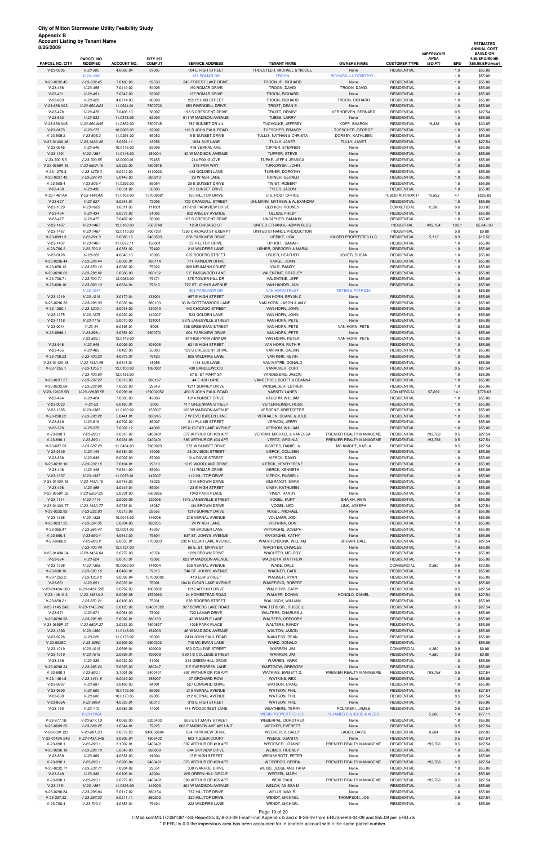| <b>Account Listing by Tenant Name</b><br>8/26/2009 | PARCEL NO.                      |                          | <b>CITY 257</b>    |                                             |                                                  |                                             |                                          | <b>IMPERVIOUS</b><br><b>AREA</b> |            | <b>ESTIMATED</b><br><b>ANNUAL COST</b><br><b>BASED ON</b><br>4.59/ERU/Month |
|----------------------------------------------------|---------------------------------|--------------------------|--------------------|---------------------------------------------|--------------------------------------------------|---------------------------------------------|------------------------------------------|----------------------------------|------------|-----------------------------------------------------------------------------|
| PARCEL NO. CITY                                    | <b>MODIFIED</b>                 | <b>ACCOUNT NO.</b>       | <b>COMPUT</b>      | <b>SERVICE ADDRESS</b>                      | <b>TENANT NAME</b>                               | <b>OWNERS NAME</b>                          | <b>CUSTOMER TYPE</b>                     | (SQ FT)                          | ERU        | (\$55.08/ERU/year)                                                          |
| $V-23-0305$                                        | $V-23-305$<br>$V-23-1280$       | 4.0666.04                | 37005              | 104 E HIGH STREET<br>137 ROMAR DR           | TROESTLER, MICHAEL & NICOLE<br><b>TROON</b>      | None<br>RICHARD J & DOROTHY J               | <b>RESIDENTIAL</b>                       |                                  | 1.0<br>1.0 | \$55.08<br>\$55.08                                                          |
| V-23-0232.45                                       | $V-23-232.45$                   | 7.0180.00                | 29530              | 345 FOREST LAKE DRIVE                       | TROON JR, RICHARD                                | None                                        | <b>RESIDENTIAL</b>                       |                                  | 1.0        | \$55.08                                                                     |
| $V-23-458$                                         | $V-23-458$                      | 7.0419.02                | 54005              | 150 ROMAR DRIVE                             | TROON, DAVID                                     | TROON, DAVID                                | <b>RESIDENTIAL</b>                       |                                  | 1.0        | \$55.08                                                                     |
| $V-23-451$                                         | $V-23-451$                      | 7.0347.00                | 53007              | 137 ROMAR DRIVE                             | TROON, RICHARD                                   | None                                        | <b>RESIDENTIAL</b>                       |                                  | 1.0        | \$55.08                                                                     |
| $V-23-829$<br>V-23-650.N23                         | $V-23-829$<br>V-23-650.N23      | 4.0714.03<br>11.0624.01  | 86009<br>7500723   | 252 PLUMB STREET<br>653 RIVENDELL DRIVE     | TROON, RICHARD<br>TROST, DEAN E                  | TROON, RICHARD<br>None                      | <b>RESIDENTIAL</b><br><b>RESIDENTIAL</b> |                                  | 1.0<br>1.0 | \$55.08<br>\$55.08                                                          |
| $V-23-478$                                         | $V-23-478$                      | 7.0408.10                | 56007              | 193 S CRESCENT DRIVE                        | TRUITT, DENISE                                   | VERHOEVEN, BERNARD                          | <b>RESIDENTIAL</b>                       |                                  | 0.5        | \$27.54                                                                     |
| $V-23-532$                                         | $V-23-532$                      | 11.0378.05               | 62003              | 511 W MADISON AVENUE                        | <b>TUBBS, LARRY</b>                              | None                                        | <b>RESIDENTIAL</b>                       |                                  | 1.0        | \$55.08                                                                     |
| V-23-650.N45                                       | V-23-650.N45                    | 11.0852.00               | 7500745            | 787 SUNSET DR # 4                           | TUCHOLKE, JEFFREY                                | KOPP, SHARON                                | <b>RESIDENTIAL</b>                       | 19,338                           | 0.6        | \$33.05                                                                     |
| $V-23-0173$<br>$V-23-505.2$                        | $V-23-173$<br>$V-23-505.2$      | 10.0006.05               | 22002<br>59052     | 112 S JOHN PAUL ROAD<br>15 E SUNSET DRIVE   | TUESCHER, BRANDY<br>TULLIS, NATHAN & CHRISTA     | TUESCHER, GEORGE<br>DORSEY, KATHLEEN        | <b>RESIDENTIAL</b><br><b>RESIDENTIAL</b> |                                  | 1.0        | \$55.08<br>\$55.08                                                          |
| V-23-0143A.46                                      | V-23-143A.46                    | 11.0291.02<br>3.0821.11  | 18056              | 1034 SUE LANE                               | TULLY, JANET                                     | TULLY, JANET                                | <b>RESIDENTIAL</b>                       |                                  | 1.0<br>0.5 | \$27.54                                                                     |
| $V-23-0546$                                        | $V-23-546$                      | 10.0116.02               | 63008              | 418 VERNAL AVE.                             | TUPPER, STEPHEN                                  | None                                        | <b>RESIDENTIAL</b>                       |                                  | 1.0        | \$55.08                                                                     |
| $V-23-1391$                                        | $V-23-1391$                     | 11.0146.00               | 154004             | 40 W MADISON AVENUE                         | TUPPER, STEVE                                    | None                                        | <b>RESIDENTIAL</b>                       |                                  | 1.0        | \$55.08                                                                     |
| V-23-700.5.5                                       | $V-23-700.55$                   | 12.0090.01               | 79455              | 214 FOX GLOVE                               | TURKE, JEFF & JESSICA                            | None                                        | <b>RESIDENTIAL</b>                       |                                  | 1.0        | \$55.08                                                                     |
| V-23-0650P.16                                      | V-23-650P.16                    | 2.0222.00                | 7500816            | 378 FAIR WAY                                | TURKOWSKI, JOHN                                  | None                                        | <b>RESIDENTIAL</b>                       |                                  | 1.0        | \$55.08                                                                     |
| V-23-1279.3<br>V-23-0297.43                        | $V-23-1279.3$<br>$V-23-297.43$  | 9.0212.00<br>5.0449.00   | 1410023<br>360213  | 433 GOLDEN LANE<br>29 W ASH LANE            | TURNER, DOROTHY<br><b>TURNER, GERALD</b>         | None<br>None                                | <b>RESIDENTIAL</b><br><b>RESIDENTIAL</b> |                                  | 1.0<br>1.0 | \$55.08<br>\$55.08                                                          |
| $V-23-505.4$                                       | $V-23-505.4$                    | 11.0292.00               | 59054              | 29 E SUNSET DRIVE                           | <b>TWIST, ROBERT</b>                             | None                                        | <b>RESIDENTIAL</b>                       |                                  | 1.0        | \$55.08                                                                     |
| $V-23-430$                                         | $V-23-430$                      | 7.0051.02                | 50006              | 818 SUNSET DRIVE                            | TYLER, JASON                                     | None                                        | <b>RESIDENTIAL</b>                       |                                  | 1.0        | \$55.08                                                                     |
| V-23-1461AA                                        | V-23-1461AA                     | 11.0108.00               | 157008001          | 150 HILLTOP DRIVE                           | U.S. POST OFFICE                                 | None                                        | PUBLIC AUTHORITY                         | 16,833                           | 4.1        | \$225.83                                                                    |
| $V-23-627$                                         | $V-23-627$                      | 8.0246.01                | 72005              | 720 CRANDALL STREET                         | UHLMANN, MATHEW & ALEXANDRA                      | None                                        | <b>RESIDENTIAL</b>                       |                                  | 1.0        | \$55.08                                                                     |
| V-23-1029<br>$V-23-434$                            | $V-23-1029$                     | 1.0311.05                | 111001             | 217-219 PARKVIEW DRIVE<br>832 ANSLEY AVENUE | <b>ULBRICH, RODNEY</b>                           | None                                        | COMMERCIAL<br><b>RESIDENTIAL</b>         | 2,596                            | 0.6        | \$33.05                                                                     |
| $V-23-477$                                         | $V-23-434$<br>$V-23-477$        | 8.0272.02<br>7.0407.02   | 51002<br>56006     | 187 S CRESCENT DRIVE                        | ULLIUS, PHILIP<br>UNCAPHER, SAM/KIM              | None<br>None                                | <b>RESIDENTIAL</b>                       |                                  | 1.0<br>1.0 | \$55.08<br>\$55.08                                                          |
| $V-23-1467$                                        | $V-23-1467$                     | 12.0103.00               | 7500740            | 1250 CHICAGO ST                             | UNITED ETHANOL- ADMIN BLDG                       | None                                        | <b>INDUSTRIAL</b>                        | 433,164                          | 106.1      | \$5,843.99                                                                  |
| $V-23-1467$                                        | $V-23-1467$                     | 12.0110.00               | 7007331            | 1250 CHICAGO ST-EXEMPT                      | UNITED ETHANOL PRODUCTION                        | None                                        | <b>INDUSTRIAL</b>                        |                                  | 0.0        | \$0.00                                                                      |
| V-23-0891.3                                        | $V-23-891.3$                    | 3.0380.15                | 9400503            | 858 PARKVIEW DRIVE                          | UPDIKE, LISA                                     | KAISER PROPERTIES LLC                       | <b>RESIDENTIAL</b>                       | 5,117                            | 0.3        | \$16.52                                                                     |
| V-23-1407                                          | $V-23-1407$                     | 11.0072.11               | 156001             | 27 HILLTOP DRIVE                            | UPHOFF, SARAH                                    | None                                        | <b>RESIDENTIAL</b>                       |                                  | 1.0        | \$55.08                                                                     |
| V-23-700.2<br>V-23-0128                            | $V-23-700.2$<br>$V-23-128$      | 4.0351.02<br>4.0046.10   | 79402<br>16005     | 212 WILDFIRE LANE<br>622 ROGERS STREET      | USHER, GREGORY & MARIA<br>USHER, HEATHER         | None<br>USHER, SUSAN                        | <b>RESIDENTIAL</b><br><b>RESIDENTIAL</b> |                                  | 1.0<br>1.0 | \$55.08<br>\$55.08                                                          |
| V-23-0296.44                                       | $V-23-296.44$                   | 5.0608.01                | 360114             | 711 RAINBOW DRIVE                           | VAAGE, JOHN                                      | None                                        | <b>RESIDENTIAL</b>                       |                                  | 1.0        | \$55.08                                                                     |
| V-23-650.12                                        | $V-23-650.12$                   | 4.0086.02                | 75022              | 829 NEUMANN COURT                           | VALE, RANDY                                      | None                                        | <b>RESIDENTIAL</b>                       |                                  | 1.0        | \$55.08                                                                     |
| V-23-0296.62                                       | $V-23-296.62$                   | 5.0080.00                | 360132             | 5 E BASSWOOD LANE                           | VALENTINE, BRADLEY                               | None                                        | <b>RESIDENTIAL</b>                       |                                  | 1.0        | \$55.08                                                                     |
| V-23-700.71                                        | V-23-700.71                     | 12.0089.00               | 79471              | 875 TOWER HILL DR                           | VALENTINE, JEFF                                  | None                                        | <b>RESIDENTIAL</b>                       |                                  | 1.0        | \$55.08                                                                     |
| V-23-690.10                                        | $V-23-690.10$                   | 4.0634.01                | 79310              | 727 ST JOHN'S AVENUE                        | VAN HANDEL, IAN                                  | None                                        | <b>RESIDENTIAL</b>                       |                                  | 1.0        | \$55.08                                                                     |
| $V-23-1219$                                        | $V-23-1047$<br>$V-23-1219$      | 3.0170.01                | 133001             | <b>804 PARKVIEW DR</b><br>957 E HIGH STREET | <b>VAN HORN TRUST</b><br>VAN HORN, BRYAN C       | <b>PETER &amp; PATRICIA</b><br>None         | <b>RESIDENTIAL</b>                       |                                  | 1.0<br>1.0 | \$55.08<br>\$55.08                                                          |
| V-23-0296.33                                       | $V-23-296.33$                   | 5.0036.04                | 360103             | 30 W COTTONWOOD LANE                        | VAN HORN, JASON & AMY                            | None                                        | <b>RESIDENTIAL</b>                       |                                  | 1.0        | \$55.08                                                                     |
| $V-23-1200.1$                                      | $V-23-1200.1$                   | 3.0048.02                | 130010             | 442 CHICAGO STREET                          | VAN HORN, JOHN                                   | None                                        | <b>RESIDENTIAL</b>                       |                                  | 1.0        | \$55.08                                                                     |
| V-23-1275                                          | $V-23-1275$                     | 9.0220.02                | 140007             | 523 GOLDEN LANE                             | VAN HORN, JOHN                                   | None                                        | <b>RESIDENTIAL</b>                       |                                  | 1.0        | \$55.08                                                                     |
| $V-23-1118$                                        | $V-23-1118$                     | 2.0010.00                | 121001             | 53 N JANESVILLE STREET                      | VAN HORN, PETE                                   | None                                        | <b>RESIDENTIAL</b>                       |                                  | 1.0        | \$55.08                                                                     |
| $V-23-0044$<br>V-23-0898.1                         | $V-23-44$<br>$V-23-898.1$       | 6.0195.01<br>3.0351.00   | 5008<br>9500701    | 508 GREENMAN STREET<br>804 PARKVIEW DRIVE   | VAN HORN, PETE<br>VAN HORN, PETE                 | VAN HORN, PETE<br>None                      | <b>RESIDENTIAL</b><br><b>RESIDENTIAL</b> |                                  | 1.0<br>1.0 | \$55.08<br>\$55.08                                                          |
|                                                    | $V-23-892.1$                    | 12.0149.00               |                    | 814-820 PARKVIEW DR                         | VAN HORN, PETER                                  | VAN HORN, PETE                              | <b>RESIDENTIAL</b>                       |                                  | 1.0        | \$55.08                                                                     |
| V-23-948                                           | $V-23-948$                      | 4.0009.00                | 101005             | 621 E HIGH STREET                           | VAN HORN, RUTH R                                 | None                                        | <b>RESIDENTIAL</b>                       |                                  | 1.0        | \$55.08                                                                     |
| V-23-465                                           | V-23-465                        | 7.0425.00                | 55003              | 129 S CRESCENT DRIVE                        | VAN KIRK, CALVIN                                 | None                                        | RESIDENTIAL                              |                                  | 1.0        | \$55.08                                                                     |
| V-23-700.23                                        | V-23-700.23                     | 4.0372.01                | 79423              | 605 WILDFIRE LANE                           | VAN KIRK, KEVIN                                  | None                                        | <b>RESIDENTIAL</b>                       |                                  | 1.0        | \$55.08                                                                     |
| V-23-0143A.48<br>$V-23-1255.1$                     | V-23-143A.48                    | 3.0818.01                | 18058              | 1114 SUE LANE                               | VAN MATRE, DONALD                                | None                                        | <b>RESIDENTIAL</b>                       |                                  | 1.0        | \$55.08                                                                     |
|                                                    | $V-23-1255.1$<br>$V-23-700.50$  | 12.0100.00<br>12.0155.00 | 1380001            | 430 SANDLEWOOD<br>57 E. ST MARY ST          | VANACKER, CURT<br>VANDEBERG, JASON               | None<br>None                                | <b>RESIDENTIAL</b><br><b>RESIDENTIAL</b> |                                  | 0.5<br>1.0 | \$27.54<br>\$55.08                                                          |
| V-23-0297.27                                       | V-23-297.27                     | 5.0219.06                | 360197             | 44 E ASH LANE                               | VANDERHEI, SCOTT & DEANNA                        | None                                        | <b>RESIDENTIAL</b>                       |                                  | 1.0        | \$55.08                                                                     |
| V-23-0232.68                                       | $V-23-232.68$                   | 7.0222.00                | 29549              | 1211 SURREY DRIVE                           | VANGALDER, ESTHER                                | None                                        | <b>RESIDENTIAL</b>                       |                                  | 1.0        | \$55.08                                                                     |
| V-23-1263B.5B                                      | V-23-1263B.5B                   | 9.0298.01                | 139002052          | 450 S JOHN PAUL ROAD                        | <b>VARSITY LANES</b>                             | None                                        | COMMERCIAL                               | 57,639                           | 14.1       | \$776.63                                                                    |
| $V-23-424$                                         | $V-23-424$                      | 7.0083.00                | 49009              | 1014 SUNSET DRIVE                           | VAUGHN, WILLIAM                                  | None                                        | <b>RESIDENTIAL</b>                       |                                  | 1.0        | \$55.08                                                                     |
| V-23-0023<br>$V-23-1385$                           | $V-23-23$<br>$V-23-1385$        | 6.0160.01<br>11.0160.02  | 3005<br>153007     | 417 GREENMAN STREET<br>128 W MADISON AVENUE | <b>VEITENHEIMER, ROSS</b><br>VERGENZ, KRISTOFFER | None<br>None                                | <b>RESIDENTIAL</b><br><b>RESIDENTIAL</b> |                                  | 1.0<br>1.0 | \$55.08<br>\$55.08                                                          |
| V-23-298.22                                        | V-23-298.22                     | 5.0441.01                | 360245             | 7 W EVERGREEN LANE                          | VERHALEN, DUANE & JULIE                          | None                                        | <b>RESIDENTIAL</b>                       |                                  | 1.0        | \$55.08                                                                     |
| $V-23-819$                                         | $V-23-819$                      | 4.0702.02                | 85007              | 211 PLUMB STREET                            | VERNON, JERRY                                    | None                                        | <b>RESIDENTIAL</b>                       |                                  | 1.0        | \$55.08                                                                     |
| $V-23-378$                                         | $V-23-378$                      | 7.0007.12                | 44008              | 225 N CLEAR LAKE AVENUE                     | <b>VERNON, WILLIAM</b>                           | None                                        | <b>RESIDENTIAL</b>                       |                                  | 1.0        | \$55.08                                                                     |
| $V-23-890.1$                                       | $V-23-890.1$                    | 3.0916.07                | 9400401            | 877 ARTHUR DR #03 APT                       | VERRAN, MICHAEL & VANESSA                        | PREMIER REALTY MANAGEME                     | <b>RESIDENTIAL</b>                       | 193,766                          | 0.5        | \$27.54                                                                     |
| $V-23-890.1$<br>V-23-687.23                        | $V-23-890.1$<br>V-23-687.23     | 3.0931.08<br>11.0434.03  | 9400401<br>7900923 | 885 ARTHUR DR #04 APT<br>373 W SUNSET DRIVE | VERTZ, VIRGINIA<br>VICKERS, DANIEL &             | PREMIER REALTY MANAGEME<br>MC KNIGHT, KARLA | <b>RESIDENTIAL</b><br><b>RESIDENTIAL</b> | 193,766                          | 0.5<br>0.5 | \$27.54<br>\$27.54                                                          |
| V-23-0149                                          | $V-23-149$                      | 8.0184.03                | 19006              | 28 DIVISION STREET                          | VIERCK, COLLEEN                                  | None                                        | <b>RESIDENTIAL</b>                       |                                  | 1.0        | \$55.08                                                                     |
| $V-23-838$                                         | $V-23-838$                      | 6.0007.03                | 87009              | 314 DAVIS STREET                            | VIERCK, DAVID                                    | None                                        | <b>RESIDENTIAL</b>                       |                                  | 1.0        | \$55.08                                                                     |
| V-23-0232.16                                       | V-23-232.16                     | 7.0104.01                | 29510              | 1215 WOODLAND DRIVE                         | VIERCK, HENRY/IRENE                              | None                                        | <b>RESIDENTIAL</b>                       |                                  | 1.0        | \$55.08                                                                     |
| $V-23-448$                                         | $V-23-448$                      | 7.0344.00                | 53004              | 111 ROMAR DRIVE                             | VIERCK, KENNETH                                  | None                                        | <b>RESIDENTIAL</b>                       |                                  | 1.0        | \$55.08                                                                     |
| V-23-1337                                          | $V-23-1337$                     | 11.0078.01               | 147007             | 119 HILLTOP DRIVE                           | <b>VIERCK, RUSSELL</b>                           | None                                        | <b>RESIDENTIAL</b><br><b>RESIDENTIAL</b> |                                  | 1.0        | \$55.08                                                                     |
| V-23-0143A.15<br>$V-23-498$                        | V-23-143A.15<br>$V-23-498$      | 3.0748.03<br>4.0443.01   | 18025<br>59001     | 1014 BROWN DRIVE<br>123 E HIGH STREET       | VILBRANDT, MARK<br>VINEY, KATHLEEN               | None<br>None                                | <b>RESIDENTIAL</b>                       |                                  | 1.0<br>1.0 | \$55.08<br>\$55.08                                                          |
| V-23-0650P.25                                      | V-23-650P.25                    | 2.0231.00                | 7500825            | 1043 PARK PLACE                             | VINEY, RANDY                                     | None                                        | <b>RESIDENTIAL</b>                       |                                  | 1.0        | \$55.08                                                                     |
| $V-23-1114$                                        | $V-23-1114$                     | 2.0003.05                | 120006             | 19 N JANESVILLE STREET                      | VOGEL, KURT                                      | SHAIKH, AMIN                                | <b>RESIDENTIAL</b>                       |                                  | 1.0        | \$55.08                                                                     |
| V-23-0143A.77                                      | V-23-143A.77                    | 3.0735.01                | 18087              | 1134 BROWN DRIVE                            | VOGEL, LEO                                       | LINK, JOSEPH                                | <b>RESIDENTIAL</b>                       |                                  | 0.5        | \$27.54                                                                     |
| V-23-0232.83                                       | $V-23-232.83$                   | 7.0212.08                | 29555              | 1218 SURREY DRIVE                           | VOGEL, MICHAEL                                   | None                                        | <b>RESIDENTIAL</b>                       |                                  | 1.0        | \$55.08                                                                     |
| V-23-1328<br>V-23-0297.35                          | $V-23-1328$<br>$V-23-297.35$    | 10.0016.02<br>5.0204.00  | 146006<br>360205   | 215 VERNAL AVENUE<br>24 W ASH LANE          | VOLLMAR, JODI<br>VRUWINK, DON                    | None<br>None                                | <b>RESIDENTIAL</b><br><b>RESIDENTIAL</b> |                                  | 1.0<br>1.0 | \$55.08<br>\$55.08                                                          |
| V-23-365.47                                        | V-23-365.47                     | 12.0031.02               | 43057              | 189 BADGER LANE                             | VRYDAGHS, JOSEPH                                 | None                                        | <b>RESIDENTIAL</b>                       |                                  | 1.0        | \$55.08                                                                     |
| V-23-690.4                                         | $V-23-690.4$                    | 4.0642.00                | 79304              | 637 ST. JOHN'S AVENUE                       | VRYDAGHS, KATHY                                  | None                                        | <b>RESIDENTIAL</b>                       |                                  | 1.0        | \$55.08                                                                     |
| V-23-0668.2                                        | $V-23-668.2$                    | 8.0050.01                | 7700803            | 232 N CLEAR LAKE AVENUE                     | WACHTENDONK, WILLIAM                             | BROWN, DALE                                 | <b>RESIDENTIAL</b>                       |                                  | 0.5        | \$27.54                                                                     |
|                                                    | V-23-700.49                     | 12.0127.00               |                    | 69 E. ST. MARYS ST                          | WACHTER, CHARLES                                 | None                                        | <b>RESIDENTIAL</b>                       |                                  | 1.0        | \$55.08                                                                     |
| V-23-0143A.64                                      | V-23-143A.64                    | 3.0772.00                | 18074              | 1229 BROWN DRIVE                            | WACHTER, MELODY                                  | None                                        | <b>RESIDENTIAL</b>                       |                                  | 1.0        | \$55.08                                                                     |
| V-23-624<br>$V-23-1308$                            | $V-23-624$<br>$V-23-1308$       | 8.0016.01<br>10.0060.00  | 72002<br>144004    | 629 W MADISON AVENUE<br>525 VERNAL AVENUE   | WACHUTA, MATTHEW<br>WADE, DALE                   | None<br>None                                | <b>RESIDENTIAL</b><br>COMMERCIAL         | 2,380                            | 1.0<br>0.6 | \$55.08<br>\$33.05                                                          |
| V-23-690.16                                        | $V-23-690.16$                   | 4.0489.01                | 79316              | 746 ST. JOHN'S AVENUE                       | WAGNER, CARL                                     | None                                        | <b>RESIDENTIAL</b>                       |                                  | 1.0        | \$55.08                                                                     |
| V-23-1253.2                                        | V-23-1253.2                     | 9.0092.04                | 137008002          | 419 ELM STREET                              | WAGNER, RYAN                                     | None                                        | <b>RESIDENTIAL</b>                       |                                  | 1.0        | \$55.08                                                                     |
| $V-23-651$                                         | $V-23-651$                      | 8.0035.01                | 76001              | 104 N CLEAR LAKE AVENUE                     | WAKEFIELD, ROBERT                                | None                                        | <b>RESIDENTIAL</b>                       |                                  | 1.0        | \$55.08                                                                     |
| V-23-0143A.58B                                     | V-23-143A.58B                   | 3.0797.03                | 1806802            | 1212 ARTHUR DRIVE                           | WALHOVD, GARY                                    | None                                        | <b>RESIDENTIAL</b>                       |                                  | 0.5        | \$27.54                                                                     |
| V-23-1461A.3<br>V-23-650.21                        | $V-23-1461A.3$<br>$V-23-650.21$ | 6.0093.08<br>4.0106.00   | 1570083<br>75031   | 24 HOMESTEAD ROAD<br>870 ROGERS STREET      | WALKER, DONNA<br>WALLISCH, WILLIAM               | HONOLD, DANIEL<br>None                      | <b>RESIDENTIAL</b><br><b>RESIDENTIAL</b> |                                  | 0.5<br>1.0 | \$27.54<br>\$55.08                                                          |
| V-23-1145.2A2                                      | V-23-1145.2A2                   | 2.0123.02                | 124001022          | 927 BOWERS LAKE ROAD                        | WALTERS SR., RUSSELL                             | None                                        | <b>RESIDENTIAL</b>                       |                                  | 0.5        | \$27.54                                                                     |

| $V-23-671$     | $V-23-671$     | 8.0061.03  | 78002     | 722 LAMAR DRIVE            | WALTERS, CHARLES J.        | None                     | <b>RESIDENTIAL</b> |         | 1.0 | \$55.08 |
|----------------|----------------|------------|-----------|----------------------------|----------------------------|--------------------------|--------------------|---------|-----|---------|
| V-23-0296.93   | $V-23-296.93$  | 5.0092.01  | 360163    | 42 W MAPLE LANE            | WALTERS, GREGORY           | None                     | <b>RESIDENTIAL</b> |         | 1.0 | \$55.08 |
| V-23-0650P.27  | V-23-650P.27   | 2.0233.00  | 7500827   | 1025 PARK PLACE            | WALTERS, RANDY             | None                     | <b>RESIDENTIAL</b> |         | 1.0 | \$55.08 |
| $V-23-1390$    | $V-23-1390$    | 11.0148.03 | 154003    | <b>46 W MADISON AVENUE</b> | <b>WALTON, JASON</b>       | None                     | <b>RESIDENTIAL</b> |         | 1.0 | \$55.08 |
| V-23-0226      | $V-23-226$     | 11.0178.02 | 28008     | 24 N JOHN PAUL ROAD        | WANLESS, DEAN              | None                     | <b>RESIDENTIAL</b> |         | 1.0 | \$55.08 |
| V-23-0928C     | V-23-928C      | 3.0309.02  | 9900303   | 740 MC EWAN LANE           | WARD, DONALD               | None                     | <b>RESIDENTIAL</b> |         | 1.0 | \$55.08 |
| $V-23-1019$    | $V-23-1019$    | 2.0698.01  | 109009    | 650 COLLEGE STREET         | WARREN, JIM                | None                     | COMMERCIAL         | 4,380   | 0.0 | \$0.00  |
| $V-23-1019$    | $V-23-1019$    | 2.0699.01  | 109009    | 650 1/2 COLLEGE STREET     | WARREN, JIM                | None                     | <b>RESIDENTIAL</b> | 4.380   | 0.0 | \$0.00  |
| $V-23-339$     | $V-23-339$     | 6.0032.00  | 41001     | 314 GREEN HILL DRIVE       | WARREN, MARK               | None                     | <b>RESIDENTIAL</b> |         | 1.0 | \$55.08 |
| V-23-0298.24   | V-23-298.24    | 5.0325.03  | 360247    | 5 E EVERGREEN LANE         | WARTGOW, GREGORY           | None                     | <b>RESIDENTIAL</b> |         | 1.0 | \$55.08 |
| V-23-890.1     | $V-23-890.1$   | 3.1001.06  | 9400401   | 897 ARTHUR DR #09 APT      | WATKINS, EMMETT D.         | PREMIER REALTY MANAGEME  | <b>RESIDENTIAL</b> | 193,766 | 0.5 | \$27.54 |
| $V-23-1461.8$  | $V-23-1461.8$  | 6.0049.00  | 158007    | 37 ORCHARD ROW             | <b>WATKINS, REX</b>        | None                     | <b>RESIDENTIAL</b> |         | 1.0 | \$55.08 |
| V-23-0887      | $V-23-887$     | 3.0468.03  | 94001     | 527 LOMBARD DRIVE          | <b>WATSON, CRAIG</b>       | None                     | <b>RESIDENTIAL</b> |         | 1.0 | \$55.08 |
| $V-23-0600$    | $V-23-600$     | 10.0172.05 | 69005     | 210 VERNAL AVENUE          | <b>WATSON, PHIL</b>        | None                     | <b>RESIDENTIAL</b> |         | 0.5 | \$27.54 |
| $V-23-600$     | $V-23-600$     | 10.0173.05 | 69005     | 212 VERNAL AVENUE          | WATSON, PHIL               | None                     | <b>RESIDENTIAL</b> |         | 0.5 | \$27.54 |
| V-23-865A      | $V-23-865A$    | 4.0333.01  | 90010     | 313 E HIGH STREET          | <b>WATSON, PHIL</b>        | None                     | <b>RESIDENTIAL</b> |         | 1.0 | \$55.08 |
| $V-23-110$     | $V - 23 - 110$ | 3.0589.06  | 14001     | 446 WOODCREST LANE         | <b>WEATHERS, TERRY</b>     | POLARSKI, JAMES          | <b>RESIDENTIAL</b> |         | 0.5 | \$27.54 |
|                | $V-23-1106A$   |            |           |                            | <b>WEBB PROPERTIES LLC</b> | % JAMES S & JULIE A WEBB |                    | 5,808   | 1.4 | \$77.11 |
| V-23-877.1B    | $V-23-877.1B$  | 4.0062.00  | 9200403   | 508 E ST.MARY STREET       | WEBERPAL, DOROTHEA         | None                     | <b>RESIDENTIAL</b> |         | 1.0 | \$55.08 |
| V-23-0689.25   | $V-23-689.25$  | 1.0544.01  | 79225     | 602 E MADISON AVE #25 UNIT | <b>WECKER, EVERETT</b>     | None                     | <b>RESIDENTIAL</b> |         | 0.5 | \$27.54 |
| V-23-0891.2D   | V-23-891.2D    | 3.0379.20  | 940050204 | 854 PARKVIEW DRIVE         | WECKERLY, SALLY            | LADER, DAVID             | <b>RESIDENTIAL</b> | 6,084   | 0.4 | \$22.03 |
| V-23-0143A.54B | V-23-143A.54B  | 3.0805.04  | 1806402   | 603 TIGGER COURT           | WEEKS, JUANITA             | None                     | <b>RESIDENTIAL</b> |         | 0.5 | \$27.54 |
| V-23-890.1     | $V-23-890.1$   | 3.1002.01  | 9400401   | 897 ARTHUR DR #10 APT      | WEGENER, JOANNE            | PREMIER REALTY MANAGEME  | <b>RESIDENTIAL</b> | 193,766 | 0.5 | \$27.54 |
| V-23-0296.18   | $V-23-296.18$  | 5.0049.00  | 360088    | 644 SKYVIEW DRIVE          | <b>WEIMER, RODNEY</b>      | None                     | <b>RESIDENTIAL</b> |         | 1.0 | \$55.08 |
| $V-23-869$     | $V-23-869$     | 4.0651.03  | 91004     | 17 E HIGH STREET           | <b>WEINSHROTT, PETER</b>   | None                     | <b>RESIDENTIAL</b> |         | 1.0 | \$55.08 |
| $V-23-890.1$   | $V-23-890.1$   | 3.0908.04  | 9400401   | 873 ARTHUR DR #09 APT      | WEISBROD, DEBRA            | PREMIER REALTY MANAGEME  | <b>RESIDENTIAL</b> | 193.766 | 0.5 | \$27.54 |
| V-23-0232.71   | V-23-232.71    | 7.0204.02  | 29551     | 330 IVANHOE DRIVE          | WEISS, JESSE AND TARA      | None                     | <b>RESIDENTIAL</b> |         | 1.0 | \$55.08 |
| $V-23-349$     | $V - 23 - 349$ | 6.0105.01  | 42004     | 205 GREEN HILL CIRCLE      | <b>WEITZEL, MARK</b>       | None                     | <b>RESIDENTIAL</b> |         | 1.0 | \$55.08 |
| $V-23-890.1$   | $V-23-890.1$   | 3.0979.05  | 9400401   | 889 ARTHUR DR #05 APT      | WEIX, PAUL                 | PREMIER REALTY MANAGEME  | <b>RESIDENTIAL</b> | 193,766 | 0.5 | \$27.54 |
| $V-23-1351$    | $V-23-1351$    | 11.0336.09 | 149003    | 404 W MADISON AVENUE       | WELCH, ANISSA M            | None                     | <b>RESIDENTIAL</b> |         | 1.0 | \$55.08 |
| V-23-0296.84   | V-23-296.84    | 5.0117.02  | 360154    | 737 HILLTOP DRIVE          | WELLS, MAX R.              | None                     | <b>RESIDENTIAL</b> |         | 1.0 | \$55.08 |
| V-23-297.32    | V-23-297.32    | 5.0211.11  | 360202    | 820 HILLTOP DRIVE          | <b>WENDT, MICHAEL</b>      | THOMPSON, JOE            | <b>RESIDENTIAL</b> |         | 0.5 | \$27.54 |
| $V-23-700.4$   | $V-23-700.4$   | 4.0353.01  | 79404     | 222 WILDFIRE LANE          | <b>WENDT, MICHAEL</b>      | None                     | <b>RESIDENTIAL</b> |         | 1.0 | \$55.08 |

Page 19 of 20

I:\Madison\MILTC\081381-\30-ReportStudy\8-20-09 Final\Final Appendix b and c 8-26-09 from ERUSheet6-04-09 and \$55.08 per ERU.xls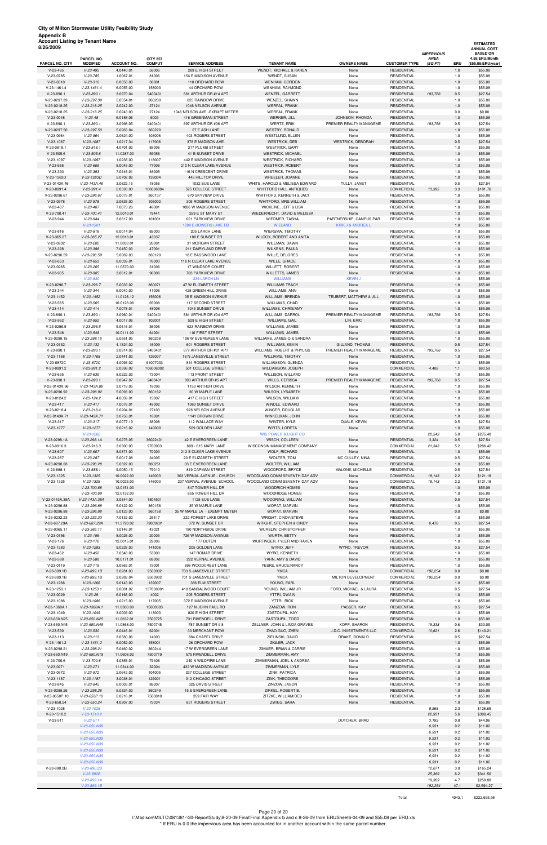| Account Listing by Tenant Name<br>8/26/2009<br>PARCEL NO. CITY | PARCEL NO.<br><b>MODIFIED</b> | <b>ACCOUNT NO.</b>       | <b>CITY 257</b><br><b>COMPUT</b> | <b>SERVICE ADDRESS</b>                          | <b>TENANT NAME</b>                                     | <b>OWNERS NAME</b>                                      | <b>CUSTOMER TYPE</b>                     | <b>IMPERVIOUS</b><br><b>AREA</b><br>(SQFT) | ERU               | <b>ESTIMATED</b><br><b>ANNUAL COST</b><br><b>BASED ON</b><br>4.59/ERU/Month<br>(\$55.08/ERU/year) |
|----------------------------------------------------------------|-------------------------------|--------------------------|----------------------------------|-------------------------------------------------|--------------------------------------------------------|---------------------------------------------------------|------------------------------------------|--------------------------------------------|-------------------|---------------------------------------------------------------------------------------------------|
| $V-23-495$                                                     | $V-23-495$                    | 4.0440.01                | 58005                            | 209 E HIGH STREET                               | WENDT, MICHAEL & KAREN                                 | None                                                    | <b>RESIDENTIAL</b>                       |                                            | 1.0               | \$55.08                                                                                           |
| V-23-0785                                                      | $V-23-785$                    | 1.0067.01                | 81006                            | 154 E MADISON AVENUE                            | <b>WENDT, SUSAN</b>                                    | None                                                    | <b>RESIDENTIAL</b>                       |                                            | 1.0               | \$55.08                                                                                           |
| V-23-0310                                                      | $V-23-310$                    | 6.0058.00                | 38001                            | 110 ORCHARD ROW                                 | <b>WENHAM, GORDON</b>                                  | None                                                    | <b>RESIDENTIAL</b>                       |                                            | 1.0               | \$55.08                                                                                           |
| $V-23-1461.4$                                                  | $V-23-1461.4$                 | 6.0055.00                | 158003                           | 44 ORCHARD ROW                                  | WENHAM, RAYMOND                                        | None                                                    | <b>RESIDENTIAL</b>                       |                                            | 1.0               | \$55.08                                                                                           |
| $V-23-890.1$<br>V-23-0297.39                                   | $V-23-890.1$<br>V-23-297.39   | 3.0970.04<br>5.0554.01   | 9400401<br>360209                | 881 ARTHUR DR #14 APT<br>825 RAINBOW DRIVE      | WENZEL, GARRETT<br>WENZEL, SHAWN                       | None<br>None                                            | <b>RESIDENTIAL</b><br><b>RESIDENTIAL</b> | 193,766                                    | 0.5<br>1.0        | \$27.54<br>\$55.08                                                                                |
| V-23-0218.25                                                   | $V-23-218.25$                 | 2.0242.00                | 27124                            | 1046 NELSON AVENUE                              | <b>WERFAL, FRANK</b>                                   | None                                                    | <b>RESIDENTIAL</b>                       |                                            | 1.0               | \$55.08                                                                                           |
| V-23-0218.25                                                   | V-23-218.25                   | 2.0243.00                | 27124                            | 1046 NELSON AVE.-EXEMPT METER                   | <b>WERFAL, FRANK</b>                                   | None                                                    | <b>RESIDENTIAL</b>                       |                                            | 0.0               | \$0.00                                                                                            |
| V-23-0048                                                      | $V-23-48$                     | 6.0188.06                | 6003                             | 416 GREENMAN STREET                             | WERNER, JILL                                           | JOHNSON, RHONDA                                         | <b>RESIDENTIAL</b>                       |                                            | 1.0               | \$55.08                                                                                           |
| $V-23-890.1$                                                   | $V-23-890.1$                  | 3.0998.05                | 9400401                          | 897 ARTHUR DR #06 APT                           | <b>WERTZ, ERIK</b>                                     | PREMIER REALTY MANAGEME                                 | <b>RESIDENTIAL</b>                       | 193,766                                    | 0.5               | \$27.54                                                                                           |
| V-23-0297.50<br>$V-23-0964$                                    | $V-23-297.50$<br>$V-23-964$   | 5.0263.04<br>2.0624.00   | 360220<br>103006                 | 27 E ASH LANE<br>403 ROGERS STREET              | <b>WESTBY, RONALD</b><br><b>WESTLUND, ELLEN</b>        | None<br>None                                            | <b>RESIDENTIAL</b><br><b>RESIDENTIAL</b> |                                            | 1.0<br>1.0        | \$55.08<br>\$55.08                                                                                |
| V-23-1087                                                      | $V-23-1087$                   | 1.0217.34                | 117006                           | 378 E MADISON AVE.                              | <b>WESTRICK, DEB</b>                                   | <b>WESTRICK, DEBORAH</b>                                | <b>RESIDENTIAL</b>                       |                                            | 0.5               | \$27.54                                                                                           |
| V-23-0818.1                                                    | $V-23-818.1$                  | 4.0701.02                | 85006                            | 217 PLUMB STREET                                | <b>WESTRICK, GARY</b>                                  | None                                                    | <b>RESIDENTIAL</b>                       |                                            | 1.0               | \$55.08                                                                                           |
| $V-23-505.6$                                                   | $V-23-505.6$                  | 11.0287.00               | 59056                            | 41 E SUNSET DRIVE                               | <b>WESTRICK, MICHAEL</b>                               | None                                                    | <b>RESIDENTIAL</b>                       |                                            | 1.0               | \$55.08                                                                                           |
| V-23-1097                                                      | $V-23-1097$                   | 1.0238.00                | 118007                           | 442 E MADISON AVENUE                            | <b>WESTRICK, RICHARD</b>                               | None                                                    | <b>RESIDENTIAL</b>                       |                                            | 1.0               | \$55.08                                                                                           |
| $V-23-666$                                                     | $V-23-666$                    | 8.0045.00                | 77006                            | 210 N CLEAR LAKE AVENUE                         | <b>WESTRICK, ROBERT</b>                                | None                                                    | <b>RESIDENTIAL</b>                       |                                            | 1.0               | \$55.08                                                                                           |
| $V-23-393$<br>V-23-1263D                                       | $V-23-393$<br>V-23-1263D      | 7.0446.01<br>5.0702.02   | 46005                            | 116 N CRESCENT DRIVE<br>445 HILLTOP DRIVE       | <b>WESTRICK, THOMAS</b><br>WHEELER, JOANNE             | None<br>None                                            | <b>RESIDENTIAL</b><br><b>RESIDENTIAL</b> |                                            | 1.0               | \$55.08                                                                                           |
| V-23-0143A.46                                                  | V-23-143A.46                  | 3.0822.15                | 139004<br>18056                  | 1032 SUE LANE                                   | WHITE, HAROLD & MELISSA EDWARD                         | TULLY, JANET                                            | <b>RESIDENTIAL</b>                       |                                            | 1.0<br>0.5        | \$55.08<br>\$27.54                                                                                |
| V-23-0991.4                                                    | $V-23-991.4$                  | 2.0593.00                | 106006004                        | 525 COLLEGE STREET                              | WHITFORD HALL ANTIQUES                                 | None                                                    | COMMERCIAL                               | 13,395                                     | 3.3               | \$181.76                                                                                          |
| V-23-0296.67                                                   | V-23-296.67                   | 5.0075.01                | 360137                           | 670 SKYVIEW DRIVE                               | WHITFORD, KENNETH & JACI                               | None                                                    | <b>RESIDENTIAL</b>                       |                                            | 1.0               | \$55.08                                                                                           |
| V-23-0978                                                      | $V-23-978$                    | 2.0635.00                | 105002                           | 305 ROGERS STREET                               | WHITFORD, MRS. WILLIAM                                 | None                                                    | <b>RESIDENTIAL</b>                       |                                            | 1.0               | \$55.08                                                                                           |
| $V-23-407$                                                     | $V-23-407$                    | 7.0073.26                | 48001                            | 1006 W MADISON AVENUE                           | WICKLINE, JEFF & LISA                                  | None                                                    | <b>RESIDENTIAL</b>                       |                                            | 1.0               | \$55.08                                                                                           |
| V-23-700.41                                                    | $V-23-700.41$                 | 12.0010.01               | 79441                            | 259 E ST MARY ST                                | WIEDERRECHT, DAVID & MELISSA                           | None                                                    | <b>RESIDENTIAL</b>                       |                                            | 1.0               | \$55.08                                                                                           |
| V-23-944                                                       | $V-23-944$<br>$V-23-1501$     | 3.0617.09                | 101001                           | 621 PARKVIEW DRIVE<br>1280 E BOWERS LAKE RD     | WIEDMER, TASHA<br><b>WIELAND</b>                       | PARTNERSHIP, CAMPUS PAR<br><b>KIRK J &amp; ANDREA L</b> | <b>RESIDENTIAL</b>                       |                                            | 1.0<br>1.0        | \$55.08<br>\$55.08                                                                                |
| $V-23-816$                                                     | $V-23-816$                    | 6.0014.04                | 85003                            | 205 LARCH LANE                                  | <b>WIERSMA, TIMOTHY</b>                                | None                                                    | <b>RESIDENTIAL</b>                       |                                            | 1.0               | \$55.08                                                                                           |
| V-23-365.27                                                    | $V-23-365.27$                 | 12.0018.01               | 43037                            | 188 E SUNSET DR                                 | WILCOX, ROBERT AND ANITA                               | None                                                    | <b>RESIDENTIAL</b>                       |                                            | 1.0               | \$55.08                                                                                           |
| V-23-0202                                                      | $V-23-202$                    | 11.0033.01               | 26001                            | 31 MORGAN STREET                                | WILEMAN, DAWN                                          | None                                                    | <b>RESIDENTIAL</b>                       |                                            | 1.0               | \$55.08                                                                                           |
| $V-23-398$                                                     | $V-23-398$                    | 7.0450.03                | 47001                            | 211 DAIRYLAND DRIVE                             | <b>WILKENS, PAULA</b>                                  | None                                                    | <b>RESIDENTIAL</b>                       |                                            | 1.0               | \$55.08                                                                                           |
| V-23-0296.59                                                   | $V-23-296.59$                 | 5.0069.03                | 360129                           | 18 E BASSWOOD LANE                              | WILLE, DELORES                                         | None                                                    | <b>RESIDENTIAL</b>                       |                                            | 1.0               | \$55.08                                                                                           |
| $V-23-653$                                                     | $V-23-653$                    | 8.0039.01                | 76003                            | 116 N CLEAR LAKE AVENUE                         | WILLE, GRACE                                           | None                                                    | <b>RESIDENTIAL</b>                       |                                            | 1.0               | \$55.08                                                                                           |
| V-23-0265<br>$V-23-905$                                        | $V-23-265$<br>$V-23-905$      | 11.0370.00<br>3.0612.01  | 31006<br>96006                   | 17 WINDSOR COURT<br>703 PARKVIEW DRIVE          | WILLETT, ROBERT<br><b>WILLETTS, JAMES</b>              | None<br>None                                            | <b>RESIDENTIAL</b><br><b>RESIDENTIAL</b> |                                            | 1.0<br>1.0        | \$55.08<br>\$55.08                                                                                |
|                                                                | $V-23-830$                    |                          |                                  | 239 LARCH LN                                    | <b>WILLIAMS</b>                                        | <b>KEVIN J</b>                                          |                                          |                                            | 1.0               | \$55.08                                                                                           |
| V-23-0296.7                                                    | $V-23-296.7$                  | 5.0033.02                | 360071                           | 47 W ELIZABETH STREET                           | <b>WILLIAMS TRACY</b>                                  | None                                                    | <b>RESIDENTIAL</b>                       |                                            | 1.0               | \$55.08                                                                                           |
| $V-23-344$                                                     | $V-23-344$                    | 6.0040.00                | 41006                            | 428 GREEN HILL DRIVE                            | WILLIAMS, ANN                                          | None                                                    | <b>RESIDENTIAL</b>                       |                                            | 1.0               | \$55.08                                                                                           |
| $V-23-1452$                                                    | $V-23-1452$                   | 11.0128.12               | 156006                           | 35 E MADISON AVENUE                             | WILLIAMS, BRENDA                                       | TEUBERT, MATTHEW & JILL                                 | <b>RESIDENTIAL</b>                       |                                            | 1.0               | \$55.08                                                                                           |
| $V-23-565$                                                     | $V-23-565$                    | 10.0123.08               | 65008                            | 117 SECOND STREET                               | WILLIAMS, CHAD                                         | None                                                    | <b>RESIDENTIAL</b>                       |                                            | 1.0               | \$55.08                                                                                           |
| $V-23-414$<br>$V-23-890.1$                                     | $V-23-414$<br>$V-23-890.1$    | 7.0078.01<br>3.0960.01   | 48008<br>9400401                 | 1045 SUNSET DRIVE<br>881 ARTHUR DR #04 APT      | WILLIAMS, CHRIS/AMY<br>WILLIAMS, DARROL                | None<br>PREMIER REALTY MANAGEME                         | <b>RESIDENTIAL</b><br><b>RESIDENTIAL</b> | 193,766                                    | 1.0<br>0.5        | \$55.08<br>\$27.54                                                                                |
| $V-23-952$                                                     | $V-23-952$                    | 4.0017.06                | 102001                           | 529 E HIGH STREET                               | WILLIAMS, GAIL                                         | LIN, ERIC                                               | <b>RESIDENTIAL</b>                       |                                            | 1.0               | \$55.08                                                                                           |
| V-23-0296.5                                                    | $V-23-296.5$                  | 5.0616.01                | 36006                            | 623 RAINBOW DRIVE                               | <b>WILLIAMS, JAMES</b>                                 | None                                                    | <b>RESIDENTIAL</b>                       |                                            | 1.0               | \$55.08                                                                                           |
| $V-23-548$                                                     | $V-23-548$                    | 10.0111.00               | 64001                            | 110 FIRST STREET                                | <b>WILLIAMS, JAMES</b>                                 | None                                                    | <b>RESIDENTIAL</b>                       |                                            | 1.0               | \$55.08                                                                                           |
| V-23-0298.15                                                   | $V-23-298.15$                 | 5.0551.05                | 360238                           | 106 W EVERGREEN LANE                            | WILLIAMS, JAMES Q & SANDRA                             | None                                                    | <b>RESIDENTIAL</b>                       |                                            | 1.0               | \$55.08                                                                                           |
| V-23-0132                                                      | $V-23-132$                    | 4.1324.02                | 16009                            | 601 ROGERS STREET                               | WILLIAMS, KEVIN                                        | GILLAND, THOMAS                                         | <b>RESIDENTIAL</b>                       |                                            | 0.5               | \$27.54                                                                                           |
| V-23-890.1<br>$V-23-1168$                                      | V-23-890.1<br>$V-23-1168$     | 3.0914.06<br>2.0441.02   | 9400401<br>126007                | 877 ARTHUR DR #01 APT<br>18 N JANESVILLE STREET | WILLIAMS, ROBERT & PHYLISS<br>WILLIAMS, TIMOTHY        | PREMIER REALTY MANAGEME<br>None                         | RESIDENTIAL<br><b>RESIDENTIAL</b>        | 193,766                                    | <b>U.5</b><br>1.0 | 321.54<br>\$55.08                                                                                 |
| V-23-0872C                                                     | V-23-872C                     | 4.0093.02                | 91007003                         | 814 ROGERS STREET                               | WILLIAMSON, GLENDA                                     | None                                                    | <b>RESIDENTIAL</b>                       |                                            | 1.0               | \$55.08                                                                                           |
| V-23-0991.2                                                    | $V-23-991.2$                  | 2.0598.02                | 106006002                        | 501 COLLEGE STREET                              | WILLIAMSON, JOSEPH                                     | None                                                    | COMMERCIAL                               | 4,408                                      | 1.1               | \$60.59                                                                                           |
| V-23-635                                                       | $V-23-635$                    | 8.0222.02                | 73004                            | 113 FRONT STREET                                | WILLISON, WILLARD                                      | None                                                    | <b>RESIDENTIAL</b>                       |                                            | 1.0               | \$55.08                                                                                           |
| $V-23-890.1$                                                   | $V-23-890.1$                  | 3.0947.07                | 9400401                          | 893 ARTHUR DR #5 APT                            | WILLS, CERISSA                                         | PREMIER REALTY MANAGEME                                 | <b>RESIDENTIAL</b>                       | 193,766                                    | 0.5               | \$27.54                                                                                           |
| V-23-0143A.86                                                  | V-23-143A.86                  | 3.0718.05                | 18096                            | 1153 ARTHUR DRIVE                               | <b>WILSON, KENNETH</b>                                 | None                                                    | <b>RESIDENTIAL</b>                       |                                            | 1.0               | \$55.08                                                                                           |
| V-23-0296.92<br>V-23-0124.2                                    | V-23-296.92<br>$V-23-124.2$   | 5.0093.00<br>4.0039.01   | 360162<br>15007                  | 30 W MAPLE LANE<br>417 E HIGH STREET            | WILSON, LYSABETH<br>WILSON, WILLIAM                    | None<br>None                                            | <b>RESIDENTIAL</b><br><b>RESIDENTIAL</b> |                                            | 1.0<br>1.0        | \$55.08<br>\$55.08                                                                                |
| $V-23-417$                                                     | $V-23-417$                    | 7.0076.01                | 49002                            | 1063 SUNSET DRIVE                               | WINDLE, EDWARD                                         | None                                                    | <b>RESIDENTIAL</b>                       |                                            | 1.0               | \$55.08                                                                                           |
| V-23-0218.4                                                    | $V-23-218.4$                  | 2.0204.01                | 27103                            | 926 NELSON AVENUE                               | WINGER, DOUGLAS                                        | None                                                    | <b>RESIDENTIAL</b>                       |                                            | 1.0               | \$55.08                                                                                           |
| V-23-0143A.71                                                  | V-23-143A.71                  | 3.0758.01                | 18081                            | 1141 BROWN DRIVE                                | WINKELMAN, JOHN                                        | None                                                    | <b>RESIDENTIAL</b>                       |                                            | 1.0               | \$55.08                                                                                           |
| $V-23-317$                                                     | $V-23-317$                    | 6.0077.19                | 38008                            | 112 WALLACE WAY                                 | WINTER, KYLE                                           | QUALE, KEVIN                                            | <b>RESIDENTIAL</b>                       |                                            | 0.5               | \$27.54                                                                                           |
| V-23-1277                                                      | $V-23-1277$                   | 9.0216.02                | 140009                           | 509 GOLDEN LANE                                 | WIRTS, LORETA                                          | None                                                    | <b>RESIDENTIAL</b>                       |                                            | 1.0               | \$55.08                                                                                           |
| V-23-0298.1A                                                   | $V-23-1262$<br>V-23-298.1A    | 5.0278.05                | 36022401                         | 42 E EVERGREEN LANE                             | <b>WIS POWER &amp; LIGHT CO</b><br>WISCH, COLLEEN      | None                                                    | <b>RESIDENTIAL</b>                       | 20,543<br>3,324                            | 5.0<br>0.5        | \$275.40<br>\$27.54                                                                               |
| V-23-0916.3                                                    | $V-23-916.3$                  | 3.0300.00                | 9700903                          | 609 - 615 MARY LANE                             | WISCONSIN MANAGEMENT COMPANY                           | None                                                    | COMMERCIAL                               | 21,343                                     | 5.2               | \$286.42                                                                                          |
| $V-23-607$                                                     | $V-23-607$                    | 8.0371.00                | 70003                            | 212 S CLEAR LAKE AVENUE                         | <b>WOLF, RICHARD</b>                                   | None                                                    | <b>RESIDENTIAL</b>                       |                                            | 1.0               | \$55.08                                                                                           |
| V-23-287                                                       | $V-23-287$                    | 5.0017.08                | 34005                            | 20 E ELIZABETH STREET                           | WOLTER, TOM                                            | MC CULLEY, NINA                                         | <b>RESIDENTIAL</b>                       |                                            | 0.5               | \$27.54                                                                                           |
| V-23-0298.28                                                   | V-23-298.28                   | 5.0322.00                | 360251                           | 33 E EVERGREEN LANE                             | WOLTER, WILLIAM                                        | None                                                    | <b>RESIDENTIAL</b>                       |                                            | 1.0               | \$55.08                                                                                           |
| V-23-688.1                                                     | $V-23-688.1$                  | 9.0050.15                | 79010                            | 819 CAPMAN STREET                               | WOODFORD, BRYCE                                        | MALONE, MICHELLE                                        | <b>RESIDENTIAL</b>                       |                                            | 0.5               | \$27.54                                                                                           |
| $V-23-1325$                                                    | $V-23-1325$                   | 10.0022.00               | 146003                           | 303 VERNAL AVENUE - CHURCH                      | WOODLAND COMM SEVENTH DAY ADV                          | None                                                    | COMMERCIAL                               | 18,143                                     | 2.2               | \$121.18                                                                                          |
| V-23-1325                                                      | $V-23-1325$<br>$V-23-700.68$  | 10.0023.00<br>12.0151.00 | 146003                           | 237 VERNAL AVENUE- SCHOOL<br>847 TOWER HILL DR  | WOODLAND COMM SEVENTH DAY ADV<br><b>WOODRICH HOMES</b> | None<br>None                                            | COMMERCIAL<br><b>RESIDENTIAL</b>         | 18,143                                     | 2.2<br>1.0        | \$121.18<br>\$55.08                                                                               |
|                                                                | V-23-700.69                   | 12.0132.00               |                                  | 855 TOWER HILL DR                               | WOODRIDGE HOMES                                        | None                                                    | <b>RESIDENTIAL</b>                       |                                            | 1.0               | \$55.08                                                                                           |
| V-23-0143A.35A                                                 | V-23-143A.35A                 | 3.0844.00                | 1804501                          | 1125 SUE LANE                                   | WOODRING, WILLIAM                                      | None                                                    | <b>RESIDENTIAL</b>                       |                                            | 0.5               | \$27.54                                                                                           |
| V-23-0296.88                                                   | V-23-296.88                   | 5.0122.00                | 360158                           | 35 W MAPLE LANE                                 | WOPAT, MARVIN                                          | None                                                    | <b>RESIDENTIAL</b>                       |                                            | 1.0               | \$55.08                                                                                           |
| V-23-0296.88                                                   | $V-23-296.88$                 | 5.0123.00                | 360158                           | 35 W MAPLE LA - EXEMPT METER                    | WOPAT, MARVIN                                          | None                                                    | <b>RESIDENTIAL</b>                       |                                            | 0.0               | \$0.00                                                                                            |
| V-23-0232.23                                                   | V-23-232.23                   | 7.0132.02                | 29517                            | 222 FOREST LAKE DRIVE                           | WRIGHT, CINDY/STEVE                                    | None                                                    | <b>RESIDENTIAL</b>                       |                                            | 1.0               | \$55.08                                                                                           |
| V-23-687.29A<br>V-23-0365.11                                   | V-23-687.29A<br>$V-23-365.11$ | 11.3720.02<br>1.0146.01  | 79009291<br>43021                | 372 W. SUNSET DR<br>180 NORTHSIDE DRIVE         | WRIGHT, STEPHEN & CINDY<br>WURSLIN, CHRISTOPHER        | None<br>None                                            | <b>RESIDENTIAL</b><br><b>RESIDENTIAL</b> | 6,478                                      | 0.5<br>1.0        | \$27.54<br>\$55.08                                                                                |
| $V-23-0156$                                                    | $V-23-156$                    | 8.0026.00                | 20003                            | 726 W MADISON AVENUE                            | WURTH, BETTY                                           | None                                                    | <b>RESIDENTIAL</b>                       |                                            | 1.0               | \$55.08                                                                                           |
| $V-23-176$                                                     | $V-23-176$                    | 12.0015.01               | 22006                            | 177 BUTEN                                       | WURTINGER, TYLER AND RAVEN                             | None                                                    | <b>RESIDENTIAL</b>                       |                                            | 1.0               | \$55.08                                                                                           |
| V-23-1283                                                      | $V-23-1283$                   | 9.0226.03                | 141006                           | 205 GOLDEN LANE                                 | WYRO, JEFF                                             | WYRO, TREVOR                                            | <b>RESIDENTIAL</b>                       |                                            | 0.5               | \$27.54                                                                                           |
| $V-23-452$                                                     | $V-23-452$                    | 7.0348.00                | 53008                            | 147 ROMAR DRIVE                                 | WYRO, KENNETH                                          | None                                                    | <b>RESIDENTIAL</b>                       |                                            | 1.0               | \$55.08                                                                                           |
| $V-23-588$                                                     | $V-23-588$                    | 10.0171.01               | 68002                            | 222 VERNAL AVENUE                               | YAHN, AMY & DAVID                                      | None                                                    | <b>RESIDENTIAL</b>                       |                                            | 1.0               | \$55.08                                                                                           |
| V-23-0119                                                      | $V-23-119$                    | 3.0563.01                | 15001                            | 398 WOODCREST LANE                              | YESKE, BRUCE/NANCY                                     | None                                                    | <b>RESIDENTIAL</b>                       |                                            | 1.0               | \$55.08                                                                                           |
| V-23-899.1B                                                    | $V-23-899.1B$                 | 3.0281.03                | 9500902                          | 703 S JANESVILLE STREET                         | <b>YMCA</b>                                            | None                                                    | COMMERCIAL                               | 192,254                                    | 0.0               | \$0.00                                                                                            |
| V-23-899.1B<br>V-23-1266                                       | $V-23-899.1B$<br>$V-23-1266$  | 3.0282.04<br>9.0143.00   | 9500902<br>139007                | 701 S JANESVILLE STREET<br>386 ELM STREET       | <b>YMCA</b><br>YOUNG, EARL                             | MILTON DEVELOPMENT<br>None                              | COMMERCIAL<br><b>RESIDENTIAL</b>         | 192,254                                    | 0.0<br>1.0        | \$0.00<br>\$55.08                                                                                 |
| $V-23-1253.1$                                                  | $V-23-1253.1$                 | 9.0081.02                | 137008001                        | 418 SANDALWOOD COURT                            | YOUNG, WILLIAM JR                                      | FORD, MICHAEL & LAURA                                   | <b>RESIDENTIAL</b>                       |                                            | 0.5               | \$27.54                                                                                           |
| V-23-0029                                                      | $V-23-29$                     | 6.0166.00                | 4002                             | 205 ROGERS STREET                               | YTTRI, DWAIN                                           | None                                                    | <b>RESIDENTIAL</b>                       |                                            | 1.0               | \$55.08                                                                                           |
| V-23-1086                                                      | $V-23-1086$                   | 1.0215.00                | 117005                           | 372 E MADISON AVENUE                            | <b>YTTRI, RICK</b>                                     | None                                                    | <b>RESIDENTIAL</b>                       |                                            | 1.0               | \$55.08                                                                                           |

V-23-1360A.1 *V-23-1360A.1* 11.0303.09 15000303 127 N JOHN PAUL RD ZANZOW, RON PASSER, KAY RESIDENTIAL 0.5 \$27.54<br>V-23-1049 *V-23-1049* 3.0003.00 113003 820 E HIGH STREET ZASTOUPIL, KAY None RESIDENTIAL 1.0 \$55.08 V-23-1049 V-23-1049 3.0003.00 113003 820 E HIGH STREET ZASTOUPIL, KAY None RESIDENTIAL 1.0 \$55.08 V-23-650.N25 V-23-650.N25 11.0632.01 7500725 731 RIVENDELL DRIVE ZASTOUPIL, TODD None RESIDENTIAL 1.0 \$55.08

Total 4043.1 \$222,693.95

| V-23-650.N45  | V-23-650.N45   | 11.0868.00 | 7500745 | 787 SUNSET DR # 8    | ZELLNER, JOHN & LINDA GRAVES | KOPP, SHARON                  | <b>RESIDENTIAL</b> | 19,338  | 0.6  | \$33.05    |
|---------------|----------------|------------|---------|----------------------|------------------------------|-------------------------------|--------------------|---------|------|------------|
| $V-23-530$    | $V - 23 - 530$ | 8.0446.01  | 62001   | 30 MERCHANT ROW      | ZHAO GUO, ZHEN               | <b>J.D.C. INVESTMENTS LLC</b> | <b>COMMERCIAL</b>  | 10.621  | 2.6  | \$143.21   |
| $V-23-113$    | $V-23-113$     | 3.0580.06  | 14003   | 884 CHAPEL DRIVE     | ZIELINSKI, DAVID             | DRAKE, DONALD                 | <b>RESIDENTIAL</b> |         | 0.5  | \$27.54    |
| $V-23-1461.2$ | $V-23-1461.2$  | 6.0052.00  | 158001  | 26 ORCHARD ROW       | ZIGLER, JACK                 | None                          | <b>RESIDENTIAL</b> |         | 1.0  | \$55.08    |
| V-23-0298.21  | $V-23-298.21$  | 5.0460.02  | 360244  | 17 W EVERGREEN LANE  | ZIMMER, BRIAN & CARRIE       | None                          | <b>RESIDENTIAL</b> |         | 1.0  | \$55.08    |
| V-23-650.N19  | $V-23-650.N19$ | 11.0608.02 | 7500719 | 575 RIVENDELL DRIVE  | ZIMMERMAN, AMY               | None                          | <b>RESIDENTIAL</b> |         | 1.0  | \$55.08    |
| $V-23-700.6$  | $V-23-700.6$   | 4.0355.01  | 79406   | 240 N WILDFIRE LANE  | ZIMMERMAN, JOEL & ANDREA     | None                          | <b>RESIDENTIAL</b> |         | 1.0  | \$55.08    |
| $V-23-0271$   | $V-23-271$     | 11.0344.00 | 32004   | 432 W MADISON AVENUE | ZIMMERMAN, LYLE              | None                          | <b>RESIDENTIAL</b> |         | 1.0  | \$55.08    |
| V-23-0972     | V-23-972       | 2.0642.02  | 104005  | 327 COLLEGE STREET   | ZINK, PATRICA                | None                          | <b>RESIDENTIAL</b> |         | 1.0  | \$55.08    |
| $V-23-1187$   | $V-23-1187$    | 3.0038.01  | 129001  | 312 CHICAGO STREET   | ZINK, THEODORE               | None                          | <b>RESIDENTIAL</b> |         | 1.0  | \$55.08    |
| $V-23-845$    | $V-23-845$     | 6.0003.01  | 88007   | 325 DAVIS STREET     | ZINZOW, JASON                | None                          | <b>RESIDENTIAL</b> |         | 1.0  | \$55.08    |
| V-23-0298.26  | $V-23-298.26$  | 5.0324.02  | 360249  | 15 E EVERGREEN LANE  | ZIRKEL, ROBERT B.            | None                          | <b>RESIDENTIAL</b> |         | 1.0  | \$55.08    |
| V-23-0650P.10 | V-23-650P.10   | 2.0216.01  | 7500810 | 359 FAIR WAY         | ZITZKE, WILLIAM/DEB          | None                          | <b>RESIDENTIAL</b> |         | 1.0  | \$55.08    |
| V-23-650.24   | $V-23-650.24$  | 4.0307.00  | 75034   | 851 ROGERS STREET    | ZWIEG, SARA                  | None                          | <b>RESIDENTIAL</b> |         | 1.0  | \$55.08    |
| V-23-1028     | $V-23-1028$    |            |         |                      |                              |                               |                    | 9,568   | 2.3  | \$126.68   |
| $V-23-1510.2$ | $V-23-1510.2$  |            |         |                      |                              |                               |                    | 22,931  | 5.6  | \$308.45   |
| $V-23-511$    | $V-23-511$     |            |         |                      |                              | DUTCHER, BRAD                 |                    | 3,193   | 0.8  | \$44.06    |
|               | V-23-650.N39   |            |         |                      |                              |                               |                    | 6,931   | 0.2  | \$11.02    |
|               | V-23-650.N39   |            |         |                      |                              |                               |                    | 6,931   | 0.2  | \$11.02    |
|               | $V-23-650.N39$ |            |         |                      |                              |                               |                    | 6,931   | 0.2  | \$11.02    |
|               | V-23-650.N39   |            |         |                      |                              |                               |                    | 6,931   | 0.2  | \$11.02    |
|               | V-23-650.N39   |            |         |                      |                              |                               |                    | 6,931   | 0.2  | \$11.02    |
|               | $V-23-650.N39$ |            |         |                      |                              |                               |                    | 6.931   | 0.2  | \$11.02    |
|               | V-23-650.N39   |            |         |                      |                              |                               |                    | 6,931   | 0.2  | \$11.02    |
| V-23-890.2B   | $V-23-890.2B$  |            |         |                      |                              |                               |                    | 12,071  | 3.0  | \$165.24   |
|               | $V-23-892B$    |            |         |                      |                              |                               |                    | 25,369  | 6.2  | \$341.50   |
|               | V-23-899.1A    |            |         |                      |                              |                               |                    | 19,369  | 4.7  | \$258.88   |
|               | $V-23-899.1B$  |            |         |                      |                              |                               |                    | 192,254 | 47.1 | \$2,594.27 |

Page 20 of 20 I:\Madison\MILTC\081381-\30-ReportStudy\8-20-09 Final\Final Appendix b and c 8-26-09 from ERUSheet6-04-09 and \$55.08 per ERU.xls \* If ERU is 0.0 the impervious area has been accounted for in another account within the same parcel number.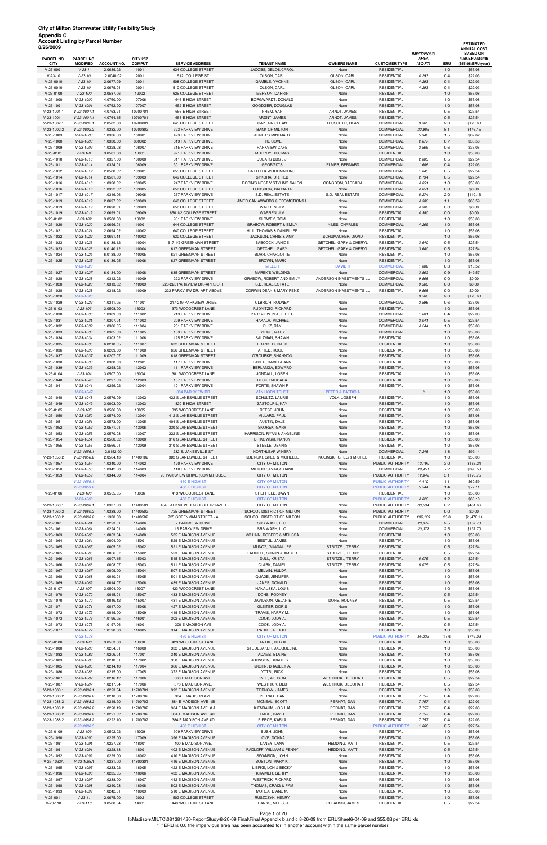| 8/26/2009                  | <b>Account Listing by Parcel Number</b> |                        |                                  |                                                     |                                                    |                                 |                                          |                                             |            | <b>ESTIMATED</b><br><b>ANNUAL COST</b>                  |
|----------------------------|-----------------------------------------|------------------------|----------------------------------|-----------------------------------------------------|----------------------------------------------------|---------------------------------|------------------------------------------|---------------------------------------------|------------|---------------------------------------------------------|
| PARCEL NO.<br><b>CITY</b>  | PARCEL NO.<br><b>MODIFIED</b>           | <b>ACCOUNT NO.</b>     | <b>CITY 257</b><br><b>COMPUT</b> | <b>SERVICE ADDRESS</b>                              | <b>TENANT NAME</b>                                 | <b>OWNERS NAME</b>              | <b>CUSTOMER TYPE</b>                     | <b>IMPERVIOUS</b><br><b>AREA</b><br>(SQ FT) | ERU        | <b>BASED ON</b><br>4.59/ERU/Month<br>(\$55.08/ERU/year) |
| $V-23-0001$                | $V-23-1$                                | 2.0689.02              | 1001                             | 624 COLLEGE STREET                                  | JACOBS, DELOS/CAROL                                | None                            | <b>RESIDENTIAL</b>                       |                                             | 1.0        | \$55.08                                                 |
| $V-23-10$                  | $V-23-10$                               | 12.0040.02             | 2001                             | 512 COLLEGE ST                                      | OLSON, CARL                                        | OLSON, CARL                     | <b>RESIDENTIAL</b>                       | 4,293                                       | 0.4        | \$22.03                                                 |
| $V-23-0010$                | $V - 23 - 10$                           | 2.0677.09              | 2001                             | 508 COLLEGE STREET                                  | GAMBLE, YVONNE                                     | OLSON, CARL                     | <b>RESIDENTIAL</b>                       | 4,293                                       | 0.4        | \$22.03                                                 |
| V-23-0010                  | $V-23-10$                               | 2.0679.04              | 2001                             | 510 COLLEGE STREET                                  | OLSON, CARL                                        | OLSON, CARL                     | <b>RESIDENTIAL</b>                       | 4,293                                       | 0.4        | \$22.03                                                 |
| $V-23-0100$                | $V-23-100$                              | 2.0587.06              | 12002                            | 625 COLLEGE STREET                                  | <b>IVERSON, DARRIN</b>                             | None                            | <b>RESIDENTIAL</b>                       |                                             | 1.0        | \$55.08                                                 |
| $V-23-1000$                | $V-23-1000$                             | 4.0760.00              | 107006                           | 646 E HIGH STREET                                   | BORGWARDT, DONALD                                  | None                            | <b>RESIDENTIAL</b>                       |                                             | 1.0        | \$55.08                                                 |
| $V-23-1001$                | $V-23-1001$                             | 4.0762.00              | 107007                           | 652 E HIGH STREET                                   | GOODGER, DOUGLAS                                   | None                            | <b>RESIDENTIAL</b>                       |                                             | 1.0        | \$55.08                                                 |
| $V-23-1001.1$              | $V-23-1001.1$                           | 4.0763.21              | 10700701                         | 656 E HIGH STREET                                   | NHEM, YAN                                          | ARNDT, JAMES                    | <b>RESIDENTIAL</b>                       |                                             | 0.5        | \$27.54                                                 |
| $V-23-1001.1$              | $V-23-1001.1$                           | 4.0764.15              | 10700701                         | 658 E HIGH STREET                                   | ARDNT, JAMES                                       | ARNDT, JAMES                    | <b>RESIDENTIAL</b>                       |                                             | 0.5        | \$27.54                                                 |
| V-23-1002.1                | $V-23-1002.1$                           | 2.0582.00              | 10700801                         | 645 COLLEGE STREET                                  | <b>CAPTAIN CLEAN</b>                               | TEUSCHER, DEAN                  | COMMERCIAL                               | 9,365                                       | 2.3        | \$126.68                                                |
| V-23-1002.2<br>$V-23-1003$ | $V-23-1002.2$<br>$V-23-1003$            | 1.0332.00<br>1.0336.00 | 10700802<br>108001               | 323 PARKVIEW DRIVE<br>423 PARKVIEW DRIVE            | <b>BANK OF MILTON</b><br><b>ARNDT'S MINI MART</b>  | None<br>None                    | <b>COMMERCIAL</b><br>COMMERCIAL          | 32,986<br>5,946                             | 8.1<br>1.5 | \$446.15<br>\$82.62                                     |
| $V-23-1008$                | $V-23-1008$                             | 1.0330.00              | 800302                           | 319 PARKVIEW DRIVE                                  | THE COVE                                           | None                            | <b>COMMERCIAL</b>                        | 2,677                                       | 0.7        | \$38.56                                                 |
| $V-23-1009$                | $V-23-1009$                             | 1.0328.03              | 108007                           | 315 PARKVIEW DRIVE                                  | PARKVIEW CAFE                                      | None                            | <b>COMMERCIAL</b>                        | 2,565                                       | 0.6        | \$33.05                                                 |
| V-23-0101                  | $V-23-101$                              | 3.0501.00              | 13001                            | 921 PARKVIEW DRIVE                                  | MURPHY, THOMAS                                     | None                            | <b>RESIDENTIAL</b>                       |                                             | 1.0        | \$55.08                                                 |
| $V-23-1010$                | $V-23-1010$                             | 1.0327.00              | 108008                           | 311 PARKVIEW DRIVE                                  | DUBATS DDS J.J.                                    | None                            | COMMERCIAL                               | 2,003                                       | 0.5        | \$27.54                                                 |
| $V-23-1011$                | $V-23-1011$                             | 1.0324.01              | 108009                           | 301 PARKVIEW DRIVE                                  | <b>GEORGIO'S</b>                                   | ELMER, BERNARD                  | <b>COMMERCIAL</b>                        | 1,606                                       | 0.4        | \$22.03                                                 |
| $V-23-1012$                | $V-23-1012$                             | 2.0580.02              | 109001                           | 655 COLLEGE STREET                                  | BAXTER & WOODMAN INC.                              | None                            | COMMERCIAL                               | 1,843                                       | 0.5        | \$27.54                                                 |
| $V-23-1014$                | $V-23-1014$                             | 2.0581.00              | 109003                           | 649 COLLEGE STREET                                  | SYKORA, DR. TED                                    | None                            | <b>COMMERCIAL</b>                        | 2,134                                       | 0.5        | \$27.54                                                 |
| $V-23-1016$                | $V-23-1016$                             | 1.0320.02              | 109005                           | 247 PARKVIEW DRIVE                                  | ROBIN'S NEST V STYLING SALON                       | CONGDON, BARBARA                | <b>COMMERCIAL</b>                        | 4,051                                       | 1.0        | \$55.08                                                 |
| $V-23-1016$                | $V-23-1016$                             | 1.0322.02              | 109005                           | 658 COLLEGE STREET                                  | CONGDON, BARBARA                                   | None                            | <b>COMMERCIAL</b>                        | 4,051                                       | 0.0        | \$0.00                                                  |
| $V-23-1017$                | $V-23-1017$                             | 1.0316.06              | 109006                           | 237 PARKVIEW DRIVE                                  | S.D. REAL ESTATE                                   | S.D. REAL ESTATE                | <b>COMMERCIAL</b>                        | 8,274                                       | 2.0        | \$110.16                                                |
| $V-23-1019$                | $V-23-1019$                             | 2.0697.02              | 109009                           | 648 COLLEGE STREET                                  | AMERICAN AWARDS & PROMOTIONS L                     | None                            | <b>COMMERCIAL</b>                        | 4,380                                       | 1.1        | \$60.59                                                 |
| $V-23-1019$                | $V-23-1019$                             | 2.0698.01              | 109009                           | 650 COLLEGE STREET                                  | WARREN, JIM                                        | None                            | COMMERCIAL                               | 4,380                                       | 0.0        | \$0.00                                                  |
| $V-23-1019$                | $V-23-1019$                             | 2.0699.01              | 109009                           | 650 1/2 COLLEGE STREET                              | WARREN, JIM                                        | None                            | <b>RESIDENTIAL</b>                       | 4,380                                       | 0.0        | \$0.00                                                  |
| $V-23-0102$                | $V-23-102$                              | 3.0500.00              | 13002                            | 931 PARKVIEW DRIVE                                  | SLOWEY, TOM                                        | None                            | <b>RESIDENTIAL</b>                       |                                             | 1.0        | \$55.08                                                 |
| V-23-1020                  | $V-23-1020$                             | 2.0696.01              | 110001                           | 644 COLLEGE STREET                                  | GRABOW, ROBERT & EMILY                             | NILES, CHARLES                  | <b>COMMERCIAL</b>                        | 4,269                                       | 1.0        | \$55.08                                                 |
| V-23-1021                  | $V-23-1021$                             | 2.0694.02              | 110002                           | 640 COLLEGE STREET                                  | HILL, THOMAS & DANIELLEE                           | None                            | <b>RESIDENTIAL</b>                       |                                             | 1.0        | \$55.08                                                 |
| V-23-1022                  | $V-23-1022$                             | 2.0691.14              | 110003                           | 630 COLLEGE STREET                                  | JACKSON, CHRIS & AMY                               | SCHUMACHER, DAVID               | <b>RESIDENTIAL</b>                       |                                             | 1.0        | \$55.08                                                 |
| $V-23-1023$                | $V-23-1023$                             | 6.0139.12              | 110004                           | 617 1/2 GREENMAN STREET                             | BABCOCK, JANICE                                    | GETCHEL, GARY & CHERYL          | <b>RESIDENTIAL</b>                       | 3.640                                       | 0.5        | \$27.54                                                 |
| V-23-1023                  | $V-23-1023$                             | 6.0140.12              | 110004                           | 617 GREENMAN STREET                                 | GETCHEL, GARY                                      | GETCHEL, GARY & CHERYL          | <b>RESIDENTIAL</b>                       | 3.640                                       | 0.5        | \$27.54                                                 |
| V-23-1024                  | $V-23-1024$                             | 6.0138.00              | 110005                           | 621 GREENMAN STREET                                 | BURR, CHARLOTTE                                    | None                            | <b>RESIDENTIAL</b>                       |                                             | 1.0        | \$55.08                                                 |
| $V-23-1025$                | $V-23-1025$                             | 6.0136.05              | 110006                           | 627 GREENMAN STREET                                 | <b>BROWN, MARK</b>                                 | None                            | <b>RESIDENTIAL</b>                       |                                             | 1.0        | \$55.08                                                 |
|                            | $V-23-1026$                             |                        |                                  |                                                     | <b>MILLER</b>                                      | <b>DAVID H</b>                  | <b>COMMERCIAL</b>                        | 1,082                                       | 0.3        | \$16.52                                                 |
| V-23-1027                  | $V-23-1027$                             | 6.0134.00              | 110008                           | 635 GREENMAN STREET                                 | <b>MAREK'S WELDING</b><br>GRABOW, ROBERT AND EMILY | None<br>ANDERSON INVESTMENTS LL | <b>COMMERCIAL</b><br>COMMERCIAL          | 3.562<br>9,568                              | 0.9        | \$49.57                                                 |
| V-23-1028<br>V-23-1028     | $V-23-1028$<br>$V-23-1028$              | 1.0312.02<br>1.0313.02 | 110009<br>110009                 | 223 PARKVIEW DRIVE<br>223-225 PARKVIEW DR.-APTS/OFF | S.D. REAL ESTATE                                   | None                            | <b>COMMERCIAL</b>                        | 9,568                                       | 0.0<br>0.0 | \$0.00<br>\$0.00                                        |
| V-23-1028                  | $V-23-1028$                             | 1.0318.02              | 110009                           | 233 PARKVIEW DR.-APT ABOVE                          | CORWIN DEAN & MARY RENZ                            | ANDERSON INVESTMENTS LL         | <b>RESIDENTIAL</b>                       | 9,568                                       | 0.0        | \$0.00                                                  |
| $V-23-1028$                | $V-23-1028$                             |                        |                                  |                                                     |                                                    |                                 |                                          | 9.568                                       | 2.3        | \$126.68                                                |
| V-23-1029                  | $V-23-1029$                             | 1.0311.05              | 111001                           | 217-219 PARKVIEW DRIVE                              | ULBRICH, RODNEY                                    | None                            | COMMERCIAL                               | 2,596                                       | 0.6        | \$33.05                                                 |
| V-23-0103                  | $V-23-103$                              | 3.0508.00              | 13003                            | 373 WOODCREST LANE                                  | RUDNITZKI, RICHARD                                 | None                            | <b>RESIDENTIAL</b>                       |                                             | 1.0        | \$55.08                                                 |
| $V-23-1030$                | $V-23-1030$                             | 1.0309.03              | 111002                           | 213 PARKVIEW DRIVE                                  | PARKVIEW PLACE L.L.C                               | None                            | <b>COMMERCIAL</b>                        | 1,601                                       | 0.4        | \$22.03                                                 |
| $V-23-1031$                | $V-23-1031$                             | 1.0307.04              | 111003                           | 209 PARKVIEW DRIVE                                  | HAKALA, MICHAEL                                    | None                            | COMMERCIAL                               | 2,041                                       | 0.5        | \$27.54                                                 |
| V-23-1032                  | $V-23-1032$                             | 1.0306.05              | 111004                           | 201 PARKVIEW DRIVE                                  | RUIZ, RAY                                          | None                            | COMMERCIAL                               | 4,244                                       | 1.0        | \$55.08                                                 |
| V-23-1033                  | $V-23-1033$                             | 1.0305.03              | 111005                           | 133 PARKVIEW DRIVE                                  | BYRNE, MARY                                        | None                            | <b>COMMERCIAL</b>                        |                                             | 1.0        | \$55.08                                                 |
| $V-23-1034$                | $V-23-1034$                             | 1.0303.02              | 111006                           | 125 PARKVIEW DRIVE                                  | SALZMAN, SHAWN                                     | None                            | <b>RESIDENTIAL</b>                       |                                             | 1.0        | \$55.08                                                 |
| $V-23-1035$                | $V-23-1035$                             | 6.0210.05              | 111007                           | 632 GREENMAN STREET                                 | FRANK, DONALD                                      | None                            | <b>RESIDENTIAL</b>                       |                                             | 1.0        | \$55.08                                                 |
| $V-23-1036$                | $V-23-1036$                             | 6.0209.00              | 111008                           | 626 GREENMAN STREET                                 | APTED, ROGER                                       | None                            | <b>RESIDENTIAL</b>                       |                                             | 1.0        | \$55.08                                                 |
| V-23-1037                  | $V-23-1037$                             | 6.0207.07              | 111009                           | 618 GREENMAN STREET                                 | O'ROURKE, SHANNON                                  | None                            | <b>RESIDENTIAL</b>                       |                                             | 1.0        | \$55.08                                                 |
| V-23-1038                  | $V-23-1038$                             | 1.0300.03              | 112001                           | 117 PARKVIEW DRIVE                                  | LADER, DAVID & ANN                                 | None                            | <b>RESIDENTIAL</b>                       |                                             | 1.0        | \$55.08                                                 |
| $V-23-1039$                | $V-23-1039$                             | 1.0298.02              | 112002                           | 111 PARKVIEW DRIVE                                  | BERLANGA, EDWARD                                   | None                            | <b>RESIDENTIAL</b>                       |                                             | 1.0        | \$55.08                                                 |
| V-23-0104                  | $V-23-104$                              | 3.0507.00              | 13004                            | 381 WOODCREST LANE                                  | JONDALL, LOREN                                     | None                            | <b>RESIDENTIAL</b>                       |                                             | 1.0        | \$55.08                                                 |
| $V-23-1040$                | $V-23-1040$                             | 1.0297.03              | 112003                           | 107 PARKVIEW DRIVE                                  | BECK, BARBARA                                      | None                            | <b>RESIDENTIAL</b>                       |                                             | 1.0        | \$55.08                                                 |
| $V-23-1041$                | $V-23-1041$                             | 1.0296.02              | 112004                           | 101 PARKVIEW DRIVE                                  | FORTE, SHAWN F                                     | None                            | <b>RESIDENTIAL</b>                       |                                             | 1.0        | \$55.08                                                 |
|                            | $V-23-1047$                             |                        |                                  | 804 PARKVIEW DR                                     | <b>VAN HORN TRUST</b>                              | <b>PETER &amp; PATRICIA</b>     |                                          | 0                                           | 1.0        | \$55.08                                                 |
| V-23-1048                  | $V-23-1048$                             | 2.0576.09              | 113002                           | 422 S JANESVILLE STREET                             | SCHULTZ, LAURIE                                    | VOLK, JOSEPH                    | <b>RESIDENTIAL</b>                       |                                             | 1.0        | \$55.08                                                 |
| V-23-1049                  | $V-23-1049$                             | 3.0003.00              | 113003                           | 820 E HIGH STREET                                   | ZASTOUPIL, KAY                                     | None                            | <b>RESIDENTIAL</b>                       |                                             | 1.0        | \$55.08                                                 |
| $V-23-0105$                | $V-23-105$                              | 3.0506.00              | 13005                            | 395 WOODCREST LANE                                  | REESE, JOHN                                        | None                            | <b>RESIDENTIAL</b>                       |                                             | 1.0        | \$55.08                                                 |
| $V-23-1050$                | $V-23-1050$                             | 2.0574.00              | 113004                           | 412 S JANESVILLE STREET                             | MILLARD, PAUL                                      | None                            | <b>RESIDENTIAL</b>                       |                                             | 1.0        | \$55.08                                                 |
| $V-23-1051$                | $V-23-1051$                             | 2.0573.00              | 113005                           | 404 S JANESVILLE STREET                             | AUSTIN, DALE                                       | None                            | <b>RESIDENTIAL</b>                       |                                             | 1.0        | \$55.08                                                 |
| V-23-1052<br>$V-23-1053$   | $V-23-1052$<br>$V-23-1053$              | 2.0571.01<br>2.0570.03 | 113006<br>113007                 | 330 S JANESVILLE STREET<br>322 S JANESVILLE STREET  | SNOREK, GARY<br>HARRISON, RYAN & ANGELINE          | None<br>None                    | <b>RESIDENTIAL</b><br><b>RESIDENTIAL</b> |                                             | 1.0<br>1.0 | \$55.08<br>\$55.08                                      |
| $V-23-1054$                | $V-23-1054$                             | 2.0568.02              | 113008                           | 316 S JANESVILLE STREET                             | <b>BRIKOWSKI, NANCY</b>                            | None                            | <b>RESIDENTIAL</b>                       |                                             | 1.0        | \$55.08                                                 |
| $V-23-1055$                | $V-23-1055$                             | 2.0566.01              | 113009                           | 310 S JANESVILLE STREET                             | STEELE, DENNIS                                     | None                            | <b>RESIDENTIAL</b>                       |                                             | 1.0        | \$55.08                                                 |
|                            | $V-23-1056.1$                           | 12.0152.00             |                                  | 232 S. JANESVILLE ST                                | NORTHLEAF WINERY                                   | None                            | COMMERCIAL                               | 7,248                                       | 1.8        | \$99.14                                                 |
| V-23-1056.2                | $V-23-1056.2$                           | 2.0564.13              | 11400102                         | 302 S JANESVILLE STREET                             | KOLINSKI, GREG & MICHELLE                          | KOLINSKI, GREG & MICHEL         | <b>RESIDENTIAL</b>                       |                                             | 1.0        | \$55.08                                                 |
| $V-23-1057$                | $V-23-1057$                             | 1.0340.00              | 114002                           | 120 PARKVIEW DRIVE                                  | <b>CITY OF MILTON</b>                              | None                            | PUBLIC AUTHORITY                         | 12,190                                      | 3.0        | \$165.24                                                |
| $V-23-1058$                | $V-23-1058$                             | 1.0342.00              | 114003                           | 110 PARKVIEW DRIVE                                  | MILTON SAVINGS BANK                                | None                            | COMMERCIAL                               | 29,451                                      | 7.2        | \$396.58                                                |
| $V-23-1059$                | $V-23-1059$                             | 1.0344.00              | 114004                           | 20 PARKVIEW DRIVE (COMM.HOUSE                       | CITY OF MILTON                                     | None                            | PUBLIC AUTHORITY                         | 12,848                                      | 3.1        | \$170.75                                                |
|                            | $V-23-1059.1$                           |                        |                                  | 430 E HIGH ST                                       | <b>CITY OF MILTON</b>                              |                                 | PUBLIC AUTHORITY                         | 4,410                                       | 1.1        | \$60.59                                                 |
|                            | $V-23-1059.2$                           |                        |                                  | 430 E HIGH ST                                       | <b>CITY OF MILTON</b>                              |                                 | <b>PUBLIC AUTHORITY</b>                  | 5,544                                       | 1.4        | \$77.11                                                 |
| $V-23-0106$                | $V-23-106$                              | 3.0505.05              | 13006                            | 413 WOODCREST LANE                                  | SHEFFIELD, DAWN                                    | None                            | <b>RESIDENTIAL</b>                       |                                             | 1.0        | \$55.08                                                 |
|                            | $V-23-1060$                             |                        |                                  | 430 E HIGH ST                                       | <b>CITY OF MILTON</b>                              |                                 | <b>PUBLIC AUTHORITY</b>                  | 4,820                                       | 1.2        | \$66.10                                                 |
| V-23-1060.1                | $V-23-1060.1$                           | 1.0337.00              | 11400501                         | 404 PARKVIEW DR-BUBBLER/GAZEB                       | CITY OF MILTON                                     | None                            | PUBLIC AUTHORITY                         | 33,534                                      | 8.2        | \$451.66                                                |
| V-23-1060.2                | $V-23-1060.2$                           | 1.0338.00              | 11400502                         | 725 GREENMAN STREET                                 | SCHOOL DISTRICT OF MILTON                          | None                            | PUBLIC AUTHORITY                         |                                             | 0.0        | \$0.00                                                  |
| V-23-1060.2                | $V-23-1060.2$                           | 1.1338.00              | 11400502                         | 725 GREENMAN STREET - A                             | SCHOOL DISTRICT OF MILTON                          | None                            | PUBLIC AUTHORITY                         | 109,169                                     | 26.8       | \$1,476.14                                              |
| $V-23-1061$                | $V-23-1061$                             | 1.0293.01              | 114006                           | 7 PARKVIEW DRIVE                                    | SRB WASH, LLC.                                     | None                            | COMMERCIAL                               | 20,378                                      | 2.5        | \$137.70                                                |
| $V-23-1061$                | $V-23-1061$                             | 1.0294.01              | 114006                           | 15 PARKVIEW DRIVE                                   | SRB WASH, LLC.                                     | None                            | COMMERCIAL                               | 20,378                                      | 2.5        | \$137.70                                                |
| $V-23-1063$                | $V-23-1063$                             | 1.0003.04              | 114008                           | 535 E MADISON AVENUE                                | MC LINN, ROBERT & MELISSA                          | None                            | <b>RESIDENTIAL</b>                       |                                             | 1.0        | \$55.08                                                 |
| $V-23-1064$                | $V-23-1064$                             | 1.0004.00              | 115001                           | 529 E MADISON AVENUE                                | BESTUL, JAMES                                      | None                            | <b>RESIDENTIAL</b>                       |                                             | 1.0        | \$55.08                                                 |
| $V-23-1065$                | $V-23-1065$                             | 1.0005.02              | 115002                           | 521 E MADISON AVENUE                                | MUNOZ, GUADALUPE                                   | STRITZEL, TERRY                 | <b>RESIDENTIAL</b>                       |                                             | 0.5        | \$27.54                                                 |
| $V-23-1065$                | $V-23-1065$                             | 1.0006.07              | 115002                           | 523 E MADISON AVENUE                                | FARRELL, SHAUN & AMBER                             | STRITZEL, TERRY                 | <b>RESIDENTIAL</b>                       |                                             | 0.5        | \$27.54                                                 |
| $V-23-1066$                | $V-23-1066$                             | 1.0007.15              | 115003                           | 515 E MADISON AVENUE                                | DULL, KRISTA                                       | STRITZEL, TERRY                 | <b>RESIDENTIAL</b>                       | 8,075                                       | 0.5        | \$27.54                                                 |
| $V-23-1066$                | $V-23-1066$                             | 1.0008.07              | 115003                           | 511 E MADISON AVENUE                                | CLARK, DANIEL                                      | STRITZEL, TERRY                 | <b>RESIDENTIAL</b>                       | 8.075                                       | 0.5        | \$27.54                                                 |
| $V-23-1067$                | $V-23-1067$                             | 1.0009.00              | 115004                           | 507 E MADISON AVENUE                                | MELVIN, HULDA                                      | None                            | <b>RESIDENTIAL</b>                       |                                             | 1.0        | \$55.08                                                 |
| $V-23-1068$                | $V-23-1068$                             | 1.0010.01              | 115005                           | 501 E MADISON AVENUE                                | QUADE, JENNIFER                                    | None                            | <b>RESIDENTIAL</b>                       |                                             | 1.0        | \$55.08                                                 |
| V-23-1069                  | $V-23-1069$                             | 1.0014.07              | 115006                           | 439 E MADISON AVENUE                                | JANES, DONALD                                      | None                            | <b>RESIDENTIAL</b>                       |                                             | 1.0        | \$55.08                                                 |
| V-23-0107                  | $V-23-107$                              | 3.0504.00              | 13007                            | 423 WOODCREST LANE                                  | HANAUSKA, LOUIS                                    | None                            | <b>RESIDENTIAL</b>                       |                                             | 1.0        | \$55.08                                                 |
| V-23-1070                  | $V-23-1070$                             | 1.0015.01              | 115007                           | 433 E MADISON AVENUE                                | DOHS, RODNEY                                       | None                            | <b>RESIDENTIAL</b>                       |                                             | 0.5        | \$27.54                                                 |
| V-23-1070                  | $V-23-1070$                             | 1.0016.12              | 115007                           | 431 E MADISON AVENUE                                | DAVIDSON, MELANIE                                  | DOHS, RODNEY                    | <b>RESIDENTIAL</b>                       |                                             | 0.5        | \$27.54                                                 |
| $V-23-1071$                | $V-23-1071$                             | 1.0017.00              | 115008                           | 427 E MADISON AVENUE                                | GLEITER, DORIS                                     | None                            | <b>RESIDENTIAL</b>                       |                                             | 1.0        | \$55.08                                                 |
| V-23-1072                  | V-23-1072                               | 1.0019.00              | 115009                           | 419 E MADISON AVENUE                                | TRAVIS, HARRY M.                                   | None                            | <b>RESIDENTIAL</b>                       |                                             | 1.0        | \$55.08                                                 |

| $V-23-1073$ | $V-23-1073$   | 1.0196.05 | 116001   | 302 E MADISON AVENUE  | COOK, JODY A.            | None                     | <b>RESIDENTIAL</b>      |        | 0.5  | \$27.54  |
|-------------|---------------|-----------|----------|-----------------------|--------------------------|--------------------------|-------------------------|--------|------|----------|
| V-23-1073   | $V-23-1073$   | 1.0197.06 | 116001   | 300 E MADISON AVE     | COOK, JODY A.            | None                     | <b>RESIDENTIAL</b>      |        | 0.5  | \$27.54  |
| V-23-1077   | $V-23-1077$   | 1.0198.00 | 116005   | 314 E MADISON AVENUE  | PARR, CARROLL            | None                     | <b>RESIDENTIAL</b>      |        | 1.0  | \$55.08  |
|             | $V-23-1078$   |           |          | 430 E HIGH ST         | <b>CITY OF MILTON</b>    |                          | <b>PUBLIC AUTHORITY</b> | 55,335 | 13.6 | \$749.09 |
| $V-23-0108$ | $V-23-108$    | 3.0503.00 | 13008    | 429 WOODCREST LANE    | HANTKE, DEBBIE           | None                     | <b>RESIDENTIAL</b>      |        | 1.0  | \$55.08  |
| $V-23-1080$ | $V-23-1080$   | 1.0204.01 | 116008   | 332 E MADISON AVENUE  | STUDEBAKER, JACQUELINE   | None                     | <b>RESIDENTIAL</b>      |        | 1.0  | \$55.08  |
| V-23-1082   | $V-23-1082$   | 1.0206.04 | 117001   | 340 E MADISON AVENUE  | ADAMS, BLAINE            | None                     | <b>RESIDENTIAL</b>      |        | 1.0  | \$55.08  |
| $V-23-1083$ | $V-23-1083$   | 1.0210.01 | 117002   | 350 E MADISON AVENUE  | JOHNSON, BRADLEY T.      | None                     | <b>RESIDENTIAL</b>      |        | 1.0  | \$55.08  |
| $V-23-1085$ | $V-23-1085$   | 1.0214.10 | 117004   | 366 E MADISON AVENUE  | KROHN, BRADLEY A.        | None                     | <b>RESIDENTIAL</b>      |        | 1.0  | \$55.08  |
| $V-23-1086$ | $V-23-1086$   | 1.0215.00 | 117005   | 372 E MADISON AVENUE  | <b>YTTRI, RICK</b>       | None                     | <b>RESIDENTIAL</b>      |        | 1.0  | \$55.08  |
| $V-23-1087$ | $V-23-1087$   | 1.0216.12 | 117006   | 380 E MADISON AVE.    | KYLE, ALLISON            | <b>WESTRICK, DEBORAH</b> | <b>RESIDENTIAL</b>      |        | 0.5  | \$27.54  |
| $V-23-1087$ | $V-23-1087$   | 1.0217.34 | 117006   | 378 E MADISON AVE.    | <b>WESTRICK, DEB</b>     | <b>WESTRICK, DEBORAH</b> | <b>RESIDENTIAL</b>      |        | 0.5  | \$27.54  |
| V-23-1088.1 | $V-23-1088.1$ | 1.0223.04 | 11700701 | 392 E MADISON AVENUE  | TORNOW, JAMES            | None                     | <b>RESIDENTIAL</b>      |        | 1.0  | \$55.08  |
| V-23-1088.2 | $V-23-1088.2$ | 1.0218.00 | 11700702 | 384 E MADISON AVE     | PERNAT, DAN              | None                     | <b>RESIDENTIAL</b>      | 7,757  | 0.4  | \$22.03  |
| V-23-1088.2 | $V-23-1088.2$ | 1.0219.20 | 11700702 | 384 E MADISON AVE #B  | MCNEAL, SCOTT            | PERNAT, DAN              | <b>RESIDENTIAL</b>      | 7,757  | 0.4  | \$22.03  |
| V-23-1088.2 | V-23-1088.2   | 1.0220.19 | 11700702 | 384 E MADISON AVE # A | KIENBAUM, JOSHUA         | PERNAT, DAN              | <b>RESIDENTIAL</b>      | 7,757  | 0.4  | \$22.03  |
| V-23-1088.2 | $V-23-1088.2$ | 1.0221.02 | 11700702 | 384 E MADISON AVE #C  | DARR, DAVID              | PERNAT, DAN              | <b>RESIDENTIAL</b>      | 7,757  | 0.4  | \$22.03  |
| V-23-1088.2 | $V-23-1088.2$ | 1.0222.10 | 11700702 | 384 E MADISON AVE #D  | PIERCE, KARLA            | PERNAT, DAN              | <b>RESIDENTIAL</b>      | 7,757  | 0.4  | \$22.03  |
|             | $V-23-1088.3$ |           |          | 430 E HIGH ST         | <b>CITY OF MILTON</b>    |                          | <b>PUBLIC AUTHORITY</b> | 1,866  | 0.5  | \$27.54  |
| V-23-0109   | $V-23-109$    | 3.0502.02 | 13009    | 909 PARKVIEW DRIVE    | BUSH, JOHN               | None                     | <b>RESIDENTIAL</b>      |        | 1.0  | \$55.08  |
| $V-23-1090$ | $V-23-1090$   | 1.0225.00 | 117009   | 396 E MADISON AVENUE  | LOVE, DONNA              | None                     | <b>RESIDENTIAL</b>      |        | 1.0  | \$55.08  |
| $V-23-1091$ | $V-23-1091$   | 1.0227.23 | 118001   | 400 E MADISON AVE.    | LANEY, LANA              | HEDDING, MATT            | <b>RESIDENTIAL</b>      |        | 0.5  | \$27.54  |
| $V-23-1091$ | $V-23-1091$   | 1.0228.18 | 118001   | 402 E MADISON AVENUE  | RADLOFF, WILLIAM & PENNY | <b>HEDDING, MATT</b>     | <b>RESIDENTIAL</b>      |        | 0.5  | \$27.54  |
| V-23-1092   | $V-23-1092$   | 1.0229.00 | 118002   | 410 E MADISON AVENUE  | SWANSON, JOHN            | None                     | <b>RESIDENTIAL</b>      |        | 1.0  | \$55.08  |
| V-23-1093A  | V-23-1093A    | 1.0231.00 | 11800301 | 416 E MADISON AVENUE  | BOSTON, MARY K.          | None                     | <b>RESIDENTIAL</b>      |        | 1.0  | \$55.08  |
| $V-23-1095$ | $V-23-1095$   | 1.0233.02 | 118005   | 422 E MADISON AVENUE  | LIEFKE, LON & BECKY      | None                     | <b>RESIDENTIAL</b>      |        | 1.0  | \$55.08  |
| $V-23-1096$ | $V-23-1096$   | 1.0235.05 | 118006   | 432 E MADISON AVENUE  | <b>KRAIMER, GERRY</b>    | None                     | <b>RESIDENTIAL</b>      |        | 1.0  | \$55.08  |
| V-23-1097   | $V-23-1097$   | 1.0238.00 | 118007   | 442 E MADISON AVENUE  | <b>WESTRICK, RICHARD</b> | None                     | <b>RESIDENTIAL</b>      |        | 1.0  | \$55.08  |
| $V-23-1098$ | $V-23-1098$   | 1.0240.03 | 118008   | 502 E MADISON AVENUE  | THOMAS, CRAIG & PAM      | None                     | <b>RESIDENTIAL</b>      |        | 1.0  | \$55.08  |
| V-23-1099   | $V-23-1099$   | 1.0242.01 | 118009   | 510 E MADISON AVENUE  | MOREA, DIANE M.          | None                     | <b>RESIDENTIAL</b>      |        | 1.0  | \$55.08  |
| $V-23-0011$ | $V-23-11$     | 2.0675.00 | 2002     | 502 COLLEGE STREET    | RUSZCZYK, HENRY          | None                     | <b>RESIDENTIAL</b>      |        | 1.0  | \$55.08  |
| $V-23-110$  | $V-23-110$    | 3.0588.04 | 14001    | 448 WOODCREST LANE    | <b>FRANKS, MELISSA</b>   | POLARSKI, JAMES          | <b>RESIDENTIAL</b>      |        | 0.5  | \$27.54  |
|             |               |           |          |                       |                          |                          |                         |        |      |          |

Page 1 of 20

I:\Madison\MILTC\081381-\30-ReportStudy\8-20-09 Final\Final Appendix b and c 8-26-09 from ERUSheet6-04-09 and \$55.08 per ERU.xls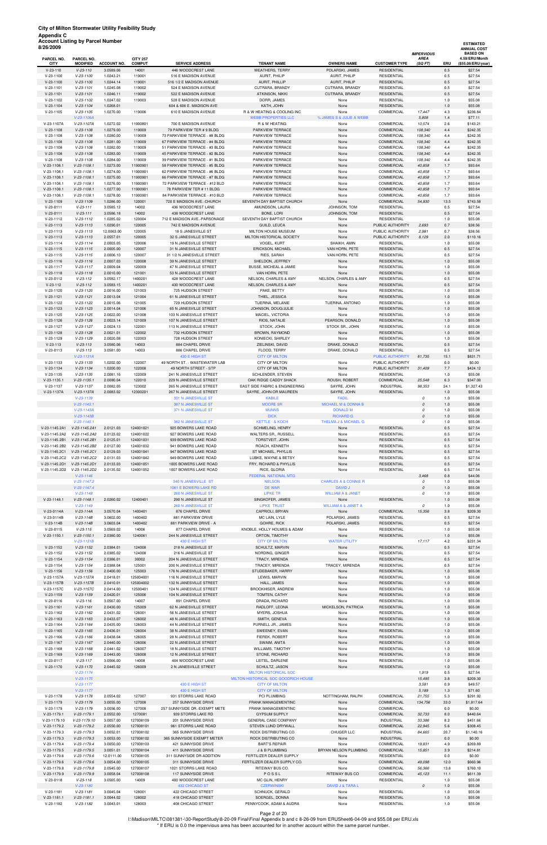| 8/26/2009                      | <b>Account Listing by Parcel Number</b> |                                |                        |                                                                |                                                               |                                                   |                                            |                                  |              | <b>ESTIMATED</b><br><b>ANNUAL COST</b> |
|--------------------------------|-----------------------------------------|--------------------------------|------------------------|----------------------------------------------------------------|---------------------------------------------------------------|---------------------------------------------------|--------------------------------------------|----------------------------------|--------------|----------------------------------------|
| PARCEL NO.                     | PARCEL NO.                              |                                | <b>CITY 257</b>        |                                                                |                                                               |                                                   |                                            | <b>IMPERVIOUS</b><br><b>AREA</b> |              | <b>BASED ON</b><br>4.59/ERU/Month      |
| <b>CITY</b><br>$V-23-110$      | <b>MODIFIED</b><br>$V-23-110$           | <b>ACCOUNT NO</b><br>3.0589.06 | <b>COMPUT</b><br>14001 | <b>SERVICE ADDRESS</b><br>446 WOODCREST LANE                   | <b>TENANT NAME</b><br><b>WEATHERS, TERRY</b>                  | <b>OWNERS NAME</b><br>POLARSKI, JAMES             | <b>CUSTOMER TYPE</b><br><b>RESIDENTIAL</b> | (SQ FT)                          | ERU<br>0.5   | (\$55.08/ERU/year)<br>\$27.54          |
| $V-23-1100$<br>$V-23-1100$     | $V-23-1100$<br>$V-23-1100$              | 1.0243.21<br>1.0244.14         | 119001<br>119001       | 516 E MADISON AVENUE<br>516 1/2 E MADISON AVENUE               | AURIT, PHILIP<br>AURIT, PHILLIP                               | AURIT, PHILIP<br>AURIT, PHILIP                    | <b>RESIDENTIAL</b><br><b>RESIDENTIAL</b>   |                                  | 0.5<br>0.5   | \$27.54<br>\$27.54                     |
| $V-23-1101$<br>$V-23-1101$     | $V-23-1101$<br>$V-23-1101$              | 1.0245.08<br>1.0246.11         | 119002<br>119002       | 524 E MADISON AVENUE<br>522 E MADISON AVENUE                   | CUTRARA, BRANDY<br><b>ATKINSON, NIKKI</b>                     | CUTRARA, BRANDY<br>CUTRARA, BRANDY                | <b>RESIDENTIAL</b><br><b>RESIDENTIAL</b>   |                                  | 0.5<br>0.5   | \$27.54<br>\$27.54                     |
| $V-23-1102$                    | $V-23-1102$                             | 1.0247.02                      | 119003                 | 528 E MADISON AVENUE                                           | DORR, JAMES                                                   | None                                              | <b>RESIDENTIAL</b>                         |                                  | 1.0          | \$55.08                                |
| $V-23-1104$<br>$V-23-1105$     | $V-23-1104$<br>$V-23-1105$              | 1.0268.01<br>1.0270.00         | 119006                 | 604 & 606 E. MADISON AVE<br>610 E MADISON AVENUE               | KATH, JOHN<br>R & W HEATING & COOLING INC                     | None<br>None                                      | <b>RESIDENTIAL</b><br>COMMERCIAL           | 17,447                           | 1.0<br>4.3   | \$55.08<br>\$236.84                    |
| V-23-1107A                     | V-23-1106A<br>V-23-1107A                | 1.0272.02                      | 11900801               | 700 E MADISON AVENUE                                           | <b>WEBB PROPERTIES LLC</b><br>R & W HEATING                   | % JAMES S & JULIE A WEBB<br>None                  | COMMERCIAL                                 | 5,808<br>10,574                  | 1.4<br>2.6   | \$77.11<br>\$143.21                    |
| $V-23-1108$                    | $V-23-1108$                             | 1.0279.00                      | 119009                 | 79 PARKVIEW TER # 9 BLDG                                       | PARKVIEW TERRACE                                              | None                                              | <b>COMMERCIAL</b>                          | 108,340                          | 4.4          | \$242.35                               |
| $V-23-1108$<br>$V-23-1108$     | $V-23-1108$<br>$V-23-1108$              | 1.0280.00<br>1.0281.00         | 119009<br>119009       | 73 PARKVIEW TERRACE - #8 BLDG<br>67 PARKVIEW TERRACE - #4 BLDG | PARKVIEW TERRACE<br>PARKVIEW TERRACE                          | None<br>None                                      | COMMERCIAL<br><b>COMMERCIAL</b>            | 108,340<br>108,340               | 4.4<br>4.4   | \$242.35<br>\$242.35                   |
| $V-23-1108$<br>$V-23-1108$     | $V-23-1108$<br>$V-23-1108$              | 1.0282.00<br>1.0283.00         | 119009<br>119009       | 51 PARKVIEW TERRACE - #3 BLDG<br>45 PARKVIEW TERRACE - #2 BLDG | PARKVIEW TERRACE<br>PARKVIEW TERRACE                          | None<br>None                                      | COMMERCIAL<br><b>COMMERCIAL</b>            | 108,340<br>108,340               | 4.4<br>4.4   | \$242.35<br>\$242.35                   |
| $V-23-1108$                    | $V-23-1108$                             | 1.0284.00                      | 119009                 | 39 PARKVIEW TERRACE - #1 BLDG                                  | PARKVIEW TERRACE                                              | None                                              | COMMERCIAL                                 | 108,340                          | 4.4          | \$242.35                               |
| V-23-1108.1<br>V-23-1108.1     | $V-23-1108.1$<br>$V-23-1108.1$          | 1.0273.00<br>1.0274.00         | 11900901<br>11900901   | 58 PARKVIEW TERRACE - #5 BLDG<br>62 PARKVIEW TERRACE - #6 BLDG | PARKVIEW TERRACE<br>PARKVIEW TERRACE                          | None<br>None                                      | <b>COMMERCIAL</b><br>COMMERCIAL            | 40,858<br>40,858                 | 1.7<br>1.7   | \$93.64<br>\$93.64                     |
| V-23-1108.1<br>V-23-1108.1     | $V-23-1108.1$<br>$V-23-1108.1$          | 1.0275.00<br>1.0276.00         | 11900901<br>11900901   | 66 PARKVIEW TERRACE - #7 BLDG<br>72 PARKVIEW TERRACE - #12 BLD | PARKVIEW TERRACE<br>PARKVIEW TERRACE                          | None<br>None                                      | <b>COMMERCIAL</b><br>COMMERCIAL            | 40,858<br>40,858                 | 1.7<br>1.7   | \$93.64<br>\$93.64                     |
| V-23-1108.1<br>$V-23-1108.1$   | $V-23-1108.1$<br>$V-23-1108.1$          | 1.0277.00<br>1.0278.00         | 11900901<br>11900901   | 78 PARKVIEW TER # 11 BLDG<br>84 PARKVIEW TERRACE - #10 BLD     | PARKVIEW TERRACE<br>PARKVIEW TERRACE                          | None<br>None                                      | <b>COMMERCIAL</b><br>COMMERCIAL            | 40,858<br>40,858                 | 1.7<br>1.7   | \$93.64<br>\$93.64                     |
| $V-23-1109$                    | $V-23-1109$                             | 1.0286.00                      | 120001                 | 720 E MADISON AVE.-CHURCH                                      | SEVENTH DAY BAPTIST CHURCH                                    | None                                              | <b>COMMERCIAL</b>                          | 54,930                           | 13.5         | \$743.58                               |
| $V-23-0111$<br>$V-23-0111$     | $V-23-111$<br>$V-23-111$                | 3.0585.12<br>3.0586.18         | 14002<br>14002         | 436 WOODCREST LANE<br>438 WOODCREST LANE                       | AMUNDSON, LAURA<br><b>BONE, LORI</b>                          | JOHNSON, TOM<br>JOHNSON, TOM                      | <b>RESIDENTIAL</b><br><b>RESIDENTIAL</b>   |                                  | 0.5<br>0.5   | \$27.54<br>\$27.54                     |
| $V-23-1112$<br>$V-23-1113$     | $V-23-1112$<br>$V-23-1113$              | 1.0285.02<br>1.0290.01         | 120004<br>120005       | 712 E MADISON AVE.-PARSONAGE<br>742 E MADISON AVENUE           | SEVENTH DAY BAPTIST CHURCH<br>GUILD, LEUCA                    | None<br>None                                      | <b>RESIDENTIAL</b><br>PUBLIC AUTHORITY     | 2,693                            | 1.0<br>0.7   | \$55.08<br>\$38.56                     |
| $V-23-1113$<br>$V-23-1113$     | $V-23-1113$<br>$V-23-1113$              | 12.0063.00                     | 120005                 | 18 S JANESVILLE ST<br>32 S JANESVILLE STREET                   | MILTON HOUSE MUSEUM<br>MILTON HISTORICAL SOCIETY              | None<br>None                                      | PUBLIC AUTHORITY<br>PUBLIC AUTHORITY       | 2,981<br>8.129                   | 0.7<br>2.0   | \$38.56                                |
| $V-23-1114$                    | $V-23-1114$                             | 2.0557.01<br>2.0003.05         | 120005<br>120006       | 19 N JANESVILLE STREET                                         | <b>VOGEL, KURT</b>                                            | SHAIKH, AMIN                                      | <b>RESIDENTIAL</b>                         |                                  | 1.0          | \$110.16<br>\$55.08                    |
| $V-23-1115$<br>$V-23-1115$     | $V-23-1115$<br>$V-23-1115$              | 2.0005.00<br>2.0006.10         | 120007<br>120007       | 31 N JANESVILLE STREET<br>31 1/2 N JANESVILLE STREET           | <b>ERICKSON, MICHAEL</b><br>RIES, SARAH                       | VAN HORN, PETE<br>VAN HORN, PETE                  | <b>RESIDENTIAL</b><br><b>RESIDENTIAL</b>   |                                  | 0.5<br>0.5   | \$27.54<br>\$27.54                     |
| $V-23-1116$<br>$V-23-1117$     | $V-23-1116$<br>$V-23-1117$              | 2.0007.03<br>2.0009.04         | 120008<br>120009       | 39 N JANESVILLE STREET<br>47 N JANESVILLE STREET               | SHELDON, JEFFREY<br>BUSSE, MICHEAL & JAMIE                    | None<br>None                                      | <b>RESIDENTIAL</b><br><b>RESIDENTIAL</b>   |                                  | 1.0<br>1.0   | \$55.08<br>\$55.08                     |
| $V-23-1118$                    | $V-23-1118$                             | 2.0010.00                      | 121001                 | 53 N JANESVILLE STREET                                         | VAN HORN, PETE                                                | None                                              | <b>RESIDENTIAL</b>                         |                                  | 1.0          | \$55.08                                |
| V-23-0112<br>$V-23-112$        | $V-23-112$<br>$V-23-112$                | 3.0582.17<br>3.0583.15         | 1400201<br>1400201     | 428 WOODCREST LANE<br>430 WOODCREST LANE                       | NELSON, CHARLES & AMY<br>NELSON, CHARLES & AMY                | NELSON, CHARLES & AMY<br>None                     | <b>RESIDENTIAL</b><br><b>RESIDENTIAL</b>   |                                  | 0.5<br>0.5   | \$27.54<br>\$27.54                     |
| $V-23-1120$<br>$V-23-1121$     | $V-23-1120$<br>$V-23-1121$              | 2.0016.00<br>2.0013.04         | 121003<br>121004       | 725 HUDSON STREET<br>61 N JANESVILLE STREET                    | PAKE, BETTY<br>THIEL, JESSICA                                 | None<br>None                                      | <b>RESIDENTIAL</b><br><b>RESIDENTIAL</b>   |                                  | 1.0<br>1.0   | \$55.08<br>\$55.08                     |
| V-23-1122                      | $V-23-1122$                             | 2.0015.06                      | 121005                 | 729 HUDSON STREET                                              | TIJERINA, MELANIE                                             | TIJERINA, ANTONIO                                 | <b>RESIDENTIAL</b>                         |                                  | 1.0          | \$55.08                                |
| $V-23-1123$<br>$V-23-1125$     | $V-23-1123$<br>$V-23-1125$              | 2.0014.04<br>2.0022.00         | 121006<br>121008       | 65 N JANESVILLE STREET<br>103 N JANESVILLE STREET              | JOHNSON, DOUG/JULIE<br>MACIEL, VICTORIA                       | None<br>None                                      | <b>RESIDENTIAL</b><br><b>RESIDENTIAL</b>   |                                  | 1.0<br>1.0   | \$55.08<br>\$55.08                     |
| $V-23-1126$<br>V-23-1127       | $V-23-1126$<br>$V-23-1127$              | 2.0023.14<br>2.0024.13         | 121009<br>122001       | 107 N JANESVILLE STREET<br>113 N JANESVILLE STREET             | RIOS, NATALIE<br>STOCK, JOHN                                  | PEARSON, DONALD<br>STOCK SR., JOHN                | <b>RESIDENTIAL</b><br><b>RESIDENTIAL</b>   |                                  | 1.0<br>1.0   | \$55.08<br>\$55.08                     |
| $V-23-1128$                    | $V-23-1128$                             | 2.0021.01                      | 122002                 | 732 HUDSON STREET                                              | BROWN, RAYMOND                                                | None                                              | <b>RESIDENTIAL</b>                         |                                  | 1.0          | \$55.08                                |
| V-23-1129<br>$V-23-113$        | $V-23-1129$<br>$V-23-113$               | 2.0020.08<br>3.0580.06         | 122003<br>14003        | 728 HUDSON STREET<br>884 CHAPEL DRIVE                          | KONIECKI, SHIRLEY<br>ZIELINSKI, DAVID                         | None<br>DRAKE, DONALD                             | <b>RESIDENTIAL</b><br><b>RESIDENTIAL</b>   |                                  | 1.0<br>0.5   | \$55.08<br>\$27.54                     |
| $V-23-0113$                    | V-23-113<br>$V-23-1131A$                | 3.0581.00                      | 14003                  | 886 CHAPEL DRIVE<br>430 E HIGH ST                              | FLOOD, TERRY<br><b>CITY OF MILTON</b>                         | DRAKE, DONALD                                     | RESIDENTIAL<br>PUBLIC AUTHORITY            | 61,735                           | 0.5<br>15.1  | \$27.54<br>\$831.71                    |
| $V-23-1133$<br>$V-23-1134$     | $V-23-1133$<br>$V-23-1134$              | 1.0202.00<br>1.0200.00         | 122007<br>122008       | 49 NORTH ST. - WASTEWATER LAB<br>49 NORTH STREET - STP         | <b>CITY OF MILTON</b><br><b>CITY OF MILTON</b>                | None<br>None                                      | PUBLIC AUTHORITY<br>PUBLIC AUTHORITY       | 31,409                           | 0.0<br>7.7   | \$0.00<br>\$424.12                     |
| $V-23-1135$                    | $V-23-1135$                             | 2.0081.16                      | 122009                 | 241 N JANESVILLE STREET                                        | SCHLENDER, STEVEN                                             | None                                              | <b>RESIDENTIAL</b>                         |                                  | 1.0          | \$55.08                                |
| $V-23-1135.1$<br>$V-23-1137$   | $V-23-1135.1$<br>$V-23-1137$            | 2.0080.04<br>2.0082.05         | 122010<br>123002       | 229 N JANESVILLE STREET<br>265 N JANESVILLE STREET             | OAK RIDGE CADDY SHACK<br>EAST SIDE FABRIC & ENGINEERING       | ROUSH, ROBERT<br>SAYRE, JOHN                      | <b>COMMERCIAL</b><br><b>INDUSTRIAL</b>     | 25,548<br>98,353                 | 6.3<br>24.1  | \$347.00<br>\$1,327.43                 |
| V-23-1137A                     | V-23-1137A<br>$V-23-1139$               | 2.0083.02                      | 12300201               | 267 N JANESVILLE STREET<br>331 N JANESVILLE ST                 | SAYRE, JOHN OR MAUREEN<br><b>KABILE</b>                       | SAYRE, JOHN<br><b>FADIL</b>                       | <b>RESIDENTIAL</b>                         | $\cal O$                         | 1.0<br>1.0   | \$55.08<br>\$55.08                     |
|                                | $V-23-1143.1$                           |                                |                        | 387 N JANESVILLE ST                                            | <b>MOORE SR</b>                                               | MICHAEL M & DONNA B                               |                                            | $\mathcal{O}$                    | 1.0          | \$55.08                                |
|                                | V-23-1143A<br>$V-23-1143B$              |                                |                        | 371 N JANESVILLE ST                                            | <b>MUNNS</b><br><b>DICK</b>                                   | <b>DONALD M</b><br><b>RICHARD G</b>               |                                            | 0<br>$\mathcal{O}$               | 1.0<br>1.0   | \$55.08<br>\$55.08                     |
| V-23-1145.2A1                  | $V-23-1145.1$<br>V-23-1145.2A1          | 2.0121.03                      | 124001021              | 382 N JANESVILLE ST<br>925 BOWERS LAKE ROAD                    | KETTLE & KOCH<br>SCHMELING, HENRY                             | THELMA J & MICHAEL G<br>None                      | <b>RESIDENTIAL</b>                         | 0                                | 1.0<br>0.5   | \$55.08<br>\$27.54                     |
| V-23-1145.2A2<br>V-23-1145.2B1 | V-23-1145.2A2<br>V-23-1145.2B1          | 2.0123.02<br>2.0125.01         | 124001022<br>124001031 | 927 BOWERS LAKE ROAD<br>939 BOWERS LAKE ROAD                   | WALTERS SR., RUSSELL<br>TORSTVEIT, JOHN                       | None<br>None                                      | <b>RESIDENTIAL</b><br><b>RESIDENTIAL</b>   |                                  | 0.5<br>0.5   | \$27.54<br>\$27.54                     |
| V-23-1145.2B2                  | V-23-1145.2B2                           | 2.0127.00                      | 124001032              | 941 BOWERS LAKE ROAD                                           | ROACH, KENNETH                                                | None                                              | <b>RESIDENTIAL</b>                         |                                  | 0.5          | \$27.54                                |
| V-23-1145.2C1<br>V-23-1145.2C2 | V-23-1145.2C1<br>V-23-1145.2C2          | 2.0129.03<br>2.0131.03         | 124001041<br>124001042 | 947 BOWERS LAKE ROAD<br>949 BOWERS LAKE ROAD                   | ST MICHAEL, PHYLLIS<br>LUBKE, WAYNE & BETSY                   | None<br>None                                      | <b>RESIDENTIAL</b><br><b>RESIDENTIAL</b>   |                                  | 0.5<br>0.5   | \$27.54<br>\$27.54                     |
| V-23-1145.2D1<br>V-23-1145.2D2 | V-23-1145.2D1<br>V-23-1145.2D2          | 2.0133.03<br>2.0135.02         | 124001051<br>124001052 | 1005 BOWERS LAKE ROAD<br>1007 BOWERS LAKE ROAD                 | FRY, RICHARD & PHYLLIS<br>RICE, GLORIA                        | None<br>None                                      | <b>RESIDENTIAL</b><br><b>RESIDENTIAL</b>   |                                  | 0.5<br>0.5   | \$27.54<br>\$27.54                     |
|                                | $V-23-1146$                             |                                |                        |                                                                | FEDERAL NATIONAL MTG                                          |                                                   |                                            | 3,468                            | 0.8          | \$44.06                                |
|                                | $V-23-1147.2$<br>$V-23-1147.4$          |                                |                        | 340 N JANESVILLE ST<br>1061 E BOWERS LAKE RD                   | <b>NELSON</b><br><b>DE WAR</b>                                | <b>CHARLES A &amp; CONNIE R</b><br><b>DAVID J</b> |                                            | 0<br>$\mathcal{O}$               | 1.0<br>1.0   | \$55.08<br>\$55.08                     |
| $V-23-1148.1$                  | $V-23-1148$<br>$V-23-1148.1$            | 2.0260.02                      | 12400401               | 260 N JANESVILLE ST<br>290 N JANESVILLE ST                     | <b>LIPKE TR</b><br>SINGKOFER, JAMES                           | <b>WILLIAM A &amp; JANET</b><br>None              | <b>RESIDENTIAL</b>                         | $\cal O$                         | 1.0<br>1.0   | \$55.08<br>\$55.08                     |
| V-23-0114A                     | $V-23-1149$<br>$V-23-114A$              | 3.0570.04                      | 1400401                | 260 N JANESVILLE ST<br>876 CHAPEL DRIVE                        | <b>LIPKE TRUST</b><br>CAPRIOLI, BRYAN                         | <b>WILLIAM A &amp; JANET A</b><br>None            | <b>COMMERCIAL</b>                          | $\cal O$<br>15,356               | 1.0<br>3.8   | \$55.08<br>\$209.30                    |
| V-23-0114B                     | $V-23-114B$                             | 3.0602.00                      | 1400402                | 881 PARKVIEW DRIVE                                             | MC LAIN, LYLE                                                 | POLARSKI, JAMES                                   | <b>RESIDENTIAL</b>                         |                                  | 0.5          | \$27.54                                |
| $V-23-114B$<br>$V-23-0115$     | $V-23-114B$<br>$V-23-115$               | 3.0603.04<br>3.0569.02         | 1400402<br>14006       | 881 PARKVIEW DRIVE - A<br>877 CHAPEL DRIVE                     | GOHRE, RICK<br>KNOBLE, HOLLY HOLMES & ADAM                    | POLARSKI, JAMES<br>None                           | <b>RESIDENTIAL</b><br><b>RESIDENTIAL</b>   |                                  | 0.5<br>1.0   | \$27.54<br>\$55.08                     |
| $V-23-1150.1$                  | $V-23-1150.1$<br>$V-23-1151B$           | 2.0380.00                      | 1240061                | 244 N JANESVILLE STREET<br>430 E HIGH ST                       | ORTON, TIMOTHY<br><b>CITY OF MILTON</b>                       | None<br><b>WATER UTILITY</b>                      | <b>RESIDENTIAL</b>                         | 17,117                           | 1.0<br>4.2   | \$55.08<br>\$231.34                    |
| $V-23-1152$<br>$V-23-1152$     | $V-23-1152$<br>$V-23-1152$              | 2.0384.01<br>2.0385.02         | 124008<br>124008       | 218 N JANESVILLE ST<br>216 N JANESVILLE ST                     | SCHULTZ, MARVIN<br>NORDING, GINGER                            | None<br>None                                      | <b>RESIDENTIAL</b><br><b>RESIDENTIAL</b>   |                                  | 0.5<br>0.5   | \$27.54<br>\$27.54                     |
| $V-23-1154$                    | $V-23-1154$                             | 2.0386.01                      | 30002                  | 204 N JANESVILLE STREET                                        | TRACY, MIRENDA                                                | None                                              | <b>RESIDENTIAL</b>                         |                                  | 0.5          | \$27.54                                |
| $V-23-1154$<br>$V-23-1156$     | $V-23-1154$<br>$V-23-1156$              | 2.0388.04<br>2.0400.00         | 125001<br>125003       | 200 N JANESVILLE STREET<br>176 N JANESVILLE STREET             | TRACEY, MIRENDA<br>STUDEBAKER, HARRY                          | TRACEY, MIRENDA<br>None                           | <b>RESIDENTIAL</b><br><b>RESIDENTIAL</b>   |                                  | 0.5<br>1.0   | \$27.54<br>\$55.08                     |
| V-23-1157A<br>V-23-1157B       | V-23-1157A<br>$V-23-1157B$              | 2.0418.01<br>2.0410.01         | 125004001<br>125004002 | 116 N JANESVILLE STREET<br>132 N JANESVILLE STREET             | LEWIS, MARVIN<br>HALL, JAMES                                  | None<br>None                                      | <b>RESIDENTIAL</b><br><b>RESIDENTIAL</b>   |                                  | 1.0<br>1.0   | \$55.08<br>\$55.08                     |
| V-23-1157C<br>$V-23-1159$      | $V-23-1157C$<br>$V-23-1159$             | 2.0414.00<br>2.0420.01         | 12500401<br>125006     | 124 N JANESVILLE STREET<br>104 N JANESVILLE STREET             | BROOKHISER, ANDREW<br>TOMTEN, CATHY                           | None<br>None                                      | <b>RESIDENTIAL</b><br><b>RESIDENTIAL</b>   |                                  | 1.0<br>1.0   | \$55.08<br>\$55.08                     |
| $V-23-0116$                    | $V-23-116$                              | 3.0567.00                      | 14007                  | 891 CHAPEL DRIVE                                               | DRADA, RICHARD                                                | None                                              | <b>RESIDENTIAL</b>                         |                                  | 1.0          | \$55.08                                |
| $V-23-1161$<br>V-23-1162       | $V-23-1161$<br>$V-23-1162$              | 2.0430.00<br>2.0431.02         | 125009<br>126001       | 62 N JANESVILLE STREET<br>56 N JANESVILLE STREET               | RADLOFF, LEONA<br>MYERS, JOSHUA                               | MICKELSON, PATRICIA<br>None                       | <b>RESIDENTIAL</b><br><b>RESIDENTIAL</b>   |                                  | 1.0<br>1.0   | \$55.08<br>\$55.08                     |
| $V-23-1163$<br>$V-23-1164$     | $V-23-1163$<br>$V-23-1164$              | 2.0433.07<br>2.0435.00         | 126002<br>126003       | 48 N JANESVILLE STREET<br>44 N JANESVILLE STREET               | SMITH, GENEVA<br>PURNELL JR., JAMES                           | None<br>None                                      | <b>RESIDENTIAL</b><br><b>RESIDENTIAL</b>   |                                  | 1.0<br>1.0   | \$55.08<br>\$55.08                     |
| $V-23-1165$                    | $V-23-1165$                             | 2.0436.01                      | 126004                 | 38 N JANESVILLE STREET                                         | SWEENEY, EVAN                                                 | None                                              | <b>RESIDENTIAL</b>                         |                                  | 1.0          | \$55.08                                |
| $V-23-1166$<br>$V-23-1167$     | $V-23-1166$<br>$V-23-1167$              | 2.0438.04<br>2.0440.00         | 126005<br>126006       | 28 N JANESVILLE STREET<br>22 N JANESVILLE STREET               | FIEREK, ROBERT<br>SWAIM, ANITA                                | None<br>None                                      | <b>RESIDENTIAL</b><br><b>RESIDENTIAL</b>   |                                  | 1.0<br>1.0   | \$55.08<br>\$55.08                     |
| $V-23-1168$<br>$V-23-1169$     | $V-23-1168$<br>$V-23-1169$              | 2.0441.02<br>2.0443.00         | 126007<br>126008       | 18 N JANESVILLE STREET<br>12 N JANESVILLE STREET               | WILLIAMS, TIMOTHY<br>STONE, RICHARD                           | None<br>None                                      | <b>RESIDENTIAL</b><br><b>RESIDENTIAL</b>   |                                  | 1.0<br>1.0   | \$55.08<br>\$55.08                     |
| V-23-0117                      | $V-23-117$                              | 3.0566.00                      | 14008                  | 404 WOODCREST LANE                                             | LEITEL, DARLENE<br>SCHULTZ, JASON                             | None                                              | RESIDENTIAL                                |                                  | 1.0          | \$55.08                                |
| $V-23-1170$                    | $V-23-1170$<br>$V-23-1174$              | 2.0445.02                      | 126009                 | 2 N JANESVILLE STREET                                          | MILTON HISTORICAL SOC                                         | None                                              | <b>RESIDENTIAL</b>                         | 1,919                            | 1.0<br>0.5   | \$55.08<br>\$27.54                     |
|                                | $V-23-1175$<br>$V-23-1177$              |                                |                        | 430 E HIGH ST                                                  | MILTON HISTORICAL SOC GOODRICH HOUSE<br><b>CITY OF MILTON</b> |                                                   |                                            | 15,495<br>3,581                  | 3.8<br>0.9   | \$209.30<br>\$49.57                    |
| $V-23-1178$                    | $V-23-1177$<br>$V-23-1178$              | 2.0554.02                      | 127007                 | 430 E HIGH ST<br>931 STORRS LAKE ROAD                          | <b>CITY OF MILTON</b><br>PCI PLUMBING                         | NOTTINGHAM, RALPH                                 | COMMERCIAL                                 | 5,189<br>21,755                  | 1.3<br>5.3   | \$71.60<br>\$291.92                    |
| $V-23-1179$                    | $V-23-1179$                             | 3.0055.00                      | 127008                 | 257 SUNNYSIDE DRIVE                                            | FRANK MANAGEMENTINC                                           | None                                              | <b>COMMERCIAL</b>                          | 134,756                          | 33.0         | \$1,817.64                             |
| V-23-1179<br>V-23-1179.1       | $V-23-1179$<br>$V-23-1179.1$            | 3.0056.00<br>2.0552.00         | 127008<br>1270081      | 257 SUNNYSIDE DR.-EXEMPT METE<br>939 STORRS LAKE RD            | FRANK MANAGEMENTINC<br><b>GYPSUM SUPPLY</b>                   | None<br>None                                      | COMMERCIAL<br><b>COMMERCIAL</b>            | 32,733                           | 0.0<br>8.0   | \$0.00<br>\$440.64                     |
| V-23-1179.10<br>V-23-1179.2    | V-23-1179.10<br>$V-23-1179.2$           | 3.0057.00<br>2.0550.00         | 127008109<br>127008101 | 201 SUNNYSIDE DRIVE<br>961 STORRS LAKE ROAD                    | GENERAL CASE COMPANY<br>STEVEN LUND DRYWALL                   | None<br>None                                      | <b>INDUSTRIAL</b><br><b>COMMERCIAL</b>     | 33,386<br>22,945                 | 8.2<br>5.6   | \$451.66<br>\$308.45                   |
| V-23-1179.3                    | $V-23-1179.3$                           | 3.0052.01                      | 127008102              | 365 SUNNYSIDE DRIVE                                            | ROCK DISTRIBUTING CO                                          | CHUGER LLC                                        | <b>INDUSTRIAL</b>                          | 84,665                           | 20.7         | \$1,140.16                             |
| V-23-1179.3<br>V-23-1179.4     | $V-23-1179.3$<br>$V-23-1179.4$          | 3.0053.00<br>3.0050.00         | 127008102<br>127008103 | 365 SUNNYSIDE EXEMPT METER<br>421 SUNNYSIDE DRIVE              | ROCK DISTRIBUTING CO<br><b>BART'S REPAIR</b>                  | None<br>None                                      | <b>INDUSTRIAL</b><br>COMMERCIAL            | 19,831                           | 0.0<br>4.9   | \$0.00<br>\$269.89                     |
| V-23-1179.5<br>V-23-1179.6     | $V-23-1179.5$<br>$V-23-1179.6$          | 3.0051.01<br>12.0111.00        | 127008104<br>127008105 | 411 SUNNYSIDE DRIVE<br>311 SUNNYSIDE DR-ADDITION               | J & B PLUMBING<br>FERTILIZER DEALER SUPPLY                    | BRYAN NELSON PLUMBING<br>None                     | COMMERCIAL<br><b>RESIDENTIAL</b>           | 15,851                           | 3.9<br>0.0   | \$214.81<br>\$0.00                     |
| V-23-1179.6<br>V-23-1179.8     | $V-23-1179.6$<br>$V-23-1179.8$          | 3.0054.00<br>2.0545.00         | 127008105<br>127008107 | 311 SUNNYSIDE DRIVE<br>1021 STORRS LAKE ROAD                   | FERTILIZER DEALER SUPPLY CO.<br>RITEWAY BUS CO.               | None<br>None                                      | <b>COMMERCIAL</b><br>COMMERCIAL            | 49,098<br>56,366                 | 12.0<br>13.8 | \$660.96<br>\$760.10                   |
| V-23-1179.9                    | $V-23-1179.9$                           | 3.0058.04                      | 127008108              | 117 SUNNYSIDE DRIVE                                            | POSSL                                                         | RITEWAY BUS CO                                    | <b>COMMERCIAL</b>                          | 45,123                           | 11.1         | \$611.39                               |
| $V-23-0118$                    | $V-23-118$<br>$V-23-1180$               | 3.0565.00                      | 14009                  | 400 WOODCREST LANE<br><b>432 CHICAGO ST</b>                    | MC GLIN, HENRY<br><b>CZERWINSKI</b>                           | None<br>DAVID J & TARA L                          | <b>RESIDENTIAL</b>                         | 0                                | 1.0<br>1.0   | \$55.08<br>\$55.08                     |
| $V-23-1181$<br>V-23-1181.1     | $V-23-1181$<br>$V-23-1181.1$            | 3.0045.04<br>3.0044.02         | 128001<br>128002       | 422 CHICAGO STREET<br>418 CHICAGO STREET                       | SCHNUCK, GERALD<br>SOERGEL, DONNA                             | None<br>None                                      | <b>RESIDENTIAL</b><br><b>RESIDENTIAL</b>   |                                  | 1.0<br>1.0   | \$55.08<br>\$55.08                     |
| V-23-1182                      | $V-23-1182$                             | 3.0043.01                      | 128003                 | 408 CHICAGO STREET                                             | PENNYCOOK, ADAM & AUDRA                                       | None                                              | <b>RESIDENTIAL</b>                         |                                  | 1.0          | \$55.08                                |

Page 2 of 20

I:\Madison\MILTC\081381-\30-ReportStudy\8-20-09 Final\Final Appendix b and c 8-26-09 from ERUSheet6-04-09 and \$55.08 per ERU.xls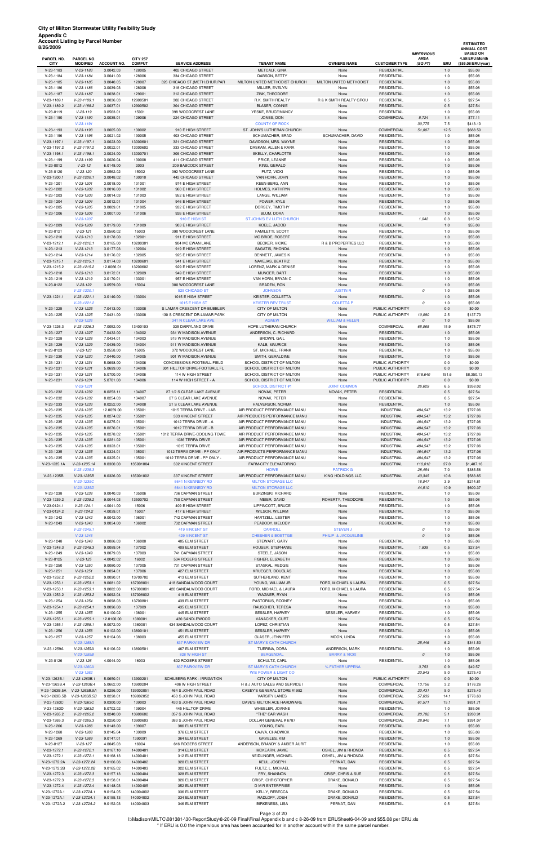| 8/26/2009                  |                               |                        |                                  |                                                   |                                                              |                             |                                          |                                            |              | <b>ESTIMATED</b><br><b>ANNUAL COST</b>                  |
|----------------------------|-------------------------------|------------------------|----------------------------------|---------------------------------------------------|--------------------------------------------------------------|-----------------------------|------------------------------------------|--------------------------------------------|--------------|---------------------------------------------------------|
| PARCEL NO.                 | PARCEL NO.<br><b>MODIFIED</b> | <b>ACCOUNT NO.</b>     | <b>CITY 257</b><br><b>COMPUT</b> | <b>SERVICE ADDRESS</b>                            | <b>TENANT NAME</b>                                           | <b>OWNERS NAME</b>          | <b>CUSTOMER TYPE</b>                     | <b>IMPERVIOUS</b><br><b>AREA</b><br>(SQFT) | ERU          | <b>BASED ON</b><br>4.59/ERU/Month<br>(\$55.08/ERU/year) |
| <b>CITY</b><br>$V-23-1183$ | $V-23-1183$                   | 3.0042.03              | 128005                           | 402 CHICAGO STREET                                | METCALF, GINA                                                | None                        | <b>RESIDENTIAL</b>                       |                                            | 1.0          | \$55.08                                                 |
| $V-23-1184$                | $V-23-1184$                   | 3.0041.00              | 128006                           | 334 CHICAGO STREET                                | DABSON, BETTY                                                | None                        | <b>RESIDENTIAL</b>                       |                                            | 1.0          | \$55.08                                                 |
| $V-23-1185$                | $V-23-1185$                   | 3.0040.05              | 128007                           | 326 CHICAGO ST.(METH.CHUR.PAR                     | MILTON UNITED METHODIST CHURCH                               | MILTON UNITED METHODIST     | <b>RESIDENTIAL</b>                       |                                            | 1.0          | \$55.08                                                 |
| $V-23-1186$                | $V-23-1186$                   | 3.0039.03              | 128008                           | 318 CHICAGO STREET                                | MILLER. EVELYN                                               | None                        | <b>RESIDENTIAL</b>                       |                                            | 1.0          | \$55.08                                                 |
| $V-23-1187$                | $V-23-1187$                   | 3.0038.01              | 129001                           | 312 CHICAGO STREET                                | ZINK, THEODORE                                               | None                        | <b>RESIDENTIAL</b>                       |                                            | 1.0          | \$55.08                                                 |
| V-23-1189.1                | $V-23-1189.1$                 | 3.0036.03              | 12900501                         | 302 CHICAGO STREET                                | R.K. SMITH REALTY                                            | R & K SMITH REALTY GROU     | <b>RESIDENTIAL</b>                       |                                            | 0.5          | \$27.54                                                 |
| V-23-1189.2                | $V-23-1189.2$                 | 3.0037.01              | 12900502                         | 304 CHICAGO STREET                                | <b>BLASER, CONNIE</b>                                        | None                        | <b>RESIDENTIAL</b>                       |                                            | 0.5          | \$27.54                                                 |
| $V-23-0119$                | $V-23-119$                    | 3.0563.01              | 15001                            | 398 WOODCREST LANE                                | YESKE, BRUCE/NANCY                                           | None                        | <b>RESIDENTIAL</b>                       |                                            | 1.0          | \$55.08                                                 |
| $V-23-1190$                | $V-23-1190$<br>$V-23-1191$    | 3.0035.01              | 129006                           | 224 CHICAGO STREET                                | JONES, DON<br><b>COUNTY OF ROCK</b>                          | None                        | <b>COMMERCIAL</b>                        | 5,724<br>30,775                            | 1.4<br>7.5   | \$77.11<br>\$413.10                                     |
| V-23-1193                  | $V-23-1193$                   | 3.0005.00              | 130002                           | 910 E HIGH STREET                                 | ST. JOHN'S LUTHERAN CHURCH                                   | None                        | <b>COMMERCIAL</b>                        | 51,007                                     | 12.5         | \$688.50                                                |
| $V-23-1196$                | $V-23-1196$                   | 3.0021.02              | 130005                           | 403 CHICAGO STREET                                | SCHUMACHER, BRAD                                             | SCHUMACHER, DAVID           | <b>RESIDENTIAL</b>                       |                                            | 1.0          | \$55.08                                                 |
| V-23-1197.1                | $V-23-1197.1$                 | 3.0023.00              | 13000601                         | 321 CHICAGO STREET                                | DAVIDSON, MRS. WAYNE                                         | None                        | <b>RESIDENTIAL</b>                       |                                            | 1.0          | \$55.08                                                 |
| V-23-1197.2                | V-23-1197.2                   | 3.0022.01              | 13000602                         | 333 CHICAGO STREET                                | DASKAM, ALLEN & KARA                                         | None                        | <b>RESIDENTIAL</b>                       |                                            | 1.0          | \$55.08                                                 |
| V-23-1198.1                | $V-23-1198.1$                 | 3.0024.00              | 13000701                         | 309 CHICAGO STREET                                | SKELLY, CHARLOTTE                                            | None                        | <b>RESIDENTIAL</b>                       |                                            | 1.0          | \$55.08                                                 |
| $V-23-1199$                | $V-23-1199$                   | 3.0020.04              | 130008                           | 411 CHICAGO STREET                                | PRICE, LEANNE                                                | None                        | <b>RESIDENTIAL</b>                       |                                            | 1.0          | \$55.08                                                 |
| $V-23-0012$                | $V-23-12$<br>$V-23-120$       | 6.0148.00              | 2003                             | 209 BABCOCK STREET                                | KING, GERALD<br>PUTZ, VICKI                                  | None                        | RESIDENTIAL<br><b>RESIDENTIAL</b>        |                                            | 1.0          | \$55.08                                                 |
| V-23-0120<br>V-23-1200.1   | $V-23-1200.1$                 | 3.0562.02<br>3.0048.02 | 15002<br>130010                  | 392 WOODCREST LANE<br>442 CHICAGO STREET          | VAN HORN, JOHN                                               | None<br>None                | <b>RESIDENTIAL</b>                       |                                            | 1.0<br>1.0   | \$55.08<br>\$55.08                                      |
| V-23-1201                  | $V-23-1201$                   | 3.0018.00              | 131001                           | 974 E HIGH STREET                                 | KEEN-BERG, ANN                                               | None                        | <b>RESIDENTIAL</b>                       |                                            | 1.0          | \$55.08                                                 |
| V-23-1202                  | $V-23-1202$                   | 3.0016.00              | 131002                           | 960 E HIGH STREET                                 | HOLMES, KATHRYN                                              | None                        | <b>RESIDENTIAL</b>                       |                                            | 1.0          | \$55.08                                                 |
| $V-23-1203$                | $V-23-1203$                   | 3.0014.03              | 131003                           | 952 E HIGH STREET                                 | LANGE, WILLIAM                                               | None                        | <b>RESIDENTIAL</b>                       |                                            | 1.0          | \$55.08                                                 |
| $V-23-1204$                | $V-23-1204$                   | 3.0012.01              | 131004                           | 946 E HIGH STREET                                 | POWER, KYLE                                                  | None                        | <b>RESIDENTIAL</b>                       |                                            | 1.0          | \$55.08                                                 |
| $V-23-1205$                | $V-23-1205$                   | 3.0009.01              | 131005                           | 932 E HIGH STREET                                 | DORSEY, TIMOTHY                                              | None                        | <b>RESIDENTIAL</b>                       |                                            | 1.0          | \$55.08                                                 |
| V-23-1206                  | $V-23-1206$                   | 3.0007.00              | 131006                           | 926 E HIGH STREET                                 | BLUM, DORA                                                   | None                        | <b>RESIDENTIAL</b>                       |                                            | 1.0          | \$55.08                                                 |
|                            | $V-23-1207$                   |                        |                                  | 910 E HIGH ST                                     | <b>ST JOHN'S EV LUTH CHURCH</b>                              |                             |                                          | 1,042                                      | 0.3          | \$16.52                                                 |
| V-23-1209<br>V-23-0121     | $V-23-1209$<br>$V-23-121$     | 3.0179.00<br>3.0560.02 | 131009<br>15003                  | 903 E HIGH STREET<br>390 WOODCREST LANE           | KOELE, JACOB<br>FAMILETTI, SCOTT                             | None<br>None                | <b>RESIDENTIAL</b><br><b>RESIDENTIAL</b> |                                            | 1.0<br>1.0   | \$55.08<br>\$55.08                                      |
| $V-23-1210$                | $V-23-1210$                   | 3.0178.00              | 132001                           | 911 E HIGH STREET                                 | MC BRIDE, ROBERT                                             | None                        | <b>RESIDENTIAL</b>                       |                                            | 1.0          | \$55.08                                                 |
| V-23-1212.1                | $V-23-1212.1$                 | 3.0185.00              | 13200301                         | 904 MC EWAN LANE                                  | <b>BECKER, VICKIE</b>                                        | R & B PROPERTIES LLC        | <b>RESIDENTIAL</b>                       |                                            | 1.0          | \$55.08                                                 |
| $V-23-1213$                | $V-23-1213$                   | 3.0177.03              | 132004                           | 919 E HIGH STREET                                 | SAGATIS, RHONDA                                              | None                        | <b>RESIDENTIAL</b>                       |                                            | 1.0          | \$55.08                                                 |
| $V-23-1214$                | $V-23-1214$                   | 3.0176.02              | 132005                           | 925 E HIGH STREET                                 | BENNETT, JAMES K                                             | None                        | <b>RESIDENTIAL</b>                       |                                            | 1.0          | \$55.08                                                 |
| $V-23-1215.1$              | $V-23-1215.1$                 | 3.0174.03              | 13200601                         | 941 E HIGH STREET                                 | NAVEJAS, BEATRIZ                                             | None                        | <b>RESIDENTIAL</b>                       |                                            | 1.0          | \$55.08                                                 |
| V-23-1215.2                | $V-23-1215.2$                 | 12.0066.01             | 13200602                         | 929 E HIGH STREET                                 | LORENZ, MARK & DENISE                                        | None                        | RESIDENTIAL                              |                                            | 1.0          | \$55.08                                                 |
| $V-23-1218$                | $V-23-1218$                   | 3.0172.01              | 132009                           | 949 E HIGH STREET                                 | MUNGER, BART                                                 | None                        | <b>RESIDENTIAL</b>                       |                                            | 1.0          | \$55.08                                                 |
| $V-23-1219$<br>V-23-0122   | $V-23-1219$<br>$V-23-122$     | 3.0170.01<br>3.0559.00 | 133001<br>15004                  | 957 E HIGH STREET<br>380 WOODCREST LANE           | VAN HORN, BRYAN C<br><b>BRADEN, RON</b>                      | None<br>None                | <b>RESIDENTIAL</b><br><b>RESIDENTIAL</b> |                                            | 1.0<br>1.0   | \$55.08<br>\$55.08                                      |
|                            | $V-23-1220.1$                 |                        |                                  | 525 CHICAGO ST                                    | <b>JOHNSON</b>                                               | <b>JUSTIN R</b>             |                                          | $\cal O$                                   | 1.0          | \$55.08                                                 |
| $V-23-1221.1$              | $V-23-1221.1$                 | 3.0140.00              | 133004                           | 1015 E HIGH STREET                                | KEISTER, COLLETTA                                            | None                        | <b>RESIDENTIAL</b>                       |                                            | 1.0          | \$55.08                                                 |
|                            | $V-23-1221.2$                 |                        |                                  | 1015 E HIGH ST                                    | <b>KEISTER REV TRUST</b>                                     | <b>COLETTA P</b>            |                                          | 0                                          | 1.0          | \$55.08                                                 |
| $V-23-1225$                | $V-23-1225$                   | 7.0413.00              | 133008                           | S LAMAR-CRESCENT DR-BUBBLER                       | CITY OF MILTON                                               | None                        | PUBLIC AUTHORITY                         |                                            | 0.0          | \$0.00                                                  |
| $V-23-1225$                | $V-23-1225$                   | 7.0431.00              | 133008                           | 130 S CRESCENT DR-LAMAR PARK                      | CITY OF MILTON                                               | None                        | PUBLIC AUTHORITY                         | 10,090                                     | 2.5          | \$137.70                                                |
|                            | $V-23-1226$                   |                        |                                  | 341 N CLEAR LAKE AVE                              | <b>AGNEW</b>                                                 | <b>WILLIAM &amp; HELEN</b>  |                                          | $\mathcal O$                               | 1.0          | \$55.08                                                 |
| V-23-1226.3                | $V-23-1226.3$                 | 7.0052.00              | 13400103                         | 335 DAIRYLAND DRIVE                               | HOPE LUTHERAN CHURCH                                         | None                        | COMMERCIAL<br><b>RESIDENTIAL</b>         | 65,065                                     | 15.9         | \$875.77                                                |
| V-23-1227<br>V-23-1228     | $V-23-1227$<br>$V-23-1228$    | 7.0432.00<br>7.0434.01 | 134002<br>134003                 | 931 W MADISON AVENUE<br>919 W MADISON AVENUE      | ANDERSON, C. RICHARD<br><b>BROWN, GAIL</b>                   | None<br>None                | <b>RESIDENTIAL</b>                       |                                            | 1.0<br>1.0   | \$55.08<br>\$55.08                                      |
| V-23-1229                  | $V-23-1229$                   | 7.0439.00              | 134004                           | 911 W MADISON AVENUE                              | KALB, MAURICE                                                | None                        | <b>RESIDENTIAL</b>                       |                                            | 1.0          | \$55.08                                                 |
| V-23-0123                  | $V-23-123$                    | 3.0558.00              | 15005                            | 372 WOODCREST LANE                                | ST. MICHAEL, FRANK                                           | None                        | <b>RESIDENTIAL</b>                       |                                            | 1.0          | \$55.08                                                 |
| V-23-1230                  | $V-23-1230$                   | 7.0440.00              | 134005                           | 901 W MADISON AVENUE                              | SMITH, GERALDINE                                             | None                        | <b>RESIDENTIAL</b>                       |                                            | 1.0          | \$55.08                                                 |
| V-23-1231                  | $V-23-1231$                   | 5.0698.00              | 134006                           | CONCESSIONS-FOOTBALL FIELD                        | SCHOOL DISTRICT OF MILTON                                    | None                        | PUBLIC AUTHORITY                         |                                            | 0.0          | \$0.00                                                  |
| $V-23-1231$                | $V-23-1231$                   | 5.0699.00              | 134006                           | 301 HILLTOP DRIVE-FOOTBALL FL                     | SCHOOL DISTRICT OF MILTON                                    | None                        | PUBLIC AUTHORITY                         |                                            | 0.0          | \$0.00                                                  |
| V-23-1231                  | $V-23-1231$                   | 5.0700.00              | 134006                           | 114 W HIGH STREET                                 | SCHOOL DISTRICT OF MILTON                                    | None                        | PUBLIC AUTHORITY                         | 618,640                                    | 151.6        | \$8,350.13                                              |
| V-23-1231                  | $V-23-1231$<br>$V-23-1231$    | 5.0701.00              | 134006                           | 114 W HIGH STREET - A                             | SCHOOL DISTRICT OF MILTON<br><b>SCHOOL DISTRICT #1</b>       | None<br><b>JOINT COMMON</b> | PUBLIC AUTHORITY                         |                                            | 0.0          | \$0.00                                                  |
| V-23-1232                  | $V-23-1232$                   | 8.0253.11              | 134007                           | 27 1/2 S CLEAR LAKE AVENUE                        | NOVAK, PETER                                                 | NOVAK, PETER                | <b>RESIDENTIAL</b>                       | 26,629                                     | 6.5<br>0.5   | \$358.02<br>\$27.54                                     |
| V-23-1232                  | V-23-1232                     | 8.0254.03              | 134007                           | 27 S CLEAR LAKE AVENUE                            | NOVAK, PETER                                                 | None                        | <b>RESIDENTIAL</b>                       |                                            | 0.5          | \$27.54                                                 |
| V-23-1233                  | $V-23-1233$                   | 8.0252.00              | 134008                           | 21 S CLEAR LAKE AVENUE                            | HALVERSON, NORMA                                             | None                        | <b>RESIDENTIAL</b>                       |                                            | 1.0          | \$55.08                                                 |
| V-23-1235                  | $V-23-1235$                   | 12.0059.00             | 135001                           | 1015 TERRA DRIVE - LAB                            | AIR PRODUCT PERFORMANCE MANU                                 | None                        | <b>INDUSTRIAL</b>                        | 484,547                                    | 13.2         | \$727.06                                                |
| $V-23-1235$                | $V-23-1235$                   | 8.0274.02              | 135001                           | 303 VINCENT STREET                                | AIR PRODUCTS PERFORMANCE MANU                                | None                        | <b>INDUSTRIAL</b>                        | 484,547                                    | 13.2         | \$727.06                                                |
| V-23-1235                  | $V-23-1235$                   | 8.0275.01              | 135001                           | 1012 TERRA DRIVE - A                              | AIR PRODUCT PERFORMANCE MANU                                 | None                        | <b>INDUSTRIAL</b>                        | 484,547                                    | 13.2         | \$727.06                                                |
| $V-23-1235$                | $V-23-1235$                   | 8.0276.01              | 135001                           | 1012 TERRA DRIVE - B                              | AIR PRODUCT PERFORMANCE MANU                                 | None                        | <b>INDUSTRIAL</b>                        | 484,547                                    | 13.2         | \$727.06                                                |
| V-23-1235<br>$V-23-1235$   | $V-23-1235$<br>$V-23-1235$    | 8.0278.02<br>8.0281.02 | 135001<br>135001                 | 1012 TERRA DRIVE-COOLING TOWE<br>1036 TERRA DRIVE | AIR PRODUCT PERFORMANCE MANU<br>AIR PRODUCT PERFORMANCE MANU | None<br>None                | <b>INDUSTRIAL</b><br><b>INDUSTRIAL</b>   | 484,547<br>484,547                         | 13.2<br>13.2 | \$727.06<br>\$727.06                                    |
| $V-23-1235$                | $V-23-1235$                   | 8.0323.01              | 135001                           | 1015 TERRA DRIVE                                  | AIR PRODUCT PERFORMANCE MANU                                 | None                        | <b>INDUSTRIAL</b>                        | 484,547                                    | 13.2         | \$727.06                                                |
| $V-23-1235$                | $V-23-1235$                   | 8.0324.01              | 135001                           | 1012 TERRA DRIVE - PP ONLY                        | AIR PRODUCTS PERFORMANCE MANU                                | None                        | <b>INDUSTRIAL</b>                        | 484,547                                    | 13.2         | \$727.06                                                |
| V-23-1235                  | $V-23-1235$                   | 8.0325.01              | 135001                           | 1012 TERRA DRIVE - PP ONLY -                      | AIR PRODUCT PERFORMANCE MANU                                 | None                        | <b>INDUSTRIAL</b>                        | 484,547                                    | 13.2         | \$727.06                                                |
| V-23-1235.1A               | V-23-1235.1A                  | 8.0360.00              | 135001004                        | 302 VINCENT STREET                                | FARM-CITY ELEVATORINC                                        | None                        | <b>INDUSTRIAL</b>                        | 110,012                                    | 27.0         | \$1,487.16                                              |
|                            | $V-23-1235.3$                 |                        |                                  |                                                   | <b>HOWE</b>                                                  | <b>PATRICK G</b>            |                                          | 28,454                                     | 7.0          | \$385.56                                                |
| V-23-1235B                 | $V-23-1235B$                  | 8.0326.00              | 135001002                        | 337 VINCENT STREET                                | AIR PRODUCT PERFORMANCE MANU                                 | KING HOLDINGS LLC           | <b>INDUSTRIAL</b>                        | 43,345                                     | 10.6         | \$583.85                                                |
|                            | $V-23-1235C$                  |                        |                                  | 6641 N KENNEDY RD                                 | <b>MILTON STORAGE LLC</b>                                    |                             |                                          | 16,047                                     | 3.9          | \$214.81                                                |
| $V-23-1238$                | $V-23-1235D$<br>$V-23-1238$   | 9.0040.03              | 135006                           | 6641 N KENNEDY RD<br>736 CAPMAN STREET            | <b>MILTON STORAGE LLC</b><br>BURZINSKI, RICHARD              | None                        | <b>RESIDENTIAL</b>                       | 44,510                                     | 10.9<br>1.0  | \$600.37<br>\$55.08                                     |
| V-23-1239.2                | $V-23-1239.2$                 | 9.0044.03              | 13500702                         | 750 CAPMAN STREET                                 | MEIER, DAVID                                                 | ROHERTY, THEODORE           | <b>RESIDENTIAL</b>                       |                                            | 1.0          | \$55.08                                                 |
| V-23-0124.1                | $V-23-124.1$                  | 4.0041.00              | 15006                            | 409 E HIGH STREET                                 | LIPPINCOTT, BRUCE                                            | None                        | <b>RESIDENTIAL</b>                       |                                            | 1.0          | \$55.08                                                 |
| V-23-0124.2                | $V-23-124.2$                  | 4.0039.01              | 15007                            | 417 E HIGH STREET                                 | <b>WILSON, WILLIAM</b>                                       | None                        | <b>RESIDENTIAL</b>                       |                                            | 1.0          | \$55.08                                                 |
| V-23-1242                  | $V-23-1242$                   | 9.0042.00              | 136001                           | 742 CAPMAN STREET                                 | HARTZELL, LESTER                                             | None                        | <b>RESIDENTIAL</b>                       |                                            | 1.0          | \$55.08                                                 |
| V-23-1243                  | $V-23-1243$                   | 9.0034.00              | 136002                           | 732 CAPMAN STREET                                 | PEABODY, MELODY                                              | None                        | <b>RESIDENTIAL</b>                       |                                            | 1.0          | \$55.08                                                 |
|                            | $V-23-1245.1$                 |                        |                                  | <b>419 VINCENT ST</b>                             | <b>CARROLL</b>                                               | <b>STEVEN J</b>             |                                          | 0                                          | 1.0          | \$55.08                                                 |
|                            | $V-23-1246$                   |                        |                                  | <b>429 VINCENT ST</b>                             | <b>CHESHER &amp; BOETTGE</b>                                 | PHILIP & JACQUELINE         |                                          | $\cal O$                                   | 1.0          | \$55.08                                                 |
| $V-23-1248$<br>V-23-1248.3 | $V-23-1248$<br>$V-23-1248.3$  | 9.0086.03<br>9.0089.04 | 136008<br>137002                 | 405 ELM STREET<br>409 ELM STREET                  | STEWART, GARY<br>HOUSER, STEPHANIE                           | None<br>None                | <b>RESIDENTIAL</b><br><b>RESIDENTIAL</b> | 1,839                                      | 1.0<br>0.5   | \$55.08<br>\$27.54                                      |
| V-23-1249                  | $V-23-1249$                   | 9.0079.03              | 137003                           | 741 CAPMAN STREET                                 | STEELE, JASON                                                | None                        | <b>RESIDENTIAL</b>                       |                                            | 1.0          | \$55.08                                                 |
| V-23-0125                  | $V-23-125$                    | 4.0042.02              | 16002                            | 534 ROGERS STREET                                 | FISHER, ELIZABETH                                            | None                        | <b>RESIDENTIAL</b>                       |                                            | 1.0          | \$55.08                                                 |
| $V-23-1250$                | $V-23-1250$                   | 9.0080.00              | 137005                           | 731 CAPMAN STREET                                 | STASKAL, REDGIE                                              | None                        | <b>RESIDENTIAL</b>                       |                                            | 1.0          | \$55.08                                                 |
| $V-23-1251$                | $V-23-1251$                   | 9.0094.01              | 137006                           | 427 ELM STREET                                    | KRUEGER, DOUGLAS                                             | None                        | <b>RESIDENTIAL</b>                       |                                            | 1.0          | \$55.08                                                 |
| V-23-1252.2                | $V-23-1252.2$                 | 9.0090.01              | 13700702                         | 413 ELM STREET                                    | SUTHERLAND, KENT                                             | None                        | <b>RESIDENTIAL</b>                       |                                            | 1.0          | \$55.08                                                 |
| $V-23-1253.1$              | $V-23-1253.1$                 | 9.0081.02              | 137008001                        | 418 SANDALWOOD COURT                              | YOUNG, WILLIAM JR                                            | FORD, MICHAEL & LAURA       | <b>RESIDENTIAL</b>                       |                                            | 0.5          | \$27.54                                                 |
| V-23-1253.1                | $V-23-1253.1$                 | 9.0082.00              | 137008001                        | 420 SANDALWOOD COURT                              | FORD, MICHAEL & LAURA                                        | FORD, MICHAEL & LAURA       | <b>RESIDENTIAL</b>                       |                                            | 0.5          | \$27.54                                                 |
| V-23-1253.2                | $V-23-1253.2$                 | 9.0092.04              | 137008002                        | 419 ELM STREET                                    | WAGNER, RYAN                                                 | None                        | <b>RESIDENTIAL</b>                       |                                            | 1.0          | \$55.08                                                 |
| $V-23-1254$<br>V-23-1254.1 | $V-23-1254$<br>$V-23-1254.1$  | 9.0098.03<br>9.0096.00 | 13700801<br>137009               | 439 ELM STREET<br>435 ELM STREET                  | PASTORIUS, RODNEY<br>RAUSCHER, TERESA                        | None<br>None                | <b>RESIDENTIAL</b><br><b>RESIDENTIAL</b> |                                            | 1.0<br>1.0   | \$55.08<br>\$55.08                                      |
| $V-23-1255$                | $V-23-1255$                   | 9.0100.02              | 138001                           | 445 ELM STREET                                    | SESSLER, HARVEY                                              | SESSLER, HARVEY             | <b>RESIDENTIAL</b>                       |                                            | 1.0          | \$55.08                                                 |

V-23-1255.1 V-23-1255.1 12.0100.00 1380001 430 SANDLEWOOD VANACKER, CURT None RESIDENTIAL 0.5 \$27.54

| $V-23-1255.1$ | $V-23-1255.1$  | 9.0072.00 | 1380001   | 434 SANDALWOOD COURT               | LOPEZ, CHRISTIAN                | None                     | <b>RESIDENTIAL</b> |               | 0.5  | \$27.54  |
|---------------|----------------|-----------|-----------|------------------------------------|---------------------------------|--------------------------|--------------------|---------------|------|----------|
| $V-23-1256$   | $V-23-1256$    | 9.0102.00 | 13800101  | 451 ELM STREET                     | <b>SESSLER, HARVEY</b>          | None                     | <b>RESIDENTIAL</b> |               | 1.0  | \$55.08  |
| $V-23-1257$   | $V-23-1257$    | 9.0104.06 | 138003    | 455 ELM STREET                     | GLASER, JENNIFER                | MOON, LINDA              | <b>RESIDENTIAL</b> |               | 1.0  | \$55.08  |
|               | $V-23-1258A$   |           |           | <b>837 PARKVIEW DR</b>             | <b>ST MARY'S CATH CHURCH</b>    |                          |                    | 25,446        | 6.2  | \$341.50 |
| V-23-1259A    | V-23-1259A     | 9.0106.02 | 13800501  | 467 ELM STREET                     | TIJERINA, DORA                  | ANDERSON, MARK           | <b>RESIDENTIAL</b> |               | 1.0  | \$55.08  |
|               | $V-23-1259B$   |           |           | 828 W HIGH ST                      | <b>BERGENDAL</b>                | <b>BARRY &amp; VICKI</b> |                    | $\mathcal{O}$ | 1.0  | \$55.08  |
| V-23-0126     | $V-23-126$     | 4.0044.00 | 16003     | 602 ROGERS STREET                  | SCHULTZ, CARL                   | None                     | <b>RESIDENTIAL</b> |               | 1.0  | \$55.08  |
|               | $V-23-1260A$   |           |           | <b>837 PARKVIEW DR</b>             | <b>ST MARY'S CATH CHURCH</b>    | % FATHER UPPENA          |                    | 3.753         | 0.9  | \$49.57  |
|               | $V-23-1262$    |           |           |                                    | <b>WIS POWER &amp; LIGHT CO</b> |                          |                    | 20,543        | 5.0  | \$275.40 |
| V-23-1263B.1  | V-23-1263B.1   | 5.0650.01 | 13900201  | <b>SCHILBERG PARK - IRRIGATION</b> | <b>CITY OF MILTON</b>           | None                     | PUBLIC AUTHORITY   |               | 0.0  | \$0.00   |
| V-23-1263B.4  | V-23-1263B.4   | 5.0662.00 | 13900204  | 406 W HIGH STREET                  | H & J AUTO SALES AND SERVICE I  | None                     | COMMERCIAL         | 13,156        | 3.2  | \$176.26 |
| V-23-1263B.5A | V-23-1263B.5A  | 9.0296.00 | 139002051 | 464 S JOHN PAUL ROAD               | CASEY'S GENERAL STORE #1992     | None                     | <b>COMMERCIAL</b>  | 20.431        | 5.0  | \$275.40 |
| V-23-1263B.5B | V-23-1263B.5B  | 9.0298.01 | 139002052 | 450 S JOHN PAUL ROAD               | <b>VARSITY LANES</b>            | None                     | COMMERCIAL         | 57,639        | 14.1 | \$776.63 |
| V-23-1263C    | $V-23-1263C$   | 9.0300.00 | 139003    | 430 S JOHN PAUL ROAD               | DAVE'S MILTON ACE HARDWARE      | None                     | <b>COMMERCIAL</b>  | 61.571        | 15.1 | \$831.71 |
| V-23-1263D    | V-23-1263D     | 5.0702.02 | 139004    | 445 HILLTOP DRIVE                  | WHEELER, JOANNE                 | None                     | <b>RESIDENTIAL</b> |               | 1.0  | \$55.08  |
| V-23-1265.2   | $V-23-1265.2$  | 9.0240.00 | 13900602  | 357 S JOHN PAUL ROAD               | "THE" CAR WASH                  | None                     | <b>COMMERCIAL</b>  | 20,782        | 5.1  | \$280.91 |
| $V-23-1265.3$ | $V-23-1265.3$  | 9.0250.00 | 13900603  | 383 S JOHN PAUL ROAD               | DOLLAR GENERAL # 6787           | None                     | COMMERCIAL         | 28.840        | 7.1  | \$391.07 |
| $V-23-1266$   | $V-23-1266$    | 9.0143.00 | 139007    | 386 ELM STREET                     | YOUNG, EARL                     | None                     | <b>RESIDENTIAL</b> |               | 1.0  | \$55.08  |
| $V-23-1268$   | $V-23-1268$    | 9.0145.04 | 139009    | 376 ELM STREET                     | CAJVA, CHADWICK                 | None                     | <b>RESIDENTIAL</b> |               | 1.0  | \$55.08  |
| $V-23-1269$   | $V-23-1269$    | 9.0147.01 | 1390091   | 364 ELM STREET                     | GRVELES, KIM                    | None                     | <b>RESIDENTIAL</b> |               | 1.0  | \$55.08  |
| V-23-0127     | $V - 23 - 127$ | 4.0045.03 | 16004     | 616 ROGERS STREET                  | ANDERSON, BRANDY & AMBER AURIT  | None                     | <b>RESIDENTIAL</b> |               | 1.0  | \$55.08  |
| $V-23-1272.1$ | $V-23-1272.1$  | 9.0167.10 | 14000401  | 314 ELM STREET                     | MCKEARN, JAMIE                  | OSHEL, JIM & RHONDA      | <b>RESIDENTIAL</b> |               | 0.5  | \$27.54  |
| $V-23-1272.1$ | $V-23-1272.1$  | 9.0168.13 | 14000401  | 312 ELM STREET                     | NEIDLINGER, MICHAEL             | OSHEL, JIM & RHONDA      | <b>RESIDENTIAL</b> |               | 0.5  | \$27.54  |
| V-23-1272.2A  | V-23-1272.2A   | 9.0166.06 | 14000402  | 320 ELM STREET                     | KEUL, JOSEPH                    | PERNAT, DAN              | <b>RESIDENTIAL</b> |               | 0.5  | \$27.54  |
| V-23-1272.2B  | V-23-1272.2B   | 9.0165.02 | 14000403  | 322 ELM STREET                     | FULTZ, L. MICHAEL               | None                     | <b>RESIDENTIAL</b> |               | 0.5  | \$27.54  |
| V-23-1272.3   | $V-23-1272.3$  | 9.0157.13 | 14000404  | 328 ELM STREET                     | FRY, SHANNON                    | CRISP, CHRIS & SUE       | <b>RESIDENTIAL</b> |               | 0.5  | \$27.54  |
| V-23-1272.3   | $V-23-1272.3$  | 9.0158.01 | 14000404  | 326 ELM STREET                     | CRISP, CHRISTOPHER              | DRAKE, DONALD            | <b>RESIDENTIAL</b> |               | 0.5  | \$27.54  |
| V-23-1272.4   | $V-23-1272.4$  | 9.0148.03 | 14000405  | 352 ELM STREET                     | <b>D M R ENTERPRISE</b>         | None                     | <b>RESIDENTIAL</b> |               | 1.0  | \$55.08  |
| V-23-1272A.1  | V-23-1272A.1   | 9.0154.05 | 140004002 | 336 ELM STREET                     | KELLY, REBECCA                  | DRAKE, DONALD            | <b>RESIDENTIAL</b> |               | 0.5  | \$27.54  |
| V-23-1272A.1  | V-23-1272A.1   | 9.0155.13 | 140004002 | 334 ELM STREET                     | RADLOFF, JOSH                   | DRAKE, DONALD            | <b>RESIDENTIAL</b> |               | 0.5  | \$27.54  |
| V-23-1272A.2  | V-23-1272A.2   | 9.0152.03 | 140004003 | 346 ELM STREET                     | <b>BIRKENESS, LISA</b>          | PERNAT, DAN              | <b>RESIDENTIAL</b> |               | 0.5  | \$27.54  |

Page 3 of 20

I:\Madison\MILTC\081381-\30-ReportStudy\8-20-09 Final\Final Appendix b and c 8-26-09 from ERUSheet6-04-09 and \$55.08 per ERU.xls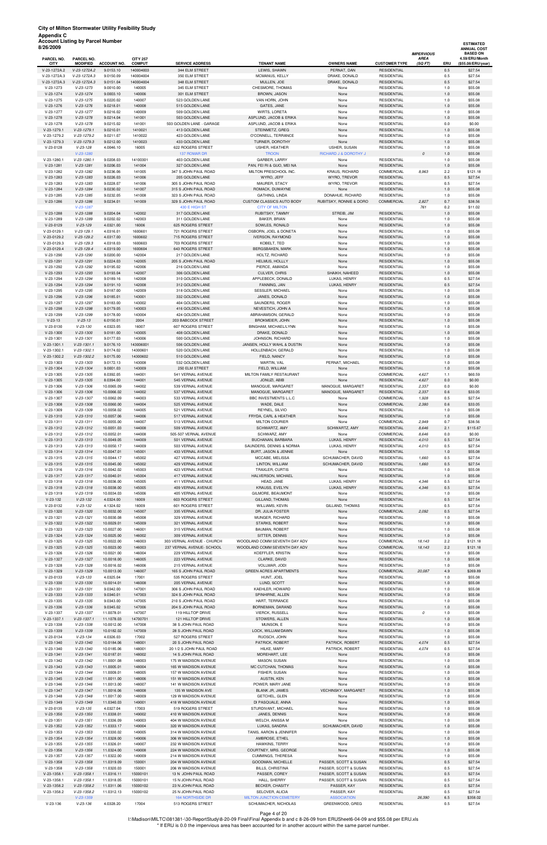| 8/26/2009                    | Proceeding Library Py Turbon Number |                          |                        |                                              |                                                |                              |                                          |                                  |            | <b>ESTIMATED</b><br><b>ANNUAL COST</b> |
|------------------------------|-------------------------------------|--------------------------|------------------------|----------------------------------------------|------------------------------------------------|------------------------------|------------------------------------------|----------------------------------|------------|----------------------------------------|
| PARCEL NO.                   | PARCEL NO.                          |                          | <b>CITY 257</b>        |                                              |                                                |                              |                                          | <b>IMPERVIOUS</b><br><b>AREA</b> |            | <b>BASED ON</b><br>4.59/ERU/Month      |
| <b>CITY</b>                  | <b>MODIFIED</b>                     | <b>ACCOUNT NO.</b>       | <b>COMPUT</b>          | <b>SERVICE ADDRESS</b>                       | <b>TENANT NAME</b>                             | <b>OWNERS NAME</b>           | <b>CUSTOMER TYPE</b>                     | (SQ FT)                          | ERU        | (\$55.08/ERU/year)                     |
| V-23-1272A.2<br>V-23-1272A.3 | V-23-1272A.2<br>V-23-1272A.3        | 9.0153.10<br>9.0150.09   | 140004003<br>140004004 | 344 ELM STREET<br>350 ELM STREET             | LEWIS, SHAWN<br>MCMANUS, KELLY                 | PERNAT, DAN<br>DRAKE, DONALD | <b>RESIDENTIAL</b><br><b>RESIDENTIAL</b> |                                  | 0.5<br>0.5 | \$27.54<br>\$27.54                     |
| V-23-1272A.3                 | V-23-1272A.3                        | 9.0151.04                | 140004004              | 348 ELM STREET                               | MULLEN, JOE                                    | DRAKE, DONALD                | <b>RESIDENTIAL</b>                       |                                  | 0.5        | \$27.54                                |
| V-23-1273                    | $V-23-1273$                         | 9.0010.00                | 140005                 | 345 ELM STREET                               | CHESMORE, THOMAS                               | None                         | <b>RESIDENTIAL</b>                       |                                  | 1.0        | \$55.08                                |
| $V-23-1274$                  | $V-23-1274$                         | 9.0003.10                | 140006                 | 301 ELM STREET                               | <b>BROWN, JASON</b>                            | None                         | <b>RESIDENTIAL</b>                       |                                  | 1.0        | \$55.08                                |
| $V-23-1275$                  | $V-23-1275$                         | 9.0220.02                | 140007                 | 523 GOLDEN LANE                              | VAN HORN, JOHN                                 | None                         | <b>RESIDENTIAL</b>                       |                                  | 1.0        | \$55.08                                |
| V-23-1276                    | $V-23-1276$                         | 9.0218.01                | 140008                 | 515 GOLDEN LANE                              | GATES, JANE                                    | None                         | <b>RESIDENTIAL</b>                       |                                  | 1.0        | \$55.08                                |
| V-23-1277                    | $V-23-1277$                         | 9.0216.02                | 140009                 | 509 GOLDEN LANE                              | WIRTS, LORETA                                  | None                         | <b>RESIDENTIAL</b>                       |                                  | 1.0        | \$55.08                                |
| $V-23-1278$                  | $V-23-1278$                         | 9.0214.04                | 141001                 | 503 GOLDEN LANE                              | ASPLUND, JACOB & ERIKA                         | None                         | <b>RESIDENTIAL</b>                       |                                  | 1.0        | \$55.08                                |
| $V-23-1278$<br>V-23-1279.1   | $V-23-1278$<br>$V-23-1279.1$        | 9.0215.02<br>9.0210.01   | 141001<br>1410021      | 503 GOLDEN LANE - GARAGE<br>413 GOLDEN LANE  | ASPLUND, JACOB & ERIKA<br>STEINMETZ, GREG      | None<br>None                 | <b>RESIDENTIAL</b><br><b>RESIDENTIAL</b> |                                  | 0.0<br>1.0 | \$0.00<br>\$55.08                      |
| V-23-1279.2                  | $V-23-1279.2$                       | 9.0211.07                | 1410022                | 423 GOLDEN LANE                              | O'CONNELL, TERRANCE                            | None                         | <b>RESIDENTIAL</b>                       |                                  | 1.0        | \$55.08                                |
| V-23-1279.3                  | $V-23-1279.3$                       | 9.0212.00                | 1410023                | 433 GOLDEN LANE                              | TURNER, DOROTHY                                | None                         | <b>RESIDENTIAL</b>                       |                                  | 1.0        | \$55.08                                |
| $V-23-0128$                  | $V-23-128$                          | 4.0046.10                | 16005                  | 622 ROGERS STREET                            | USHER, HEATHER                                 | USHER, SUSAN                 | <b>RESIDENTIAL</b>                       |                                  | 1.0        | \$55.08                                |
|                              | $V-23-1280$                         |                          |                        | 137 ROMAR DR                                 | <b>TROON</b>                                   | RICHARD J & DOROTHY J        |                                          | $\cal O$                         | 1.0        | \$55.08                                |
| V-23-1280.1                  | $V-23-1280.1$                       | 9.0208.03                | 14100301               | 403 GOLDEN LANE                              | GARBER, LARRY                                  | None                         | <b>RESIDENTIAL</b>                       |                                  | 1.0        | \$55.08                                |
| $V-23-1281$                  | $V-23-1281$                         | 9.0206.03                | 141004                 | 327 GOLDEN LANE                              | PAN, FEI RI & GUO, MEI NA                      | None                         | <b>RESIDENTIAL</b>                       |                                  | 1.0        | \$55.08                                |
| V-23-1282                    | $V-23-1282$                         | 9.0236.06                | 141005                 | 347 S JOHN PAUL ROAD                         | MILTON PRESCHOOL INC.                          | KRAUS, RICHARD               | <b>COMMERCIAL</b>                        | 8,963                            | 2.2        | \$121.18                               |
| $V-23-1283$                  | $V-23-1283$                         | 9.0226.03                | 141006                 | 205 GOLDEN LANE                              | WYRO, JEFF                                     | WYRO, TREVOR                 | <b>RESIDENTIAL</b>                       |                                  | 0.5        | \$27.54                                |
| $V-23-1283$                  | $V-23-1283$                         | 9.0228.07                | 141006                 | 305 S JOHN PAUL ROAD                         | MAURER, STACY                                  | WYRO, TREVOR                 | <b>RESIDENTIAL</b>                       |                                  | 0.5        | \$27.54                                |
| V-23-1284<br>V-23-1285       | $V-23-1284$<br>$V-23-1285$          | 9.0230.02<br>9.0232.05   | 141007<br>141008       | 315 S JOHN PAUL ROAD<br>323 S JOHN PAUL ROAD | ROMACK, DUWAYNE<br>GATHING, LINDA              | None<br>DONAHUE, RICHARD     | <b>RESIDENTIAL</b><br><b>RESIDENTIAL</b> |                                  | 1.0<br>1.0 | \$55.08<br>\$55.08                     |
| $V-23-1286$                  | $V-23-1286$                         | 9.0234.01                | 141009                 | 329 S JOHN PAUL ROAD                         | <b>CUSTOM CLASSICS AUTO BODY</b>               | RUBITSKY, RONNIE & DORO      | <b>COMMERCIAL</b>                        | 2,827                            | 0.7        | \$38.56                                |
|                              | $V-23-1287$                         |                          |                        | 430 E HIGH ST                                | <b>CITY OF MILTON</b>                          |                              |                                          | 761                              | 0.2        | \$11.02                                |
| V-23-1288                    | $V-23-1288$                         | 9.0204.04                | 142002                 | 317 GOLDEN LANE                              | RUBITSKY, TAMMY                                | STREIB, JIM                  | <b>RESIDENTIAL</b>                       |                                  | 1.0        | \$55.08                                |
| V-23-1289                    | $V-23-1289$                         | 9.0202.02                | 142003                 | 311 GOLDEN LANE                              | <b>BAKER, BRIAN</b>                            | None                         | <b>RESIDENTIAL</b>                       |                                  | 1.0        | \$55.08                                |
| $V-23-0129$                  | $V-23-129$                          | 4.0321.00                | 16006                  | 625 ROGERS STREET                            | SOWLES, RONALD                                 | None                         | <b>RESIDENTIAL</b>                       |                                  | 1.0        | \$55.08                                |
| V-23-0129.1                  | $V-23-129.1$                        | 4.0316.01                | 1600601                | 721 ROGERS STREET                            | OSBORN, JOEL & DONETA                          | None                         | <b>RESIDENTIAL</b>                       |                                  | 1.0        | \$55.08                                |
| V-23-0129.2                  | $V-23-129.2$                        | 4.0317.00                | 1600602                | 715 ROGERS STREET                            | <b>IVERSON, RAYMOND</b>                        | None                         | <b>RESIDENTIAL</b>                       |                                  | 1.0        | \$55.08                                |
| V-23-0129.3                  | $V-23-129.3$                        | 4.0318.03                | 1600603                | 703 ROGERS STREET                            | KOBELT, TED                                    | None                         | <b>RESIDENTIAL</b>                       |                                  | 1.0        | \$55.08                                |
| V-23-0129.4                  | $V-23-129.4$                        | 4.0319.00                | 1600604                | 643 ROGERS STREET                            | <b>BERGSBAKEN, MARK</b>                        | None                         | <b>RESIDENTIAL</b>                       |                                  | 1.0        | \$55.08                                |
| V-23-1290<br>V-23-1291       | $V-23-1290$<br>$V-23-1291$          | 9.0200.00<br>9.0224.03   | 142004<br>142005       | 217 GOLDEN LANE<br>205 S JOHN PAUL ROAD      | HOLTZ, RICHARD<br>HELMUS, HOLLLY               | None<br>None                 | <b>RESIDENTIAL</b><br><b>RESIDENTIAL</b> |                                  | 1.0<br>1.0 | \$55.08<br>\$55.08                     |
| V-23-1292                    | $V-23-1292$                         | 9.0195.02                | 142006                 | 216 GOLDEN LANE                              | PIERCE, AMANDA                                 | None                         | <b>RESIDENTIAL</b>                       |                                  | 1.0        | \$55.08                                |
| $V-23-1293$                  | $V-23-1293$                         | 9.0193.04                | 142007                 | 306 GOLDEN LANE                              | CULVER, CHRIS                                  | SHAIKH, NAHEED               | <b>RESIDENTIAL</b>                       |                                  | 1.0        | \$55.08                                |
| V-23-1294                    | $V-23-1294$                         | 9.0189.16                | 142008                 | 310 GOLDEN LANE                              | APPLEBECK, DONALD                              | LUKAS, HENRY                 | <b>RESIDENTIAL</b>                       |                                  | 0.5        | \$27.54                                |
| V-23-1294                    | $V-23-1294$                         | 9.0191.10                | 142008                 | 312 GOLDEN LANE                              | FANNING, JAN                                   | LUKAS, HENRY                 | <b>RESIDENTIAL</b>                       |                                  | 0.5        | \$27.54                                |
| $V-23-1295$                  | $V-23-1295$                         | 9.0187.00                | 142009                 | 318 GOLDEN LANE                              | SESSLER, MICHAEL                               | None                         | <b>RESIDENTIAL</b>                       |                                  | 1.0        | \$55.08                                |
| $V-23-1296$                  | $V-23-1296$                         | 9.0185.01                | 143001                 | 332 GOLDEN LANE                              | JANES, DONALD                                  | None                         | <b>RESIDENTIAL</b>                       |                                  | 1.0        | \$55.08                                |
| V-23-1297                    | V-23-1297                           | 9.0183.00                | 143002                 | 404 GOLDEN LANE                              | SAUNDERS, ROGER                                | None                         | <b>RESIDENTIAL</b>                       |                                  | 1.0        | \$55.08                                |
| V-23-1298                    | $V-23-1298$                         | 9.0179.05                | 143003                 | 416 GOLDEN LANE                              | NEVESTICH, JOHN A                              | None                         | <b>RESIDENTIAL</b>                       |                                  | 1.0        | \$55.08                                |
| V-23-1299<br>$V-23-13$       | $V-23-1299$<br>$V-23-13$            | 9.0178.00<br>6.0150.01   | 143004<br>2004         | 424 GOLDEN LANE<br>203 BABCOCK STREET        | ABRAHAMSON, GERALD<br><b>BROKMEIER, JOHN</b>   | None<br>None                 | <b>RESIDENTIAL</b><br><b>RESIDENTIAL</b> |                                  | 1.0<br>1.0 | \$55.08<br>\$55.08                     |
| $V-23-0130$                  | $V-23-130$                          | 4.0323.05                | 16007                  | 607 ROGERS STREET                            | BINGHAM, MICHAEL/LYNN                          | None                         | <b>RESIDENTIAL</b>                       |                                  | 1.0        | \$55.08                                |
| $V-23-1300$                  | $V-23-1300$                         | 9.0181.00                | 143005                 | 408 GOLDEN LANE                              | DRAKE, DONALD                                  | None                         | <b>RESIDENTIAL</b>                       |                                  | 1.0        | \$55.08                                |
| $V-23-1301$                  | $V-23-1301$                         | 9.0177.03                | 143006                 | 500 GOLDEN LANE                              | JOHNSON, RICHARD                               | None                         | <b>RESIDENTIAL</b>                       |                                  | 1.0        | \$55.08                                |
| $V-23-1301.1$                | $V-23-1301.1$                       | 9.0176.10                | 143006001              | 506 GOLDEN LANE                              | JANSEN, HOLLY WAHL & DUSTIN                    | None                         | <b>RESIDENTIAL</b>                       |                                  | 1.0        | \$55.08                                |
| V-23-1302.1                  | $V-23-1302.1$                       | 9.0174.02                | 14300601               | 520 GOLDEN LANE                              | HOLLENBACH, GERALD                             | None                         | <b>RESIDENTIAL</b>                       |                                  | 1.0        | \$55.08                                |
| V-23-1302.2                  | $V-23-1302.2$                       | 9.0175.00                | 14300602               | 510 GOLDEN LANE                              | FIELD, NANCY                                   | None                         | <b>RESIDENTIAL</b>                       |                                  | 1.0        | \$55.08                                |
| $V-23-1303$                  | $V-23-1303$                         | 9.0172.13                | 143008                 | 532 GOLDEN LANE                              | MARTIN, VAL                                    | PERNAT, MICHAEL              | <b>RESIDENTIAL</b>                       |                                  | 1.0        | \$55.08                                |
| $V-23-1304$                  | $V-23-1304$                         | 9.0001.03                | 143009                 | 250 ELM STREET                               | FIELD, WILLIAM                                 | None                         | <b>RESIDENTIAL</b>                       |                                  | 1.0        | \$55.08                                |
| $V-23-1305$                  | $V-23-1305$                         | 8.0392.05                | 144001                 | 541 VERNAL AVENUE                            | MILTON FAMILY RESTAURANT                       | None                         | <b>COMMERCIAL</b>                        | 4,627                            | 1.1        | \$60.59                                |
| $V-23-1305$<br>$V-23-1306$   | $V-23-1305$<br>$V-23-1306$          | 8.0394.00<br>10.0065.09  | 144001<br>144002       | 545 VERNAL AVENUE<br>539 VERNAL AVENUE       | JONUZI, ABIB<br>MANOGUE, MARGARET              | None<br>MANOGUE, MARGARET    | <b>RESIDENTIAL</b><br><b>RESIDENTIAL</b> | 4,627<br>2,337                   | 0.0<br>0.0 | \$0.00<br>\$0.00                       |
| $V-23-1306$                  | $V-23-1306$                         | 10.0066.02               | 144002                 | 537 VERNAL AVENUE                            | MANOGUE, MARGARET                              | MANOGUE, MARGARET            | <b>RESIDENTIAL</b>                       | 2,337                            | 0.6        | \$33.05                                |
| V-23-1307                    | $V-23-1307$                         | 10.0062.09               | 144003                 | 533 VERNAL AVENUE                            | BBC INVESTMENTS L.L.C                          | None                         | <b>COMMERCIAL</b>                        | 1,928                            | 0.5        | \$27.54                                |
| $V-23-1308$                  | $V-23-1308$                         | 10.0060.00               | 144004                 | 525 VERNAL AVENUE                            | WADE, DALE                                     | None                         | <b>COMMERCIAL</b>                        | 2,380                            | 0.6        | \$33.05                                |
| V-23-1309                    | $V-23-1309$                         | 10.0058.02               | 144005                 | 521 VERNAL AVENUE                            | REYNEL, SILVIO                                 | None                         | <b>RESIDENTIAL</b>                       |                                  | 1.0        | \$55.08                                |
| $V-23-1310$                  | $V-23-1310$                         | 10.0057.06               | 144006                 | 517 VERNAL AVENUE                            | FRYDA, CARL & HEATHER                          | None                         | <b>RESIDENTIAL</b>                       |                                  | 1.0        | \$55.08                                |
| $V-23-1311$                  | $V-23-1311$                         | 10.0055.00               | 144007                 | 513 VERNAL AVENUE                            | <b>MILTON COURIER</b>                          | None                         | COMMERCIAL                               | 2,949                            | 0.7        | \$38.56                                |
| V-23-1312                    | $V-23-1312$                         | 10.0051.03               | 144008                 | 509 VERNAL AVENUE                            | SCHWARTZ, AMY                                  | SCHWARTZ, AMY                | <b>RESIDENTIAL</b>                       | 8,646                            | 2.1        | \$115.67                               |
| V-23-1312                    | $V-23-1312$                         | 10.0052.01               | 144008                 | 505-507 VERNAL AVENUE                        | SCHWARZ, AMY                                   | None                         | COMMERCIAL                               | 8,646                            | 0.0        | \$0.00                                 |
| $V-23-1313$<br>V-23-1313     | $V-23-1313$<br>$V-23-1313$          | 10.0049.05<br>10.0050.17 | 144009<br>144009       | 501 VERNAL AVENUE<br>503 VERNAL AVENUE       | BUCHANAN, BARBARA<br>SAUNDERS, DENNIS & NORMA  | LUKAS, HENRY<br>LUKAS, HENRY | <b>RESIDENTIAL</b><br><b>RESIDENTIAL</b> | 4,010<br>4,010                   | 0.5<br>0.5 | \$27.54<br>\$27.54                     |
| $V-23-1314$                  | $V-23-1314$                         | 10.0047.01               | 145001                 | 433 VERNAL AVENUE                            | BURT, JASON & JENNIE                           | None                         | <b>RESIDENTIAL</b>                       |                                  | 1.0        | \$55.08                                |
| $V-23-1315$                  | $V-23-1315$                         | 10.0044.17               | 145002                 | 427 VERNAL AVENUE                            | MCCABE, MELISSA                                | SCHUMACHER, DAVID            | <b>RESIDENTIAL</b>                       | 1,660                            | 0.5        | \$27.54                                |
| $V-23-1315$                  | $V-23-1315$                         | 10.0045.00               | 145002                 | 429 VERNAL AVENUE                            | LINTON, WILLIAM                                | SCHUMACHER, DAVID            | <b>RESIDENTIAL</b>                       | 1,660                            | 0.5        | \$27.54                                |
| V-23-1316                    | $V-23-1316$                         | 10.0042.02               | 145003                 | 423 VERNAL AVENUE                            | TRAXLER, CURTIS                                | None                         | <b>RESIDENTIAL</b>                       |                                  | 1.0        | \$55.08                                |
| $V-23-1317$                  | $V-23-1317$                         | 10.0040.01               | 145004                 | 417 VERNAL AVENUE                            | HALVERSON, MICHAEL                             | None                         | <b>RESIDENTIAL</b>                       |                                  | 1.0        | \$55.08                                |
| $V-23-1318$                  | $V-23-1318$                         | 10.0036.00               | 145005                 | 411 VERNAL AVENUE                            | HEAD, JANE                                     | LUKAS, HENRY                 | <b>RESIDENTIAL</b>                       | 4,346                            | 0.5        | \$27.54                                |
| $V-23-1318$                  | $V-23-1318$                         | 10.0038.00               | 145005                 | 409 VERNAL AVENUE                            | KRAUSS, EVELYN                                 | LUKAS, HENRY                 | <b>RESIDENTIAL</b>                       | 4,346                            | 0.5        | \$27.54                                |
| $V-23-1319$                  | $V-23-1319$                         | 10.0034.03               | 145006                 | 405 VERNAL AVENUE                            | GILMORE, BEAUMONT                              | None                         | <b>RESIDENTIAL</b>                       |                                  | 1.0        | \$55.08                                |
| $V-23-132$                   | $V-23-132$                          | 4.0324.00                | 16009                  | 603 ROGERS STREET                            | GILLAND, THOMAS                                | None                         | <b>RESIDENTIAL</b>                       |                                  | 0.5        | \$27.54                                |
| V-23-0132<br>V-23-1320       | $V-23-132$<br>$V-23-1320$           | 4.1324.02<br>10.0032.00  | 16009<br>145007        | 601 ROGERS STREET<br>335 VERNAL AVENUE       | WILLIAMS, KEVIN<br>DR. JULIA FOSTER            | GILLAND, THOMAS<br>None      | <b>RESIDENTIAL</b><br>COMMERCIAL         | 2,092                            | 0.5<br>0.5 | \$27.54<br>\$27.54                     |
| V-23-1321                    | $V-23-1321$                         | 10.0030.08               | 145008                 | 329 VERNAL AVENUE                            | MUNGER, RICHARD                                | None                         | <b>RESIDENTIAL</b>                       |                                  | 1.0        | \$55.08                                |
| $V-23-1322$                  | $V-23-1322$                         | 10.0029.01               | 145009                 | 321 VERNAL AVENUE                            | <b>STARKS, ROBERT</b>                          | None                         | <b>RESIDENTIAL</b>                       |                                  | 1.0        | \$55.08                                |
| V-23-1323                    | $V-23-1323$                         | 10.0027.00               | 146001                 | 315 VERNAL AVENUE                            | BAUMAN, ROBERT                                 | None                         | <b>RESIDENTIAL</b>                       |                                  | 1.0        | \$55.08                                |
| V-23-1324                    | $V-23-1324$                         | 10.0025.00               | 146002                 | 309 VERNAL AVENUE                            | SITTER, DENNIS                                 | None                         | <b>RESIDENTIAL</b>                       |                                  | 1.0        | \$55.08                                |
| $V-23-1325$                  | $V-23-1325$                         | 10.0022.00               | 146003                 | 303 VERNAL AVENUE - CHURCH                   | WOODLAND COMM SEVENTH DAY ADV                  | None                         | <b>COMMERCIAL</b>                        | 18,143                           | 2.2        | \$121.18                               |
| $V-23-1325$                  | $V-23-1325$                         | 10.0023.00               | 146003                 | 237 VERNAL AVENUE- SCHOOL                    | WOODLAND COMM SEVENTH DAY ADV                  | None                         | <b>COMMERCIAL</b>                        | 18,143                           | 2.2        | \$121.18                               |
| $V-23-1326$                  | $V-23-1326$                         | 10.0021.00               | 146004                 | 229 VERNAL AVENUE                            | KOEFFLER, KRISTIN                              | None                         | <b>RESIDENTIAL</b>                       |                                  | 1.0        | \$55.08                                |
| V-23-1327                    | $V-23-1327$                         | 10.0018.00               | 146005                 | 223 VERNAL AVENUE                            | CLARKE, DAVID                                  | None                         | <b>RESIDENTIAL</b>                       |                                  | 1.0        | \$55.08                                |
| V-23-1328<br>$V-23-1329$     | $V-23-1328$<br>$V-23-1329$          | 10.0016.02<br>10.0013.00 | 146006<br>146007       | 215 VERNAL AVENUE<br>165 S JOHN PAUL ROAD    | VOLLMAR, JODI<br><b>GREEN ACRES APARTMENTS</b> | None<br>None                 | <b>RESIDENTIAL</b><br><b>COMMERCIAL</b>  | 20,087                           | 1.0<br>4.9 | \$55.08<br>\$269.89                    |
| V-23-0133                    | $V-23-133$                          | 4.0325.04                | 17001                  | 535 ROGERS STREET                            | HUNT, JOEL                                     | None                         | <b>RESIDENTIAL</b>                       |                                  | 1.0        | \$55.08                                |
| $V-23-1330$                  | $V-23-1330$                         | 10.0014.01               | 146008                 | 205 VERNAL AVENUE                            | LUND, SCOTT                                    | None                         | <b>RESIDENTIAL</b>                       |                                  | 1.0        | \$55.08                                |
| V-23-1331                    | $V-23-1331$                         | 9.0342.00                | 147001                 | 306 S JOHN PAUL ROAD                         | KAEHLER, HOWARD                                | None                         | <b>RESIDENTIAL</b>                       |                                  | 1.0        | \$55.08                                |
| $V-23-1333$                  | $V-23-1333$                         | 9.0340.01                | 147003                 | 324 S JOHN PAUL ROAD                         | SPINHIRNE, ALLEN                               | None                         | <b>RESIDENTIAL</b>                       |                                  | 1.0        | \$55.08                                |
| V-23-1335                    | $V-23-1335$                         | 9.0343.00                | 147005                 | 210 S JOHN PAUL ROAD                         | HART, TERRANCE                                 | None                         | <b>RESIDENTIAL</b>                       |                                  | 1.0        | \$55.08                                |
| $V-23-1336$                  | $V-23-1336$                         | 9.0345.02                | 147006                 | 204 S JOHN PAUL ROAD                         | BORNEMAN, DARAND                               | None                         | <b>RESIDENTIAL</b>                       |                                  | 1.0        | \$55.08                                |
| V-23-1337                    | $V-23-1337$                         | 11.0078.01               | 147007                 | 119 HILLTOP DRIVE                            | <b>VIERCK, RUSSELL</b>                         | None                         | <b>RESIDENTIAL</b>                       | 0                                | 1.0        | \$55.08                                |
| V-23-1337.1                  | $V-23-1337.1$                       | 11.1078.03               | 14700701               | 121 HILLTOP DRIVE                            | STOWERS, ALLEN                                 | None                         | <b>RESIDENTIAL</b>                       |                                  | $1.0$      | \$55.08                                |

| $V-23-1338$   | $V-23-1338$     | 10.0012.00 | 147008   | 38 S JOHN PAUL ROAD     | MUNSON, E                | None                       | <b>RESIDENTIAL</b> |        | 1.0 | \$55.08  |
|---------------|-----------------|------------|----------|-------------------------|--------------------------|----------------------------|--------------------|--------|-----|----------|
| $V-23-1339$   | $V-23-1339$     | 10.0182.02 | 147009   | 28 S JOHN PAUL ROAD     | LOCK. WILLIAM/DAWN       | None                       | <b>RESIDENTIAL</b> |        | 1.0 | \$55.08  |
| $V-23-0134$   | $V - 23 - 134$  | 4.0326.03  | 17002    | 527 ROGERS STREET       | RUOSCH, JOHN             | None                       | <b>RESIDENTIAL</b> |        | 1.0 | \$55.08  |
| $V-23-1340$   | $V - 23 - 1340$ | 10.0184.06 | 148001   | 20 S JOHN PAUL ROAD     | PATRICK, ROBERT          | PATRICK, ROBERT            | <b>RESIDENTIAL</b> | 4,074  | 0.5 | \$27.54  |
| $V-23-1340$   | $V - 23 - 1340$ | 10.0185.06 | 148001   | 20 1/2 S JOHN PAUL ROAD | HILKE, MARY              | PATRICK, ROBERT            | <b>RESIDENTIAL</b> | 4,074  | 0.5 | \$27.54  |
| $V-23-1341$   | $V - 23 - 1341$ | 10.0187.01 | 148002   | 14 S JOHN PAUL ROAD     | MOREHART, LEE            | None                       | <b>RESIDENTIAL</b> |        | 1.0 | \$55.08  |
| V-23-1342     | $V-23-1342$     | 11.0001.08 | 148003   | 175 W MADISON AVENUE    | MASON, SUSAN             | None                       | <b>RESIDENTIAL</b> |        | 1.0 | \$55.08  |
| $V-23-1343$   | $V - 23 - 1343$ | 11.0005.01 | 148004   | 165 W MADISON AVENUE    | MC CUTCHAN, THOMAS       | None                       | <b>RESIDENTIAL</b> |        | 1.0 | \$55.08  |
| V-23-1344     | $V-23-1344$     | 11.0009.01 | 148005   | 157 W MADISON AVENUE    | FISHER, SUSAN            | None                       | <b>RESIDENTIAL</b> |        | 1.0 | \$55.08  |
| $V-23-1345$   | $V-23-1345$     | 11.0011.00 | 148006   | 151 W MADISON AVENUE    | AUSTIN, KEN              | None                       | <b>RESIDENTIAL</b> |        | 1.0 | \$55.08  |
| $V-23-1346$   | $V - 23 - 1346$ | 11.0013.00 | 148007   | 141 W MADISON AVENUE    | POWER, MARY JANE         | None                       | <b>RESIDENTIAL</b> |        | 1.0 | \$55.08  |
| $V-23-1347$   | $V-23-1347$     | 11.0016.06 | 148008   | 135 W MADISON AVE       | <b>BLANK JR, JAMES</b>   | <b>VECHINSKY, MARGARET</b> | <b>RESIDENTIAL</b> |        | 1.0 | \$55.08  |
| $V-23-1348$   | $V-23-1348$     | 11.0017.00 | 148009   | 129 W MADISON AVENUE    | GETCHEL, GLEN            | None                       | <b>RESIDENTIAL</b> |        | 1.0 | \$55.08  |
| $V-23-1349$   | $V-23-1349$     | 11.0340.03 | 149001   | 418 W MADISON AVENUE    | DI PASQUALE, ANNA        | None                       | <b>RESIDENTIAL</b> |        | 1.0 | \$55.08  |
| $V-23-0135$   | $V - 23 - 135$  | 4.0327.04  | 17003    | 519 ROGERS STREET       | STURDIVANT, MICHAEL      | None                       | <b>RESIDENTIAL</b> |        | 1.0 | \$55.08  |
| $V-23-1350$   | $V-23-1350$     | 11.0338.01 | 149002   | 410 W MADISON AVENUE    | JANES, DENNIS            | None                       | <b>RESIDENTIAL</b> |        | 1.0 | \$55.08  |
| $V-23-1351$   | $V-23-1351$     | 11.0336.09 | 149003   | 404 W MADISON AVENUE    | WELCH, ANISSA M          | None                       | <b>RESIDENTIAL</b> |        | 1.0 | \$55.08  |
| $V-23-1352$   | $V-23-1352$     | 11.0333.17 | 149004   | 320 W MADISON AVENUE    | LUKAS, SANDRA            | SCHUMACHER, DAVID          | <b>RESIDENTIAL</b> |        | 1.0 | \$55.08  |
| $V-23-1353$   | $V-23-1353$     | 11.0330.02 | 149005   | 314 W MADISON AVENUE    | TANIS, AARON & JENNIFER  | None                       | <b>RESIDENTIAL</b> |        | 1.0 | \$55.08  |
| $V-23-1354$   | $V-23-1354$     | 11.0328.00 | 149006   | 306 W MADISON AVENUE    | AMBROSE, ETHEL           | None                       | <b>RESIDENTIAL</b> |        | 1.0 | \$55.08  |
| $V-23-1355$   | $V-23-1355$     | 11.0326.01 | 149007   | 232 W MADISON AVENUE    | <b>HAWKINS, TERRY</b>    | None                       | <b>RESIDENTIAL</b> |        | 1.0 | \$55.08  |
| $V-23-1356$   | $V-23-1356$     | 11.0324.00 | 149008   | 224 W MADISON AVENUE    | COURTNEY, MRS. GEORGE    | None                       | <b>RESIDENTIAL</b> |        | 1.0 | \$55.08  |
| $V-23-1357$   | $V-23-1357$     | 11.0322.00 | 149009   | 214 W MADISON AVENUE    | <b>CUMMINGS, THERESA</b> | None                       | <b>RESIDENTIAL</b> |        | 1.0 | \$55.08  |
| $V-23-1358$   | $V-23-1358$     | 11.0319.09 | 150001   | 204 W MADISON AVENUE    | GOODMAN, MICHELLE        | PASSER, SCOTT & SUSAN      | <b>RESIDENTIAL</b> |        | 0.5 | \$27.54  |
| $V-23-1358$   | $V-23-1358$     | 11.0320.03 | 150001   | 206 W MADISON AVENUE    | BILLS, CHRISTINA         | PASSER, SCOTT & SUSAN      | <b>RESIDENTIAL</b> |        | 0.5 | \$27.54  |
| $V-23-1358.1$ | $V-23-1358.1$   | 11.0316.11 | 15000101 | 13 N JOHN PAUL ROAD     | PASSER, COREY            | PASSER, SCOTT & SUSAN      | <b>RESIDENTIAL</b> |        | 0.5 | \$27.54  |
| $V-23-1358.1$ | $V-23-1358.1$   | 11.0318.05 | 15000101 | 15 N JOHN PAUL ROAD     | HALL, SHERRY             | PASSER, SCOTT & SUSAN      | RESIDENTIAL        |        | 0.5 | \$27.54  |
| $V-23-1358.2$ | $V-23-1358.2$   | 11.0311.06 | 15000102 | 23 N JOHN PAUL ROAD     | <b>BECKER, CHASITY</b>   | PASSER, KAY                | <b>RESIDENTIAL</b> |        | 0.5 | \$27.54  |
| V-23-1358.2   | $V-23-1358.2$   | 11.0312.13 | 15000102 | 25 N JOHN PAUL ROAD     | SELOVER, ALICIA          | PASSER, KAY                | <b>RESIDENTIAL</b> |        | 0.5 | \$27.54  |
|               | $V-23-1359$     |            |          | <b>164 NORTHSIDE DR</b> | MILTON JUNCTION CEMETERY | <b>ASSOCIATION</b>         |                    | 26,390 | 6.5 | \$358.02 |
| $V-23-136$    | $V-23-136$      | 4.0328.20  | 17004    | 513 ROGERS STREET       | SCHUMACHER, NICHOLAS     | GREENWOOD, GREG            | <b>RESIDENTIAL</b> |        | 0.5 | \$27.54  |

Page 4 of 20

I:\Madison\MILTC\081381-\30-ReportStudy\8-20-09 Final\Final Appendix b and c 8-26-09 from ERUSheet6-04-09 and \$55.08 per ERU.xls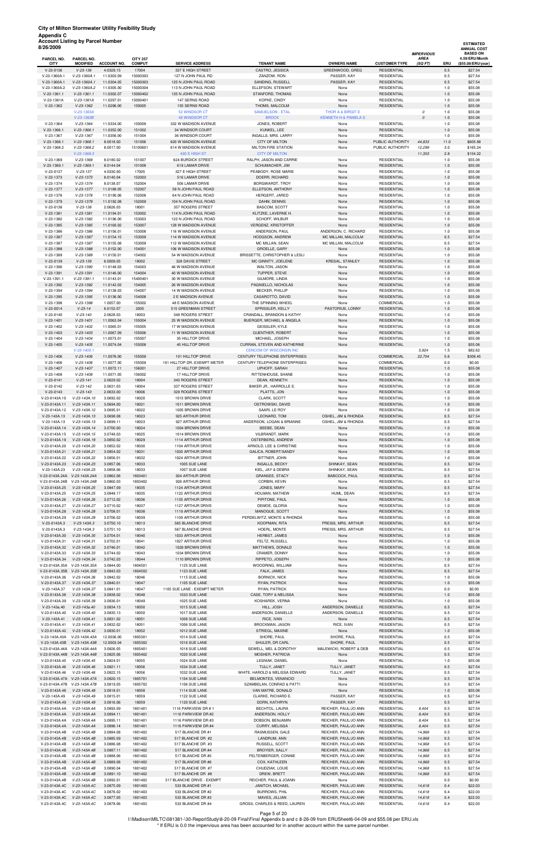| ACCOUNT LISHING DY FAILEI NUMBER<br>8/26/2009  |                                |                                 |                        |                                               |                                                                 |                                              |                                            |                                  |             | <b>ESTIMATED</b><br><b>ANNUAL COST</b> |
|------------------------------------------------|--------------------------------|---------------------------------|------------------------|-----------------------------------------------|-----------------------------------------------------------------|----------------------------------------------|--------------------------------------------|----------------------------------|-------------|----------------------------------------|
| PARCEL NO.                                     | PARCEL NO.                     |                                 | <b>CITY 257</b>        |                                               |                                                                 |                                              |                                            | <b>IMPERVIOUS</b><br><b>AREA</b> |             | <b>BASED ON</b><br>4.59/ERU/Month      |
| <b>CITY</b><br>V-23-0136                       | <b>MODIFIED</b><br>$V-23-136$  | <b>ACCOUNT NO.</b><br>4.0329.15 | <b>COMPUT</b><br>17004 | <b>SERVICE ADDRESS</b><br>337 E HIGH STREET   | <b>TENANT NAME</b><br>CASTRO, JESSICA                           | <b>OWNERS NAME</b><br>GREENWOOD, GREG        | <b>CUSTOMER TYPE</b><br><b>RESIDENTIAL</b> | (SQ FT)                          | ERU<br>0.5  | (\$55.08/ERU/year)<br>\$27.54          |
| V-23-1360A.1                                   | V-23-1360A.1                   | 11.0303.09                      | 15000303               | 127 N JOHN PAUL RD                            | ZANZOW, RON                                                     | PASSER, KAY                                  | <b>RESIDENTIAL</b>                         |                                  | 0.5         | \$27.54                                |
| V-23-1360A.1<br>V-23-1360A.2                   | V-23-1360A.1<br>V-23-1360A.2   | 11.0304.05<br>11.0305.00        | 15000303<br>15000304   | 125 N JOHN PAUL ROAD<br>113 N JOHN PAUL ROAD  | SANDING, RUSSELL<br>ELLEFSON, STEWART                           | PASSER, KAY<br>None                          | <b>RESIDENTIAL</b><br><b>RESIDENTIAL</b>   |                                  | 0.5<br>1.0  | \$27.54<br>\$55.08                     |
| $V-23-1361.1$                                  | $V-23-1361.1$                  | 11.0302.07                      | 15000402               | 135 N JOHN PAUL ROAD                          | STANFORD, THOMAS                                                | None                                         | <b>RESIDENTIAL</b>                         |                                  | 1.0         | \$55.08                                |
| V-23-1361A                                     | V-23-1361A                     | 11.0297.01                      | 15000401               | 147 SERNS ROAD                                | KOPKE, CINDY                                                    | None                                         | <b>RESIDENTIAL</b>                         |                                  | 1.0         | \$55.08                                |
| $V-23-1362$                                    | $V-23-1362$<br>V-23-1363A      | 11.0296.00                      | 150005                 | 155 SERNS ROAD<br>52 WINDSOR CT               | THOMS, MALCOLM<br><b>SAMUELSON - ETAL</b>                       | None<br><b>THOR A &amp; BIRGIT E</b>         | <b>RESIDENTIAL</b>                         | 0                                | 1.0<br>1.0  | \$55.08<br>\$55.08                     |
|                                                | V-23-1363B                     |                                 |                        | <b>40 WINDSOR CT</b>                          | <b>BROCK</b>                                                    | KENNETH H & PAMELA S                         |                                            | $\mathcal{O}$                    | 1.0         | \$55.08                                |
| V-23-1364<br>$V-23-1366.1$                     | $V-23-1364$<br>$V-23-1366.1$   | 11.0334.00<br>11.0352.00        | 150009<br>151002       | 332 W MADISON AVENUE<br>34 WINDSOR COURT      | JONES, ROBERT<br>KUNKEL. LEE                                    | None<br>None                                 | <b>RESIDENTIAL</b><br><b>RESIDENTIAL</b>   |                                  | 1.0<br>1.0  | \$55.08<br>\$55.08                     |
| $V-23-1367$                                    | $V-23-1367$                    | 11.0356.00                      | 151004                 | 36 WINDSOR COURT                              | INGALLS, MRS. LARRY                                             | None                                         | <b>RESIDENTIAL</b>                         |                                  | 1.0         | \$55.08                                |
| V-23-1368.1<br>V-23-1368.2                     | $V-23-1368.1$<br>$V-23-1368.2$ | 8.0018.00<br>8.0017.00          | 151006<br>15100601     | 620 W MADISON AVENUE<br>614 W MADISON AVENUE  | <b>CITY OF MILTON</b><br>MILTON FIRE STATION                    | None<br>None                                 | PUBLIC AUTHORITY<br>PUBLIC AUTHORITY       | 44,833<br>12,299                 | 11.0<br>3.0 | \$605.88<br>\$165.24                   |
|                                                | $V-23-1368.3$                  |                                 |                        | 430 E HIGH ST                                 | <b>CITY OF MILTON</b>                                           |                                              |                                            | 11,353                           | 2.8         | \$154.22                               |
| $V-23-1369$                                    | $V-23-1369$                    | 8.0180.02                       | 151007                 | <b>624 BURDICK STREET</b>                     | RALPH, JASON AND CARRIE                                         | None                                         | <b>RESIDENTIAL</b>                         |                                  | 1.0         | \$55.08                                |
| V-23-1369.1<br>V-23-0137                       | $V-23-1369.1$<br>$V-23-137$    | 8.0144.04<br>4.0330.00          | 151008<br>17005        | 619 LAMAR DRIVE<br>327 E HIGH STREET          | SCHUMACHER, JIM<br>PEABODY, ROSE MARIE                          | None<br>None                                 | <b>RESIDENTIAL</b><br><b>RESIDENTIAL</b>   |                                  | 1.0<br>1.0  | \$55.08<br>\$55.08                     |
| V-23-1373                                      | $V-23-1373$                    | 8.0140.04                       | 152003                 | 516 LAMAR DRIVE                               | DOERR, RICHARD                                                  | None                                         | <b>RESIDENTIAL</b>                         |                                  | 1.0         | \$55.08                                |
| V-23-1374<br>$V-23-1377$                       | $V-23-1374$<br>$V-23-1377$     | 8.0138.07<br>11.0188.05         | 152004<br>152007       | 506 LAMAR DRIVE<br>58 N JOHN PAUL ROAD        | BORGWARDT, TROY<br>ELLEFSON, ANTHONY                            | None<br>None                                 | <b>RESIDENTIAL</b><br><b>RESIDENTIAL</b>   |                                  | 1.0<br>1.0  | \$55.08<br>\$55.08                     |
| V-23-1378                                      | $V-23-1378$                    | 11.0190.06                      | 152008                 | 64 N JOHN PAUL ROAD                           | HERGERT, JARED                                                  | None                                         | <b>RESIDENTIAL</b>                         |                                  | 1.0         | \$55.08                                |
| V-23-1379                                      | $V-23-1379$                    | 11.0192.08                      | 152009                 | 104 N JOHN PAUL ROAD<br>357 ROGERS STREET     | DAHM, DENNIS                                                    | None                                         | <b>RESIDENTIAL</b>                         |                                  | 1.0         | \$55.08                                |
| V-23-0138<br>$V-23-1381$                       | $V-23-138$<br>$V-23-1381$      | 2.0626.03<br>11.0194.01         | 18001<br>153002        | 114 N JOHN PAUL ROAD                          | <b>BASCOM, SCOTT</b><br>KLITZKE, LAVERNE H.                     | None<br>None                                 | <b>RESIDENTIAL</b><br><b>RESIDENTIAL</b>   |                                  | 1.0<br>1.0  | \$55.08<br>\$55.08                     |
| V-23-1382                                      | $V-23-1382$                    | 11.0196.00                      | 153003                 | 122 N JOHN PAUL ROAD                          | SCHOFF, WILBUR                                                  | None                                         | <b>RESIDENTIAL</b>                         |                                  | 1.0         | \$55.08                                |
| $V-23-1385$<br>V-23-1386                       | $V-23-1385$<br>$V-23-1386$     | 11.0160.02<br>11.0156.01        | 153007<br>153008       | 128 W MADISON AVENUE<br>116 W MADISON AVENUE  | VERGENZ, KRISTOFFER<br>ANDERSON, PAUL                           | None<br>ANDERSON, C. RICHARD                 | <b>RESIDENTIAL</b><br><b>RESIDENTIAL</b>   |                                  | 1.0<br>1.0  | \$55.08<br>\$55.08                     |
| V-23-1387                                      | $V - 23 - 1387$                | 11.0154.15                      | 153009                 | 114 W MADISON AVENUE                          | <b>HODGSON, ANDREW</b>                                          | MC MILLAN, MALCOLM                           | <b>RESIDENTIAL</b>                         |                                  | 0.5         | \$27.54                                |
| V-23-1387<br>V-23-1388                         | V-23-1387<br>$V-23-1388$       | 11.0155.08<br>11.0152.00        | 153009<br>154001       | 112 W MADISON AVENUE<br>106 W MADISON AVENUE  | MC MILLAN, SEAN<br>GROELLE, GARY                                | MC MILLAN, MALCOLM<br>None                   | <b>RESIDENTIAL</b><br><b>RESIDENTIAL</b>   |                                  | 0.5<br>1.0  | \$27.54<br>\$55.08                     |
| V-23-1389                                      | $V-23-1389$                    | 11.0150.01                      | 154002                 | 54 W MADISON AVENUE                           | BRISSETTE, CHRISTOPHER & LESLI                                  | None                                         | <b>RESIDENTIAL</b>                         |                                  | 1.0         | \$55.08                                |
| V-23-0139                                      | $V-23-139$                     | 6.0009.05                       | 18002                  | 328 DAVIS STREET                              | MC GINNITY, JOELENE                                             | KRESAL, STANLEY                              | <b>RESIDENTIAL</b>                         |                                  | 1.0         | \$55.08                                |
| V-23-1390<br>V-23-1391                         | $V-23-1390$<br>$V-23-1391$     | 11.0148.03<br>11.0146.00        | 154003<br>154004       | 46 W MADISON AVENUE<br>40 W MADISON AVENUE    | WALTON, JASON<br>TUPPER, STEVE                                  | None<br>None                                 | <b>RESIDENTIAL</b><br><b>RESIDENTIAL</b>   |                                  | 1.0<br>1.0  | \$55.08<br>\$55.08                     |
| $V-23-1391.1$                                  | $V-23-1391.1$                  | 11.0143.01                      | 15400401               | 30 W MADISON AVENUE                           | GILMORE, LINDA                                                  | None                                         | <b>RESIDENTIAL</b>                         |                                  | 1.0         | \$55.08                                |
| $V-23-1392$<br>V-23-1394                       | $V-23-1392$<br>$V-23-1394$     | 11.0142.03<br>11.0138.03        | 154005<br>154007       | 26 W MADISON AVENUE<br>14 W MADISON AVENUE    | PAGNIELLO, NICHOLAS<br><b>BECKER, PHILLIP</b>                   | None<br>None                                 | <b>RESIDENTIAL</b><br><b>RESIDENTIAL</b>   |                                  | 1.0<br>1.0  | \$55.08<br>\$55.08                     |
| V-23-1395                                      | $V-23-1395$                    | 11.0136.00                      | 154008                 | 2 E MADISON AVENUE                            | CASAROTTO, DAVID                                                | None                                         | <b>RESIDENTIAL</b>                         |                                  | 1.0         | \$55.08                                |
| $V-23-1398$                                    | $V-23-1398$                    | 1.0057.00                       | 155002                 | 48 E MADISON AVENUE                           | THE SPINNING WHEEL                                              | None                                         | COMMERCIAL                                 |                                  | 1.0         | \$55.08                                |
| $V-23-0014$<br>V-23-0140                       | $V-23-14$<br>$V-23-140$        | 6.0152.07<br>2.0628.03          | 2005<br>18003          | 515 GREENMAN STREET<br>349 ROGERS STREET      | SPRISSLER, KELLY<br>CRANDALL, BRANDON & KATHY                   | PASTORIUS, LONNY<br>None                     | <b>RESIDENTIAL</b><br><b>RESIDENTIAL</b>   |                                  | 1.0<br>1.0  | \$55.08<br>\$55.08                     |
| $V-23-1401$                                    | $V-23-1401$                    | 11.0063.04                      | 155004                 | 25 W MADISON AVENUE                           | BUERGER, MICHAEL & ANGELA                                       | None                                         | <b>RESIDENTIAL</b>                         |                                  | 1.0         | \$55.08                                |
| $V-23-1402$<br>$V-23-1403$                     | $V-23-1402$<br>$V - 23 - 1403$ | 11.0065.01<br>11.0067.09        | 155005<br>155006       | 17 W MADISON AVENUE<br>11 W MADISON AVENUE    | GEISSLER, KYLE<br><b>GUENTHER, ROBERT</b>                       | None<br>None                                 | <b>RESIDENTIAL</b><br><b>RESIDENTIAL</b>   |                                  | 1.0<br>1.0  | \$55.08<br>\$55.08                     |
| $V-23-1404$                                    | $V-23-1404$                    | 11.0073.01                      | 155007                 | 35 HILLTOP DRIVE                              | MICHAEL, JOSEPH                                                 | None                                         | <b>RESIDENTIAL</b>                         |                                  | 1.0         | \$55.08                                |
| $V-23-1405$                                    | $V-23-1405$                    | 11.0074.04                      | 155008                 | 45 HILLTOP DRIVE                              | CURRAN, STEVEN AND KATHERINE                                    | None                                         | <b>RESIDENTIAL</b>                         |                                  | 1.0         | \$55.08                                |
| $V-23-1406$                                    | $V-23-1405.1$<br>$V-23-1406$   | 11.0076.00                      | 155009                 | 101 HILLTOP DRIVE                             | <b>CENCOM OF WISCONSIN INC</b><br>CENTURY TELEPHONE ENTERPRISES | None                                         | <b>COMMERCIAL</b>                          | 5,924<br>22,704                  | 1.5<br>5.6  | \$82.62<br>\$308.45                    |
| $V-23-1406$                                    | $V-23-1406$                    | 11.0077.00                      | 155009                 | 101 HILLTOP DR.-EXEMPT METER                  | CENTURY TELEPHONE ENTERPRISES                                   | None                                         | COMMERCIAL                                 |                                  | 0.0         | \$0.00                                 |
| $V-23-1407$<br>$V-23-1408$                     | $V-23-1407$<br>$V-23-1408$     | 11.0072.11<br>11.0071.05        | 156001<br>156002       | 27 HILLTOP DRIVE<br>17 HILLTOP DRIVE          | UPHOFF, SARAH<br>RITTENHOUSE, SHANE                             | None<br>None                                 | <b>RESIDENTIAL</b><br><b>RESIDENTIAL</b>   |                                  | 1.0<br>1.0  | \$55.08<br>\$55.08                     |
| $V-23-0141$                                    | $V-23-141$                     | 2.0629.02                       | 18004                  | 343 ROGERS STREET                             | DEAN, KENNETH                                                   | None                                         | <b>RESIDENTIAL</b>                         |                                  | 1.0         | \$55.08                                |
| V-23-0142<br>$V-23-0143$                       | $V-23-142$<br>$V-23-143$       | 2.0631.03<br>2.0633.00          | 18004<br>18006         | 337 ROGERS STREET<br>329 ROGERS STREET        | BAKER JR., HARROLLE E.<br>PLATTS, JON                           | None<br>None                                 | <b>RESIDENTIAL</b><br><b>RESIDENTIAL</b>   |                                  | 1.0<br>1.0  | \$55.08<br>\$55.08                     |
| V-23-0143A.10                                  | V-23-143A.10                   | 3.0692.02                       | 18020                  | 1015 BROWN DRIVE                              | CLARK, SCOTT                                                    | None                                         | <b>RESIDENTIAL</b>                         |                                  | 1.0         | \$55.08                                |
| V-23-0143A.11<br>V-23-0143A.12                 | V-23-143A.11<br>V-23-143A.12   | 3.0694.00<br>3.0695.01          | 18021<br>18022         | 1011 BROWN DRIVE                              | <b>OSTROWSKI, DAVID</b><br>SAARI, LE ROY                        | None                                         | <b>RESIDENTIAL</b><br><b>RESIDENTIAL</b>   |                                  | 1.0<br>1.0  | \$55.08<br>\$55.08                     |
| V-23-143A.13                                   | V-23-143A.13                   | 3.0698.08                       | 18023                  | 1005 BROWN DRIVE<br>925 ARTHUR DRIVE          | LEONARD, TOM                                                    | None<br>OSHEL, JIM & RHONDA                  | <b>RESIDENTIAL</b>                         |                                  | 0.5         | \$27.54                                |
| V-23-143A.13                                   | V-23-143A.13                   | 3.0699.11                       | 18023                  | 927 ARTHUR DRIVE                              | ANDERSON, LOGAN & BRIANNE                                       | OSHEL, JIM & RHONDA                          | <b>RESIDENTIAL</b>                         |                                  | 0.5         | \$27.54                                |
| V-23-0143A.14<br>V-23-0143A.15                 | V-23-143A.14<br>V-23-143A.15   | 3.0700.00<br>3.0748.03          | 18024<br>18025         | 1004 BROWN DRIVE<br>1014 BROWN DRIVE          | BEEBE, DEAN<br>VILBRANDT, MARK                                  | None<br>None                                 | <b>RESIDENTIAL</b><br><b>RESIDENTIAL</b>   |                                  | 1.0<br>1.0  | \$55.08<br>\$55.08                     |
| V-23-0143A.19                                  | V-23-143A.19                   | 3.0850.02                       | 18029                  | 1114 ARTHUR DRIVE                             | OSTERBERG, ANDREW                                               | None                                         | <b>RESIDENTIAL</b>                         |                                  | 1.0         | \$55.08                                |
| V-23-0143A.20<br>V-23-0143A.21                 | V-23-143A.20<br>V-23-143A.21   | 3.0852.02<br>3.0854.02          | 18030<br>18031         | 1104 ARTHUR DRIVE<br>1030 ARTHUR DRIVE        | ARNOLD, LEE & CHRISTINE<br>GALICA, ROBERT/SANDY                 | None<br>None                                 | <b>RESIDENTIAL</b><br><b>RESIDENTIAL</b>   |                                  | 1.0<br>1.0  | \$55.08<br>\$55.08                     |
| V-23-0143A.22                                  | V-23-143A.22                   | 3.0856.01                       | 18032                  | 1024 ARTHUR DRIVE                             | BITTNER, JOHN                                                   | None                                         | <b>RESIDENTIAL</b>                         |                                  | 1.0         | \$55.08                                |
| V-23-0143A.23                                  | V-23-143A.23                   | 3.0857.06                       | 18033                  | 1005 SUE LANE                                 | <b>INGALLS, BECKY</b>                                           | SHINKAY, SEAN                                | <b>RESIDENTIAL</b>                         |                                  | 0.5         | \$27.54                                |
| V-23-143A.23<br>V-23-0143A.24A                 | V-23-143A.23<br>V-23-143A.24A  | 3.0858.06<br>3.0862.06          | 18033<br>1803401       | 1007 SUE LANE<br>924 ARTHUR DRIVE             | KIEL, JAY & DEBRA<br>GRANSEE, STACY                             | SHINKAY, SEAN<br><b>BABCOCK, PAUL</b>        | <b>RESIDENTIAL</b><br><b>RESIDENTIAL</b>   |                                  | 0.5<br>0.5  | \$27.54<br>\$27.54                     |
| V-23-0143A.24B                                 | V-23-143A.24B                  | 3.0860.03                       | 1803402                | 926 ARTHUR DRIVE                              | CORBIN, KEVIN                                                   | None                                         | <b>RESIDENTIAL</b>                         |                                  | 0.5         | \$27.54                                |
| V-23-0143A.25<br>V-23-0143A.25                 | V-23-143A.25<br>V-23-143A.25   | 3.0847.09<br>3.0848.17          | 18035<br>18035         | 1124 ARTHUR DRIVE<br>1122 ARTHUR DRIVE        | JONES, MARY<br>HOLMAN, MATHEW                                   | None<br>HUML, DEAN                           | <b>RESIDENTIAL</b><br><b>RESIDENTIAL</b>   |                                  | 0.5<br>0.5  | \$27.54<br>\$27.54                     |
| V-23-0143A.26                                  | V-23-143A.26                   | 3.0712.02                       | 18036                  | 1135 ARTHUR DRIVE                             | PIPITONE, PAUL                                                  | None                                         | <b>RESIDENTIAL</b>                         |                                  | 1.0         | \$55.08                                |
| V-23-0143A.27<br>V-23-0143A.28                 | V-23-143A.27<br>V-23-143A.28   | 3.0710.02<br>3.0708.01          | 18037<br>18038         | 1127 ARTHUR DRIVE<br>1119 ARTHUR DRIVE        | DEMOE, GLORIA<br>MANOGUE, SCOTT                                 | None<br>None                                 | <b>RESIDENTIAL</b><br><b>RESIDENTIAL</b>   |                                  | 1.0<br>1.0  | \$55.08<br>\$55.08                     |
| V-23-0143A.29                                  | V-23-143A.29                   | 3.0706.02                       | 18039                  | 1109 ARTHUR DRIVE                             | PERDELWITZ, MONTE & RHONDA                                      | None                                         | <b>RESIDENTIAL</b>                         |                                  | 1.0         | \$55.08                                |
| V-23-0143A.3                                   | $V-23-143A.3$                  | 3.0750.10                       | 18013                  | 565 BLANCHE DRIVE                             | KOOPMAN, RITA                                                   | PREISS, MRS. ARTHUR                          | <b>RESIDENTIAL</b>                         |                                  | 0.5         | \$27.54                                |
| V-23-0143A.3<br>V-23-0143A.30                  | $V-23-143A.3$<br>V-23-143A.30  | 3.0751.10<br>3.0704.01          | 18013<br>18040         | 567 BLANCHE DRIVE<br>1033 ARTHUR DRIVE        | HOERL, MONTE<br>HERBST, JAMES                                   | PREISS, MRS. ARTHUR<br>None                  | <b>RESIDENTIAL</b><br><b>RESIDENTIAL</b>   |                                  | 0.5<br>1.0  | \$27.54<br>\$55.08                     |
| V-23-0143A.31                                  | V-23-143A.31                   | 3.0702.01                       | 18041                  | 1027 ARTHUR DRIVE                             | FELTZ, RUSSELL                                                  | None                                         | <b>RESIDENTIAL</b>                         |                                  | 1.0         | \$55.08                                |
| V-23-0143A.32<br>V-23-0143A.33                 | V-23-143A.32<br>V-23-143A.33   | 3.0746.01<br>3.0744.02          | 18042<br>18043         | 1028 BROWN DRIVE<br>1034 BROWN DRIVE          | MATTHEWS, DONALD<br>CRAMER, DONNY                               | None<br>None                                 | <b>RESIDENTIAL</b><br><b>RESIDENTIAL</b>   |                                  | 1.0<br>1.0  | \$55.08<br>\$55.08                     |
| V-23-0143A.34                                  | V-23-143A.34                   | 3.0742.03                       | 18044                  | 1110 BROWN DRIVE                              | RIPPETO, JOSEPH                                                 | None                                         | <b>RESIDENTIAL</b>                         |                                  | 1.0         | \$55.08                                |
| V-23-0143A.35A                                 | V-23-143A.35A                  | 3.0844.00                       | 1804501                | 1125 SUE LANE                                 | WOODRING, WILLIAM                                               | None                                         | <b>RESIDENTIAL</b>                         |                                  | 0.5<br>0.5  | \$27.54                                |
| V-23-0143A.35B<br>V-23-0143A.36                | V-23-143A.35B<br>V-23-143A.36  | 3.0843.03<br>3.0842.02          | 1804502<br>18046       | 1123 SUE LANE<br>1115 SUE LANE                | FALK, JAMES<br><b>BORNICK, NICK</b>                             | None<br>None                                 | <b>RESIDENTIAL</b><br><b>RESIDENTIAL</b>   |                                  | 1.0         | \$27.54<br>\$55.08                     |
| V-23-0143A.37                                  | V-23-143A.37                   | 3.0840.01                       | 18047                  | 1105 SUE LANE                                 | RYAN, PATRICK                                                   | None                                         | <b>RESIDENTIAL</b>                         |                                  | 1.0         | \$55.08                                |
| V-23-143A.37<br>V-23-0143A.38                  | V-23-143A.37<br>V-23-143A.38   | 3.0841.01<br>3.0838.02          | 18047<br>18048         | 1105 SUE LANE - EXEMPT METER<br>1033 SUE LANE | RYAN, PATRICK<br>CASE, TORY & MELISSA                           | None<br>None                                 | <b>RESIDENTIAL</b><br><b>RESIDENTIAL</b>   |                                  | 0.0<br>1.0  | \$0.00<br>\$55.08                      |
| V-23-0143A.39                                  | V-23-143A.39                   | 3.0836.01                       | 18049                  | 1025 SUE LANE                                 | KOSHAREK, VERNA                                                 | None                                         | <b>RESIDENTIAL</b>                         |                                  | 1.0         | \$55.08                                |
| V-23-143a.40<br>V-23-0143A.40                  | V-23-143a.40<br>V-23-143A.40   | 3.0834.13<br>3.0835.13          | 18050<br>18050         | 1015 SUE LANE<br>1017 SUE LANE                | HILL, JOSH<br>ANDERSON, DANIELLE                                | ANDERSON, DANIELLE<br>ANDERSON, DANIELLE     | <b>RESIDENTIAL</b><br><b>RESIDENTIAL</b>   |                                  | 0.5<br>0.5  | \$27.54<br>\$27.54                     |
| V-23-143A.41                                   | V-23-143A.41                   | 3.0831.02                       | 18051                  | 1008 SUE LANE                                 | RICE, IVAN                                                      | None                                         | <b>RESIDENTIAL</b>                         |                                  | 0.5         | \$27.54                                |
| V-23-0143A.41<br>V-23-0143A.42                 | V-23-143A.41<br>$V-23-143A.42$ | 3.0832.02<br>3.0830.01          | 18051<br>18052         | 1006 SUE LANE<br>1012 SUE LANE                | BROCKMAN, JASON<br>STRIEGL, MAXINE                              | RICE, IVAN<br>None                           | <b>RESIDENTIAL</b><br><b>RESIDENTIAL</b>   |                                  | 0.5<br>1.0  | \$27.54<br>\$55.08                     |
| V-23-143A.43A                                  | V-23-143A.43A                  | 12.0036.00                      | 1805301                | 1014 SUE LANE                                 | SHORE, PAUL                                                     | SHORE, PAUL                                  | <b>RESIDENTIAL</b>                         |                                  | 0.5         | \$27.54                                |
| V-23-143A.43B                                  | V-23-143A.43B                  | 12.0003.04                      | 1805302                | 1016 SUE LANE                                 | SHULER, DR CARL                                                 | SHORE, PAUL                                  | <b>RESIDENTIAL</b>                         |                                  | 0.5         | \$27.54                                |
| V-23-0143A.44A<br>V-23-0143A.44B V-23-143A.44B | V-23-143A.44A                  | 3.0826.05<br>3.0825.06          | 1805401<br>1805402     | 1018 SUE LANE<br>1020 SUE LANE                | SEWELL, MEL & DOROTHY<br><b>MOSHER, PATRICIA</b>                | MALEWICKI, ROBERT & DEB<br>None              | <b>RESIDENTIAL</b><br><b>RESIDENTIAL</b>   |                                  | 0.5<br>0.5  | \$27.54<br>\$27.54                     |
| V-23-0143A.45                                  | V-23-143A.45                   | 3.0824.01                       | 18055                  | 1024 SUE LANE                                 | LESNIAK, DANIEL                                                 | None                                         | <b>RESIDENTIAL</b>                         |                                  | 1.0         | \$55.08                                |
| V-23-0143A.46<br>V-23-0143A.46                 | V-23-143A.46<br>V-23-143A.46   | 3.0821.11<br>3.0822.15          | 18056<br>18056         | 1034 SUE LANE<br>1032 SUE LANE                | TULLY, JANET<br>WHITE, HAROLD & MELISSA EDWARD                  | TULLY, JANET<br>TULLY, JANET                 | <b>RESIDENTIAL</b><br><b>RESIDENTIAL</b>   |                                  | 0.5<br>0.5  | \$27.54<br>\$27.54                     |
| V-23-0143A.47A V-23-143A.47A                   |                                | 3.0820.15                       | 1805701                | 1104 SUE LANE                                 | BELMONTES, VENANCIO                                             | None                                         | <b>RESIDENTIAL</b>                         |                                  | 0.5         | \$27.54                                |
| V-23-0143A.47B                                 | V-23-143A.47B                  | 3.0819.05                       | 1805702                | 1106 SUE LANE                                 | SZAMBELAN, CONRAD & PATTI                                       | None                                         | <b>RESIDENTIAL</b>                         |                                  | 0.5         | \$27.54                                |
| V-23-0143A.48<br>V-23-143A.49                  | V-23-143A.48<br>V-23-143A.49   | 3.0818.01<br>3.0815.01          | 18058<br>18059         | 1114 SUE LANE<br>1122 SUE LANE                | VAN MATRE, DONALD<br>CLARKE, RICHARD E.                         | None<br>PASSER, KAY                          | <b>RESIDENTIAL</b><br><b>RESIDENTIAL</b>   |                                  | 1.0<br>0.5  | \$55.08<br>\$27.54                     |
| V-23-0143A.49                                  | V-23-143A.49                   | 3.0816.06                       | 18059                  | 1120 SUE LANE                                 | DORN, KATHRYN                                                   | PASSER, KAY                                  | <b>RESIDENTIAL</b>                         |                                  | 0.5         | \$27.54                                |
| V-23-0143A.4A<br>V-23-0143A.4A                 | V-23-143A.4A<br>V-23-143A.4A   | 3.0893.09<br>3.0894.11          | 1801401<br>1801401     | 1116 PARKVIEW DR #1<br>1116 PARKVIEW DR #2    | BECHTOL, LAURA<br>ANDERSON, HOLLY                               | REICHER, PAUL/JO ANN<br>REICHER, PAUL/JO ANN | <b>RESIDENTIAL</b><br><b>RESIDENTIAL</b>   | 8,404<br>8,404                   | 0.5<br>0.5  | \$27.54<br>\$27.54                     |
| V-23-0143A.4A                                  | V-23-143A.4A                   | 3.0895.11                       | 1801401                | 1116 PARKVIEW DR #3                           | DOBSON, BENJAMIN                                                | REICHER, PAUL/JO ANN                         | <b>RESIDENTIAL</b>                         | 8,404                            | 0.5         | \$27.54                                |
| V-23-0143A.4A<br>V-23-0143A.4B                 | V-23-143A.4A<br>V-23-143A.4B   | 3.0896.14<br>3.0884.08          | 1801401<br>1801402     | 1116 PARKVIEW DR #4<br>517 BLANCHE DR #1      | CURRY, MELISSA<br>RASMUSSEN, GALE                               | REICHER, PAUL/JO ANN<br>REICHER, PAUL/JO ANN | <b>RESIDENTIAL</b><br><b>RESIDENTIAL</b>   | 8,404<br>14,968                  | 0.5<br>0.5  | \$27.54<br>\$27.54                     |
| V-23-0143A.4B                                  | V-23-143A.4B                   | 3.0885.09                       | 1801402                | 517 BLANCHE DR #2                             | LANDRUM, ANN                                                    | REICHER, PAUL/JO ANN                         | <b>RESIDENTIAL</b>                         | 14,968                           | 0.5         | \$27.54                                |
| V-23-0143A.4B                                  | V-23-143A.4B                   | 3.0886.08                       | 1801402                | 517 BLANCHE DR #3                             | RUSSELL, SCOTT                                                  | REICHER, PAUL/JO ANN                         | <b>RESIDENTIAL</b>                         | 14,968                           | 0.5         | \$27.54                                |
| V-23-0143A.4B<br>V-23-0143A.4B                 | V-23-143A.4B<br>V-23-143A.4B   | 3.0887.11<br>3.0888.06          | 1801402<br>1801402     | 517 BLANCHE DR #4<br>517 BLANCHE DR #5        | <b>BROYIER, SALLY</b><br>FELTENBERGER, CONNIE                   | REICHER, PAUL/JO ANN<br>REICHER, PAUL/JO ANN | <b>RESIDENTIAL</b><br><b>RESIDENTIAL</b>   | 14,968<br>14,968                 | 0.5<br>0.5  | \$27.54<br>\$27.54                     |
| V-23-0143A.4B                                  | V-23-143A.4B                   | 3.0889.08                       | 1801402                | 517 BLANCHE DR #6                             | COX, KATHLEEN                                                   | REICHER, PAUL/JO ANN                         | <b>RESIDENTIAL</b>                         | 14,968                           | 0.5         | \$27.54                                |
| V-23-0143A.4B<br>V-23-0143A.4B                 | V-23-143A.4B<br>V-23-143A.4B   | 3.0890.04<br>3.0891.10          | 1801402<br>1801402     | 517 BLANCHE DR #7<br>517 BLANCHE DR #8        | CHUDZIAK, LOUIE<br>DREW, BRETT                                  | REICHER, PAUL/JO ANN<br>REICHER, PAUL/JO ANN | <b>RESIDENTIAL</b><br><b>RESIDENTIAL</b>   | 14,968<br>14,968                 | 0.5<br>0.5  | \$27.54<br>\$27.54                     |
| V-23-0143A.4B                                  | V-23-143A.4B                   | 3.0892.01                       | 1801402                | 517 BLANCHE DRIVE - EXEMPT                    | REICHER, PAUL & JOANN                                           | None                                         | <b>RESIDENTIAL</b>                         |                                  | 0.0         | \$0.00                                 |
| V-23-0143A.4C<br>V-23-0143A.4C                 | V-23-143A.4C<br>V-23-143A.4C   | 3.0875.09<br>3.0876.02          | 1801403<br>1801403     | 533 BLANCHE DR #1<br>533 BLANCHE DR #2        | JANITCH, MICHAEL<br><b>BURROWS, PHIL</b>                        | REICHER, PAUL/JO ANN<br>REICHER, PAUL/JO ANN | <b>RESIDENTIAL</b><br><b>RESIDENTIAL</b>   | 14,618<br>14,618                 | 0.4<br>0.4  | \$22.03<br>\$22.03                     |
| V-23-0143A.4C                                  | V-23-143A.4C                   | 3.0877.05                       | 1801403                | 533 BLANCHE DR #3                             | MAVES, JILLIAN                                                  | REICHER, PAUL/JO ANN                         | <b>RESIDENTIAL</b>                         | 14,618                           | 0.4         | \$22.03                                |
| V-23-0143A.4C                                  | V-23-143A.4C                   | 3.0878.06                       | 1801403                | 533 BLANCHE DR #4                             | GROSS, CHARLES & REED, LAUREN                                   | REICHER, PAUL/JO ANN                         | <b>RESIDENTIAL</b>                         | 14,618                           | 0.4         | \$22.03                                |

Page 5 of 20

I:\Madison\MILTC\081381-\30-ReportStudy\8-20-09 Final\Final Appendix b and c 8-26-09 from ERUSheet6-04-09 and \$55.08 per ERU.xls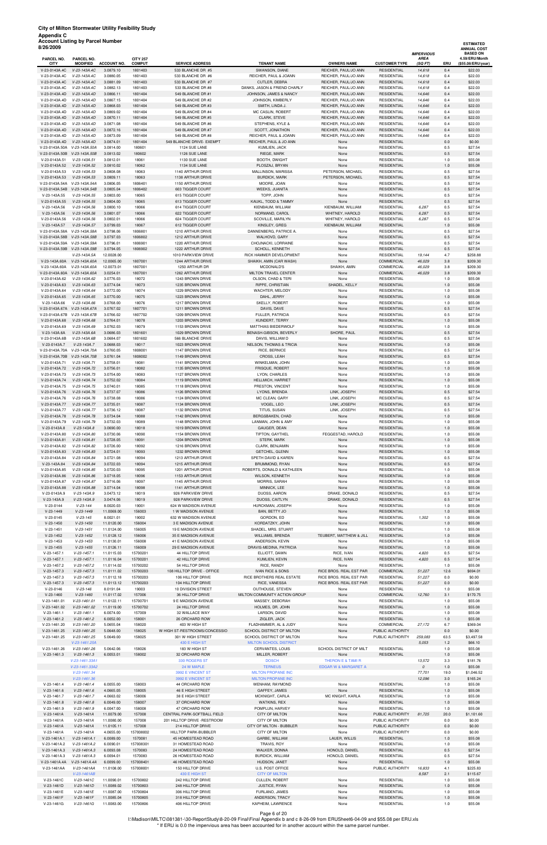| 8/26/2009                       |                                |                          |                                  |                                                |                                                        |                                              |                                          |                                             |             | <b>ESTIMATED</b><br><b>ANNUAL COST</b>                  |
|---------------------------------|--------------------------------|--------------------------|----------------------------------|------------------------------------------------|--------------------------------------------------------|----------------------------------------------|------------------------------------------|---------------------------------------------|-------------|---------------------------------------------------------|
| PARCEL NO.<br><b>CITY</b>       | PARCEL NO.<br><b>MODIFIED</b>  | <b>ACCOUNT NO.</b>       | <b>CITY 257</b><br><b>COMPUT</b> | <b>SERVICE ADDRESS</b>                         | <b>TENANT NAME</b>                                     | <b>OWNERS NAME</b>                           | <b>CUSTOMER TYPE</b>                     | <b>IMPERVIOUS</b><br><b>AREA</b><br>(SQ FT) | ERU         | <b>BASED ON</b><br>4.59/ERU/Month<br>(\$55.08/ERU/year) |
| V-23-0143A.4C                   | V-23-143A.4C                   | 3.0879.10                | 1801403                          | 533 BLANCHE DR #5                              | SWANSON, DIANE                                         | REICHER, PAUL/JO ANN                         | <b>RESIDENTIAL</b>                       | 14,618                                      | 0.4         | \$22.03                                                 |
| V-23-0143A.4C                   | V-23-143A.4C                   | 3.0880.05                | 1801403                          | 533 BLANCHE DR #6                              | REICHER, PAUL & JOANN                                  | REICHER, PAUL/JO ANN                         | <b>RESIDENTIAL</b>                       | 14,618                                      | 0.4         | \$22.03                                                 |
| V-23-0143A.4C                   | V-23-143A.4C                   | 3.0881.09                | 1801403                          | 533 BLANCHE DR #7                              | CUTLER, DEBRA                                          | REICHER, PAUL/JO ANN                         | <b>RESIDENTIAL</b>                       | 14,618                                      | 0.4         | \$22.03                                                 |
| V-23-0143A.4C                   | V-23-143A.4C                   | 3.0882.13                | 1801403                          | 533 BLANCHE DR #8                              | DANKS, JASON & FRIEND CHARLY                           | REICHER, PAUL/JO ANN                         | <b>RESIDENTIAL</b>                       | 14,618                                      | 0.4         | \$22.03                                                 |
| V-23-0143A.4D                   | V-23-143A.4D                   | 3.0866.11                | 1801404                          | 549 BLANCHE DR #1                              | JOHNSON, JAMES & NANCY                                 | REICHER, PAUL/JO ANN                         | <b>RESIDENTIAL</b>                       | 14,646                                      | 0.4         | \$22.03                                                 |
| V-23-0143A.4D                   | V-23-143A.4D                   | 3.0867.15                | 1801404                          | 549 BLANCHE DR #2                              | JOHNSON, KIMBERLY                                      | REICHER, PAUL/JO ANN                         | <b>RESIDENTIAL</b>                       | 14,646                                      | 0.4         | \$22.03                                                 |
| V-23-0143A.4D<br>V-23-0143A.4D  | V-23-143A.4D<br>V-23-143A.4D   | 3.0868.03<br>3.0869.02   | 1801404<br>1801404               | 549 BLANCHE DR #3<br>549 BLANCHE DR #4         | SMITH, LINDA J.<br><b>MC CASLIN, ROBERT</b>            | REICHER, PAUL/JO ANN<br>REICHER, PAUL/JO ANN | <b>RESIDENTIAL</b><br><b>RESIDENTIAL</b> | 14,646<br>14,646                            | 0.4<br>0.4  | \$22.03<br>\$22.03                                      |
| V-23-0143A.4D                   | V-23-143A.4D                   | 3.0870.11                | 1801404                          | 549 BLANCHE DR #5                              | CLARK, STEVE                                           | REICHER, PAUL/JO ANN                         | <b>RESIDENTIAL</b>                       | 14,646                                      | 0.4         | \$22.03                                                 |
| V-23-0143A.4D                   | V-23-143A.4D                   | 3.0871.08                | 1801404                          | 549 BLANCHE DR #6                              | STEPHENS, KYLE &                                       | REICHER, PAUL/JO ANN                         | <b>RESIDENTIAL</b>                       | 14,646                                      | 0.4         | \$22.03                                                 |
| V-23-0143A.4D                   | V-23-143A.4D                   | 3.0872.16                | 1801404                          | 549 BLANCHE DR #7                              | SCOTT, JONATHON                                        | REICHER, PAUL/JO ANN                         | <b>RESIDENTIAL</b>                       | 14,646                                      | 0.4         | \$22.03                                                 |
| V-23-0143A.4D                   | V-23-143A.4D                   | 3.0873.09                | 1801404                          | 549 BLANCHE DR #8                              | REICHER, PAUL & JOANN                                  | REICHER, PAUL/JO ANN                         | <b>RESIDENTIAL</b>                       | 14,646                                      | 0.4         | \$22.03                                                 |
| V-23-0143A.4D                   | V-23-143A.4D                   | 3.0874.01                | 1801404                          | 549 BLANCHE DRIVE- EXEMPT                      | REICHER, PAUL & JO ANN                                 | None                                         | <b>RESIDENTIAL</b>                       |                                             | 0.0         | \$0.00                                                  |
| V-23-0143A.50A                  | V-23-143A.50A                  | 3.0814.00                | 180601                           | 1124 SUE LANE                                  | KUMLIEN, JACK                                          | None                                         | <b>RESIDENTIAL</b>                       |                                             | 0.5         | \$27.54                                                 |
| V-23-0143A.50B<br>V-23-0143A.51 | V-23-143A.50B<br>V-23-143A.51  | 3.0813.02<br>3.0812.01   | 180602<br>18061                  | 1126 SUE LANE<br>1130 SUE LANE                 | RIEGE, MARK<br><b>BOOTH, DWIGHT</b>                    | None<br>None                                 | <b>RESIDENTIAL</b><br><b>RESIDENTIAL</b> |                                             | 0.5<br>1.0  | \$27.54<br>\$55.08                                      |
| V-23-0143A.52                   | V-23-143A.52                   | 3.0810.02                | 18062                            | 1134 SUE LANE                                  | PLOSZAJ, BRYAN                                         | None                                         | <b>RESIDENTIAL</b>                       |                                             | 1.0         | \$55.08                                                 |
| V-23-0143A.53                   | V-23-143A.53                   | 3.0808.08                | 18063                            | 1140 ARTHUR DRIVE                              | <b>MALLINSON, MARISSA</b>                              | PETERSON, MICHAEL                            | <b>RESIDENTIAL</b>                       |                                             | 0.5         | \$27.54                                                 |
| V-23-0143A.53                   | $V-23-143A.53$                 | 3.0809.11                | 18063                            | 1138 ARTHUR DRIVE                              | <b>BURDICK, MARK</b>                                   | PETERSON, MICHAEL                            | <b>RESIDENTIAL</b>                       |                                             | 0.5         | \$27.54                                                 |
| V-23-0143A.54A                  | V-23-143A.54A                  | 3.0806.05                | 1806401                          | 1150 ARTHUR DRIVE                              | MOORE, JOAN                                            | None                                         | <b>RESIDENTIAL</b>                       |                                             | 0.5         | \$27.54                                                 |
| V-23-0143A.54B                  | V-23-143A.54B                  | 3.0805.04                | 1806402                          | 603 TIGGER COURT                               | <b>WEEKS, JUANITA</b>                                  | None                                         | <b>RESIDENTIAL</b>                       |                                             | 0.5         | \$27.54                                                 |
| V-23-143A.55                    | V-23-143A.55                   | 3.0803.00                | 18065                            | 615 TIGGER COURT                               | TOPP, JOHN                                             | None                                         | <b>RESIDENTIAL</b>                       |                                             | 0.5         | \$27.54                                                 |
| V-23-0143A.55<br>V-23-143A.56   | V-23-143A.55<br>V-23-143A.56   | 3.0804.00<br>3.0800.10   | 18065<br>18066                   | 613 TIGGER COURT<br>614 TIGGER COURT           | KAUKL, TODD & TAMMY<br>KIENBAUM, WILLIAM               | None<br>KIENBAUM, WILLIAM                    | <b>RESIDENTIAL</b><br><b>RESIDENTIAL</b> | 6,287                                       | 0.5<br>0.5  | \$27.54<br>\$27.54                                      |
| V-23-143A.56                    | $V-23-143A.56$                 | 3.0801.07                | 18066                            | 622 TIGGER COURT                               | NORMAND, CAROL                                         | WHITNEY, HAROLD                              | <b>RESIDENTIAL</b>                       | 6,287                                       | 0.5         | \$27.54                                                 |
| V-23-0143A.56                   | V-23-143A.56                   | 3.0802.01                | 18066                            | 624 TIGGER COURT                               | SCOVILLE, MARILYN                                      | WHITNEY, HAROLD                              | <b>RESIDENTIAL</b>                       | 6,287                                       | 0.5         | \$27.54                                                 |
| V-23-143A.57                    | V-23-143A.57                   | 3.0799.03                | 18067                            | 612 TIGGER COURT                               | KINSLEY, GREG                                          | KIENBAUM, WILLIAM                            | <b>RESIDENTIAL</b>                       |                                             | 1.0         | \$55.08                                                 |
| V-23-0143A.58A                  | V-23-143A.58A                  | 3.0798.06                | 1806801                          | 1210 ARTHUR DRIVE                              | DANNENBERG, PATRICE A.                                 | None                                         | <b>RESIDENTIAL</b>                       |                                             | 0.5         | \$27.54                                                 |
| V-23-0143A.58B                  | V-23-143A.58B                  | 3.0797.03                | 1806802                          | 1212 ARTHUR DRIVE                              | WALHOVD, GARY                                          | None                                         | <b>RESIDENTIAL</b>                       |                                             | 0.5         | \$27.54                                                 |
| V-23-0143A.59A                  | V-23-143A.59A                  | 3.0796.01                | 1806901                          | 1220 ARTHUR DRIVE                              | CHOJNACKI, LORRAINE                                    | None                                         | <b>RESIDENTIAL</b>                       |                                             | 0.5         | \$27.54                                                 |
| V-23-0143A.59B                  | V-23-143A.59B<br>V-23-143A.5A  | 3.0794.05<br>12.0028.00  | 1806902                          | 1222 ARTHUR DRIVE<br>1010 PARKVIEW DRIVE       | SCHOLL, KENNETH<br>RICK HAMMER DEVELOPMENT             | None<br>None                                 | <b>RESIDENTIAL</b><br><b>RESIDENTIAL</b> | 19,144                                      | 0.5<br>4.7  | \$27.54<br>\$258.88                                     |
| V-23-143A.60A                   | V-23-143A.60A                  | 12.0065.00               | 1807001                          | 1244 ARTHUR DRIVE                              | SHAIKH, AMIN (CAR WASH)                                | None                                         | COMMERCIAL                               | 46,029                                      | 3.8         | \$209.30                                                |
| V-23-143A.60A                   | V-23-143A.60A                  | 12.0073.01               | 1807001                          | 1250 ARTHUR DR                                 | MCDONALD'S                                             | SHAIKH, AMIN                                 | COMMERCIAL                               | 46,029                                      | 3.8         | \$209.30                                                |
| V-23-0143A.60A                  | V-23-143A.60A                  | 3.0254.01                | 1807001                          | 1262 ARTHUR DRIVE                              | MILTON TRAVEL CENTER                                   | None                                         | <b>COMMERCIAL</b>                        | 46,029                                      | 3.8         | \$209.30                                                |
| V-23-0143A.62                   | V-23-143A.62                   | 3.0776.03                | 18072                            | 1243 BROWN DRIVE                               | OLSON, CHAD & TERI                                     | None                                         | <b>RESIDENTIAL</b>                       |                                             | 1.0         | \$55.08                                                 |
| V-23-0143A.63                   | V-23-143A.63                   | 3.0774.04                | 18073                            | 1235 BROWN DRIVE                               | RIPPE, CHRISTIAN                                       | SHADEL, KELLY                                | <b>RESIDENTIAL</b>                       |                                             | 1.0         | \$55.08                                                 |
| V-23-0143A.64                   | V-23-143A.64                   | 3.0772.00                | 18074                            | 1229 BROWN DRIVE                               | WACHTER, MELODY                                        | None                                         | <b>RESIDENTIAL</b>                       |                                             | 1.0         | \$55.08                                                 |
| V-23-0143A.65<br>V-23-143A.66   | V-23-143A.65<br>V-23-143A.66   | 3.0770.00<br>3.0768.00   | 18075<br>18076                   | 1223 BROWN DRIVE<br>1217 BROWN DRIVE           | DAHL, JERRY<br>SKELLY, ROBERT                          | None<br>None                                 | <b>RESIDENTIAL</b><br><b>RESIDENTIAL</b> |                                             | 1.0<br>1.0  | \$55.08<br>\$55.08                                      |
| V-23-0143A.67A                  | V-23-143A.67A                  | 3.0767.02                | 1807701                          | 1211 BROWN DRIVE                               | DAVIS, DAVE                                            | None                                         | <b>RESIDENTIAL</b>                       |                                             | 0.5         | \$27.54                                                 |
| V-23-0143A.67B                  | V-23-143A.67B                  | 3.0766.02                | 1807702                          | 1209 BROWN DRIVE                               | <b>FULLER, PATRICIA</b>                                | None                                         | <b>RESIDENTIAL</b>                       |                                             | 0.5         | \$27.54                                                 |
| V-23-0143A.68                   | V-23-143A.68                   | 3.0764.01                | 18078                            | 1203 BROWN DRIVE                               | KUNDERT, TERRY                                         | None                                         | <b>RESIDENTIAL</b>                       |                                             | 1.0         | \$55.08                                                 |
| V-23-0143A.69                   | V-23-143A.69                   | 3.0762.03                | 18079                            | 1153 BROWN DRIVE                               | MATTHIAS BIEDERWOLF                                    | None                                         | <b>RESIDENTIAL</b>                       |                                             | 1.0         | \$55.08                                                 |
| V-23-143A.6A                    | V-23-143A.6A                   | 3.0686.03                | 1801601                          | 1029 BROWN DRIVE                               | BENASH-GIBSON, BEVERLY                                 | SHORE, PAUL                                  | <b>RESIDENTIAL</b>                       |                                             | 0.5         | \$27.54                                                 |
| V-23-0143A.6B<br>V-23-0143A.7   | V-23-143A.6B<br>$V-23-143A.7$  | 3.0684.07<br>3.0688.03   | 1801602<br>18017                 | 566 BLANCHE DRIVE<br>1023 BROWN DRIVE          | DAVIS. WILLIAM D<br><b>NELSON, THOMAS &amp; TRICIA</b> | None<br>None                                 | <b>RESIDENTIAL</b><br><b>RESIDENTIAL</b> |                                             | 0.5<br>1.0  | \$27.54<br>\$55.08                                      |
| V-23-0143A.70A                  | V-23-143A.70A                  | 3.0760.05                | 1808001                          | 1147 BROWN DRIVE                               | RICE, BERNICE                                          | None                                         | <b>RESIDENTIAL</b>                       |                                             | 0.5         | \$27.54                                                 |
| V-23-0143A.70B                  | V-23-143A.70B                  | 3.0761.04                | 1808002                          | 1149 BROWN DRIVE                               | CROSS, LEAH                                            | None                                         | <b>RESIDENTIAL</b>                       |                                             | 0.5         | \$27.54                                                 |
| V-23-0143A.71                   | V-23-143A.71                   | 3.0758.01                | 18081                            | 1141 BROWN DRIVE                               | WINKELMAN, JOHN                                        | None                                         | <b>RESIDENTIAL</b>                       |                                             | 1.0         | \$55.08                                                 |
| V-23-0143A.72                   | V-23-143A.72                   | 3.0756.01                | 18082                            | 1135 BROWN DRIVE                               | <b>FRISQUE, ROBERT</b>                                 | None                                         | <b>RESIDENTIAL</b>                       |                                             | 1.0         | \$55.08                                                 |
| V-23-0143A.73                   | V-23-143A.73                   | 3.0754.00                | 18083                            | 1127 BROWN DRIVE                               | LYON, CHARLES                                          | None                                         | <b>RESIDENTIAL</b>                       |                                             | 1.0         | \$55.08                                                 |
| V-23-0143A.74<br>V-23-0143A.75  | V-23-143A.74<br>$V-23-143A.75$ | 3.0752.02<br>3.0740.01   | 18084<br>18085                   | 1119 BROWN DRIVE<br>1118 BROWN DRIVE           | <b>HELLMICH, HARRIET</b><br>PRESTON, VINCENT           | None<br>None                                 | <b>RESIDENTIAL</b><br><b>RESIDENTIAL</b> |                                             | 1.0<br>1.0  | \$55.08<br>\$55.08                                      |
| V-23-0143A.76                   | V-23-143A.76                   | 3.0737.07                | 18086                            | 1126 BROWN DRIVE                               | LYONS, BRENDA                                          | LINK, JOSEPH                                 | <b>RESIDENTIAL</b>                       |                                             | 0.5         | \$27.54                                                 |
| V-23-0143A.76                   | V-23-143A.76                   | 3.0738.08                | 18086                            | 1124 BROWN DRIVE                               | MC CLEAN, GARY                                         | LINK, JOSEPH                                 | <b>RESIDENTIAL</b>                       |                                             | 0.5         | \$27.54                                                 |
| V-23-0143A.77                   | V-23-143A.77                   | 3.0735.01                | 18087                            | 1134 BROWN DRIVE                               | VOGEL, LEO                                             | LINK, JOSEPH                                 | <b>RESIDENTIAL</b>                       |                                             | 0.5         | \$27.54                                                 |
| V-23-0143A.77                   | V-23-143A.77                   | 3.0736.12                | 18087                            | 1132 BROWN DRIVE                               | TITUS, SUSAN                                           | LINK, JOSEPH                                 | <b>RESIDENTIAL</b>                       |                                             | 0.5         | \$27.54                                                 |
| V-23-0143A.78                   | V-23-143A.78                   | 3.0734.04                | 18088                            | 1142 BROWN DRIVE                               | BERGSBAKEN, CHAD                                       | None                                         | <b>RESIDENTIAL</b>                       |                                             | 1.0         | \$55.08                                                 |
| V-23-0143A.79                   | V-23-143A.79                   | 3.0732.03                | 18089                            | 1148 BROWN DRIVE                               | LANMAN, JOHN & AMY                                     | None                                         | <b>RESIDENTIAL</b>                       |                                             | 1.0         | \$55.08                                                 |
| V-23-0143A.8<br>V-23-0143A.80   | $V-23-143A.8$<br>V-23-143A.80  | 3.0690.00<br>3.0730.06   | 18018<br>18090                   | 1019 BROWN DRIVE<br>1154 BROWN DRIVE           | GAUGER, DEAN<br>TIPTON, GAYTHEL                        | None<br>FEGGESTAD, HAROLD                    | <b>RESIDENTIAL</b><br><b>RESIDENTIAL</b> |                                             | 1.0<br>1.0  | \$55.08<br>\$55.08                                      |
| V-23-0143A.81                   | $V-23-143A.81$                 | 3.0728.05                | 18091                            | 1204 BROWN DRIVE                               | STERK, MARK                                            | None                                         | <b>RESIDENTIAL</b>                       |                                             | 1.0         | \$55.08                                                 |
| V-23-0143A.82                   | V-23-143A.82                   | 3.0726.00                | 18092                            | 1216 BROWN DRIVE                               | CLARK, BENJAMIN                                        | None                                         | <b>RESIDENTIAL</b>                       |                                             | 1.0         | \$55.08                                                 |
| V-23-0143A.83                   | V-23-143A.83                   | 3.0724.01                | 18093                            | 1232 BROWN DRIVE                               | GETCHEL, GLENN                                         | None                                         | <b>RESIDENTIAL</b>                       |                                             | 1.0         | \$55.08                                                 |
| V-23-0143A.84                   | V-23-143A.84                   | 3.0721.08                | 18094                            | 1213 ARTHUR DRIVE                              | SPETH DAVID & KAREN                                    | None                                         | <b>RESIDENTIAL</b>                       |                                             | 0.5         | \$27.54                                                 |
| V-23-143A.84                    | V-23-143A.84                   | 3.0722.03                | 18094                            | 1215 ARTHUR DRIVE                              | BRUMMOND, RYAN                                         | None                                         | <b>RESIDENTIAL</b>                       |                                             | 0.5         | \$27.54                                                 |
| V-23-0143A.85                   | V-23-143A.85                   | 3.0720.03                | 18095                            | 1201 ARTHUR DRIVE                              | ROBERTS, DONALD & KATHLEEN                             | None                                         | <b>RESIDENTIAL</b>                       |                                             | 1.0         | \$55.08                                                 |
| V-23-0143A.86<br>V-23-0143A.87  | V-23-143A.86<br>V-23-143A.87   | 3.0718.05<br>3.0716.06   | 18096<br>18097                   | 1153 ARTHUR DRIVE<br>1145 ARTHUR DRIVE         | WILSON, KENNETH<br>MORRIS, SARAH                       | None<br>None                                 | <b>RESIDENTIAL</b><br><b>RESIDENTIAL</b> |                                             | 1.0<br>1.0  | \$55.08<br>\$55.08                                      |
| V-23-0143A.88                   | V-23-143A.88                   | 3.0714.04                | 18098                            | 1141 ARTHUR DRIVE                              | MINNICK, LEE                                           | None                                         | <b>RESIDENTIAL</b>                       |                                             | 1.0         | \$55.08                                                 |
| V-23-0143A.9                    | $V-23-143A.9$                  | 3.0473.12                | 18019                            | 926 PARKVIEW DRIVE                             | DUOSS, AARON                                           | DRAKE, DONALD                                | <b>RESIDENTIAL</b>                       |                                             | 0.5         | \$27.54                                                 |
| V-23-143A.9                     | $V-23-143A.9$                  | 3.0474.06                | 18019                            | 928 PARKVIEW DRIVE                             | DUOSS, CAITLYN                                         | DRAKE, DONALD                                | <b>RESIDENTIAL</b>                       |                                             | 0.5         | \$27.54                                                 |
| V-23-0144                       | $V-23-144$                     | 8.0020.03                | 19001                            | 624 W MADISON AVENUE                           | HURCKMAN, JOSEPH                                       | None                                         | <b>RESIDENTIAL</b>                       |                                             | 1.0         | \$55.08                                                 |
| $V-23-1449$                     | $V-23-1449$                    | 11.0069.00               | 156003                           | 1 W MADISON AVENUE                             | BAN, BETTY JO                                          | None                                         | <b>RESIDENTIAL</b>                       |                                             | 1.0         | \$55.08                                                 |
| $V-23-0145$<br>$V-23-1450$      | $V-23-145$<br>$V-23-1450$      | 8.0021.01<br>11.0120.00  | 19002<br>156004                  | 632 W MADISON AVENUE<br>3 E MADISON AVENUE     | GORDON, ED<br>KORDATZKY, JOHN                          | None<br>None                                 | <b>RESIDENTIAL</b><br><b>RESIDENTIAL</b> | 1,302                                       | 1.0<br>1.0  | \$55.08<br>\$55.08                                      |
| $V-23-1451$                     | $V-23-1451$                    | 11.0124.00               | 156005                           | 19 E MADISON AVENUE                            | SHADEL, MRS. STUART                                    | None                                         | <b>RESIDENTIAL</b>                       |                                             | 1.0         | \$55.08                                                 |
| $V-23-1452$                     | $V-23-1452$                    | 11.0128.12               | 156006                           | 35 E MADISON AVENUE                            | WILLIAMS, BRENDA                                       | TEUBERT, MATTHEW & JILL                      | <b>RESIDENTIAL</b>                       |                                             | 1.0         | \$55.08                                                 |
| $V-23-1453$                     | $V-23-1453$                    | 11.0130.01               | 156008                           | 41 E MADISON AVENUE                            | ANDERSON, KEVIN                                        | None                                         | <b>RESIDENTIAL</b>                       |                                             | 1.0         | \$55.08                                                 |
| $V-23-1455$                     | $V-23-1455$                    | 11.0126.11               | 156009                           | 29 E MADISON AVENUE                            | DRAVIS-MEDINA, PATRICIA                                | None                                         | <b>RESIDENTIAL</b>                       |                                             | 1.0         | \$55.08                                                 |
| V-23-1457.1                     | $V-23-1457.1$                  | 11.0115.03               | 15700201                         | 44 HILLTOP DRIVE                               | ELLIOTT, DAWN                                          | RICE, IVAN                                   | <b>RESIDENTIAL</b>                       | 4,820                                       | 0.5         | \$27.54                                                 |
| $V-23-1457.1$                   | $V-23-1457.1$                  | 11.0116.04               | 15700201                         | 42 HILLTOP DRIVE                               | KUMLIEN, KEVIN                                         | RICE, IVAN                                   | <b>RESIDENTIAL</b>                       | 4,820                                       | 0.5         | \$27.54                                                 |
| V-23-1457.2<br>V-23-1457.3      | V-23-1457.2<br>$V-23-1457.3$   | 11.0114.02<br>11.0111.02 | 15700202<br>15700203             | 54 HILLTOP DRIVE<br>108 HILLTOP DRIVE - OFFICE | RICE, RANDY<br><b>IVAN RICE &amp; SONS</b>             | None<br>RICE BROS. REAL EST PAR              | <b>RESIDENTIAL</b><br><b>COMMERCIAL</b>  | 51,227                                      | 1.0<br>12.6 | \$55.08<br>\$694.01                                     |
| V-23-1457.3                     | $V-23-1457.3$                  | 11.0112.18               | 15700203                         | 106 HILLTOP DRIVE                              | RICE BROTHERS REAL ESTATE                              | RICE BROS. REAL EST PAR                      | <b>RESIDENTIAL</b>                       | 51,227                                      | 0.0         | \$0.00                                                  |
| V-23-1457.3                     | $V-23-1457.3$                  | 11.0113.12               | 15700203                         | 104 HILLTOP DRIVE                              | RICE, VANESSA                                          | RICE BROS. REAL EST PAR                      | <b>RESIDENTIAL</b>                       | 51,227                                      | 0.0         | \$0.00                                                  |
| V-23-0146                       | $V-23-146$                     | 8.0191.04                | 19003                            | 10 DIVISION STREET                             | OUTHOUSE, STEVEN                                       | None                                         | <b>RESIDENTIAL</b>                       |                                             | 1.0         | \$55.08                                                 |
| $V-23-1460$                     | $V-23-1460$                    | 11.0117.02               | 157006                           | 36 HILLTOP DRIVE                               | MILTON COMMUNITY ACTION GROUP                          | None                                         | COMMERCIAL                               | 12,760                                      | 3.1         | \$170.75                                                |
| V-23-1461.01<br>V-23-1461.02    | $V-23-1461.01$<br>V-23-1461.02 | 11.0122.11<br>11.0119.00 | 15700701<br>15700702             | 9 E MADISON AVENUE<br>24 HILLTOP DRIVE         | MASSEY, DEBORAH<br>HOLMES, DR. JOHN                    | None<br>None                                 | <b>RESIDENTIAL</b><br><b>RESIDENTIAL</b> |                                             | 1.0<br>1.0  | \$55.08<br>\$55.08                                      |
|                                 |                                |                          |                                  |                                                |                                                        |                                              |                                          |                                             |             |                                                         |

V-23-1461.1 V-23-1461.1 6.0074.00 157009 32 WALLACE WAY LARSON, DAVID None RESIDENTIAL 1.0 \$55.08 V-23-1461.2 V-23-1461.2 6.0052.00 158001 26 ORCHARD ROW ZIGLER, JACK None RESIDENTIAL 1.0 \$55.08

| V-23-1461.20   | V-23-1461.20   | 5.0655.04  | 158020    | 403 W HIGH ST                 | FLADHAMMER, AL & JUDY         | None                           | COMMERCIAL         | 27,172        | 6.7  | \$369.04   |
|----------------|----------------|------------|-----------|-------------------------------|-------------------------------|--------------------------------|--------------------|---------------|------|------------|
| $V-23-1461.25$ | $V-23-1461.25$ | 5.0648.00  | 158025    | W HIGH ST-RESTROOMS/CONCESSIO | SCHOOL DISTRICT OF MILTON     | None                           | PUBLIC AUTHORITY   |               | 0.0  | \$0.00     |
| V-23-1461.25   | $V-23-1461.25$ | 5.0649.00  | 158025    | 301 W HIGH STREET             | SCHOOL DISTRICT OF MILTON     | None                           | PUBLIC AUTHORITY   | 259,083       | 63.5 | \$3,497.58 |
|                | V-23-1461.25A  |            |           | 430 E HIGH ST                 | <b>MILTON SCHOOL DISTRICT</b> |                                |                    | 5.053         | 1.2  | \$66.10    |
| V-23-1461.26   | V-23-1461.26   | 5.0642.06  | 158026    | 183 W HIGH ST                 | CERVANTES, LOUIS              | <b>SCHOOL DISTRICT OF MILT</b> | <b>RESIDENTIAL</b> |               | 1.0  | \$55.08    |
| $V-23-1461.3$  | $V-23-1461.3$  | 6.0053.01  | 158002    | 32 ORCHARD ROW                | MILLER, ROBERT                | None                           | <b>RESIDENTIAL</b> |               | 1.0  | \$55.08    |
|                | V-23-1461.33A1 |            |           | 330 ROGERS ST                 | <b>DOSCH</b>                  | <b>THERON E &amp; TAMI R</b>   |                    | 13,572        | 3.3  | \$181.76   |
|                | V-23-1461.33A2 |            |           | 24 W MAPLE                    | <b>TERNEUS</b>                | EDGAR W & MARGARET A           |                    | $\mathcal{O}$ | 1.0  | \$55.08    |
|                | $V-23-1461.34$ |            |           | 3992 E VINCENT ST             | <b>MILTON PROPANE INC</b>     |                                |                    | 77,701        | 19.0 | \$1,046.52 |
|                | $V-23-1461.36$ |            |           | 3992 E VINCENT ST             | <b>MILTON PROPANE INC</b>     |                                |                    | 12,096        | 3.0  | \$165.24   |
| $V-23-1461.4$  | $V-23-1461.4$  | 6.0055.00  | 158003    | 44 ORCHARD ROW                | <b>WENHAM, RAYMOND</b>        | None                           | <b>RESIDENTIAL</b> |               | 1.0  | \$55.08    |
| $V-23-1461.6$  | $V-23-1461.6$  | 4.0665.05  | 158005    | 46 E HIGH STREET              | GAFFEY, JAMES                 | None                           | <b>RESIDENTIAL</b> |               | 1.0  | \$55.08    |
| $V-23-1461.7$  | $V-23-1461.7$  | 4.0663.02  | 158006    | 38 E HIGH STREET              | MCKNIGHT, CARLA               | MC KNIGHT, KARLA               | <b>RESIDENTIAL</b> |               | 1.0  | \$55.08    |
| $V-23-1461.8$  | $V-23-1461.8$  | 6.0049.00  | 158007    | 37 ORCHARD ROW                | <b>WATKINS, REX</b>           | None                           | <b>RESIDENTIAL</b> |               | 1.0  | \$55.08    |
| V-23-1461.9    | $V-23-1461.9$  | 6.0047.00  | 158008    | 47 ORCHARD ROW                | POMPLUN, HARVEY               | None                           | <b>RESIDENTIAL</b> |               | 1.0  | \$55.08    |
| V-23-1461A     | $V-23-1461A$   | 11.0079.00 | 157008    | CENTRAL PARK-SOFTBALL FIELD   | <b>CITY OF MILTON</b>         | None                           | PUBLIC AUTHORITY   | 81.725        | 20.0 | \$1,101.60 |
| $V-23-1461A$   | $V-23-1461A$   | 11.0080.00 | 157008    | 201 HILLTOP DRIVE - RESTROOM  | CITY OF MILTON                | None                           | PUBLIC AUTHORITY   |               | 0.0  | \$0.00     |
| $V-23-1461A$   | $V-23-1461A$   | 11.0105.11 | 157008    | 214 HILLTOP DRIVE             | CITY OF MILTON - BUBBLER      | None                           | PUBLIC AUTHORITY   |               | 0.0  | \$0.00     |
| V-23-1461A     | $V-23-1461A$   | 4.0655.00  | 157008002 | HILLTOP PARK-BUBBLER          | CITY OF MILTON                | None                           | PUBLIC AUTHORITY   |               | 0.0  | \$0.00     |
| V-23-1461A.1   | $V-23-1461A.1$ | 6.0089.00  | 1570081   | <b>45 HOMESTEAD ROAD</b>      | GARBE, WILLIAM                | LAUER, WILLIS                  | <b>RESIDENTIAL</b> |               | 1.0  | \$55.08    |
| V-23-1461A.2   | V-23-1461A.2   | 6.0090.01  | 157008301 | 31 HOMESTEAD ROAD             | TRAVIS, ROY                   | None                           | <b>RESIDENTIAL</b> |               | 1.0  | \$55.08    |
| V-23-1461A.3   | $V-23-1461A.3$ | 6.0093.08  | 1570083   | 24 HOMESTEAD ROAD             | WALKER, DONNA                 | HONOLD, DANIEL                 | <b>RESIDENTIAL</b> |               | 0.5  | \$27.54    |
| V-23-1461A.3   | $V-23-1461A.3$ | 6.0094.01  | 1570083   | 26 HOMESTEAD ROAD             | <b>BURDICK, WILLIAM</b>       | HONOLD, DANIEL                 | <b>RESIDENTIAL</b> |               | 0.5  | \$27.54    |
| V-23-1461A.4A  | V-23-1461A.4A  | 6.0099.00  | 157008401 | <b>46 HOMESTEAD ROAD</b>      | HUDSON, JANET                 | None                           | <b>RESIDENTIAL</b> |               | 1.0  | \$55.08    |
| V-23-1461AA    | V-23-1461AA    | 11.0108.00 | 157008001 | 150 HILLTOP DRIVE             | U.S. POST OFFICE              | None                           | PUBLIC AUTHORITY   | 16.833        | 4.1  | \$225.83   |
|                | $V-23-1461AB$  |            |           | 430 E HIGH ST                 | <b>CITY OF MILTON</b>         |                                |                    | 8.587         | 2.1  | \$115.67   |
| V-23-1461C     | $V-23-1461C$   | 11.0090.01 | 15700802  | 242 HILLTOP DRIVE             | <b>CULLEN, ROBERT</b>         | None                           | <b>RESIDENTIAL</b> |               | 1.0  | \$55.08    |
| V-23-1461D     | $V-23-1461D$   | 11.0089.02 | 15700803  | 248 HILLTOP DRIVE             | JUSTICE, RYAN                 | None                           | <b>RESIDENTIAL</b> |               | 1.0  | \$55.08    |
| V-23-1461E     | $V-23-1461E$   | 11.0087.00 | 15700804  | 306 HILLTOP DRIVE             | FURLANO, JAMES                | None                           | <b>RESIDENTIAL</b> |               | 1.0  | \$55.08    |
| V-23-1461F     | $V-23-1461F$   | 11.0085.04 | 15700805  | 318 HILLTOP DRIVE             | ANDERSON, TRACY               | None                           | <b>RESIDENTIAL</b> |               | 1.0  | \$55.08    |
| $V-23-1461G$   | $V-23-1461G$   | 11.0083.00 | 15700806  | 406 HILLTOP DRIVE             | KAPHEIM. LAWRENCE             | None                           | <b>RESIDENTIAL</b> |               | 1.0  | \$55.08    |

Page 6 of 20

I:\Madison\MILTC\081381-\30-ReportStudy\8-20-09 Final\Final Appendix b and c 8-26-09 from ERUSheet6-04-09 and \$55.08 per ERU.xls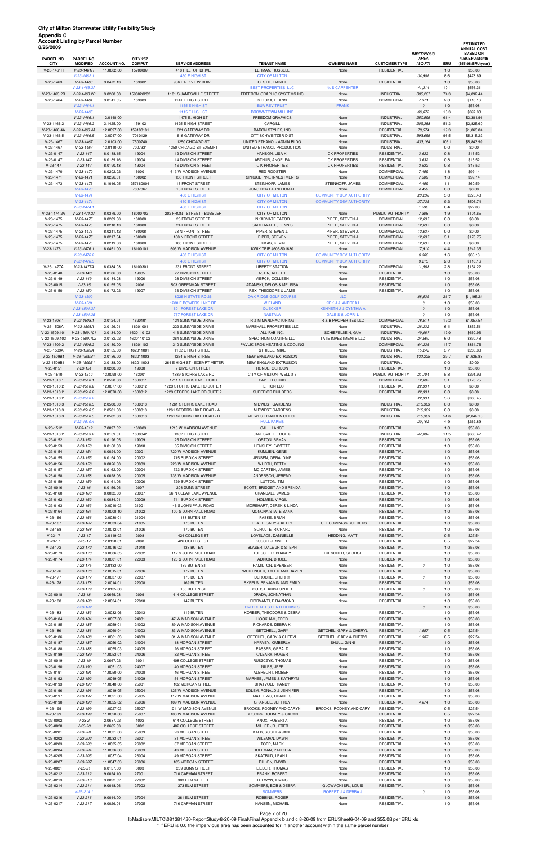| ACCOUNT LISHING DY FAILEI NUMBER<br>8/26/2009 |                                 |                          |                                  |                                                            |                                                      |                                                                  |                                          |                                             |              | <b>ESTIMATED</b><br><b>ANNUAL COST</b>                  |
|-----------------------------------------------|---------------------------------|--------------------------|----------------------------------|------------------------------------------------------------|------------------------------------------------------|------------------------------------------------------------------|------------------------------------------|---------------------------------------------|--------------|---------------------------------------------------------|
| PARCEL NO.<br><b>CITY</b>                     | PARCEL NO.<br><b>MODIFIED</b>   | <b>ACCOUNT NO.</b>       | <b>CITY 257</b><br><b>COMPUT</b> | <b>SERVICE ADDRESS</b>                                     | <b>TENANT NAME</b>                                   | <b>OWNERS NAME</b>                                               | <b>CUSTOMER TYPE</b>                     | <b>IMPERVIOUS</b><br><b>AREA</b><br>(SQ FT) | ERU          | <b>BASED ON</b><br>4.59/ERU/Month<br>(\$55.08/ERU/year) |
| V-23-1461H                                    | $V-23-1461H$                    | 11.0082.00               | 15700807                         | 418 HILLTOP DRIVE                                          | LEHMAN, RUSSELL                                      | None                                                             | <b>RESIDENTIAL</b>                       |                                             | 1.0          | \$55.08                                                 |
|                                               | $V-23-1462.1$                   |                          |                                  | 430 E HIGH ST                                              | <b>CITY OF MILTON</b>                                |                                                                  |                                          | 34,906                                      | 8.6          | \$473.69                                                |
| $V-23-1463$                                   | $V-23-1463$<br>V-23-1463.2A     | 3.0472.13                | 159002                           | 936 PARKVIEW DRIVE                                         | OFSTIE, DANIEL<br><b>BEST PROPERTIES LLC</b>         | None<br>% S CARPENTER                                            | <b>RESIDENTIAL</b>                       | 41,314                                      | 1.0<br>10.1  | \$55.08<br>\$556.31                                     |
| V-23-1463.2B                                  | V-23-1463.2B                    | 3.0260.00                | 1590020202                       | 1101 S JANESVILLE STREET                                   | FREEDOM GRAPHIC SYSTEMS INC                          | None                                                             | <b>INDUSTRIAL</b>                        | 303,287                                     | 74.3         | \$4,092.44                                              |
| $V-23-1464$                                   | $V-23-1464$                     | 3.0141.05                | 159003                           | 1141 E HIGH STREET                                         | STLUKA, LEANN                                        | None                                                             | COMMERCIAL                               | 7,971                                       | 2.0          | \$110.16                                                |
|                                               | $V-23-1464.1$                   |                          |                                  | 1155 E HIGH ST                                             | <b>BUA REV TRUST</b>                                 | <b>FRANK</b>                                                     |                                          | $\mathcal O$                                | 1.0          | \$55.08                                                 |
|                                               | $V-23-1465$<br>$V-23-1466.1$    | 12.0148.00               |                                  | <b>1115 E HIGH ST</b><br>1475 E. HIGH ST                   | <b>BROWNTOWN MILL INC</b><br><b>FREEDOM GRAPHICS</b> | None                                                             | <b>INDUSTRIAL</b>                        | 66,676<br>250,599                           | 16.3<br>61.4 | \$897.80<br>\$3,381.91                                  |
| V-23-1466.2                                   | $V-23-1466.2$                   | 3.1425.00                | 159102                           | 1425 E HIGH STREET                                         | CARGILL                                              | None                                                             | <b>INDUSTRIAL</b>                        | 209,388                                     | 51.3         | \$2,825.60                                              |
| V-23-1466.4A                                  | V-23-1466.4A                    | 12.0097.00               | 159100101                        | 621 GATEWAY DR                                             | <b>BARON STYLES, INC</b>                             | None                                                             | <b>RESIDENTIAL</b>                       | 78,574                                      | 19.3         | \$1,063.04                                              |
| $V-23-1466.5$                                 | $V-23-1466.5$                   | 12.0047.00               | 7010129                          | 616 GATEWAY DR                                             | OTT SCHWEITZER DIST                                  | None                                                             | <b>INDUSTRIAL</b>                        | 393,659                                     | 96.5         | \$5,315.22                                              |
| V-23-1467                                     | $V-23-1467$                     | 12.0103.00               | 7500740                          | 1250 CHICAGO ST                                            | UNITED ETHANOL- ADMIN BLDG                           | None                                                             | <b>INDUSTRIAL</b>                        | 433,164                                     | 106.1        | \$5,843.99                                              |
| V-23-1467                                     | $V-23-1467$                     | 12.0110.00               | 7007331                          | 1250 CHICAGO ST-EXEMPT                                     | UNITED ETHANOL PRODUCTION                            | None                                                             | <b>INDUSTRIAL</b>                        |                                             | 0.0          | \$0.00                                                  |
| $V-23-0147$<br>V-23-0147                      | $V-23-147$<br>$V-23-147$        | 8.0188.15<br>8.0189.16   | 19004<br>19004                   | 12 DIVISION STREET<br><b>14 DIVISION STREET</b>            | HANSON, LISA K.<br>ARTHUR, ANGELEA                   | <b>CK PROPERTIES</b><br><b>CK PROPERTIES</b>                     | <b>RESIDENTIAL</b><br><b>RESIDENTIAL</b> | 3,632<br>3.632                              | 0.3<br>0.3   | \$16.52<br>\$16.52                                      |
| $V-23-147$                                    | $V-23-147$                      | 8.0190.13                | 19004                            | 16 DIVISION STREET                                         | C K PROPERTIES                                       | <b>CK PROPERTIES</b>                                             | <b>RESIDENTIAL</b>                       | 3,632                                       | 0.3          | \$16.52                                                 |
| $V-23-1470$                                   | $V-23-1470$                     | 8.0202.02                | 160001                           | 613 W MADISON AVENUE                                       | <b>RED ROOSTER</b>                                   | None                                                             | COMMERCIAL                               | 7,459                                       | 1.8          | \$99.14                                                 |
| $V-23-1471$                                   | $V-23-1471$                     | 8.0226.01                | 160002                           | 130 FRONT STREET                                           | SPRUCE PINE INVESTMENTS                              | None                                                             | <b>COMMERCIAL</b>                        | 7,509                                       | 1.8          | \$99.14                                                 |
| $V-23-1473$                                   | $V-23-1473$                     | 8.1016.05                | 257160004                        | 16 FRONT STREET                                            | STEINHOFF, JAMES                                     | STEINHOFF, JAMES                                                 | COMMERCIAL                               | 4,459                                       | 1.1          | \$60.59                                                 |
|                                               | $V-23-1473$                     |                          | 7007067                          | <b>18 FRONT STREET</b>                                     | <b>JUNCTION LAUNDROMAT</b>                           | None                                                             | <b>COMMERCIAL</b>                        | 4,459                                       | 0.0          | \$0.00                                                  |
|                                               | $V-23-1474$<br>$V-23-1474$      |                          |                                  | 430 E HIGH ST<br>430 E HIGH ST                             | <b>CITY OF MILTON</b><br><b>CITY OF MILTON</b>       | <b>COMMUNITY DEV AUTHORITY</b><br><b>COMMUNITY DEV AUTHORITY</b> |                                          | 20,236<br>37,725                            | 5.0<br>9.2   | \$275.40<br>\$506.74                                    |
|                                               | $V-23-1474.1$                   |                          |                                  | 430 E HIGH ST                                              | <b>CITY OF MILTON</b>                                |                                                                  |                                          | 1,590                                       | 0.4          | \$22.03                                                 |
| V-23-1474.2A                                  | $V-23-1474.2A$                  | 8.0379.00                | 16000702                         | 202 FRONT STREET - BUBBLER                                 | CITY OF MILTON                                       | None                                                             | PUBLIC AUTHORITY                         | 7,808                                       | 1.9          | \$104.65                                                |
| $V-23-1475$                                   | $V-23-1475$                     | 8.0209.08                | 160008                           | 26 FRONT STREET                                            | <b>INKARNATE TATOO</b>                               | PIPER, STEVEN J.                                                 | COMMERCIAL                               | 12,637                                      | 0.0          | \$0.00                                                  |
| $V-23-1475$                                   | $V-23-1475$                     | 8.0210.13                | 160008                           | 24 FRONT STREET                                            | GARTHWAITE, DENNIS                                   | PIPER, STEVEN J.                                                 | COMMERCIAL                               | 12,637                                      | 0.0          | \$0.00                                                  |
| $V-23-1475$<br>$V-23-1475$                    | $V-23-1475$<br>$V-23-1475$      | 8.0211.12<br>8.0217.04   | 160008<br>160008                 | 28 N FRONT STREET<br>100 N FRONT STREET                    | PIPER, STEVEN J.<br>PIPER, STEVEN                    | PIPER, STEVEN J.<br>PIPER, STEVEN J.                             | COMMERCIAL<br><b>COMMERCIAL</b>          | 12,637<br>12,637                            | 0.0<br>3.1   | \$0.00                                                  |
| $V-23-1475$                                   | $V-23-1475$                     | 8.0219.08                | 160008                           | 100 FRONT STREET                                           | LUKAS, KEVIN                                         | PIPER, STEVEN J.                                                 | COMMERCIAL                               | 12,637                                      | 0.0          | \$170.75<br>\$0.00                                      |
| $V-23-1476.1$                                 | $V-23-1476.1$                   | 8.0451.00                | 16100101                         | 603 W MADISON AVENUE                                       | KWIK TRIP #605-501630                                | None                                                             | <b>COMMERCIAL</b>                        | 17,910                                      | 4.4          | \$242.35                                                |
|                                               | $V-23-1476.2$                   |                          |                                  | 430 E HIGH ST                                              | <b>CITY OF MILTON</b>                                | <b>COMMUNITY DEV AUTHORITY</b>                                   |                                          | 6,360                                       | 1.6          | \$88.13                                                 |
|                                               | $V-23-1476.3$                   |                          |                                  | 430 E HIGH ST                                              | <b>CITY OF MILTON</b>                                | <b>COMMUNITY DEV AUTHORITY</b>                                   |                                          | 8,215                                       | 2.0          | \$110.16                                                |
| V-23-1477A                                    | V-23-1477A                      | 8.0384.03                | 16100301                         | 231 FRONT STREET                                           | <b>LIBERTY STATION</b>                               | None                                                             | COMMERCIAL                               | 11,588                                      | 2.8          | \$154.22                                                |
| V-23-0148<br>V-23-0149                        | $V-23-148$<br>$V-23-149$        | 8.0186.00                | 19005<br>19006                   | 22 DIVISION STREET<br>28 DIVISION STREET                   | ASTIN, ALBERT<br><b>VIERCK, COLLEEN</b>              | None                                                             | <b>RESIDENTIAL</b><br><b>RESIDENTIAL</b> |                                             | 1.0          | \$55.08<br>\$55.08                                      |
| $V-23-0015$                                   | $V-23-15$                       | 8.0184.03<br>6.0155.05   | 2006                             | 503 GREENMAN STREET                                        | ADAMSKI, DELOS & MELISSA                             | None<br>None                                                     | <b>RESIDENTIAL</b>                       |                                             | 1.0<br>1.0   | \$55.08                                                 |
| $V-23-0150$                                   | $V-23-150$                      | 8.0172.02                | 19007                            | 36 DIVISION STREET                                         | REX, THEODORE & JAMIE                                | None                                                             | <b>RESIDENTIAL</b>                       |                                             | 1.0          | \$55.08                                                 |
|                                               | $V-23-1500$                     |                          |                                  | 8026 N STATE RD 26                                         | OAK RIDGE GOLF COURSE                                | <b>LLC</b>                                                       |                                          | 88,539                                      | 21.7         | \$1,195.24                                              |
|                                               | $V-23-1501$                     |                          |                                  | 1280 E BOWERS LAKE RD                                      | <b>WIELAND</b>                                       | KIRK J & ANDREA L                                                |                                          | 0                                           | 1.0          | \$55.08                                                 |
|                                               | V-23-1504.2A                    |                          |                                  | 601 FOREST LAKE DR                                         | <b>DUECKER</b>                                       | <b>KENNETH J &amp; CYNTHIA A</b>                                 |                                          | 0                                           | 1.0          | \$55.08                                                 |
| $V-23-1508.1$                                 | $V-23-1504.2B$<br>$V-23-1508.1$ | 3.0124.01                | 1620101                          | 737 FOREST LAKE DR<br>124 SUNNYSIDE DRIVE                  | <b>NASTALA</b><br>R & M MANUFACTURING                | <b>DALE S &amp; LORRI L</b><br>R & B PROPERTIES LLC              | <b>COMMERCIAL</b>                        | 0<br>78,511                                 | 1.0<br>19.2  | \$55.08<br>\$1,057.54                                   |
| V-23-1508A                                    | V-23-1508A                      | 3.0126.01                | 16201001                         | 222 SUNNYSIDE DRIVE                                        | MARSHALL PROPERTIES LLC                              | None                                                             | <b>INDUSTRIAL</b>                        | 26,232                                      | 6.4          | \$352.51                                                |
| V-23-1509.101                                 | V-23-1509.101                   | 3.0134.00                | 1620110102                       | 416 SUNNYSIDE DRIVE                                        | ALL-FAB INC.                                         | SCHIEFELBEIN, GUY                                                | <b>INDUSTRIAL</b>                        | 49,087                                      | 12.0         | \$660.96                                                |
| V-23-1509.102                                 | V-23-1509.102                   | 3.0132.02                | 1620110102                       | 364 SUNNYSIDE DRIVE                                        | SPECTRUM COATING LLC                                 | TATE INVESTMENTS LLC                                             | <b>INDUSTRIAL</b>                        | 24,560                                      | 6.0          | \$330.48                                                |
| V-23-1509.2                                   | $V-23-1509.2$                   | 3.0130.00                | 16201102                         | 310 SUNNYSIDE DRIVE                                        | PAVLIK BROS HEATING & COOLING                        | None                                                             | <b>COMMERCIAL</b>                        | 64,226                                      | 15.7         | \$864.76                                                |
| V-23-1509A<br>V-23-1509B1                     | V-23-1509A<br>V-23-1509B1       | 3.0135.00<br>3.0136.00   | 162011001<br>162011003           | 1162 E HIGH STREET<br>1264 E HIGH STREET                   | STRIEGL, MIKE<br>NEW ENGLAND EXTRUSION               | None                                                             | <b>INDUSTRIAL</b><br><b>INDUSTRIAL</b>   | 15,242<br>121,225                           | 3.7<br>29.7  | \$203.80                                                |
| V-23-1509B1                                   | V-23-1509B1                     | 3.0138.00                | 162011003                        | 1264 E HIGH ST - EXEMPT METER                              | NEW ENGLAND EXTRUSION                                | None<br>None                                                     | <b>INDUSTRIAL</b>                        |                                             | 0.0          | \$1,635.88<br>\$0.00                                    |
| $V-23-0151$                                   | $V-23-151$                      | 8.0200.00                | 19008                            | 7 DIVISION STREET                                          | RONDE, GORDON                                        | None                                                             | <b>RESIDENTIAL</b>                       |                                             | 1.0          | \$55.08                                                 |
| $V-23-1510$                                   | $V-23-1510$                     | 12.0098.00               | 163001                           | 1389 STORRS LAKE RD                                        | CITY OF MILTON- WELL #6                              | None                                                             | PUBLIC AUTHORITY                         | 21,704                                      | 5.3          | \$291.92                                                |
| $V-23-1510.1$                                 | $V-23-1510.1$                   | 2.0520.00                | 1630011                          | 1211 STORRS LAKE ROAD                                      | CAP ELECTRIC                                         | None                                                             | <b>COMMERCIAL</b>                        | 12,602                                      | 3.1          | \$170.75                                                |
| V-23-1510.2                                   | $V-23-1510.2$<br>$V-23-1510.2$  | 12.0077.00<br>12.0078.00 | 1630012<br>1630012               | 1223 STORRS LAKE RD SUITE 1<br>1223 STORRS LAKE RD SUITE 2 | <b>REFTON LLC</b>                                    | None                                                             | <b>RESIDENTIAL</b><br><b>RESIDENTIAL</b> | 22,931                                      | 0.0          | \$0.00                                                  |
| V-23-1510.2<br>V-23-1510.2                    | $V-23-1510.2$                   |                          |                                  |                                                            | SUPERIOR BUILDERS                                    | None                                                             |                                          | 22,931<br>22,931                            | 0.0<br>5.6   | \$0.00<br>\$308.45                                      |
| $V-23-1510.3$                                 | $V-23-1510.3$                   | 2.0500.00                | 1630013                          | 1261 STORRS LAKE ROAD                                      | MIDWEST GARDENS                                      | None                                                             | <b>INDUSTRIAL</b>                        | 210,389                                     | 0.0          | \$0.00                                                  |
| $V-23-1510.3$                                 | $V-23-1510.3$                   | 2.0501.00                | 1630013                          | 1261 STORRS LAKE ROAD - A                                  | <b>MIDWEST GARDENS</b>                               | None                                                             | <b>INDUSTRIAL</b>                        | 210,389                                     | 0.0          | \$0.00                                                  |
| $V-23-1510.3$                                 | $V-23-1510.3$                   | 2.0502.00                | 1630013                          | 1261 STORRS LAKE ROAD - B                                  | MIDWEST GARDEN OFFICE                                | None                                                             | <b>INDUSTRIAL</b>                        | 210,389                                     | 51.6         | \$2,842.13                                              |
|                                               | $V-23-1510.4$                   |                          |                                  |                                                            | <b>HULL FARMS</b>                                    |                                                                  |                                          | 20,162                                      | 4.9          | \$269.89                                                |
| $V-23-1512$<br>V-23-1513.2                    | $V-23-1512$<br>$V-23-1513.2$    | 7.0097.02<br>3.0139.01   | 163003<br>1630042                | 1210 W MADISON AVENUE<br>1352 E HIGH STREET                | CALL, LANCE<br>JANESVILLE TOOL &                     | None<br>None                                                     | <b>RESIDENTIAL</b><br><b>INDUSTRIAL</b>  | 47,088                                      | 1.0<br>11.5  | \$55.08<br>\$633.42                                     |
| V-23-0152                                     | $V-23-152$                      | 8.0196.05                | 19009                            | 25 DIVISION STREET                                         | ORTON, BRYAN                                         | None                                                             | <b>RESIDENTIAL</b>                       |                                             | 1.0          | \$55.08                                                 |
| $V-23-0153$                                   | $V-23-153$                      | 8.0168.00                | 19010                            | 35 DIVISION STREET                                         | HENSLEY, FAYETTE                                     | None                                                             | <b>RESIDENTIAL</b>                       |                                             | 1.0          | \$55.08                                                 |
| $V-23-0154$                                   | $V-23-154$                      | 8.0024.00                | 20001                            | 720 W MADISON AVENUE                                       | KUMLIEN, GENE                                        | None                                                             | <b>RESIDENTIAL</b>                       |                                             | 1.0          | \$55.08                                                 |
| $V-23-0155$                                   | $V-23-155$                      | 8.0164.00                | 20002                            | 715 BURDICK STREET                                         | JENSEN, GERALDINE                                    | None                                                             | <b>RESIDENTIAL</b>                       |                                             | 1.0          | \$55.08                                                 |
| V-23-0156<br>V-23-0157                        | $V-23-156$<br>$V-23-157$        | 8.0026.00<br>8.0162.00   | 20003<br>20004                   | 726 W MADISON AVENUE<br>723 BURDICK STREET                 | WURTH, BETTY<br>MC CARTEN, JAMES                     | None<br>None                                                     | <b>RESIDENTIAL</b><br><b>RESIDENTIAL</b> |                                             | 1.0<br>1.0   | \$55.08<br>\$55.08                                      |
| V-23-0158                                     | $V-23-158$                      | 8.0028.06                | 20005                            | 736 W MADISON AVENUE                                       | ANDERSON, JEREMY                                     | None                                                             | <b>RESIDENTIAL</b>                       |                                             | 1.0          | \$55.08                                                 |
| V-23-0159                                     | $V-23-159$                      | 8.0161.06                | 20006                            | 729 BURDICK STREET                                         | LUTTON, TIM                                          | None                                                             | <b>RESIDENTIAL</b>                       |                                             | 1.0          | \$55.08                                                 |
| $V-23-0016$                                   | $V-23-16$                       | 6.0156.06                | 2007                             | 208 DUNN STREET                                            | SCOTT, BRIDGET AND BRENDA                            | None                                                             | <b>RESIDENTIAL</b>                       |                                             | 1.0          | \$55.08                                                 |
| V-23-0160                                     | $V-23-160$                      | 8.0032.00                | 20007                            | 26 N CLEAR LAKE AVENUE                                     | CRANDALL, JAMES                                      | None                                                             | <b>RESIDENTIAL</b>                       |                                             | 1.0          | \$55.08                                                 |
| V-23-0162                                     | $V-23-162$                      | 8.0034.01                | 20009                            | 741 BURDICK STREET                                         | HOLMES, VIRGIL                                       | None                                                             | <b>RESIDENTIAL</b>                       |                                             | 1.0          | \$55.08                                                 |
| V-23-0163<br>V-23-0164                        | $V-23-163$<br>$V-23-164$        | 10.0010.03<br>10.0008.10 | 21001<br>21002                   | 46 S JOHN PAUL ROAD<br>100 S JOHN PAUL ROAD                | MOREHART, DEREK & LINDA<br><b>MONONA STATE BANK</b>  | None<br>None                                                     | <b>RESIDENTIAL</b><br><b>RESIDENTIAL</b> |                                             | 1.0<br>1.0   | \$55.08<br>\$55.08                                      |
| $V-23-166$                                    | $V-23-166$                      | 12.0030.01               | 21004                            | 188 BUTEN ST                                               | PASKE, BRIAN                                         | None                                                             | <b>RESIDENTIAL</b>                       |                                             | 1.0          | \$55.08                                                 |
| $V-23-167$                                    | $V-23-167$                      | 12.0033.04               | 21005                            | 176 BUTEN                                                  | PLATT, GARY & KELLY                                  | FULL COMPASS BUILDERS                                            | <b>RESIDENTIAL</b>                       |                                             | 1.0          | \$55.08                                                 |
| $V-23-168$                                    | $V-23-168$                      | 12.0012.01               | 21006                            | 170 BUTEN                                                  | SCHULTE, RICHARD                                     | None                                                             | <b>RESIDENTIAL</b>                       |                                             | 1.0          | \$55.08                                                 |
| $V-23-17$                                     | $V-23-17$                       | 12.0119.03               | 2008                             | 424 COLLEGE ST                                             | LOVELACE, DANNIELLE                                  | <b>HEDDING, MATT</b>                                             | <b>RESIDENTIAL</b>                       |                                             | 0.5          | \$27.54                                                 |
| $V-23-17$                                     | $V-23-17$                       | 12.0120.01               | 2008                             | 426 COLLEGE ST                                             | KUSCH, JENNIFER                                      | None                                                             | <b>RESIDENTIAL</b>                       |                                             | 0.5          | \$27.54                                                 |
| $V-23-172$<br>V-23-0173                       | $V-23-172$<br>$V-23-173$        | 12.0016.02<br>10.0006.05 | 21010<br>22002                   | 138 BUTEN<br>112 S JOHN PAUL ROAD                          | BLASER, DALE JR & STEPH<br>TUESCHER, BRANDY          | None<br>TUESCHER, GEORGE                                         | <b>RESIDENTIAL</b><br><b>RESIDENTIAL</b> |                                             | 1.0<br>1.0   | \$55.08<br>\$55.08                                      |
| V-23-0174                                     | $V-23-174$                      | 10.0001.01               | 22003                            | 120 S JOHN PAUL ROAD                                       | ADRION, BRUCE                                        | None                                                             | <b>RESIDENTIAL</b>                       |                                             | 1.0          | \$55.08                                                 |
|                                               | $V-23-175$                      | 12.0133.00               |                                  | 189 BUTEN ST                                               | HAMILTON, SPENSER                                    | None                                                             | <b>RESIDENTIAL</b>                       | 0                                           | 1.0          | \$55.08                                                 |
| $V-23-176$                                    | $V-23-176$                      | 12.0015.01               | 22006                            | 177 BUTEN                                                  | WURTINGER, TYLER AND RAVEN                           | None                                                             | <b>RESIDENTIAL</b>                       |                                             | 1.0          | \$55.08                                                 |
| $V-23-177$                                    | $V-23-177$                      | 12.0037.00               | 22007                            | 173 BUTEN                                                  | DEROCHE, SHERRY                                      | None                                                             | <b>RESIDENTIAL</b>                       | 0                                           | 1.0          | \$55.08                                                 |
| $V-23-178$                                    | $V-23-178$                      | 12.0014.01               | 22008                            | 169 BUTEN                                                  | SKEELS, BENJAMIN AND EMILY                           | None                                                             | <b>RESIDENTIAL</b>                       |                                             | 1.0          | \$55.08                                                 |
| V-23-0018                                     | $V-23-179$<br>$V-23-18$         | 12.0135.00<br>2.0669.03  | 2009                             | 155 BUTEN ST<br>414 COLLEGE STREET                         | <b>GORST, KRISTOPHER</b><br>DRADA, JOHNATHAN         | None<br>None                                                     | <b>RESIDENTIAL</b><br><b>RESIDENTIAL</b> | 0                                           | 1.0<br>1.0   | \$55.08<br>\$55.08                                      |
| $V-23-180$                                    | $V-23-180$                      | 12.0034.01               | 22010                            | 147 BUTEN                                                  | FIORVANTI, F RAYMOND                                 | None                                                             | <b>RESIDENTIAL</b>                       |                                             | 1.0          | \$55.08                                                 |
|                                               | $V-23-182$                      |                          |                                  |                                                            | <b>DMR REAL EST ENTERPRISES</b>                      |                                                                  |                                          | 0                                           | 1.0          | \$55.08                                                 |
| $V-23-183$                                    | $V-23-183$                      | 12.0032.06               | 22013                            | 119 BUTEN                                                  | KORBER, THEODORE & DEBRA                             | None                                                             | <b>RESIDENTIAL</b>                       |                                             | 1.0          | \$55.08                                                 |
| V-23-0184                                     | $V-23-184$                      | 11.0057.00               | 24001                            | 47 W MADISON AVENUE                                        | HOOKHAM, FRED                                        | None                                                             | <b>RESIDENTIAL</b>                       |                                             | 1.0          | \$55.08                                                 |

| $V-23-0185$ | $V-23-185$     | 11.0059.01 | 24002 | 39 W MADISON AVENUE     | RICHARDS, DEBRA K.       | None                              | <b>RESIDENTIAL</b> |       | 1.0 | \$55.08 |
|-------------|----------------|------------|-------|-------------------------|--------------------------|-----------------------------------|--------------------|-------|-----|---------|
| $V-23-186$  | $V - 23 - 186$ | 11.0060.04 | 24003 | 33 W MADISON AVENUE     | <b>GETCHELL, GARY</b>    | GETCHEL, GARY & CHERYL            | <b>RESIDENTIAL</b> | 1,987 | 0.5 | \$27.54 |
| V-23-0186   | $V - 23 - 186$ | 11.0061.03 | 24003 | 31 W MADISON AVENUE     | GETCHEL, GARY & CHERYL   | <b>GETCHEL, GARY &amp; CHERYL</b> | <b>RESIDENTIAL</b> | 1,987 | 0.5 | \$27.54 |
| V-23-0187   | $V - 23 - 187$ | 11.0056.02 | 24004 | <b>18 MORGAN STREET</b> | HARVEY, KIMBERLY         | SHULL, GINNI                      | <b>RESIDENTIAL</b> |       | 1.0 | \$55.08 |
| $V-23-0188$ | $V - 23 - 188$ | 11.0055.03 | 24005 | 26 MORGAN STREET        | PASSER, GERALD           | None                              | <b>RESIDENTIAL</b> |       | 1.0 | \$55.08 |
| V-23-0189   | $V-23-189$     | 11.0053.01 | 24006 | 32 MORGAN STREET        | O'LEARY, ROGER           | None                              | <b>RESIDENTIAL</b> |       | 1.0 | \$55.08 |
| $V-23-0019$ | $V - 23 - 19$  | 2.0667.02  | 3001  | 408 COLLEGE STREET      | RUSZCZYK, THOMAS         | None                              | <b>RESIDENTIAL</b> |       | 1.0 | \$55.08 |
| $V-23-0190$ | $V - 23 - 190$ | 11.0051.03 | 24007 | 40 MORGAN STREET        | NILES, JEFF              | None                              | <b>RESIDENTIAL</b> |       | 1.0 | \$55.08 |
| $V-23-0191$ | $V - 23 - 191$ | 11.0050.00 | 24008 | <b>46 MORGAN STREET</b> | ALBRECHT, ROBERT         | None                              | <b>RESIDENTIAL</b> |       | 1.0 | \$55.08 |
| V-23-0192   | $V - 23 - 192$ | 11.0049.05 | 24009 | 54 MORGAN STREET        | MARHEE, JAMES & KATHRYN  | None                              | <b>RESIDENTIAL</b> |       | 1.0 | \$55.08 |
| V-23-0193   | $V - 23 - 193$ | 11.0048.00 | 25001 | 102 MORGAN STREET       | BRATVOLD, RANDY          | None                              | <b>RESIDENTIAL</b> |       | 1.0 | \$55.08 |
| V-23-0196   | $V - 23 - 196$ | 11.0019.05 | 25004 | 125 W MADISON AVENUE    | SOLEM, RONALD & JENNIFER | None                              | <b>RESIDENTIAL</b> |       | 1.0 | \$55.08 |
| V-23-0197   | $V - 23 - 197$ | 11.0021.00 | 25005 | 117 W MADISON AVENUE    | MATHEWS, CHARLES         | None                              | <b>RESIDENTIAL</b> |       | 1.0 | \$55.08 |
| V-23-0198   | $V - 23 - 198$ | 11.0025.02 | 25006 | 109 W MADISON AVENUE    | GRANSEE, JEFFREY         | None                              | <b>RESIDENTIAL</b> | 4,674 | 1.0 | \$55.08 |
| $V-23-199$  | $V - 23 - 199$ | 11.0027.03 | 25007 | 101 W MADISON AVENUE    | BROOKS, RODNEY AND CARYN | BROOKS, RODNEY AND CARY           | <b>RESIDENTIAL</b> |       | 0.5 | \$27.54 |
| $V-23-199$  | $V-23-199$     | 11.0028.00 | 25007 | 103 W MADISON AVENUE    | BROOKS, RODNEY & CARYN   | None                              | <b>RESIDENTIAL</b> |       | 0.5 | \$27.54 |
| $V-23-0002$ | $V-23-2$       | 2.0687.02  | 1002  | 614 COLLEGE STREET      | KNOX, ROBERTA            | None                              | <b>RESIDENTIAL</b> |       | 1.0 | \$55.08 |
| $V-23-0020$ | $V-23-20$      | 2.0665.03  | 3002  | 402 COLLEGE STREET      | MILLER JR., FRED         | None                              | <b>RESIDENTIAL</b> |       | 1.0 | \$55.08 |
| $V-23-0201$ | $V - 23 - 201$ | 11.0031.08 | 25009 | 23 MORGAN STREET        | KALB, SCOTT & JANE       | None                              | <b>RESIDENTIAL</b> |       | 1.0 | \$55.08 |
| V-23-0202   | $V - 23 - 202$ | 11.0033.01 | 26001 | 31 MORGAN STREET        | <b>WILEMAN, DAWN</b>     | None                              | <b>RESIDENTIAL</b> |       | 1.0 | \$55.08 |
| $V-23-0203$ | $V - 23 - 203$ | 11.0035.05 | 26002 | 37 MORGAN STREET        | TOPP, MARK               | None                              | <b>RESIDENTIAL</b> |       | 1.0 | \$55.08 |
| V-23-0204   | $V - 23 - 204$ | 11.0036.00 | 26003 | <b>43 MORGAN STREET</b> | HOFFMAN, PATRICIA        | None                              | <b>RESIDENTIAL</b> |       | 1.0 | \$55.08 |
| $V-23-0205$ | $V - 23 - 205$ | 11.0037.04 | 26004 | <b>49 MORGAN STREET</b> | SKATRUD, LEAH L.         | None                              | <b>RESIDENTIAL</b> |       | 1.0 | \$55.08 |
| V-23-0207   | $V - 23 - 207$ | 11.0047.03 | 26006 | 105 MORGAN STREET       | DILLON, DAVID            | None                              | <b>RESIDENTIAL</b> |       | 1.0 | \$55.08 |
| $V-23-0021$ | $V - 23 - 21$  | 6.0157.00  | 3003  | 209 DUNN STREET         | LIEDER. THOMAS           | None                              | <b>RESIDENTIAL</b> |       | 1.0 | \$55.08 |
| V-23-0212   | $V-23-212$     | 9.0024.10  | 27001 | 710 CAPMAN STREET       | FRANK, ROBERT            | None                              | <b>RESIDENTIAL</b> |       | 1.0 | \$55.08 |
| V-23-0213   | $V - 23 - 213$ | 9.0022.02  | 27002 | 383 ELM STREET          | TREWYN, IRVING           | None                              | <b>RESIDENTIAL</b> |       | 1.0 | \$55.08 |
| V-23-0214   | $V - 23 - 214$ | 9.0018.06  | 27003 | 373 ELM STREET          | SOMMERS, BOB & DEBRA     | GLOWACKI SR., LOUIS               | <b>RESIDENTIAL</b> |       | 1.0 | \$55.08 |
|             | $V-23-214.1$   |            |       |                         | <b>SOMMERS</b>           | ROBERT J & DEBRA J                |                    | 0     | 1.0 | \$55.08 |
| $V-23-0216$ | $V-23-216$     | 9.0014.00  | 27004 | 361 ELM STREET          | ROBBINS, ROGER           | None                              | <b>RESIDENTIAL</b> |       | 1.0 | \$55.08 |
| $V-23-0217$ | $V-23-217$     | 9.0026.04  | 27005 | 716 CAPMAN STREET       | <b>HANSEN, MICHAEL</b>   | None                              | <b>RESIDENTIAL</b> |       | 1.0 | \$55.08 |

Page 7 of 20

I:\Madison\MILTC\081381-\30-ReportStudy\8-20-09 Final\Final Appendix b and c 8-26-09 from ERUSheet6-04-09 and \$55.08 per ERU.xls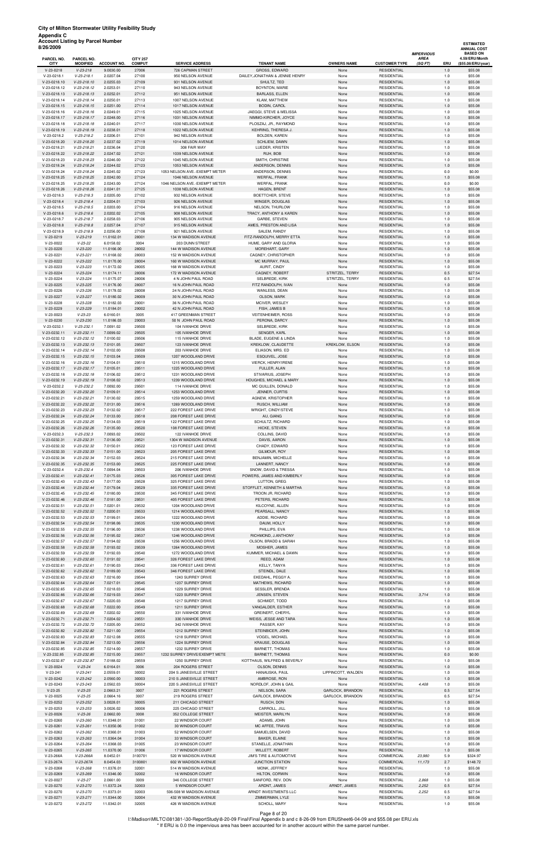| 8/26/2009                    | <b>Account Listing by Parcel Number</b> |                        |                                  |                                                |                                                |                    |                                          |                                      |            | <b>ESTIMATED</b><br><b>ANNUAL COST</b>                  |
|------------------------------|-----------------------------------------|------------------------|----------------------------------|------------------------------------------------|------------------------------------------------|--------------------|------------------------------------------|--------------------------------------|------------|---------------------------------------------------------|
| PARCEL NO.<br><b>CITY</b>    | PARCEL NO.<br><b>MODIFIED</b>           | <b>ACCOUNT NO.</b>     | <b>CITY 257</b><br><b>COMPUT</b> | <b>SERVICE ADDRESS</b>                         | <b>TENANT NAME</b>                             | <b>OWNERS NAME</b> | <b>CUSTOMER TYPE</b>                     | <b>IMPERVIOUS</b><br>AREA<br>(SQ FT) | ERU        | <b>BASED ON</b><br>4.59/ERU/Month<br>(\$55.08/ERU/year) |
| V-23-0218                    | $V-23-218$                              | 9.0030.00              | 27006                            | 726 CAPMAN STREET                              | GROSS, EDWARD                                  | None               | <b>RESIDENTIAL</b>                       |                                      | 1.0        | \$55.08                                                 |
| V-23-0218.1                  | $V-23-218.1$                            | 2.0207.04              | 27100                            | 950 NELSON AVENUE                              | DAILEY, JONATHAN & JENNIE HENRY                | None               | <b>RESIDENTIAL</b>                       |                                      | 1.0        | \$55.08                                                 |
| V-23-0218.10                 | $V-23-218.10$                           | 2.0255.03              | 27109                            | 931 NELSON AVENUE                              | SHULTZ, TED                                    | None               | <b>RESIDENTIAL</b>                       |                                      | 1.0        | \$55.08                                                 |
| V-23-0218.12                 | $V-23-218.12$                           | 2.0253.01              | 27110                            | 943 NELSON AVENUE                              | BOYNTON, MARIE                                 | None               | <b>RESIDENTIAL</b>                       |                                      | 1.0        | \$55.08                                                 |
| V-23-0218.13                 | $V-23-218.13$                           | 2.0252.01              | 27112                            | 951 NELSON AVENUE                              | <b>BARLASS, ELLEN</b>                          | None               | <b>RESIDENTIAL</b>                       |                                      | 1.0        | \$55.08                                                 |
| V-23-0218.14<br>V-23-0218.15 | $V-23-218.14$<br>$V-23-218.15$          | 2.0250.01<br>2.0251.00 | 27113<br>27114                   | 1007 NELSON AVENUE<br>1017 NELSON AVENUE       | KLAM, MATTHEW                                  | None<br>None       | <b>RESIDENTIAL</b><br><b>RESIDENTIAL</b> |                                      | 1.0<br>1.0 | \$55.08<br>\$55.08                                      |
| V-23-0218.16                 | $V-23-218.16$                           | 2.0249.01              | 27115                            | 1025 NELSON AVENUE                             | <b>BODIN, CAROL</b><br>JAEGGI, STEVE & MELISSA | None               | <b>RESIDENTIAL</b>                       |                                      | 1.0        | \$55.08                                                 |
| V-23-0218.17                 | $V-23-218.17$                           | 2.0248.00              | 27116                            | 1031 NELSON AVENUE                             | NIMMO-KIRCHER, JOYCE                           | None               | <b>RESIDENTIAL</b>                       |                                      | 1.0        | \$55.08                                                 |
| V-23-0218.18                 | $V-23-218.18$                           | 2.0240.01              | 27117                            | 1030 NELSON AVENUE                             | PLOSZAJ, JR., RAYMOND                          | None               | <b>RESIDENTIAL</b>                       |                                      | 1.0        | \$55.08                                                 |
| V-23-0218.19                 | $V-23-218.19$                           | 2.0238.01              | 27118                            | 1022 NELSON AVENUE                             | KEHRING, THERESA J.                            | None               | <b>RESIDENTIAL</b>                       |                                      | 1.0        | \$55.08                                                 |
| V-23-0218.2                  | $V-23-218.2$                            | 2.0206.01              | 27101                            | 942 NELSON AVENUE                              | <b>BOLDEN, KAREN</b>                           | None               | <b>RESIDENTIAL</b>                       |                                      | 1.0        | \$55.08                                                 |
| V-23-0218.20                 | $V-23-218.20$                           | 2.0237.02              | 27119                            | 1014 NELSON AVENUE                             | SCHLIEM, DAWN                                  | None               | <b>RESIDENTIAL</b>                       |                                      | 1.0        | \$55.08                                                 |
| V-23-0218.21                 | $V-23-218.21$                           | 2.0236.04              | 27120                            | 308 FAIR WAY                                   | LUEDER, KRISTEN                                | None               | <b>RESIDENTIAL</b>                       |                                      | 1.0        | \$55.08                                                 |
| V-23-0218.22                 | $V-23-218.22$                           | 2.0247.02              | 27121                            | 1039 NELSON AVENUE                             | RUH, BOB                                       | None               | <b>RESIDENTIAL</b>                       |                                      | 1.0        | \$55.08                                                 |
| V-23-0218.23                 | V-23-218.23                             | 2.0246.00              | 27122                            | 1045 NELSON AVENUE                             | SMITH, CHRISTINE                               | None               | <b>RESIDENTIAL</b>                       |                                      | 1.0        | \$55.08                                                 |
| V-23-0218.24                 | $V-23-218.24$                           | 2.0244.02              | 27123                            | 1053 NELSON AVENUE                             | ANDERSON, DENNIS                               | None               | <b>RESIDENTIAL</b>                       |                                      | 1.0        | \$55.08                                                 |
| V-23-0218.24                 | V-23-218.24                             | 2.0245.02              | 27123                            | 1053 NELSON AVE.-EXEMPT METER                  | ANDERSON, DENNIS                               | None               | <b>RESIDENTIAL</b>                       |                                      | 0.0        | \$0.00                                                  |
| V-23-0218.25                 | $V-23-218.25$                           | 2.0242.00              | 27124                            | 1046 NELSON AVENUE                             | <b>WERFAL, FRANK</b>                           | None               | <b>RESIDENTIAL</b>                       |                                      | 1.0        | \$55.08                                                 |
| V-23-0218.25                 | $V-23-218.25$                           | 2.0243.00              | 27124                            | 1046 NELSON AVE.-EXEMPT METER                  | <b>WERFAL, FRANK</b>                           | None               | <b>RESIDENTIAL</b>                       |                                      | 0.0        | \$0.00                                                  |
| V-23-0218.26                 | $V-23-218.26$                           | 2.0241.01              | 27125                            | 1038 NELSON AVENUE                             | HAGEN, BRENT                                   | None               | <b>RESIDENTIAL</b>                       |                                      | 1.0        | \$55.08                                                 |
| V-23-0218.3                  | $V-23-218.3$                            | 2.0205.00              | 27102                            | 932 NELSON AVENUE                              | BOETTCHER, STEVE                               | None               | <b>RESIDENTIAL</b>                       |                                      | 1.0        | \$55.08                                                 |
| V-23-0218.4                  | $V-23-218.4$                            | 2.0204.01              | 27103                            | 926 NELSON AVENUE                              | WINGER, DOUGLAS                                | None               | <b>RESIDENTIAL</b>                       |                                      | 1.0        | \$55.08                                                 |
| V-23-0218.5                  | $V-23-218.5$                            | 2.0203.00              | 27104                            | 916 NELSON AVENUE                              | NELSON, THURLOW                                | None               | <b>RESIDENTIAL</b>                       |                                      | 1.0        | \$55.08                                                 |
| V-23-0218.6                  | $V-23-218.6$                            | 2.0202.02              | 27105                            | 908 NELSON AVENUE<br>905 NELSON AVENUE         | TRACY, ANTHONY & KAREN<br>GARBE, STEVEN        | None               | <b>RESIDENTIAL</b>                       |                                      | 1.0        | \$55.08                                                 |
| V-23-0218.7<br>V-23-0218.8   | $V-23-218.7$<br>$V-23-218.8$            | 2.0258.03<br>2.0257.04 | 27106<br>27107                   | 915 NELSON AVENUE                              | AMES, PRESTON AND LISA                         | None<br>None       | <b>RESIDENTIAL</b><br><b>RESIDENTIAL</b> |                                      | 1.0<br>1.0 | \$55.08<br>\$55.08                                      |
| V-23-0218.9                  | $V-23-218.9$                            | 2.0256.00              | 27108                            | 921 NELSON AVENUE                              | SALEM, RANDY                                   | None               | <b>RESIDENTIAL</b>                       |                                      | 1.0        | \$55.08                                                 |
| V-23-0219                    | $V-23-219$                              | 11.0162.01             | 28001                            | 134 W MADISON AVENUE                           | FITZ-RANDOLPH, MERRY ETTA                      | None               | <b>RESIDENTIAL</b>                       |                                      | 1.0        | \$55.08                                                 |
| V-23-0022                    | $V-23-22$                               | 6.0158.02              | 3004                             | 203 DUNN STREET                                | HUME, GARY AND GLORIA                          | None               | <b>RESIDENTIAL</b>                       |                                      | 1.0        | \$55.08                                                 |
| V-23-0220                    | $V-23-220$                              | 11.0166.00             | 28002                            | 144 W MADISON AVENUE                           | MOREHART, GARY                                 | None               | <b>RESIDENTIAL</b>                       |                                      | 1.0        | \$55.08                                                 |
| V-23-0221                    | $V-23-221$                              | 11.0168.02             | 28003                            | 152 W MADISON AVENUE                           | CAGNEY, CHRISTOPHER                            | None               | <b>RESIDENTIAL</b>                       |                                      | 1.0        | \$55.08                                                 |
| V-23-0222                    | $V-23-222$                              | 11.0170.00             | 28004                            | 160 W MADISON AVENUE                           | MC MURRAY, PAUL                                | None               | <b>RESIDENTIAL</b>                       |                                      | 1.0        | \$55.08                                                 |
| V-23-0223                    | $V-23-223$                              | 11.0172.02             | 28005                            | 168 W MADISON AVENUE                           | AURIT, CINDY                                   | None               | <b>RESIDENTIAL</b>                       |                                      | 1.0        | \$55.08                                                 |
| V-23-0224                    | $V-23-224$                              | 11.0174.11             | 28006                            | 172 W MADISON AVENUE                           | CAGNEY, ROBERT                                 | STRITZEL, TERRY    | <b>RESIDENTIAL</b>                       |                                      | 0.5        | \$27.54                                                 |
| V-23-0224                    | $V-23-224$                              | 11.0175.07             | 28006                            | 4 N JOHN PAUL ROAD                             | SELBREDE, KIRK                                 | STRITZEL, TERRY    | <b>RESIDENTIAL</b>                       |                                      | 0.5        | \$27.54                                                 |
| V-23-0225                    | $V-23-225$                              | 11.0176.00             | 28007                            | 16 N JOHN PAUL ROAD                            | FITZ RANDOLPH, IVAN                            | None               | <b>RESIDENTIAL</b>                       |                                      | 1.0        | \$55.08                                                 |
| V-23-0226                    | $V-23-226$                              | 11.0178.02             | 28008                            | 24 N JOHN PAUL ROAD                            | WANLESS, DEAN                                  | None               | <b>RESIDENTIAL</b>                       |                                      | 1.0        | \$55.08                                                 |
| V-23-0227                    | $V-23-227$                              | 11.0180.02             | 28009                            | 30 N JOHN PAUL ROAD                            | OLSON, MARK                                    | None               | <b>RESIDENTIAL</b>                       |                                      | 1.0        | \$55.08                                                 |
| V-23-0228                    | $V-23-228$                              | 11.0182.03             | 29001                            | 36 N JOHN PAUL ROAD                            | MCIVER, WESLEY                                 | None               | <b>RESIDENTIAL</b>                       |                                      | 1.0        | \$55.08                                                 |
| V-23-0229                    | $V-23-229$                              | 11.0184.01             | 29002                            | 42 N JOHN PAUL ROAD                            | FISH, JAMES B                                  | None               | <b>RESIDENTIAL</b>                       |                                      | 1.0        | \$55.08                                                 |
| V-23-0023                    | $V-23-23$                               | 6.0160.01              | 3005                             | 417 GREENMAN STREET                            | <b>VEITENHEIMER, ROSS</b>                      | None               | <b>RESIDENTIAL</b>                       |                                      | 1.0        | \$55.08                                                 |
| V-23-0230                    | $V-23-230$                              | 11.0186.03             | 29003                            | 50 N JOHN PAUL ROAD<br>104 IVANHOE DRIVE       | PERONA, DARCY                                  | None               | <b>RESIDENTIAL</b>                       |                                      | 1.0        | \$55.08                                                 |
| V-23-0232.1<br>V-23-0232.11  | $V-23-232.1$<br>$V-23-232.11$           | 7.0091.02<br>7.0099.02 | 29500<br>29505                   | 105 IVANHOE DRIVE                              | SELBREDE, KIRK<br>SENGER, KARL                 | None<br>None       | <b>RESIDENTIAL</b><br><b>RESIDENTIAL</b> |                                      | 1.0<br>1.0 | \$55.08                                                 |
| V-23-0232.12                 | V-23-232.12                             | 7.0100.02              | 29506                            | 115 IVANHOE DRIVE                              | BLADE, EUGENE & LINDA                          | None               | <b>RESIDENTIAL</b>                       |                                      | 1.0        | \$55.08<br>\$55.08                                      |
| V-23-0232.13                 | $V-23-232.13$                           | 7.0101.05              | 29507                            | 123 IVANHOE DRIVE                              | KREKLOW, CLAUDETTE                             | KREKLOW, ELSON     | <b>RESIDENTIAL</b>                       |                                      | 1.0        | \$55.08                                                 |
| V-23-0232.14                 | V-23-232.14                             | 7.0102.00              | 59208                            | 203 IVANHOE DRIVE                              | ELIASON, MRS. ED                               | None               | RESIDENTIAL                              |                                      | 1.0        | \$55.08                                                 |
| V-23-0232.15                 | $V-23-232.15$                           | 7.0103.04              | 29509                            | 1207 WOODLAND DRIVE                            | ESQUIVEL, JOSE                                 | None               | <b>RESIDENTIAL</b>                       |                                      | 1.0        | \$55.08                                                 |
| V-23-0232.16                 | $V-23-232.16$                           | 7.0104.01              | 29510                            | 1215 WOODLAND DRIVE                            | VIERCK, HENRY/IRENE                            | None               | <b>RESIDENTIAL</b>                       |                                      | 1.0        | \$55.08                                                 |
| V-23-0232.17                 | V-23-232.17                             | 7.0105.01              | 29511                            | 1225 WOODLAND DRIVE                            | FULLER, ALAN                                   | None               | <b>RESIDENTIAL</b>                       |                                      | 1.0        | \$55.08                                                 |
| V-23-0232.18                 | $V-23-232.18$                           | 7.0106.02              | 29512                            | 1231 WOODLAND DRIVE                            | STIVARIUS, JOSEPH                              | None               | <b>RESIDENTIAL</b>                       |                                      | 1.0        | \$55.08                                                 |
| V-23-0232.19                 | $V-23-232.19$                           | 7.0108.02              | 29513                            | 1239 WOODLAND DRIVE                            | HOUGHES, MICHAEL & MARY                        | None               | <b>RESIDENTIAL</b>                       |                                      | 1.0        | \$55.08                                                 |
| V-23-0232.2                  | $V-23-232.2$                            | 7.0092.00              | 29501                            | 114 IVANHOE DRIVE                              | MC QUILLEN, DONALD                             | None               | <b>RESIDENTIAL</b>                       |                                      | 1.0        | \$55.08                                                 |
| V-23-0232.20                 | V-23-232.20                             | 7.0109.01              | 29514                            | 1253 WOODLAND DRIVE                            | JENNER, CURTIS                                 | None               | <b>RESIDENTIAL</b>                       |                                      | 1.0        | \$55.08                                                 |
| V-23-0232.21                 | V-23-232.21                             | 7.0130.02              | 29515                            | 1259 WOODLAND DRIVE                            | AGNEW, KRISTOPHER                              | None               | <b>RESIDENTIAL</b>                       |                                      | 1.0        | \$55.08                                                 |
| V-23-0232.22                 | $V-23-232.22$                           | 7.0131.00              | 29516                            | 1269 WOODLAND DRIVE                            | RUSCH, WILLIAM                                 | None               | <b>RESIDENTIAL</b>                       |                                      | 1.0        | \$55.08                                                 |
| V-23-0232.23                 | V-23-232.23                             | 7.0132.02              | 29517                            | 222 FOREST LAKE DRIVE                          | WRIGHT, CINDY/STEVE                            | None               | <b>RESIDENTIAL</b>                       |                                      | 1.0        | \$55.08                                                 |
| V-23-0232.24                 | $V-23-232.24$                           | 7.0133.00              | 29518                            | 208 FOREST LAKE DRIVE                          | AU, GIANG                                      | None               | <b>RESIDENTIAL</b>                       |                                      | 1.0        | \$55.08                                                 |
| V-23-0232.25                 | $V-23-232.25$<br>$V-23-232.26$          | 7.0134.03              | 29519                            | 122 FOREST LAKE DRIVE<br>108 FOREST LAKE DRIVE | SCHULTZ, RICHARD                               | None               | <b>RESIDENTIAL</b>                       |                                      | 1.0        | \$55.08                                                 |
| V-23-0232.26<br>V-23-0232.3  | $V-23-232.3$                            | 7.0135.00              | 29520<br>29502                   |                                                | HICKE, STEVEN<br>COLLINS, DAVID                | None               | <b>RESIDENTIAL</b><br><b>RESIDENTIAL</b> |                                      | 1.0        | \$55.08                                                 |
| V-23-0232.31                 | $V-23-232.31$                           | 7.0093.02<br>7.0136.00 | 29521                            | 122 IVANHOE DRIVE<br>1304 W MADISON AVENUE     | DAVIS, AARON                                   | None<br>None       | <b>RESIDENTIAL</b>                       |                                      | 1.0<br>1.0 | \$55.08<br>\$55.08                                      |
| V-23-0232.32                 | V-23-232.32                             | 7.0150.01              | 29522                            | 123 FOREST LAKE DRIVE                          | CHADY, EDWARD                                  | None               | <b>RESIDENTIAL</b>                       |                                      | 1.0        | \$55.08                                                 |
| V-23-0232.33                 | $V-23-232.33$                           | 7.0151.00              | 29523                            | 205 FOREST LAKE DRIVE                          | GILMOUR, ROY                                   | None               | <b>RESIDENTIAL</b>                       |                                      | 1.0        | \$55.08                                                 |
| V-23-0232.34                 | V-23-232.34                             | 7.0152.03              | 29524                            | 215 FOREST LAKE DRIVE                          | BENJAMIN, MICHELLE                             | None               | <b>RESIDENTIAL</b>                       |                                      | 1.0        | \$55.08                                                 |
| V-23-0232.35                 | $V-23-232.35$                           | 7.0153.00              | 29525                            | 225 FOREST LAKE DRIVE                          | LANNERT, NANCY                                 | None               | <b>RESIDENTIAL</b>                       |                                      | 1.0        | \$55.08                                                 |
| V-23-0232.4                  | $V-23-232.4$                            | 7.0094.04              | 29503                            | 206 IVANHOE DRIVE                              | SNOW, DAVID & TRESSA                           | None               | <b>RESIDENTIAL</b>                       |                                      | 1.0        | \$55.08                                                 |
| V-23-0232.41                 | $V-23-232.41$                           | 7.0175.03              | 29526                            | 305 FOREST LAKE DRIVE                          | POWERS, JAMES AND KIMBERLY                     | None               | <b>RESIDENTIAL</b>                       |                                      | 1.0        | \$55.08                                                 |
| V-23-0232.43                 | $V-23-232.43$                           | 7.0177.00              | 29528                            | 325 FOREST LAKE DRIVE                          | LUTTON, GREG                                   | None               | <b>RESIDENTIAL</b>                       |                                      | 1.0        | \$55.08                                                 |
| V-23-0232.44                 | V-23-232.44                             | 7.0179.04              | 29529                            | 335 FOREST LAKE DRIVE                          | STOFFLET, KENNETH & MARTHA                     | None               | <b>RESIDENTIAL</b>                       |                                      | 1.0        | \$55.08                                                 |
| V-23-0232.45                 | $V-23-232.45$                           | 7.0180.00              | 29530                            | 345 FOREST LAKE DRIVE                          | TROON JR, RICHARD                              | None               | <b>RESIDENTIAL</b>                       |                                      | 1.0        | \$55.08                                                 |
| V-23-0232.46                 | $V-23-232.46$                           | 7.0181.00              | 29531                            | 405 FOREST LAKE DRIVE                          | PETERS, RICHARD                                | None               | <b>RESIDENTIAL</b>                       |                                      | 1.0        | \$55.08                                                 |
| V-23-0232.51                 | $V-23-232.51$                           | 7.0201.01              | 29532                            | 1204 WOODLAND DRIVE                            | KILCOYNE, ALLEN                                | None               | <b>RESIDENTIAL</b>                       |                                      | 1.0        | \$55.08                                                 |
| V-23-0232.52                 | $V-23-232.52$                           | 7.0200.01              | 29533                            | 1214 WOODLAND DRIVE                            | PEARSALL, NANCY                                | None               | <b>RESIDENTIAL</b>                       |                                      | 1.0        | \$55.08                                                 |
| V-23-0232.53                 | $V-23-232.53$                           | 7.0199.01              | 29534                            | 1222 WOODLAND DRIVE                            | ADDIE, RICHARD                                 | None               | <b>RESIDENTIAL</b>                       |                                      | 1.0        | \$55.08                                                 |
| V-23-0232.54                 | $V-23-232.54$                           | 7.0198.06              | 29535                            | 1230 WOODLAND DRIVE                            | DAUM, HOLLY                                    | None               | <b>RESIDENTIAL</b>                       |                                      | 1.0        | \$55.08                                                 |
| V-23-0232.55                 | $V-23-232.55$                           | 7.0196.00              | 29536                            | 1238 WOODLAND DRIVE                            | PHILLIPS, EVA                                  | None               | <b>RESIDENTIAL</b>                       |                                      | 1.0        | \$55.08                                                 |
| V-23-0232.56                 | $V-23-232.56$                           | 7.0195.02              | 29537                            | 1246 WOODLAND DRIVE                            | RICHMOND, J.ANTHONY                            | None               | <b>RESIDENTIAL</b>                       |                                      | 1.0        | \$55.08                                                 |
| V-23-0232.57                 | V-23-232.57                             | 7.0194.02              | 29538                            | 1256 WOODLAND DRIVE                            | OLSON, BRADD & SARAH                           | None               | <b>RESIDENTIAL</b>                       |                                      | 1.0        | \$55.08                                                 |
| V-23-0232.58<br>V-23-0232.59 | $V-23-232.58$<br>$V-23-232.59$          | 7.0193.02              | 29539<br>29540                   | 1264 WOODLAND DRIVE<br>1272 WOODLAND DRIVE     | MOSHER, JAMES<br>KUMMER, MICHAEL & DAWN        | None               | <b>RESIDENTIAL</b><br><b>RESIDENTIAL</b> |                                      | 1.0<br>1.0 | \$55.08                                                 |
| V-23-0232.60                 | $V-23-232.60$                           | 7.0192.03<br>7.0191.02 | 29541                            | 326 FOREST LAKE DRIVE                          | REED, ADAM                                     | None<br>None       | <b>RESIDENTIAL</b>                       |                                      | 1.0        | \$55.08<br>\$55.08                                      |
| V-23-0232.61                 | $V-23-232.61$                           | 7.0190.03              | 29542                            | 336 FOREST LAKE DRIVE                          | KELLY, TANYA                                   | None               | <b>RESIDENTIAL</b>                       |                                      | 1.0        | \$55.08                                                 |
| V-23-0232.62                 | V-23-232.62                             | 7.0189.00              | 29543                            | 346 FOREST LAKE DRIVE                          | STEINDL, DALE                                  | None               | <b>RESIDENTIAL</b>                       |                                      | 1.0        | \$55.08                                                 |
| V-23-0232.63                 | $V-23-232.63$                           | 7.0216.00              | 29544                            | 1243 SURREY DRIVE                              | EKEDAHL, PEGGY A.                              | None               | <b>RESIDENTIAL</b>                       |                                      | 1.0        | \$55.08                                                 |
| V-23-0232.64                 | V-23-232.64                             | 7.0217.01              | 29545                            | 1237 SURREY DRIVE                              | MATHEWS, RICHARD                               | None               | <b>RESIDENTIAL</b>                       |                                      | 1.0        | \$55.08                                                 |
| V-23-0232.65                 | $V-23-232.65$                           | 7.0218.03              | 29546                            | 1229 SURREY DRIVE                              | SESSLER, BRENDA                                | None               | <b>RESIDENTIAL</b>                       |                                      | 1.0        | \$55.08                                                 |
| V-23-0232.66                 | $V-23-232.66$                           | 7.0219.03              | 29547                            | 1223 SURREY DRIVE                              | JENSEN, STEVEN                                 | None               | <b>RESIDENTIAL</b>                       | 3,714                                | 1.0        | \$55.08                                                 |
| V-23-0232.67                 | $V-23-232.67$                           | 7.0220.03              | 29548                            | 1217 SURREY DRIVE                              | SCHMIDT, TODD                                  | None               | <b>RESIDENTIAL</b>                       |                                      | 1.0        | \$55.08                                                 |
| V-23-0232.68                 | $V-23-232.68$                           | 7.0222.00              | 29549                            | 1211 SURREY DRIVE                              | VANGALDER, ESTHER                              | None               | <b>RESIDENTIAL</b>                       |                                      | 1.0        | \$55.08                                                 |

V-23-0232.69 V-23-232.69 7.0202.02 29550 331 IVANHOE DRIVE GREINERT, CHERYL None RESIDENTIAL 1.0 \$55.08 V-23-0232.71 V-23-232.71 7.0204.02 29551 330 IVANHOE DRIVE WEISS, JESSE AND TARA None RESIDENTIAL 1.0 \$55.08

| V-23-0232.72 | V-23-232.72    | 7.0205.00  | 29552   | 342 IVANHOE DRIVE             | PASSER, KAY                 | None                    | <b>RESIDENTIAL</b> |        | 1.0 | \$55.08  |
|--------------|----------------|------------|---------|-------------------------------|-----------------------------|-------------------------|--------------------|--------|-----|----------|
| V-23-0232.82 | $V-23-232.82$  | 7.0211.00  | 29554   | 1212 SURREY DRIVE             | STEINBICER, JOHN            | None                    | <b>RESIDENTIAL</b> |        | 1.0 | \$55.08  |
| V-23-0232.83 | $V-23-232.83$  | 7.0212.08  | 29555   | 1218 SURREY DRIVE             | <b>VOGEL, MICHAEL</b>       | None                    | <b>RESIDENTIAL</b> |        | 1.0 | \$55.08  |
| V-23-0232.84 | $V-23-232.84$  | 7.0213.00  | 29556   | 1224 SURREY DRIVE             | KRAUSE, DOUGLAS             | None                    | <b>RESIDENTIAL</b> |        | 1.0 | \$55.08  |
| V-23-0232.85 | $V-23-232.85$  | 7.0214.00  | 29557   | 1232 SURREY DRIVE             | <b>BARNETT, THOMAS</b>      | None                    | <b>RESIDENTIAL</b> |        | 1.0 | \$55.08  |
| V-23-232.85  | $V-23-232.85$  | 7.0215.00  | 29557   | 1232 SURREY DRIVE/EXEMPT METE | <b>BARNETT, THOMAS</b>      | None                    | <b>RESIDENTIAL</b> |        | 0.0 | \$0.00   |
| V-23-0232.87 | V-23-232.87    | 7.0188.02  | 29559   | 1250 SURREY DRIVE             | KOTTHAUS, WILFRED & BEVERLY | None                    | <b>RESIDENTIAL</b> |        | 1.0 | \$55.08  |
| $V-23-0024$  | $V-23-24$      | 6.0164.01  | 3006    | 204 ROGERS STREET             | OLSON, DENNIS               | None                    | <b>RESIDENTIAL</b> |        | 1.0 | \$55.08  |
| $V-23-241$   | $V - 23 - 241$ | 2.0559.01  | 30002   | 204 S JANESVILLE STREET       | HANAUSKA, PAUL              | LIPPINCOTT, WALDEN      | <b>RESIDENTIAL</b> |        | 1.0 | \$55.08  |
| V-23-0242    | $V - 23 - 242$ | 2.0560.00  | 30003   | 210 S JANESVILLE STREET       | AMBROSE, RON                | None                    | <b>RESIDENTIAL</b> |        | 1.0 | \$55.08  |
| $V-23-0243$  | $V - 23 - 243$ | 2.0562.03  | 30004   | 220 S JANESVILLE STREET       | NORDLOF, JOHN & GAIL        | None                    | <b>RESIDENTIAL</b> | 4,408  | 1.0 | \$55.08  |
| $V-23-25$    | $V - 23 - 25$  | 2.0663.21  | 3007    | 221 ROGERS STREET             | NELSON, SARA                | <b>GARLOCK, BRANDON</b> | <b>RESIDENTIAL</b> |        | 0.5 | \$27.54  |
| $V-23-0025$  | $V-23-25$      | 2.0664.16  | 3007    | 219 ROGERS STREET             | GARLOCK, BRANDON            | GARLOCK, BRANDON        | <b>RESIDENTIAL</b> |        | 0.5 | \$27.54  |
| V-23-0252    | $V-23-252$     | 3.0028.01  | 30005   | 211 CHICAGO STREET            | RUSCH, DON                  | None                    | <b>RESIDENTIAL</b> |        | 1.0 | \$55.08  |
| $V-23-0253$  | $V - 23 - 253$ | 3.0026.02  | 30006   | 225 CHICAGO STREET            | CARROLL, JILL               | None                    | <b>RESIDENTIAL</b> |        | 1.0 | \$55.08  |
| V-23-0026    | $V - 23 - 26$  | 2.0662.00  | 3008    | 352 COLLEGE STREET            | MEISTER, MARILYN            | None                    | <b>RESIDENTIAL</b> |        | 1.0 | \$55.08  |
| $V-23-0260$  | $V-23-260$     | 11.0348.01 | 31001   | 22 WINDSOR COURT              | ADAMS, JOHN                 | None                    | <b>RESIDENTIAL</b> |        | 1.0 | \$55.08  |
| $V-23-0261$  | $V - 23 - 261$ | 11.0350.06 | 31002   | 30 WINDSOR COURT              | MC AFFEE, TRAVIS            | None                    | <b>RESIDENTIAL</b> |        | 1.0 | \$55.08  |
| V-23-0262    | $V-23-262$     | 11.0360.01 | 31003   | 52 WINDSOR COURT              | SAMUELSEN, DAVID            | None                    | <b>RESIDENTIAL</b> |        | 1.0 | \$55.08  |
| $V-23-0263$  | $V-23-263$     | 11.0364.04 | 31004   | 33 WINDSOR COURT              | <b>BAKER, ELAINE</b>        | None                    | <b>RESIDENTIAL</b> |        | 1.0 | \$55.08  |
| $V-23-0264$  | $V - 23 - 264$ | 11.0368.03 | 31005   | 23 WINDSOR COURT              | STANELLE, JONATHAN          | None                    | <b>RESIDENTIAL</b> |        | 1.0 | \$55.08  |
| $V-23-0265$  | $V-23-265$     | 11.0370.00 | 31006   | 17 WINDSOR COURT              | WILLETT, ROBERT             | None                    | <b>RESIDENTIAL</b> |        | 1.0 | \$55.08  |
| V-23-266A    | $V-23-266A$    | 8.0452.01  | 3100701 | 520 W MADISON AVENUE          | JIM'S TIRE & AUTOMOTIVE     | None                    | COMMERCIAL         | 23,980 | 5.9 | \$324.97 |
| V-23-267A    | V-23-267A      | 8.0454.03  | 3100801 | 602 W MADISON AVENUE          | <b>JUNCTION STATION</b>     | None                    | <b>COMMERCIAL</b>  | 11,173 | 2.7 | \$148.72 |
| $V-23-0268$  | $V - 23 - 268$ | 11.0376.01 | 32001   | 514 W MADISON AVENUE          | MONK, JEFFREY               | None                    | <b>RESIDENTIAL</b> |        | 1.0 | \$55.08  |
| $V-23-0269$  | $V-23-269$     | 11.0346.00 | 32002   | 16 WINDSOR COURT              | <b>HILTON, CORWIN</b>       | None                    | <b>RESIDENTIAL</b> |        | 1.0 | \$55.08  |
| $V-23-0027$  | $V - 23 - 27$  | 2.0661.00  | 3009    | 346 COLLEGE STREET            | SANFORD, REV. DON           | None                    | <b>RESIDENTIAL</b> | 2,868  | 1.0 | \$55.08  |
| V-23-0270    | $V-23-270$     | 11.0372.24 | 32003   | 5 WINDSOR COURT               | ARDNT, JAMES                | ARNDT, JAMES            | <b>RESIDENTIAL</b> | 2,252  | 0.5 | \$27.54  |
| V-23-0270    | $V-23-270$     | 11.0373.01 | 32003   | 506-508 W MADISON AVENUE      | ARNDT INVESTMENTS LLC       | None                    | <b>RESIDENTIAL</b> | 2,252  | 0.5 | \$27.54  |
| $V-23-0271$  | $V - 23 - 271$ | 11.0344.00 | 32004   | 432 W MADISON AVENUE          | ZIMMERMAN, LYLE             | None                    | <b>RESIDENTIAL</b> |        | 1.0 | \$55.08  |
| V-23-0272    | $V - 23 - 272$ | 11.0342.01 | 32005   | 426 W MADISON AVENUE          | <b>SCHOLL, MARY</b>         | None                    | <b>RESIDENTIAL</b> |        | 1.0 | \$55.08  |

Page 8 of 20

I:\Madison\MILTC\081381-\30-ReportStudy\8-20-09 Final\Final Appendix b and c 8-26-09 from ERUSheet6-04-09 and \$55.08 per ERU.xls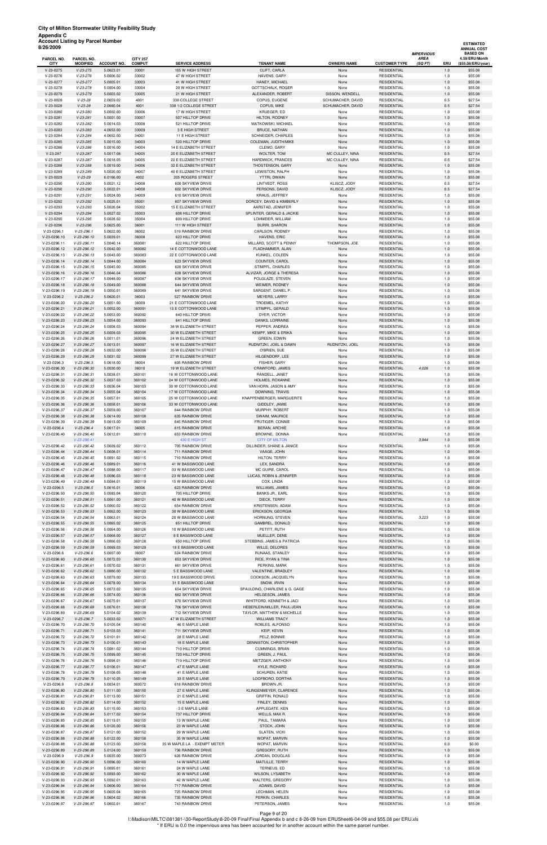| 8/26/2009                    |                                |                        |                  |                                                |                                             |                    |                                          |                                  | <b>ESTIMATED</b><br><b>ANNUAL COST</b> |
|------------------------------|--------------------------------|------------------------|------------------|------------------------------------------------|---------------------------------------------|--------------------|------------------------------------------|----------------------------------|----------------------------------------|
| PARCEL NO.                   | PARCEL NO.                     |                        | <b>CITY 257</b>  |                                                |                                             |                    |                                          | <b>IMPERVIOUS</b><br><b>AREA</b> | <b>BASED ON</b><br>4.59/ERU/Month      |
| <b>CITY</b>                  | <b>MODIFIED</b>                | <b>ACCOUNT NO.</b>     | <b>COMPUT</b>    | <b>SERVICE ADDRESS</b>                         | <b>TENANT NAME</b>                          | <b>OWNERS NAME</b> | <b>CUSTOMER TYPE</b>                     | (SQFT)<br>ERU                    | (\$55.08/ERU/year)                     |
| V-23-0275                    | $V-23-275$                     | 5.0623.01              | 33001            | 105 W HIGH STREET                              | CLIFT, CARLA                                | None               | <b>RESIDENTIAL</b>                       | 1.0                              | \$55.08                                |
| V-23-0276                    | $V-23-276$                     | 5.0006.02              | 33002            | 47 W HIGH STREET                               | HAVENS, GARY                                | None               | <b>RESIDENTIAL</b>                       | 1.0                              | \$55.08                                |
| V-23-0277<br>V-23-0278       | $V-23-277$<br>$V-23-278$       | 5.0005.01<br>5.0004.00 | 33003<br>33004   | 41 W HIGH STREET<br>29 W HIGH STREET           | HANEY, MICHAEL<br>GOTTSCHALK, ROGER         | None<br>None       | <b>RESIDENTIAL</b><br><b>RESIDENTIAL</b> | 1.0<br>1.0                       | \$55.08<br>\$55.08                     |
| V-23-0279                    | $V-23-279$                     | 5.0003.02              | 33005            | 21 W HIGH STREET                               | ALEXANDER, ROBERT                           | SISSON, WENDELL    | <b>RESIDENTIAL</b>                       | 1.0                              | \$55.08                                |
| V-23-0028                    | $V-23-28$                      | 2.0659.02              | 4001             | 338 COLLEGE STREET                             | COPUS, EUGENE                               | SCHUMACHER, DAVID  | <b>RESIDENTIAL</b>                       | 0.5                              | \$27.54                                |
| V-23-0028                    | $V-23-28$                      | 2.0660.04              | 4001             | 338 1/2 COLLEGE STREET                         | COPUS, MIKE                                 | SCHUMACHER, DAVID  | <b>RESIDENTIAL</b>                       | 0.5                              | \$27.54                                |
| V-23-0280                    | $V-23-280$                     | 5.0002.00              | 33006            | 17 W HIGH STREET                               | KRUEGER, ED                                 | None               | <b>RESIDENTIAL</b>                       | 1.0                              | \$55.08                                |
| $V-23-0281$                  | $V-23-281$                     | 5.0001.00              | 33007            | 507 HILLTOP DRIVE                              | <b>HILTON, RODNEY</b>                       | None               | <b>RESIDENTIAL</b>                       | 1.0                              | \$55.08                                |
| V-23-0282                    | $V-23-282$                     | 5.0014.03              | 33008            | 521 HILLTOP DRIVE                              | MATKOWSKI, MICHAEL                          | None               | <b>RESIDENTIAL</b>                       | 1.0                              | \$55.08                                |
| V-23-0283                    | $V-23-283$                     | 4.0653.00              | 33009            | 3 E HIGH STREET                                | <b>BRUCE, NATHAN</b>                        | None               | <b>RESIDENTIAL</b>                       | 1.0                              | \$55.08                                |
| V-23-0284                    | $V-23-284$                     | 4.0652.00              | 34001            | 11 E HIGH STREET                               | SCHNEIDER, CHARLES                          | None               | <b>RESIDENTIAL</b>                       | 1.0                              | \$55.08                                |
| V-23-0285                    | $V-23-285$                     | 5.0015.00              | 34003            | 520 HILLTOP DRIVE                              | COLEMAN, JUDITH/MIKE                        | None               | <b>RESIDENTIAL</b>                       | 1.0                              | \$55.08                                |
| V-23-0286                    | $V-23-286$                     | 5.0016.00              | 34004            | 14 E ELIZABETH STREET                          | CLEMO, GARY                                 | None               | <b>RESIDENTIAL</b>                       | 1.0                              | \$55.08                                |
| V-23-287                     | $V-23-287$                     | 5.0017.08              | 34005            | 20 E ELIZABETH STREET                          | WOLTER, TOM                                 | MC CULLEY, NINA    | <b>RESIDENTIAL</b>                       | 0.5                              | \$27.54                                |
| V-23-0287                    | $V-23-287$                     | 5.0018.05              | 34005            | 22 E ELIZABETH STREET                          | HARDWICK, FRANCES                           | MC CULLEY, NINA    | <b>RESIDENTIAL</b>                       | 0.5                              | \$27.54                                |
| V-23-0288                    | $V-23-288$<br>$V-23-289$       | 5.0019.00              | 34006            | 32 E ELIZABETH STREET<br>40 E ELIZABETH STREET | THOSTENSON, GARY                            | None               | RESIDENTIAL                              | 1.0                              | \$55.08                                |
| V-23-0289                    | $V-23-29$                      | 5.0020.00              | 34007<br>4002    | 205 ROGERS STREET                              | LEWISTON, RALPH<br>YTTRI, DWAIN             | None<br>None       | <b>RESIDENTIAL</b><br><b>RESIDENTIAL</b> | 1.0<br>1.0                       | \$55.08                                |
| V-23-0029<br>V-23-0290       | $V-23-290$                     | 6.0166.00<br>5.0021.12 | 34008            | 600 SKYVIEW DRIVE                              | LINTVEDT, ROSS                              | KLISCZ, JODY       | <b>RESIDENTIAL</b>                       | 0.5                              | \$55.08<br>\$27.54                     |
| V-23-0290                    | $V-23-290$                     | 5.0022.01              | 34008            | 602 SKYVIEW DRIVE                              | PERSONS, DAVID                              | KLISCZ, JODY       | <b>RESIDENTIAL</b>                       | 0.5                              | \$27.54                                |
| V-23-0291                    | $V-23-291$                     | 5.0024.00              | 34009            | 610 SKYVIEW DRIVE                              | KRAUS, JEFFREY                              | None               | <b>RESIDENTIAL</b>                       | 1.0                              | \$55.08                                |
| V-23-0292                    | $V-23-292$                     | 5.0025.01              | 35001            | 607 SKYVIEW DRIVE                              | DORCEY, DAVID & KIMBERLY                    | None               | <b>RESIDENTIAL</b>                       | 1.0                              | \$55.08                                |
| V-23-0293                    | $V-23-293$                     | 5.0026.04              | 35002            | 15 E ELIZABETH STREET                          | AARSTAD, JENNIFER                           | None               | <b>RESIDENTIAL</b>                       | 1.0                              | \$55.08                                |
| V-23-0294                    | $V-23-294$                     | 5.0027.02              | 35003            | 608 HILLTOP DRIVE                              | SPLINTER, GERALD & JACKIE                   | None               | <b>RESIDENTIAL</b>                       | 1.0                              | \$55.08                                |
| $V-23-0295$                  | $V-23-295$                     | 5.0028.02              | 35004            | 609 HILLTOP DRIVE                              | LOHMEIER, WILLIAM                           | None               | <b>RESIDENTIAL</b>                       | 1.0                              | \$55.08                                |
| V-23-0296                    | $V-23-296$                     | 5.0625.00              | 36001            | 111 W HIGH STREET                              | <b>BURRI, SHARON</b>                        | None               | <b>RESIDENTIAL</b>                       | 1.0                              | \$55.08                                |
| V-23-0296.1                  | $V-23-296.1$                   | 5.0622.00              | 36002            | 519 RAINBOW DRIVE                              | CARLSON, RODNEY                             | None               | <b>RESIDENTIAL</b>                       | 1.0                              | \$55.08                                |
| V-23-0296.10                 | $V-23-296.10$                  | 5.0039.01              | 36008            | 623 HILLTOP DRIVE                              | <b>HAVENS, ERIC</b>                         | None               | <b>RESIDENTIAL</b>                       | 1.0                              | \$55.08                                |
| V-23-0296.11                 | $V-23-296.11$                  | 5.0040.14              | 360081           | 622 HILLTOP DRIVE                              | MILLARD, SCOTT & PENNY                      | THOMPSON, JOE      | <b>RESIDENTIAL</b>                       | 1.0                              | \$55.08                                |
| V-23-0296.12                 | $V-23-296.12$                  | 5.0042.00              | 360082           | 14 E COTTONWOOD LANE                           | FLADHAMMER, ALAN                            | None               | <b>RESIDENTIAL</b>                       | 1.0                              | \$55.08                                |
| V-23-0296.13                 | $V-23-296.13$                  | 5.0043.00              | 360083           | 22 E COTTONWOOD LANE                           | KUNKEL, COLEEN                              | None               | <b>RESIDENTIAL</b>                       | 1.0                              | \$55.08                                |
| V-23-0296.14                 | $V-23-296.14$                  | 5.0044.00              | 360084           | 623 SKYVIEW DRIVE                              | COUNTER, CAROL                              | None               | <b>RESIDENTIAL</b>                       | 1.0                              | \$55.08                                |
| V-23-0296.15                 | $V-23-296.15$                  | 5.0045.00              | 360085           | 620 SKYVIEW DRIVE                              | STIMPFL, CHARLES                            | None               | <b>RESIDENTIAL</b>                       | 1.0                              | \$55.08                                |
| V-23-0296.16                 | $V-23-296.16$                  | 5.0046.04              | 360086           | 628 SKYVIEW DRIVE                              | ALVIZAR, JORGE & THERESA                    | None               | <b>RESIDENTIAL</b>                       | 1.0                              | \$55.08                                |
| V-23-0296.17                 | V-23-296.17                    | 5.0048.00              | 360087           | 636 SKYVIEW DRIVE                              | POLGLAZE, STEVEN                            | None               | <b>RESIDENTIAL</b>                       | 1.0                              | \$55.08                                |
| V-23-0296.18<br>V-23-0296.19 | $V-23-296.18$<br>$V-23-296.19$ | 5.0049.00<br>5.0050.01 | 360088<br>360089 | 644 SKYVIEW DRIVE<br>641 SKYVIEW DRIVE         | <b>WEIMER, RODNEY</b><br>SARGENT, DANIEL P. | None<br>None       | <b>RESIDENTIAL</b><br><b>RESIDENTIAL</b> | 1.0<br>1.0                       | \$55.08<br>\$55.08                     |
| V-23-0296.2                  | $V-23-296.2$                   | 5.0620.01              | 36003            | 527 RAINBOW DRIVE                              | <b>MEYERS, LARRY</b>                        | None               | <b>RESIDENTIAL</b>                       | 1.0                              | \$55.08                                |
| V-23-0296.20                 | V-23-296.20                    | 5.0051.00              | 36009            | 21 E COTTONWOOD LANE                           | TROEMEL, KATHY                              | None               | <b>RESIDENTIAL</b>                       | 1.0                              | \$55.08                                |
| V-23-0296.21                 | $V-23-296.21$                  | 5.0052.00              | 360091           | 13 E COTTONWOOD LANE                           | STIMPFL, GERALD                             | None               | <b>RESIDENTIAL</b>                       | 1.0                              | \$55.08                                |
| V-23-0296.22                 | V-23-296.22                    | 5.0053.00              | 360092           | 640 HILLTOP DRIVE                              | DYER, VICTOR                                | None               | <b>RESIDENTIAL</b>                       | 1.0                              | \$55.08                                |
| V-23-0296.23                 | $V-23-296.23$                  | 5.0054.00              | 360093           | 641 HILLTOP DRIVE                              | DANKS, LORRAINE                             | None               | <b>RESIDENTIAL</b>                       | 1.0                              | \$55.08                                |
| V-23-0296.24                 | $V-23-296.24$                  | 5.0008.03              | 360094           | 38 W ELIZABETH STREET                          | PEPPER, ANDREA                              | None               | <b>RESIDENTIAL</b>                       | 1.0                              | \$55.08                                |
| V-23-0296.25                 | $V-23-296.25$                  | 5.0009.03              | 360095           | 30 W ELIZABETH STREET                          | KEMPF, MIKE & ERIKA                         | None               | <b>RESIDENTIAL</b>                       | 1.0                              | \$55.08                                |
| V-23-0296.26                 | $V-23-296.26$                  | 5.0011.01              | 360096           | 24 W ELIZABETH STREET                          | <b>GREEN, EDWIN</b>                         | None               | <b>RESIDENTIAL</b>                       | 1.0                              | \$55.08                                |
| V-23-0296.27                 | V-23-296.27                    | 5.0013.01              | 360097           | 16 W ELIZABETH STREET                          | RUDNITZKI, JOEL & DAWN                      | RUDNITZKI, JOEL    | <b>RESIDENTIAL</b>                       | 1.0                              | \$55.08                                |
| V-23-0296.28                 | V-23-296.28                    | 5.0032.00              | 360098           | 35 W ELIZABETH STREET                          | O'BRIEN, SUE                                | None               | <b>RESIDENTIAL</b>                       | 1.0                              | \$55.08                                |
| V-23-0296.29                 | $V-23-296.29$                  | 5.0031.02              | 360099           | 27 W ELIZABETH STREET                          | HILGENDORF, LEE                             | None               | <b>RESIDENTIAL</b>                       | 1.0                              | \$55.08                                |
| V-23-0296.3                  | $V-23-296.3$                   | 5.0618.00              | 36004            | 605 RAINBOW DRIVE                              | FISHER, GARY                                | None               | <b>RESIDENTIAL</b>                       | 1.0                              | \$55.08                                |
| V-23-0296.30                 | $V-23-296.30$                  | 5.0030.00              | 36010            | 19 W ELIZABETH STREET                          | CRAWFORD, JAMES                             | None               | <b>RESIDENTIAL</b>                       | 1.0<br>4,026                     | \$55.08                                |
| V-23-0296.31                 | $V-23-296.31$                  | 5.0038.01              | 360101           | 16 W COTTONWOOD LANE                           | RANDELL, JANET                              | None               | <b>RESIDENTIAL</b>                       | 1.0                              | \$55.08                                |
| V-23-0296.32<br>V-23-0296.33 | $V-23-296.32$<br>$V-23-296.33$ | 5.0037.03<br>5.0036.04 | 360102<br>360103 | 24 W COTTONWOOD LANE<br>30 W COTTONWOOD LANE   | HOLMES, ROXANNE<br>VAN HORN, JASON & AMY    | None<br>None       | <b>RESIDENTIAL</b><br><b>RESIDENTIAL</b> | 1.0<br>1.0                       | \$55.08<br>\$55.08                     |
| V-23-0296.34                 | $V-23-296.34$                  | 5.0055.04              | 360104           | 17 W COTTONWOOD LANE                           | DOWNING, TRAVIS                             | None               | <b>RESIDENTIAL</b>                       | 1.0                              | \$55.08                                |
| V-23-0296.35                 | $V-23-296.35$                  | 5.0057.01              | 360105           | 25 W COTTONWOOD LANE                           | KNAPPENBERGER, MARGUERITE                   | None               | <b>RESIDENTIAL</b>                       | 1.0                              | \$55.08                                |
| V-23-0296.36                 | $V-23-296.36$                  | 5.0058.01              | 360106           | 33 W COTTONWOOD LANE                           | GIDDLEY, JAMIE                              | None               | <b>RESIDENTIAL</b>                       | 1.0                              | \$55.08                                |
| V-23-0296.37                 | V-23-296.37                    | 5.0059.00              | 360107           | 644 RAINBOW DRIVE                              | MURPHY, ROBERT                              | None               | <b>RESIDENTIAL</b>                       | 1.0                              | \$55.08                                |
| V-23-0296.38                 | $V-23-296.38$                  | 5.0614.00              | 360108           | 635 RAINBOW DRIVE                              | <b>SWAIM, MAURICE</b>                       | None               | <b>RESIDENTIAL</b>                       | 1.0                              | \$55.08                                |
| V-23-0296.39                 | $V-23-296.39$                  | 5.0613.00              | 360109           | 645 RAINBOW DRIVE                              | FRUTIGER, CONNIE                            | None               | <b>RESIDENTIAL</b>                       | 1.0                              | \$55.08                                |
| V-23-0296.4                  | $V-23-296.4$                   | 5.0617.01              | 36005            | 615 RAINBOW DRIVE                              | <b>BERAN, ARCHIE</b>                        | None               | <b>RESIDENTIAL</b>                       | 1.0                              | \$55.08                                |
| V-23-0296.40                 | $V-23-296.40$                  | 5.0612.01              | 360110           | 653 RAINBOW DRIVE                              | BROWNE, DONNA                               | None               | <b>RESIDENTIAL</b>                       | 1.0                              | \$55.08                                |
|                              | $V-23-296.41$                  |                        |                  | 430 E HIGH ST                                  | <b>CITY OF MILTON</b>                       |                    |                                          | 3.944<br>1.0                     | \$55.08                                |
| V-23-0296.42                 | V-23-296.42                    | 5.0609.02              | 360112           | 705 RAINBOW DRIVE                              | DILLINDER, SHANE & JANICE                   | None               | <b>RESIDENTIAL</b>                       | 1.0                              | \$55.08                                |
| V-23-0296.44                 | V-23-296.44                    | 5.0608.01              | 360114           | 711 RAINBOW DRIVE                              | VAAGE, JOHN                                 | None               | <b>RESIDENTIAL</b>                       | 1.0                              | \$55.08                                |
| V-23-0296.45<br>V-23-0296.46 | $V-23-296.45$                  | 5.0091.02              | 360115           | 710 RAINBOW DRIVE                              | <b>HILTON, TERRY</b><br>LEX, SANDRA         | None               | <b>RESIDENTIAL</b>                       | 1.0                              | \$55.08                                |
|                              | $V-23-296.46$<br>V-23-296.47   | 5.0089.01              | 360116           | 41 W BASSWOOD LANE<br>33 W BASSWOOD LANE       | MC GUIRE, CAROL                             | None               | <b>RESIDENTIAL</b>                       | 1.0                              | \$55.08                                |
| V-23-0296.47                 | $V-23-296.48$                  | 5.0088.00              | 360117           | 23 W BASSWOOD LANE                             |                                             | None               | <b>RESIDENTIAL</b><br><b>RESIDENTIAL</b> | 1.0                              | \$55.08                                |
| V-23-0296.48<br>V-23-0296.49 | $V-23-296.49$                  | 5.0086.03<br>5.0084.01 | 360118<br>360119 | 15 W BASSWOOD LANE                             | LUCAS, ROBIN & JENNIFER<br>COX, LINDA       | None<br>None       | <b>RESIDENTIAL</b>                       | 1.0<br>1.0                       | \$55.08<br>\$55.08                     |
| V-23-0296.5                  | $V-23-296.5$                   | 5.0616.01              | 36006            | 623 RAINBOW DRIVE                              | WILLIAMS, JAMES                             | None               | <b>RESIDENTIAL</b>                       | 1.0                              | \$55.08                                |
| V-23-0296.50                 | $V-23-296.50$                  | 5.0083.04              | 360120           | 705 HILLTOP DRIVE                              | <b>BANKS JR., EARL</b>                      | None               | <b>RESIDENTIAL</b>                       | 1.0                              | \$55.08                                |
| V-23-0296.51                 | $V-23-296.51$                  | 5.0061.00              | 360121           | 40 W BASSWOOD LANE                             | DIECK, TERRY                                | None               | <b>RESIDENTIAL</b>                       | 1.0                              | \$55.08                                |
| V-23-0296.52                 | $V-23-296.52$                  | 5.0060.02              | 360122           | 654 RAINBOW DRIVE                              | KRISTENSEN, ADAM                            | None               | <b>RESIDENTIAL</b>                       | 1.0                              | \$55.08                                |
| V-23-0296.53                 | $V-23-296.53$                  | 5.0062.00              | 360123           | 30 W BASSWOOD LANE                             | ERICKSON, GEORGIA                           | None               | <b>RESIDENTIAL</b>                       | 1.0                              | \$55.08                                |
| V-23-0296.54                 | $V-23-296.54$                  | 5.0063.01              | 360124           | 20 W BASSWOOD LANE                             | HORNUNG, STEVEN                             | None               | RESIDENTIAL                              | 3,223<br>1.0                     | \$55.08                                |
| V-23-0296.55                 | $V-23-296.55$                  | 5.0065.02              | 360125           | 651 HILLTOP DRIVE                              | GAMBREL, DONALD                             | None               | <b>RESIDENTIAL</b>                       | 1.0                              | \$55.08                                |
| V-23-0296.56                 | $V-23-296.56$                  | 5.0064.00              | 360126           | 10 W BASSWOOD LANE                             | PETITT, RUTH                                | None               | <b>RESIDENTIAL</b>                       | 1.0                              | \$55.08                                |
| V-23-0296.57                 | $V-23-296.57$                  | 5.0068.00              | 360127           | 8 E BASSWOOD LANE                              | MUELLER, DENE                               | None               | <b>RESIDENTIAL</b>                       | 1.0                              | \$55.08                                |
| V-23-0296.58                 | $V-23-296.58$                  | 5.0066.03              | 360128           | 650 HILLTOP DRIVE                              | STEBBINS, JAMES & PATRICIA                  | None               | <b>RESIDENTIAL</b>                       | 1.0                              | \$55.08                                |
| V-23-0296.59                 | $V-23-296.59$                  | 5.0069.03              | 360129           | 18 E BASSWOOD LANE                             | WILLE, DELORES                              | None               | <b>RESIDENTIAL</b>                       | 1.0                              | \$55.08                                |
| V-23-0296.6                  | $V-23-296.6$                   | 5.0007.00              | 36007            | 524 RAINBOW DRIVE                              | RUNAAS, STANLEY                             | None               | <b>RESIDENTIAL</b>                       | 1.0                              | \$55.08                                |
| V-23-0296.60                 | $V-23-296.60$                  | 5.0072.03              | 360130           | 653 SKYVIEW DRIVE                              | RICE, RYAN & TINA                           | None               | <b>RESIDENTIAL</b>                       | 1.0                              | \$55.08                                |
| V-23-0296.61                 | $V-23-296.61$                  | 5.0070.02              | 360131           | 661 SKYVIEW DRIVE                              | PERKINS, MARK                               | None               | RESIDENTIAL                              | 1.0                              | \$55.08                                |
| V-23-0296.62                 | $V-23-296.62$                  | 5.0080.00              | 360132           | 5 E BASSWOOD LANE                              | VALENTINE, BRADLEY                          | None               | <b>RESIDENTIAL</b>                       | 1.0                              | \$55.08                                |
| V-23-0296.63                 | $V-23-296.63$<br>$V-23-296.64$ | 5.0079.00              | 360133           | 19 E BASSWOOD DRIVE<br>31 E BASSWOOD LANE      | COOKSON, JACQUELYN<br>SNOW, IRVIN           | None               | <b>RESIDENTIAL</b><br><b>RESIDENTIAL</b> | 1.0                              | \$55.08                                |
| V-23-0296.64<br>V-23-0296.65 | $V-23-296.65$                  | 5.0078.00<br>5.0073.02 | 360134<br>360135 | 654 SKYVIEW DRIVE                              | SPAULDING, CHARLENE & G. GAGE               | None<br>None       | <b>RESIDENTIAL</b>                       | 1.0<br>1.0                       | \$55.08<br>\$55.08                     |
| V-23-0296.66                 | $V-23-296.66$                  | 5.0074.00              | 360136           | 662 SKYVIEW DRIVE                              | HELGESON, JAMES                             | None               | <b>RESIDENTIAL</b>                       | 1.0                              | \$55.08                                |
| V-23-0296.67                 | V-23-296.67                    | 5.0075.01              | 360137           | 670 SKYVIEW DRIVE                              | WHITFORD, KENNETH & JACI                    | None               | <b>RESIDENTIAL</b>                       | 1.0                              | \$55.08                                |
| V-23-0296.68                 | $V-23-296.68$                  | 5.0076.01              | 360138           | 706 SKYVIEW DRIVE                              | HEBERLEIN/MILLER, PAUL/JEAN                 | None               | <b>RESIDENTIAL</b>                       | 1.0                              | \$55.08                                |
| V-23-0296.69                 | $V-23-296.69$                  | 5.0104.02              | 360139           | 712 SKYVIEW DRIVE                              | TAYLOR, MATTHEW & MICHELLE                  | None               | <b>RESIDENTIAL</b>                       | 1.0                              | \$55.08                                |
| V-23-0296.7                  | $V-23-296.7$                   | 5.0033.02              | 360071           | 47 W ELIZABETH STREET                          | <b>WILLIAMS TRACY</b>                       | None               | <b>RESIDENTIAL</b>                       | 1.0                              | \$55.08                                |

| V-23-0296.70 | V-23-296.70   | 5.0105.04 | 360140 | 46 E MAPLE LANE              | ROBLES, ALFONSO         | None | <b>RESIDENTIAL</b> | 1.0 | \$55.08 |
|--------------|---------------|-----------|--------|------------------------------|-------------------------|------|--------------------|-----|---------|
| V-23-0296.71 | $V-23-296.71$ | 5.0103.03 | 360141 | 711 SKYVIEW DRIVE            | <b>KEIP, KEVIN</b>      | None | <b>RESIDENTIAL</b> | 1.0 | \$55.08 |
| V-23-0296.72 | V-23-296.72   | 5.0101.01 | 360142 | 28 E MAPLE LANE              | PELZ, BONNIE            | None | <b>RESIDENTIAL</b> | 1.0 | \$55.08 |
| V-23-0296.73 | V-23-296.73   | 5.0100.01 | 360143 | 18 E MAPLE LANE              | DENNISTON, CHRISTOPHER  | None | <b>RESIDENTIAL</b> | 1.0 | \$55.08 |
| V-23-0296.74 | V-23-296.74   | 5.0081.02 | 360144 | 710 HILLTOP DRIVE            | <b>CUMMINGS, BRIAN</b>  | None | <b>RESIDENTIAL</b> | 1.0 | \$55.08 |
| V-23-0296.75 | $V-23-296.75$ | 5.0099.00 | 360145 | 720 HILLTOP DRIVE            | GREEN, J. PAUL          | None | <b>RESIDENTIAL</b> | 1.0 | \$55.08 |
| V-23-0296.76 | V-23-296.76   | 5.0098.01 | 360146 | 719 HILLTOP DRIVE            | METZGER, ANTHONY        | None | <b>RESIDENTIAL</b> | 1.0 | \$55.08 |
| V-23-0296.77 | V-23-296.77   | 5.0106.01 | 360147 | 47 E MAPLE LANE              | KYLE, RICHARD           | None | <b>RESIDENTIAL</b> | 1.0 | \$55.08 |
| V-23-0296.78 | $V-23-296.78$ | 5.0108.05 | 360148 | 41 E MAPLE LANE              | SCHUREN, KATIE          | None | <b>RESIDENTIAL</b> | 1.0 | \$55.08 |
| V-23-0296.79 | V-23-296.79   | 5.0110.05 | 360149 | 33 E MAPLE LANE              | LOOFBORO, DORTHA        | None | <b>RESIDENTIAL</b> | 1.0 | \$55.08 |
| V-23-0296.8  | $V-23-296.8$  | 5.0034.01 | 360072 | 618 RAINBOW DRIVE            | <b>BROWN JR.</b>        | None | <b>RESIDENTIAL</b> | 1.0 | \$55.08 |
| V-23-0296.80 | $V-23-296.80$ | 5.0111.00 | 360150 | 27 E MAPLE LANE              | KLINGENMEYER, CLARENCE  | None | <b>RESIDENTIAL</b> | 1.0 | \$55.08 |
| V-23-0296.81 | $V-23-296.81$ | 5.0113.00 | 360151 | 21 E MAPLE LANE              | <b>GRIFFIN, RONALD</b>  | None | <b>RESIDENTIAL</b> | 1.0 | \$55.08 |
| V-23-0296.82 | V-23-296.82   | 5.0114.00 | 360152 | 15 E MAPLE LANE              | FINLEY, DENNIS          | None | <b>RESIDENTIAL</b> | 1.0 | \$55.08 |
| V-23-0296.83 | V-23-296.83   | 5.0115.00 | 360153 | 3 E MAPLE LANE               | APPLEGATE, KEN          | None | <b>RESIDENTIAL</b> | 1.0 | \$55.08 |
| V-23-0296.84 | $V-23-296.84$ | 5.0117.02 | 360154 | 737 HILLTOP DRIVE            | WELLS, MAX R.           | None | <b>RESIDENTIAL</b> | 1.0 | \$55.08 |
| V-23-0296.85 | $V-23-296.85$ | 5.0119.01 | 360155 | 13 W MAPLE LANE              | PAUL, TAMARA            | None | <b>RESIDENTIAL</b> | 1.0 | \$55.08 |
| V-23-0296.86 | $V-23-296.86$ | 5.0120.00 | 360156 | 23 W MAPLE LANE              | STOCK, JOHN             | None | <b>RESIDENTIAL</b> | 1.0 | \$55.08 |
| V-23-0296.87 | V-23-296.87   | 5.0121.00 | 360152 | 29 W MAPLE LANE              | <b>SLATEN, VICKI</b>    | None | <b>RESIDENTIAL</b> | 1.0 | \$55.08 |
| V-23-0296.88 | $V-23-296.88$ | 5.0122.00 | 360158 | 35 W MAPLE LANE              | WOPAT, MARVIN           | None | <b>RESIDENTIAL</b> | 1.0 | \$55.08 |
| V-23-0296.88 | V-23-296.88   | 5.0123.00 | 360158 | 35 W MAPLE LA - EXEMPT METER | WOPAT, MARVIN           | None | <b>RESIDENTIAL</b> | 0.0 | \$0.00  |
| V-23-0296.89 | V-23-296.89   | 5.0124.00 | 360159 | 736 RAINBOW DRIVE            | GREGORY, RUTH           | None | <b>RESIDENTIAL</b> | 1.0 | \$55.08 |
| V-23-0296.9  | $V-23-296.9$  | 5.0035.00 | 360073 | 626 RAINBOW DRIVE            | JORDAN, DOUGLAS         | None | <b>RESIDENTIAL</b> | 1.0 | \$55.08 |
| V-23-0296.90 | $V-23-296.90$ | 5.0096.00 | 360160 | 14 W MAPLE LANE              | MATULLE, TERRY          | None | <b>RESIDENTIAL</b> | 1.0 | \$55.08 |
| V-23-0296.91 | $V-23-296.91$ | 5.0095.01 | 360161 | 24 W MAPLE LANE              | TERNEUS, ED             | None | <b>RESIDENTIAL</b> | 1.0 | \$55.08 |
| V-23-0296.92 | $V-23-296.92$ | 5.0093.00 | 360162 | 30 W MAPLE LANE              | <b>WILSON, LYSABETH</b> | None | <b>RESIDENTIAL</b> | 1.0 | \$55.08 |
| V-23-0296.93 | V-23-296.93   | 5.0092.01 | 360163 | 42 W MAPLE LANE              | WALTERS, GREGORY        | None | <b>RESIDENTIAL</b> | 1.0 | \$55.08 |
| V-23-0296.94 | $V-23-296.94$ | 5.0606.00 | 360164 | 717 RAINBOW DRIVE            | ADAMS, DAVID            | None | <b>RESIDENTIAL</b> | 1.0 | \$55.08 |
| V-23-0296.95 | $V-23-296.95$ | 5.0605.04 | 360165 | 725 RAINBOW DRIVE            | LECHMAN, HELEN          | None | <b>RESIDENTIAL</b> | 1.0 | \$55.08 |
| V-23-0296.96 | $V-23-296.96$ | 5.0604.02 | 360166 | 735 RAINBOW DRIVE            | PERKIN, CHARLES         | None | <b>RESIDENTIAL</b> | 1.0 | \$55.08 |
| V-23-0296.97 | V-23-296.97   | 5.0602.01 | 360167 | 743 RAINBOW DRIVE            | PETERSON, JAMES         | None | <b>RESIDENTIAL</b> | 1.0 | \$55.08 |

Page 9 of 20

I:\Madison\MILTC\081381-\30-ReportStudy\8-20-09 Final\Final Appendix b and c 8-26-09 from ERUSheet6-04-09 and \$55.08 per ERU.xls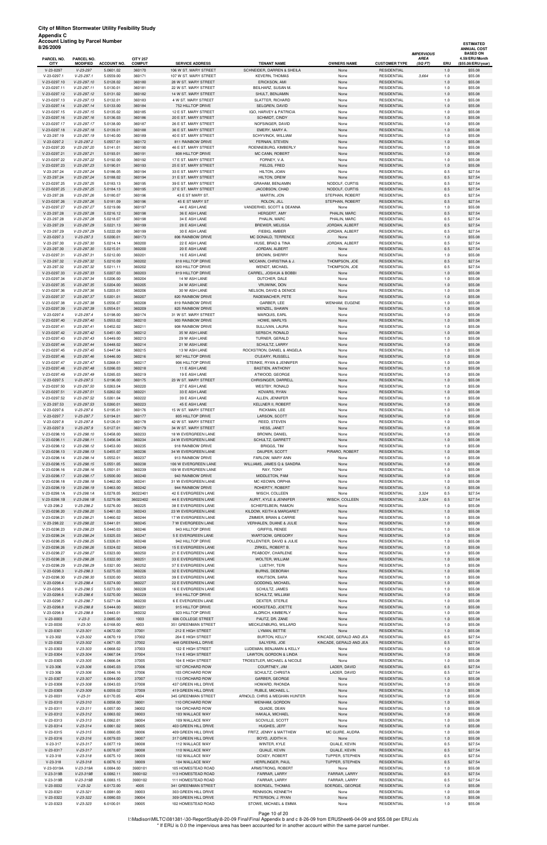V-23-0298.9 V-23-298.9 5.0443.01 360232 923 HILLTOP DRIVE ALDRICH, KIMBERLY None RESIDENTIAL 1.0 \$55.08 V-23-0003 V-23-3 2.0685.00 1003 606 COLLEGE STREET PAUTZ, DR. ZANE None None RESIDENTIAL 1.0 \$55.08

| 8/26/2009                    | <b>Account Listing by Parcel Number</b> |                        |                                  |                                              |                                                 |                                |                                          |                                            |            | <b>ESTIMATED</b><br><b>ANNUAL COST</b>                  |
|------------------------------|-----------------------------------------|------------------------|----------------------------------|----------------------------------------------|-------------------------------------------------|--------------------------------|------------------------------------------|--------------------------------------------|------------|---------------------------------------------------------|
| PARCEL NO.<br><b>CITY</b>    | PARCEL NO.<br><b>MODIFIED</b>           | <b>ACCOUNT NO.</b>     | <b>CITY 257</b><br><b>COMPUT</b> | <b>SERVICE ADDRESS</b>                       | <b>TENANT NAME</b>                              | <b>OWNERS NAME</b>             | <b>CUSTOMER TYPE</b>                     | <b>IMPERVIOUS</b><br><b>AREA</b><br>(SQFT) | ERU        | <b>BASED ON</b><br>4.59/ERU/Month<br>(\$55.08/ERU/year) |
| V-23-0297                    | $V-23-297$                              | 5.0601.02              | 360170                           | 106 W ST. MARY STREET                        | SCHNEIDER, DARREN & SHEILA                      | None                           | <b>RESIDENTIAL</b>                       |                                            | 1.0        | \$55.08                                                 |
| V-23-0297.1                  | $V-23-297.1$                            | 5.0559.00              | 360171                           | 107 W ST. MARY STREET                        | <b>KEVERN, THOMAS</b>                           | None                           | <b>RESIDENTIAL</b>                       | 3,664                                      | 1.0        | \$55.08                                                 |
| V-23-0297.10                 | $V-23-297.10$                           | 5.0128.02              | 360180                           | 28 W ST. MARY STREET                         | <b>ERICKSON, AMI</b>                            | None                           | <b>RESIDENTIAL</b>                       |                                            | 1.0        | \$55.08                                                 |
| V-23-0297.11                 | $V-23-297.11$<br>$V-23-297.12$          | 5.0130.01<br>5.0131.02 | 360181<br>360182                 | 22 W ST. MARY STREET<br>14 W ST. MARY STREET | BEILHARZ, SUSAN M.                              | None                           | <b>RESIDENTIAL</b><br><b>RESIDENTIAL</b> |                                            | 1.0<br>1.0 | \$55.08                                                 |
| V-23-0297.12<br>V-23-0297.13 | $V-23-297.13$                           | 5.0132.01              | 360183                           | 4 W ST. MARY STREET                          | SHULT, BENJAMIN<br>SLATTER, RICHARD             | None<br>None                   | <b>RESIDENTIAL</b>                       |                                            | 1.0        | \$55.08<br>\$55.08                                      |
| V-23-0297.14                 | $V-23-297.14$                           | 5.0133.00              | 360184                           | 752 HILLTOP DRIVE                            | SELGREN, DAVID                                  | None                           | <b>RESIDENTIAL</b>                       |                                            | 1.0        | \$55.08                                                 |
| V-23-0297.15                 | V-23-297.15                             | 5.0135.02              | 360185                           | 12 E ST. MARY STREET                         | IGO, HARVEY & PATRICIA                          | None                           | <b>RESIDENTIAL</b>                       |                                            | 1.0        | \$55.08                                                 |
| V-23-0297.16                 | $V-23-297.16$                           | 5.0136.03              | 360186                           | 20 E ST. MARY STREET                         | SCHMIDT, CINDY                                  | None                           | <b>RESIDENTIAL</b>                       |                                            | 1.0        | \$55.08                                                 |
| V-23-0297.17                 | V-23-297.17                             | 5.0138.00              | 360187                           | 26 E ST. MARY STREET                         | NOFSINGER, DAVID                                | None                           | <b>RESIDENTIAL</b>                       |                                            | 1.0        | \$55.08                                                 |
| V-23-0297.18                 | $V-23-297.18$                           | 5.0139.01              | 360188                           | 36 E ST. MARY STREET                         | EMERY, MARY A.                                  | None                           | <b>RESIDENTIAL</b>                       |                                            | 1.0        | \$55.08                                                 |
| V-23-297.19                  | $V-23-297.19$                           | 5.0140.00              | 360189                           | 40 E ST. MARY STREET                         | SCHYVINCK, WILLIAM                              | None                           | <b>RESIDENTIAL</b>                       |                                            | 1.0        | \$55.08                                                 |
| V-23-0297.2                  | $V-23-297.2$                            | 5.0557.01              | 360172                           | 811 RAINBOW DRIVE                            | FERNAN, STEVEN                                  | None                           | <b>RESIDENTIAL</b>                       |                                            | 1.0        | \$55.08                                                 |
| V-23-0297.20<br>V-23-0297.21 | V-23-297.20<br>$V-23-297.21$            | 5.0141.01<br>5.0193.01 | 360190<br>360191                 | 46 E ST. MARY STREET<br>808 HILLTOP DRIVE    | ROENNEBURG, KIMBERLY<br>MC CANN, ROBERT         | None<br>None                   | <b>RESIDENTIAL</b><br><b>RESIDENTIAL</b> |                                            | 1.0<br>1.0 | \$55.08<br>\$55.08                                      |
| V-23-0297.22                 | V-23-297.22                             | 5.0192.00              | 360192                           | 17 E ST. MARY STREET                         | FORNEY, V.A.                                    | None                           | <b>RESIDENTIAL</b>                       |                                            | 1.0        | \$55.08                                                 |
| V-23-0297.23                 | V-23-297.23                             | 5.0190.01              | 360193                           | 25 E ST. MARY STREET                         | FIELDS, FRED                                    | None                           | <b>RESIDENTIAL</b>                       |                                            | 1.0        | \$55.08                                                 |
| V-23-297.24                  | V-23-297.24                             | 5.0186.05              | 360194                           | 33 E ST. MARY STREET                         | HILTON, JOAN                                    | None                           | <b>RESIDENTIAL</b>                       |                                            | 0.5        | \$27.54                                                 |
| V-23-297.24                  | V-23-297.24                             | 5.0188.02              | 360194                           | 31 E ST. MARY STREET                         | <b>HILTON, DREW</b>                             | None                           | <b>RESIDENTIAL</b>                       |                                            | 0.5        | \$27.54                                                 |
| V-23-0297.25                 | V-23-297.25                             | 5.0183.13              | 360195                           | 39 E ST. MARY STREET                         | GRAHAM, BENJAMIN                                | NODOLF, CURTIS                 | <b>RESIDENTIAL</b>                       |                                            | 0.5        | \$27.54                                                 |
| V-23-0297.25                 | $V-23-297.25$                           | 5.0184.13              | 360195                           | 37 E ST. MARY STREET                         | JACOBSON, CHAD                                  | NODOLF, CURTIS                 | <b>RESIDENTIAL</b>                       |                                            | 0.5        | \$27.54                                                 |
| V-23-297.26                  | V-23-297.26                             | 5.0180.07              | 360196                           | 43 E ST MARY ST.                             | MARTIN, JON                                     | STEPHAN, ROBERT                | <b>RESIDENTIAL</b>                       |                                            | 0.5        | \$27.54                                                 |
| V-23-0297.26<br>V-23-0297.27 | $V-23-297.26$<br>V-23-297.27            | 5.0181.09<br>5.0219.06 | 360196<br>360197                 | 45 E ST MARY ST<br>44 E ASH LANE             | ROLON, JILL<br>VANDERHEI, SCOTT & DEANNA        | STEPHAN, ROBERT<br>None        | <b>RESIDENTIAL</b><br><b>RESIDENTIAL</b> |                                            | 0.5<br>1.0 | \$27.54<br>\$55.08                                      |
| V-23-297.28                  | V-23-297.28                             | 5.0216.12              | 360198                           | 36 E ASH LANE                                | HERGERT, AMY                                    | PHALIN, MARC                   | <b>RESIDENTIAL</b>                       |                                            | 0.5        | \$27.54                                                 |
| V-23-297.28                  | V-23-297.28                             | 5.0218.07              | 360198                           | 34 E ASH LANE                                | PHALIN, MARC                                    | PHALIN, MARC                   | <b>RESIDENTIAL</b>                       |                                            | 0.5        | \$27.54                                                 |
| V-23-297.29                  | $V-23-297.29$                           | 5.0221.13              | 360199                           | 28 E ASH LANE                                | <b>BREWER, MELISSA</b>                          | JORDAN, ALBERT                 | <b>RESIDENTIAL</b>                       |                                            | 0.5        | \$27.54                                                 |
| V-23-297.29                  | V-23-297.29                             | 5.0222.09              | 360199                           | 30 E ASH LANE                                | FIEBIG, AMBER                                   | JORDAN, ALBERT                 | <b>RESIDENTIAL</b>                       |                                            | 0.5        | \$27.54                                                 |
| V-23-0297.3                  | $V-23-297.3$                            | 5.0200.01              | 360173                           | 806 RAINBOW DRIVE                            | MC DONALD, TERRENCE                             | None                           | <b>RESIDENTIAL</b>                       |                                            | 1.0        | \$55.08                                                 |
| V-23-297.30                  | V-23-297.30                             | 5.0214.14              | 360200                           | 22 E ASH LANE                                | HUSE, BRAD & TINA                               | JORDAN, ALBERT                 | <b>RESIDENTIAL</b>                       |                                            | 0.5        | \$27.54                                                 |
| V-23-297.30                  | $V-23-297.30$                           | 5.0215.01              | 360200                           | 20 E ASH LANE                                | JORDAN, ALBERT                                  | None                           | <b>RESIDENTIAL</b>                       |                                            | 0.5        | \$27.54                                                 |
| V-23-0297.31                 | $V-23-297.31$                           | 5.0212.00              | 360201                           | 16 E ASH LANE                                | <b>BROWN, SHERRY</b>                            | None                           | <b>RESIDENTIAL</b>                       |                                            | 1.0        | \$55.08                                                 |
| V-23-297.32<br>V-23-297.32   | V-23-297.32<br>V-23-297.32              | 5.0210.09<br>5.0211.11 | 360202<br>360202                 | 818 HILLTOP DRIVE<br>820 HILLTOP DRIVE       | MCCANN, CHRISTINA & J.<br><b>WENDT, MICHAEL</b> | THOMPSON, JOE<br>THOMPSON, JOE | <b>RESIDENTIAL</b><br><b>RESIDENTIAL</b> |                                            | 0.5<br>0.5 | \$27.54<br>\$27.54                                      |
| V-23-0297.33                 | $V-23-297.33$                           | 5.0207.03              | 360203                           | 819 HILLTOP DRIVE                            | CARREL, JOSHUA & BOBBI                          | None                           | <b>RESIDENTIAL</b>                       |                                            | 1.0        | \$55.08                                                 |
| V-23-0297.34                 | V-23-297.34                             | 5.0206.00              | 360204                           | 14 W ASH LANE                                | DUTCHER, DALE                                   | None                           | <b>RESIDENTIAL</b>                       |                                            | 1.0        | \$55.08                                                 |
| V-23-0297.35                 | $V-23-297.35$                           | 5.0204.00              | 360205                           | 24 W ASH LANE                                | VRUWINK, DON                                    | None                           | <b>RESIDENTIAL</b>                       |                                            | 1.0        | \$55.08                                                 |
| V-23-0297.36                 | V-23-297.36                             | 5.0203.01              | 360206                           | 30 W ASH LANE                                | NELSON, DAVID & DENICE                          | None                           | <b>RESIDENTIAL</b>                       |                                            | 1.0        | \$55.08                                                 |
| V-23-0297.37                 | V-23-297.37                             | 5.0201.01              | 360207                           | 820 RAINBOW DRIVE                            | RADEMACHER, PETE                                | None                           | <b>RESIDENTIAL</b>                       |                                            | 1.0        | \$55.08                                                 |
| V-23-0297.38                 | $V-23-297.38$                           | 5.0556.07              | 360208                           | 819 RAINBOW DRIVE                            | GARBER, LEE                                     | WENHAM, EUGENE                 | <b>RESIDENTIAL</b>                       |                                            | 1.0        | \$55.08                                                 |
| V-23-0297.39                 | $V-23-297.39$                           | 5.0554.01              | 360209                           | 825 RAINBOW DRIVE                            | WENZEL, SHAWN                                   | None                           | <b>RESIDENTIAL</b>                       |                                            | 1.0        | \$55.08                                                 |
| V-23-0297.4<br>V-23-0297.40  | $V-23-297.4$<br>$V-23-297.40$           | 5.0198.00<br>5.0553.02 | 360174<br>360210                 | 31 W ST. MARY STREET<br>903 RAINBOW DRIVE    | MARQUIS, EARL<br>HOWE, MARLYS                   | None<br>None                   | <b>RESIDENTIAL</b><br><b>RESIDENTIAL</b> |                                            | 1.0<br>1.0 | \$55.08<br>\$55.08                                      |
| V-23-0297.41                 | $V-23-297.41$                           | 5.0452.02              | 360211                           | 908 RAINBOW DRIVE                            | SULLIVAN, LAURA                                 | None                           | <b>RESIDENTIAL</b>                       |                                            | 1.0        | \$55.08                                                 |
| V-23-0297.42                 | V-23-297.42                             | 5.0451.00              | 360212                           | 35 W ASH LANE                                | <b>SERSCH, RONALD</b>                           | None                           | <b>RESIDENTIAL</b>                       |                                            | 1.0        | \$55.08                                                 |
| V-23-0297.43                 | V-23-297.43                             | 5.0449.00              | 360213                           | 29 W ASH LANE                                | TURNER, GERALD                                  | None                           | <b>RESIDENTIAL</b>                       |                                            | 1.0        | \$55.08                                                 |
| V-23-0297.44                 | V-23-297.44                             | 5.0448.02              | 360214                           | 21 W ASH LANE                                | SCHULTZ, LARRY                                  | None                           | <b>RESIDENTIAL</b>                       |                                            | 1.0        | \$55.08                                                 |
| V-23-0297.45                 | V-23-297.45                             | 5.0447.04              | 360215                           | 13 W ASH LANE                                | ROCKSTRON, DANIEL & ANGELA                      | None                           | RESIDENTIAL                              |                                            | 1.0        | \$55.08                                                 |
| V-23-0297.46                 | V-23-297.46                             | 5.0446.00              | 360216                           | 907 HILLTOP DRIVE                            | O'LEARY, RUSSELL                                | None                           | <b>RESIDENTIAL</b>                       |                                            | 1.0        | \$55.08                                                 |
| V-23-0297.47                 | V-23-297.47                             | 5.0268.01              | 360217                           | 906 HILLTOP DRIVE                            | STEINKE, RYAN & JENNIFER                        | None                           | <b>RESIDENTIAL</b>                       |                                            | 1.0        | \$55.08                                                 |
| V-23-0297.48                 | $V-23-297.48$                           | 5.0266.03              | 360218                           | 11 E ASH LANE                                | <b>BASTIEN, ANTHONY</b>                         | None                           | <b>RESIDENTIAL</b><br><b>RESIDENTIAL</b> |                                            | 1.0        | \$55.08                                                 |
| V-23-0297.49<br>V-23-0297.5  | V-23-297.49<br>$V-23-297.5$             | 5.0265.03<br>5.0196.00 | 360219<br>360175                 | 19 E ASH LANE<br>23 W ST. MARY STREET        | ATWOOD, GEORGE<br>CHRISINGER, DARRELL           | None<br>None                   | <b>RESIDENTIAL</b>                       |                                            | 1.0<br>1.0 | \$55.08<br>\$55.08                                      |
| V-23-0297.50                 | $V-23-297.50$                           | 5.0263.04              | 360220                           | 27 E ASH LANE                                | WESTBY, RONALD                                  | None                           | <b>RESIDENTIAL</b>                       |                                            | 1.0        | \$55.08                                                 |
| V-23-0297.51                 | $V-23-297.51$                           | 5.0262.02              | 360221                           | 33 E ASH LANE                                | KOVARS, RYAN                                    | None                           | <b>RESIDENTIAL</b>                       |                                            | 1.0        | \$55.08                                                 |
| V-23-0297.52                 | V-23-297.52                             | 5.0261.04              | 360222                           | 39 E ASH LANE                                | ALLEN, JENNIFER                                 | None                           | <b>RESIDENTIAL</b>                       |                                            | 1.0        | \$55.08                                                 |
| V-23-297.53                  | $V-23-297.53$                           | 5.0260.01              | 360223                           | 45 E ASH LANE                                | KELLNER II, ROBERT                              | None                           | <b>RESIDENTIAL</b>                       |                                            | 1.0        | \$55.08                                                 |
| V-23-0297.6                  | $V-23-297.6$                            | 5.0195.01              | 360176                           | 15 W ST. MARY STREET                         | RICKMAN, LEE                                    | None                           | <b>RESIDENTIAL</b>                       |                                            | 1.0        | \$55.08                                                 |
| V-23-0297.7                  | $V-23-297.7$                            | 5.0194.01              | 360177                           | 805 HILLTOP DRIVE                            | LARSON, SCOTT                                   | None                           | <b>RESIDENTIAL</b>                       |                                            | 1.0        | \$55.08                                                 |
| V-23-0297.8                  | $V-23-297.8$                            | 5.0126.01              | 360178                           | 42 W ST. MARY STREET                         | REED, STEVEN                                    | None                           | <b>RESIDENTIAL</b>                       |                                            | 1.0        | \$55.08                                                 |
| V-23-0297.9<br>V-23-0298.10  | $V-23-297.9$<br>V-23-298.10             | 5.0127.01<br>5.0458.00 | 360179<br>360233                 | 34 W ST. MARY STREET<br>18 W EVERGREEN LANE  | HESS, JANET<br><b>BROWN, DANIEL</b>             | None<br>None                   | <b>RESIDENTIAL</b><br><b>RESIDENTIAL</b> |                                            | 1.0<br>1.0 | \$55.08<br>\$55.08                                      |
| V-23-0298.11                 | $V-23-298.11$                           | 5.0456.04              | 360234                           | 24 W EVERGREEN LANE                          | SCHULTZ, GARRETT                                | None                           | <b>RESIDENTIAL</b>                       |                                            | 1.0        | \$55.08                                                 |
| V-23-0298.12                 | V-23-298.12                             | 5.0453.00              | 360235                           | 918 RAINBOW DRIVE                            | <b>BRIGGS, TIM</b>                              | None                           | <b>RESIDENTIAL</b>                       |                                            | 1.0        | \$55.08                                                 |
| V-23-0298.13                 | $V-23-298.13$                           | 5.0455.07              | 360236                           | 34 W EVERGREEN LANE                          | DAUPER, SCOTT                                   | PIRARO, ROBERT                 | <b>RESIDENTIAL</b>                       |                                            | 1.0        | \$55.08                                                 |
| V-23-0298.14                 | V-23-298.14                             | 5.0552.01              | 360237                           | 913 RAINBOW DRIVE                            | FARLOW, MARY ANN                                | None                           | <b>RESIDENTIAL</b>                       |                                            | 1.0        | \$55.08                                                 |
| V-23-0298.15                 | $V-23-298.15$                           | 5.0551.05              | 360238                           | 106 W EVERGREEN LANE                         | WILLIAMS, JAMES Q & SANDRA                      | None                           | <b>RESIDENTIAL</b>                       |                                            | 1.0        | \$55.08                                                 |
| V-23-0298.16                 | $V-23-298.16$                           | 5.0501.01              | 360239                           | 109 W EVERGREEN LANE                         | RAY, TONY                                       | None                           | <b>RESIDENTIAL</b>                       |                                            | 1.0        | \$55.08                                                 |
| V-23-0298.17                 | V-23-298.17                             | 5.0500.00              | 360240                           | 943 RAINBOW DRIVE                            | MIDDLETON, PAM                                  | None                           | <b>RESIDENTIAL</b>                       |                                            | 1.0        | \$55.08                                                 |
| V-23-0298.18                 | $V-23-298.18$                           | 5.0462.00              | 360241                           | 31 W EVERGREEN LANE                          | MC KEOWN, ORPHA                                 | None                           | <b>RESIDENTIAL</b>                       |                                            | 1.0        | \$55.08                                                 |
| V-23-0298.19<br>V-23-0298.1A | $V-23-298.19$<br>V-23-298.1A            | 5.0463.00<br>5.0278.05 | 360242<br>36022401               | 944 RAINBOW DRIVE<br>42 E EVERGREEN LANE     | ROHERTY, ROBERT<br>WISCH, COLLEEN               | None<br>None                   | <b>RESIDENTIAL</b><br><b>RESIDENTIAL</b> | 3,324                                      | 1.0<br>0.5 | \$55.08<br>\$27.54                                      |
| V-23-0298.1B                 | $V-23-298.1B$                           | 5.0279.06              | 36022402                         | 44 E EVERGREEN LANE                          | AURIT, KYLE & JENNIFER                          | WISCH, COLLEEN                 | <b>RESIDENTIAL</b>                       | 3,324                                      | 0.5        | \$27.54                                                 |
| V-23-298.2                   | $V-23-298.2$                            | 5.0276.00              | 360225                           | 38 E EVERGREEN LANE                          | SCHIEFELBEIN, RAMON                             | None                           | <b>RESIDENTIAL</b>                       |                                            | 1.0        | \$55.08                                                 |
| V-23-0298.20                 | V-23-298.20                             | 5.0461.03              | 360243                           | 23 W EVERGREEN LANE                          | KILDOW, KEITH & MARGARET                        | None                           | <b>RESIDENTIAL</b>                       |                                            | 1.0        | \$55.08                                                 |
| V-23-0298.21                 | V-23-298.21                             | 5.0460.02              | 360244                           | 17 W EVERGREEN LANE                          | ZIMMER, BRIAN & CARRIE                          | None                           | <b>RESIDENTIAL</b>                       |                                            | 1.0        | \$55.08                                                 |
| V-23-298.22                  | V-23-298.22                             | 5.0441.01              | 360245                           | 7 W EVERGREEN LANE                           | VERHALEN, DUANE & JULIE                         | None                           | <b>RESIDENTIAL</b>                       |                                            | 1.0        | \$55.08                                                 |
| V-23-0298.23                 | V-23-298.23                             | 5.0440.03              | 360246                           | 943 HILLTOP DRIVE                            | <b>GRIFFIS, RENEE</b>                           | None                           | <b>RESIDENTIAL</b>                       |                                            | 1.0        | \$55.08                                                 |
| V-23-0298.24                 | V-23-298.24                             | 5.0325.03              | 360247                           | 5 E EVERGREEN LANE                           | WARTGOW, GREGORY                                | None                           | <b>RESIDENTIAL</b>                       |                                            | 1.0        | \$55.08                                                 |
| V-23-0298.25                 | $V-23-298.25$                           | 5.0326.01              | 360248                           | 942 HILLTOP DRIVE                            | POLLENTIER, DAVID & JULIE                       | None                           | <b>RESIDENTIAL</b>                       |                                            | 1.0        | \$55.08                                                 |
| V-23-0298.26<br>V-23-0298.27 | V-23-298.26<br>V-23-298.27              | 5.0324.02<br>5.0323.00 | 360249<br>360250                 | 15 E EVERGREEN LANE<br>21 E EVERGREEN LANE   | ZIRKEL, ROBERT B.<br>PEABODY, CHARLENE          | None<br>None                   | <b>RESIDENTIAL</b><br><b>RESIDENTIAL</b> |                                            | 1.0<br>1.0 | \$55.08<br>\$55.08                                      |
| V-23-0298.28                 | V-23-298.28                             | 5.0322.00              | 360251                           | 33 E EVERGREEN LANE                          | WOLTER, WILLIAM                                 | None                           | <b>RESIDENTIAL</b>                       |                                            | 1.0        | \$55.08                                                 |
| V-23-0298.29                 | V-23-298.29                             | 5.0321.00              | 360252                           | 37 E EVERGREEN LANE                          | LUETHY, TERI                                    | None                           | <b>RESIDENTIAL</b>                       |                                            | 1.0        | \$55.08                                                 |
| V-23-0298.3                  | $V-23-298.3$                            | 5.0275.03              | 360226                           | 32 E EVERGREEN LANE                          | <b>BURNS, DEBORAH</b>                           | None                           | <b>RESIDENTIAL</b>                       |                                            | 1.0        | \$55.08                                                 |
| V-23-0298.30                 | $V-23-298.30$                           | 5.0320.00              | 360253                           | 39 E EVERGREEN LANE                          | KNUTSON, SARA                                   | None                           | <b>RESIDENTIAL</b>                       |                                            | 1.0        | \$55.08                                                 |
| V-23-0298.4                  | $V-23-298.4$                            | 5.0274.00              | 360227                           | 22 E EVERGREEN LANE                          | GODDING, MICHAEL                                | None                           | <b>RESIDENTIAL</b>                       |                                            | 1.0        | \$55.08                                                 |
| V-23-0298.5                  | $V-23-298.5$                            | 5.0273.00              | 360228                           | 16 E EVERGREEN LANE                          | SCHULTZ, JAMES                                  | None                           | <b>RESIDENTIAL</b>                       |                                            | 1.0        | \$55.08                                                 |
| V-23-0298.6                  | $V-23-298.6$                            | 5.0270.00              | 360229                           | 916 HILLTOP DRIVE                            | SCHULTZ, WILLIAM                                | None                           | <b>RESIDENTIAL</b>                       |                                            | 1.0        | \$55.08                                                 |
| V-23-0298.7<br>V-23-0298.8   | $V-23-298.7$<br>$V-23-298.8$            | 5.0271.04<br>5.0444.00 | 360230<br>360231                 | 6 E EVERGREEN LANE<br>915 HILLTOP DRIVE      | DEXTER, STERLE<br>HOOKSTEAD, JOETTE             | None<br>None                   | <b>RESIDENTIAL</b><br><b>RESIDENTIAL</b> |                                            | 1.0<br>1.0 | \$55.08<br>\$55.08                                      |
|                              |                                         |                        |                                  |                                              |                                                 |                                |                                          |                                            |            |                                                         |

| $V-23-0030$ | $V-23-30$       | 6.0168.00 | 4003    | 351 GREENMAN STREET  | MECKLENBURG, WILLARD          | None                    | <b>RESIDENTIAL</b> | 1.0 | \$55.08 |
|-------------|-----------------|-----------|---------|----------------------|-------------------------------|-------------------------|--------------------|-----|---------|
| $V-23-0301$ | $V - 23 - 301$  | 4.0672.00 | 37001   | 212 E HIGH STREET    | LYMAN, BETTIE                 | None                    | <b>RESIDENTIAL</b> | 1.0 | \$55.08 |
| $V-23-302$  | $V - 23 - 302$  | 4.0670.19 | 37002   | 204 E HIGH STREET    | <b>BURTON, KELLY</b>          | KINCADE, GERALD AND JEA | <b>RESIDENTIAL</b> | 0.5 | \$27.54 |
| V-23-0302   | $V-23-302$      | 4.0671.05 | 37002   | 448 GREENHILL DRIVE  | SALYERS, JOE                  | KINCADE, GERALD AND JEA | <b>RESIDENTIAL</b> | 0.5 | \$27.54 |
| $V-23-0303$ | $V-23-303$      | 4.0668.02 | 37003   | 122 E HIGH STREET    | LUDEMAN, BENJAMIN & KELLY     | None                    | <b>RESIDENTIAL</b> | 1.0 | \$55.08 |
| $V-23-0304$ | $V - 23 - 304$  | 4.0667.04 | 37004   | 114 E HIGH STREET    | LAWTON, GORDON & LINDA        | None                    | <b>RESIDENTIAL</b> | 1.0 | \$55.08 |
| $V-23-0305$ | $V - 23 - 305$  | 4.0666.04 | 37005   | 104 E HIGH STREET    | TROESTLER. MICHAEL & NICOLE   | None                    | <b>RESIDENTIAL</b> | 1.0 | \$55.08 |
| $V-23-306$  | $V-23-306$      | 6.0045.03 | 37006   | 107 ORCHARD ROW      | COURTNEY, JIM                 | LADER, DAVID            | <b>RESIDENTIAL</b> | 0.5 | \$27.54 |
| $V-23-306$  | $V - 23 - 306$  | 6.0046.16 | 37006   | 103 ORCHARD ROW      | SCHULTZ, CHRISTA              | LADER, DAVID            | <b>RESIDENTIAL</b> | 0.5 | \$27.54 |
| V-23-0307   | $V - 23 - 307$  | 6.0044.00 | 37007   | 113 ORCHARD ROW      | GARBER, GEORGE                | None                    | <b>RESIDENTIAL</b> | 1.0 | \$55.08 |
| $V-23-0308$ | $V - 23 - 308$  | 6.0043.03 | 37008   | 437 GREEN HILL DRIVE | HOWARD, RHONDA                | None                    | <b>RESIDENTIAL</b> | 1.0 | \$55.08 |
| $V-23-0309$ | $V - 23 - 309$  | 6.0059.02 | 37009   | 419 GREEN HILL DRIVE | RUBLE, MICHAEL L.             | None                    | <b>RESIDENTIAL</b> | 1.0 | \$55.08 |
| V-23-0031   | $V-23-31$       | 6.0170.05 | 4004    | 345 GREENMAN STREET  | ARNOLD, CHRIS & MEGHAN HUNTER | None                    | <b>RESIDENTIAL</b> | 1.0 | \$55.08 |
| $V-23-0310$ | $V-23-310$      | 6.0058.00 | 38001   | 110 ORCHARD ROW      | WENHAM, GORDON                | None                    | <b>RESIDENTIAL</b> | 1.0 | \$55.08 |
| $V-23-0311$ | $V - 23 - 311$  | 6.0057.00 | 38002   | 104 ORCHARD ROW      | QUADE, DEAN                   | None                    | <b>RESIDENTIAL</b> | 1.0 | \$55.08 |
| V-23-0312   | $V - 23 - 312$  | 6.0063.02 | 38003   | 103 WALLACE WAY      | HAKALA, MICHAEL               | None                    | <b>RESIDENTIAL</b> | 1.0 | \$55.08 |
| V-23-0313   | $V - 23 - 313$  | 6.0062.01 | 38004   | 109 WALLACE WAY      | SCOVILLE, SCOTT               | None                    | <b>RESIDENTIAL</b> | 1.0 | \$55.08 |
| $V-23-0314$ | $V - 23 - 314$  | 6.0061.02 | 38005   | 403 GREEN HILL DRIVE | HUGHES, JEFF                  | None                    | <b>RESIDENTIAL</b> | 1.0 | \$55.08 |
| $V-23-0315$ | $V - 23 - 315$  | 6.0060.05 | 38006   | 409 GREEN HILL DRIVE | FRITZ, JENNY & MATTHEW        | MC GUIRE, AUDRA         | <b>RESIDENTIAL</b> | 1.0 | \$55.08 |
| $V-23-0316$ | $V - 23 - 316$  | 6.0079.03 | 38007   | 317 GREEN HILL DRIVE | BOYD, JUDITH H.               | None                    | <b>RESIDENTIAL</b> | 1.0 | \$55.08 |
| $V-23-317$  | $V - 23 - 317$  | 6.0077.19 | 38008   | 112 WALLACE WAY      | WINTER, KYLE                  | QUALE, KEVIN            | <b>RESIDENTIAL</b> | 0.5 | \$27.54 |
| V-23-0317   | $V - 23 - 317$  | 6.0078.07 | 38008   | 110 WALLACE WAY      | QUALE, KEVIN                  | QUALE, KEVIN            | <b>RESIDENTIAL</b> | 0.5 | \$27.54 |
| $V-23-318$  | $V - 23 - 318$  | 6.0075.10 | 38009   | 102 WALLACE WAY      | DOXEY, ROBERT                 | TUPPER, STEPHEN         | <b>RESIDENTIAL</b> | 0.5 | \$27.54 |
| $V-23-318$  | $V - 23 - 318$  | 6.0076.12 | 38009   | 104 WALLACE WAY      | HERRLINGER, PAUL              | TUPPER, STEPHEN         | <b>RESIDENTIAL</b> | 0.5 | \$27.54 |
| V-23-0319A  | $V-23-319A$     | 6.0084.00 | 3900101 | 105 HOMESTEAD ROAD   | ARMSTRONG, ROBERT             | None                    | <b>RESIDENTIAL</b> | 1.0 | \$55.08 |
| V-23-319B   | $V - 23 - 319B$ | 6.0082.11 | 3900102 | 113 HOMESTEAD ROAD   | FARRAR, LARRY                 | FARRAR, LARRY           | <b>RESIDENTIAL</b> | 0.5 | \$27.54 |
| V-23-319B   | $V-23-319B$     | 6.0083.15 | 3900102 | 111 HOMESTEAD ROAD   | <b>FARRAR, LARRY</b>          | <b>FARRAR, LARRY</b>    | <b>RESIDENTIAL</b> | 0.5 | \$27.54 |
| V-23-0032   | $V-23-32$       | 6.0172.00 | 4005    | 341 GREENMAN STREET  | SOERGEL, THOMAS               | SOERGEL, GEORGE         | <b>RESIDENTIAL</b> | 1.0 | \$55.08 |
| $V-23-0321$ | $V-23-321$      | 6.0081.00 | 39003   | 303 GREEN HILL DRIVE | RENNISON, KENNETH             | None                    | <b>RESIDENTIAL</b> | 1.0 | \$55.08 |
| V-23-0322   | $V - 23 - 322$  | 6.0080.03 | 39004   | 309 GREEN HILL DRIVE | PETERSON, J. RYAN             | None                    | <b>RESIDENTIAL</b> | 1.0 | \$55.08 |
| V-23-0323   | $V - 23 - 323$  | 6.0100.01 | 39005   | 102 HOMESTEAD ROAD   | STOWE, MICHAEL & EMMA         | None                    | <b>RESIDENTIAL</b> | 1.0 | \$55.08 |

Page 10 of 20

I:\Madison\MILTC\081381-\30-ReportStudy\8-20-09 Final\Final Appendix b and c 8-26-09 from ERUSheet6-04-09 and \$55.08 per ERU.xls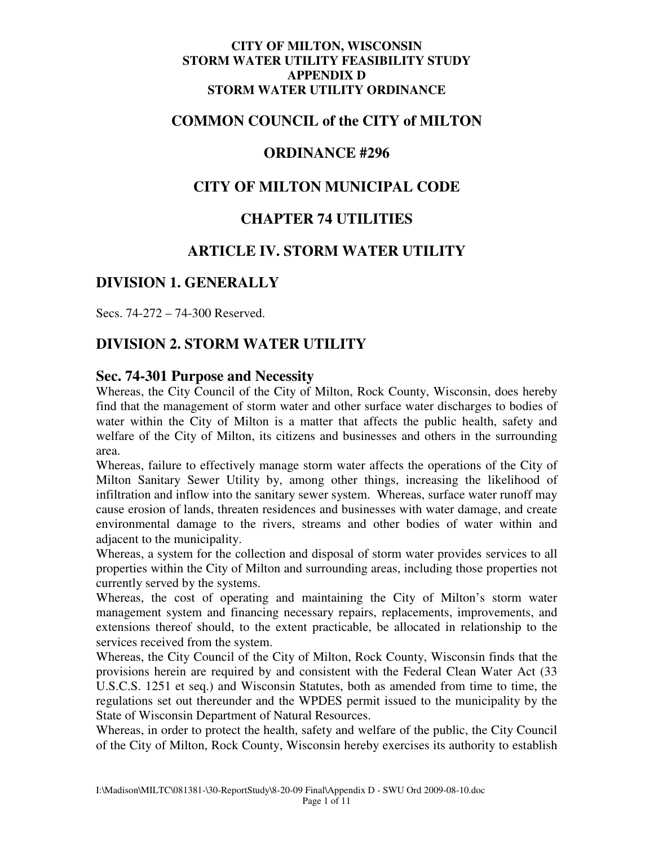# **COMMON COUNCIL of the CITY of MILTON**

# **ORDINANCE #296**

# **CITY OF MILTON MUNICIPAL CODE**

# **CHAPTER 74 UTILITIES**

# **ARTICLE IV. STORM WATER UTILITY**

# **DIVISION 1. GENERALLY**

Secs. 74-272 – 74-300 Reserved.

# **DIVISION 2. STORM WATER UTILITY**

## **Sec. 74-301 Purpose and Necessity**

Whereas, the City Council of the City of Milton, Rock County, Wisconsin, does hereby find that the management of storm water and other surface water discharges to bodies of water within the City of Milton is a matter that affects the public health, safety and welfare of the City of Milton, its citizens and businesses and others in the surrounding area.

Whereas, failure to effectively manage storm water affects the operations of the City of Milton Sanitary Sewer Utility by, among other things, increasing the likelihood of infiltration and inflow into the sanitary sewer system. Whereas, surface water runoff may cause erosion of lands, threaten residences and businesses with water damage, and create environmental damage to the rivers, streams and other bodies of water within and adjacent to the municipality.

Whereas, a system for the collection and disposal of storm water provides services to all properties within the City of Milton and surrounding areas, including those properties not currently served by the systems.

Whereas, the cost of operating and maintaining the City of Milton's storm water management system and financing necessary repairs, replacements, improvements, and extensions thereof should, to the extent practicable, be allocated in relationship to the services received from the system.

Whereas, the City Council of the City of Milton, Rock County, Wisconsin finds that the provisions herein are required by and consistent with the Federal Clean Water Act (33 U.S.C.S. 1251 et seq.) and Wisconsin Statutes, both as amended from time to time, the regulations set out thereunder and the WPDES permit issued to the municipality by the State of Wisconsin Department of Natural Resources.

Whereas, in order to protect the health, safety and welfare of the public, the City Council of the City of Milton, Rock County, Wisconsin hereby exercises its authority to establish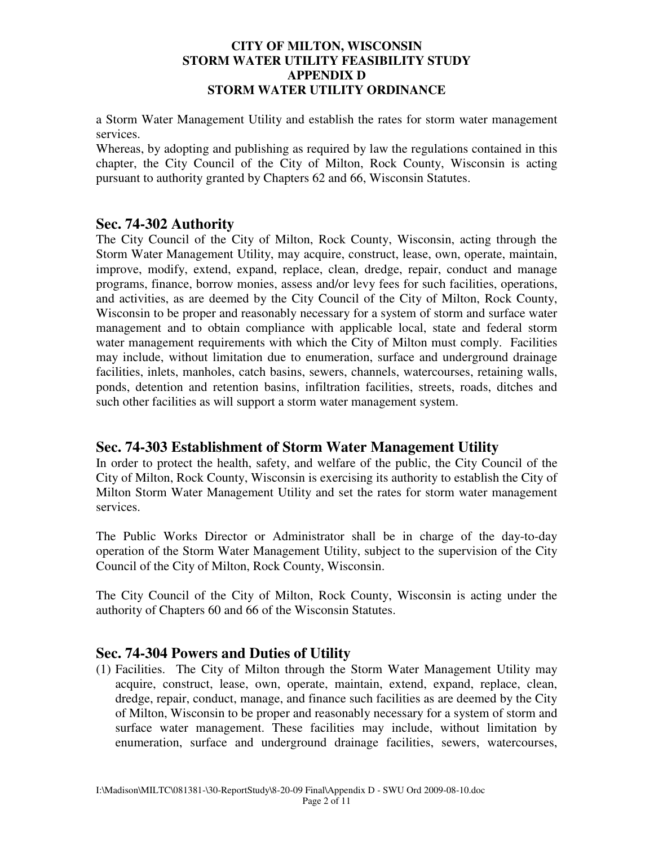a Storm Water Management Utility and establish the rates for storm water management services.

Whereas, by adopting and publishing as required by law the regulations contained in this chapter, the City Council of the City of Milton, Rock County, Wisconsin is acting pursuant to authority granted by Chapters 62 and 66, Wisconsin Statutes.

# **Sec. 74-302 Authority**

The City Council of the City of Milton, Rock County, Wisconsin, acting through the Storm Water Management Utility, may acquire, construct, lease, own, operate, maintain, improve, modify, extend, expand, replace, clean, dredge, repair, conduct and manage programs, finance, borrow monies, assess and/or levy fees for such facilities, operations, and activities, as are deemed by the City Council of the City of Milton, Rock County, Wisconsin to be proper and reasonably necessary for a system of storm and surface water management and to obtain compliance with applicable local, state and federal storm water management requirements with which the City of Milton must comply. Facilities may include, without limitation due to enumeration, surface and underground drainage facilities, inlets, manholes, catch basins, sewers, channels, watercourses, retaining walls, ponds, detention and retention basins, infiltration facilities, streets, roads, ditches and such other facilities as will support a storm water management system.

# **Sec. 74-303 Establishment of Storm Water Management Utility**

In order to protect the health, safety, and welfare of the public, the City Council of the City of Milton, Rock County, Wisconsin is exercising its authority to establish the City of Milton Storm Water Management Utility and set the rates for storm water management services.

The Public Works Director or Administrator shall be in charge of the day-to-day operation of the Storm Water Management Utility, subject to the supervision of the City Council of the City of Milton, Rock County, Wisconsin.

The City Council of the City of Milton, Rock County, Wisconsin is acting under the authority of Chapters 60 and 66 of the Wisconsin Statutes.

# **Sec. 74-304 Powers and Duties of Utility**

(1) Facilities. The City of Milton through the Storm Water Management Utility may acquire, construct, lease, own, operate, maintain, extend, expand, replace, clean, dredge, repair, conduct, manage, and finance such facilities as are deemed by the City of Milton, Wisconsin to be proper and reasonably necessary for a system of storm and surface water management. These facilities may include, without limitation by enumeration, surface and underground drainage facilities, sewers, watercourses,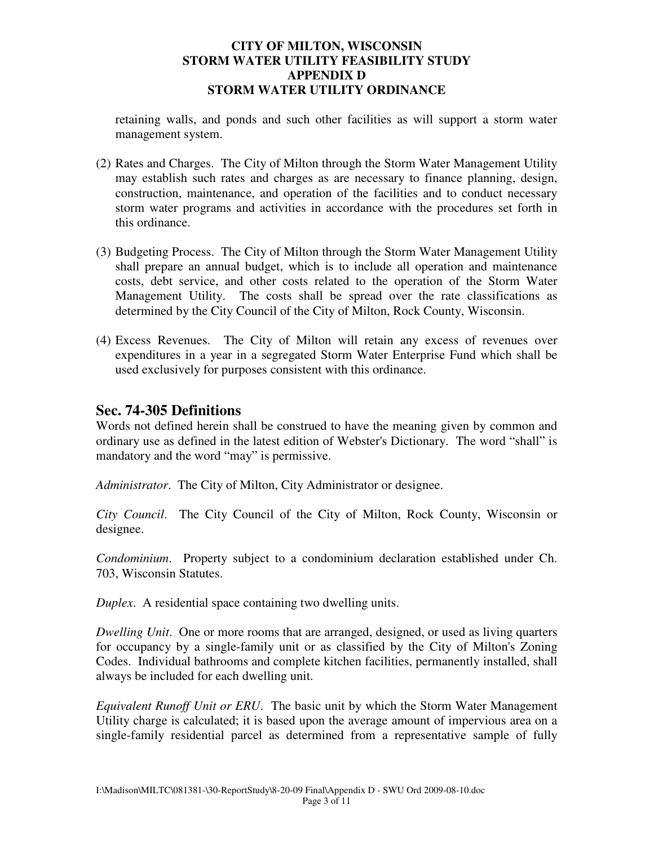retaining walls, and ponds and such other facilities as will support a storm water management system.

- (2) Rates and Charges. The City of Milton through the Storm Water Management Utility may establish such rates and charges as are necessary to finance planning, design, construction, maintenance, and operation of the facilities and to conduct necessary storm water programs and activities in accordance with the procedures set forth in this ordinance.
- (3) Budgeting Process. The City of Milton through the Storm Water Management Utility shall prepare an annual budget, which is to include all operation and maintenance costs, debt service, and other costs related to the operation of the Storm Water Management Utility. The costs shall be spread over the rate classifications as determined by the City Council of the City of Milton, Rock County, Wisconsin.
- (4) Excess Revenues. The City of Milton will retain any excess of revenues over expenditures in a year in a segregated Storm Water Enterprise Fund which shall be used exclusively for purposes consistent with this ordinance.

# **Sec. 74-305 Definitions**

Words not defined herein shall be construed to have the meaning given by common and ordinary use as defined in the latest edition of Webster's Dictionary. The word "shall" is mandatory and the word "may" is permissive.

*Administrator*. The City of Milton, City Administrator or designee.

*City Council*. The City Council of the City of Milton, Rock County, Wisconsin or designee.

*Condominium*. Property subject to a condominium declaration established under Ch. 703, Wisconsin Statutes.

*Duplex*. A residential space containing two dwelling units.

*Dwelling Unit*. One or more rooms that are arranged, designed, or used as living quarters for occupancy by a single-family unit or as classified by the City of Milton's Zoning Codes. Individual bathrooms and complete kitchen facilities, permanently installed, shall always be included for each dwelling unit.

*Equivalent Runoff Unit or ERU*. The basic unit by which the Storm Water Management Utility charge is calculated; it is based upon the average amount of impervious area on a single-family residential parcel as determined from a representative sample of fully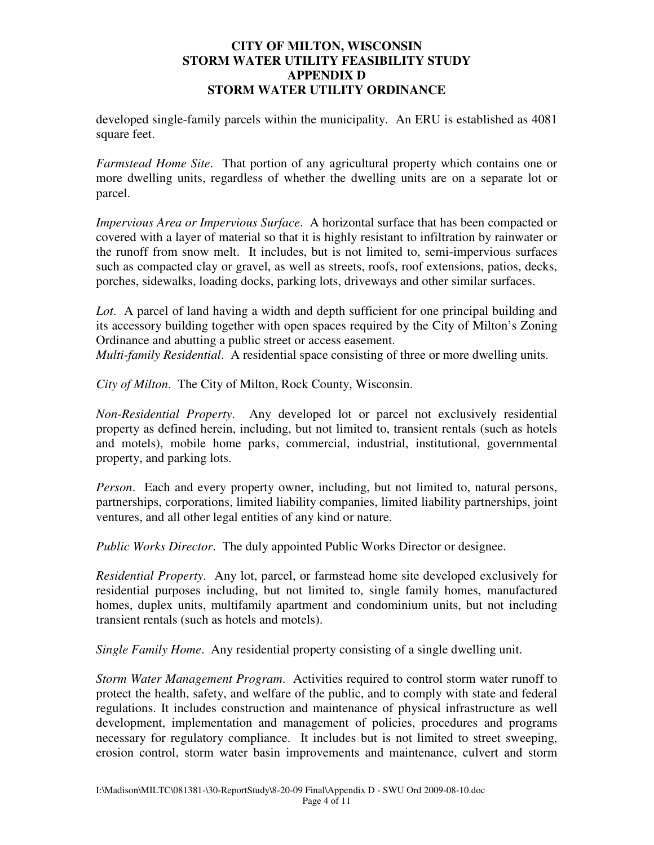developed single-family parcels within the municipality. An ERU is established as 4081 square feet.

*Farmstead Home Site*. That portion of any agricultural property which contains one or more dwelling units, regardless of whether the dwelling units are on a separate lot or parcel.

*Impervious Area or Impervious Surface*. A horizontal surface that has been compacted or covered with a layer of material so that it is highly resistant to infiltration by rainwater or the runoff from snow melt. It includes, but is not limited to, semi-impervious surfaces such as compacted clay or gravel, as well as streets, roofs, roof extensions, patios, decks, porches, sidewalks, loading docks, parking lots, driveways and other similar surfaces.

*Lot*. A parcel of land having a width and depth sufficient for one principal building and its accessory building together with open spaces required by the City of Milton's Zoning Ordinance and abutting a public street or access easement.

*Multi-family Residential*. A residential space consisting of three or more dwelling units.

*City of Milton*. The City of Milton, Rock County, Wisconsin.

*Non-Residential Property*. Any developed lot or parcel not exclusively residential property as defined herein, including, but not limited to, transient rentals (such as hotels and motels), mobile home parks, commercial, industrial, institutional, governmental property, and parking lots.

*Person*. Each and every property owner, including, but not limited to, natural persons, partnerships, corporations, limited liability companies, limited liability partnerships, joint ventures, and all other legal entities of any kind or nature.

*Public Works Director*. The duly appointed Public Works Director or designee.

*Residential Property*. Any lot, parcel, or farmstead home site developed exclusively for residential purposes including, but not limited to, single family homes, manufactured homes, duplex units, multifamily apartment and condominium units, but not including transient rentals (such as hotels and motels).

*Single Family Home*. Any residential property consisting of a single dwelling unit.

*Storm Water Management Program*. Activities required to control storm water runoff to protect the health, safety, and welfare of the public, and to comply with state and federal regulations. It includes construction and maintenance of physical infrastructure as well development, implementation and management of policies, procedures and programs necessary for regulatory compliance. It includes but is not limited to street sweeping, erosion control, storm water basin improvements and maintenance, culvert and storm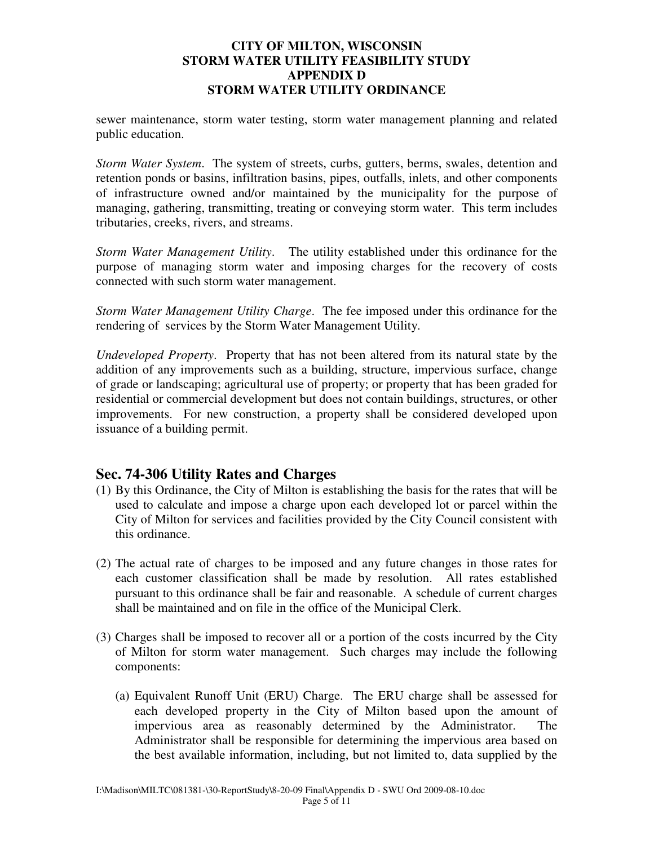sewer maintenance, storm water testing, storm water management planning and related public education.

*Storm Water System*. The system of streets, curbs, gutters, berms, swales, detention and retention ponds or basins, infiltration basins, pipes, outfalls, inlets, and other components of infrastructure owned and/or maintained by the municipality for the purpose of managing, gathering, transmitting, treating or conveying storm water. This term includes tributaries, creeks, rivers, and streams.

*Storm Water Management Utility*. The utility established under this ordinance for the purpose of managing storm water and imposing charges for the recovery of costs connected with such storm water management.

*Storm Water Management Utility Charge*. The fee imposed under this ordinance for the rendering of services by the Storm Water Management Utility.

*Undeveloped Property*. Property that has not been altered from its natural state by the addition of any improvements such as a building, structure, impervious surface, change of grade or landscaping; agricultural use of property; or property that has been graded for residential or commercial development but does not contain buildings, structures, or other improvements. For new construction, a property shall be considered developed upon issuance of a building permit.

# **Sec. 74-306 Utility Rates and Charges**

- (1) By this Ordinance, the City of Milton is establishing the basis for the rates that will be used to calculate and impose a charge upon each developed lot or parcel within the City of Milton for services and facilities provided by the City Council consistent with this ordinance.
- (2) The actual rate of charges to be imposed and any future changes in those rates for each customer classification shall be made by resolution. All rates established pursuant to this ordinance shall be fair and reasonable. A schedule of current charges shall be maintained and on file in the office of the Municipal Clerk.
- (3) Charges shall be imposed to recover all or a portion of the costs incurred by the City of Milton for storm water management. Such charges may include the following components:
	- (a) Equivalent Runoff Unit (ERU) Charge. The ERU charge shall be assessed for each developed property in the City of Milton based upon the amount of impervious area as reasonably determined by the Administrator. The Administrator shall be responsible for determining the impervious area based on the best available information, including, but not limited to, data supplied by the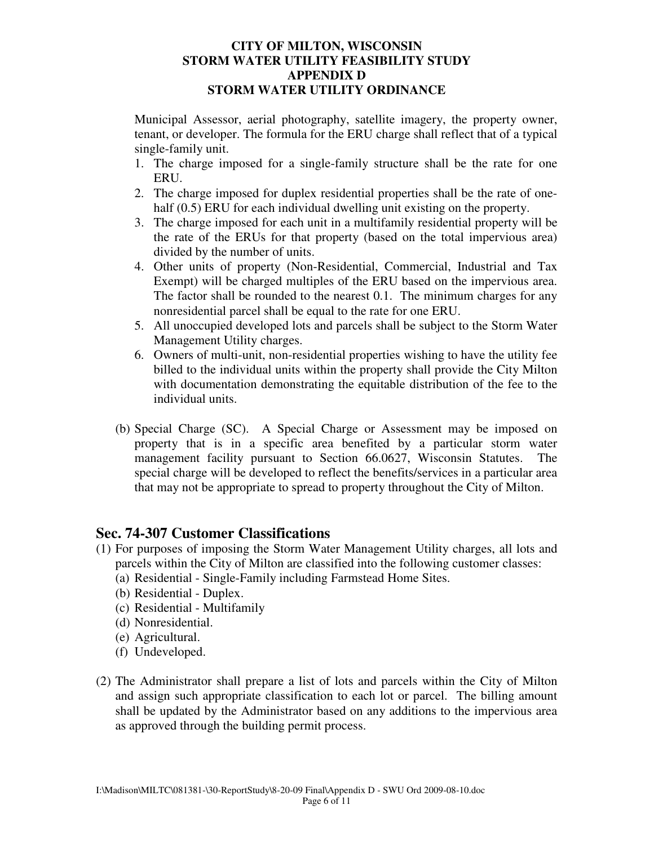Municipal Assessor, aerial photography, satellite imagery, the property owner, tenant, or developer. The formula for the ERU charge shall reflect that of a typical single-family unit.

- 1. The charge imposed for a single-family structure shall be the rate for one ERU.
- 2. The charge imposed for duplex residential properties shall be the rate of onehalf (0.5) ERU for each individual dwelling unit existing on the property.
- 3. The charge imposed for each unit in a multifamily residential property will be the rate of the ERUs for that property (based on the total impervious area) divided by the number of units.
- 4. Other units of property (Non-Residential, Commercial, Industrial and Tax Exempt) will be charged multiples of the ERU based on the impervious area. The factor shall be rounded to the nearest 0.1. The minimum charges for any nonresidential parcel shall be equal to the rate for one ERU.
- 5. All unoccupied developed lots and parcels shall be subject to the Storm Water Management Utility charges.
- 6. Owners of multi-unit, non-residential properties wishing to have the utility fee billed to the individual units within the property shall provide the City Milton with documentation demonstrating the equitable distribution of the fee to the individual units.
- (b) Special Charge (SC). A Special Charge or Assessment may be imposed on property that is in a specific area benefited by a particular storm water management facility pursuant to Section 66.0627, Wisconsin Statutes. The special charge will be developed to reflect the benefits/services in a particular area that may not be appropriate to spread to property throughout the City of Milton.

# **Sec. 74-307 Customer Classifications**

- (1) For purposes of imposing the Storm Water Management Utility charges, all lots and parcels within the City of Milton are classified into the following customer classes:
	- (a) Residential Single-Family including Farmstead Home Sites.
	- (b) Residential Duplex.
	- (c) Residential Multifamily
	- (d) Nonresidential.
	- (e) Agricultural.
	- (f) Undeveloped.
- (2) The Administrator shall prepare a list of lots and parcels within the City of Milton and assign such appropriate classification to each lot or parcel. The billing amount shall be updated by the Administrator based on any additions to the impervious area as approved through the building permit process.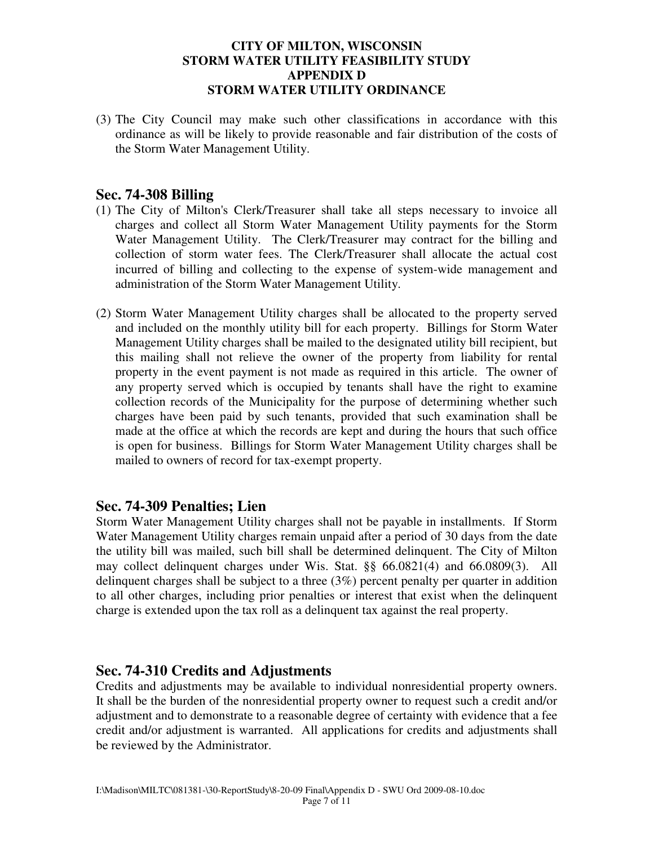(3) The City Council may make such other classifications in accordance with this ordinance as will be likely to provide reasonable and fair distribution of the costs of the Storm Water Management Utility.

## **Sec. 74-308 Billing**

- (1) The City of Milton's Clerk/Treasurer shall take all steps necessary to invoice all charges and collect all Storm Water Management Utility payments for the Storm Water Management Utility. The Clerk/Treasurer may contract for the billing and collection of storm water fees. The Clerk/Treasurer shall allocate the actual cost incurred of billing and collecting to the expense of system-wide management and administration of the Storm Water Management Utility.
- (2) Storm Water Management Utility charges shall be allocated to the property served and included on the monthly utility bill for each property. Billings for Storm Water Management Utility charges shall be mailed to the designated utility bill recipient, but this mailing shall not relieve the owner of the property from liability for rental property in the event payment is not made as required in this article. The owner of any property served which is occupied by tenants shall have the right to examine collection records of the Municipality for the purpose of determining whether such charges have been paid by such tenants, provided that such examination shall be made at the office at which the records are kept and during the hours that such office is open for business. Billings for Storm Water Management Utility charges shall be mailed to owners of record for tax-exempt property.

# **Sec. 74-309 Penalties; Lien**

Storm Water Management Utility charges shall not be payable in installments. If Storm Water Management Utility charges remain unpaid after a period of 30 days from the date the utility bill was mailed, such bill shall be determined delinquent. The City of Milton may collect delinquent charges under Wis. Stat. §§ 66.0821(4) and 66.0809(3). All delinquent charges shall be subject to a three (3%) percent penalty per quarter in addition to all other charges, including prior penalties or interest that exist when the delinquent charge is extended upon the tax roll as a delinquent tax against the real property.

## **Sec. 74-310 Credits and Adjustments**

Credits and adjustments may be available to individual nonresidential property owners. It shall be the burden of the nonresidential property owner to request such a credit and/or adjustment and to demonstrate to a reasonable degree of certainty with evidence that a fee credit and/or adjustment is warranted. All applications for credits and adjustments shall be reviewed by the Administrator.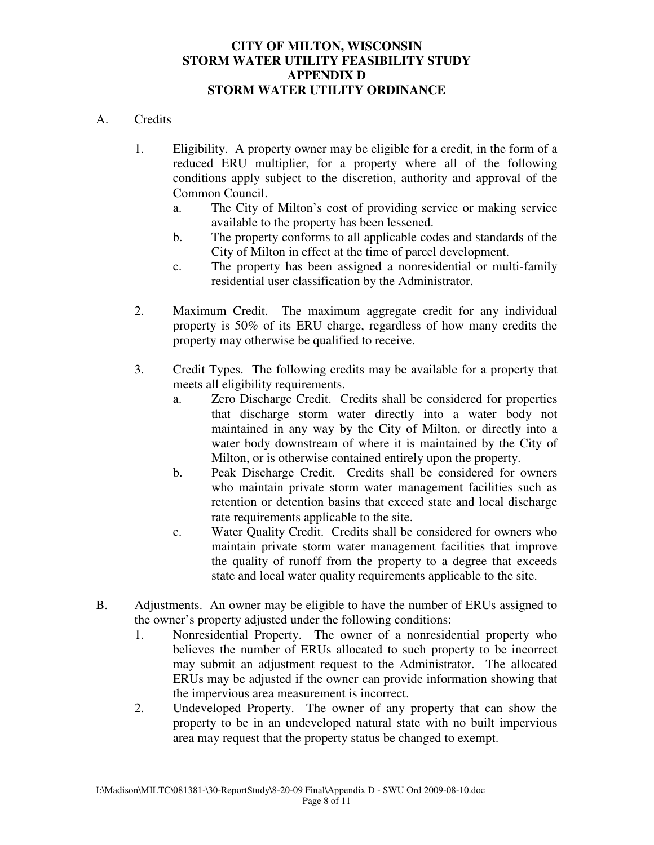### A. Credits

- 1. Eligibility. A property owner may be eligible for a credit, in the form of a reduced ERU multiplier, for a property where all of the following conditions apply subject to the discretion, authority and approval of the Common Council.
	- a. The City of Milton's cost of providing service or making service available to the property has been lessened.
	- b. The property conforms to all applicable codes and standards of the City of Milton in effect at the time of parcel development.
	- c. The property has been assigned a nonresidential or multi-family residential user classification by the Administrator.
- 2. Maximum Credit. The maximum aggregate credit for any individual property is 50% of its ERU charge, regardless of how many credits the property may otherwise be qualified to receive.
- 3. Credit Types. The following credits may be available for a property that meets all eligibility requirements.
	- a. Zero Discharge Credit. Credits shall be considered for properties that discharge storm water directly into a water body not maintained in any way by the City of Milton, or directly into a water body downstream of where it is maintained by the City of Milton, or is otherwise contained entirely upon the property.
	- b. Peak Discharge Credit. Credits shall be considered for owners who maintain private storm water management facilities such as retention or detention basins that exceed state and local discharge rate requirements applicable to the site.
	- c. Water Quality Credit. Credits shall be considered for owners who maintain private storm water management facilities that improve the quality of runoff from the property to a degree that exceeds state and local water quality requirements applicable to the site.
- B. Adjustments. An owner may be eligible to have the number of ERUs assigned to the owner's property adjusted under the following conditions:
	- 1. Nonresidential Property. The owner of a nonresidential property who believes the number of ERUs allocated to such property to be incorrect may submit an adjustment request to the Administrator. The allocated ERUs may be adjusted if the owner can provide information showing that the impervious area measurement is incorrect.
	- 2. Undeveloped Property. The owner of any property that can show the property to be in an undeveloped natural state with no built impervious area may request that the property status be changed to exempt.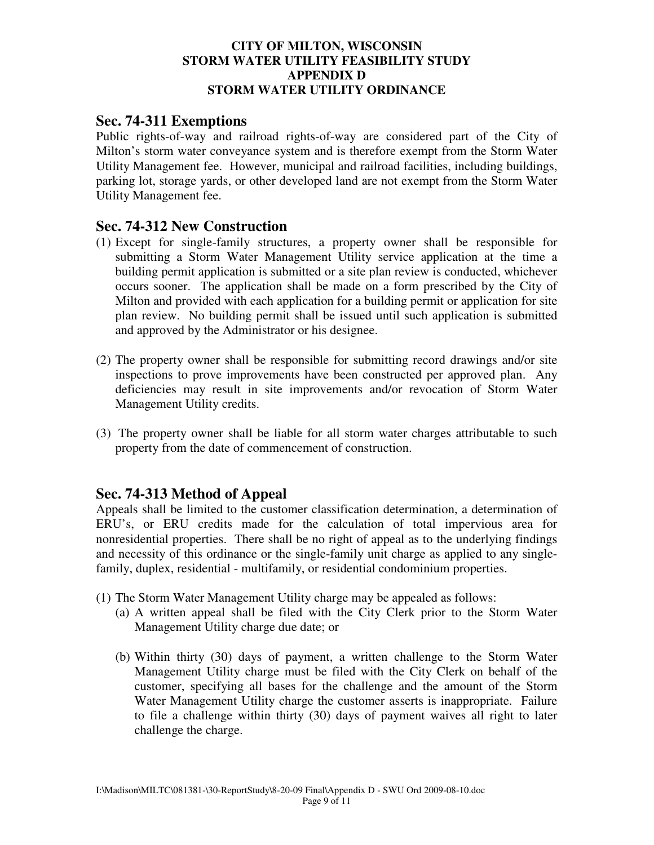# **Sec. 74-311 Exemptions**

Public rights-of-way and railroad rights-of-way are considered part of the City of Milton's storm water conveyance system and is therefore exempt from the Storm Water Utility Management fee. However, municipal and railroad facilities, including buildings, parking lot, storage yards, or other developed land are not exempt from the Storm Water Utility Management fee.

# **Sec. 74-312 New Construction**

- (1) Except for single-family structures, a property owner shall be responsible for submitting a Storm Water Management Utility service application at the time a building permit application is submitted or a site plan review is conducted, whichever occurs sooner. The application shall be made on a form prescribed by the City of Milton and provided with each application for a building permit or application for site plan review. No building permit shall be issued until such application is submitted and approved by the Administrator or his designee.
- (2) The property owner shall be responsible for submitting record drawings and/or site inspections to prove improvements have been constructed per approved plan. Any deficiencies may result in site improvements and/or revocation of Storm Water Management Utility credits.
- (3) The property owner shall be liable for all storm water charges attributable to such property from the date of commencement of construction.

# **Sec. 74-313 Method of Appeal**

Appeals shall be limited to the customer classification determination, a determination of ERU's, or ERU credits made for the calculation of total impervious area for nonresidential properties. There shall be no right of appeal as to the underlying findings and necessity of this ordinance or the single-family unit charge as applied to any singlefamily, duplex, residential - multifamily, or residential condominium properties.

- (1) The Storm Water Management Utility charge may be appealed as follows:
	- (a) A written appeal shall be filed with the City Clerk prior to the Storm Water Management Utility charge due date; or
	- (b) Within thirty (30) days of payment, a written challenge to the Storm Water Management Utility charge must be filed with the City Clerk on behalf of the customer, specifying all bases for the challenge and the amount of the Storm Water Management Utility charge the customer asserts is inappropriate. Failure to file a challenge within thirty (30) days of payment waives all right to later challenge the charge.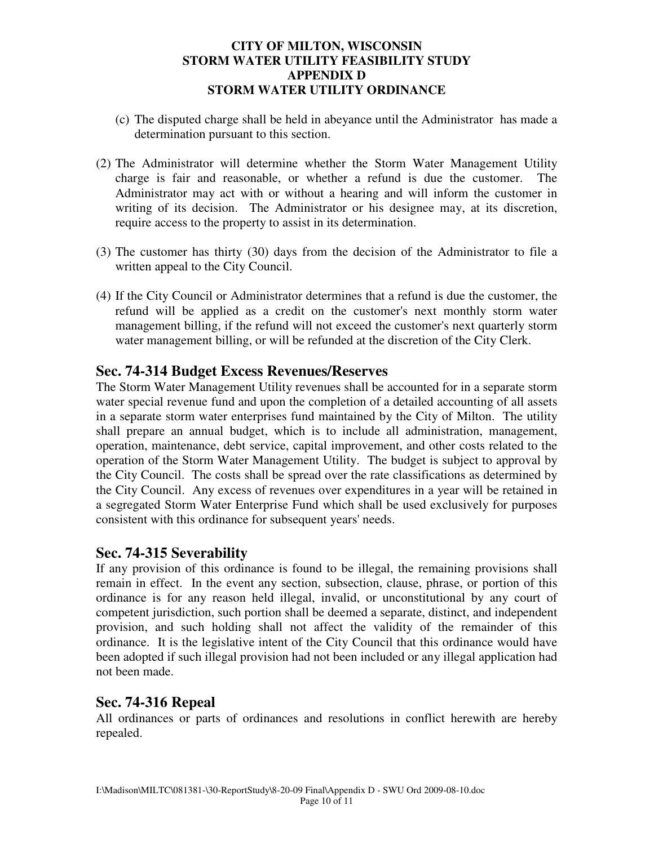- (c) The disputed charge shall be held in abeyance until the Administrator has made a determination pursuant to this section.
- (2) The Administrator will determine whether the Storm Water Management Utility charge is fair and reasonable, or whether a refund is due the customer. The Administrator may act with or without a hearing and will inform the customer in writing of its decision. The Administrator or his designee may, at its discretion, require access to the property to assist in its determination.
- (3) The customer has thirty (30) days from the decision of the Administrator to file a written appeal to the City Council.
- (4) If the City Council or Administrator determines that a refund is due the customer, the refund will be applied as a credit on the customer's next monthly storm water management billing, if the refund will not exceed the customer's next quarterly storm water management billing, or will be refunded at the discretion of the City Clerk.

# **Sec. 74-314 Budget Excess Revenues/Reserves**

The Storm Water Management Utility revenues shall be accounted for in a separate storm water special revenue fund and upon the completion of a detailed accounting of all assets in a separate storm water enterprises fund maintained by the City of Milton. The utility shall prepare an annual budget, which is to include all administration, management, operation, maintenance, debt service, capital improvement, and other costs related to the operation of the Storm Water Management Utility. The budget is subject to approval by the City Council. The costs shall be spread over the rate classifications as determined by the City Council. Any excess of revenues over expenditures in a year will be retained in a segregated Storm Water Enterprise Fund which shall be used exclusively for purposes consistent with this ordinance for subsequent years' needs.

# **Sec. 74-315 Severability**

If any provision of this ordinance is found to be illegal, the remaining provisions shall remain in effect. In the event any section, subsection, clause, phrase, or portion of this ordinance is for any reason held illegal, invalid, or unconstitutional by any court of competent jurisdiction, such portion shall be deemed a separate, distinct, and independent provision, and such holding shall not affect the validity of the remainder of this ordinance. It is the legislative intent of the City Council that this ordinance would have been adopted if such illegal provision had not been included or any illegal application had not been made.

# **Sec. 74-316 Repeal**

All ordinances or parts of ordinances and resolutions in conflict herewith are hereby repealed.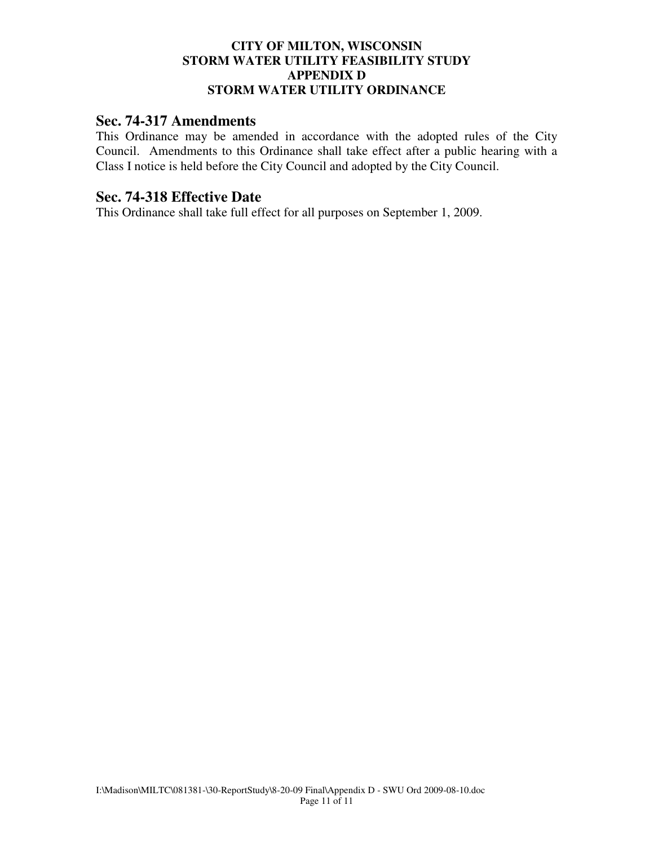# **Sec. 74-317 Amendments**

This Ordinance may be amended in accordance with the adopted rules of the City Council. Amendments to this Ordinance shall take effect after a public hearing with a Class I notice is held before the City Council and adopted by the City Council.

# **Sec. 74-318 Effective Date**

This Ordinance shall take full effect for all purposes on September 1, 2009.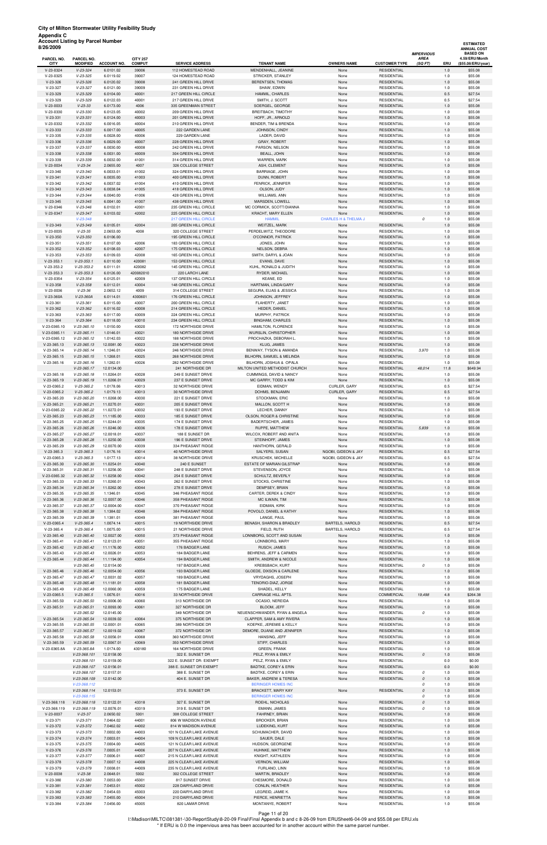| 8/26/2009                  | -                              |                          |                    |                                                 |                                                           |                                 |                                          |                                  | <b>ESTIMATED</b><br><b>ANNUAL COST</b> |
|----------------------------|--------------------------------|--------------------------|--------------------|-------------------------------------------------|-----------------------------------------------------------|---------------------------------|------------------------------------------|----------------------------------|----------------------------------------|
| PARCEL NO.                 | PARCEL NO.                     |                          | <b>CITY 257</b>    |                                                 |                                                           |                                 |                                          | <b>IMPERVIOUS</b><br><b>AREA</b> | <b>BASED ON</b><br>4.59/ERU/Month      |
| <b>CITY</b>                | <b>MODIFIED</b>                | <b>ACCOUNT NO.</b>       | <b>COMPUT</b>      | <b>SERVICE ADDRESS</b>                          | <b>TENANT NAME</b>                                        | <b>OWNERS NAME</b>              | <b>CUSTOMER TYPE</b>                     | (SQFT)<br>ERU                    | (\$55.08/ERU/year)                     |
| $V-23-0324$                | $V-23-324$                     | 6.0101.02                | 39006              | 112 HOMESTEAD ROAD                              | MENDENHALL, JEANINE                                       | None                            | <b>RESIDENTIAL</b>                       | 1.0                              | \$55.08                                |
| V-23-0325<br>$V-23-326$    | $V-23-325$<br>$V-23-326$       | 6.0119.02<br>6.0120.02   | 39007<br>39008     | 124 HOMESTEAD ROAD<br>241 GREEN HILL DRIVE      | STRICKER, STANLEY<br>BERENTSEN, THOMAS                    | None<br>None                    | <b>RESIDENTIAL</b><br><b>RESIDENTIAL</b> | 1.0<br>1.0                       | \$55.08<br>\$55.08                     |
| $V-23-327$                 | $V-23-327$                     | 6.0121.00                | 39009              | 231 GREEN HILL DRIVE                            | SHAW, EDWIN                                               | None                            | <b>RESIDENTIAL</b>                       | 1.0                              | \$55.08                                |
| $V-23-329$                 | $V-23-329$                     | 6.0104.00                | 40001              | 217 GREEN HILL CIRCLE                           | HAMMIL, CHARLES                                           | None                            | <b>RESIDENTIAL</b>                       | 0.5                              | \$27.54                                |
| $V-23-329$                 | $V-23-329$                     | 6.0122.03                | 40001              | 217 GREEN HILL DRIVE                            | SMITH, J. SCOTT                                           | None                            | <b>RESIDENTIAL</b>                       | 0.5                              | \$27.54                                |
| V-23-0033                  | $V - 23 - 33$                  | 6.0173.00                | 4006               | 335 GREENMAN STREET                             | SOERGEL, GEORGE                                           | None                            | <b>RESIDENTIAL</b>                       | 1.0                              | \$55.08                                |
| V-23-0330                  | $V-23-330$                     | 6.0123.05                | 40002              | 209 GREEN HILL DRIVE                            | <b>BREITBACH, TIMOTHY</b>                                 | None                            | <b>RESIDENTIAL</b>                       | 1.0                              | \$55.08                                |
| $V-23-331$                 | $V-23-331$                     | 6.0124.00                | 40003              | 201 GREEN HILL DRIVE<br>210 GREEN HILL DRIVE    | HOFF, JR., ARNOLD                                         | None                            | <b>RESIDENTIAL</b><br><b>RESIDENTIAL</b> | 1.0                              | \$55.08                                |
| V-23-0332<br>$V-23-333$    | $V-23-332$<br>$V-23-333$       | 6.0016.05<br>6.0017.00   | 40004<br>40005     | 222 GARDEN LANE                                 | BENDER, TIM & BRENDA<br>JOHNSON, CINDY                    | None<br>None                    | <b>RESIDENTIAL</b>                       | 1.0<br>1.0                       | \$55.08<br>\$55.08                     |
| $V-23-335$                 | $V-23-335$                     | 6.0028.00                | 40006              | 229 GARDEN LANE                                 | LADER, DAVID                                              | None                            | <b>RESIDENTIAL</b>                       | 1.0                              | \$55.08                                |
| $V-23-336$                 | $V-23-336$                     | 6.0029.00                | 40007              | 228 GREEN HILL DRIVE                            | <b>GRAY, ROBERT</b>                                       | None                            | <b>RESIDENTIAL</b>                       | 1.0                              | \$55.08                                |
| $V-23-337$                 | $V-23-337$                     | 6.0030.00                | 40008              | 242 GREEN HILL DRIVE                            | PARSON, NELSON                                            | None                            | <b>RESIDENTIAL</b>                       | 1.0                              | \$55.08                                |
| $V-23-338$                 | $V-23-338$                     | 6.0031.00                | 40009              | 304 GREEN HILL DRIVE                            | BEALL, JOHN                                               | None                            | <b>RESIDENTIAL</b>                       | 1.0                              | \$55.08                                |
| $V-23-339$                 | $V-23-339$                     | 6.0032.00                | 41001              | 314 GREEN HILL DRIVE                            | <b>WARREN, MARK</b>                                       | None                            | <b>RESIDENTIAL</b>                       | 1.0                              | \$55.08                                |
| $V-23-0034$                | $V - 23 - 34$<br>$V-23-340$    | 2.0655.00                | 4007               | 326 COLLEGE STREET                              | ASH, CLEMENT                                              | None                            | <b>RESIDENTIAL</b>                       | 1.0                              | \$55.08                                |
| $V-23-340$<br>$V-23-341$   | $V-23-341$                     | 6.0033.01<br>6.0035.00   | 41002<br>41003     | 324 GREEN HILL DRIVE<br>400 GREEN HILL DRIVE    | <b>BARRIAGE, JOHN</b><br>DUNN, ROBERT                     | None<br>None                    | <b>RESIDENTIAL</b><br><b>RESIDENTIAL</b> | 1.0<br>1.0                       | \$55.08<br>\$55.08                     |
| $V-23-342$                 | $V-23-342$                     | 6.0037.02                | 41004              | 410 GREEN HILL DRIVE                            | FENRICK, JENNIFER                                         | None                            | <b>RESIDENTIAL</b>                       | 1.0                              | \$55.08                                |
| $V-23-343$                 | $V-23-343$                     | 6.0038.04                | 41005              | 418 GREEN HILL DRIVE                            | OLSON, JUDY                                               | None                            | <b>RESIDENTIAL</b>                       | 1.0                              | \$55.08                                |
| $V-23-344$                 | $V-23-344$                     | 6.0040.00                | 41006              | 428 GREEN HILL DRIVE                            | WILLIAMS, ANN                                             | None                            | <b>RESIDENTIAL</b>                       | 1.0                              | \$55.08                                |
| $V-23-345$                 | $V-23-345$                     | 6.0041.00                | 41007              | 438 GREEN HILL DRIVE                            | MARSDEN, LOWELL                                           | None                            | <b>RESIDENTIAL</b>                       | 1.0                              | \$55.08                                |
| V-23-0346                  | $V-23-346$                     | 6.0102.01                | 42001              | 235 GREEN HILL CIRCLE                           | MC CORMICK, SCOTT/DIANNA                                  | None                            | <b>RESIDENTIAL</b>                       | 1.0                              | \$55.08                                |
| V-23-0347                  | $V-23-347$                     | 6.0103.02                | 42002              | 225 GREEN HILL CIRCLE                           | KRACHT, MARY ELLEN                                        | None                            | <b>RESIDENTIAL</b>                       | 1.0                              | \$55.08                                |
|                            | $V-23-348$<br>$V-23-349$       |                          | 42004              | 217 GREEN HILL CIRCLE<br>205 GREEN HILL CIRCLE  | <b>HAMMIL</b><br><b>WEITZEL, MARK</b>                     | <b>CHARLES H &amp; THELMA J</b> | <b>RESIDENTIAL</b>                       | 1.0<br>0<br>1.0                  | \$55.08<br>\$55.08                     |
| $V-23-349$<br>V-23-0035    | $V - 23 - 35$                  | 6.0105.01<br>2.0653.00   | 4008               | 320 COLLEGE STREET                              | PERDELWITZ, THEODORE                                      | None<br>None                    | <b>RESIDENTIAL</b>                       | 1.0                              | \$55.08                                |
| $V-23-350$                 | $V-23-350$                     | 6.0106.00                |                    | 195 GREEN HILL CIRCLE                           | O'CONNOR, PATRICK                                         | None                            | <b>RESIDENTIAL</b>                       | 1.0                              | \$55.08                                |
| $V-23-351$                 | $V-23-351$                     | 6.0107.00                | 42006              | 183 GREEN HILL CIRCLE                           | JONES, JOHN                                               | None                            | <b>RESIDENTIAL</b>                       | 1.0                              | \$55.08                                |
| $V-23-352$                 | $V-23-352$                     | 6.0108.03                | 42007              | 175 GREEN HILL CIRCLE                           | NELSON, DEBRA                                             | None                            | <b>RESIDENTIAL</b>                       | $1.0$                            | \$55.08                                |
| $V-23-353$                 | $V-23-353$                     | 6.0109.03                | 42008              | 165 GREEN HILL CIRCLE                           | SMITH, DARYL & JOAN                                       | None                            | <b>RESIDENTIAL</b>                       | 1.0                              | \$55.08                                |
| $V-23-353.1$               | $V-23-353.1$                   | 6.0110.00                | 420081             | 153 GREEN HILL CIRCLE                           | EVANS, DAVE                                               | None                            | <b>RESIDENTIAL</b>                       | 1.0                              | \$55.08                                |
| $V-23-353.2$               | $V-23-353.2$<br>$V-23-353.3$   | 6.0111.01                | 420082             | 145 GREEN HILL CIRCLE                           | KUHL, RONALD & JUDITH                                     | None                            | <b>RESIDENTIAL</b><br><b>RESIDENTIAL</b> | 1.0                              | \$55.08                                |
| $V-23-353.3$<br>V-23-0354  | $V-23-354$                     | 6.0126.00<br>6.0125.01   | 420082010<br>42009 | 220 LARCH LANE<br>137 GREEN HILL CIRCLE         | RYDER, MICHAEL<br>KEANE, ED                               | None<br>None                    | <b>RESIDENTIAL</b>                       | 1.0<br>1.0                       | \$55.08<br>\$55.08                     |
| $V-23-358$                 | $V-23-358$                     | 6.0112.01                | 43004              | 148 GREEN HILL CIRCLE                           | HARTMAN, LINDA/GARY                                       | None                            | <b>RESIDENTIAL</b>                       | 1.0                              | \$55.08                                |
| $V-23-0036$                | $V-23-36$                      | 2.0652.12                | 4009               | 314 COLLEGE STREET                              | SEGURA, ELIAS & JESSICA                                   | None                            | <b>RESIDENTIAL</b>                       | 1.0                              | \$55.08                                |
| V-23-360A                  | $V-23-360A$                    | 6.0114.01                | 4300601            | 176 GREEN HILL CIRCLE                           | JOHNSON, JEFFREY                                          | None                            | <b>RESIDENTIAL</b>                       | 1.0                              | \$55.08                                |
| $V-23-361$                 | $V-23-361$                     | 6.0115.00                | 43007              | 200 GREEN HILL CIRCLE                           | FLAHERTY, JANET                                           | None                            | <b>RESIDENTIAL</b>                       | 1.0                              | \$55.08                                |
| $V-23-362$                 | $V-23-362$                     | 6.0116.02                | 43008              | 214 GREEN HILL CIRCLE                           | HEDER, DANIEL                                             | None                            | <b>RESIDENTIAL</b>                       | 1.0                              | \$55.08                                |
| $V-23-363$                 | $V-23-363$                     | 6.0117.00                | 43009              | 224 GREEN HILL CIRCLE<br>234 GREEN HILL CIRCLE  | MURPHY, PATRICK                                           | None                            | <b>RESIDENTIAL</b>                       | 1.0                              | \$55.08                                |
| $V-23-364$<br>V-23-0365.10 | $V-23-364$<br>$V-23-365.10$    | 6.0118.00<br>1.0150.00   | 43010<br>43020     | 172 NORTHSIDE DRIVE                             | <b>BINGHAM, CHARLES</b><br>HAMILTON, FLORENCE             | None<br>None                    | <b>RESIDENTIAL</b><br><b>RESIDENTIAL</b> | 1.0<br>1.0                       | \$55.08<br>\$55.08                     |
| V-23-0365.11               | $V-23-365.11$                  | 1.0146.01                | 43021              | 180 NORTHSIDE DRIVE                             | WURSLIN, CHRISTOPHER                                      | None                            | <b>RESIDENTIAL</b>                       | 1.0                              | \$55.08                                |
| V-23-0365.12               | $V-23-365.12$                  | 1.0142.03                | 43022              | 188 NORTHSIDE DRIVE                             | PROCHAZKA, DEBORAH L.                                     | None                            | <b>RESIDENTIAL</b>                       | 1.0                              | \$55.08                                |
| $V-23-365.13$              | $V-23-365.13$                  | 12.0081.00               | 43023              | 238 NORTHSIDE DRIVE                             | KLUG, JAMES                                               | None                            | <b>RESIDENTIAL</b>                       | 1.0                              | \$55.08                                |
| V-23-365.14                | $V-23-365.14$                  | 1.1246.01                | 43024              | 246 NORTHSIDE DRIVE                             | BENWAY, TYSON & AMANDA                                    | None                            | <b>RESIDENTIAL</b>                       | 3,970<br>1.0                     | \$55.08                                |
| V-23-365.15                | $V-23-365.15$                  | 1.1268.01                | 43025              | 268 NORTHSIDE DRIVE                             | BILHORN, SAMUEL & MELINDA                                 | None                            | <b>RESIDENTIAL</b>                       | 1.0                              | \$55.08                                |
| V-23-365.16                | $V-23-365.16$                  | 1.1282.01                | 43026              | 282 NORTHSIDE DRIVE                             | BILHORN, JOSHUA & OPALA                                   | None                            | <b>RESIDENTIAL</b>                       | 1.0                              | \$55.08                                |
| V-23-365.18                | $V-23-365.17$<br>$V-23-365.18$ | 12.0134.00<br>11.0264.01 | 43028              | 241 NORTHSIDE DR<br>249 E SUNSET DRIVE          | MILTON UNITED METHODIST CHURCH<br>CUMMINGS, DAVID & NANCY | None<br>None                    | <b>RESIDENTIAL</b><br><b>RESIDENTIAL</b> | 11.8<br>48,014<br>1.0            | \$649.94<br>\$55.08                    |
| V-23-365.19                | $V-23-365.19$                  | 11.0266.01               | 43029              | 237 E SUNSET DRIVE                              | MC GARRY, TODD & KIM                                      | None                            | <b>RESIDENTIAL</b>                       | 1.0                              | \$55.08                                |
| V-23-0365.2                | $V-23-365.2$                   | 1.0178.06                | 43013              | 32 NORTHSIDE DRIVE                              | EIDMAN, WENDY                                             | CURLER, GARY                    | <b>RESIDENTIAL</b>                       | 0.5                              | \$27.54                                |
| V-23-0365.2                | $V-23-365.2$                   | 1.0179.13                | 43013              | 30 NORTHSIDE DRIVE                              | DOHMS, BENJAMIN                                           | CURLER, GARY                    | <b>RESIDENTIAL</b>                       | 0.5                              | \$27.54                                |
| V-23-365.20                | V-23-365.20                    | 11.0268.00               | 43030              | 221 E SUNSET DRIVE                              | STOCKMAN, ERIC                                            | None                            | <b>RESIDENTIAL</b>                       | 1.0                              | \$55.08                                |
| V-23-365.21                | $V-23-365.21$                  | 11.0270.01               | 43031              | 205 E SUNSET DRIVE                              | MALLON, SCOTT H                                           | None                            | <b>RESIDENTIAL</b>                       | 1.0                              | \$55.08                                |
| V-23-0365.22               | $V-23-365.22$                  | 11.0272.01               | 43032              | 193 E SUNSET DRIVE                              | LECHER, DANNY                                             | None                            | <b>RESIDENTIAL</b>                       | 1.0                              | \$55.08                                |
| V-23-365.23<br>V-23-365.25 | $V-23-365.23$<br>$V-23-365.25$ | 11.1185.00<br>11.0244.01 | 43033<br>43035     | 185 E SUNSET DRIVE                              | OLSON, ROGER & CHRISTINE<br>BADERTSCHER, JAMES            | None                            | <b>RESIDENTIAL</b><br><b>RESIDENTIAL</b> | 1.0<br>1.0                       | \$55.08                                |
| V-23-365.26                | $V-23-365.26$                  | 11.0246.00               | 43036              | 174 E SUNSET DRIVE<br>178 E SUNSET DRIVE        | RUPPE, MATTHEW                                            | None<br>None                    | <b>RESIDENTIAL</b>                       | 5,839<br>1.0                     | \$55.08<br>\$55.08                     |
| V-23-365.27                | $V-23-365.27$                  | 12.0018.01               | 43037              | 188 E SUNSET DR                                 | WILCOX, ROBERT AND ANITA                                  | None                            | <b>RESIDENTIAL</b>                       | 1.0                              | \$55.08                                |
| V-23-365.28                | $V-23-365.28$                  | 11.0250.00               | 43038              | 196 E SUNSET DRIVE                              | STEINHOFF, JAMES                                          | None                            | <b>RESIDENTIAL</b>                       | 1.0                              | \$55.08                                |
| V-23-365.29                | V-23-365.29                    | 12.0070.00               | 43039              | 334 PHEASANT RIDGE                              | HANTHORN, GERALD                                          | None                            | <b>RESIDENTIAL</b>                       | 1.0                              | \$55.08                                |
| $V-23-365.3$               | $V-23-365.3$                   | 1.0176.16                | 43014              | 40 NORTHSIDE DRIVE                              | SALYERS, SUSAN                                            | NGOBI, GIDEON & JAY             | <b>RESIDENTIAL</b>                       | 0.5                              | \$27.54                                |
| V-23-0365.3                | $V-23-365.3$                   | 1.0177.13                | 43014              | 38 NORTHSIDE DRIVE                              | KRUSCHEK, MICHELLE                                        | NGOBI, GIDEON & JAY             | <b>RESIDENTIAL</b>                       | 0.5                              | \$27.54                                |
| V-23-365.30<br>V-23-365.31 | $V-23-365.30$<br>$V-23-365.31$ | 11.0254.01<br>11.0256.00 | 43040<br>43041     | 240 E SUNSET<br>248 E SUNSET DRIVE              | ESTATE OF MARIAN GILSTRAP<br>STEVENSON, JOYCE             | None<br>None                    | <b>RESIDENTIAL</b><br><b>RESIDENTIAL</b> | 1.0<br>1.0                       | \$55.08<br>\$55.08                     |
| V-23-0365.32               | V-23-365.32                    | 11.0258.00               | 43042              | 254 E SUNSET DRIVE                              | SCHULTZ, BEVERLY                                          | None                            | <b>RESIDENTIAL</b>                       | 1.0                              | \$55.08                                |
| V-23-365.33                | $V-23-365.33$                  | 11.0260.01               | 43043              | 262 E SUNSET DRIVE                              | STOCKS, CHRISTINE                                         | None                            | <b>RESIDENTIAL</b>                       | 1.0                              | \$55.08                                |
| V-23-365.34                | $V-23-365.34$                  | 11.0262.00               | 43044              | 278 E SUNSET DRIVE                              | DEMPSEY, BRIAN                                            | None                            | <b>RESIDENTIAL</b>                       | 1.0                              | \$55.08                                |
| V-23-365.35                | $V-23-365.35$                  | 1.1346.01                | 43045              | 346 PHEASANT RIDGE                              | CARTER, DEREK & CINDY                                     | None                            | <b>RESIDENTIAL</b>                       | 1.0                              | \$55.08                                |
| V-23-365.36                | $V-23-365.36$                  | 12.0057.00               | 43046              | 358 PHEASANT RIDGE                              | MC ILWAIN, TIM                                            | None                            | <b>RESIDENTIAL</b>                       | 1.0                              | \$55.08                                |
| V-23-365.37                | $V-23-365.37$                  | 12.0004.00               | 43047              | 370 PHEASANT RIDGE                              | EIDMAN, KIRK                                              | None                            | <b>RESIDENTIAL</b>                       | 1.0                              | \$55.08                                |
| V-23-365.38                | $V-23-365.38$                  | 1.1384.02                | 43048              | 384 PHEASANT RIDGE                              | POVOLO, DANIEL & KATHY                                    | None                            | <b>RESIDENTIAL</b>                       | 1.0                              | \$55.08                                |
| V-23-365.39<br>V-23-0365.4 | $V-23-365.39$<br>$V-23-365.4$  | 1.1381.01<br>1.0074.14   | 43049<br>43015     | 381 PHEASANT RIDGE<br><b>19 NORTHSIDE DRIVE</b> | LANGE, PAUL<br>BENASH, SHARON & BRADLEY                   | None<br><b>BARTELS, HAROLD</b>  | <b>RESIDENTIAL</b><br><b>RESIDENTIAL</b> | 1.0<br>0.5                       | \$55.08<br>\$27.54                     |
| $V-23-365.4$               | $V-23-365.4$                   | 1.0075.00                | 43015              | 21 NORTHSIDE DRIVE                              | FIELD, RUTH                                               | <b>BARTELS, HAROLD</b>          | <b>RESIDENTIAL</b>                       | 0.5                              | \$27.54                                |
| V-23-365.40                | $V-23-365.40$                  | 12.0027.00               | 43050              | 373 PHEASANT RIDGE                              | LONNBORG, SCOTT AND SUSAN                                 | None                            | <b>RESIDENTIAL</b>                       | 1.0                              | \$55.08                                |
| V-23-365.41                | $V-23-365.41$                  | 12.0123.01               | 43051              | 355 PHEASANT RIDGE                              | LONNBORG, MARY                                            | None                            | <b>RESIDENTIAL</b>                       | 1.0                              | \$55.08                                |
| V-23-365.42                | $V-23-365.42$                  | 11.1176.00               | 43052              | 176 BADGER LANE                                 | RUSCH, JAMES                                              | None                            | <b>RESIDENTIAL</b>                       | 1.0                              | \$55.08                                |
| V-23-365.43                | $V-23-365.43$                  | 12.0026.01               | 43053              | 184 BADGER LANE                                 | BEHRENS, JEFF & CARMEN                                    | None                            | <b>RESIDENTIAL</b>                       | 1.0                              | \$55.08                                |
| V-23-365.44                | $V-23-365.44$                  | 11.1194.00               | 43054              | 194 BADGER LANE                                 | SMITH, ANDREW & NICOLE                                    | None                            | <b>RESIDENTIAL</b>                       | 1.0                              | \$55.08                                |
|                            | $V-23-365.45$                  | 12.0154.00               |                    | 197 BADGER LANE                                 | <b>KREBSBACH, KURT</b>                                    | None                            | <b>RESIDENTIAL</b>                       | 1.0<br>0                         | \$55.08                                |
| V-23-365.46<br>V-23-365.47 | $V-23-365.46$<br>V-23-365.47   | 12.0054.00<br>12.0031.02 | 43056<br>43057     | 193 BADGER LANE<br>189 BADGER LANE              | GLOEDE, DIXSON & CARLENE<br>VRYDAGHS, JOSEPH              | None<br>None                    | <b>RESIDENTIAL</b><br><b>RESIDENTIAL</b> | 1.0<br>1.0                       | \$55.08<br>\$55.08                     |
| V-23-365.48                | $V-23-365.48$                  | 11.1181.01               | 43058              | 181 BADGER LANE                                 | TENORIO-DIAZ, JORGE                                       | None                            | <b>RESIDENTIAL</b>                       | 1.0                              | \$55.08                                |
| V-23-365.49                | $V-23-365.49$                  | 12.0060.00               | 43059              | 175 BADGER LANE                                 | SHADEL, KELLY                                             | None                            | <b>RESIDENTIAL</b>                       | 1.0                              | \$55.08                                |
| V-23-0365.5                | $V-23-365.5$                   | 1.0076.01                | 43016              | 33 NORTHSIDE DRIVE                              | <b>CARRIAGE HILL APTS.</b>                                | None                            | <b>COMMERCIAL</b>                        | 19,498<br>4.8                    | \$264.38                               |
| V-23-365.50                | $V-23-365.50$                  | 12.0006.00               | 43060              | 313 NORTHSIDE DR                                | OCASIO, NEREIDA                                           | None                            | <b>RESIDENTIAL</b>                       | 1.0                              | \$55.08                                |
| V-23-365.51                | $V-23-365.51$                  | 12.0093.00               | 43061              | 327 NORTHSIDE DR                                | BLOOM, JEFF                                               | None                            | <b>RESIDENTIAL</b>                       | 1.0                              | \$55.08                                |
|                            | $V-23-365.52$                  | 12.0145.00               |                    | 349 NORTHSIDE DR                                | NEUENSCHWANDER, RYAN & ANGELA                             | None                            | <b>RESIDENTIAL</b>                       | 0<br>1.0                         | \$55.08                                |
| V-23-365.54                | $V-23-365.54$                  | 12.0039.02               | 43064              | 375 NORTHSIDE DR                                | CLAPPER, SAM & AMY RIVERA                                 | None                            | <b>RESIDENTIAL</b>                       | 1.0                              | \$55.08                                |

| V-23-365.55  | $V-23-365.55$  | 12.0001.01 | 43065  | 389 NORTHSIDE DR         | KOEPKE, JEREMIE & KELLY           | None | <b>RESIDENTIAL</b> |               | 1.0 | \$55.08 |
|--------------|----------------|------------|--------|--------------------------|-----------------------------------|------|--------------------|---------------|-----|---------|
| V-23-365.57  | $V-23-365.57$  | 12.0019.02 | 43067  | 372 NORTHSIDE DR         | DEMORE, DUANE AND JENNIFER        | None | <b>RESIDENTIAL</b> |               | 1.0 | \$55.08 |
| V-23-365.58  | $V-23-365.58$  | 12.0056.01 | 43068  | 360 NORTHSIDE DRIVE      | HANSING, JEFF                     | None | <b>RESIDENTIAL</b> |               | 1.0 | \$55.08 |
| V-23-365.59  | $V-23-365.59$  | 12.0067.01 | 43069  | 350 NORTHSIDE DRIVE      | STIFF, CHARLES                    | None | <b>RESIDENTIAL</b> |               | 1.0 | \$55.08 |
| V-23-0365.8A | V-23-365.8A    | 1.0174.00  | 430180 | 164 NORTHSIDE DRIVE      | <b>GREEN, FRANK</b>               | None | <b>RESIDENTIAL</b> |               | 1.0 | \$55.08 |
|              | $V-23-368.101$ | 12.0158.00 |        | 322 E. SUNSET DR         | PELZ. RYAN & EMILY                | None | <b>RESIDENTIAL</b> | $\mathcal{O}$ | 1.0 | \$55.08 |
|              | V-23-368.101   | 12.0159.00 |        | 322 E. SUNSET DR- EXEMPT | PELZ, RYAN & EMILY                | None | <b>RESIDENTIAL</b> |               | 0.0 | \$0.00  |
|              | V-23-368.107   | 12.0156.01 |        | 388 E. SUNSET DR EXEMPT  | BADTKE, COREY & ERIN              | None | <b>RESIDENTIAL</b> |               | 0.0 | \$0.00  |
|              | V-23-368.107   | 12.0157.01 |        | 388 E. SUNSET DR         | BADTKE, COREY & ERIN              | None | <b>RESIDENTIAL</b> | 0             | 1.0 | \$55.08 |
|              | V-23-368.109   | 12.0142.00 |        | 404 E. SUNSET DR         | <b>BAKER, ANDREW &amp; TERESA</b> | None | <b>RESIDENTIAL</b> | $\mathcal{O}$ | 1.0 | \$55.08 |
|              | $V-23-368.112$ |            |        |                          | <b>BERINGER HOMES INC</b>         |      |                    | 0             | 1.0 | \$55.08 |
|              | $V-23-368.114$ | 12.0153.01 |        | 373 E. SUNSET DR         | BRACKETT, MARY KAY                | None | <b>RESIDENTIAL</b> | $\mathcal{O}$ | 1.0 | \$55.08 |
|              | $V-23-368.115$ |            |        |                          | <b>BERINGER HOMES INC</b>         |      |                    | $\Omega$      | 1.0 | \$55.08 |
| V-23-368.118 | $V-23-368.118$ | 12.0122.01 | 43318  | 327 E. SUNSET DR         | ROEHL, NICHOLAS                   | None | <b>RESIDENTIAL</b> | 0             | 1.0 | \$55.08 |
| V-23-368.119 | V-23-368.119   | 12.0076.01 | 43319  | 319 E. SUNSET DR         | EMANN, JAMES                      | None | <b>RESIDENTIAL</b> | 0             | 1.0 | \$55.08 |
| V-23-0037    | $V - 23 - 37$  | 2.0650.02  | 5001   | 308 COLLEGE STREET       | FAHRNEY, BRIAN                    | None | <b>RESIDENTIAL</b> |               | 1.0 | \$55.08 |
| $V-23-371$   | $V - 23 - 371$ | 7.0464.02  | 44001  | 806 W MADISON AVENUE     | <b>BROOKER, BRIAN</b>             | None | <b>RESIDENTIAL</b> |               | 1.0 | \$55.08 |
| $V-23-372$   | $V-23-372$     | 7.0462.02  | 44002  | 814 W MADISON AVENUE     | LUDEKING, KURT                    | None | <b>RESIDENTIAL</b> |               | 1.0 | \$55.08 |
| $V-23-373$   | $V - 23 - 373$ | 7.0002.00  | 44003  | 101 N CLEAR LAKE AVENUE  | SCHUMACHER, DAVID                 | None | <b>RESIDENTIAL</b> |               | 1.0 | \$55.08 |
| $V-23-374$   | $V - 23 - 374$ | 7.0003.01  | 44004  | 109 N CLEAR LAKE AVENUE  | SAUER, DALE                       | None | <b>RESIDENTIAL</b> |               | 1.0 | \$55.08 |
| $V-23-375$   | $V - 23 - 375$ | 7.0004.00  | 44005  | 121 N CLEAR LAKE AVENUE  | HUDSON, GEORGENE                  | None | <b>RESIDENTIAL</b> |               | 1.0 | \$55.08 |
| $V-23-376$   | $V - 23 - 376$ | 7.0005.01  | 44006  | 207 N CLEAR LAKE AVENUE  | HUHNKE, MATTHEW                   | None | <b>RESIDENTIAL</b> |               | 1.0 | \$55.08 |
| $V-23-377$   | $V - 23 - 377$ | 7.0006.01  | 44007  | 215 N CLEAR LAKE AVENUE  | KNIGHT, KATHLEEN                  | None | <b>RESIDENTIAL</b> |               | 1.0 | \$55.08 |
| $V-23-378$   | $V-23-378$     | 7.0007.12  | 44008  | 225 N CLEAR LAKE AVENUE  | <b>VERNON, WILLIAM</b>            | None | <b>RESIDENTIAL</b> |               | 1.0 | \$55.08 |
| $V-23-379$   | $V - 23 - 379$ | 7.0008.01  | 44009  | 235 N CLEAR LAKE AVENUE  | FURLANO, LINN                     | None | <b>RESIDENTIAL</b> |               | 1.0 | \$55.08 |
| $V-23-0038$  | $V - 23 - 38$  | 2.0648.01  | 5002   | 302 COLLEGE STREET       | MARTIN, BRADLEY                   | None | <b>RESIDENTIAL</b> |               | 1.0 | \$55.08 |
| $V-23-380$   | $V-23-380$     | 7.0053.00  | 45001  | 817 SUNSET DRIVE         | CHESMORE, DONALD                  | None | <b>RESIDENTIAL</b> |               | 1.0 | \$55.08 |
| $V-23-381$   | $V - 23 - 381$ | 7.0453.01  | 45002  | 228 DAIRYLAND DRIVE      | CONLIN, HEATHER                   | None | <b>RESIDENTIAL</b> |               | 1.0 | \$55.08 |
| $V-23-382$   | $V-23-382$     | 7.0454.03  | 45003  | 220 DAIRYLAND DRIVE      | LEGREID, JAMIE K.                 | None | <b>RESIDENTIAL</b> |               | 1.0 | \$55.08 |
| $V-23-383$   | $V - 23 - 383$ | 7.0455.00  | 45004  | 210 DAIRYLAND DRIVE      | PIERCE, HENRIETTA                 | None | <b>RESIDENTIAL</b> |               | 1.0 | \$55.08 |
| $V-23-384$   | $V - 23 - 384$ | 7.0456.00  | 45005  | 820 LAMAR DRIVE          | MONTANYE, ROBERT                  | None | <b>RESIDENTIAL</b> |               | 1.0 | \$55.08 |

Page 11 of 20

I:\Madison\MILTC\081381-\30-ReportStudy\8-20-09 Final\Final Appendix b and c 8-26-09 from ERUSheet6-04-09 and \$55.08 per ERU.xls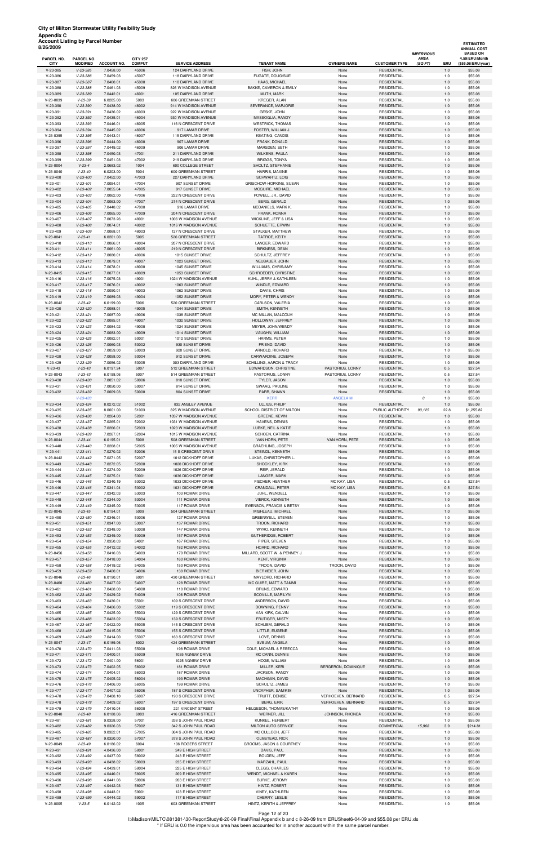| <b>Account Listing by Parcel Number</b><br>8/26/2009 |                               |                        |                                  |                                                |                                                  |                              |                                          | <b>IMPERVIOUS</b>      |            | <b>ESTIMATED</b><br><b>ANNUAL COST</b><br><b>BASED ON</b> |
|------------------------------------------------------|-------------------------------|------------------------|----------------------------------|------------------------------------------------|--------------------------------------------------|------------------------------|------------------------------------------|------------------------|------------|-----------------------------------------------------------|
| PARCEL NO.<br><b>CITY</b>                            | PARCEL NO.<br><b>MODIFIED</b> | <b>ACCOUNT NO.</b>     | <b>CITY 257</b><br><b>COMPUT</b> | <b>SERVICE ADDRESS</b>                         | <b>TENANT NAME</b>                               | <b>OWNERS NAME</b>           | <b>CUSTOMER TYPE</b>                     | <b>AREA</b><br>(SQ FT) | ERU        | 4.59/ERU/Month<br>(\$55.08/ERU/year)                      |
| $V-23-385$                                           | $V-23-385$                    | 7.0458.00              | 45006                            | 124 DAIRYLAND DRIVE                            | FISH, JOHN                                       | None                         | <b>RESIDENTIAL</b>                       |                        | 1.0        | \$55.08                                                   |
| $V-23-386$<br>$V-23-387$                             | $V-23-386$<br>$V-23-387$      | 7.0459.03<br>7.0460.01 | 45007<br>45008                   | 118 DAIRYLAND DRIVE<br>110 DAIRYLAND DRIVE     | FUGATE, DOUG/SUE<br>HAAS, MICHAEL                | None<br>None                 | <b>RESIDENTIAL</b><br><b>RESIDENTIAL</b> |                        | 1.0<br>1.0 | \$55.08<br>\$55.08                                        |
| $V-23-388$                                           | $V-23-388$                    | 7.0461.03              | 45009                            | 826 W MADISON AVENUE                           | BAKKE, CAMERON & EMILY                           | None                         | <b>RESIDENTIAL</b>                       |                        | 1.0        | \$55.08                                                   |
| $V-23-389$                                           | $V-23-389$                    | 7.0442.01              | 46001                            | 105 DAIRYLAND DRIVE                            | MUTH, MARK                                       | None                         | <b>RESIDENTIAL</b>                       |                        | 1.0        | \$55.08                                                   |
| V-23-0039                                            | $V-23-39$                     | 6.0205.00              | 5003                             | 606 GREENMAN STREET                            | KREGER, ALAN                                     | None                         | <b>RESIDENTIAL</b>                       |                        | 1.0        | \$55.08                                                   |
| $V-23-390$                                           | $V-23-390$                    | 7.0438.00              | 46002                            | 914 W MADISON AVENUE                           | SEVERANCE, MARJORIE                              | None                         | <b>RESIDENTIAL</b>                       |                        | 1.0        | \$55.08                                                   |
| $V-23-391$                                           | $V-23-391$                    | 7.0436.02              | 46003                            | 922 W MADISON AVENUE                           | GESKE, JOHN                                      | None                         | <b>RESIDENTIAL</b>                       |                        | 1.0        | \$55.08                                                   |
| V-23-392                                             | $V-23-392$                    | 7.0435.01              | 46004                            | 930 W MADISON AVENUE                           | MASSOGLIA, RANDY                                 | None                         | <b>RESIDENTIAL</b>                       |                        | 1.0        | \$55.08                                                   |
| $V-23-393$<br>$V-23-394$                             | $V-23-393$<br>$V-23-394$      | 7.0446.01<br>7.0445.02 | 46005<br>46006                   | 116 N CRESCENT DRIVE<br>917 LAMAR DRIVE        | <b>WESTRICK, THOMAS</b><br>FOSTER, WILLIAM J.    | None<br>None                 | <b>RESIDENTIAL</b><br><b>RESIDENTIAL</b> |                        | 1.0<br>1.0 | \$55.08<br>\$55.08                                        |
| V-23-0395                                            | $V-23-395$                    | 7.0443.01              | 46007                            | 115 DAIRYLAND DRIVE                            | KEATING, CANDIS                                  | None                         | <b>RESIDENTIAL</b>                       |                        | 1.0        | \$55.08                                                   |
| $V-23-396$                                           | $V-23-396$                    | 7.0444.00              | 46008                            | 907 LAMAR DRIVE                                | FRANK, DONALD                                    | None                         | <b>RESIDENTIAL</b>                       |                        | 1.0        | \$55.08                                                   |
| $V-23-397$                                           | $V-23-397$                    | 7.0449.02              | 46009                            | 906 LAMAR DRIVE                                | MARSDEN, SETH                                    | None                         | <b>RESIDENTIAL</b>                       |                        | 1.0        | \$55.08                                                   |
| $V-23-398$                                           | $V-23-398$                    | 7.0450.03              | 47001                            | 211 DAIRYLAND DRIVE                            | <b>WILKENS, PAULA</b>                            | None                         | <b>RESIDENTIAL</b>                       |                        | 1.0        | \$55.08                                                   |
| V-23-399                                             | $V-23-399$                    | 7.0451.03              | 47002                            | 219 DAIRYLAND DRIVE                            | <b>BRIGGS, TONYA</b>                             | None                         | <b>RESIDENTIAL</b>                       |                        | 1.0        | \$55.08                                                   |
| $V-23-0004$                                          | $V-23-4$                      | 2.0683.02              | 1004                             | 600 COLLEGE STREET                             | SHOLTZ, STEPHANIE                                | None                         | <b>RESIDENTIAL</b>                       |                        | 1.0        | \$55.08                                                   |
| V-23-0040                                            | $V-23-40$                     | 6.0203.00              | 5004                             | 600 GREENMAN STREET<br>227 DAIRYLAND DRIVE     | HARRIS, MAXINE                                   | None                         | <b>RESIDENTIAL</b><br><b>RESIDENTIAL</b> |                        | 1.0        | \$55.08                                                   |
| $V-23-400$<br>$V-23-401$                             | $V-23-400$<br>$V-23-401$      | 7.0452.00<br>7.0054.01 | 47003<br>47004                   | 907 SUNSET DRIVE                               | <b>SCHWARTZ, LOIS</b><br>GRISCHOW-HOPKINS, SUSAN | None<br>None                 | <b>RESIDENTIAL</b>                       |                        | 1.0<br>1.0 | \$55.08<br>\$55.08                                        |
| $V-23-402$                                           | $V-23-402$                    | 7.0055.04              | 47005                            | 917 SUNSET DRIVE                               | MCGUIRE, MICHAEL                                 | None                         | <b>RESIDENTIAL</b>                       |                        | 1.0        | \$55.08                                                   |
| $V-23-403$                                           | $V-23-403$                    | 7.0062.00              | 47006                            | 222 N CRESCENT DRIVE                           | POWELL, JR., DAVID                               | None                         | <b>RESIDENTIAL</b>                       |                        | 1.0        | \$55.08                                                   |
| $V-23-404$                                           | $V-23-404$                    | 7.0063.00              | 47007                            | 214 N CRESCENT DRIVE                           | BERG, GERALD                                     | None                         | <b>RESIDENTIAL</b>                       |                        | 1.0        | \$55.08                                                   |
| $V-23-405$                                           | $V-23-405$                    | 7.0448.02              | 47008                            | 916 LAMAR DRIVE                                | MCDANIELS, MARK K.                               | None                         | <b>RESIDENTIAL</b>                       |                        | 1.0        | \$55.08                                                   |
| $V-23-406$                                           | $V-23-406$                    | 7.0065.00              | 47009                            | 204 N CRESCENT DRIVE                           | FRANK, RONNA                                     | None                         | <b>RESIDENTIAL</b>                       |                        | $1.0$      | \$55.08                                                   |
| $V-23-407$                                           | $V-23-407$                    | 7.0073.26              | 48001                            | 1006 W MADISON AVENUE                          | WICKLINE, JEFF & LISA                            | None                         | <b>RESIDENTIAL</b>                       |                        | 1.0        | \$55.08                                                   |
| $V-23-408$<br>$V-23-409$                             | $V-23-408$<br>$V - 23 - 409$  | 7.0074.01<br>7.0068.01 | 48002<br>48003                   | 1016 W MADISON AVENUE<br>127 N CRESCENT DRIVE  | SCHUETTE, ERWIN<br>STALKER, MATTHEW              | None<br>None                 | <b>RESIDENTIAL</b><br>RESIDENTIAL        |                        | 1.0<br>1.0 | \$55.08<br>\$55.08                                        |
| $V-23-0041$                                          | $V-23-41$                     | 6.0201.00              | 5005                             | 526 GREENMAN STREET                            | TATROE, KEITH                                    | None                         | <b>RESIDENTIAL</b>                       |                        | 1.0        | \$55.08                                                   |
| $V-23-410$                                           | $V-23-410$                    | 7.0066.01              | 48004                            | 207 N CRESCENT DRIVE                           | LANGER, EDWARD                                   | None                         | <b>RESIDENTIAL</b>                       |                        | 1.0        | \$55.08                                                   |
| $V-23-411$                                           | $V-23-411$                    | 7.0061.00              | 48005                            | 219 N CRESCENT DRIVE                           | <b>BIRKNESS, DEAN</b>                            | None                         | <b>RESIDENTIAL</b>                       |                        | 1.0        | \$55.08                                                   |
| $V-23-412$                                           | $V-23-412$                    | 7.0080.01              | 48006                            | 1015 SUNSET DRIVE                              | SCHULTZ, JEFFREY                                 | None                         | <b>RESIDENTIAL</b>                       |                        | 1.0        | \$55.08                                                   |
| $V-23-413$                                           | $V-23-413$                    | 7.0079.01              | 48007                            | 1023 SUNSET DRIVE                              | NEUBAUER, JOHN                                   | None                         | <b>RESIDENTIAL</b>                       |                        | 1.0        | \$55.08                                                   |
| $V-23-414$                                           | $V-23-414$                    | 7.0078.01              | 48008                            | 1045 SUNSET DRIVE                              | WILLIAMS, CHRIS/AMY                              | None                         | <b>RESIDENTIAL</b>                       |                        | 1.0        | \$55.08                                                   |
| $V-23-0415$                                          | $V-23-415$                    | 7.0077.01              | 48009                            | 1053 SUNSET DRIVE                              | SCHROEDER, CHRISTINE                             | None                         | <b>RESIDENTIAL</b>                       |                        | 1.0        | \$55.08                                                   |
| $V-23-416$                                           | $V-23-416$<br>$V-23-417$      | 7.0075.03              | 49001<br>49002                   | 1024 W MADISON AVENUE<br>1063 SUNSET DRIVE     | KUHL, JERRY & KATHLEEN<br>WINDLE, EDWARD         | None                         | <b>RESIDENTIAL</b><br><b>RESIDENTIAL</b> |                        | 1.0<br>1.0 | \$55.08<br>\$55.08                                        |
| $V-23-417$<br>$V-23-418$                             | $V-23-418$                    | 7.0076.01<br>7.0090.01 | 49003                            | 1062 SUNSET DRIVE                              | DAVIS, CHRIS                                     | None<br>None                 | <b>RESIDENTIAL</b>                       |                        | 1.0        | \$55.08                                                   |
| $V-23-419$                                           | $V-23-419$                    | 7.0089.03              | 49004                            | 1052 SUNSET DRIVE                              | MORY, PETER & WENDY                              | None                         | <b>RESIDENTIAL</b>                       |                        | 1.0        | \$55.08                                                   |
| $V-23-0042$                                          | $V-23-42$                     | 6.0199.00              | 5006                             | 520 GREENMAN STREET                            | CARLSON, VALERIA                                 | None                         | <b>RESIDENTIAL</b>                       |                        | 1.0        | \$55.08                                                   |
| $V-23-420$                                           | $V-23-420$                    | 7.0088.01              | 49005                            | 1044 SUNSET DRIVE                              | SMITH, KENNETH                                   | None                         | <b>RESIDENTIAL</b>                       |                        | $1.0$      | \$55.08                                                   |
| $V-23-421$                                           | $V-23-421$                    | 7.0087.00              | 49006                            | 1038 SUNSET DRIVE                              | MC MILLAN, MALCOLM                               | None                         | <b>RESIDENTIAL</b>                       |                        | 1.0        | \$55.08                                                   |
| $V-23-422$                                           | $V-23-422$                    | 7.0085.01              | 49007                            | 1032 SUNSET DRIVE                              | HOLLOWAY, JEFFREY                                | None                         | <b>RESIDENTIAL</b>                       |                        | 1.0        | \$55.08                                                   |
| $V-23-423$                                           | $V-23-423$                    | 7.0084.02              | 49008                            | 1024 SUNSET DRIVE                              | MEYER, JOHN/WENDY                                | None                         | <b>RESIDENTIAL</b>                       |                        | 1.0        | \$55.08                                                   |
| $V-23-424$<br>$V-23-425$                             | $V - 23 - 424$<br>$V-23-425$  | 7.0083.00<br>7.0082.01 | 49009<br>50001                   | 1014 SUNSET DRIVE<br>1012 SUNSET DRIVE         | <b>VAUGHN, WILLIAM</b><br><b>HARMS, PETER</b>    | None<br>None                 | <b>RESIDENTIAL</b><br><b>RESIDENTIAL</b> |                        | 1.0<br>1.0 | \$55.08<br>\$55.08                                        |
| $V-23-426$                                           | $V-23-426$                    | 7.0060.03              | 50002                            | 930 SUNSET DRIVE                               | FRIEND, DAVID                                    | None                         | <b>RESIDENTIAL</b>                       |                        | 1.0        | \$55.08                                                   |
| $V - 23 - 421$                                       | V-23-427                      | 1.0099.00              | 50003                            | 920 SUNSET DRIVE                               | ARNOLD, RICHARD                                  | None                         | RESIDENTIAL                              |                        | 1.0        | \$55.08                                                   |
| $V-23-428$                                           | $V-23-428$                    | 7.0058.00              | 50004                            | 912 SUNSET DRIVE                               | CARWARDINE, JOSEPH                               | None                         | <b>RESIDENTIAL</b>                       |                        | 1.0        | \$55.08                                                   |
| $V-23-429$                                           | $V-23-429$                    | 7.0056.02              | 50005                            | 303 DAIRYLAND DRIVE                            | SCHILLING, AARON & TRACY                         | None                         | <b>RESIDENTIAL</b>                       |                        | 1.0        | \$55.08                                                   |
| $V-23-43$                                            | $V-23-43$                     | 6.0197.24              | 5007                             | 512 GREENMAN STREET                            | EDWARDSON, CHRISTINE                             | PASTORIUS, LONNY             | <b>RESIDENTIAL</b>                       |                        | 0.5        | \$27.54                                                   |
| V-23-0043                                            | $V-23-43$                     | 6.0198.06              | 5007                             | 514 GREENMAN STREET                            | PASTORIUS, LONNY                                 | PASTORIUS, LONNY             | <b>RESIDENTIAL</b>                       |                        | 0.5        | \$27.54                                                   |
| $V-23-430$<br>$V-23-431$                             | $V-23-430$<br>$V-23-431$      | 7.0051.02<br>7.0050.00 | 50006<br>50007                   | 818 SUNSET DRIVE<br>814 SUNSET DRIVE           | TYLER, JASON<br>SWAAG, PAULINE                   | None<br>None                 | <b>RESIDENTIAL</b><br><b>RESIDENTIAL</b> |                        | 1.0<br>1.0 | \$55.08<br>\$55.08                                        |
| $V-23-432$                                           | $V-23-432$                    | 7.0009.03              | 50008                            | 804 SUNSET DRIVE                               | PARR, SHAWN                                      | None                         | <b>RESIDENTIAL</b>                       |                        | 1.0        | \$55.08                                                   |
|                                                      | $V-23-433$                    |                        |                                  |                                                | <b>KERR</b>                                      | <b>ANGELA M</b>              |                                          | 0                      | 1.0        | \$55.08                                                   |
| $V-23-434$                                           | $V-23-434$                    | 8.0272.02              | 51002                            | 832 ANSLEY AVENUE                              | ULLIUS, PHILIP                                   | None                         | <b>RESIDENTIAL</b>                       |                        | 1.0        | \$55.08                                                   |
| $V-23-435$                                           | $V-23-435$                    | 8.0001.00              | 51003                            | 825 W MADISON AVENUE                           | SCHOOL DISTRICT OF MILTON                        | None                         | PUBLIC AUTHORITY                         | 93,125                 | 22.8       | \$1,255.82                                                |
| $V-23-436$                                           | $V-23-436$                    | 7.0264.00              | 52001                            | 1037 W MADISON AVENUE                          | GREENE, KEVIN                                    | None                         | <b>RESIDENTIAL</b>                       |                        | 1.0        | \$55.08                                                   |
| $V-23-437$                                           | $V-23-437$                    | 7.0265.01              | 52002                            | 1031 W MADISON AVENUE                          | HAVENS, DENNIS                                   | None                         | <b>RESIDENTIAL</b>                       |                        | 1.0        | \$55.08                                                   |
| $V-23-438$<br>$V-23-439$                             | $V-23-438$<br>$V-23-439$      | 7.0266.01<br>7.0267.01 | 52003<br>52004                   | 1023 W MADISON AVENUE<br>1015 W MADISON AVENUE | LUBKE, NEIL & KATIE<br>SCHOEN, CATRINA           | None<br>None                 | <b>RESIDENTIAL</b><br><b>RESIDENTIAL</b> |                        | 1.0<br>1.0 | \$55.08<br>\$55.08                                        |
| V-23-0044                                            | $V-23-44$                     | 6.0195.01              | 5008                             | 508 GREENMAN STREET                            | VAN HORN, PETE                                   | VAN HORN, PETE               | <b>RESIDENTIAL</b>                       |                        | 1.0        | \$55.08                                                   |
| $V-23-440$                                           | $V-23-440$                    | 7.0268.01              | 52005                            | 1005 W MADISON AVENUE                          | GRAEHLING, JOSEPH                                | None                         | <b>RESIDENTIAL</b>                       |                        | 1.0        | \$55.08                                                   |
| $V-23-441$                                           | $V-23-441$                    | 7.0270.02              | 52006                            | 15 S CRESCENT DRIVE                            | STEINDL, KENNETH                                 | None                         | <b>RESIDENTIAL</b>                       |                        | 1.0        | \$55.08                                                   |
| V-23-0442                                            | $V-23-442$                    | 7.0271.05              | 52007                            | 1012 DICKHOFF DRIVE                            | LUKAS, CHRISTOPHER L.                            | None                         | <b>RESIDENTIAL</b>                       |                        | 1.0        | \$55.08                                                   |
| $V-23-443$                                           | $V-23-443$                    | 7.0272.05              | 52008                            | 1020 DICKHOFF DRIVE                            | SHOCKLEY, KIRK                                   | None                         | <b>RESIDENTIAL</b>                       |                        | 1.0        | \$55.08                                                   |
| $V-23-444$                                           | $V-23-444$                    | 7.0274.00              | 52009                            | 1026 DICKHOFF DRIVE                            | REIF, JERALD                                     | None                         | <b>RESIDENTIAL</b>                       |                        | 1.0        | \$55.08                                                   |
| $V-23-445$                                           | $V-23-445$                    | 7.0275.01              | 53001                            | 1036 DICKHOFF DRIVE                            | LANGER, MARK                                     | None                         | <b>RESIDENTIAL</b>                       |                        | 1.0        | \$55.08                                                   |
| $V-23-446$<br>$V-23-446$                             | $V-23-446$<br>$V-23-446$      | 7.0340.19<br>7.0341.04 | 53002<br>53002                   | 1033 DICKHOFF DRIVE<br>1031 DICKHOFF DRIVE     | FISCHER, HEATHER<br>CRANDALL, PETER              | MC KAY, LISA<br>MC KAY, LISA | <b>RESIDENTIAL</b><br><b>RESIDENTIAL</b> |                        | 0.5<br>0.5 | \$27.54<br>\$27.54                                        |
| $V-23-447$                                           | $V-23-447$                    | 7.0342.03              | 53003                            | 103 ROMAR DRIVE                                | JUHL, WENDELL                                    | None                         | <b>RESIDENTIAL</b>                       |                        | 1.0        | \$55.08                                                   |
| $V-23-448$                                           | $V-23-448$                    | 7.0344.00              | 53004                            | 111 ROMAR DRIVE                                | VIERCK, KENNETH                                  | None                         | <b>RESIDENTIAL</b>                       |                        | 1.0        | \$55.08                                                   |
| $V-23-449$                                           | $V-23-449$                    | 7.0345.00              | 53005                            | 117 ROMAR DRIVE                                | SWENSON, FRANCIS & BETSY                         | None                         | RESIDENTIAL                              |                        | 1.0        | \$55.08                                                   |
| $V-23-0045$                                          | $V - 23 - 45$                 | 6.0194.01              | 5009                             | 504 GREENMAN STREET                            | MISHLEAU, MICHAEL                                | None                         | <b>RESIDENTIAL</b>                       |                        | 1.0        | \$55.08                                                   |
| $V-23-450$                                           | $V-23-450$                    | 7.0346.01              | 53006                            | 127 ROMAR DRIVE                                | GREENWELL, STEVEN                                | None                         | <b>RESIDENTIAL</b>                       |                        | 1.0        | \$55.08                                                   |
| $V-23-451$                                           | $V-23-451$                    | 7.0347.00              | 53007                            | 137 ROMAR DRIVE                                | TROON, RICHARD                                   | None                         | <b>RESIDENTIAL</b>                       |                        | 1.0        | \$55.08                                                   |
| $V-23-452$                                           | $V-23-452$                    | 7.0348.00              | 53008                            | 147 ROMAR DRIVE                                | WYRO, KENNETH                                    | None                         | <b>RESIDENTIAL</b>                       |                        | 1.0        | \$55.08                                                   |
| $V-23-453$<br>$V-23-454$                             | $V-23-453$<br>$V-23-454$      | 7.0349.00<br>7.0350.03 | 53009<br>54001                   | 157 ROMAR DRIVE<br>167 ROMAR DRIVE             | GUTHERIDGE, ROBERT<br>PIPER, STEVEN              | None<br>None                 | <b>RESIDENTIAL</b><br><b>RESIDENTIAL</b> |                        | 1.0<br>1.0 | \$55.08<br>\$55.08                                        |
| $V-23-455$                                           | $V-23-455$                    | 7.0412.02              | 54002                            | 182 ROMAR DRIVE                                | HOARD, RICHARD                                   | None                         | <b>RESIDENTIAL</b>                       |                        | 1.0        | \$55.08                                                   |
| V-23-0456                                            | $V-23-456$                    | 7.0416.03              | 54003                            | 170 ROMAR DRIVE                                | MILLARD, SCOTT W. & PENNEY J.                    | None                         | <b>RESIDENTIAL</b>                       |                        | 1.0        | \$55.08                                                   |
| $V-23-457$                                           | $V-23-457$                    | 7.0418.00              | 54004                            | 160 ROMAR DRIVE                                | <b>KENT, VIRGINIA</b>                            | None                         | <b>RESIDENTIAL</b>                       |                        | 1.0        | \$55.08                                                   |
| $V-23-458$                                           | $V-23-458$                    | 7.0419.02              | 54005                            | 150 ROMAR DRIVE                                | TROON, DAVID                                     | TROON, DAVID                 | <b>RESIDENTIAL</b>                       |                        | 1.0        | \$55.08                                                   |
| $V-23-459$                                           | $V-23-459$                    | 7.0420.01              | 54006                            | 138 ROMAR DRIVE                                | BIERMEIER, JOHN                                  | None                         | <b>RESIDENTIAL</b>                       |                        | 1.0        | \$55.08                                                   |
| V-23-0046                                            | $V-23-46$                     | 6.0190.01              | 6001                             | 430 GREENMAN STREET                            | MAYLORD, RICHARD                                 | None                         | <b>RESIDENTIAL</b>                       |                        | 1.0        | \$55.08                                                   |
| V-23-0460                                            | $V-23-460$                    | 7.0427.02              | 54007                            | 128 ROMAR DRIVE                                | MC GUIRE, MATT & TAMMI                           | None                         | <b>RESIDENTIAL</b>                       |                        | 1.0        | \$55.08                                                   |
| $V-23-461$<br>$V-23-462$                             | $V-23-461$<br>$V-23-462$      | 7.0428.00<br>7.0429.02 | 54008<br>54009                   | 118 ROMAR DRIVE<br>106 ROMAR DRIVE             | BRUNS, EDWARD<br>SCOVILLE, MARILYN               | None<br>None                 | <b>RESIDENTIAL</b><br><b>RESIDENTIAL</b> |                        | 1.0<br>1.0 | \$55.08<br>\$55.08                                        |
| $V-23-463$                                           | $V-23-463$                    | 7.0430.01              | 55001                            | 109 S CRESCENT DRIVE                           | ANDERSON, DAVID                                  | None                         | RESIDENTIAL                              |                        | 1.0        | \$55.08                                                   |
| $V-23-464$                                           | $V-23-464$                    | 7.0426.00              | 55002                            | 119 S CRESCENT DRIVE                           | DOWNING, PENNY                                   | None                         | <b>RESIDENTIAL</b>                       |                        | 1.0        | \$55.08                                                   |
| $V-23-465$                                           | $V-23-465$                    | 7.0425.00              | 55003                            | 129 S CRESCENT DRIVE                           | VAN KIRK, CALVIN                                 | None                         | <b>RESIDENTIAL</b>                       |                        | 1.0        | \$55.08                                                   |
| $V-23-466$                                           | $V-23-466$                    | 7.0423.02              | 55004                            | 139 S CRESCENT DRIVE                           | FRUTIGER, MISTY                                  | None                         | <b>RESIDENTIAL</b>                       |                        | 1.0        | \$55.08                                                   |

| $V-23-467$  | $V - 23 - 467$ | 7.0422.00 | 55005 | 145 S CRESCENT DRIVE | SCHLIEM, GERALD          | None                | <b>RESIDENTIAL</b> |        | 1.0 | \$55.08  |
|-------------|----------------|-----------|-------|----------------------|--------------------------|---------------------|--------------------|--------|-----|----------|
| $V-23-468$  | $V - 23 - 468$ | 7.0415.05 | 55006 | 155 S CRESCENT DRIVE | LITTLE, EUGENE           | None                | <b>RESIDENTIAL</b> |        | 1.0 | \$55.08  |
| $V-23-469$  | $V - 23 - 469$ | 7.0414.00 | 55007 | 163 S CRESCENT DRIVE | LOVE, DENNIS             | None                | <b>RESIDENTIAL</b> |        | 1.0 | \$55.08  |
| $V-23-0047$ | $V-23-47$      | 6.0189.06 | 6002  | 424 GREENMAN STREET  | SVEUM, ANGELA            | None                | <b>RESIDENTIAL</b> |        | 1.0 | \$55.08  |
| $V-23-470$  | $V - 23 - 470$ | 7.0411.03 | 55008 | 198 ROMAR DRIVE      | COLE. MICHAEL & REBECCA  | None                | <b>RESIDENTIAL</b> |        | 1.0 | \$55.08  |
| $V-23-471$  | $V - 23 - 471$ | 7.0400.01 | 55009 | 1035 AGNEW DRIVE     | <b>MC CANN, DENNIS</b>   | None                | <b>RESIDENTIAL</b> |        | 1.0 | \$55.08  |
| $V-23-472$  | $V-23-472$     | 7.0401.00 | 56001 | 1025 AGNEW DRIVE     | HOGE, WILLIAM            | None                | <b>RESIDENTIAL</b> |        | 1.0 | \$55.08  |
| $V-23-473$  | $V-23-473$     | 7.0402.05 | 56002 | 181 ROMAR DRIVE      | MILLER, KERI             | BERGERON, DOMINIQUE | <b>RESIDENTIAL</b> |        | 1.0 | \$55.08  |
| $V-23-474$  | $V - 23 - 474$ | 7.0404.01 | 56003 | 187 ROMAR DRIVE      | JACKSON, RANDY           | None                | <b>RESIDENTIAL</b> |        | 1.0 | \$55.08  |
| $V-23-475$  | $V-23-475$     | 7.0405.02 | 56004 | 193 ROMAR DRIVE      | MACHGAN, DAVID           | None                | <b>RESIDENTIAL</b> |        | 1.0 | \$55.08  |
| $V-23-476$  | $V-23-476$     | 7.0406.00 | 56005 | 199 ROMAR DRIVE      | SCHULTZ, JAMES           | None                | <b>RESIDENTIAL</b> |        | 1.0 | \$55.08  |
| $V-23-477$  | $V - 23 - 477$ | 7.0407.02 | 56006 | 187 S CRESCENT DRIVE | UNCAPHER, SAM/KIM        | None                | <b>RESIDENTIAL</b> |        | 1.0 | \$55.08  |
| $V-23-478$  | $V - 23 - 478$ | 7.0408.10 | 56007 | 193 S CRESCENT DRIVE | TRUITT, DENISE           | VERHOEVEN, BERNARD  | <b>RESIDENTIAL</b> |        | 0.5 | \$27.54  |
| $V-23-478$  | $V-23-478$     | 7.0409.02 | 56007 | 197 S CRESCENT DRIVE | <b>BERG, ERIK</b>        | VERHOEVEN, BERNARD  | <b>RESIDENTIAL</b> |        | 0.5 | \$27.54  |
| $V-23-479$  | $V - 23 - 479$ | 7.0410.04 | 56008 | 221 VINCENT STREET   | HELGESON, THOMAS/KATHY   | None                | <b>RESIDENTIAL</b> |        | 1.0 | \$55.08  |
| $V-23-0048$ | $V - 23 - 48$  | 6.0188.06 | 6003  | 416 GREENMAN STREET  | WERNER, JILL             | JOHNSON, RHONDA     | <b>RESIDENTIAL</b> |        | 1.0 | \$55.08  |
| $V-23-481$  | $V-23-481$     | 9.0328.00 | 57001 | 338 S JOHN PAUL ROAD | KUNKEL, HERBERT          | None                | <b>RESIDENTIAL</b> |        | 1.0 | \$55.08  |
| $V-23-482$  | $V-23-482$     | 9.0326.03 | 57002 | 342 S JOHN PAUL ROAD | MILTON AUTO SERVICE      | None                | <b>COMMERCIAL</b>  | 15,968 | 3.9 | \$214.81 |
| $V-23-485$  | $V - 23 - 485$ | 9.0322.01 | 57005 | 364 S JOHN PAUL ROAD | MC CULLOCH, JEFF         | None                | <b>RESIDENTIAL</b> |        | 1.0 | \$55.08  |
| $V-23-487$  | $V - 23 - 487$ | 9.0320.00 | 57007 | 378 S JOHN PAUL ROAD | OLMSTEAD, RICK           | None                | <b>RESIDENTIAL</b> |        | 1.0 | \$55.08  |
| V-23-0049   | $V - 23 - 49$  | 6.0186.02 | 6004  | 106 ROGERS STREET    | GROOMS, JASON & COURTNEY | None                | <b>RESIDENTIAL</b> |        | 1.0 | \$55.08  |
| $V-23-491$  | $V-23-491$     | 4.0436.00 | 58001 | 249 E HIGH STREET    | DAVIS, PAUL              | None                | <b>RESIDENTIAL</b> |        | 1.0 | \$55.08  |
| $V-23-492$  | $V-23-492$     | 4.0437.00 | 58002 | 243 E HIGH STREET    | <b>BOLDEN, JEFF</b>      | None                | <b>RESIDENTIAL</b> |        | 1.0 | \$55.08  |
| $V-23-493$  | $V-23-493$     | 4.0438.02 | 58003 | 235 E HIGH STREET    | MARZAHL, PAUL            | None                | <b>RESIDENTIAL</b> |        | 1.0 | \$55.08  |
| $V-23-494$  | $V-23-494$     | 4.0439.01 | 58004 | 225 E HIGH STREET    | CLEGG, CHARLES           | None                | <b>RESIDENTIAL</b> |        | 1.0 | \$55.08  |
| $V-23-495$  | $V - 23 - 495$ | 4.0440.01 | 58005 | 209 E HIGH STREET    | WENDT, MICHAEL & KAREN   | None                | <b>RESIDENTIAL</b> |        | 1.0 | \$55.08  |
| $V-23-496$  | $V-23-496$     | 4.0441.06 | 58006 | 203 E HIGH STREET    | <b>BURKE, JEROMY</b>     | None                | <b>RESIDENTIAL</b> |        | 1.0 | \$55.08  |
| $V-23-497$  | $V - 23 - 497$ | 4.0442.03 | 58007 | 131 E HIGH STREET    | HINTZ, ROBERT            | None                | <b>RESIDENTIAL</b> |        | 1.0 | \$55.08  |
| $V-23-498$  | $V - 23 - 498$ | 4.0443.01 | 59001 | 123 E HIGH STREET    | <b>VINEY, KATHLEEN</b>   | None                | <b>RESIDENTIAL</b> |        | 1.0 | \$55.08  |
| $V-23-499$  | $V-23-499$     | 4.0444.02 | 59002 | 117 E HIGH STREET    | CHERRY, LESLIE           | None                | <b>RESIDENTIAL</b> |        | 1.0 | \$55.08  |
| $V-23-0005$ | $V - 23 - 5$   | 6.0142.02 | 1005  | 603 GREENMAN STREET  | HINTZ, KERITH & JEFFREY  | None                | <b>RESIDENTIAL</b> |        | 1.0 | \$55.08  |

Page 12 of 20

I:\Madison\MILTC\081381-\30-ReportStudy\8-20-09 Final\Final Appendix b and c 8-26-09 from ERUSheet6-04-09 and \$55.08 per ERU.xls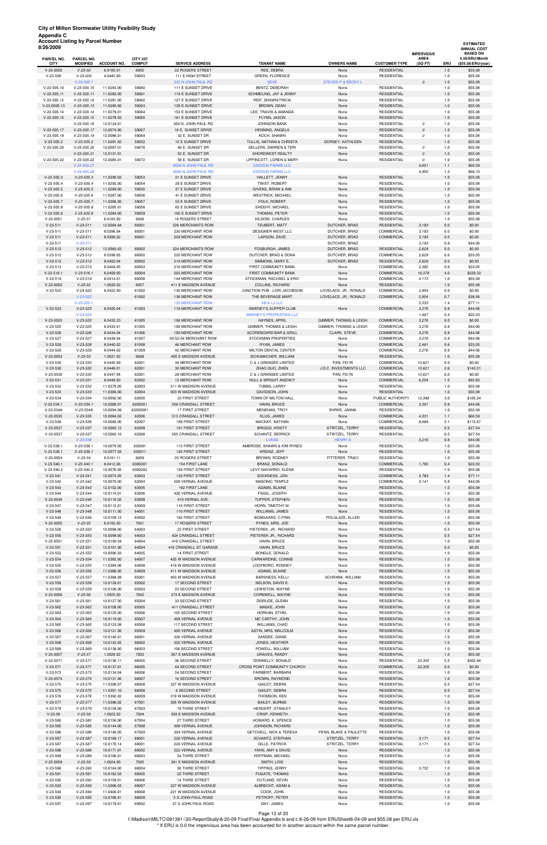| 8/26/2009<br>PARCEL NO.<br><b>CITY</b> | ACCOUNT LISTING DY FAILER NUMBER<br>PARCEL NO.<br><b>MODIFIED</b> | <b>ACCOUNT NO.</b>       | <b>CITY 257</b><br><b>COMPUT</b> | <b>SERVICE ADDRESS</b>                        | <b>TENANT NAME</b>                               | <b>OWNERS NAME</b>                     | <b>CUSTOMER TYPE</b>                     | <b>IMPERVIOUS</b><br><b>AREA</b><br>(SQFT) | ERU        | <b>ESTIMATED</b><br><b>ANNUAL COST</b><br><b>BASED ON</b><br>4.59/ERU/Month<br>(\$55.08/ERU/year) |
|----------------------------------------|-------------------------------------------------------------------|--------------------------|----------------------------------|-----------------------------------------------|--------------------------------------------------|----------------------------------------|------------------------------------------|--------------------------------------------|------------|---------------------------------------------------------------------------------------------------|
| V-23-0050                              | $V-23-50$                                                         | 6.0185.01                | 6005                             | 22 ROGERS STREET                              | REE, DEBRA                                       | None                                   | <b>RESIDENTIAL</b>                       |                                            | 1.0        | \$55.08                                                                                           |
| $V-23-500$                             | $V-23-500$                                                        | 4.0445.00                | 59003                            | 111 E HIGH STREET                             | GREEN, FLORENCE                                  | None                                   | <b>RESIDENTIAL</b>                       |                                            | 1.0        | \$55.08                                                                                           |
|                                        | $V-23-505.1$                                                      |                          |                                  | 232 N JOHN PAUL RD                            | <b>SEXE</b>                                      | <b>STEVEN P &amp; BECKY L</b>          |                                          | $\mathcal{O}$                              | 1.0        | \$55.08                                                                                           |
| $V-23-505.10$                          | $V-23-505.10$                                                     | 11.0283.00               | 59060                            | 111 E SUNSET DRIVE                            | BENTZ, DEBORAH                                   | None                                   | <b>RESIDENTIAL</b>                       |                                            | 1.0        | \$55.08                                                                                           |
| $V-23-505.11$                          | $V-23-505.11$                                                     | 11.0282.00               | 59061                            | 119 E SUNSET DRIVE                            | SCHMELING, JAY & JENNY                           | None                                   | <b>RESIDENTIAL</b>                       |                                            | 1.0        | \$55.08                                                                                           |
| V-23-505.12<br>V-23-0505.13            | $V-23-505.12$<br>$V-23-505.13$                                    | 11.0281.00<br>11.0280.00 | 59062<br>59063                   | 127 E SUNSET DRIVE<br>139 E SUNSET DRIVE      | REIF, SHAWN/TRICIA<br><b>BROWN, DEAN</b>         | None<br>None                           | <b>RESIDENTIAL</b><br><b>RESIDENTIAL</b> |                                            | 1.0<br>1.0 | \$55.08<br>\$55.08                                                                                |
| V-23-505.14                            | $V-23-505.14$                                                     | 11.0279.01               | 59064                            | 153 E SUNSET DRIVE                            | LEE, TRAVIS & AMANDA                             | None                                   | <b>RESIDENTIAL</b>                       |                                            | 1.0        | \$55.08                                                                                           |
| $V-23-505.15$                          | $V-23-505.15$                                                     | 11.0278.03               | 59065                            | 161 E SUNSET DRIVE                            | FLYNN, JASON                                     | None                                   | <b>RESIDENTIAL</b>                       |                                            | 1.0        | \$55.08                                                                                           |
|                                        | $V-23-505.16$                                                     | 12.0124.01               |                                  | 304 N. JOHN PAUL RD                           | <b>JOHNSON BANK</b>                              | None                                   | <b>RESIDENTIAL</b>                       | 0                                          | 1.0        | \$55.08                                                                                           |
| V-23-505.17                            | $V-23-505.17$                                                     | 12.0074.00               | 59067                            | 16 E. SUNSET DRIVE                            | HENNING, ANGELA                                  | None                                   | <b>RESIDENTIAL</b>                       | $\cal O$                                   | 1.0        | \$55.08                                                                                           |
| $V-23-505.19$                          | $V-23-505.19$                                                     | 12.0086.01               | 59069                            | 32 E. SUNSET DR                               | KOCH, SHAWN                                      | None                                   | <b>RESIDENTIAL</b>                       | 0                                          | 1.0        | \$55.08                                                                                           |
| $V-23-505.2$                           | $V-23-505.2$                                                      | 11.0291.02               | 59052                            | 15 E SUNSET DRIVE                             | TULLIS, NATHAN & CHRISTA                         | DORSEY, KATHLEEN                       | <b>RESIDENTIAL</b>                       |                                            | 1.0        | \$55.08                                                                                           |
| V-23-505.20                            | $V-23-505.20$                                                     | 12.0087.01               | 59070                            | 40 E. SUNSET DR                               | SELLERS, DARREN & TERI                           | None                                   | <b>RESIDENTIAL</b>                       | 0                                          | 1.0        | \$55.08                                                                                           |
| V-23-505.22                            | $V-23-505.21$<br>$V-23-505.22$                                    | 12.0131.01<br>12.0085.01 | 59072                            | 52 E. SUNSET DR<br>58 E. SUNSET DR            | SHOREWEST REALTY<br>LIPPINCOTT, LOREN & MARY     | None<br>None                           | <b>RESIDENTIAL</b><br><b>RESIDENTIAL</b> | $\cal O$<br>0                              | 1.0<br>1.0 | \$55.08<br>\$55.08                                                                                |
|                                        | $V-23-505.27$                                                     |                          |                                  | 8006 N JOHN PAUL RD                           | <b>EXODUS FARMS LLC</b>                          |                                        |                                          | 4,651                                      | 1.1        | \$60.59                                                                                           |
|                                        | $V-23-505.28$                                                     |                          |                                  | 8006 N JOHN PAUL RD                           | <b>EXODUS FARMS LLC</b>                          |                                        |                                          | 4,955                                      | 1.2        | \$66.10                                                                                           |
| $V-23-505.3$                           | $V-23-505.3$                                                      | 11.0290.03               | 59053                            | 21 E SUNSET DRIVE                             | HALLETT, JENNY                                   | None                                   | <b>RESIDENTIAL</b>                       |                                            | 1.0        | \$55.08                                                                                           |
| $V-23-505.4$                           | $V-23-505.4$                                                      | 11.0292.00               | 59054                            | 29 E SUNSET DRIVE                             | <b>TWIST, ROBERT</b>                             | None                                   | <b>RESIDENTIAL</b>                       |                                            | 1.0        | \$55.08                                                                                           |
| $V-23-505.5$                           | $V-23-505.5$                                                      | 11.0289.00               | 59055                            | 37 E SUNSET DRIVE                             | GIVENS, BRIAN & AMI                              | None                                   | <b>RESIDENTIAL</b>                       |                                            | 1.0        | \$55.08                                                                                           |
| $V-23-505.6$                           | $V-23-505.6$                                                      | 11.0287.00               | 59056                            | 41 E SUNSET DRIVE                             | <b>WESTRICK, MICHAEL</b>                         | None                                   | <b>RESIDENTIAL</b>                       |                                            | 1.0        | \$55.08                                                                                           |
| $V-23-505.7$                           | $V-23-505.7$                                                      | 11.0286.00               | 59057                            | 53 E SUNSET DRIVE                             | FOLK, ROBERT                                     | None                                   | <b>RESIDENTIAL</b>                       |                                            | 1.0        | \$55.08                                                                                           |
| $V-23-505.8$                           | $V-23-505.8$<br>$V-23-505.9$                                      | 11.0285.01               | 59058                            | 65 E SUNSET DRIVE                             | SHEEHY, MICHAEL                                  | None                                   | <b>RESIDENTIAL</b>                       |                                            | 1.0        | \$55.08                                                                                           |
| $V-23-505.9$<br>$V-23-0051$            | $V-23-51$                                                         | 11.0284.00<br>6.0183.00  | 59059<br>6006                    | 105 E SUNSET DRIVE<br>16 ROGERS STREET        | THOMAS, PETER<br>KILDOW, CHARLES                 | None<br>None                           | <b>RESIDENTIAL</b><br><b>RESIDENTIAL</b> |                                            | 1.0<br>1.0 | \$55.08<br>\$55.08                                                                                |
| $V-23-511$                             | $V-23-511$                                                        | 12.0084.04               | 60001                            | 226 MERCHANTS ROW                             | TEUBERT, MATT                                    | DUTCHER, BRAD                          | <b>RESIDENTIAL</b>                       | 3,193                                      | 0.0        | \$0.00                                                                                            |
| $V-23-511$                             | $V-23-511$                                                        | 8.0396.04                | 60001                            | 230 MERCHANT ROW                              | DESIGNER WEST LLC                                | DUTCHER, BRAD                          | <b>COMMERCIAL</b>                        | 3,193                                      | 0.0        | \$0.00                                                                                            |
| $V-23-511$                             | $V-23-511$                                                        | 8.0398.02                | 60001                            | 228 MERCHANT ROW                              | LARSON, DAVE                                     | DUTCHER, BRAD                          | <b>COMMERCIAL</b>                        | 3,193                                      | 0.0        | \$0.00                                                                                            |
| $V-23-511$                             | $V-23-511$                                                        |                          |                                  |                                               |                                                  | DUTCHER, BRAD                          |                                          | 3,193                                      | 0.8        | \$44.06                                                                                           |
| $V-23-512$                             | $V-23-512$                                                        | 12.0083.03               | 60002                            | 224 MERCHANTS ROW                             | FOSBURGH, JAMES                                  | DUTCHER, BRAD                          | <b>RESIDENTIAL</b>                       | 2,629                                      | 0.0        | \$0.00                                                                                            |
| $V-23-512$                             | $V-23-512$                                                        | 8.0399.05                | 60002                            | 220 MERCHANT ROW                              | DUTCHER, BRAD & DONA                             | DUTCHER, BRAD                          | <b>COMMERCIAL</b>                        | 2,629                                      | 0.6        | \$33.05                                                                                           |
| $V-23-512$                             | $V-23-512$                                                        | 8.0402.04                | 60002                            | 218 MERCHANT ROW                              | SIMMONS, MARY E.                                 | DUTCHER, BRAD                          | <b>RESIDENTIAL</b>                       | 2,629                                      | 0.0        | \$0.00                                                                                            |
| $V-23-513$                             | $V-23-513$                                                        | 8.0404.05                | 60003                            | 216 MERCHANT ROW                              | FIRST COMMUNITY BANK                             | None                                   | COMMERCIAL                               | 2,382                                      | 0.6        | \$33.05                                                                                           |
| $V-23-516.1$<br>$V-23-519$             | $V-23-516.1$<br>$V-23-519$                                        | 8.0409.00<br>8.0414.01   | 60004<br>60008                   | 202 MERCHANT ROW<br>144 MERCHANT ROW          | FIRST COMMUNITY BANK<br>STOCKMAN, RACHAEL & ERIC | None<br>None                           | COMMERCIAL<br>COMMERCIAL                 | 16,378<br>4,173                            | 4.0<br>1.0 | \$220.32<br>\$55.08                                                                               |
| $V-23-0052$                            | $V-23-52$                                                         | 1.0020.02                | 6007                             | 411 E MADISON AVENUE                          | COLLINS, RICHARD                                 | None                                   | <b>RESIDENTIAL</b>                       |                                            | 1.0        | \$55.08                                                                                           |
| $V-23-522$                             | $V-23-522$                                                        | 8.0422.00                | 61002                            | 130 MERCHANT ROW                              | JUNCTION PUB - LORI JACOBSON                     | LOVELACE, JR., RONALD                  | COMMERCIAL                               | 2,954                                      | 0.0        | \$0.00                                                                                            |
|                                        | $V-23-522$                                                        |                          | 61002                            | 136 MERCHANT ROW                              | THE BEVERAGE MART                                | LOVELACE, JR., RONALD                  | <b>COMMERCIAL</b>                        | 2,954                                      | 0.7        | \$38.56                                                                                           |
|                                        | $V-23-522.1$                                                      |                          |                                  | <b>130 MERCHANT ROW</b>                       | <b>KB &amp; LJ LLC</b>                           |                                        |                                          | 5,533                                      | 1.4        | \$77.11                                                                                           |
| $V-23-523$                             | $V-23-523$                                                        | 8.0420.04                | 61003                            | 118 MERCHANT ROW                              | SWENEY'S SUPPER CLUB                             | None                                   | <b>COMMERCIAL</b>                        | 3,276                                      | 0.8        | \$44.06                                                                                           |
|                                        | $V-23-524$                                                        |                          |                                  |                                               | <b>SWENEY'S PROPERTIES LLC</b>                   |                                        |                                          | 1,467                                      | 0.4        | \$22.03                                                                                           |
| V-23-0525                              | $V-23-525$                                                        | 8.0432.23                | 61005                            | 106 MERCHANT ROW                              | HAYNES, APRIL                                    | GIMMER, THOMAS & LEIGH                 | <b>COMMERCIAL</b>                        | 3,276                                      | 0.0        | \$0.00                                                                                            |
| $V-23-525$<br>$V-23-526$               | $V-23-525$<br>$V-23-526$                                          | 8.0433.01<br>8.0434.04   | 61005<br>61006                   | 108 MERCHANT ROW<br>100 MERCHANT ROW          | GIMMER, THOMAS & LEIGH<br>SCOREBOARD BAR & GRILL | GIMMER, THOMAS & LEIGH<br>CLARK, STEVE | COMMERCIAL<br><b>COMMERCIAL</b>          | 3,276<br>3,276                             | 0.8<br>0.8 | \$44.06<br>\$44.06                                                                                |
| $V-23-527$                             | $V-23-527$                                                        | 8.0438.04                | 61007                            | 50-52-54 MERCHANT ROW                         | STOCKMAN PROPERTIES                              | None                                   | COMMERCIAL                               | 3,276                                      | 0.8        | \$44.06                                                                                           |
| $V-23-528$                             | $V-23-528$                                                        | 8.0440.02                | 61008                            | <b>46 MERCHANT ROW</b>                        | RYAN, JAMES                                      | None                                   | COMMERCIAL                               | 2,481                                      | 0.6        | \$33.05                                                                                           |
| $V-23-529$                             | $V-23-529$                                                        | 8.0444.02                | 61009                            | 42 MERCHANT ROW                               | MILTON DENTAL CENTER                             | None                                   | COMMERCIAL                               | 3,276                                      | 0.8        | \$44.06                                                                                           |
| $V-23-0053$                            | $V-23-53$                                                         | 1.0021.02                | 6008                             | 405 E MADISON AVENUE                          | SCHUMACHER, WILLIAM                              | None                                   | <b>RESIDENTIAL</b>                       |                                            | 1.0        | \$55.08                                                                                           |
| $V-23-530$                             | $V-23-530$                                                        | 8.0445.09                | 62001                            | 34 MERCHANT ROW                               | C & J GRANSEE LIMITED                            | PAN, FEI RI                            | <b>COMMERCIAL</b>                        | 10,621                                     | 0.0        | \$0.00                                                                                            |
| $V-23-530$                             | $V-23-530$                                                        | 8.0446.01                | 62001                            | 30 MERCHANT ROW                               | ZHAO GUO, ZHEN                                   | J.D.C. INVESTMENTS LLC                 | COMMERCIAL                               | 10,621                                     | 2.6        | \$143.21                                                                                          |
| V-23-0530                              | $V-23-530$                                                        | 8.0447.04                | 62001                            | 28 MERCHANT ROW<br><b>12 MERCHANT ROW</b>     | C & J GRANSEE LIMITED                            | PAN, FEI RI                            | COMMERCIAL<br>COMMERCIAL                 | 10,621                                     | 0.0        | \$0.00                                                                                            |
| $V-23-531$<br>$V-23-532$               | $V-23-531$<br>$V-23-532$                                          | 8.0449.00<br>11.0378.05  | 62002<br>62003                   | 511 W MADISON AVENUE                          | HULL & WRIGHT AGENCY<br>TUBBS, LARRY             | None<br>None                           | <b>RESIDENTIAL</b>                       | 6,254                                      | 1.5<br>1.0 | \$82.62<br>\$55.08                                                                                |
| $V-23-533$                             | $V-23-533$                                                        | 11.0380.00               | 62004                            | 503 W MADISON AVENUE                          | DAVIDSON, JOHN                                   | None                                   | <b>RESIDENTIAL</b>                       |                                            | 1.0        | \$55.08                                                                                           |
| $V-23-534$                             | $V-23-534$                                                        | 10.0092.00               | 62005                            | 23 FIRST STREET                               | TOWN OF MILTON HALL                              | None                                   | PUBLIC AUTHORITY                         | 12,398                                     | 3.0        | \$165.24                                                                                          |
| $V-23-534.1$                           | $V-23-534.1$                                                      | 10.0088.01               | 6200501                          | 506 CRANDALL STREET                           | HAHN, BRUCE                                      | None                                   | <b>COMMERCIAL</b>                        | 3,301                                      | 0.8        | \$44.06                                                                                           |
| V-23-534A                              | $V-23-534A$                                                       | 10.0094.09               | 62005001                         | 17 FIRST STREET                               | MENEHAN, TROY                                    | EHRKE, JANNA                           | <b>RESIDENTIAL</b>                       |                                            | 1.0        | \$55.08                                                                                           |
| $V-23-0535$                            | $V-23-535$                                                        | 10.0084.02               | 62006                            | 513 CRANDALL STREET                           | KLUG, JAMES                                      | None                                   | <b>COMMERCIAL</b>                        | 4,331                                      | 1.1        | \$60.59                                                                                           |
| $V-23-536$                             | $V-23-536$                                                        | 10.0080.00               | 62007                            | 109 FIRST STREET                              | MACKAY, NATHAN                                   | None                                   | COMMERCIAL                               | 8,668                                      | 2.1        | \$115.67                                                                                          |
| V-23-0537<br>V-23-0537                 | $V-23-537$<br>$V-23-537$                                          | 10.0082.12<br>10.0083.16 | 62008<br>62008                   | 101 FIRST STREET<br>505 CRANDALL STREET       | <b>BRIGGS, KRISTY</b><br>SCHANTZ, DERRICK        | STRITZEL, TERRY<br>STRITZEL, TERRY     | <b>RESIDENTIAL</b><br><b>RESIDENTIAL</b> |                                            | 0.5<br>0.5 | \$27.54<br>\$27.54                                                                                |
|                                        | $V-23-538$                                                        |                          |                                  |                                               | <b>LUKAS</b>                                     | <b>HENRY A</b>                         |                                          | 3,216                                      | 0.8        | \$44.06                                                                                           |
| $V-23-538.1$                           | $V-23-538.1$                                                      | 10.0079.05               | 620091                           | 115 FIRST STREET                              | AMBROSE, SHAWN & KIM RYNES                       | None                                   | <b>RESIDENTIAL</b>                       |                                            | 1.0        | \$55.08                                                                                           |
| $V-23-539.1$                           | $V-23-539.1$                                                      | 10.0077.03               | 630011                           | 125 FIRST STREET                              | KREINZ, JEFF                                     | None                                   | <b>RESIDENTIAL</b>                       |                                            | 1.0        | \$55.08                                                                                           |
| $V-23-0054$                            | $V-23-54$                                                         | 6.0181.11                | 6009                             | <b>25 ROGERS STREET</b>                       | <b>BROWN, RODNEY</b>                             | FITTERER, TRACI                        | <b>RESIDENTIAL</b>                       |                                            | 1.0        | \$55.08                                                                                           |
| $V-23-540.1$                           | $V-23-540.1$                                                      | 8.0412.06                | 6300201                          | 154 FIRST LANE                                | BRANZ, DONALD                                    | None                                   | COMMERCIAL                               | 1,790                                      | 0.4        | \$22.03                                                                                           |
| $V-23-540.2$                           | $V-23-540.2$                                                      | 10.0076.05               | 6300202                          | 129 FIRST STREET                              | LEVY-NAVARRO, ELENA                              | None                                   | <b>RESIDENTIAL</b>                       |                                            | 1.0        | \$55.08                                                                                           |
| $V-23-541$                             | $V-23-541$                                                        | 10.0074.05               | 63003                            | 133 FIRST STREET                              | SOCKNESS, JON                                    | None                                   | <b>COMMERCIAL</b>                        | 5,783                                      | 1.4        | \$77.11                                                                                           |
| $V-23-542$<br>$V-23-543$               | $V-23-542$<br>$V-23-543$                                          | 10.0070.00               | 63004<br>63005                   | 508 VERNAL AVENUE<br>162 FIRST LANE           | <b>MASONIC TEMPLE</b>                            | None<br>None                           | COMMERCIAL<br><b>RESIDENTIAL</b>         | 3,141                                      | 0.8        | \$44.06                                                                                           |
| $V-23-544$                             | $V-23-544$                                                        | 12.0102.00<br>10.0114.01 | 63006                            | 426 VERNAL AVENUE                             | ADAMS, BLAINE<br>FASSL, JOSEPH                   | None                                   | <b>RESIDENTIAL</b>                       |                                            | 1.0<br>1.0 | \$55.08<br>\$55.08                                                                                |
| $V-23-0546$                            | $V-23-546$                                                        | 10.0116.02               | 63008                            | 418 VERNAL AVE.                               | TUPPER, STEPHEN                                  | None                                   | <b>RESIDENTIAL</b>                       |                                            | 1.0        | \$55.08                                                                                           |
| $V-23-547$                             | $V-23-547$                                                        | 10.0112.01               | 63009                            | 116 FIRST STREET                              | HORN, TIMOTHY M.                                 | None                                   | <b>RESIDENTIAL</b>                       |                                            | 1.0        | \$55.08                                                                                           |
| $V-23-548$                             | $V-23-548$                                                        | 10.0111.00               | 64001                            | 110 FIRST STREET                              | <b>WILLIAMS, JAMES</b>                           | None                                   | <b>RESIDENTIAL</b>                       |                                            | 1.0        | \$55.08                                                                                           |
| $V-23-549$                             | $V-23-549$                                                        | 10.0109.12               | 64002                            | 102 FIRST STREET                              | BOMGAARS, C.FINN                                 | POLGLAZE, ELLEN                        | <b>RESIDENTIAL</b>                       |                                            | 1.0        | \$55.08                                                                                           |
| $V-23-0055$                            | $V-23-55$                                                         | 6.0182.00                | 7001                             | 17 ROGERS STREET                              | RYNES, MRS. JOE                                  | None                                   | <b>RESIDENTIAL</b>                       |                                            | 1.0        | \$55.08                                                                                           |
| $V-23-550$                             | $V-23-550$                                                        | 10.0098.00               | 64003                            | 22 FIRST STREET                               | PIETEREK, JR., RICHARD                           | None                                   | <b>RESIDENTIAL</b>                       |                                            | 0.5        | \$27.54                                                                                           |
| $V-23-550$                             | $V-23-550$                                                        | 10.0099.00               | 64003                            | 424 CRANDALL STREET                           | PIETEREK JR., RICHARD                            | None                                   | <b>RESIDENTIAL</b>                       |                                            | 0.5        | \$27.54                                                                                           |
| $V-23-0551$<br>$V-23-551$              | $V-23-551$<br>$V-23-551$                                          | 10.0100.04<br>12.0101.00 | 64004<br>64004                   | 416 CRANDALL STREET<br>416 CRANDALL ST GARAGE | HAHN, BRUCE<br>HAHN, BRUCE                       | None<br>None                           | <b>RESIDENTIAL</b><br><b>RESIDENTIAL</b> |                                            | 1.0<br>0.0 | \$55.08<br>\$0.00                                                                                 |
| $V-23-552$                             | $V-23-552$                                                        | 10.0096.03               | 64005                            | 14 FIRST STREET                               | BONGLE, DONALD                                   | None                                   | <b>RESIDENTIAL</b>                       |                                            | 1.0        | \$55.08                                                                                           |
| $V-23-554$                             | $V-23-554$                                                        | 11.0382.00               | 64007                            | 425 W MADISON AVENUE                          | CARWARDINE, CONNIE                               | None                                   | <b>RESIDENTIAL</b>                       |                                            | 1.0        | \$55.08                                                                                           |
| $V-23-555$                             | $V-23-555$                                                        | 11.0384.06               | 64008                            | 419 W MADISON AVENUE                          | LOOFBORO, RODNEY                                 | None                                   | <b>RESIDENTIAL</b>                       |                                            | 1.0        | \$55.08                                                                                           |
| $V-23-556$                             | $V-23-556$                                                        | 11.0386.00               | 64009                            | 411 W MADISON AVENUE                          | ADAMS, BLAINE                                    | None                                   | <b>RESIDENTIAL</b>                       |                                            | 1.0        | \$55.08                                                                                           |
| $V-23-557$                             | $V-23-557$                                                        | 11.0388.08               | 65001                            | 403 W MADISON AVENUE                          | <b>BARSNESS, KELLI</b>                           | SCHRANK, WILLIAM                       | <b>RESIDENTIAL</b>                       |                                            | 1.0        | \$55.08                                                                                           |
| $V-23-558$                             | $V-23-558$                                                        | 10.0129.01               | 65002                            | 17 SECOND STREET                              | NELSON, DAVID E.                                 | None                                   | <b>RESIDENTIAL</b>                       |                                            | 1.0        | \$55.08                                                                                           |
| $V-23-559$                             | $V-23-559$                                                        | 10.0106.00               | 65003                            | 23 SECOND STREET                              | LEWISTON, WAYNE                                  | None                                   | <b>RESIDENTIAL</b>                       |                                            | 1.0        | \$55.08                                                                                           |
| $V-23-0056$<br>$V-23-561$              | $V-23-56$<br>$V-23-561$                                           | 1.0025.00<br>10.0127.00  | 7002<br>65004                    | 373 E MADISON AVENUE<br>33 SECOND STREET      | CORNWELL, WAYNE<br>DISRUDE, GLENN                | None<br>None                           | <b>RESIDENTIAL</b><br><b>RESIDENTIAL</b> |                                            | 1.0<br>1.0 | \$55.08<br>\$55.08                                                                                |
| $V-23-562$                             | $V-23-562$                                                        | 10.0108.00               | 65005                            | 411 CRANDALL STREET                           | MASKE, JOHN                                      | None                                   | <b>RESIDENTIAL</b>                       |                                            | 1.0        | \$55.08                                                                                           |
| $V-23-563$                             | $V-23-563$                                                        | 10.0125.00               | 65006                            | 105 SECOND STREET                             | HORKAN, ETHEL                                    | None                                   | <b>RESIDENTIAL</b>                       |                                            | 1.0        | \$55.08                                                                                           |

V-23-563 V-23-563 10.0125.00 65006 105 SECOND STREET HORKAN, ETHEL None RESIDENTIAL 1.0 \$55.08 V-23-564 V-23-564 10.0119.00 65007 408 VERNAL AVENUE MC CARTHY, JOHN None RESIDENTIAL 1.0 \$55.08

| $V-23-565$  | $V-23-565$     | 10.0123.08 | 65008 | 117 SECOND STREET       | <b>WILLIAMS, CHAD</b>              | None                   | <b>RESIDENTIAL</b> |        | 1.0 | \$55.08  |
|-------------|----------------|------------|-------|-------------------------|------------------------------------|------------------------|--------------------|--------|-----|----------|
| $V-23-566$  | $V - 23 - 566$ | 10.0121.00 | 65009 | 400 VERNAL AVENUE       | ASTIN, MRS, MALCOLM                | None                   | <b>RESIDENTIAL</b> |        | 1.0 | \$55.08  |
| $V-23-567$  | $V - 23 - 567$ | 10.0140.01 | 66001 | 326 VERNAL AVENUE       | SANDEE, DIANE                      | None                   | <b>RESIDENTIAL</b> |        | 1.0 | \$55.08  |
| $V-23-568$  | $V-23-568$     | 10.0142.02 | 66002 | 320 VERNAL AVENUE       | JONES, HEATHER                     | None                   | <b>RESIDENTIAL</b> |        | 1.0 | \$55.08  |
| $V-23-569$  | $V - 23 - 569$ | 10.0138.00 | 66003 | 106 SECOND STREET       | POWELL, WILLIAM                    | None                   | <b>RESIDENTIAL</b> |        | 1.0 | \$55.08  |
| V-23-0057   | $V-23-57$      | 1.0026.02  | 7003  | 367 E MADISON AVENUE    | GRAVES, RANDY                      | None                   | <b>RESIDENTIAL</b> |        | 1.0 | \$55.08  |
| $V-23-0571$ | $V - 23 - 571$ | 10.0136.11 | 66005 | 36 SECOND STREET        | DONNELLY, DONALD                   | None                   | <b>RESIDENTIAL</b> | 22,305 | 5.5 | \$302.94 |
| $V-23-571$  | $V - 23 - 571$ | 10.0137.01 | 66005 | 44 SECOND STREET        | CROSS POINT COMMUNITY CHURCH       | None                   | <b>COMMERCIAL</b>  | 22.305 | 0.0 | \$0.00   |
| $V-23-573$  | $V - 23 - 573$ | 10.0134.04 | 66006 | 24 SECOND STREET        | FAIRBERT, BARBARA                  | None                   | <b>RESIDENTIAL</b> |        | 1.0 | \$55.08  |
| $V-23-0574$ | $V - 23 - 574$ | 10.0131.06 | 66007 | <b>16 SECOND STREET</b> | BROWN, RAYMOND                     | None                   | <b>RESIDENTIAL</b> |        | 1.0 | \$55.08  |
| $V-23-575$  | $V - 23 - 575$ | 11.0390.07 | 66008 | 327 W MADISON AVENUE    | GAILEY, DEBRA                      | None                   | <b>RESIDENTIAL</b> |        | 0.5 | \$27.54  |
| $V-23-575$  | $V-23-575$     | 11.0391.10 | 66008 | 6 SECOND STREET         | GAILEY, DEBRA                      | None                   | <b>RESIDENTIAL</b> |        | 0.5 | \$27.54  |
| $V-23-576$  | $V-23-576$     | 11.0392.02 | 66009 | 319 W MADISON AVENUE    | THOMSON, KEN                       | None                   | <b>RESIDENTIAL</b> |        | 1.0 | \$55.08  |
| $V-23-577$  | $V - 23 - 577$ | 11.0396.02 | 67001 | 305 W MADISON AVENUE    | <b>BAILEY, BURNIE</b>              | None                   | <b>RESIDENTIAL</b> |        | 1.0 | \$55.08  |
| $V-23-579$  | $V-23-579$     | 10.0158.00 | 67003 | <b>19 THIRD STREET</b>  | HERGERT, STANLEY                   | None                   | <b>RESIDENTIAL</b> |        | 1.0 | \$55.08  |
| $V-23-58$   | $V-23-58$      | 1.0022.02  | 7004  | 393 E MADISON AVENUE    | CRISP, KENNETH                     | None                   | <b>RESIDENTIAL</b> |        | 1.0 | \$55.08  |
| $V-23-580$  | $V - 23 - 580$ | 10.0156.00 | 67004 | 27 THIRD STREET         | HOWARD, K. SPENCE                  | None                   | <b>RESIDENTIAL</b> |        | 1.0 | \$55.08  |
| $V-23-585$  | $V - 23 - 585$ | 10.0144.00 | 67008 | 308 VERNAL AVENUE       | JOHNSON, RICHARD                   | None                   | <b>RESIDENTIAL</b> |        | 1.0 | \$55.08  |
| $V-23-586$  | $V - 23 - 586$ | 10.0146.05 | 67009 | 304 VERNAL AVENUE       | <b>GETCHELL, NICK &amp; TERESA</b> | PENN, BLAKE & PAULETTE | <b>RESIDENTIAL</b> |        | 1.0 | \$55.08  |
| $V-23-587$  | $V-23-587$     | 10.0168.17 | 68001 | 228 VERNAL AVENUE       | SCHANTZ, STEPHAN                   | STRITZEL, TERRY        | <b>RESIDENTIAL</b> | 3,171  | 0.5 | \$27.54  |
| $V-23-587$  | $V - 23 - 587$ | 10.0170.14 | 68001 | 226 VERNAL AVENUE       | <b>GILLE, PATRICK</b>              | STRITZEL, TERRY        | <b>RESIDENTIAL</b> | 3,171  | 0.5 | \$27.54  |
| $V-23-588$  | $V-23-588$     | 10.0171.01 | 68002 | 222 VERNAL AVENUE       | YAHN, AMY & DAVID                  | None                   | <b>RESIDENTIAL</b> |        | 1.0 | \$55.08  |
| $V-23-589$  | $V - 23 - 589$ | 10.0166.01 | 68003 | 34 THIRD STREET         | HOFFMAN, MICHAEL                   | None                   | <b>RESIDENTIAL</b> |        | 1.0 | \$55.08  |
| $V-23-0059$ | $V - 23 - 59$  | 1.0024.00  | 7005  | 381 E MADISON AVENUE    | SMITH, LOIS                        | None                   | <b>RESIDENTIAL</b> |        | 1.0 | \$55.08  |
| $V-23-590$  | $V - 23 - 590$ | 10.0164.00 | 68004 | 30 THIRD STREET         | TIPPING, JERRY                     | None                   | <b>RESIDENTIAL</b> | 3,732  | 1.0 | \$55.08  |
| $V-23-591$  | $V-23-591$     | 10.0162.03 | 68005 | 22 THIRD STREET         | <b>FUGATE, THOMAS</b>              | None                   | <b>RESIDENTIAL</b> |        | 1.0 | \$55.08  |
| $V-23-592$  | $V-23-592$     | 10.0159.01 | 68006 | <b>14 THIRD STREET</b>  | OUTLAND, KEVIN                     | None                   | <b>RESIDENTIAL</b> |        | 1.0 | \$55.08  |
| $V-23-593$  | $V - 23 - 593$ | 11.0398.03 | 68007 | 227 W MADISON AVENUE    | ALBRECHT, ADAM &                   | None                   | <b>RESIDENTIAL</b> |        | 1.0 | \$55.08  |
| $V-23-594$  | $V - 23 - 594$ | 11.0400.01 | 68008 | 221 W MADISON AVENUE    | COOK, JOHN                         | None                   | <b>RESIDENTIAL</b> |        | 1.0 | \$55.08  |
| $V-23-595$  | $V - 23 - 595$ | 10.0188.01 | 68009 | 5 S JOHN PAUL ROAD      | PETROFF, PETER                     | None                   | <b>RESIDENTIAL</b> |        | 1.0 | \$55.08  |
| $V-23-597$  | $V - 23 - 597$ | 10.0179.01 | 69002 | 27 S JOHN PAUL ROAD     | DAY, JAMES                         | None                   | <b>RESIDENTIAL</b> |        | 1.0 | \$55.08  |

Page 13 of 20

I:\Madison\MILTC\081381-\30-ReportStudy\8-20-09 Final\Final Appendix b and c 8-26-09 from ERUSheet6-04-09 and \$55.08 per ERU.xls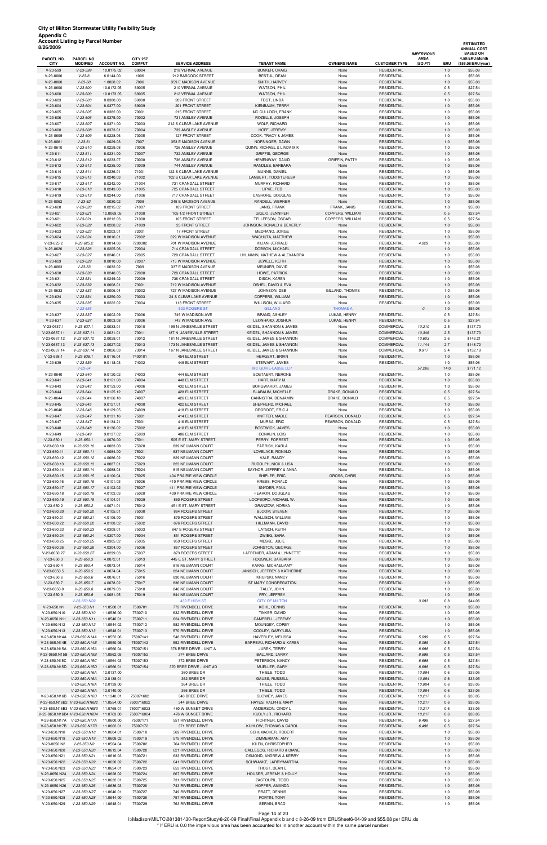| 8/26/2009                    |                                |                        |                 |                                                |                                                       |                         |                                          |                                  |            | <b>ESTIMATED</b><br><b>ANNUAL COST</b> |
|------------------------------|--------------------------------|------------------------|-----------------|------------------------------------------------|-------------------------------------------------------|-------------------------|------------------------------------------|----------------------------------|------------|----------------------------------------|
| PARCEL NO.                   | PARCEL NO.                     |                        | <b>CITY 257</b> |                                                |                                                       |                         |                                          | <b>IMPERVIOUS</b><br><b>AREA</b> |            | <b>BASED ON</b><br>4.59/ERU/Month      |
| <b>CITY</b>                  | <b>MODIFIED</b>                | <b>ACCOUNT NO.</b>     | <b>COMPUT</b>   | <b>SERVICE ADDRESS</b>                         | <b>TENANT NAME</b>                                    | <b>OWNERS NAME</b>      | <b>CUSTOMER TYPE</b>                     | (SQFT)                           | ERU        | (\$55.08/ERU/year)                     |
| $V-23-599$                   | $V-23-599$                     | 10.0175.02             | 69004           | 218 VERNAL AVENUE                              | <b>BUNKER, CRAIG</b>                                  | None                    | <b>RESIDENTIAL</b>                       |                                  | 1.0        | \$55.08                                |
| $V-23-0006$<br>V-23-0060     | $V-23-6$<br>$V-23-60$          | 6.0144.00<br>1.0028.02 | 1006<br>7006    | 212 BABCOCK STREET<br>359 E MADISON AVENUE     | BESTUL, DEAN<br>SMITH, HARVEY                         | None<br>None            | <b>RESIDENTIAL</b><br><b>RESIDENTIAL</b> |                                  | 1.0<br>1.0 | \$55.08<br>\$55.08                     |
| V-23-0600                    | $V-23-600$                     | 10.0172.05             | 69005           | 210 VERNAL AVENUE                              | <b>WATSON, PHIL</b>                                   | None                    | <b>RESIDENTIAL</b>                       |                                  | 0.5        | \$27.54                                |
| $V-23-600$                   | $V-23-600$                     | 10.0173.05             | 69005           | 212 VERNAL AVENUE                              | <b>WATSON, PHIL</b>                                   | None                    | <b>RESIDENTIAL</b>                       |                                  | 0.5        | \$27.54                                |
| $V-23-603$                   | $V-23-603$                     | 8.0380.00              | 69008           | 209 FRONT STREET                               | TEGT, LINDA                                           | None                    | <b>RESIDENTIAL</b>                       |                                  | 1.0        | \$55.08                                |
| $V-23-604$                   | $V-23-604$                     | 8.0377.00              | 69009           | 201 FRONT STREET                               | KIENBAUM, TERRY                                       | None                    | <b>RESIDENTIAL</b>                       |                                  | 1.0        | \$55.08                                |
| $V-23-605$                   | $V-23-605$                     | 8.0382.00              | 70001           | 215 FRONT STREET                               | MC CULLOCH, FRANK                                     | None                    | <b>RESIDENTIAL</b>                       |                                  | 1.0        | \$55.08                                |
| $V-23-606$                   | $V-23-606$                     | 8.0375.00              | 70002           | 731 ANSLEY AVENUE                              | ROZELLE, JOSEPH                                       | None                    | <b>RESIDENTIAL</b>                       |                                  | 1.0        | \$55.08                                |
| $V-23-607$<br>$V-23-608$     | $V-23-607$<br>$V-23-608$       | 8.0371.00<br>8.0373.01 | 70003<br>70004  | 212 S CLEAR LAKE AVENUE<br>739 ANSLEY AVENUE   | WOLF, RICHARD<br>HOFF, JEREMY                         | None                    | <b>RESIDENTIAL</b><br><b>RESIDENTIAL</b> |                                  | 1.0<br>1.0 | \$55.08<br>\$55.08                     |
| V-23-0609                    | $V-23-609$                     | 8.0228.06              | 70005           | 127 FRONT STREET                               | COOK, TRACY & JAMES                                   | None<br>None            | <b>RESIDENTIAL</b>                       |                                  | 1.0        | \$55.08                                |
| $V-23-0061$                  | $V-23-61$                      | 1.0029.03              | 7007            | 353 E MADISON AVENUE                           | NOFSINGER, DAWN                                       | None                    | <b>RESIDENTIAL</b>                       |                                  | 1.0        | \$55.08                                |
| $V-23-0610$                  | $V-23-610$                     | 8.0229.08              | 70006           | 726 ANSLEY AVENUE                              | QUINN, MICHAEL & LINDA MIK                            | None                    | <b>RESIDENTIAL</b>                       |                                  | 1.0        | \$55.08                                |
| $V-23-611$                   | $V-23-611$                     | 8.0231.00              | 70007           | 732 ANSLEY AVENUE                              | <b>GRIFFIS, GEORGE</b>                                | None                    | <b>RESIDENTIAL</b>                       |                                  | 1.0        | \$55.08                                |
| $V-23-612$                   | $V-23-612$                     | 8.0233.07              | 70008           | 736 ANSLEY AVENUE                              | HEMENWAY, DAVID                                       | <b>GRIFFIN, PATTY</b>   | <b>RESIDENTIAL</b>                       |                                  | 1.0        | \$55.08                                |
| $V-23-613$                   | $V-23-613$                     | 8.0235.00              | 70009           | 744 ANSLEY AVENUE                              | RANDLES, BARBARA                                      | None                    | <b>RESIDENTIAL</b>                       |                                  | 1.0        | \$55.08                                |
| $V-23-614$                   | $V - 23 - 614$                 | 8.0236.01              | 71001           | 122 S CLEAR LAKE AVENUE                        | MUNNS, DANIEL                                         | None                    | <b>RESIDENTIAL</b><br><b>RESIDENTIAL</b> |                                  | 1.0        | \$55.08                                |
| $V-23-615$<br>$V-23-617$     | $V-23-615$<br>$V-23-617$       | 8.0240.03<br>8.0242.00 | 71002<br>71004  | 102 S CLEAR LAKE AVENUE<br>731 CRANDALL STREET | LAMBERT, TODD/TERESA<br>MURPHY, RICHARD               | None<br>None            | <b>RESIDENTIAL</b>                       |                                  | 1.0<br>1.0 | \$55.08<br>\$55.08                     |
| $V-23-618$                   | $V-23-618$                     | 8.0243.00              | 71005           | 725 CRANDALL STREET                            | LIPKE, TED                                            | None                    | <b>RESIDENTIAL</b>                       |                                  | 1.0        | \$55.08                                |
| $V-23-619$                   | $V-23-619$                     | 8.0244.00              | 71006           | 717 CRANDALL STREET                            | CASHORE, DOUGLAS                                      | None                    | <b>RESIDENTIAL</b>                       |                                  | 1.0        | \$55.08                                |
| V-23-0062                    | $V-23-62$                      | 1.0030.02              | 7008            | 345 E MADISON AVENUE                           | RANDELL, WERNER                                       | None                    | <b>RESIDENTIAL</b>                       |                                  | 1.0        | \$55.08                                |
| $V-23-620$                   | $V-23-620$                     | 8.0215.02              | 71007           | 109 FRONT STREET                               | JANIS, FRANK                                          | FRANK, JANIS            | <b>RESIDENTIAL</b>                       |                                  | 1.0        | \$55.08                                |
| $V-23-621$                   | $V-23-621$                     | 12.0069.05             | 71008           | 105 1/2 FRONT STREET                           | GIGLIO, JENNIFER                                      | COPPERS, WILLIAM        | <b>RESIDENTIAL</b>                       |                                  | 0.5        | \$27.54                                |
| $V-23-621$                   | $V-23-621$                     | 8.0212.03              | 71008           | 105 FRONT STREET                               | <b>TELLEFSON, OSCAR</b>                               | COPPERS, WILLIAM        | RESIDENTIAL                              |                                  | 0.5        | \$27.54                                |
| V-23-622<br>$V-23-623$       | $V-23-622$<br>$V-23-623$       | 8.0208.02<br>8.0203.01 | 71009<br>72001  | 23 FRONT STREET<br>17 FRONT STREET             | JOHNSON, RONALD & BEVERLY<br>MEDRANO, JORGE           | None<br>None            | <b>RESIDENTIAL</b><br><b>RESIDENTIAL</b> |                                  | 1.0<br>1.0 | \$55.08<br>\$55.08                     |
| $V-23-624$                   | $V-23-624$                     | 8.0016.01              | 72002           | 629 W MADISON AVENUE                           | WACHUTA, MATTHEW                                      | None                    | <b>RESIDENTIAL</b>                       |                                  | 1.0        | \$55.08                                |
| $V-23-625.2$                 | $V-23-625.2$                   | 8.0014.06              | 7200302         | 701 W MADISON AVENUE                           | KILIAN, JERRALD                                       | None                    | RESIDENTIAL                              | 4,029                            | 1.0        | \$55.08                                |
| V-23-0626                    | $V-23-626$                     | 8.0205.06              | 72004           | 714 CRANDALL STREET                            | DOBSON, MICHAEL                                       | None                    | <b>RESIDENTIAL</b>                       |                                  | 1.0        | \$55.08                                |
| $V-23-627$                   | $V-23-627$                     | 8.0246.01              | 72005           | 720 CRANDALL STREET                            | UHLMANN, MATHEW & ALEXANDRA                           | None                    | <b>RESIDENTIAL</b>                       |                                  | 1.0        | \$55.08                                |
| $V-23-629$                   | $V-23-629$                     | 8.0010.00              | 72007           | 715 W MADISON AVENUE                           | JEWELL, KEITH                                         | None                    | <b>RESIDENTIAL</b>                       |                                  | 1.0        | \$55.08                                |
| $V-23-0063$                  | $V - 23 - 63$                  | 1.0032.02              | 7009            | 337 E MADISON AVENUE                           | MEUNIER, DAVID                                        | None                    | RESIDENTIAL                              |                                  | 1.0        | \$55.08                                |
| $V-23-630$<br>$V-23-631$     | $V-23-630$<br>$V-23-631$       | 8.0248.05<br>8.0249.02 | 72008<br>72009  | 728 CRANDALL STREET<br>736 CRANDALL STREET     | HOWE, PATRICK<br>DISCH, KAREN                         | None<br>None            | <b>RESIDENTIAL</b><br><b>RESIDENTIAL</b> |                                  | 1.0<br>1.0 | \$55.08<br>\$55.08                     |
| $V-23-632$                   | $V-23-632$                     | 8.0008.01              | 73001           | 719 W MADISON AVENUE                           | OSHEL, DAVID & EVA                                    | None                    | <b>RESIDENTIAL</b>                       |                                  | 1.0        | \$55.08                                |
| $V-23-0633$                  | $V - 23 - 633$                 | 8.0006.04              | 73002           | 727 W MADISON AVENUE                           | JOHNSON, DEB                                          | GILLAND, THOMAS         | <b>RESIDENTIAL</b>                       |                                  | 1.0        | \$55.08                                |
| $V-23-634$                   | $V-23-634$                     | 8.0250.00              | 73003           | 24 S CLEAR LAKE AVENUE                         | COPPERS, WILLIAM                                      | None                    | <b>RESIDENTIAL</b>                       |                                  | 1.0        | \$55.08                                |
| $V-23-635$                   | $V-23-635$                     | 8.0222.02              | 73004           | 113 FRONT STREET                               | WILLISON, WILLARD                                     | None                    | <b>RESIDENTIAL</b>                       |                                  | 1.0        | \$55.08                                |
|                              | $V-23-636$                     |                        |                 | <b>603 ROGERS ST</b>                           | <b>GILLAND</b>                                        | <b>THOMAS A</b>         |                                          | $\Omega$                         | 1.0        | \$55.08                                |
| $V-23-637$                   | $V - 23 - 637$                 | 8.0002.09              | 73006           | 745 W MADISON AVE                              | <b>BRAND, ASHLEY</b>                                  | LUKAS, HENRY            | <b>RESIDENTIAL</b>                       |                                  | 0.5        | \$27.54                                |
| $V-23-637$                   | $V-23-637$<br>$V-23-637.1$     | 8.0003.08              | 73006           | 743 W MADISON AVE<br>195 N JANESVILLE STREET   | LEONHARD, JOSHUA                                      | LUKAS, HENRY            | <b>RESIDENTIAL</b>                       |                                  | 0.5        | \$27.54                                |
| V-23-0637.1<br>V-23-0637.11  | $V-23-637.11$                  | 2.0033.01<br>2.0031.01 | 73010<br>73011  | 187 N JANESVILLE STREET                        | KEIDEL, SHANNON & JAMES<br>KEIDEL, SHANNON & JAMES    | None<br>None            | COMMERCIAL<br><b>COMMERCIAL</b>          | 10,210<br>10,346                 | 2.5<br>2.5 | \$137.70<br>\$137.70                   |
| V-23-0637.12                 | V-23-637.12                    | 2.0029.01              | 73012           | 181 N JANESVILLE STREET                        | KEIDEL, JAMES & SHANNON                               | None                    | COMMERCIAL                               | 10,603                           | 2.6        | \$143.21                               |
| V-23-0637.13                 | $V-23-637.13$                  | 2.0027.02              | 73013           | 173 N JANESVILLE STREET                        | KEIDEL, JAMES & SHANNON                               | None                    | <b>COMMERCIAL</b>                        | 11,144                           | 2.7        | \$148.72                               |
| V-23-0637.14                 | V-23-637.14                    | 2.0026.03              | 73014           | 167 N JANESVILLE STREET                        | KEIDEL, JAMES & SHANNON                               | None                    | COMMERCIAL                               | 9,917                            | 2.4        | \$132.19                               |
| $V-23-638.1$                 | $V-23-638.1$                   | 9.0116.04              | 7400101         | 454 ELM STREET                                 | HERGERT, BRIAN                                        | None                    | <b>RESIDENTIAL</b>                       |                                  | 1.0        | \$55.08                                |
| $V-23-639$                   | $V-23-639$                     | 9.0118.03              | 74002           | 448 ELM STREET                                 | STEWART, JAMES                                        | None                    | <b>RESIDENTIAL</b>                       |                                  | 1.0        | \$55.08                                |
|                              | $V-23-64$                      |                        |                 |                                                | <b>MC GUIRE-LASSE LLP</b>                             |                         |                                          | 57,260                           | 14.0       | \$771.12                               |
| $V-23-0640$<br>$V-23-641$    | $V-23-640$<br>$V-23-641$       | 9.0120.02<br>9.0121.00 | 74003<br>74004  | 444 ELM STREET<br>440 ELM STREET               | SOETAERT, NERONE<br>HART, MARY M.                     | None<br>None            | <b>RESIDENTIAL</b><br><b>RESIDENTIAL</b> |                                  | 1.0<br>1.0 | \$55.08<br>\$55.08                     |
| $V-23-643$                   | $V-23-643$                     | 9.0123.00              | 74006           | 432 ELM STREET                                 | BORGWARDT, JAMES                                      | None                    | <b>RESIDENTIAL</b>                       |                                  | 1.0        | \$55.08                                |
| $V-23-644$                   | $V-23-644$                     | 9.0125.12              | 74007           | 428 ELM STREET                                 | BLABAUM, MICHELLE                                     | DRAKE, DONALD           | <b>RESIDENTIAL</b>                       |                                  | 0.5        | \$27.54                                |
| V-23-0644                    | $V-23-644$                     | 9.0126.18              | 74007           | 426 ELM STREET                                 | CANNISTRA, BENJAMIN                                   | DRAKE, DONALD           | <b>RESIDENTIAL</b>                       |                                  | 0.5        | \$27.54                                |
| $V-23-645$                   | $V-23-645$                     | 9.0127.01              | 74008           | 422 ELM STREET                                 | SHEPHERD, MICHAEL                                     | None                    | <b>RESIDENTIAL</b>                       |                                  | 1.0        | \$55.08                                |
| V-23-0646                    | $V-23-646$                     | 9.0129.05              | 74009           | 418 ELM STREET                                 | DEGROOT, ERIC J.                                      | None                    | <b>RESIDENTIAL</b>                       |                                  | 1.0        | \$55.08                                |
| $V-23-647$                   | $V-23-647$                     | 9.0131.16              | 75001           | 414 ELM STREET                                 | KNITTER, MABLE                                        | PEARSON, DONALD         | <b>RESIDENTIAL</b>                       |                                  | 0.5        | \$27.54                                |
| V-23-647<br>$V-23-648$       | $V-23-647$<br>$V-23-648$       | 9.0134.21<br>9.0136.02 | 75001<br>75002  | 416 ELM STREET<br>410 ELM STREET               | <b>MURSA, ERIC</b><br>BOSTWICK, JAMES                 | PEARSON, DONALD<br>None | <b>RESIDENTIAL</b><br><b>RESIDENTIAL</b> |                                  | 0.5<br>1.0 | \$27.54<br>\$55.08                     |
| $V-23-649$                   | $V-23-649$                     | 9.0137.02              | 75003           | 406 ELM STREET                                 | CONKLIN, LOIS                                         | None                    | <b>RESIDENTIAL</b>                       |                                  | 1.0        | \$55.08                                |
| $V-23-650.1$                 | $V-23-650.1$                   | 4.0070.00              | 75011           | 505 E ST. MARY STREET                          | PERRY, FORREST                                        | None                    | <b>RESIDENTIAL</b>                       |                                  | 1.0        | \$55.08                                |
| V-23-650.10                  | $V-23-650.10$                  | 4.0083.00              | 75020           | 839 NEUMANN COURT                              | PARRISH, KARLA                                        | None                    | <b>RESIDENTIAL</b>                       |                                  | 1.0        | \$55.08                                |
| V-23-650.11                  | $V-23-650.11$                  | 4.0084.00              | 75021           | 837 NEUMANN COURT                              | LOVELACE, RONALD                                      | None                    | <b>RESIDENTIAL</b>                       |                                  | 1.0        | \$55.08                                |
| V-23-650.12                  | $V-23-650.12$                  | 4.0086.02              | 75022           | 829 NEUMANN COURT                              | VALE, RANDY                                           | None                    | <b>RESIDENTIAL</b>                       |                                  | 1.0        | \$55.08                                |
| $V-23-650.13$                | $V-23-650.13$                  | 4.0087.01              | 75023           | 823 NEUMANN COURT                              | RUDOLPH, NICK & LISA                                  | None                    | <b>RESIDENTIAL</b>                       |                                  | 1.0        | \$55.08                                |
| V-23-650.14                  | $V-23-650.14$                  | 4.0088.04              | 75024<br>75025  | 815 NEUMANN COURT<br>404 PRAIRIE VIEW CIRCLE   | SAYNOR, JEFFREY & ANNA<br>SHIPLER, ERIC               | None<br>GROSS, CHRIS    | <b>RESIDENTIAL</b><br><b>RESIDENTIAL</b> |                                  | 1.0        | \$55.08                                |
| V-23-650.15<br>V-23-650.16   | $V-23-650.15$<br>$V-23-650.16$ | 4.0100.04<br>4.0101.03 | 75026           | 410 PRAIRIE VIEW CIRCLE                        | KREBS, RONALD                                         | None                    | <b>RESIDENTIAL</b>                       |                                  | 1.0<br>1.0 | \$55.08<br>\$55.08                     |
| V-23-650.17                  | $V-23-650.17$                  | 4.0102.02              | 75027           | 411 PRAIRIE VIEW CIRCLE                        | SNYDER, PAUL                                          | None                    | <b>RESIDENTIAL</b>                       |                                  | 1.0        | \$55.08                                |
| $V-23-650.18$                | $V-23-650.18$                  | 4.0103.03              | 75028           | 409 PRAIRIE VIEW CIRCLE                        | FEARON, DOUGLAS                                       | None                    | <b>RESIDENTIAL</b>                       |                                  | 1.0        | \$55.08                                |
| V-23-650.19                  | $V-23-650.19$                  | 4.0104.01              | 75029           | 860 ROGERS STREET                              | LOOFBORO, MICHAEL W.                                  | None                    | <b>RESIDENTIAL</b>                       |                                  | 1.0        | \$55.08                                |
| V-23-650.2                   | $V-23-650.2$                   | 4.0071.01              | 75012           | 451 E ST. MARY STREET                          | GRANZOW, NORMA                                        | None                    | <b>RESIDENTIAL</b>                       |                                  | 1.0        | \$55.08                                |
| V-23-650.20                  | $V-23-650.20$                  | 4.0105.01              | 75030           | 864 ROGERS STREET                              | BLOOM, STEVEN                                         | None                    | <b>RESIDENTIAL</b>                       |                                  | 1.0        | \$55.08                                |
| V-23-650.21                  | $V-23-650.21$                  | 4.0106.00              | 75031           | 870 ROGERS STREET                              | WALLISCH, WILLIAM                                     | None                    | <b>RESIDENTIAL</b>                       |                                  | 1.0        | \$55.08                                |
| V-23-650.22<br>V-23-650.23   | $V-23-650.22$<br>$V-23-650.23$ | 4.0108.02<br>4.0308.01 | 75032<br>75033  | 876 ROGERS STREET<br>847 S ROGERS STREET       | HILLMANN, DAVID<br>LATSCH, KEITH                      | None<br>None            | <b>RESIDENTIAL</b><br><b>RESIDENTIAL</b> |                                  | 1.0<br>1.0 | \$55.08<br>\$55.08                     |
| V-23-650.24                  | $V-23-650.24$                  | 4.0307.00              | 75034           | 851 ROGERS STREET                              | ZWIEG, SARA                                           | None                    | <b>RESIDENTIAL</b>                       |                                  | 1.0        | \$55.08                                |
| V-23-650.25                  | $V-23-650.25$                  | 4.0305.02              | 75035           | 859 ROGERS STREET                              | MESKE, JULIE                                          | None                    | <b>RESIDENTIAL</b>                       |                                  | 1.0        | \$55.08                                |
| V-23-650.26                  | $V-23-650.26$                  | 4.0304.00              | 75036           | 867 ROGERS STREET                              | JOHNSTON, GEORGE                                      | None                    | <b>RESIDENTIAL</b>                       |                                  | 1.0        | \$55.08                                |
| V-23-0650.27                 | $V-23-650.27$                  | 4.0299.03              | 75037           | 873 ROGERS STREET                              | LAFRENIER, ADAM & LYNNETTE                            | None                    | <b>RESIDENTIAL</b>                       |                                  | 1.0        | \$55.08                                |
| $V-23-650.3$                 | $V-23-650.3$                   | 4.0072.01              | 75013           | 445 E ST. MARY STREET                          | HOUSNER, BARBARA                                      | None                    | <b>RESIDENTIAL</b>                       |                                  | 1.0        | \$55.08                                |
| $V-23-650.4$                 | $V-23-650.4$                   | 4.0073.04              | 75014           | 816 NEUMANN COURT                              | KARAS, MICHAEL/AMY                                    | None                    | <b>RESIDENTIAL</b>                       |                                  | 1.0        | \$55.08                                |
| V-23-0650.5                  | $V-23-650.5$                   | 4.0074.04              | 75015           | 824 NEUMANN COURT                              | JANISCH, JEFFREY & KATHERINE<br><b>KRUPSKI, NANCY</b> | None                    | <b>RESIDENTIAL</b>                       |                                  | 1.0        | \$55.08                                |
| $V-23-650.6$<br>$V-23-650.7$ | $V-23-650.6$<br>$V-23-650.7$   | 4.0076.01<br>4.0078.02 | 75016<br>75017  | 830 NEUMANN COURT<br>836 NEUMANN COURT         | ST MARY CONGREGATION                                  | None<br>None            | <b>RESIDENTIAL</b><br><b>RESIDENTIAL</b> |                                  | 1.0<br>1.0 | \$55.08<br>\$55.08                     |
| $V-23-0650.8$                | $V-23-650.8$                   | 4.0079.03              | 75018           | 840 NEUMANN COURT                              | TALLY, JOHN                                           | None                    | <b>RESIDENTIAL</b>                       |                                  | 1.0        | \$55.08                                |
| $V-23-650.9$                 | $V-23-650.9$                   | 4.0081.05              | 75019           | 844 NEUMANN COURT                              | FRY, JEFFREY                                          | None                    | <b>RESIDENTIAL</b>                       |                                  | 1.0        | \$55.08                                |
|                              | V-23-650.N02                   |                        |                 | 430 E HIGH ST                                  | <b>CITY OF MILTON</b>                                 |                         |                                          | 3,093                            | 0.8        | \$44.06                                |
| V-23-650.N1                  | $V-23-650.N1$                  | 11.0500.01             | 7500701         | 772 RIVENDELL DRIVE                            | KOHL, DENNIS                                          | None                    | <b>RESIDENTIAL</b>                       |                                  | 1.0        | \$55.08                                |
| V-23-650.N10                 | V-23-650.N10                   | 11.0536.00             | 7500710         | 632 RIVENDELL DRIVE                            | TINKER, DAVID                                         | None                    | <b>RESIDENTIAL</b>                       |                                  | 1.0        | \$55.08                                |
| V-23-0650.N11                | V-23-650.N11                   | 11.0540.01             | 7500711         | 624 RIVENDELL DRIVE                            | CAMPBELL, JEREMY                                      | None                    | <b>RESIDENTIAL</b>                       |                                  | 1.0        | \$55.08                                |

| V-23-650.N12                   | V-23-650.N12   | 11.0544.02 | 7500712    | 582 RIVENDELL DRIVE      | MOUNGEY, COREY            | None | <b>RESIDENTIAL</b> |        | 1.0 | \$55.08 |
|--------------------------------|----------------|------------|------------|--------------------------|---------------------------|------|--------------------|--------|-----|---------|
| V-23-650.N13                   | V-23-650.N13   | 11.0548.01 | 7500713    | 570 RIVENDELL DRIVE      | COOLEY, GARY/LISA         | None | <b>RESIDENTIAL</b> |        | 1.0 | \$55.08 |
| V-23-650.N14A                  | V-23-650.N14A  | 11.0552.06 | 75007141   | 548 RIVENDELL DRIVE      | HAVERLEY, MELISSA         | None | <b>RESIDENTIAL</b> | 5.099  | 0.5 | \$27.54 |
| V-23-065.N14B V-23-650.N14B    |                | 11.0550.06 | 75007142   | 552 RIVENDELL DRIVE      | BARREAU, RICHARD & KAREN  | None | <b>RESIDENTIAL</b> | 5,099  | 0.5 | \$27.54 |
| V-23-650.N15A                  | V-23-650.N15A  | 11.0560.04 | 75007151   | 376 BREE DRIVE - UNIT A  | JUREK, TERRY              | None | <b>RESIDENTIAL</b> | 8.698  | 0.5 | \$27.54 |
| V-23-0650.N15B V-23-650.N15B   |                | 11.0562.05 | 75007152   | 374 BREE DRIVE           | BALLARD, LARRY            | None | <b>RESIDENTIAL</b> | 8.698  | 0.5 | \$27.54 |
| V-23-650.N15C V-23-650.N15C    |                | 11.0564.03 | 75007153   | 372 BREE DRIVE           | PETERSON, NANCY           | None | <b>RESIDENTIAL</b> | 8.698  | 0.5 | \$27.54 |
| V-23-650.N15D V-23-650.N15D    |                | 11.0566.01 | 75007154   | 370 BREE DRIVE - UNIT #D | MUELLER, GARY             | None | <b>RESIDENTIAL</b> | 8.698  | 0.5 | \$27.54 |
|                                | V-23-650.N16A  | 12.0137.00 |            | 360 BREE DR              | THIELE, TODD              | None | <b>RESIDENTIAL</b> | 10.084 | 0.6 | \$33.05 |
|                                | V-23-650.N16A  | 12.0138.01 |            | 362 BREE DR              | <b>GAUSS, RUSSELL</b>     | None | <b>RESIDENTIAL</b> | 10,084 | 0.6 | \$33.05 |
|                                | V-23-650.N16A  | 12.0139.00 |            | 364 BREE DR              | THIELE, TODD              | None | <b>RESIDENTIAL</b> | 10,084 | 0.6 | \$33.05 |
|                                | V-23-650.N16A  | 12.0140.00 |            | 366 BREE DR              | THIELE, TODD              | None | <b>RESIDENTIAL</b> | 10,084 | 0.6 | \$33.05 |
| V-23-650.N16B V-23-650.N16B    |                | 11.1348.01 | 750071602  | 348 BREE DRIVE           | SLOWEY, JAMES             | None | <b>RESIDENTIAL</b> | 10.217 | 0.6 | \$33.05 |
| V-23-650.N16B2 V-23-650.N16B2  |                | 11.0554.00 | 7500716022 | 344 BREE DRIVE           | HAYES, RALPH & MARY       | None | <b>RESIDENTIAL</b> | 10,217 | 0.6 | \$33.05 |
| V-23-650.N16B3 V-23-650.N16B3  |                | 11.0768.01 | 7500716023 | 480 W SUNSET DRIVE       | ANDERSON, CINDY L         | None | <b>RESIDENTIAL</b> | 10,217 | 0.6 | \$33.05 |
| V-23-0650.N16B4 V-23-650.N16B4 |                | 11.0763.00 | 7500716024 | 476 W SUNSET DRIVE       | KUBLY JR., RICHARD        | None | <b>RESIDENTIAL</b> | 10,217 | 0.6 | \$33.05 |
| V-23-650.N17A V-23-650.N17A    |                | 11.0600.00 | 75007171   | 551 RIVENDELL DRIVE      | <b>FICHTNER, DAVID</b>    | None | <b>RESIDENTIAL</b> | 6,498  | 0.5 | \$27.54 |
| V-23-650.N17B                  | V-23-650.N17B  | 11.0602.01 | 75007172   | 371 BREE DRIVE           | KUHLOW, THOMAS & CAROL    | None | <b>RESIDENTIAL</b> | 6,498  | 0.5 | \$27.54 |
| V-23-650.N18                   | V-23-650.N18   | 11.0604.01 | 7500718    | 569 RIVENDELL DRIVE      | SCHUMACHER, ROBERT        | None | <b>RESIDENTIAL</b> |        | 1.0 | \$55.08 |
| V-23-650.N19                   | $V-23-650.N19$ | 11.0608.02 | 7500719    | 575 RIVENDELL DRIVE      | ZIMMERMAN, AMY            | None | <b>RESIDENTIAL</b> |        | 1.0 | \$55.08 |
| V-23-0650.N2                   | V-23-650.N2    | 11.0504.04 | 7500702    | 764 RIVENDELL DRIVE      | KILEN, CHRISTOPHER        | None | <b>RESIDENTIAL</b> |        | 1.0 | \$55.08 |
| V-23-650.N20                   | V-23-650.N20   | 11.0612.04 | 7500720    | 621 RIVENDELL DRIVE      | GALLEGOS, RICHARD & DIANE | None | <b>RESIDENTIAL</b> |        | 1.0 | \$55.08 |
| V-23-650.N21                   | V-23-650.N21   | 11.0616.03 | 7500721    | 633 RIVENDELL DRIVE      | OSMOND, ANDREW & KERRY    | None | <b>RESIDENTIAL</b> |        | 1.0 | \$55.08 |
| V-23-650.N22                   | V-23-650.N22   | 11.0620.02 | 7500722    | 641 RIVENDELL DRIVE      | SCHWANKE, LARRY/MARTHA    | None | <b>RESIDENTIAL</b> |        | 1.0 | \$55.08 |
| V-23-650.N23                   | V-23-650.N23   | 11.0624.01 | 7500723    | 653 RIVENDELL DRIVE      | TROST, DEAN E             | None | <b>RESIDENTIAL</b> |        | 1.0 | \$55.08 |
| V-23-0650.N24                  | V-23-650.N24   | 11.0628.02 | 7500724    | 667 RIVENDELL DRIVE      | HOUSER, JEREMY & HOLLY    | None | <b>RESIDENTIAL</b> |        | 1.0 | \$55.08 |
| V-23-650.N25                   | V-23-650.N25   | 11.0632.01 | 7500725    | 731 RIVENDELL DRIVE      | ZASTOUPIL, TODD           | None | <b>RESIDENTIAL</b> |        | 1.0 | \$55.08 |
| V-23-0650.N26                  | V-23-650.N26   | 11.0636.03 | 7500726    | 743 RIVENDELL DRIVE      | HOPPER, AMANDA            | None | <b>RESIDENTIAL</b> |        | 1.0 | \$55.08 |
| V-23-650.N27                   | V-23-650.N27   | 11.0640.01 | 7500727    | 749 RIVENDELL DRIVE      | PRATT, DENNIS             | None | <b>RESIDENTIAL</b> |        | 1.0 | \$55.08 |
| V-23-650.N28                   | V-23-650.N28   | 11.0644.00 | 7500728    | 757 RIVENDELL DRIVE      | FORTIN, TONY              | None | <b>RESIDENTIAL</b> |        | 1.0 | \$55.08 |
| V-23-650.N29                   | V-23-650.N29   | 11.0648.01 | 7500729    | 763 RIVENDELL DRIVE      | <b>SERVIN, BRAD</b>       | None | <b>RESIDENTIAL</b> |        | 1.0 | \$55.08 |

Page 14 of 20

I:\Madison\MILTC\081381-\30-ReportStudy\8-20-09 Final\Final Appendix b and c 8-26-09 from ERUSheet6-04-09 and \$55.08 per ERU.xls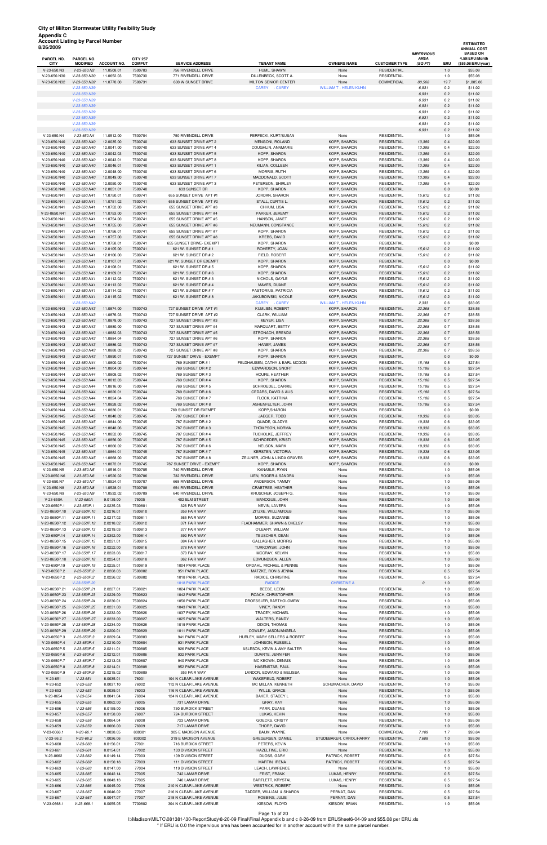| Account Listing by Parcel Number<br>8/26/2009 |                               |                          |                                  |                                                    |                                               |                               |                                          | <b>IMPERVIOUS</b>      |            | <b>ESTIMATED</b><br><b>ANNUAL COST</b><br><b>BASED ON</b> |
|-----------------------------------------------|-------------------------------|--------------------------|----------------------------------|----------------------------------------------------|-----------------------------------------------|-------------------------------|------------------------------------------|------------------------|------------|-----------------------------------------------------------|
| PARCEL NO.<br><b>CITY</b>                     | PARCEL NO.<br><b>MODIFIED</b> | <b>ACCOUNT NO.</b>       | <b>CITY 257</b><br><b>COMPUT</b> | <b>SERVICE ADDRESS</b>                             | <b>TENANT NAME</b>                            | <b>OWNERS NAME</b>            | <b>CUSTOMER TYPE</b>                     | <b>AREA</b><br>(SQ FT) | ERU        | 4.59/ERU/Month<br>(\$55.08/ERU/year)                      |
| V-23-650.N3<br>V-23-650.N30                   | $V-23-650.N3$<br>V-23-650.N30 | 11.0508.01<br>11.0652.03 | 7500703<br>7500730               | 756 RIVENDELL DRIVE<br>771 RIVENDELL DRIVE         | HUML, SHAWN<br>DILLENBECK, SCOTT A.           | None<br>None                  | <b>RESIDENTIAL</b><br><b>RESIDENTIAL</b> |                        | 1.0<br>1.0 | \$55.08<br>\$55.08                                        |
| V-23-650.N32                                  | V-23-650.N32                  | 11.0770.00               | 7500731                          | 600 W SUNSET DRIVE                                 | <b>MILTON SENIOR CENTER</b>                   | None                          | <b>COMMERCIAL</b>                        | 80,568                 | 19.7       | \$1,085.08                                                |
|                                               | V-23-650.N39                  |                          |                                  |                                                    | CAREY - CAREY                                 | <b>WILLIAM T - HELEN KUHN</b> |                                          | 6,931                  | 0.2        | \$11.02                                                   |
|                                               | V-23-650.N39                  |                          |                                  |                                                    |                                               |                               |                                          | 6,931                  | 0.2        | \$11.02                                                   |
|                                               | V-23-650.N39<br>V-23-650.N39  |                          |                                  |                                                    |                                               |                               |                                          | 6,931<br>6.931         | 0.2<br>0.2 | \$11.02<br>\$11.02                                        |
|                                               | V-23-650.N39                  |                          |                                  |                                                    |                                               |                               |                                          | 6,931                  | 0.2        | \$11.02                                                   |
|                                               | V-23-650.N39                  |                          |                                  |                                                    |                                               |                               |                                          | 6,931                  | 0.2        | \$11.02                                                   |
|                                               | V-23-650.N39                  |                          |                                  |                                                    |                                               |                               |                                          | 6,931                  | 0.2        | \$11.02                                                   |
| V-23-650.N4                                   | V-23-650.N39<br>V-23-650.N4   | 11.0512.00               | 7500704                          | 750 RIVENDELL DRIVE                                | FERFECKI, KURT/SUSAN                          | None                          | <b>RESIDENTIAL</b>                       | 6.931                  | 0.2<br>1.0 | \$11.02<br>\$55.08                                        |
| V-23-650.N40                                  | V-23-650.N40                  | 12.0035.00               | 7500740                          | 633 SUNSET DRIVE APT 2                             | MENGONI, ROLAND                               | KOPP, SHARON                  | <b>RESIDENTIAL</b>                       | 13,389                 | 0.4        | \$22.03                                                   |
| V-23-650.N40                                  | V-23-650.N40                  | 12.0041.00               | 7500740                          | 633 SUNSET DRIVE APT 4                             | COUGHLIN, ANNMARIE                            | KOPP, SHARON                  | <b>RESIDENTIAL</b>                       | 13,389                 | 0.4        | \$22.03                                                   |
| V-23-650.N40                                  | V-23-650.N40                  | 12.0042.03               | 7500740                          | 633 SUNSET DRIVE APT 5                             | KOPP, SHARON                                  | KOPP, SHARON                  | <b>RESIDENTIAL</b>                       | 13,389                 | 0.4        | \$22.03                                                   |
| V-23-650.N40<br>V-23-650.N40                  | V-23-650.N40<br>V-23-650.N40  | 12.0043.01<br>12.0046.01 | 7500740<br>7500740               | 633 SUNSET DRIVE APT 8<br>633 SUNSET DRIVE APT 1   | KOPP, SHARON<br>KILIAN, COLLEEN               | KOPP, SHARON<br>KOPP, SHARON  | <b>RESIDENTIAL</b><br><b>RESIDENTIAL</b> | 13,389<br>13,389       | 0.4<br>0.4 | \$22.03<br>\$22.03                                        |
| V-23-650.N40                                  | V-23-650.N40                  | 12.0048.00               | 7500740                          | 633 SUNSET DRIVE APT 6                             | <b>MORRIS, RUTH</b>                           | KOPP, SHARON                  | <b>RESIDENTIAL</b>                       | 13,389                 | 0.4        | \$22.03                                                   |
| V-23-650.N40                                  | V-23-650.N40                  | 12.0049.00               | 7500740                          | 633 SUNSET DRIVE APT 7                             | MACDONALD, SCOTT                              | KOPP, SHARON                  | <b>RESIDENTIAL</b>                       | 13,389                 | 0.4        | \$22.03                                                   |
| V-23-650.N40                                  | V-23-650.N40                  | 12.0050.00               | 7500740                          | 633 SUNSET DRIVE APT 3                             | PETERSON, SHIRLEY                             | KOPP, SHARON                  | <b>RESIDENTIAL</b>                       | 13,389                 | 0.4        | \$22.03                                                   |
| V-23-650.N40                                  | V-23-650.N40                  | 12.0051.01               | 7500740                          | 633 SUNSET DR                                      | KOPP, SHARON                                  | KOPP, SHARON                  | <b>RESIDENTIAL</b>                       |                        | 0.0        | \$0.00                                                    |
| V-23-650.N41<br>V-23-650.N41                  | V-23-650.N41<br>V-23-650.N41  | 11.0750.01<br>11.0751.02 | 7500741<br>7500741               | 655 SUNSET DRIVE APT #1<br>655 SUNSET DRIVE APT #2 | JORDAN, SHARON<br>STALL, CURTIS L.            | KOPP, SHARON<br>KOPP, SHARON  | <b>RESIDENTIAL</b><br><b>RESIDENTIAL</b> | 15,612<br>15,612       | 0.2<br>0.2 | \$11.02<br>\$11.02                                        |
| V-23-650.N41                                  | V-23-650.N41                  | 11.0752.00               | 7500741                          | 655 SUNSET DRIVE APT #3                            | CHHUM, LISA                                   | KOPP, SHARON                  | <b>RESIDENTIAL</b>                       | 15,612                 | 0.2        | \$11.02                                                   |
| V-23-0650.N41                                 | V-23-650.N41                  | 11.0753.00               | 7500741                          | 655 SUNSET DRIVE APT #4                            | PARKER, JEREMY                                | KOPP, SHARON                  | <b>RESIDENTIAL</b>                       | 15,612                 | 0.2        | \$11.02                                                   |
| V-23-650.N41                                  | V-23-650.N41                  | 11.0754.00               | 7500741                          | 655 SUNSET DRIVE APT #5                            | HANSON, JANET                                 | KOPP, SHARON                  | <b>RESIDENTIAL</b>                       | 15,612                 | 0.2        | \$11.02                                                   |
| V-23-650.N41                                  | V-23-650.N41                  | 11.0755.00               | 7500741                          | 655 SUNSET DRIVE APT #6                            | NEUMANN, CONSTANCE                            | KOPP, SHARON                  | <b>RESIDENTIAL</b>                       | 15,612                 | 0.2        | \$11.02                                                   |
| V-23-650.N41                                  | V-23-650.N41                  | 11.0756.01               | 7500741                          | 655 SUNSET DRIVE APT #7<br>655 SUNSET DRIVE APT #8 | KOPP, SHARON                                  | KOPP, SHARON                  | <b>RESIDENTIAL</b>                       | 15,612                 | 0.2        | \$11.02                                                   |
| V-23-650.N41<br>V-23-650.N41                  | V-23-650.N41<br>V-23-650.N41  | 11.0757.00<br>11.0758.01 | 7500741<br>7500741               | 655 SUNSET DRIVE- EXEMPT                           | KREBS, DAVID<br>KOPP, SHARON                  | KOPP, SHARON<br>KOPP, SHARON  | <b>RESIDENTIAL</b><br><b>RESIDENTIAL</b> | 15,612                 | 0.2<br>0.0 | \$11.02<br>\$0.00                                         |
| V-23-650.N41                                  | V-23-650.N41                  | 12.0105.00               | 7500741                          | 621 W. SUNSET DR #1                                | ROHERTY, JOAN                                 | KOPP, SHARON                  | <b>RESIDENTIAL</b>                       | 15,612                 | 0.2        | \$11.02                                                   |
| V-23-650.N41                                  | V-23-650.N41                  | 12.0106.00               | 7500741                          | 621 W. SUNSET DR # 2                               | FIELD, ROBERT                                 | KOPP, SHARON                  | <b>RESIDENTIAL</b>                       | 15,612                 | 0.2        | \$11.02                                                   |
| V-23-650.N41                                  | V-23-650.N41                  | 12.0107.01               | 7500741                          | 621 W. SUNSET DR EXEMPT                            | KOPP, SHARON                                  | KOPP, SHARON                  | <b>RESIDENTIAL</b>                       |                        | 0.0        | \$0.00                                                    |
| V-23-650.N41                                  | V-23-650.N41                  | 12.0108.01               | 7500741                          | 621 W. SUNSET DR #5                                | KOPP, SHARON                                  | KOPP, SHARON                  | <b>RESIDENTIAL</b>                       | 15,612                 | 0.2        | \$11.02                                                   |
| V-23-650.N41<br>V-23-650.N41                  | V-23-650.N41<br>V-23-650.N41  | 12.0109.01<br>12.0112.02 | 7500741<br>7500741               | 621 W. SUNSET DR # 6<br>621 W. SUNSET DR #3        | KOPP, SHARON<br>NICKOLS, GAYLE                | KOPP, SHARON<br>KOPP, SHARON  | <b>RESIDENTIAL</b><br><b>RESIDENTIAL</b> | 15,612<br>15,612       | 0.2<br>0.2 | \$11.02<br>\$11.02                                        |
| V-23-650.N41                                  | V-23-650.N41                  | 12.0113.02               | 7500741                          | 621 W. SUNSET DR # 4                               | MAVES, DUANE                                  | KOPP, SHARON                  | <b>RESIDENTIAL</b>                       | 15,612                 | 0.2        | \$11.02                                                   |
| V-23-650.N41                                  | V-23-650.N41                  | 12.0114.02               | 7500741                          | 621 W. SUNSET DR #7                                | PASTORIUS, PATRICIA                           | KOPP, SHARON                  | <b>RESIDENTIAL</b>                       | 15,612                 | 0.2        | \$11.02                                                   |
| V-23-650.N41                                  | V-23-650.N41                  | 12.0115.02               | 7500741                          | 621 W. SUNSET DR #8                                | JAKUBOWSKI, NICOLE                            | KOPP, SHARON                  | <b>RESIDENTIAL</b>                       | 15,612                 | 0.2        | \$11.02                                                   |
|                                               | V-23-650.N42                  |                          |                                  |                                                    | CAREY - CAREY                                 | <b>WILLIAM T - HELEN KUHN</b> | <b>RESIDENTIAL</b>                       | 2,333                  | 0.6        | \$33.05                                                   |
| V-23-650.N43<br>V-23-650.N43                  | V-23-650.N43<br>V-23-650.N43  | 11.0874.00<br>11.0876.03 | 7500743<br>7500743               | 727 SUNSET DRIVE APT #1<br>727 SUNSET DRIVE APT #2 | KUMLIEN, ROBERT<br>CLARK, WILLIAM             | KOPP, SHARON<br>KOPP, SHARON  | <b>RESIDENTIAL</b>                       | 22,368<br>22,368       | 0.7<br>0.7 | \$38.56<br>\$38.56                                        |
| V-23-650.N43                                  | V-23-650.N43                  | 11.0878.00               | 7500743                          | 727 SUNSET DRIVE APT #3                            | MEYER, LISA                                   | KOPP, SHARON                  | <b>RESIDENTIAL</b>                       | 22,368                 | 0.7        | \$38.56                                                   |
| V-23-650.N43                                  | V-23-650.N43                  | 11.0880.00               | 7500743                          | 727 SUNSET DRIVE APT #4                            | MARQUART, BETTY                               | KOPP, SHARON                  | <b>RESIDENTIAL</b>                       | 22,368                 | 0.7        | \$38.56                                                   |
| V-23-650.N43                                  | V-23-650.N43                  | 11.0882.03               | 7500743                          | 727 SUNSET DRIVE APT #5                            | STRONACH, BRENDA                              | KOPP, SHARON                  | <b>RESIDENTIAL</b>                       | 22,368                 | 0.7        | \$38.56                                                   |
| V-23-650.N43                                  | V-23-650.N43                  | 11.0884.04<br>11.0886.02 | 7500743                          | 727 SUNSET DRIVE APT #6                            | KOPP, SHARON                                  | KOPP, SHARON                  | <b>RESIDENTIAL</b>                       | 22,368                 | 0.7        | \$38.56                                                   |
| V-23-650.N43<br>V-23-650.N43                  | V-23-650.N43<br>V-23-650.N43  | 11.0888.02               | 7500743<br>7500743               | 727 SUNSET DRIVE APT #7<br>727 SUNSET DRIVE APT #8 | HANEY, JAMES<br>KOPP, SHARON                  | KOPP, SHARON<br>KOPP, SHAHUN  | <b>RESIDENTIAL</b><br>RESIDENTIAL        | 22,368<br>22,368       | 0.7<br>0.7 | \$38.56<br>\$38.56                                        |
| V-23-650.N43                                  | V-23-650.N43                  | 11.0890.01               | 7500743                          | 727 SUNSET DRIVE - EXEMPT                          | KOPP, SHARON                                  | KOPP, SHARON                  | <b>RESIDENTIAL</b>                       |                        | 0.0        | \$0.00                                                    |
| V-23-650.N44                                  | V-23-650.N44                  | 11.0800.02               | 7500744                          | 769 SUNSET DR #1                                   | FELDHAUSEN, CATHY & EARL MCDON                | KOPP, SHARON                  | <b>RESIDENTIAL</b>                       | 15,188                 | 0.5        | \$27.54                                                   |
| V-23-650.N44                                  | V-23-650.N44                  | 11.0804.00               | 7500744                          | 769 SUNSET DR # 2                                  | EDWARDSON, SNORT                              | KOPP, SHARON                  | <b>RESIDENTIAL</b>                       | 15,188                 | 0.5        | \$27.54                                                   |
| V-23-650.N44<br>V-23-650.N44                  | V-23-650.N44<br>V-23-650.N44  | 11.0808.02<br>11.0812.03 | 7500744<br>7500744               | 769 SUNSET DR # 3                                  | HOUFE, HEATHER<br>KOPP, SHARON                | KOPP, SHARON<br>KOPP, SHARON  | <b>RESIDENTIAL</b><br><b>RESIDENTIAL</b> | 15,188                 | 0.5<br>0.5 | \$27.54<br>\$27.54                                        |
| V-23-650.N44                                  | V-23-650.N44                  | 11.0816.00               | 7500744                          | 769 SUNSET DR # 4<br>769 SUNSET DR # 5             | SCHROEDEL, CARRIE                             | KOPP, SHARON                  | <b>RESIDENTIAL</b>                       | 15,188<br>15,188       | 0.5        | \$27.54                                                   |
| V-23-650.N44                                  | V-23-650.N44                  | 11.0820.01               | 7500744                          | 769 SUNSET DR # 6                                  | CEDARS, DAVID & ALIS                          | KOPP, SHARON                  | <b>RESIDENTIAL</b>                       | 15,188                 | 0.5        | \$27.54                                                   |
| V-23-650.N44                                  | V-23-650.N44                  | 11.0824.04               | 7500744                          | 769 SUNSET DR # 7                                  | FLOCK, KATRINA                                | KOPP, SHARON                  | <b>RESIDENTIAL</b>                       | 15,188                 | 0.5        | \$27.54                                                   |
| V-23-650.N44                                  | V-23-650.N44                  | 11.0828.02               | 7500744                          | 769 SUNSET DR # 8                                  | ASHENFELTER, JOHN                             | KOPP, SHARON                  | <b>RESIDENTIAL</b>                       | 15,188                 | 0.5        | \$27.54                                                   |
| V-23-650.N44<br>V-23-650.N45                  | V-23-650.N44<br>V-23-650.N45  | 11.0830.01<br>11.0840.02 | 7500744<br>7500745               | 769 SUNSET DR EXEMPT<br>787 SUNSET DR #1           | KOPP, SHARON<br>JAEGER, TODD                  | KOPP, SHARON<br>KOPP, SHARON  | <b>RESIDENTIAL</b><br><b>RESIDENTIAL</b> | 19,338                 | 0.0<br>0.6 | \$0.00<br>\$33.05                                         |
| V-23-650.N45                                  | V-23-650.N45                  | 11.0844.00               | 7500745                          | 787 SUNSET DR # 2                                  | QUADE, GLADYS                                 | KOPP, SHARON                  | <b>RESIDENTIAL</b>                       | 19,338                 | 0.6        | \$33.05                                                   |
| V-23-650.N45                                  | V-23-650.N45                  | 11.0848.06               | 7500745                          | 787 SUNSET DR # 3                                  | THOMPSON, NORMA                               | KOPP, SHARON                  | <b>RESIDENTIAL</b>                       | 19,338                 | 0.6        | \$33.05                                                   |
| V-23-650.N45                                  | V-23-650.N45                  | 11.0852.00               | 7500745                          | 787 SUNSET DR # 4                                  | TUCHOLKE, JEFFREY                             | KOPP, SHARON                  | <b>RESIDENTIAL</b>                       | 19,338                 | 0.6        | \$33.05                                                   |
| V-23-650.N45                                  | V-23-650.N45                  | 11.0856.00               | 7500745                          | 787 SUNSET DR # 5                                  | SCHROEDER, KRISTI                             | KOPP, SHARON                  | <b>RESIDENTIAL</b>                       | 19,338                 | 0.6        | \$33.05                                                   |
| V-23-650.N45<br>V-23-650.N45                  | V-23-650.N45<br>V-23-650.N45  | 11.0860.02<br>11.0864.01 | 7500745<br>7500745               | 787 SUNSET DR # 6<br>787 SUNSET DR # 7             | NELSON, MARK<br>KERSTEN, VICTORIA             | KOPP, SHARON<br>KOPP, SHARON  | <b>RESIDENTIAL</b><br><b>RESIDENTIAL</b> | 19,338<br>19,338       | 0.6<br>0.6 | \$33.05<br>\$33.05                                        |
| V-23-650.N45                                  | V-23-650.N45                  | 11.0868.00               | 7500745                          | 787 SUNSET DR # 8                                  | ZELLNER, JOHN & LINDA GRAVES                  | KOPP, SHARON                  | <b>RESIDENTIAL</b>                       | 19,338                 | 0.6        | \$33.05                                                   |
| V-23-650.N45                                  | V-23-650.N45                  | 11.0872.01               | 7500745                          | 787 SUNSET DRIVE - EXEMPT                          | KOPP, SHARON                                  | KOPP, SHARON                  | <b>RESIDENTIAL</b>                       |                        | 0.0        | \$0.00                                                    |
| V-23-650.N5                                   | $V-23-650.N5$                 | 11.0516.01               | 7500705                          | 740 RIVENDELL DRIVE                                | KANABLE, RYAN                                 | None                          | <b>RESIDENTIAL</b>                       |                        | 1.0        | \$55.08                                                   |
| V-23-0650.N6                                  | $V-23-650.N6$                 | 11.0520.02               | 7500706                          | 732 RIVENDELL DRIVE                                | LIEN, ROGER & SANDRA                          | None                          | <b>RESIDENTIAL</b>                       |                        | 1.0        | \$55.08                                                   |
| V-23-650.N7<br>V-23-650.N8                    | V-23-650.N7<br>$V-23-650.N8$  | 11.0524.01<br>11.0528.01 | 7500707<br>7500708               | 668 RIVENDELL DRIVE<br>654 RIVENDELL DRIVE         | ANDERSON, TAMMY<br>CRABTREE, HEATHER          | None<br>None                  | <b>RESIDENTIAL</b><br><b>RESIDENTIAL</b> |                        | 1.0<br>1.0 | \$55.08<br>\$55.08                                        |
| V-23-650.N9                                   | V-23-650.N9                   | 11.0532.02               | 7500709                          | 640 RIVENDELL DRIVE                                | KRUSCHEK, JOSEPH G.                           | None                          | <b>RESIDENTIAL</b>                       |                        | 1.0        | \$55.08                                                   |
| V-23-650A                                     | $V-23-650A$                   | 9.0139.00                | 75005                            | 402 ELM STREET                                     | MANOGUE, JOHN                                 | None                          | <b>RESIDENTIAL</b>                       |                        | 1.0        | \$55.08                                                   |
| V-23-0650P.1                                  | $V-23-650P.1$                 | 2.0235.03                | 7500801                          | 326 FAIR WAY                                       | NEVIN, LAVERN                                 | None                          | <b>RESIDENTIAL</b>                       |                        | 1.0        | \$55.08                                                   |
| V-23-0650P.10                                 | V-23-650P.10                  | 2.0216.01                | 7500810                          | 359 FAIR WAY                                       | ZITZKE, WILLIAM/DEB                           | None                          | <b>RESIDENTIAL</b>                       |                        | 1.0        | \$55.08                                                   |
| V-23-0650P.11<br>V-23-0650P.12                | V-23-650P.11<br>V-23-650P.12  | 2.0217.02<br>2.0218.02   | 7500811<br>7500812               | 365 FAIR WAY<br>371 FAIR WAY                       | MORRIS, SUZANNE<br>FLADHAMMER, SHAWN & CHELSY | None<br>None                  | <b>RESIDENTIAL</b><br><b>RESIDENTIAL</b> |                        | 1.0<br>1.0 | \$55.08<br>\$55.08                                        |
| V-23-0650P.13                                 | V-23-650P.13                  | 2.0219.03                | 7500813                          | 377 FAIR WAY                                       | O'LEARY, WILLIAM                              | None                          | <b>RESIDENTIAL</b>                       |                        | 1.0        | \$55.08                                                   |
| V-23-650P.14                                  | V-23-650P.14                  | 2.0392.00                | 7500814                          | 392 FAIR WAY                                       | TEUSCHER, DEAN                                | None                          | <b>RESIDENTIAL</b>                       |                        | 1.0        | \$55.08                                                   |
| V-23-0650P.15                                 | V-23-650P.15                  | 2.0221.01                | 7500815                          | 384 FAIR WAY                                       | GALLAGHER, MORRIS                             | None                          | <b>RESIDENTIAL</b>                       |                        | 1.0        | \$55.08                                                   |
| V-23-0650P.16                                 | V-23-650P.16                  | 2.0222.00                | 7500816                          | 378 FAIR WAY                                       | TURKOWSKI, JOHN                               | None                          | <b>RESIDENTIAL</b>                       |                        | 1.0        | \$55.08                                                   |
| V-23-0650P.17<br>V-23-0650P.18                | V-23-650P.17<br>V-23-650P.18  | 2.0223.06<br>2.0224.01   | 7500817<br>7500818               | 370 FAIR WAY<br>362 FAIR WAY                       | MCCRAY, KELVIN<br>EDMUNDSON, ALLEN            | None<br>None                  | <b>RESIDENTIAL</b><br><b>RESIDENTIAL</b> |                        | 1.0<br>1.0 | \$55.08<br>\$55.08                                        |
| V-23-650P.19                                  | V-23-650P.19                  | 2.0225.01                | 7500819                          | 1004 PARK PLACE                                    | OPDAHL, MICHAEL & PENNIE                      | None                          | <b>RESIDENTIAL</b>                       |                        | 1.0        | \$55.08                                                   |
| V-23-0650P.2                                  | $V-23-650P.2$                 | 2.0208.03                | 7500802                          | 951 PARK PLACE                                     | MATZKE, RON & JENNA                           | None                          | <b>RESIDENTIAL</b>                       |                        | 0.5        | \$27.54                                                   |
| V-23-0650P.2                                  | V-23-650P.2                   | 2.0226.02                | 7500802                          | 1018 PARK PLACE                                    | RADICE, CHRISTINE                             | None                          | <b>RESIDENTIAL</b>                       |                        | 0.5        | \$27.54                                                   |
|                                               | V-23-650P.20                  |                          |                                  | 1018 PARK PLACE                                    | <b>RADICE</b>                                 | <b>CHRISTINE A</b>            |                                          | $\mathcal{O}$          | 1.0        | \$55.08                                                   |
| V-23-0650P.21<br>V-23-0650P.23                | V-23-650P.21<br>V-23-650P.23  | 2.0227.01<br>2.0229.00   | 7500821<br>7500823               | 1024 PARK PLACE<br>1042 PARK PLACE                 | BEEBE, LEON<br>ROACH, CHRISTOPHER             | None<br>None                  | <b>RESIDENTIAL</b><br><b>RESIDENTIAL</b> |                        | 1.0<br>1.0 | \$55.08<br>\$55.08                                        |
| V-23-0650P.24                                 | V-23-650P.24                  | 2.0230.01                | 7500824                          | 1050 PARK PLACE                                    | DROESSLER, BARTHOLOMEW                        | None                          | <b>RESIDENTIAL</b>                       |                        | 1.0        | \$55.08                                                   |
| V-23-0650P.25                                 | V-23-650P.25                  | 2.0231.00                | 7500825                          | 1043 PARK PLACE                                    | VINEY, RANDY                                  | None                          | <b>RESIDENTIAL</b>                       |                        | 1.0        | \$55.08                                                   |
| V-23-0650P.26                                 | V-23-650P.26                  | 2.0232.00                | 7500826                          | 1037 PARK PLACE                                    | TRACEY, MICHAEL                               | None                          | <b>RESIDENTIAL</b>                       |                        | 1.0        | \$55.08                                                   |
| V-23-0650P.27                                 | V-23-650P.27                  | 2.0233.00                | 7500827                          | 1025 PARK PLACE                                    | WALTERS, RANDY                                | None                          | <b>RESIDENTIAL</b>                       |                        | 1.0        | \$55.08                                                   |

| V-23-0650P.28 | V-23-650P.28   | 2.0234.00 | 7500828 | 1019 PARK PLACE            | DIXON, THOMAS                 | None                    | <b>RESIDENTIAL</b> |       | 1.0 | \$55.08 |
|---------------|----------------|-----------|---------|----------------------------|-------------------------------|-------------------------|--------------------|-------|-----|---------|
| V-23-0650P.29 | V-23-650P.29   | 2.0200.01 | 7500829 | 1011 PARK PLACE            | COWLEY, JASON/ANGELA          | None                    | <b>RESIDENTIAL</b> |       | 1.0 | \$55.08 |
| V-23-0650P.3  | $V-23-650P.3$  | 2.0209.04 | 7500803 | 941 PARK PLACE             | HURLEY, MARY SELLERS & ROBERT | None                    | <b>RESIDENTIAL</b> |       | 1.0 | \$55.08 |
| V-23-0650P.4  | $V-23-650P.4$  | 2.0210.00 | 7500804 | 931 PARK PLACE             | JOHNSON, RUSSELL              | None                    | <b>RESIDENTIAL</b> |       | 1.0 | \$55.08 |
| V-23-0650P.5  | $V-23-650P.5$  | 2.0211.01 | 7500805 | 926 PARK PLACE             | ASLESON, KEVIN & AMY SALTER   | None                    | <b>RESIDENTIAL</b> |       | 1.0 | \$55.08 |
| V-23-0650P.6  | $V-23-650P.6$  | 2.0212.01 | 7500806 | 932 PARK PLACE             | DUARTE, JENNIFER              | None                    | <b>RESIDENTIAL</b> |       | 1.0 | \$55.08 |
| V-23-0650P.7  | V-23-650P.7    | 2.0213.03 | 7500807 | 940 PARK PLACE             | MC KEOWN, DENNIS              | None                    | <b>RESIDENTIAL</b> |       | 1.0 | \$55.08 |
| V-23-0650P.8  | $V-23-650P.8$  | 2.0214.01 | 7500808 | 952 PARK PLACE             | HASENSTAB, PAUL               | None                    | <b>RESIDENTIAL</b> |       | 1.0 | \$55.08 |
| V-23-0650P.9  | $V-23-650P.9$  | 2.0215.02 | 7500809 | 353 FAIR WAY               | LANDON. EDWARD & MELISSA      | None                    | <b>RESIDENTIAL</b> |       | 1.0 | \$55.08 |
| $V-23-651$    | $V - 23 - 651$ | 8.0035.01 | 76001   | 104 N CLEAR LAKE AVENUE    | WAKEFIELD, ROBERT             | None                    | <b>RESIDENTIAL</b> |       | 1.0 | \$55.08 |
| $V-23-652$    | $V - 23 - 652$ | 8.0037.10 | 76002   | 112 N CLEAR LAKE AVENUE    | MC MILLAN, KENNETH            | SCHUMACHER, DAVID       | <b>RESIDENTIAL</b> |       | 1.0 | \$55.08 |
| $V-23-653$    | $V-23-653$     | 8.0039.01 | 76003   | 116 N CLEAR LAKE AVENUE    | WILLE, GRACE                  | None                    | <b>RESIDENTIAL</b> |       | 1.0 | \$55.08 |
| V-23-0654     | $V - 23 - 654$ | 8.0041.04 | 76004   | 124 N CLEAR LAKE AVENUE    | <b>BAKER, STACEY L</b>        | None                    | <b>RESIDENTIAL</b> |       | 1.0 | \$55.08 |
| $V-23-655$    | $V - 23 - 655$ | 8.0062.00 | 76005   | 731 LAMAR DRIVE            | GRAY, KAY                     | None                    | <b>RESIDENTIAL</b> |       | 1.0 | \$55.08 |
| $V-23-656$    | $V - 23 - 656$ | 8.0159.00 | 76006   | 730 BURDICK STREET         | PARR. DUANE                   | None                    | <b>RESIDENTIAL</b> |       | 1.0 | \$55.08 |
| $V-23-657$    | $V - 23 - 657$ | 8.0158.00 | 76007   | 724 BURDICK STREET         | LUKAS, KEVIN                  | None                    | <b>RESIDENTIAL</b> |       | 1.0 | \$55.08 |
| $V-23-658$    | $V - 23 - 658$ | 8.0064.04 | 76008   | 723 LAMAR DRIVE            | <b>GOECKS, CRISTY</b>         | None                    | <b>RESIDENTIAL</b> |       | 1.0 | \$55.08 |
| $V-23-659$    | $V - 23 - 659$ | 8.0066.00 | 76009   | 717 LAMAR DRIVE            | THORP, DAVID                  | None                    | <b>RESIDENTIAL</b> |       | 1.0 | \$55.08 |
| $V-23-0066.1$ | $V-23-66.1$    | 1.0038.05 | 800301  | 305 E MADISON AVENUE       | BAUM, WAYNE                   | None                    | <b>COMMERCIAL</b>  | 7,109 | 1.7 | \$93.64 |
| $V-23-66.2$   | $V-23-66.2$    | 1.0036.06 | 800302  | 319 E MADISON AVENUE       | GREGERSEN, DANIEL             | STUDEBAKER, CAROL/HARRY | <b>RESIDENTIAL</b> | 7,608 | 1.0 | \$55.08 |
| $V-23-660$    | $V - 23 - 660$ | 8.0156.01 | 77001   | 716 BURDICK STREET         | PETERS, KEVIN                 | None                    | <b>RESIDENTIAL</b> |       | 1.0 | \$55.08 |
| $V-23-661$    | $V - 23 - 661$ | 8.0154.01 | 77002   | 103 DIVISION STREET        | HAZELTINE, ERIC               | None                    | <b>RESIDENTIAL</b> |       | 1.0 | \$55.08 |
| V-23-0662     | $V - 23 - 662$ | 8.0149.14 | 77003   | 109 DIVISION STREET        | DUOSS, GARY                   | PATRICK, ROBERT         | <b>RESIDENTIAL</b> |       | 0.5 | \$27.54 |
| $V-23-662$    | $V - 23 - 662$ | 8.0150.18 | 77003   | 111 DIVISION STREET        | MARTIN, IRENA                 | PATRICK, ROBERT         | <b>RESIDENTIAL</b> |       | 0.5 | \$27.54 |
| $V-23-663$    | $V - 23 - 663$ | 8.0147.00 | 77004   | <b>119 DIVISION STREET</b> | LEACH. LAWRENCE               | None                    | <b>RESIDENTIAL</b> |       | 1.0 | \$55.08 |
| $V-23-665$    | $V-23-665$     | 8.0042.14 | 77005   | 742 LAMAR DRIVE            | FEIST, FRANK                  | LUKAS, HENRY            | <b>RESIDENTIAL</b> |       | 0.5 | \$27.54 |
| $V-23-665$    | $V - 23 - 665$ | 8.0043.13 | 77005   | 740 LAMAR DRIVE            | BARTLETT, KRYSTAL             | LUKAS, HENRY            | <b>RESIDENTIAL</b> |       | 0.5 | \$27.54 |
| $V-23-666$    | $V - 23 - 666$ | 8.0045.00 | 77006   | 210 N CLEAR LAKE AVENUE    | <b>WESTRICK, ROBERT</b>       | None                    | <b>RESIDENTIAL</b> |       | 1.0 | \$55.08 |
| $V-23-667$    | $V - 23 - 667$ | 8.0046.02 | 77007   | 216 N CLEAR LAKE AVENUE    | TADDER, WILLIAM & SHARON      | PERNAT, DAN             | <b>RESIDENTIAL</b> |       | 0.5 | \$27.54 |
| $V-23-667$    | $V - 23 - 667$ | 8.0047.07 | 77007   | 218 N CLEAR LAKE AVENUE    | ROBBINS, JULIE                | PERNAT, DAN             | <b>RESIDENTIAL</b> |       | 0.5 | \$27.54 |
| $V-23-0668.1$ | $V-23-668.1$   | 8.0055.05 | 7700802 | 304 N CLEAR LAKE AVENUE    | KIESOW. FLOYD                 | KIESOW, BRIAN           | <b>RESIDENTIAL</b> |       | 1.0 | \$55.08 |

Page 15 of 20

I:\Madison\MILTC\081381-\30-ReportStudy\8-20-09 Final\Final Appendix b and c 8-26-09 from ERUSheet6-04-09 and \$55.08 per ERU.xls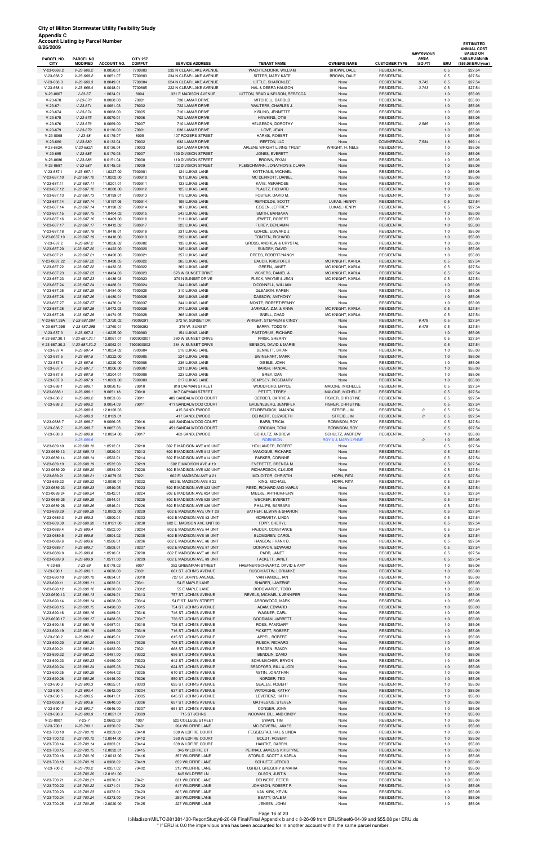| <b>Account Listing by Parcel Number</b><br>8/26/2009 |                                |                          |                                  |                                                        |                                          |                                  |                                          | <b>IMPERVIOUS</b> |            | <b>ESTIMATED</b><br><b>ANNUAL COST</b><br><b>BASED ON</b> |
|------------------------------------------------------|--------------------------------|--------------------------|----------------------------------|--------------------------------------------------------|------------------------------------------|----------------------------------|------------------------------------------|-------------------|------------|-----------------------------------------------------------|
| PARCEL NO.<br><b>CITY</b>                            | PARCEL NO.<br><b>MODIFIED</b>  | <b>ACCOUNT NO.</b>       | <b>CITY 257</b><br><b>COMPUT</b> | <b>SERVICE ADDRESS</b>                                 | <b>TENANT NAME</b>                       | <b>OWNERS NAME</b>               | <b>CUSTOMER TYPE</b>                     | AREA<br>(SQ FT)   | ERU        | 4.59/ERU/Month<br>(\$55.08/ERU/year)                      |
| V-23-0668.2                                          | $V-23-668.2$                   | 8.0050.01                | 7700803                          | 232 N CLEAR LAKE AVENUE                                | WACHTENDONK, WILLIAM                     | BROWN, DALE                      | <b>RESIDENTIAL</b>                       |                   | 0.5        | \$27.54                                                   |
| $V-23-668.2$<br>$V-23-668.3$                         | $V-23-668.2$<br>$V-23-668.3$   | 8.0051.07<br>8.0049.01   | 7700803<br>7700804               | 234 N CLEAR LAKE AVENUE<br>224 N CLEAR LAKE AVENUE     | SITTER, MARY KATE<br>LITTLE, SHARONLEE   | BROWN, DALE<br>None              | <b>RESIDENTIAL</b><br><b>RESIDENTIAL</b> | 3,743             | 0.5<br>0.5 | \$27.54<br>\$27.54                                        |
| V-23-668.4                                           | $V-23-668.4$                   | 8.0048.01                | 7700805                          | 222 N CLEAR LAKE AVENUE                                | HAL & DEBRA HAUGON                       | None                             | <b>RESIDENTIAL</b>                       | 3,743             | 0.5        | \$27.54                                                   |
| V-23-0067                                            | $V-23-67$                      | 1.0034.01                | 8004                             | 331 E MADISON AVENUE                                   | LUTTON, BRAD & NELSON, REBECCA           | None                             | <b>RESIDENTIAL</b>                       |                   | 1.0        | \$55.08                                                   |
| $V-23-670$                                           | $V-23-670$                     | 8.0060.00                | 78001                            | 730 LAMAR DRIVE                                        | MITCHELL, DAROLD                         | None                             | <b>RESIDENTIAL</b>                       |                   | 1.0        | \$55.08                                                   |
| $V-23-671$                                           | $V-23-671$                     | 8.0061.03                | 78002                            | 722 LAMAR DRIVE                                        | WALTERS, CHARLES J                       | None                             | <b>RESIDENTIAL</b>                       |                   | 1.0        | \$55.08                                                   |
| $V-23-674$                                           | $V-23-674$                     | 8.0068.00                | 78005                            | 716 LAMAR DRIVE                                        | KISLING, JENNETTE                        | None                             | <b>RESIDENTIAL</b>                       |                   | 1.0        | \$55.08                                                   |
| $V-23-675$                                           | $V-23-675$                     | 8.0070.01                | 78006                            | 702 LAMAR DRIVE                                        | HAWKINS, OTIS                            | None                             | <b>RESIDENTIAL</b>                       |                   | 1.0        | \$55.08                                                   |
| V-23-676<br>$V-23-679$                               | $V-23-676$<br>$V-23-679$       | 8.0069.00<br>8.0130.00   | 78007<br>79001                   | 710 LAMAR DRIVE<br>638 LAMAR DRIVE                     | HELGESON, DOROTHY<br>LOVE, JEAN          | None<br>None                     | <b>RESIDENTIAL</b><br><b>RESIDENTIAL</b> | 2,585             | 1.0<br>1.0 | \$55.08<br>\$55.08                                        |
| V-23-0068                                            | $V-23-68$                      | 6.0179.07                | 8005                             | 107 ROGERS STREET                                      | HARMS, ROBERT                            | None                             | <b>RESIDENTIAL</b>                       |                   | 1.0        | \$55.08                                                   |
| $V-23-680$                                           | $V-23-680$                     | 8.0132.04                | 79002                            | 632 LAMAR DRIVE                                        | <b>REFTON, LLC</b>                       | None                             | <b>COMMERCIAL</b>                        | 7,534             | 1.8        | \$99.14                                                   |
| V-23-682A                                            | V-23-682A                      | 8.0136.04                | 79003                            | 624 LAMAR DRIVE                                        | ARLENE WRIGHT LIVING TRUST               | WRIGHT, H. NELS                  | <b>RESIDENTIAL</b>                       |                   | 1.0        | \$55.08                                                   |
| $V-23-685$                                           | $V-23-685$                     | 8.0170.03                | 79007                            | 100 DIVISION STREET                                    | JONES, EVERETT                           | None                             | <b>RESIDENTIAL</b>                       |                   | 1.0        | \$55.08                                                   |
| V-23-0686                                            | $V-23-686$                     | 8.0151.04                | 79008                            | 110 DIVISION STREET                                    | BROWN, RYAN                              | None                             | <b>RESIDENTIAL</b>                       |                   | 1.0        | \$55.08                                                   |
| V-23-0687                                            | $V-23-687$                     | 8.0145.03                | 79009                            | 122 DIVISION STREET                                    | FLEISCHMANN, JONATHON & CLARA            | None                             | <b>RESIDENTIAL</b>                       |                   | 1.0        | \$55.08                                                   |
| $V-23-687.1$<br>V-23-687.10                          | $V-23-687.1$<br>$V-23-687.10$  | 11.0227.00<br>11.0202.00 | 7900901<br>7900910               | 124 LUKAS LANE<br><b>151 LUKAS LANE</b>                | KOTTHAUS, MICHAEL<br>MC DERMOTT, DANIEL  | None                             | <b>RESIDENTIAL</b><br><b>RESIDENTIAL</b> |                   | 1.0<br>1.0 | \$55.08<br>\$55.08                                        |
| V-23-687.11                                          | $V-23-687.11$                  | 11.0201.01               | 7900911                          | 133 LUKAS LANE                                         | KAYE, VERAROSE                           | None<br>None                     | <b>RESIDENTIAL</b>                       |                   | 1.0        | \$55.08                                                   |
| V-23-687.12                                          | $V-23-687.12$                  | 11.0200.00               | 7900912                          | 125 LUKAS LANE                                         | PLAUTZ, RICHARD                          | None                             | <b>RESIDENTIAL</b>                       |                   | 1.0        | \$55.08                                                   |
| V-23-687.13                                          | $V-23-687.13$                  | 11.0199.01               | 7900913                          | 115 LUKAS LANE                                         | FOSTER, DAVID M.                         | None                             | <b>RESIDENTIAL</b>                       |                   | 1.0        | \$55.08                                                   |
| V-23-687.14                                          | $V-23-687.14$                  | 11.0197.06               | 7900914                          | 105 LUKAS LANE                                         | REYNOLDS, SCOTT                          | LUKAS, HENRY                     | <b>RESIDENTIAL</b>                       |                   | 0.5        | \$27.54                                                   |
| V-23-687.14                                          | $V-23-687.14$                  | 11.0198.02               | 7900914                          | 107 LUKAS LANE                                         | EGGEN, JEFFREY                           | LUKAS, HENRY                     | <b>RESIDENTIAL</b>                       |                   | 0.5        | \$27.54                                                   |
| V-23-687.15                                          | $V-23-687.15$                  | 11.0404.02               | 7900915                          | 243 LUKAS LANE                                         | SMITH, BARBARA                           | None                             | <b>RESIDENTIAL</b>                       |                   | 1.0        | \$55.08                                                   |
| V-23-687.16                                          | $V-23-687.16$                  | 11.0409.00               | 7900916                          | 311 LUKAS LANE                                         | JEWETT, ROBERT                           | None                             | <b>RESIDENTIAL</b>                       |                   | 1.0        | \$55.08                                                   |
| V-23-687.17<br>V-23-687.18                           | $V-23-687.17$<br>$V-23-687.18$ | 11.0412.02<br>11.0416.01 | 7900917<br>7900918               | 323 LUKAS LANE<br>331 LUKAS LANE                       | FUREY, BENJAMIN<br>GOHDE, EDWARD J.      | None<br>None                     | <b>RESIDENTIAL</b><br><b>RESIDENTIAL</b> |                   | 1.0<br>1.0 | \$55.08<br>\$55.08                                        |
| V-23-0687.19                                         | $V-23-687.19$                  | 11.0418.00               | 7900919                          | 339 LUKAS LANE                                         | <b>TOMTEN, RICHARD</b>                   | None                             | <b>RESIDENTIAL</b>                       |                   | 1.0        | \$55.08                                                   |
| V-23-687.2                                           | $V-23-687.2$                   | 11.0226.02               | 7900902                          | 132 LUKAS LANE                                         | GROSS, ANDREW & CRYSTAL                  | None                             | <b>RESIDENTIAL</b>                       |                   | 1.0        | \$55.08                                                   |
| V-23-687.20                                          | V-23-687.20                    | 11.0422.00               | 7900920                          | 345 LUKAS LANE                                         | SUNDBY, DAVID                            | None                             | <b>RESIDENTIAL</b>                       |                   | 1.0        | \$55.08                                                   |
| V-23-687.21                                          | $V-23-687.21$                  | 11.0428.00               | 7900921                          | 357 LUKAS LANE                                         | DREES, ROBERT/NANCY                      | None                             | <b>RESIDENTIAL</b>                       |                   | 1.0        | \$55.08                                                   |
| V-23-0687.22                                         | V-23-687.22                    | 11.0430.05               | 7900922                          | 365 LUKAS LANE                                         | <b>BAUCH, KRISTOFER</b>                  | MC KNIGHT, KARLA                 | <b>RESIDENTIAL</b>                       |                   | 0.5        | \$27.54                                                   |
| V-23-687.22                                          | V-23-687.22                    | 11.0432.03               | 7900922                          | 369 LUKAS LANE                                         | GREEN, JANET                             | MC KNIGHT, KARLA                 | <b>RESIDENTIAL</b>                       |                   | 0.5        | \$27.54                                                   |
| V-23-687.23                                          | $V-23-687.23$                  | 11.0434.03               | 7900923                          | 373 W SUNSET DRIVE                                     | VICKERS, DANIEL &                        | MC KNIGHT, KARLA                 | <b>RESIDENTIAL</b>                       |                   | 0.5        | \$27.54                                                   |
| V-23-687.23                                          | $V-23-687.23$<br>V-23-687.24   | 11.0436.03<br>11.0488.01 | 7900923<br>7900924               | 379 N SUNSET DRIVE                                     | FLECK, WAYNE & JEAN                      | MC KNIGHT, KARLA                 | <b>RESIDENTIAL</b><br><b>RESIDENTIAL</b> |                   | 0.5<br>1.0 | \$27.54                                                   |
| V-23-687.24<br>V-23-687.25                           | $V-23-687.25$                  | 11.0484.00               | 7900925                          | 244 LUKAS LANE<br>310 LUKAS LANE                       | O'CONNELL, WILLIAM<br>GLEASON, KAREN     | None<br>None                     | <b>RESIDENTIAL</b>                       |                   | 1.0        | \$55.08<br>\$55.08                                        |
| V-23-687.26                                          | $V-23-687.26$                  | 11.0480.01               | 7900926                          | 326 LUKAS LANE                                         | DASSOW, ANTHONY                          | None                             | <b>RESIDENTIAL</b>                       |                   | 1.0        | \$55.08                                                   |
| V-23-687.27                                          | V-23-687.27                    | 11.0476.01               | 7900937                          | 344 LUKAS LANE                                         | MONTE, ROBERT/PENNY                      | None                             | <b>RESIDENTIAL</b>                       |                   | 1.0        | \$55.08                                                   |
| V-23-687.28                                          | $V-23-687.28$                  | 11.0472.03               | 7900928                          | 374 LUKAS LANE                                         | JARMULA, Z.M. & ANNA                     | MC KNIGHT, KARLA                 | <b>RESIDENTIAL</b>                       |                   | 0.5        | \$27.54                                                   |
| V-23-687.28                                          | V-23-687.28                    | 11.0474.05               | 7900928                          | 368 LUKAS LANE                                         | SNELL, CHAD                              | MC KNIGHT, KARLA                 | <b>RESIDENTIAL</b>                       |                   | 0.5        | \$27.54                                                   |
| V-23-687.29A                                         | V-23-687.29A                   | 11.3720.02               | 79009291                         | 372 W. SUNSET DR                                       | WRIGHT, STEPHEN & CINDY                  | None                             | <b>RESIDENTIAL</b>                       | 6,478             | 0.5        | \$27.54                                                   |
| V-23-687.29B                                         | V-23-687.29B                   | 11.3760.01               | 79009292                         | 376 W. SUNSET                                          | BARRY, TODD W.                           | None                             | <b>RESIDENTIAL</b>                       | 6,478             | 0.5        | \$27.54                                                   |
| $V-23-687.3$<br>V-23-687.30.1                        | $V-23-687.3$<br>V-23-687.30.1  | 11.0225.00<br>12.0061.01 | 7900903<br>7900930001            | <b>154 LUKAS LANE</b><br>380 W SUNSET DRIVE            | PASTORIUS, RICHARD<br>PRISK, SHERRY      | None<br>None                     | <b>RESIDENTIAL</b><br><b>RESIDENTIAL</b> |                   | 1.0<br>0.5 | \$55.08<br>\$27.54                                        |
| V-23-687.30.2                                        | V-23-687.30.2                  | 12.0062.01               | 7900930002                       | 384 W SUNSET DRIVE                                     | <b>BENSON, DAVID &amp; MARIE</b>         | None                             | <b>RESIDENTIAL</b>                       |                   | 0.5        | \$27.54                                                   |
| V-23-687.4                                           | V-23-687.4                     | 11.0224.02               | 7900904                          | 218 LUKAS LANE                                         | BENNETT, BRIAN                           | None                             | RESIDENTIAL                              |                   | 1.0        | \$55.08                                                   |
| V-23-687.5                                           | $V-23-687.5$                   | 11.0222.00               | 7900905                          | 224 LUKAS LANE                                         | SWINEHART, MARK                          | None                             | <b>RESIDENTIAL</b>                       |                   | 1.0        | \$55.08                                                   |
| V-23-687.6                                           | $V-23-687.6$                   | 11.0220.00               | 7900906                          | 236 LUKAS LANE                                         | DIBBLE, JOHN                             | None                             | <b>RESIDENTIAL</b>                       |                   | 1.0        | \$55.08                                                   |
| V-23-687.7                                           | $V-23-687.7$                   | 11.0206.00               | 7900907                          | 231 LUKAS LANE                                         | MARSH, RANDAL                            | None                             | <b>RESIDENTIAL</b>                       |                   | 1.0        | \$55.08                                                   |
| V-23-687.8                                           | $V-23-687.8$                   | 11.0204.01               | 7900908                          | 223 LUKAS LANE                                         | BREY, DAN                                | None                             | <b>RESIDENTIAL</b>                       |                   | 1.0        | \$55.08                                                   |
| V-23-687.9<br>V-23-688.1                             | $V-23-687.9$<br>$V-23-688.1$   | 11.0203.00<br>9.0050.15  | 7900909<br>79010                 | 217 LUKAS LANE<br>819 CAPMAN STREET                    | DEMPSEY, ROSEMARY<br>WOODFORD, BRYCE     | None<br>MALONE, MICHELLE         | <b>RESIDENTIAL</b><br><b>RESIDENTIAL</b> |                   | 1.0<br>0.5 | \$55.08<br>\$27.54                                        |
| V-23-0688.1                                          | $V-23-688.1$                   | 9.0051.18                | 79010                            | 817 CAPMAN STREET                                      | PETITT, TERRY                            | MALONE, MICHELLE                 | <b>RESIDENTIAL</b>                       |                   | 0.5        | \$27.54                                                   |
| V-23-688.2                                           | $V-23-688.2$                   | 9.0053.06                | 79011                            | 409 SANDALWOOD COURT                                   | GERBER, CARRIE A                         | FISHER, CHRISTINE                | <b>RESIDENTIAL</b>                       |                   | 0.5        | \$27.54                                                   |
| V-23-688.2                                           | $V-23-688.2$                   | 9.0054.09                | 79011                            | 411 SANDALWOOD COURT                                   | GRUENEBERG, JENNIFER                     | FISHER, CHRISTINE                | <b>RESIDENTIAL</b>                       |                   | 0.5        | \$27.54                                                   |
|                                                      | $V-23-688.3$                   | 12.0128.03               |                                  | 415 SANDLEWOOD                                         | STUBBENDICK, AMANDA                      | STREIB, JIM                      | <b>RESIDENTIAL</b>                       | 0                 | 0.5        | \$27.54                                                   |
|                                                      | $V-23-688.3$                   | 12.0129.01               |                                  | 417 SANDLEWOOD                                         | DEHNERT, ELIZABETH                       | STREIB, JIM                      | <b>RESIDENTIAL</b>                       | $\mathcal{O}$     | 0.5        | \$27.54                                                   |
| V-23-0688.7                                          | $V-23-688.7$                   | 9.0066.05                | 79016                            | 449 SANDALWOOD COURT                                   | <b>BARB, TRICIA</b>                      | ROBINSON, ROY                    | <b>RESIDENTIAL</b>                       |                   | 0.5        | \$27.54                                                   |
| V-23-688.7<br>V-23-688.8                             | $V-23-688.7$<br>$V-23-688.8$   | 9.0067.03<br>12.0024.00  | 79016<br>79017                   | 451 SANDALWOOD COURT<br>463 SANDLEWOOD                 | <b>GROGAN, TONI</b><br>SCHULTZ, ANDREW   | ROBINSON, ROY<br>SCHULTZ, ANDREW | <b>RESIDENTIAL</b><br><b>RESIDENTIAL</b> |                   | 0.5<br>1.0 | \$27.54<br>\$55.08                                        |
|                                                      | $V-23-688.9$                   |                          |                                  |                                                        | <b>ROBINSON</b>                          | <b>ROY A &amp; MARY LYNNE</b>    |                                          | $\cal O$          | 1.0        | \$55.08                                                   |
| V-23-689.10                                          | $V-23-689.10$                  | 1.0512.01                | 79210                            | 602 E MADISON AVE #10 UNIT                             | HOLLANDER, ROBERT                        | None                             | <b>RESIDENTIAL</b>                       |                   | 0.5        | \$27.54                                                   |
| V-23-0689.13                                         | $V-23-689.13$                  | 1.0520.01                | 79213                            | 602 E MADISON AVE #13 UNIT                             | MANOGUE, RICHARD                         | None                             | <b>RESIDENTIAL</b>                       |                   | 0.5        | \$27.54                                                   |
| V-23-0689.14                                         | V-23-689.14                    | 1.0522.01                | 79214                            | 602 E MADISON AVE #14 UNIT                             | PARKER, CORINNE                          | None                             | <b>RESIDENTIAL</b>                       |                   | 0.5        | \$27.54                                                   |
| V-23-689.19                                          | $V-23-689.19$                  | 1.0532.00                | 79219                            | 602 E MADISON AVE #19                                  | EVERETTE, BRENDA M                       | None                             | <b>RESIDENTIAL</b>                       |                   | 0.5        | \$27.54                                                   |
| V-23-0689.20                                         | $V-23-689.20$                  | 1.0534.00                | 79220                            | 602 E MADISON AVE #20 UNIT                             | RICHARDSON, CLAUDE                       | None                             | <b>RESIDENTIAL</b>                       |                   | 0.5        | \$27.54                                                   |
| V-23-689.21                                          | $V-23-689.21$                  | 12.0079.03               | 79221                            | 602 E. MADISON AVE # 21                                | MOLOITOR, CHRISTIN                       | HORN, RITA                       | <b>RESIDENTIAL</b>                       |                   | 0.5        | \$27.54                                                   |
| V-23-689.22<br>V-23-0689.23                          | V-23-689.22<br>$V-23-689.23$   | 12.0080.01<br>1.0540.05  | 79222<br>79223                   | 602 E. MADISON AVE # 22<br>602 E MADISON AVE #23 UNIT  | KING, MICHAEL<br>REED, RICHARD AND MARLA | HORN, RITA<br>None               | <b>RESIDENTIAL</b><br><b>RESIDENTIAL</b> |                   | 0.5<br>0.5 | \$27.54<br>\$27.54                                        |
| V-23-0689.24                                         | V-23-689.24                    | 1.0542.01                | 79224                            | 602 E MADISON AVE #24 UNIT                             | MIELKE, ARTHUR/FERN                      | None                             | <b>RESIDENTIAL</b>                       |                   | 0.5        | \$27.54                                                   |
| V-23-0689.25                                         | $V-23-689.25$                  | 1.0544.01                | 79225                            | 602 E MADISON AVE #25 UNIT                             | <b>WECKER, EVERETT</b>                   | None                             | <b>RESIDENTIAL</b>                       |                   | 0.5        | \$27.54                                                   |
| V-23-0689.26                                         | $V-23-689.26$                  | 1.0546.01                | 79226                            | 602 E MADISON AVE #26 UNIT                             | PHILLIPS, BARBARA                        | None                             | <b>RESIDENTIAL</b>                       |                   | 0.5        | \$27.54                                                   |
| V-23-689.29                                          | V-23-689.29                    | 12.0002.00               | 79229                            | 602 E MADISON AVE UNIT 29                              | SATHER, ELWYN & SHARON                   | None                             | <b>RESIDENTIAL</b>                       |                   | 0.5        | \$27.54                                                   |
| V-23-0689.3                                          | $V-23-689.3$                   | 1.0500.01                | 79203                            | 602 E MADISON AVE #3 UNIT                              | MORIARITY, LINDA                         | None                             | <b>RESIDENTIAL</b>                       |                   | 0.5        | \$27.54                                                   |
| V-23-689.30                                          | $V-23-689.30$                  | 12.0121.00               | 79230                            | 602 E. MADISON AVE UNIT 30                             | TOPP, CHERYL                             | None                             | <b>RESIDENTIAL</b>                       |                   | 0.5        | \$27.54                                                   |
| V-23-0689.4                                          | $V-23-689.4$                   | 1.0502.00                | 79204                            | 602 E MADISON AVE #4 UNIT                              | HAJDUK, CONSTANCE                        | None                             | <b>RESIDENTIAL</b>                       |                   | 0.5        | \$27.54                                                   |
| V-23-0689.5<br>V-23-0689.6                           | $V-23-689.5$<br>$V-23-689.6$   | 1.0504.02<br>1.0506.01   | 79205<br>79206                   | 602 E MADISON AVE #5 UNIT<br>602 E MADISON AVE #6 UNIT | BLOMGREN, CAROL<br>HANSON, FRANK D.      | None<br>None                     | <b>RESIDENTIAL</b><br><b>RESIDENTIAL</b> |                   | 0.5<br>0.5 | \$27.54<br>\$27.54                                        |
| V-23-0689.7                                          | $V-23-689.7$                   | 1.0508.01                | 79207                            | 602 E MADISON AVE #7 UNIT                              | DONAVON, EDWARD                          | None                             | <b>RESIDENTIAL</b>                       |                   | 0.5        | \$27.54                                                   |
| V-23-0689.8                                          | $V-23-689.8$                   | 1.0510.01                | 79208                            | 602 E MADISON AVE #8 UNIT                              | PARR, JANET                              | None                             | <b>RESIDENTIAL</b>                       |                   | 0.5        | \$27.54                                                   |
| V-23-0689.9                                          | $V-23-689.9$                   | 1.0511.00                | 79209                            | 602 E MADISON AVE #9 UNIT                              | TACKETT, JANET                           | None                             | <b>RESIDENTIAL</b>                       |                   | 0.5        | \$27.54                                                   |
| $V-23-69$                                            | $V-23-69$                      | 6.0178.02                | 8007                             | 352 GREENMAN STREET                                    | HAEFNER/SCHWARTZ, DAVID & AMY            | None                             | <b>RESIDENTIAL</b>                       |                   | 1.0        | \$55.08                                                   |
| $V-23-690.1$                                         | $V-23-690.1$                   | 4.0638.00                | 79301                            | 601 ST. JOHN'S AVENUE                                  | RUSCH/ASTIN, LORI/MIKE                   | None                             | <b>RESIDENTIAL</b>                       |                   | 1.0        | \$55.08                                                   |
| V-23-690.10                                          | $V-23-690.10$                  | 4.0634.01                | 79310                            | 727 ST JOHN'S AVENUE                                   | VAN HANDEL, IAN                          | None                             | <b>RESIDENTIAL</b>                       |                   | 1.0        | \$55.08                                                   |
| V-23-690.11<br>V-23-690.12                           | $V-23-690.11$<br>V-23-690.12   | 4.0632.01<br>4.0630.00   | 79311<br>79312                   | 54 E MAPLE LANE<br>55 E MAPLE LANE                     | SHARER, LAVERNE<br>BORGWARDT, TODD       | None<br>None                     | <b>RESIDENTIAL</b><br><b>RESIDENTIAL</b> |                   | 1.0<br>1.0 | \$55.08<br>\$55.08                                        |
| V-23-0690.13                                         | $V-23-690.13$                  | 4.0629.01                | 79313                            | 757 ST. JOHN'S AVENUE                                  | REVELS, MICHAEL & JENNIFER               | None                             | <b>RESIDENTIAL</b>                       |                   | 1.0        | \$55.08                                                   |
| V-23-690.14                                          | $V-23-690.14$                  | 4.0628.00                | 79314                            | 54 E ST. MARY STREET                                   | ARROWOOD, MARK                           | None                             | <b>RESIDENTIAL</b>                       |                   | 1.0        | \$55.08                                                   |
| V-23-690.15                                          | $V-23-690.15$                  | 4.0490.00                | 79315                            | 754 ST. JOHN'S AVENUE                                  | ADAM, EDWARD                             | None                             | <b>RESIDENTIAL</b>                       |                   | 1.0        | \$55.08                                                   |
| V-23-690.16                                          | $V-23-690.16$                  | 4.0489.01                | 79316                            | 746 ST. JOHN'S AVENUE                                  | WAGNER, CARL                             | None                             | <b>RESIDENTIAL</b>                       |                   | 1.0        | \$55.08                                                   |
| V-23-0690.17                                         | V-23-690.17                    | 4.0488.03                | 79317                            | 736 ST. JOHN'S AVENUE                                  | GOODMAN, JARRETT                         | None                             | <b>RESIDENTIAL</b>                       |                   | 1.0        | \$55.08                                                   |

| V-23-690.18  | $V-23-690.18$ | 4.0487.01  | 79318 | 726 ST. JOHN'S AVENUE | ROSS, PAM/GARY           | None | <b>RESIDENTIAL</b> | 1.0 | \$55.08 |
|--------------|---------------|------------|-------|-----------------------|--------------------------|------|--------------------|-----|---------|
| V-23-690.19  | $V-23-690.19$ | 4.0485.00  | 79319 | 716 ST. JOHN'S AVENUE | PICKETT, ROBERT          | None | <b>RESIDENTIAL</b> | 1.0 | \$55.08 |
| $V-23-690.2$ | $V-23-690.2$  | 4.0645.01  | 79302 | 615 ST. JOHN'S AVENUE | APPEL, ROBERT            | None | <b>RESIDENTIAL</b> | 1.0 | \$55.08 |
| V-23-690.20  | $V-23-690.20$ | 4.0484.01  | 79320 | 706 ST. JOHN'S AVENUE | RUSCH, RICHARD           | None | <b>RESIDENTIAL</b> | 1.0 | \$55.08 |
| V-23-690.21  | $V-23-690.21$ | 4.0482.00  | 79321 | 668 ST. JOHN'S AVENUE | <b>BRADEN, RANDY</b>     | None | <b>RESIDENTIAL</b> | 1.0 | \$55.08 |
| V-23-690.22  | $V-23-690.22$ | 4.0481.00  | 79322 | 656 ST. JOHN'S AVENUE | BENDLIN, DAVID           | None | <b>RESIDENTIAL</b> | 1.0 | \$55.08 |
| V-23-690.23  | $V-23-690.23$ | 4.0480.00  | 79323 | 642 ST. JOHN'S AVENUE | SCHUMACHER, BRYON        | None | <b>RESIDENTIAL</b> | 1.0 | \$55.08 |
| V-23-690.24  | V-23-690.24   | 4.0465.03  | 79324 | 624 ST. JOHN'S AVENUE | BRADFORD, BILL & JODI    | None | <b>RESIDENTIAL</b> | 1.0 | \$55.08 |
| V-23-690.25  | $V-23-690.25$ | 4.0464.02  | 79325 | 610 ST. JOHN'S AVENUE | ASTIN, JONATHAN          | None | <b>RESIDENTIAL</b> | 1.0 | \$55.08 |
| V-23-690.26  | $V-23-690.26$ | 4.0446.00  | 79326 | 550 ST. JOHN'S AVENUE | NORDER, TED              | None | <b>RESIDENTIAL</b> | 1.0 | \$55.08 |
| $V-23-690.3$ | $V-23-690.3$  | 4.0625.01  | 79303 | 625 ST. JOHN'S AVENUE | <b>SEALES, ROBERT</b>    | None | <b>RESIDENTIAL</b> | 1.0 | \$55.08 |
| $V-23-690.4$ | $V-23-690.4$  | 4.0642.00  | 79304 | 637 ST. JOHN'S AVENUE | <b>VRYDAGHS, KATHY</b>   | None | <b>RESIDENTIAL</b> | 1.0 | \$55.08 |
| $V-23-690.5$ | $V-23-690.5$  | 4.0641.01  | 79305 | 645 ST. JOHN'S AVENUE | LEVERENZ, KATHI          | None | <b>RESIDENTIAL</b> | 1.0 | \$55.08 |
| V-23-0690.6  | $V-23-690.6$  | 4.0640.00  | 79306 | 657 ST. JOHN'S AVENUE | MATHESIUS, STEVEN        | None | <b>RESIDENTIAL</b> | 1.0 | \$55.08 |
| $V-23-690.7$ | $V-23-690.7$  | 4.0646.00  | 79307 | 661 ST. JOHN'S AVENUE | CONGER, JOHN             | None | <b>RESIDENTIAL</b> | 1.0 | \$55.08 |
| $V-23-690.9$ | $V-23-690.9$  | 12.0021.01 | 79309 | 715 ST JOHNS          | NOONAN, BILL AND CINDY   | None | <b>RESIDENTIAL</b> | 1.0 | \$55.08 |
| V-23-0007    | $V-23-7$      | 2.0682.03  | 1007  | 522 COLLEGE STREET    | SWAIN, TIM               | None | <b>RESIDENTIAL</b> | 1.0 | \$55.08 |
| $V-23-700.1$ | $V-23-700.1$  | 4.0350.02  | 79401 | 204 WILDFIRE LANE     | MC GOVERN, JAMES         | None | <b>RESIDENTIAL</b> | 1.0 | \$55.08 |
| V-23-700.10  | $V-23-700.10$ | 4.0359.00  | 79410 | 300 WILDFIRE COURT    | FEGGESTAD, HAL & LINDA   | None | <b>RESIDENTIAL</b> | 1.0 | \$55.08 |
| V-23-700.12  | V-23-700.12   | 12.0044.00 | 79412 | 360 WILDFIRE COURT    | <b>BOLDT, ROBERT</b>     | None | <b>RESIDENTIAL</b> | 1.0 | \$55.08 |
| V-23-700.14  | V-23-700.14   | 4.0363.01  | 79414 | 339 WILDFIRE COURT    | HANTKE, DARRYL           | None | <b>RESIDENTIAL</b> | 1.0 | \$55.08 |
| V-23-700.15  | $V-23-700.15$ | 12.0092.01 | 79415 | 345 WILDFIRE CT       | PERNAU, JAMES & KRISTYNE | None | <b>RESIDENTIAL</b> | 1.0 | \$55.08 |
| V-23-700.16  | $V-23-700.16$ | 12.0013.00 | 79416 | 357 WILDFIRE LANE     | STORLID, SCOTT & KARLA   | None | <b>RESIDENTIAL</b> | 1.0 | \$55.08 |
| V-23-700.19  | $V-23-700.19$ | 4.0368.02  | 79419 | 659 WILDFIRE LANE     | SCHUETZ, JEROLD          | None | <b>RESIDENTIAL</b> | 1.0 | \$55.08 |
| $V-23-700.2$ | $V-23-700.2$  | 4.0351.02  | 79402 | 212 WILDFIRE LANE     | USHER, GREGORY & MARIA   | None | <b>RESIDENTIAL</b> | 1.0 | \$55.08 |
|              | $V-23-700.20$ | 12.0161.00 |       | 645 WILDFIRE LN       | OLSON, JUSTIN            | None | <b>RESIDENTIAL</b> | 1.0 | \$55.08 |
| V-23-700.21  | $V-23-700.21$ | 4.0370.01  | 79421 | 631 WILDFIRE LANE     | DEHNERT, PETER           | None | <b>RESIDENTIAL</b> | 1.0 | \$55.08 |
| V-23-700.22  | V-23-700.22   | 4.0371.01  | 79422 | 617 WILDFIRE LANE     | JOHNSON, ROBERT P.       | None | <b>RESIDENTIAL</b> | 1.0 | \$55.08 |
| V-23-700.23  | V-23-700.23   | 4.0372.01  | 79423 | 605 WILDFIRE LANE     | VAN KIRK, KEVIN          | None | <b>RESIDENTIAL</b> | 1.0 | \$55.08 |
| V-23-700.24  | V-23-700.24   | 4.0373.00  | 79424 | 259 WILDFIRE LANE     | <b>BEATY, DALE M</b>     | None | <b>RESIDENTIAL</b> | 1.0 | \$55.08 |
| V-23-700.25  | $V-23-700.25$ | 12.0020.00 | 79425 | 227 WILDFIRE LANE     | JENSEN, JOHN             | None | <b>RESIDENTIAL</b> | 1.0 | \$55.08 |

Page 16 of 20

I:\Madison\MILTC\081381-\30-ReportStudy\8-20-09 Final\Final Appendix b and c 8-26-09 from ERUSheet6-04-09 and \$55.08 per ERU.xls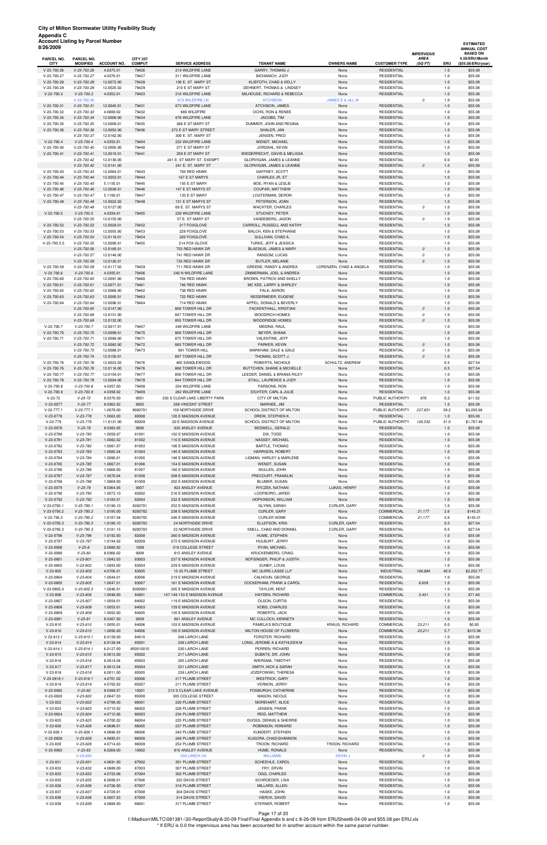| 8/26/2009                  |                              |                          |                    |                                              |                                                         |                              |                                          |                                  |             | <b>ESTIMATED</b><br><b>ANNUAL COST</b> |
|----------------------------|------------------------------|--------------------------|--------------------|----------------------------------------------|---------------------------------------------------------|------------------------------|------------------------------------------|----------------------------------|-------------|----------------------------------------|
| PARCEL NO.                 | PARCEL NO.                   |                          | <b>CITY 257</b>    |                                              |                                                         |                              |                                          | <b>IMPERVIOUS</b><br><b>AREA</b> |             | <b>BASED ON</b><br>4.59/ERU/Month      |
| <b>CITY</b>                | <b>MODIFIED</b>              | <b>ACCOUNT NO.</b>       | <b>COMPUT</b>      | <b>SERVICE ADDRESS</b>                       | <b>TENANT NAME</b>                                      | <b>OWNERS NAME</b>           | <b>CUSTOMER TYPE</b>                     | (SQ FT)                          | ERU         | (\$55.08/ERU/year)                     |
| V-23-700.26                | V-23-700.26                  | 4.0375.01                | 79426              | 219 WILDFIRE LANE                            | GARRY, THOMAS J.                                        | None                         | <b>RESIDENTIAL</b>                       |                                  | 1.0         | \$55.08                                |
| V-23-700.27                | V-23-700.27                  | 4.0376.01                | 79427              | 211 WILDFIRE LANE                            | <b>BICHANICH, JUDY</b>                                  | None                         | <b>RESIDENTIAL</b>                       |                                  | 1.0         | \$55.08                                |
| V-23-700.28<br>V-23-700.29 | $V-23-700.28$<br>V-23-700.29 | 12.0072.00<br>12.0025.02 | 79428<br>79429     | 190 E. ST. MARY ST<br>210 E ST MARY ST       | KLIEFOTH, CHAD & KELLY<br>DEHNERT, THOMAS & LINDSEY     | None<br>None                 | <b>RESIDENTIAL</b><br><b>RESIDENTIAL</b> |                                  | 1.0<br>1.0  | \$55.08<br>\$55.08                     |
| $V-23-700.3$               | $V-23-700.3$                 | 4.0352.01                | 79403              | 216 WILDFIRE LANE                            | MILHOUSE, RICHARD & REBECCA                             | None                         | <b>RESIDENTIAL</b>                       |                                  | 1.0         | \$55.08                                |
|                            | $V-23-700.30$                |                          |                    | 673 WILDFIRE LN                              | <b>ATCHISON</b>                                         | JAMES E & JILL M             |                                          | $\mathcal O$                     | 1.0         | \$55.08                                |
| V-23-700.31                | $V-23-700.31$                | 12.0045.01               | 79431              | 673 WILDFIRE LANE                            | ATCHISON, JAMES                                         | None                         | <b>RESIDENTIAL</b>                       |                                  | 1.0         | \$55.08                                |
| V-23-700.32                | V-23-700.32                  | 4.0669.02                | 79432              | 669 WILDFIRE                                 | OCHS, RON & RENEE                                       | None                         | <b>RESIDENTIAL</b>                       |                                  | 1.0         | \$55.08                                |
| V-23-700.34                | $V-23-700.34$                | 12.0008.00               | 79434              | 676 WILDFIRE LANE                            | <b>JACOBS, TIM</b>                                      | None                         | <b>RESIDENTIAL</b>                       |                                  | 1.0         | \$55.08                                |
| V-23-700.35                | $V-23-700.35$                | 12.0009.01               | 79435              | 266 E ST MARY ST                             | DUMMER, JOHN AND REGINA                                 | None                         | <b>RESIDENTIAL</b>                       |                                  | 1.0         | \$55.08                                |
| V-23-700.36                | $V-23-700.36$<br>V-23-700.37 | 12.0052.00<br>12.0162.00 | 79436              | 272 E ST MARY STREET<br>300 E. ST. MARY ST   | SHALER, JAN<br>JENSEN, FRED                             | None<br>None                 | <b>RESIDENTIAL</b><br><b>RESIDENTIAL</b> |                                  | 1.0<br>1.0  | \$55.08<br>\$55.08                     |
| $V-23-700.4$               | $V-23-700.4$                 | 4.0353.01                | 79404              | 222 WILDFIRE LANE                            | <b>WENDT, MICHAEL</b>                                   | None                         | <b>RESIDENTIAL</b>                       |                                  | 1.0         | \$55.08                                |
| V-23-700.40                | V-23-700.40                  | 12.0005.00               | 79440              | 271 E ST MARY ST                             | JORDAHL, KEVIN                                          | None                         | <b>RESIDENTIAL</b>                       |                                  | 1.0         | \$55.08                                |
| V-23-700.41                | $V-23-700.41$                | 12.0010.01               | 79441              | 259 E ST MARY ST                             | WIEDERRECHT, DAVID & MELISSA                            | None                         | <b>RESIDENTIAL</b>                       |                                  | 1.0         | \$55.08                                |
|                            | V-23-700.42                  | 12.0136.00               |                    | 241 E. ST MARY ST- EXEMPT                    | GLORVIGAN, JAMES & LEANNE                               | None                         | <b>RESIDENTIAL</b>                       |                                  | 0.0         | \$0.00                                 |
|                            | V-23-700.42                  | 12.0141.00               |                    | 241 E. ST. MARY ST                           | GLORVIGAN, JAMES & LEANNE                               | None                         | <b>RESIDENTIAL</b>                       | $\mathcal{O}$                    | 1.0         | \$55.08                                |
| V-23-700.43                | V-23-700.43                  | 12.0064.01               | 79443              | 704 RED HAWK                                 | GAFFNEY, SCOTT                                          | None                         | <b>RESIDENTIAL</b>                       |                                  | 1.0         | \$55.08                                |
| V-23-700.44                | V-23-700.44<br>$V-23-700.45$ | 12.0053.01               | 79444<br>79445     | 167 E ST MARYS<br>155 E ST MARY              | CHARLES JR, ET<br>BOE, RYAN & LESLIE                    | None                         | <b>RESIDENTIAL</b><br><b>RESIDENTIAL</b> |                                  | 1.0<br>1.0  | \$55.08                                |
| V-23-700.45<br>V-23-700.46 | $V-23-700.46$                | 5.1155.01<br>12.0038.01  | 79446              | 147 E ST MARYS ST                            | COUPAR, MATTHEW                                         | None<br>None                 | <b>RESIDENTIAL</b>                       |                                  | 1.0         | \$55.08<br>\$55.08                     |
| V-23-700.47                | V-23-700.47                  | 5.1160.01                | 79447              | 133 E ST MARY                                | LOGTERMAN, DERON                                        | None                         | <b>RESIDENTIAL</b>                       |                                  | 1.0         | \$55.08                                |
| V-23-700.48                | $V-23-700.48$                | 12.0022.02               | 79448              | 121 E ST MARYS ST                            | PETERSON, JOAN                                          | None                         | <b>RESIDENTIAL</b>                       |                                  | 1.0         | \$55.08                                |
|                            | V-23-700.49                  | 12.0127.00               |                    | 69 E. ST. MARYS ST                           | WACHTER, CHARLES                                        | None                         | <b>RESIDENTIAL</b>                       | 0                                | 1.0         | \$55.08                                |
| $V-23-700.5$               | $V-23-700.5$                 | 4.0354.01                | 79405              | 228 WILDFIRE LANE                            | STUCKEY, PETER                                          | None                         | <b>RESIDENTIAL</b>                       |                                  | 1.0         | \$55.08                                |
|                            | $V-23-700.50$                | 12.0155.00               |                    | 57 E. ST MARY ST                             | VANDEBERG, JASON                                        | None                         | <b>RESIDENTIAL</b>                       | 0                                | 1.0         | \$55.08                                |
| V-23-700.52                | $V-23-700.52$                | 12.0029.01               | 79452              | 217 FOXGLOVE                                 | CARROLL, RUSSELL AND KATHY                              | None                         | <b>RESIDENTIAL</b>                       |                                  | 1.0         | \$55.08                                |
| V-23-700.53<br>V-23-700.54 | V-23-700.53<br>$V-23-700.54$ | 12.0055.00<br>12.0118.01 | 79453<br>79454     | 229 FOXGLOVE<br>220 FOXGLOVE                 | BALCH, KEN & STEPHANIE<br>SULLIVAN, CHAD A.             | None<br>None                 | <b>RESIDENTIAL</b><br><b>RESIDENTIAL</b> |                                  | 1.0<br>1.0  | \$55.08<br>\$55.08                     |
| V-23-700.5.5               | V-23-700.55                  | 12.0090.01               | 79455              | 214 FOX GLOVE                                | TURKE, JEFF & JESSICA                                   | None                         | <b>RESIDENTIAL</b>                       |                                  | 1.0         | \$55.08                                |
|                            | $V-23-700.56$                | 12.0160.01               |                    | 753 RED HAWK DR                              | BLAESIUS, JAMES & MARY                                  | None                         | <b>RESIDENTIAL</b>                       | 0                                | 1.0         | \$55.08                                |
|                            | V-23-700.57                  | 12.0146.00               |                    | 741 RED HAWK DR                              | RANSOM, LUCAS                                           | None                         | <b>RESIDENTIAL</b>                       | 0                                | 1.0         | \$55.08                                |
|                            | $V-23-700.58$                | 12.0126.01               |                    | 733 RED HAWK DR                              | <b>BUTLER, MELANIE</b>                                  | None                         | <b>RESIDENTIAL</b>                       | $\Omega$                         | 1.0         | \$55.08                                |
| V-23-700.59                | V-23-700.59                  | 12.0117.02               | 79459              | 711 RED HAWK DR                              | GREENE, RANDY & ANDREA                                  | LORENZEN, CHAD & ANGELA      | <b>RESIDENTIAL</b>                       |                                  | 1.0         | \$55.08                                |
| $V-23-700.6$               | $V-23-700.6$                 | 4.0355.01                | 79406              | 240 N WILDFIRE LANE                          | ZIMMERMAN, JOEL & ANDREA                                | None                         | <b>RESIDENTIAL</b>                       |                                  | 1.0         | \$55.08                                |
| V-23-700.60<br>V-23-700.61 | V-23-700.60<br>$V-23-700.61$ | 12.0091.00<br>12.0071.01 | 79460<br>79461     | 754 RED HAWK<br>746 RED HAWK                 | BROWN, PATRICK AND SHELLY<br>MC KEE, LARRY & SHIRLEY    | None<br>None                 | <b>RESIDENTIAL</b><br><b>RESIDENTIAL</b> |                                  | 1.0<br>1.0  | \$55.08<br>\$55.08                     |
| V-23-700.62                | V-23-700.62                  | 12.0068.00               | 79462              | 738 RED HAWK                                 | FALK, AARON                                             | None                         | <b>RESIDENTIAL</b>                       |                                  | 1.0         | \$55.08                                |
| V-23-700.63                | $V-23-700.63$                | 12.0095.01               | 79463              | 722 RED HAWK                                 | NEIDERMEIER, EUGENE                                     | None                         | <b>RESIDENTIAL</b>                       |                                  | 1.0         | \$55.08                                |
| V-23-700.64                | V-23-700.64                  | 12.0096.01               | 79464              | 714 RED HAWK                                 | APPEL, DONALD & BEVERLY                                 | None                         | <b>RESIDENTIAL</b>                       |                                  | 1.0         | \$55.08                                |
|                            | $V-23-700.65$                | 12.0147.00               |                    | 809 TOWER HILL DR                            | FACKENTHALL, KRISTIAN                                   | None                         | <b>RESIDENTIAL</b>                       | $\mathcal{O}$                    | 1.0         | \$55.08                                |
|                            | $V-23-700.68$                | 12.0151.00               |                    | 847 TOWER HILL DR                            | <b>WOODRICH HOMES</b>                                   | None                         | <b>RESIDENTIAL</b>                       | 0                                | 1.0         | \$55.08                                |
|                            | $V-23-700.69$                | 12.0132.00               |                    | 855 TOWER HILL DR                            | <b>WOODRIDGE HOMES</b>                                  | None                         | <b>RESIDENTIAL</b>                       | $\mathcal{O}$                    | 1.0         | \$55.08                                |
| V-23-700.7                 | $V-23-700.7$                 | 12.0017.01               | 79407              | 248 WILDFIRE LANE                            | MEDINA, RAUL                                            | None                         | <b>RESIDENTIAL</b>                       |                                  | 1.0         | \$55.08                                |
| V-23-700.70<br>V-23-700.71 | V-23-700.70<br>V-23-700.71   | 12.0099.01<br>12.0089.00 | 79470<br>79471     | 869 TOWER HILL DR<br>875 TOWER HILL DR       | BEYER, SHANA<br>VALENTINE, JEFF                         | None<br>None                 | <b>RESIDENTIAL</b><br><b>RESIDENTIAL</b> |                                  | 1.0<br>1.0  | \$55.08<br>\$55.08                     |
|                            | V-23-700.72                  | 12.0082.00               | 79472              | 883 TOWER HILL DR                            | PARKER, KEVIN                                           | None                         | <b>RESIDENTIAL</b>                       | 0                                | 1.0         | \$55.08                                |
|                            | V-23-700.73                  | 12.0088.01               | 79473              | 891 TOWER HILL                               | MARKHAM, DALE & GALE                                    | None                         | <b>RESIDENTIAL</b>                       | 0                                | 1.0         | \$55.08                                |
|                            | V-23-700.74                  | 12.0150.01               |                    | 897 TOWER HILL DR                            | THOMAS, SCOTT J.                                        | None                         | <b>RESIDENTIAL</b>                       | $\cal O$                         | 1.0         | \$55.08                                |
| V-23-700.76                | $V-23-700.76$                | 12.0023.03               | 79476              | 465 SANDLEWOOD                               | ROBERTS, NICHOLE                                        | SCHULTZ, ANDREW              | <b>RESIDENTIAL</b>                       |                                  | 0.5         | \$27.54                                |
| V-23-700.76                | $V-23-700.76$                | 12.0116.00               | 79476              | 868 TOWER HILL DR                            | BUTTCHEN, SHANE & MICHELLE                              | None                         | <b>RESIDENTIAL</b>                       |                                  | 0.5         | \$27.54                                |
| V-23-700.77<br>V-23-700.78 | V-23-700.77<br>V-23-700.78   | 12.0104.01<br>12.0094.00 | 79477<br>79478     | 856 TOWER HILL DR<br>844 TOWER HILL DR       | LEEDER, DANIEL & BRIANA RILEY<br>STALL, LAURENCE & JUDY | None<br>None                 | <b>RESIDENTIAL</b><br><b>RESIDENTIAL</b> |                                  | 1.0<br>1.0  | \$55.08<br>\$55.08                     |
| $V-23-700.8$               | $V-23-700.8$                 | 4.0357.00                | 79408              | 254 WILDFIRE LANE                            | PARSONS, RON                                            | None                         | <b>RESIDENTIAL</b>                       |                                  | 1.0         | \$55.08                                |
| V-23-700.9                 | $V-23-700.9$                 | 4.0358.02                | 79409              | 262 WILDFIRE LANE                            | EICHTER, CARL & JULIE                                   | None                         | <b>RESIDENTIAL</b>                       |                                  | 1.0         | \$55.08                                |
| $V-23-72$                  | $V-23-72$                    | 8.0370.00                | 9001               | 230 S CLEAR LAKE-LIBERTY PARK                | <b>CITY OF MILTON</b>                                   | None                         | PUBLIC AUTHORITY                         | 976                              | 0.2         | \$11.02                                |
| V-23-0077                  | $V-23-77$                    | 8.0362.02                | 9005               | 208 VINCENT STREET                           | MARHEE, JIM                                             | None                         | <b>RESIDENTIAL</b>                       |                                  | 1.0         | \$55.08                                |
| $V-23-777.1$               | $V-23-777.1$                 | 1.0078.00                | 8000701            | 159 NORTHSIDE DRIVE                          | SCHOOL DISTRICT OF MILTON                               | None                         | PUBLIC AUTHORITY                         | 237,651                          | 58.2        | \$3,205.66                             |
| V-23-0778                  | $V-23-778$                   | 1.0063.00                | 80008              | 120 E MADISON AVENUE                         | DREW, STEPHEN K.                                        | None                         | <b>RESIDENTIAL</b>                       |                                  | 1.0         | \$55.08                                |
| $V-23-779$<br>V-23-0078    | $V-23-779$<br>$V-23-78$      | 11.0131.00<br>8.0363.05  | 80009<br>9006      | 20 E MADISON AVENUE<br>835 ANSLEY AVENUE     | SCHOOL DISTRICT OF MILTON<br>BEDWELL, GERALD            | None<br>None                 | PUBLIC AUTHORITY<br><b>RESIDENTIAL</b>   | 126,532                          | 31.0<br>1.0 | \$1,707.48<br>\$55.08                  |
| V-23-0780                  | $V-23-780$                   | 1.0059.07                | 81001              | 102 E MADISON AVENUE                         | DIX, TODD                                               | None                         | <b>RESIDENTIAL</b>                       |                                  | 1.0         | \$55.08                                |
| V-23-0781                  | $V-23-781$                   | 1.0062.02                | 81002              | 110 E MADISON AVENUE                         | NASSEY, MICHAEL                                         | None                         | <b>RESIDENTIAL</b>                       |                                  | 1.0         | \$55.08                                |
| V-23-0782                  | $V-23-782$                   | 1.0061.07                | 81003              | 106 E MADISON AVENUE                         | <b>BARTLE, THOMAS</b>                                   | None                         | <b>RESIDENTIAL</b>                       |                                  | 1.0         | \$55.08                                |
| V-23-0783                  | $V-23-783$                   | 1.0065.04                | 81004              | 140 E MADISON AVENUE                         | HARRISON, ROBERT                                        | None                         | <b>RESIDENTIAL</b>                       |                                  | 1.0         | \$55.08                                |
| V-23-0784                  | $V-23-784$                   | 1.0066.01                | 81005              | 146 E MADISON AVENUE                         | LIGMAN, HARLEY & MARLENE                                | None                         | <b>RESIDENTIAL</b>                       |                                  | 1.0         | \$55.08                                |
| V-23-0785                  | $V-23-785$                   | 1.0067.01                | 81006              | 154 E MADISON AVENUE                         | <b>WENDT, SUSAN</b>                                     | None                         | <b>RESIDENTIAL</b>                       |                                  | 1.0         | \$55.08                                |
| V-23-0786<br>V-23-0787     | $V-23-786$<br>$V-23-787$     | 1.0068.00<br>1.0070.04   | 81007<br>81008     | 160 E MADISON AVENUE<br>208 E MADISON AVENUE | MULLEN, JOHN<br>PRECOURT, FRANKLIN                      | None<br>None                 | <b>RESIDENTIAL</b><br><b>RESIDENTIAL</b> |                                  | 1.0<br>1.0  | \$55.08                                |
| V-23-0788                  | $V-23-788$                   | 1.0069.00                | 81009              | 202 E MADISON AVENUE                         | BLUMER, SUSAN                                           | None                         | <b>RESIDENTIAL</b>                       |                                  | 1.0         | \$55.08<br>\$55.08                     |
| V-23-0079                  | $V-23-79$                    | 8.0364.05                | 9007               | 823 ANSLEY AVENUE                            | RYCZEK, NATHAN                                          | LUKAS, HENRY                 | <b>RESIDENTIAL</b>                       |                                  | 1.0         | \$55.08                                |
| V-23-0790                  | $V-23-790$                   | 1.0072.10                | 82002              | 216 E MADISON AVENUE                         | LOOFBORO, JARED                                         | None                         | <b>RESIDENTIAL</b>                       |                                  | 1.0         | \$55.08                                |
| V-23-0792                  | $V-23-792$                   | 1.0183.01                | 82004              | 232 E MADISON AVENUE                         | HOPKINSON, WILLIAM                                      | None                         | <b>RESIDENTIAL</b>                       |                                  | 1.0         | \$55.08                                |
| V-23-0795.1                | $V-23-795.1$                 | 1.0190.10                | 8200701            | 252 E MADISON AVENUE                         | GLYNN, SARAH                                            | CURLER, GARY                 | <b>RESIDENTIAL</b>                       |                                  | 1.0         | \$55.08                                |
| V-23-0795.2                | $V-23-795.2$                 | 1.0185.00                | 8200702            | 238 E MADISON AVENUE                         | CURLER, GARY                                            | None                         | <b>COMMERCIAL</b>                        | 21,177                           | 2.6         | \$143.21                               |
| $V-23-795.2$               | $V-23-795.2$                 | 1.0187.04                | 8200702            | 246 E MADISON AVENUE                         | <b>CURLER HOME</b>                                      | None                         | COMMERCIAL                               | 21,177                           | 2.6         | \$143.21                               |
| V-23-0795.3<br>V-23-0795.3 | $V-23-795.3$<br>$V-23-795.3$ | 1.0180.10<br>1.0181.15   | 8200703<br>8200703 | 24 NORTHSIDE DRIVE<br>22 NORTHSIDE DRIVE     | ELLEFSON, KRIS<br>SNELL, CHAD AND DONNEL                | CURLER, GARY<br>CURLER, GARY | <b>RESIDENTIAL</b><br><b>RESIDENTIAL</b> |                                  | 0.5<br>0.5  | \$27.54<br>\$27.54                     |
| V-23-0796                  | $V-23-796$                   | 1.0192.00                | 82008              | 260 E MADISON AVENUE                         | HUME, STEPHEN                                           | None                         | <b>RESIDENTIAL</b>                       |                                  | 1.0         | \$55.08                                |
| V-23-0797                  | $V-23-797$                   | 1.0194.02                | 82009              | 272 E MADISON AVENUE                         | HULBURT, JERRY                                          | None                         | <b>RESIDENTIAL</b>                       |                                  | 1.0         | \$55.08                                |
| $V-23-0008$                | $V - 23 - 8$                 | 2.0680.02                | 1008               | 518 COLLEGE STREET                           | RYAN, MICHAEL                                           | None                         | <b>RESIDENTIAL</b>                       |                                  | 1.0         | \$55.08                                |
| V-23-0080                  | $V-23-80$                    | 8.0366.02                | 9008               | 815 ANSLEY AVENUE                            | KRUCKENBERG, CRAIG                                      | None                         | <b>RESIDENTIAL</b>                       |                                  | 1.0         | \$55.08                                |
| $V-23-0801$                | $V-23-801$                   | 1.0042.03                | 83003              | 237 E MADISON AVENUE                         | NOFSINGER, PHILIP & JUDITH                              | None                         | <b>RESIDENTIAL</b>                       |                                  | 1.0         | \$55.08                                |
| $V-23-0802$                | $V-23-802$                   | 1.0043.00                | 83004              | 229 E MADISON AVENUE                         | SUNBY, LOUIS                                            | None                         | <b>RESIDENTIAL</b>                       |                                  | 1.0         | \$55.08                                |
| $V-23-803$<br>V-23-0804    | $V-23-803$<br>$V-23-804$     | 4.0706.01<br>1.0044.01   | 83005<br>83006     | 15-35 PLUMB STREET<br>219 E MADISON AVENUE   | MC GUIRE-LASSE LLP<br>CALHOUN, GEORGE                   | None<br>None                 | <b>INDUSTRIAL</b><br><b>RESIDENTIAL</b>  | 166,884                          | 40.9<br>1.0 | \$2,252.77<br>\$55.08                  |
| $V-23-0805$                | $V-23-805$                   | 1.0047.01                | 83007              | 161 E MADISON AVENUE                         | COCKERHAM, FRANK & CAROL                                | None                         | <b>RESIDENTIAL</b>                       | 6,659                            | 1.0         | \$55.08                                |
| V-23-0805.3                | $V-23-805.3$                 | 1.0046.01                | 8300901            | 205 E MADISON AVENUE                         | TAYLOR, KENT                                            | None                         | <b>RESIDENTIAL</b>                       |                                  | 1.0         | \$55.08                                |
| $V-23-806$                 | $V-23-806$                   | 1.0048.00                | 84001              | 147-149-153 E MADISON AVENUE                 | HAYDEN, RICHARD                                         | None                         | <b>COMMERCIAL</b>                        | 5,401                            | 1.3         | \$71.60                                |
| V-23-0807                  | $V-23-807$                   | 1.0054.01                | 84002              | 119 E MADISON AVENUE                         | OLSON, CURTIS                                           | None                         | <b>RESIDENTIAL</b>                       |                                  | 1.0         | \$55.08                                |
| V-23-0808                  | $V-23-808$                   | 1.0053.01                | 84003              | 129 E MADISON AVENUE                         | KOBS, CHARLES                                           | None                         | <b>RESIDENTIAL</b>                       |                                  | 1.0         | \$55.08                                |
| V-23-0809                  | $V-23-809$                   | 1.0052.00                | 84005              | 135 E MADISON AVENUE                         | ROBERTS, JACK                                           | None                         | <b>RESIDENTIAL</b>                       |                                  | 1.0         | \$55.08                                |
| V-23-0081                  | $V-23-81$                    | 8.0367.00                | 9009               | 801 ANSLEY AVENUE                            | MC CULLOCH, KENNETH                                     | None                         | <b>RESIDENTIAL</b>                       |                                  | 1.0         | \$55.08                                |

| $V-23-810$    | $V - 23 - 810$ | 1.0055.01 | 84006     | 103 E MADISON AVENUE    | PAMELA'S BOUTIQUE           | <b>KRAUS, RICHARD</b> | COMMERCIAL         | 23,211 | 0.0 | \$0.00   |
|---------------|----------------|-----------|-----------|-------------------------|-----------------------------|-----------------------|--------------------|--------|-----|----------|
| $V-23-810$    | $V-23-810$     | 1.0056.00 | 84006     | 105 E MADISON AVENUE    | MILTON HOUSE OF FLOWERS     | None                  | <b>COMMERCIAL</b>  | 23,211 | 5.7 | \$313.96 |
| $V-23-813.1$  | $V-23-813.1$   | 6.0129.00 | 84010     | 248 LARCH LANE          | FORSTER, RICHARD            | None                  | <b>RESIDENTIAL</b> |        | 1.0 | \$55.08  |
| $V-23-814$    | $V - 23 - 814$ | 6.0128.04 | 85001     | 238 LARCH LANE          | LONG. JEROME A & KATHLEEN M | None                  | <b>RESIDENTIAL</b> |        | 1.0 | \$55.08  |
| $V-23-814.1$  | $V-23-814.1$   | 6.0127.00 | 850010010 | 230 LARCH LANE          | PERREN, RICHARD             | None                  | <b>RESIDENTIAL</b> |        | 1.0 | \$55.08  |
| $V-23-815$    | $V - 23 - 815$ | 6.0013.00 | 85002     | 217 LARCH LANE          | DUBATS, DR. JOHN            | None                  | <b>RESIDENTIAL</b> |        | 1.0 | \$55.08  |
| $V-23-816$    | $V-23-816$     | 6.0014.04 | 85003     | 205 LARCH LANE          | WIERSMA, TIMOTHY            | None                  | <b>RESIDENTIAL</b> |        | 1.0 | \$55.08  |
| $V-23-817$    | $V-23-817$     | 6.0012.04 | 85004     | 231 LARCH LANE          | SMITH, NICK & SARAH         | None                  | <b>RESIDENTIAL</b> |        | 1.0 | \$55.08  |
| $V-23-818$    | $V-23-818$     | 6.0011.00 | 85005     | 239 LARCH LANE          | JOZEFOWSKI, THERESA         | None                  | <b>RESIDENTIAL</b> |        | 1.0 | \$55.08  |
| $V-23-0818.1$ | $V-23-818.1$   | 4.0701.02 | 85006     | 217 PLUMB STREET        | <b>WESTRICK, GARY</b>       | None                  | <b>RESIDENTIAL</b> |        | 1.0 | \$55.08  |
| $V-23-819$    | $V - 23 - 819$ | 4.0702.02 | 85007     | 211 PLUMB STREET        | <b>VERNON, JERRY</b>        | None                  | <b>RESIDENTIAL</b> |        | 1.0 | \$55.08  |
| V-23-0082     | $V - 23 - 82$  | 8.0369.07 | 10001     | 213 S CLEAR LAKE AVENUE | FOSBURGH, CATHERINE         | None                  | <b>RESIDENTIAL</b> |        | 1.0 | \$55.08  |
| V-23-0820     | $V-23-820$     | 2.0647.03 | 85008     | 305 COLLEGE STREET      | MASON, NICOLE               | None                  | <b>RESIDENTIAL</b> |        | 1.0 | \$55.08  |
| $V-23-822$    | $V - 23 - 822$ | 4.0708.00 | 86001     | 220 PLUMB STREET        | MOREHART, ALICE             | None                  | <b>RESIDENTIAL</b> |        | 1.0 | \$55.08  |
| $V-23-823$    | $V - 23 - 823$ | 4.0710.02 | 86002     | 226 PLUMB STREET        | JENSEN, FRANK               | None                  | <b>RESIDENTIAL</b> |        | 1.0 | \$55.08  |
| V-23-0824     | $V - 23 - 824$ | 4.0712.06 | 86003     | 234 PLUMB STREET        | REID. MATTHEW               | None                  | <b>RESIDENTIAL</b> |        | 1.0 | \$55.08  |
| $V-23-825$    | $V - 23 - 825$ | 4.0700.02 | 86004     | 225 PLUMB STREET        | DUOSS, DENNIS & SHERRIE     | None                  | <b>RESIDENTIAL</b> |        | 1.0 | \$55.08  |
| $V-23-826$    | $V-23-826$     | 4.0698.01 | 86005     | 237 PLUMB STREET        | ROBINSON, HOWARD            | None                  | <b>RESIDENTIAL</b> |        | 1.0 | \$55.08  |
| $V-23-826.1$  | $V-23-826.1$   | 4.0696.03 | 86006     | 243 PLUMB STREET        | KUNDERT, STEPHEN            | None                  | <b>RESIDENTIAL</b> |        | 1.0 | \$55.08  |
| V-23-0828     | $V-23-828$     | 4.0695.01 | 86008     | 249 PLUMB STREET        | KLIGORA, CHAD/SHANNON       | None                  | <b>RESIDENTIAL</b> |        | 1.0 | \$55.08  |
| $V-23-829$    | $V - 23 - 829$ | 4.0714.03 | 86009     | 252 PLUMB STREET        | TROON, RICHARD              | TROON, RICHARD        | <b>RESIDENTIAL</b> |        | 1.0 | \$55.08  |
| V-23-0083     | $V - 23 - 83$  | 8.0269.00 | 10002     | 816 ANSLEY AVENUE       | HUME, RONALD                | None                  | <b>RESIDENTIAL</b> |        | 1.0 | \$55.08  |
|               | $V - 23 - 830$ |           |           | 239 LARCH LN            | <b>WILLIAMS</b>             | <b>KEVIN J</b>        |                    | 0      | 1.0 | \$55.08  |
| $V-23-831$    | $V-23-831$     | 4.0691.00 | 87002     | 301 PLUMB STREET        | SCHEEHLE, CAROL             | None                  | <b>RESIDENTIAL</b> |        | 1.0 | \$55.08  |
| $V-23-832$    | $V - 23 - 832$ | 4.0689.00 | 87003     | 307 PLUMB STREET        | FRY, ERVIN                  | None                  | <b>RESIDENTIAL</b> |        | 1.0 | \$55.08  |
| $V-23-833$    | $V - 23 - 833$ | 4.0723.08 | 87004     | 302 PLUMB STREET        | OGG. CHARLES                | None                  | <b>RESIDENTIAL</b> |        | 1.0 | \$55.08  |
| $V-23-835$    | $V-23-835$     | 6.0008.01 | 87006     | 322 DAVIS STREET        | SCHROEDER, LISA             | None                  | <b>RESIDENTIAL</b> |        | 1.0 | \$55.08  |
| $V-23-836$    | $V-23-836$     | 4.0726.00 | 87007     | 318 PLUMB STREET        | MILLARD, ALLEN              | None                  | <b>RESIDENTIAL</b> |        | 1.0 | \$55.08  |
| $V-23-837$    | $V - 23 - 837$ | 4.0728.01 | 87008     | 304 DAVIS STREET        | HASKE, JOHN                 | None                  | <b>RESIDENTIAL</b> |        | 1.0 | \$55.08  |
| $V-23-838$    | $V - 23 - 838$ | 6.0007.03 | 87009     | 314 DAVIS STREET        | <b>VIERCK, DAVID</b>        | None                  | <b>RESIDENTIAL</b> |        | 1.0 | \$55.08  |
| $V-23-839$    | $V - 23 - 839$ | 4.0688.00 | 88001     | 317 PLUMB STREET        | STERNER, ROBERT             | None                  | <b>RESIDENTIAL</b> |        | 1.0 | \$55.08  |

Page 17 of 20

I:\Madison\MILTC\081381-\30-ReportStudy\8-20-09 Final\Final Appendix b and c 8-26-09 from ERUSheet6-04-09 and \$55.08 per ERU.xls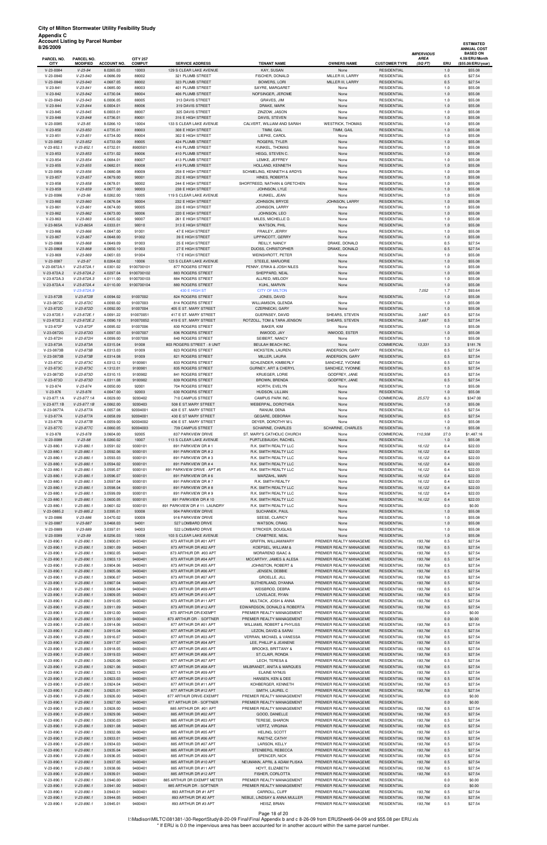| 8/26/2009                    | <b>Account Listing by Parcel Number</b> |                        |                                  |                                                     |                                                     |                                                    |                                          |                                            |            | <b>ESTIMATED</b><br><b>ANNUAL COST</b>                  |
|------------------------------|-----------------------------------------|------------------------|----------------------------------|-----------------------------------------------------|-----------------------------------------------------|----------------------------------------------------|------------------------------------------|--------------------------------------------|------------|---------------------------------------------------------|
| PARCEL NO.<br><b>CITY</b>    | PARCEL NO.<br><b>MODIFIED</b>           | <b>ACCOUNT NO.</b>     | <b>CITY 257</b><br><b>COMPUT</b> | <b>SERVICE ADDRESS</b>                              | <b>TENANT NAME</b>                                  | <b>OWNERS NAME</b>                                 | <b>CUSTOMER TYPE</b>                     | <b>IMPERVIOUS</b><br><b>AREA</b><br>(SQFT) | ERU        | <b>BASED ON</b><br>4.59/ERU/Month<br>(\$55.08/ERU/year) |
| V-23-0084                    | $V - 23 - 84$                           | 8.0265.03              | 10003                            | 129 S CLEAR LAKE AVENUE                             | KAY, SUSAN                                          | None                                               | <b>RESIDENTIAL</b>                       |                                            | 1.0        | \$55.08                                                 |
| V-23-0840                    | $V-23-840$                              | 4.0686.09              | 88002                            | 321 PLUMB STREET                                    | FISCHER, DONALD                                     | MILLER III. LARRY                                  | <b>RESIDENTIAL</b>                       |                                            | 0.5        | \$27.54                                                 |
| V-23-0840                    | $V-23-840$<br>$V-23-841$                | 4.0687.05<br>4.0685.00 | 88002<br>88003                   | 323 PLUMB STREET<br>401 PLUMB STREET                | BOWERS, LORI<br>SAYRE, MARGARET                     | MILLER III, LARRY                                  | <b>RESIDENTIAL</b><br><b>RESIDENTIAL</b> |                                            | 0.5<br>1.0 | \$27.54<br>\$55.08                                      |
| $V-23-841$<br>$V-23-842$     | $V-23-842$                              | 4.0730.04              | 88004                            | 406 PLUMB STREET                                    | NOFSINGER, JEROME                                   | None<br>None                                       | <b>RESIDENTIAL</b>                       |                                            | 1.0        | \$55.08                                                 |
| V-23-0843                    | $V-23-843$                              | 6.0006.05              | 88005                            | 313 DAVIS STREET                                    | GRAVES, JIM                                         | None                                               | <b>RESIDENTIAL</b>                       |                                            | 1.0        | \$55.08                                                 |
| $V-23-844$                   | $V-23-844$                              | 6.0004.01              | 88006                            | 319 DAVIS STREET                                    | DRAKE, MARK                                         | None                                               | <b>RESIDENTIAL</b>                       |                                            | 1.0        | \$55.08                                                 |
| $V-23-845$                   | $V-23-845$                              | 6.0003.01              | 88007                            | 325 DAVIS STREET                                    | ZINZOW, JASON                                       | None                                               | <b>RESIDENTIAL</b>                       |                                            | 1.0        | \$55.08                                                 |
| $V-23-848$                   | $V-23-848$                              | 4.0736.01              | 89001                            | 316 E HIGH STREET                                   | DAVIS, STEVEN                                       | None                                               | <b>RESIDENTIAL</b>                       |                                            | 1.0        | \$55.08                                                 |
| V-23-0085                    | $V-23-85$<br>$V-23-850$                 | 8.0266.10<br>4.0735.01 | 10004                            | 133 S CLEAR LAKE AVENUE                             | CALVERT, WILLIAM AND SARAH                          | <b>WESTRICK, THOMAS</b><br>TIMM, GAIL              | <b>RESIDENTIAL</b><br><b>RESIDENTIAL</b> |                                            | 1.0<br>1.0 | \$55.08                                                 |
| $V-23-850$<br>$V-23-851$     | $V-23-851$                              | 4.0734.00              | 89003<br>89004                   | 308 E HIGH STREET<br>302 E HIGH STREET              | TIMM, GAIL<br>LIEFKE, CAROL                         | None                                               | <b>RESIDENTIAL</b>                       |                                            | 1.0        | \$55.08<br>\$55.08                                      |
| V-23-0852                    | $V-23-852$                              | 4.0733.09              | 89005                            | 424 PLUMB STREET                                    | ROGERS, TYLER                                       | None                                               | <b>RESIDENTIAL</b>                       |                                            | 1.0        | \$55.08                                                 |
| $V-23-852.1$                 | $V-23-852.1$                            | 4.0732.01              | 8900501                          | 416 PLUMB STREET                                    | KUNKEL, THOMAS                                      | None                                               | <b>RESIDENTIAL</b>                       |                                            | 1.0        | \$55.08                                                 |
| $V-23-853$                   | $V-23-853$                              | 4.0731.02              | 89006                            | 410 PLUMB STREET                                    | HEGG, STEVEN C.                                     | None                                               | <b>RESIDENTIAL</b>                       |                                            | 1.0        | \$55.08                                                 |
| $V-23-854$                   | $V-23-854$                              | 4.0684.01              | 89007                            | 413 PLUMB STREET                                    | LEMKE, JEFFREY                                      | None                                               | <b>RESIDENTIAL</b>                       |                                            | 1.0        | \$55.08                                                 |
| $V-23-855$                   | $V-23-855$                              | 4.0682.01              | 89008                            | 419 PLUMB STREET                                    | HOLLAND, KENNETH                                    | None                                               | <b>RESIDENTIAL</b>                       |                                            | 1.0        | \$55.08                                                 |
| V-23-0856                    | $V-23-856$                              | 4.0680.08              | 89009                            | 258 E HIGH STREET<br>252 E HIGH STREET              | SCHMELING, KENNETH & ARDYS                          | None                                               | <b>RESIDENTIAL</b><br><b>RESIDENTIAL</b> |                                            | 1.0        | \$55.08                                                 |
| $V-23-857$<br>$V-23-858$     | $V-23-857$<br>$V-23-858$                | 4.0679.00<br>4.0678.01 | 90001<br>90002                   | 244 E HIGH STREET                                   | HINES, ROBERTA<br>SHORTREED, NATHAN & GRETCHEN      | None<br>None                                       | <b>RESIDENTIAL</b>                       |                                            | 1.0<br>1.0 | \$55.08<br>\$55.08                                      |
| $V-23-859$                   | $V-23-859$                              | 4.0677.00              | 90003                            | 238 E HIGH STREET                                   | JOHNSON, LYLE                                       | None                                               | <b>RESIDENTIAL</b>                       |                                            | 1.0        | \$55.08                                                 |
| V-23-0086                    | $V-23-86$                               | 8.0262.00              | 10005                            | 119 S CLEAR LAKE AVENUE                             | KUNKEL, JEAN                                        | None                                               | <b>RESIDENTIAL</b>                       |                                            | 1.0        | \$55.08                                                 |
| $V-23-860$                   | $V-23-860$                              | 4.0676.04              | 90004                            | 232 E HIGH STREET                                   | JOHNSON, BRYCE                                      | JOHNSON, LARRY                                     | <b>RESIDENTIAL</b>                       |                                            | 1.0        | \$55.08                                                 |
| $V-23-861$                   | $V-23-861$                              | 4.0674.00              | 90005                            | 226 E HIGH STREET                                   | JOHNSON, LARRY                                      | None                                               | <b>RESIDENTIAL</b>                       |                                            | 1.0        | \$55.08                                                 |
| $V-23-862$                   | $V-23-862$                              | 4.0673.00              | 90006                            | 220 E HIGH STREET                                   | JOHNSON, LEO                                        | None                                               | <b>RESIDENTIAL</b>                       |                                            | 1.0        | \$55.08                                                 |
| $V-23-863$                   | $V-23-863$<br>$V-23-865A$               | 4.0435.02              | 90007<br>90010                   | 261 E HIGH STREET                                   | MILES, MICHELLE D.<br><b>WATSON, PHIL</b>           | None                                               | <b>RESIDENTIAL</b><br><b>RESIDENTIAL</b> |                                            | 1.0<br>1.0 | \$55.08<br>\$55.08                                      |
| V-23-865A<br>$V-23-866$      | $V-23-866$                              | 4.0333.01<br>4.0647.00 | 91001                            | 313 E HIGH STREET<br>47 E HIGH STREET               | FRAILEY, JERRY                                      | None<br>None                                       | <b>RESIDENTIAL</b>                       |                                            | 1.0        | \$55.08                                                 |
| $V-23-867$                   | $V-23-867$                              | 4.0648.00              | 91002                            | 39 E HIGH STREET                                    | LIPPINCOTT, GERRY                                   | None                                               | <b>RESIDENTIAL</b>                       |                                            | 1.0        | \$55.08                                                 |
| V-23-0868                    | $V-23-868$                              | 4.0649.09              | 91003                            | 25 E HIGH STREET                                    | REILLY, NANCY                                       | DRAKE, DONALD                                      | <b>RESIDENTIAL</b>                       |                                            | 0.5        | \$27.54                                                 |
| V-23-0868                    | $V-23-868$                              | 4.0650.10              | 91003                            | 27 E HIGH STREET                                    | <b>DUOSS, CHRISTOPHER</b>                           | DRAKE, DONALD                                      | <b>RESIDENTIAL</b>                       |                                            | 0.5        | \$27.54                                                 |
| $V-23-869$                   | $V-23-869$                              | 4.0651.03              | 91004                            | 17 E HIGH STREET                                    | WEINSHROTT, PETER                                   | None                                               | <b>RESIDENTIAL</b>                       |                                            | 1.0        | \$55.08                                                 |
| V-23-0087                    | $V-23-87$                               | 8.0264.02              | 10006                            | 123 S CLEAR LAKE AVENUE                             | STEELE, MARJORIE                                    | None                                               | <b>RESIDENTIAL</b>                       |                                            | 1.0        | \$55.08                                                 |
| V-23-0872A.1<br>V-23-872A.2  | V-23-872A.1<br>V-23-872A.2              | 4.0301.02<br>4.0297.04 | 9100700101                       | 877 ROGERS STREET<br>883 ROGERS STREET              | PENNY, ERIKA & JOSH NILES<br>SHEPPARD, NEAL         | None<br>None                                       | <b>RESIDENTIAL</b><br><b>RESIDENTIAL</b> |                                            | 1.0<br>1.0 | \$55.08<br>\$55.08                                      |
| V-23-872A.3                  | V-23-872A.3                             | 4.0111.00              | 9100700102<br>9100700103         | 884 ROGERS STREET                                   | ALLRED, MELODY                                      | None                                               | <b>RESIDENTIAL</b>                       |                                            | 1.0        | \$55.08                                                 |
| V-23-872A.4                  | V-23-872A.4                             | 4.0110.00              | 9100700104                       | 880 ROGERS STREET                                   | KUHL, MARVIN                                        | None                                               | <b>RESIDENTIAL</b>                       |                                            | 1.0        | \$55.08                                                 |
|                              | $V-23-872A.9$                           |                        |                                  | 430 E HIGH ST                                       | <b>CITY OF MILTON</b>                               |                                                    |                                          | 7,052                                      | 1.7        | \$93.64                                                 |
| V-23-872B                    | $V-23-872B$                             | 4.0094.02              | 91007002                         | 824 ROGERS STREET                                   | JONES, DAVID                                        | None                                               | <b>RESIDENTIAL</b>                       |                                            | 1.0        | \$55.08                                                 |
| V-23-0872C                   | V-23-872C                               | 4.0093.02              | 91007003                         | 814 ROGERS STREET                                   | WILLIAMSON, GLENDA                                  | None                                               | <b>RESIDENTIAL</b>                       |                                            | 1.0        | \$55.08                                                 |
| V-23-872D                    | $V-23-872D$                             | 4.0092.00              | 91007004                         | 405 E ST. MARY STREET                               | CZERNECKI, GARY                                     | None                                               | <b>RESIDENTIAL</b>                       |                                            | 1.0        | \$55.08                                                 |
| V-23-872E.1<br>V-23-872E.2   | V-23-872E.1<br>V-23-872E.2              | 4.0091.22<br>4.0090.19 | 910070051<br>910070052           | 417 E ST. MARY STREET<br>419 E ST. MARY STREET      | GUERNSEY, DAVID<br>ROTZOLL, TOM & TARA JENSON       | SHEARS, STEVEN<br>SHEARS, STEVEN                   | <b>RESIDENTIAL</b><br><b>RESIDENTIAL</b> | 3,687<br>3.687                             | 0.5<br>0.5 | \$27.54<br>\$27.54                                      |
| V-23-872F                    | V-23-872F                               | 4.0095.02              | 91007006                         | 830 ROGERS STREET                                   | BAKER, KIM                                          | None                                               | <b>RESIDENTIAL</b>                       |                                            | 1.0        | \$55.08                                                 |
| V-23-0872G                   | $V-23-872G$                             | 4.0097.03              | 91007007                         | 836 ROGERS STREET                                   | INWOOD, JAY                                         | <b>INWOOD, ESTER</b>                               | <b>RESIDENTIAL</b>                       |                                            | 1.0        | \$55.08                                                 |
| V-23-872H                    | V-23-872H                               | 4.0099.00              | 91007008                         | 840 ROGERS STREET                                   | SEIBERT, NANCY                                      | None                                               | <b>RESIDENTIAL</b>                       |                                            | 1.0        | \$55.08                                                 |
| V-23-873A                    | V-23-873A                               | 4.0315.04              | 91008                            | 803 ROGERS STREET - 8 UNIT                          | BEULAH BEACH INC.                                   | None                                               | COMMERCIAL                               | 13,331                                     | 3.3        | \$181.76                                                |
| V-23-0873B                   | $V-23-873B$                             | 4.0313.03              | 91009                            | 823 ROGERS STREET                                   | HICKSTEIN, LAUREN                                   | ANDERSON, GARY                                     | RESIDENTIAL                              |                                            | <b>0.5</b> | 321.54                                                  |
| V-23-0873B                   | $V-23-873B$                             | 4.0314.08              | 91009                            | 821 ROGERS STREET                                   | MILLER, LAURA                                       | ANDERSON, GARY<br>SANCHEZ, YVONNE                  | <b>RESIDENTIAL</b>                       |                                            | 0.5        | \$27.54                                                 |
| V-23-873C<br>V-23-873C       | V-23-873C<br>$V-23-873C$                | 4.0312.12<br>4.1312.01 | 9100901<br>9100901               | 833 ROGERS STREET<br>835 ROGERS STREET              | SCHLENDER, KIMBERLY<br>GURNEY, ART & CHERYL         | SANCHEZ, YVONNE                                    | <b>RESIDENTIAL</b><br><b>RESIDENTIAL</b> |                                            | 0.5<br>0.5 | \$27.54<br>\$27.54                                      |
| V-23-0873D                   | V-23-873D                               | 4.0310.15              | 9100902                          | 841 ROGERS STREET                                   | KRUEGER, LORIE                                      | GODFREY, JANE                                      | <b>RESIDENTIAL</b>                       |                                            | 0.5        | \$27.54                                                 |
| V-23-873D                    | $V-23-873D$                             | 4.0311.08              | 9100902                          | 839 ROGERS STREET                                   | BROWN, BRENDA                                       | GODFREY, JANE                                      | <b>RESIDENTIAL</b>                       |                                            | 0.5        | \$27.54                                                 |
| $V-23-874$                   | $V-23-874$                              | 4.0050.00              | 92001                            | 704 ROGERS STREET                                   | KORTH, EVELYN                                       | None                                               | <b>RESIDENTIAL</b>                       |                                            | 1.0        | \$55.08                                                 |
| $V-23-876$                   | $V-23-876$                              | 4.0047.00              | 92003                            | 630 ROGERS STREET                                   | HUDSON, LILLIAN                                     | None                                               | <b>RESIDENTIAL</b>                       |                                            | 1.0        | \$55.08                                                 |
| V-23-877.1A                  | V-23-877.1A                             | 4.0029.00              | 9200402                          | 710 CAMPUS STREET                                   | CAMPUS PARK INC.                                    | None                                               | <b>COMMERCIAL</b>                        | 25,572                                     | 6.3        | \$347.00                                                |
| V-23-877.1B                  | $V-23-877.1B$                           | 4.0062.00              | 9200403                          | 508 E ST.MARY STREET                                | WEBERPAL, DOROTHEA                                  | None                                               | <b>RESIDENTIAL</b>                       |                                            | 1.0        | \$55.08                                                 |
| V-23-0877A<br>V-23-877A      | V-23-877A<br>V-23-877A                  | 4.0057.08<br>4.0058.09 | 92004001<br>92004001             | 428 E ST. MARY STREET<br>430 E ST MARY STREET       | RANUM, DENA<br>GEGARE, DEBORAH                      | None<br>None                                       | <b>RESIDENTIAL</b><br><b>RESIDENTIAL</b> |                                            | 0.5<br>0.5 | \$27.54<br>\$27.54                                      |
| V-23-877B                    | $V-23-877B$                             | 4.0059.00              | 92004002                         | 436 E ST. MARY STREET                               | DEYER, DOROTHY M L                                  | None                                               | <b>RESIDENTIAL</b>                       |                                            | 1.0        | \$55.08                                                 |
| V-23-877C                    | $V-23-877C$                             | 4.0060.05              | 92004003                         | 739 CAMPUS STREET                                   | SCHARINE, CHARLES                                   | <b>SCHARINE, CHARLES</b>                           | <b>RESIDENTIAL</b>                       |                                            | 1.0        | \$55.08                                                 |
| $V-23-878$                   | $V-23-878$                              | 3.0604.00              | 92005                            | 837 PARKVIEW DRIVE                                  | ST. MARY'S CATHOLIC CHURCH                          | None                                               | COMMERCIAL                               | 110,308                                    | 27.0       | \$1,487.16                                              |
| V-23-0088                    | $V-23-88$                               | 8.0260.02              | 10007                            | 113 S CLEAR LAKE AVENUE                             | PURTLEBAUGH, RACHEL                                 | None                                               | <b>RESIDENTIAL</b>                       |                                            | 1.0        | \$55.08                                                 |
| V-23-880.1                   | $V-23-880.1$                            | 3.0591.02              | 9300101                          | 891 PARKVIEW DR #1                                  | R.K. SMITH REALTY LLC                               | None                                               | <b>RESIDENTIAL</b>                       | 16,122                                     | 0.4        | \$22.03                                                 |
| $V-23-880.1$<br>V-23-880.1   | $V-23-880.1$<br>$V-23-880.1$            | 3.0592.06<br>3.0593.03 | 9300101<br>9300101               | 891 PARKVIEW DR # 2<br>891 PARKVIEW DR #3           | R.K. SMITH REALTY LLC<br>R.K. SMITH REALTY LLC      | None<br>None                                       | <b>RESIDENTIAL</b><br><b>RESIDENTIAL</b> | 16,122<br>16,122                           | 0.4<br>0.4 | \$22.03<br>\$22.03                                      |
| $V-23-880.1$                 | $V-23-880.1$                            | 3.0594.02              | 9300101                          | 891 PARKVIEW DR # 4                                 | R.K. SMITH REALTY LLC                               | None                                               | <b>RESIDENTIAL</b>                       | 16,122                                     | 0.4        | \$22.03                                                 |
| V-23-880.1                   | $V-23-880.1$                            | 3.0595.07              | 9300101                          | 891 PARKVIEW DRIVE - APT #5                         | R.K. SMITH REALTY LLC                               | None                                               | <b>RESIDENTIAL</b>                       | 16,122                                     | 0.4        | \$22.03                                                 |
| $V-23-880.1$                 | $V-23-880.1$                            | 3.0596.07              | 9300101                          | 891 PARKVIEW DR # 6                                 | MARZAHL, MARI                                       | None                                               | <b>RESIDENTIAL</b>                       | 16,122                                     | 0.4        | \$22.03                                                 |
| V-23-880.1                   | $V-23-880.1$                            | 3.0597.04              | 9300101                          | 891 PARKVIEW DR # 7                                 | R.K. SMITH REALTY                                   | None                                               | <b>RESIDENTIAL</b>                       | 16,122                                     | 0.4        | \$22.03                                                 |
| $V-23-880.1$                 | $V-23-880.1$                            | 3.0598.04              | 9300101                          | 891 PARKVIEW DR # 8                                 | R.K. SMITH REALTY LLC                               | None                                               | <b>RESIDENTIAL</b>                       | 16,122                                     | 0.4        | \$22.03                                                 |
| V-23-880.1                   | $V-23-880.1$                            | 3.0599.09              | 9300101                          | 891 PARKVIEW DR # 9                                 | R.K. SMITH REALTY LLC                               | None                                               | <b>RESIDENTIAL</b>                       | 16,122                                     | 0.4        | \$22.03                                                 |
| $V-23-880.1$                 | $V-23-880.1$<br>$V-23-880.1$            | 3.0600.05              | 9300101<br>9300101               | 891 PARKVIEW DR #10                                 | R.K. SMITH REALTY LLC                               | None<br>None                                       | <b>RESIDENTIAL</b><br><b>RESIDENTIAL</b> | 16,122                                     | 0.4<br>0.0 | \$22.03                                                 |
| $V-23-880.1$<br>V-23-0885.2  | $V-23-885.2$                            | 3.0601.02<br>3.0395.01 | 93008                            | 891 PARKVIEW DR # 11- LAUNDRY<br>904 PARKVIEW DRIVE | R.K. SMITH REALTY LLC<br>SUCHANEK, PAUL             | None                                               | <b>RESIDENTIAL</b>                       |                                            | 1.0        | \$0.00<br>\$55.08                                       |
| V-23-0886                    | $V-23-886$                              | 3.0470.02              | 93009                            | 916 PARKVIEW DRIVE                                  | SEESE, CLARICY                                      | None                                               | <b>RESIDENTIAL</b>                       |                                            | 1.0        | \$55.08                                                 |
| V-23-0887                    | $V-23-887$                              | 3.0468.03              | 94001                            | 527 LOMBARD DRIVE                                   | WATSON, CRAIG                                       | None                                               | <b>RESIDENTIAL</b>                       |                                            | 1.0        | \$55.08                                                 |
| V-23-0889                    | $V-23-889$                              | 3.0397.01              | 94003                            | 522 LOMBARD DRIVE                                   | STRICKER, DOUGLAS                                   | None                                               | <b>RESIDENTIAL</b>                       |                                            | 1.0        | \$55.08                                                 |
| V-23-0089                    | $V-23-89$                               | 8.0256.03              | 10008                            | 103 S CLEAR LAKE AVENUE                             | CRABTREE, NEAL                                      | None                                               | <b>RESIDENTIAL</b>                       |                                            | 1.0        | \$55.08                                                 |
| $V-23-890.1$                 | $V-23-890.1$                            | 3.0900.01              | 9400401                          | 873 ARTHUR DR #01 APT                               | GRIFFIN, WILLIAM/MARY                               | PREMIER REALTY MANAGEME                            | <b>RESIDENTIAL</b>                       | 193,766                                    | 0.5        | \$27.54                                                 |
| $V-23-890.1$                 | $V-23-890.1$                            | 3.0901.09              | 9400401                          | 873 ARTHUR DR #02 APT                               | KOEPSEL, WILLIAM &                                  | PREMIER REALTY MANAGEME                            | <b>RESIDENTIAL</b>                       | 193,766                                    | 0.5        | \$27.54                                                 |
| $V-23-890.1$<br>$V-23-890.1$ | $V-23-890.1$<br>$V-23-890.1$            | 3.0902.05<br>3.0903.13 | 9400401<br>9400401               | 873 ARTHUR DR #03 APT<br>873 ARTHUR DR #04 APT      | MORAREND ISAAC &<br>MCCARTHY, JAMES & ALESA         | PREMIER REALTY MANAGEME<br>PREMIER REALTY MANAGEME | <b>RESIDENTIAL</b><br><b>RESIDENTIAL</b> | 193,766<br>193,766                         | 0.5<br>0.5 | \$27.54<br>\$27.54                                      |
| $V-23-890.1$                 | $V-23-890.1$                            | 3.0904.06              | 9400401                          | 873 ARTHUR DR #05 APT                               | JOHNSTON, ROBERT &                                  | PREMIER REALTY MANAGEME                            | <b>RESIDENTIAL</b>                       | 193,766                                    | 0.5        | \$27.54                                                 |
| $V-23-890.1$                 | $V-23-890.1$                            | 3.0905.06              | 9400401                          | 873 ARTHUR DR #06 APT                               | JENSEN, DEBBIE                                      | PREMIER REALTY MANAGEME                            | <b>RESIDENTIAL</b>                       | 193,766                                    | 0.5        | \$27.54                                                 |
| $V-23-890.1$                 | $V-23-890.1$                            | 3.0906.07              | 9400401                          | 873 ARTHUR DR #07 APT                               | GROELLE, JILL                                       | PREMIER REALTY MANAGEME                            | <b>RESIDENTIAL</b>                       | 193,766                                    | 0.5        | \$27.54                                                 |
| $V-23-890.1$                 | $V-23-890.1$                            | 3.0907.04              | 9400401                          | 873 ARTHUR DR #08 APT                               | SUTHERLAND, DYANNA                                  | PREMIER REALTY MANAGEME                            | <b>RESIDENTIAL</b>                       | 193,766                                    | 0.5        | \$27.54                                                 |
| $V-23-890.1$                 | $V-23-890.1$                            | 3.0908.04              | 9400401                          | 873 ARTHUR DR #09 APT                               | WEISBROD, DEBRA                                     | PREMIER REALTY MANAGEME                            | <b>RESIDENTIAL</b>                       | 193,766                                    | 0.5        | \$27.54                                                 |
| $V-23-890.1$                 | $V-23-890.1$                            | 3.0909.05              | 9400401                          | 873 ARTHUR DR #10 APT                               | LOVELACE, RYAN                                      | PREMIER REALTY MANAGEME                            | <b>RESIDENTIAL</b>                       | 193,766                                    | 0.5        | \$27.54                                                 |
| $V-23-890.1$<br>$V-23-890.1$ | $V-23-890.1$<br>$V-23-890.1$            | 3.0910.05<br>3.0911.09 | 9400401<br>9400401               | 873 ARTHUR DR #11 APT<br>873 ARTHUR DR #12 APT      | MULTACK, JOSH & ANNA<br>EDWARDSON, DONALD & ROBERTA | PREMIER REALTY MANAGEME<br>PREMIER REALTY MANAGEME | <b>RESIDENTIAL</b><br><b>RESIDENTIAL</b> | 193,766<br>193,766                         | 0.5<br>0.5 | \$27.54<br>\$27.54                                      |
| $V-23-890.1$                 | $V-23-890.1$                            | 3.0912.00              | 9400401                          | 873 ARTHUR DR-EXEMPT                                | PREMIER REALTY MANAGEMENT                           | PREMIER REALTY MANAGEME                            | <b>RESIDENTIAL</b>                       |                                            | 0.0        | \$0.00                                                  |
| $V-23-890.1$                 | $V-23-890.1$                            | 3.0913.00              | 9400401                          | 873 ARTHUR DR - SOFTNER                             | PREMIER REALTY MANAGEMENT                           | PREMIER REALTY MANAGEME                            | <b>RESIDENTIAL</b>                       |                                            | 0.0        | \$0.00                                                  |
|                              |                                         |                        |                                  |                                                     |                                                     |                                                    |                                          |                                            |            |                                                         |

| $V-23-890.1$ | $V-23-890.1$ | 3.0914.06 | 9400401 | 877 ARTHUR DR #01 APT      | WILLIAMS, ROBERT & PHYLISS           | PREMIER REALTY MANAGEME | <b>RESIDENTIAL</b> | 193,766 | 0.5 | \$27.54 |
|--------------|--------------|-----------|---------|----------------------------|--------------------------------------|-------------------------|--------------------|---------|-----|---------|
| $V-23-890.1$ | $V-23-890.1$ | 3.0915.04 | 9400401 | 877 ARTHUR DR #02 APT      | LEZON, DAVID & SARAI                 | PREMIER REALTY MANAGEME | <b>RESIDENTIAL</b> | 193,766 | 0.5 | \$27.54 |
| $V-23-890.1$ | $V-23-890.1$ | 3.0916.07 | 9400401 | 877 ARTHUR DR #03 APT      | <b>VERRAN, MICHAEL &amp; VANESSA</b> | PREMIER REALTY MANAGEME | <b>RESIDENTIAL</b> | 193.766 | 0.5 | \$27.54 |
| $V-23-890.1$ | $V-23-890.1$ | 3.0917.07 | 9400401 | 877 ARTHUR DR #04 APT      | LEE, PHILLIP & JEANENE               | PREMIER REALTY MANAGEME | <b>RESIDENTIAL</b> | 193,766 | 0.5 | \$27.54 |
| $V-23-890.1$ | $V-23-890.1$ | 3.0918.05 | 9400401 | 877 ARTHUR DR #05 APT      | <b>BROOKS, BRITTANY &amp;</b>        | PREMIER REALTY MANAGEME | <b>RESIDENTIAL</b> | 193,766 | 0.5 | \$27.54 |
| $V-23-890.1$ | $V-23-890.1$ | 3.0919.03 | 9400401 | 877 ARTHUR DR #06 APT      | ST.CLAIR. RONDA                      | PREMIER REALTY MANAGEME | <b>RESIDENTIAL</b> | 193.766 | 0.5 | \$27.54 |
| $V-23-890.1$ | $V-23-890.1$ | 3.0920.06 | 9400401 | 877 ARTHUR DR #07 APT      | LECH, TERESA &                       | PREMIER REALTY MANAGEME | <b>RESIDENTIAL</b> | 193,766 | 0.5 | \$27.54 |
| $V-23-890.1$ | $V-23-890.1$ | 3.0921.06 | 9400401 | 877 ARTHUR DR #08 APT      | MILBRANDT, ANITA & MARQUES           | PREMIER REALTY MANAGEME | <b>RESIDENTIAL</b> | 193,766 | 0.5 | \$27.54 |
| $V-23-890.1$ | $V-23-890.1$ | 3.0922.13 | 9400401 | 877 ARTHUR DR #09 APT      | <b>ELAINE NYNUS</b>                  | PREMIER REALTY MANAGEME | <b>RESIDENTIAL</b> | 193.766 | 0.5 | \$27.54 |
| $V-23-890.1$ | $V-23-890.1$ | 3.0923.03 | 9400401 | 877 ARTHUR DR #10 APT      | HANSEN, KEN & DEE                    | PREMIER REALTY MANAGEME | <b>RESIDENTIAL</b> | 193,766 | 0.5 | \$27.54 |
| $V-23-890.1$ | $V-23-890.1$ | 3.0924.04 | 9400401 | 877 ARTHUR DR #11 APT      | KOHBERGER, KENNETH                   | PREMIER REALTY MANAGEME | <b>RESIDENTIAL</b> | 193,766 | 0.5 | \$27.54 |
| $V-23-890.1$ | $V-23-890.1$ | 3.0925.01 | 9400401 | 877 ARTHUR DR #12 APT      | SMITH, LAUREL C                      | PREMIER REALTY MANAGEME | <b>RESIDENTIAL</b> | 193.766 | 0.5 | \$27.54 |
| $V-23-890.1$ | $V-23-890.1$ | 3.0926.00 | 9400401 | 877 ARTHUR DRIVE-EXEMPT    | PREMIER REALTY MANAGEMENT            | PREMIER REALTY MANAGEME | <b>RESIDENTIAL</b> |         | 0.0 | \$0.00  |
| $V-23-890.1$ | $V-23-890.1$ | 3.0927.00 | 9400401 | 877 ARTHUR DR - SOFTNER    | PREMIER REALTY MANAGEMENT            | PREMIER REALTY MANAGEME | <b>RESIDENTIAL</b> |         | 0.0 | \$0.00  |
| $V-23-890.1$ | $V-23-890.1$ | 3.0928.00 | 9400401 | 885 ARTHUR DR #01 APT      | PREMIER REALTY MANAGEMENT            | PREMIER REALTY MANAGEME | <b>RESIDENTIAL</b> | 193,766 | 0.5 | \$27.54 |
| $V-23-890.1$ | $V-23-890.1$ | 3.0929.06 | 9400401 | 885 ARTHUR DR #02 APT      | GOOD, DANIELLE                       | PREMIER REALTY MANAGEME | <b>RESIDENTIAL</b> | 193,766 | 0.5 | \$27.54 |
| $V-23-890.1$ | $V-23-890.1$ | 3.0930.03 | 9400401 | 885 ARTHUR DR #03 APT      | TERESE, SHARON                       | PREMIER REALTY MANAGEME | <b>RESIDENTIAL</b> | 193.766 | 0.5 | \$27.54 |
| $V-23-890.1$ | $V-23-890.1$ | 3.0931.08 | 9400401 | 885 ARTHUR DR #04 APT      | <b>VERTZ, VIRGINIA</b>               | PREMIER REALTY MANAGEME | <b>RESIDENTIAL</b> | 193.766 | 0.5 | \$27.54 |
| $V-23-890.1$ | $V-23-890.1$ | 3.0932.06 | 9400401 | 885 ARTHUR DR #05 APT      | <b>HELING, SCOTT</b>                 | PREMIER REALTY MANAGEME | <b>RESIDENTIAL</b> | 193,766 | 0.5 | \$27.54 |
| $V-23-890.1$ | $V-23-890.1$ | 3.0933.01 | 9400401 | 885 ARTHUR DR #06 APT      | RAETHZ, CATHY                        | PREMIER REALTY MANAGEME | <b>RESIDENTIAL</b> | 193,766 | 0.5 | \$27.54 |
| $V-23-890.1$ | $V-23-890.1$ | 3.0934.03 | 9400401 | 885 ARTHUR DR #07 APT      | LARSON, KELLY                        | PREMIER REALTY MANAGEME | <b>RESIDENTIAL</b> | 193.766 | 0.5 | \$27.54 |
| $V-23-890.1$ | $V-23-890.1$ | 3.0935.04 | 9400401 | 885 ARTHUR DR #08 APT      | STENBERG, REBECCA                    | PREMIER REALTY MANAGEME | <b>RESIDENTIAL</b> | 193,766 | 0.5 | \$27.54 |
| $V-23-890.1$ | $V-23-890.1$ | 3.0936.05 | 9400401 | 885 ARTHUR DR #09 APT      | SPENCER, NICK                        | PREMIER REALTY MANAGEME | <b>RESIDENTIAL</b> | 193.766 | 0.5 | \$27.54 |
| $V-23-890.1$ | $V-23-890.1$ | 3.0937.05 | 9400401 | 885 ARTHUR DR #10 APT      | NEUMANN, APRIL & ADAM PLISKA         | PREMIER REALTY MANAGEME | <b>RESIDENTIAL</b> | 193.766 | 0.5 | \$27.54 |
| $V-23-890.1$ | $V-23-890.1$ | 3.0938.06 | 9400401 | 885 ARTHUR DR #11 APT      | HOYT, ELIZABETH                      | PREMIER REALTY MANAGEME | <b>RESIDENTIAL</b> | 193,766 | 0.5 | \$27.54 |
| $V-23-890.1$ | $V-23-890.1$ | 3.0939.01 | 9400401 | 885 ARTHUR DR #12 APT      | FISHER, CORLOTTA                     | PREMIER REALTY MANAGEME | <b>RESIDENTIAL</b> | 193,766 | 0.5 | \$27.54 |
| $V-23-890.1$ | $V-23-890.1$ | 3.0940.00 | 9400401 | 885 ARTHUR DR EXEMPT METER | PREMIER REALTY MANAGEMENT            | PREMIER REALTY MANAGEME | <b>RESIDENTIAL</b> |         | 0.0 | \$0.00  |
| $V-23-890.1$ | $V-23-890.1$ | 3.0941.00 | 9400401 | 885 ARTHUR DR - SOFTNER    | PREMIER REALTY MANAGEMENT            | PREMIER REALTY MANAGEME | <b>RESIDENTIAL</b> |         | 0.0 | \$0.00  |
| $V-23-890.1$ | $V-23-890.1$ | 3.0943.01 | 9400401 | 893 ARTHUR DR #1 APT       | CARROLL, CLIFF                       | PREMIER REALTY MANAGEME | <b>RESIDENTIAL</b> | 193,766 | 0.5 | \$27.54 |
| $V-23-890.1$ | $V-23-890.1$ | 3.0944.05 | 9400401 | 893 ARTHUR DR #2 APT       | NEBLE, LINDSAY & ANNA MULLER         | PREMIER REALTY MANAGEME | <b>RESIDENTIAL</b> | 193,766 | 0.5 | \$27.54 |
| $V-23-890.1$ | $V-23-890.1$ | 3.0945.01 | 9400401 | 893 ARTHUR DR #3 APT       | HEISZ, BRIAN                         | PREMIER REALTY MANAGEME | <b>RESIDENTIAL</b> | 193.766 | 0.5 | \$27.54 |

Page 18 of 20

I:\Madison\MILTC\081381-\30-ReportStudy\8-20-09 Final\Final Appendix b and c 8-26-09 from ERUSheet6-04-09 and \$55.08 per ERU.xls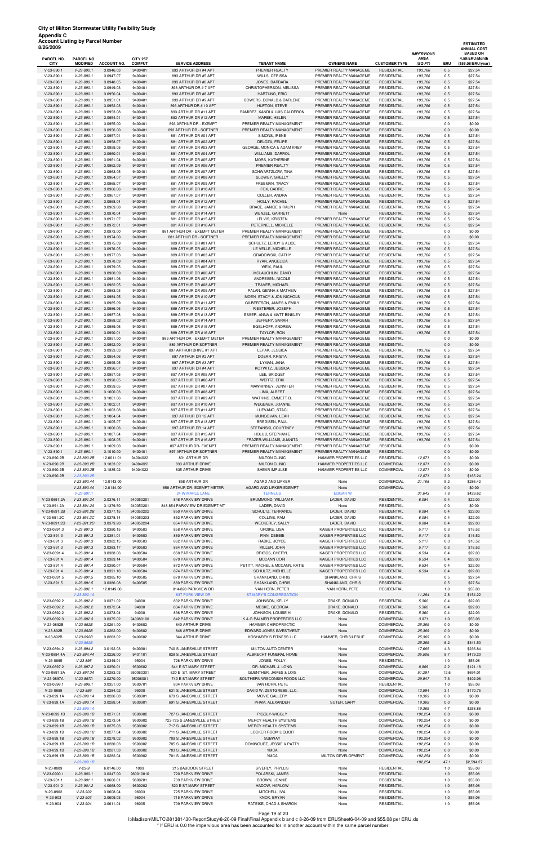| 8/26/2009                    |                              |                         |                      |                                                |                                                 |                                                    |                                          |                           |            | ᇢᄖᄢᄊᄖ<br>ANNUAL COST              |
|------------------------------|------------------------------|-------------------------|----------------------|------------------------------------------------|-------------------------------------------------|----------------------------------------------------|------------------------------------------|---------------------------|------------|-----------------------------------|
| PARCEL NO.                   | PARCEL NO.                   |                         | <b>CITY 257</b>      |                                                |                                                 |                                                    |                                          | <b>IMPERVIOUS</b><br>AREA |            | <b>BASED ON</b><br>4.59/ERU/Month |
| <b>CITY</b>                  | <b>MODIFIED</b>              | <b>ACCOUNT NO.</b>      | <b>COMPUT</b>        | <b>SERVICE ADDRESS</b>                         | <b>TENANT NAME</b>                              | <b>OWNERS NAME</b>                                 | <b>CUSTOMER TYPE</b>                     | (SQ FT)                   | ERU        | (\$55.08/ERU/year)                |
| $V-23-890.1$                 | $V-23-890.1$                 | 3.0946.03               | 9400401              | 893 ARTHUR DR #4 APT                           | PREMIER REALTY                                  | PREMIER REALTY MANAGEME                            | <b>RESIDENTIAL</b>                       | 193,766                   | 0.5        | \$27.54                           |
| $V-23-890.1$                 | $V-23-890.1$                 | 3.0947.07               | 9400401              | 893 ARTHUR DR #5 APT                           | WILLS, CERISSA                                  | PREMIER REALTY MANAGEME                            | <b>RESIDENTIAL</b>                       | 193,766                   | 0.5        | \$27.54                           |
| $V-23-890.1$                 | $V-23-890.1$                 | 3.0948.05               | 9400401              | 893 ARTHUR DR #6 APT                           | JONES, BARBARA                                  | PREMIER REALTY MANAGEME                            | <b>RESIDENTIAL</b>                       | 193,766                   | 0.5        | \$27.54                           |
| $V-23-890.1$<br>$V-23-890.1$ | $V-23-890.1$<br>$V-23-890.1$ | 3.0949.03<br>3.0950.04  | 9400401<br>9400401   | 893 ARTHUR DR # 7 APT<br>893 ARTHUR DR #8 APT  | CHRISTOPHERSON, MELISSA<br><b>HARTUNG, ERIC</b> | PREMIER REALTY MANAGEME<br>PREMIER REALTY MANAGEME | <b>RESIDENTIAL</b><br><b>RESIDENTIAL</b> | 193,766<br>193,766        | 0.5<br>0.5 | \$27.54<br>\$27.54                |
| $V-23-890.1$                 | $V-23-890.1$                 | 3.0951.01               | 9400401              | 893 ARTHUR DR #9 APT                           | BOWERS, DONALD & DARLENE                        | PREMIER REALTY MANAGEME                            | <b>RESIDENTIAL</b>                       | 193,766                   | 0.5        | \$27.54                           |
| $V-23-890.1$                 | $V-23-890.1$                 | 3.0952.03               | 9400401              | 893 ARTHUR DR # 10 APT                         | HUFTON, STEVE                                   | PREMIER REALTY MANAGEME                            | <b>RESIDENTIAL</b>                       | 193,766                   | 0.5        | \$27.54                           |
| $V-23-890.1$                 | $V-23-890.1$                 | 3.0953.08               | 9400401              | 893 ARTHUR DR #11 APT                          | RAMIREZ, KANDI & LUIS CALDERON                  | PREMIER REALTY MANAGEME                            | <b>RESIDENTIAL</b>                       | 193,766                   | 0.5        | \$27.54                           |
| V-23-890.1                   | $V-23-890.1$                 | 3.0954.01               | 9400401              | 893 ARTHUR DR #12 APT                          | MAREK, HELEN                                    | PREMIER REALTY MANAGEME                            | <b>RESIDENTIAL</b>                       | 193,766                   | 0.5        | \$27.54                           |
| $V-23-890.1$                 | $V-23-890.1$                 | 3.0955.00               | 9400401              | 893 ARTHUR DR - EXEMPT                         | PREMIER REALTY MANAGEMENT                       | PREMIER REALTY MANAGEME                            | <b>RESIDENTIAL</b>                       |                           | 0.0        | \$0.00                            |
| $V-23-890.1$                 | $V-23-890.1$                 | 3.0956.00               | 9400401              | 893 ARTHUR DR - SOFTNER                        | PREMIER REALTY MANAGEMENT                       | PREMIER REALTY MANAGEME                            | <b>RESIDENTIAL</b>                       |                           | 0.0        | \$0.00                            |
| $V-23-890.1$                 | $V-23-890.1$                 | 3.0957.01               | 9400401              | 881 ARTHUR DR #01 APT                          | SIMONS, IRENE                                   | PREMIER REALTY MANAGEME                            | <b>RESIDENTIAL</b>                       | 193,766                   | 0.5        | \$27.54                           |
| $V-23-890.1$<br>$V-23-890.1$ | $V-23-890.1$<br>$V-23-890.1$ | 3.0958.07<br>3.0959.05  | 9400401<br>9400401   | 881 ARTHUR DR #02 APT<br>881 ARTHUR DR #03 APT | DELOZA, FELIPE<br>GEORGE, MONICA & ADAM KREY    | PREMIER REALTY MANAGEME<br>PREMIER REALTY MANAGEME | <b>RESIDENTIAL</b><br><b>RESIDENTIAL</b> | 193,766                   | 0.5<br>0.5 | \$27.54<br>\$27.54                |
| V-23-890.1                   | $V-23-890.1$                 | 3.0960.01               | 9400401              | 881 ARTHUR DR #04 APT                          | WILLIAMS, DARROL                                | PREMIER REALTY MANAGEME                            | <b>RESIDENTIAL</b>                       | 193,766<br>193,766        | 0.5        | \$27.54                           |
| $V-23-890.1$                 | $V-23-890.1$                 | 3.0961.04               | 9400401              | 881 ARTHUR DR #05 APT                          | MORS, KATHERINE                                 | PREMIER REALTY MANAGEME                            | <b>RESIDENTIAL</b>                       | 193,766                   | 0.5        | \$27.54                           |
| V-23-890.1                   | $V-23-890.1$                 | 3.0962.09               | 9400401              | 881 ARTHUR DR #06 APT                          | PREMIER REALTY                                  | PREMIER REALTY MANAGEME                            | <b>RESIDENTIAL</b>                       | 193,766                   | 0.5        | \$27.54                           |
| $V-23-890.1$                 | $V-23-890.1$                 | 3.0963.05               | 9400401              | 881 ARTHUR DR #07 APT                          | SCHWARTZLOW, TINA                               | PREMIER REALTY MANAGEME                            | <b>RESIDENTIAL</b>                       | 193,766                   | 0.5        | \$27.54                           |
| $V-23-890.1$                 | $V-23-890.1$                 | 3.0964.07               | 9400401              | 881 ARTHUR DR #08 APT                          | SLOWEY, SHELLY                                  | PREMIER REALTY MANAGEME                            | <b>RESIDENTIAL</b>                       | 193,766                   | 0.5        | \$27.54                           |
| $V-23-890.1$                 | $V-23-890.1$                 | 3.0965.07               | 9400401              | 881 ARTHUR DR #09 APT                          | FREEMAN, TRACY                                  | PREMIER REALTY MANAGEME                            | <b>RESIDENTIAL</b>                       | 193,766                   | 0.5        | \$27.54                           |
| $V-23-890.1$                 | $V-23-890.1$                 | 3.0966.06               | 9400401              | 881 ARTHUR DR #10 APT                          | FOX, CARRIE                                     | PREMIER REALTY MANAGEME                            | <b>RESIDENTIAL</b>                       | 193,766                   | 0.5        | \$27.54                           |
| $V-23-890.1$                 | $V-23-890.1$                 | 3.0967.07               | 9400401              | 881 ARTHUR DR #11 APT                          | CULLER, ANDRA                                   | PREMIER REALTY MANAGEME                            | <b>RESIDENTIAL</b>                       | 193,766                   | 0.5        | \$27.54                           |
| $V-23-890.1$<br>$V-23-890.1$ | $V-23-890.1$<br>$V-23-890.1$ | 3.0968.04<br>3.0969.08  | 9400401<br>9400401   | 881 ARTHUR DR #12 APT<br>881 ARTHUR DR #13 APT | HOLLY, RACHEL<br>BRACE, JANICE & RALPH          | PREMIER REALTY MANAGEME<br>PREMIER REALTY MANAGEME | <b>RESIDENTIAL</b><br><b>RESIDENTIAL</b> | 193,766<br>193,766        | 0.5<br>0.5 | \$27.54<br>\$27.54                |
| V-23-890.1                   | $V-23-890.1$                 | 3.0970.04               | 9400401              | 881 ARTHUR DR #14 APT                          | WENZEL, GARRETT                                 | None                                               | <b>RESIDENTIAL</b>                       | 193,766                   | 0.5        | \$27.54                           |
| $V-23-890.1$                 | $V-23-890.1$                 | 3.0971.07               | 9400401              | 881 ARTHUR DR #15 APT                          | LELVIS, KRISTEN                                 | PREMIER REALTY MANAGEME                            | <b>RESIDENTIAL</b>                       | 193,766                   | 0.5        | \$27.54                           |
| $V-23-890.1$                 | $V-23-890.1$                 | 3.0972.01               | 9400401              | 881 ARTHUR DR #16 APT                          | PETERNELL, MICHELLE                             | PREMIER REALTY MANAGEME                            | <b>RESIDENTIAL</b>                       | 193,766                   | 0.5        | \$27.54                           |
| $V-23-890.1$                 | $V-23-890.1$                 | 3.0973.00               | 9400401              | 881 ARTHUR DR - EXEMPT METER                   | PREMIER REALTY MANAGEMENT                       | PREMIER REALTY MANAGEME                            | <b>RESIDENTIAL</b>                       |                           | 0.0        | \$0.00                            |
| $V-23-890.1$                 | $V-23-890.1$                 | 3.0974.00               | 9400401              | 881 ARTHUR DR - SOFTNER                        | PREMIER REALTY MANAGEMENT                       | PREMIER REALTY MANAGEME                            | <b>RESIDENTIAL</b>                       |                           | 0.0        | \$0.00                            |
| $V-23-890.1$                 | $V-23-890.1$                 | 3.0975.09               | 9400401              | 889 ARTHUR DR #01 APT                          | SCHULTZ, LEROY & ALICE                          | PREMIER REALTY MANAGEME                            | <b>RESIDENTIAL</b>                       | 193,766                   | 0.5        | \$27.54                           |
| $V-23-890.1$                 | $V-23-890.1$                 | 3.0976.05               | 9400401              | 889 ARTHUR DR #02 APT                          | LE VELLE, MICHELLE                              | PREMIER REALTY MANAGEME                            | <b>RESIDENTIAL</b>                       | 193,766                   | 0.5        | \$27.54                           |
| $V-23-890.1$<br>$V-23-890.1$ | $V-23-890.1$<br>$V-23-890.1$ | 3.0977.03<br>3.0978.09  | 9400401<br>9400401   | 889 ARTHUR DR #03 APT<br>889 ARTHUR DR #04 APT | GRABOWSKI, CATHY<br>RYAN, ANGELICA              | PREMIER REALTY MANAGEME<br>PREMIER REALTY MANAGEME | <b>RESIDENTIAL</b><br><b>RESIDENTIAL</b> | 193,766<br>193,766        | 0.5<br>0.5 | \$27.54<br>\$27.54                |
| $V-23-890.1$                 | $V-23-890.1$                 | 3.0979.05               | 9400401              | 889 ARTHUR DR #05 APT                          | WEIX, PAUL                                      | PREMIER REALTY MANAGEME                            | <b>RESIDENTIAL</b>                       | 193,766                   | 0.5        | \$27.54                           |
| V-23-890.1                   | $V-23-890.1$                 | 3.0980.09               | 9400401              | 889 ARTHUR DR #06 APT                          | MCLAUGHLIN, DAVID                               | PREMIER REALTY MANAGEME                            | <b>RESIDENTIAL</b>                       | 193,766                   | 0.5        | \$27.54                           |
| $V-23-890.1$                 | $V-23-890.1$                 | 3.0981.06               | 9400401              | 889 ARTHUR DR #07 APT                          | ANDRESEN, NICOLE                                | PREMIER REALTY MANAGEME                            | <b>RESIDENTIAL</b>                       | 193,766                   | 0.5        | \$27.54                           |
| $V-23-890.1$                 | $V-23-890.1$                 | 3.0982.05               | 9400401              | 889 ARTHUR DR #08 APT                          | TRAVER, MICHAEL                                 | PREMIER REALTY MANAGEME                            | <b>RESIDENTIAL</b>                       | 193,766                   | 0.5        | \$27.54                           |
| $V-23-890.1$                 | $V-23-890.1$                 | 3.0983.03               | 9400401              | 889 ARTHUR DR #09 APT                          | PALAN, GENNA & MATHEW                           | PREMIER REALTY MANAGEME                            | <b>RESIDENTIAL</b>                       | 193,766                   | 0.5        | \$27.54                           |
| $V-23-890.1$                 | $V-23-890.1$                 | 3.0984.05               | 9400401              | 889 ARTHUR DR #10 APT                          | MOEN, STACY & JON NICHOLS                       | PREMIER REALTY MANAGEME                            | <b>RESIDENTIAL</b>                       | 193,766                   | 0.5        | \$27.54                           |
| $V-23-890.1$<br>V-23-890.1   | $V-23-890.1$<br>$V-23-890.1$ | 3.0985.09               | 9400401              | 889 ARTHUR DR #11 APT                          | GILBERTSON, JAMES & EMILY<br>RIESTERER, JOSEPH  | PREMIER REALTY MANAGEME<br>PREMIER REALTY MANAGEME | <b>RESIDENTIAL</b><br><b>RESIDENTIAL</b> | 193,766                   | 0.5<br>0.5 | \$27.54<br>\$27.54                |
| $V-23-890.1$                 | $V-23-890.1$                 | 3.0986.06<br>3.0987.08  | 9400401<br>9400401   | 889 ARTHUR DR #12 APT<br>889 ARTHUR DR #13 APT | ESSER, ANNA & MATT BINKLEY                      | PREMIER REALTY MANAGEME                            | <b>RESIDENTIAL</b>                       | 193,766<br>193,766        | 0.5        | \$27.54                           |
| $V-23-890.1$                 | $V-23-890.1$                 | 3.0988.02               | 9400401              | 889 ARTHUR DR #14 APT                          | JEFFERY, SARAH                                  | PREMIER REALTY MANAGEME                            | <b>RESIDENTIAL</b>                       | 193,766                   | 0.5        | \$27.54                           |
| $V-23-890.1$                 | $V-23-890.1$                 | 3.0989.06               | 9400401              | 889 ARTHUR DR #15 APT                          | EGELHOFF, ANDREW                                | PREMIER REALTY MANAGEME                            | <b>RESIDENTIAL</b>                       | 193,766                   | 0.5        | \$27.54                           |
| $V-23-890.1$                 | $V-23-890.1$                 | 3.0990.01               | 9400401              | 889 ARTHUR DR #16 APT                          | TAYLOR, RON                                     | PREMIER REALTY MANAGEME                            | <b>RESIDENTIAL</b>                       | 193,766                   | 0.5        | \$27.54                           |
| $V-23-890.1$                 | $V-23-890.1$                 | 3.0991.00               | 9400401              | 889 ARTHUR DR - EXEMPT METER                   | PREMIER REALTY MANAGEMENT                       | PREMIER REALTY MANAGEME                            | <b>RESIDENTIAL</b>                       |                           | 0.0        | \$0.00                            |
| $V-23-890.1$                 | $V-23-890.1$                 | 3.0992.00               | 9400401              | 889 ARTHUR DR SOFTNER                          | PREMIER REALTY MANAGEMENT                       | PREMIER REALTY MANAGEME                            | <b>RESIDENTIAL</b>                       |                           | 0.0        | \$0.00                            |
| $V-23-890.1$                 | $V-23-890.1$                 | 3.0993.03               | 9400401              | 897 ARTHUR DRIVE #1 APT                        | LEPAK, JESSICA                                  | PREMIER REALTY MANAGEME                            | <b>RESIDENTIAL</b>                       | 193,766                   | 0.5        | \$27.54                           |
| $V-23-890.1$<br>$V-23-890.1$ | $V-23-890.1$<br>$V-23-890.1$ | 3.0994.06               | 9400401<br>9400401   | 897 ARTHUR DR #2 APT<br>897 ARTHUR DR #3 APT   | DOERR, KRISTA                                   | PREMIER REALTY MANAGEME<br>PREMIER REALTY MANAGEME | <b>RESIDENTIAL</b><br><b>RESIDENTIAL</b> | 193,766                   | 0.5<br>0.5 | \$27.54<br>\$27.54                |
| $V-23-890.1$                 | $V-23-890.1$                 | 3.0995.05<br>3.0996.07  | 9400401              | 897 ARTHUR DR #4 APT                           | LYMAN, JANA<br>KOTWITZ, JESSICA                 | PREMIER REALTY MANAGEME                            | <b>RESIDENTIAL</b>                       | 193,766<br>193,766        | 0.5        | \$27.54                           |
| $V-23-890.1$                 | $V-23-890.1$                 | 3.0997.05               | 9400401              | 897 ARTHUR DR #05 APT                          | LEE, BRIDGET                                    | PREMIER REALTY MANAGEME                            | <b>RESIDENTIAL</b>                       | 193,766                   | 0.5        | \$27.54                           |
| $V-23-890.1$                 | $V-23-890.1$                 | 3.0998.05               | 9400401              | 897 ARTHUR DR #06 APT                          | <b>WERTZ, ERIK</b>                              | PREMIER REALTY MANAGEME                            | <b>RESIDENTIAL</b>                       | 193,766                   | 0.5        | \$27.54                           |
| $V-23-890.1$                 | $V-23-890.1$                 | 3.0999.05               | 9400401              | 897 ARTHUR DR #07 APT                          | MAWHINNEY, JENNIFER                             | PREMIER REALTY MANAGEME                            | <b>RESIDENTIAL</b>                       | 193,766                   | 0.5        | \$27.54                           |
| $V-23-890.1$                 | $V-23-890.1$                 | 3.1000.03               | 9400401              | 897 ARTHUR DR #08 APT                          | LIMA, ALBERT                                    | PREMIER REALTY MANAGEME                            | <b>RESIDENTIAL</b>                       | 193,766                   | 0.5        | \$27.54                           |
| $V-23-890.1$                 | $V-23-890.1$                 | 3.1001.06               | 9400401              | 897 ARTHUR DR #09 APT                          | WATKINS, EMMETT D.                              | PREMIER REALTY MANAGEME                            | <b>RESIDENTIAL</b>                       | 193,766                   | 0.5        | \$27.54                           |
| $V-23-890.1$                 | $V-23-890.1$                 | 3.1002.01               | 9400401              | 897 ARTHUR DR #10 APT                          | WEGENER, JOANNE                                 | PREMIER REALTY MANAGEME                            | <b>RESIDENTIAL</b>                       | 193,766                   | 0.5        | \$27.54                           |
| $V-23-890.1$<br>$V-23-890.1$ | $V-23-890.1$<br>$V-23-890.1$ | 3.1003.08<br>3.1004.04  | 9400401<br>9400401   | 897 ARTHUR DR #11 APT<br>897 ARTHUR DR 12 APT  | LUEVANO, STACI<br>MUNGOVAN, LEAH                | PREMIER REALTY MANAGEME<br>PREMIER REALTY MANAGEME | <b>RESIDENTIAL</b><br><b>RESIDENTIAL</b> | 193,766                   | 0.5<br>0.5 | \$27.54<br>\$27.54                |
| $V-23-890.1$                 | $V-23-890.1$                 | 3.1005.07               | 9400401              | 897 ARTHUR DR #13 APT                          | <b>BREDISEN, PAUL</b>                           | PREMIER REALTY MANAGEME                            | <b>RESIDENTIAL</b>                       | 193,766<br>193,766        | 0.5        | \$27.54                           |
| $V-23-890.1$                 | $V-23-890.1$                 | 3.1006.06               | 9400401              | 897 ARTHUR DR 14 APT                           | STEFANSKI, COURTNEY                             | PREMIER REALTY MANAGEME                            | <b>RESIDENTIAL</b>                       | 193,766                   | 0.5        | \$27.54                           |
| $V-23-890.1$                 | $V-23-890.1$                 | 3.1007.04               | 9400401              | 897 ARTHUR DR #15 APT                          | HOLUB, STEPHANIE                                | PREMIER REALTY MANAGEME                            | <b>RESIDENTIAL</b>                       | 193,766                   | 0.5        | \$27.54                           |
| $V-23-890.1$                 | $V-23-890.1$                 | 3.1008.05               | 9400401              | 897 ARTHUR DR #16 APT                          | FRAZER-WILLIAMS, JUANITA                        | PREMIER REALTY MANAGEME                            | <b>RESIDENTIAL</b>                       | 193,766                   | 0.5        | \$27.54                           |
| $V-23-890.1$                 | $V-23-890.1$                 | 3.1009.00               | 9400401              | 897 ARTHUR DR- EXEMPT                          | PREMIER REALTY MANAGEMENT                       | PREMIER REALTY MANAGEME                            | <b>RESIDENTIAL</b>                       |                           | 0.0        | \$0.00                            |
| $V-23-890.1$                 | $V-23-890.1$                 | 3.1010.00               | 9400401              | 897 ARTHUR DR SOFTNER                          | PREMIER REALTY MANAGEMENT                       | PREMIER REALTY MANAGEME                            | <b>RESIDENTIAL</b>                       |                           | 0.0        | \$0.00                            |
| V-23-890.2B                  | $V-23-890.2B$                | 12.0011.01              | 94004022             | 831 ARTHUR DR                                  | <b>MILTON CLINIC</b>                            | HAMMER PROPERTIES LLC                              | <b>RESIDENTIAL</b>                       | 12,071                    | 0.0        | \$0.00                            |
| V-23-890.2B<br>V-23-890.2B   | $V-23-890.2B$<br>V-23-890.2B | 3.1833.02<br>3.1835.02  | 94004022<br>94004022 | 833 ARTHUR DRIVE<br>835 ARTHUR DRIVE           | <b>MILTON CLINIC</b><br>SHEAR IMPULSE           | HAMMER PROPERTIES LLC<br>HAMMER PROPERTIES LLC     | COMMERCIAL<br>COMMERCIAL                 | 12,071<br>12,071          | 0.0<br>0.0 | \$0.00<br>\$0.00                  |
| V-23-890.2B                  | $V-23-890.2B$                |                         |                      |                                                |                                                 |                                                    |                                          | 12,071                    | 3.0        | \$165.24                          |
|                              | V-23-890.4A                  | 12.0143.00              |                      | 858 ARTHUR DR                                  | AGARD AND LIPKER                                | None                                               | COMMERCIAL                               | 21,168                    | 5.2        | \$286.42                          |
|                              | V-23-890.4A                  | 12.0144.00              |                      | 858 ARTHUR DR- EXEMPT METER                    | AGARD AND LIPKER-EXEMPT                         | None                                               | <b>COMMERCIAL</b>                        |                           | 0.0        | \$0.00                            |
|                              | $V-23-891.1$                 |                         |                      | <b>24 W MAPLE LANE</b>                         | <b>TERNEUS</b>                                  | <b>EDGAR W</b>                                     |                                          | 31,643                    | 7.8        | \$429.62                          |
| V-23-0891.2A                 | V-23-891.2A                  | 3.0376.11               | 940050201            | 848 PARKVIEW DRIVE                             | BRUMMOND, WILLIAM F.                            | LADER, DAVID                                       | <b>RESIDENTIAL</b>                       | 6.084                     | 0.4        | \$22.03                           |
| V-23-891.2A                  | V-23-891.2A                  | 3.1379.50               | 940050201            | 848-854 PARKVIEW DR-EXEMPT MT                  | LADER, DAVID                                    | None                                               | <b>RESIDENTIAL</b>                       |                           | 0.0        | \$0.00                            |
| V-23-0891.2B                 | $V-23-891.2B$                | 3.0377.15               | 940050202            | 850 PARKVIEW DRIVE                             | SCHULTZ, TERRANCE                               | LADER, DAVID                                       | <b>RESIDENTIAL</b>                       | 6.084                     | 0.4        | \$22.03                           |
| V-23-891.2C                  | V-23-891.2C                  | 3.0378.14               | 940050203            | 852 PARKVIEW DRIVE                             | COLLINS, PAM                                    | LADER, DAVID                                       | <b>RESIDENTIAL</b>                       | 6,084                     | 0.4        | \$22.03                           |
| V-23-0891.2D<br>V-23-0891.3  | V-23-891.2D<br>$V-23-891.3$  | 3.0379.20<br>3.0380.15  | 940050204<br>9400503 | 854 PARKVIEW DRIVE<br>858 PARKVIEW DRIVE       | WECKERLY, SALLY<br>UPDIKE, LISA                 | LADER, DAVID<br>KAISER PROPERTIES LLC              | <b>RESIDENTIAL</b><br><b>RESIDENTIAL</b> | 6,084<br>5.117            | 0.4<br>0.3 | \$22.03<br>\$16.52                |
| $V-23-891.3$                 | $V-23-891.3$                 | 3.0381.01               | 9400503              | 860 PARKVIEW DRIVE                             | FINN, DEBBIE                                    | KAISER PROPERTIES LLC                              | <b>RESIDENTIAL</b>                       | 5,117                     | 0.3        | \$16.52                           |
| V-23-891.3                   | $V-23-891.3$                 | 3.0382.15               | 9400503              | 862 PARKVIEW DRIVE                             | RADKE, JOYCE                                    | KAISER PROPERTIES LLC                              | <b>RESIDENTIAL</b>                       | 5,117                     | 0.3        | \$16.52                           |
| $V-23-891.3$                 | $V-23-891.3$                 | 3.0383.17               | 9400503              | 864 PARKVIEW DRIVE                             | MILLER, JOHN                                    | KAISER PROPERTIES LLC                              | <b>RESIDENTIAL</b>                       | 5,117                     | 0.3        | \$16.52                           |
| V-23-0891.4                  | $V-23-891.4$                 | 3.0388.06               | 9400504              | 868 PARKVIEW DRIVE                             | <b>BRIGGS, CHERYL</b>                           | KAISER PROPERTIES LLC                              | <b>RESIDENTIAL</b>                       | 6,534                     | 0.4        | \$22.03                           |
| $V-23-891.4$                 | $V-23-891.4$                 | 3.0389.14               | 9400504              | 870 PARKVIEW DRIVE                             | <b>MCCANN CORI</b>                              | KAISER PROPERTIES LLC                              | <b>RESIDENTIAL</b>                       | 6,534                     | 0.4        | \$22.03                           |
| V-23-891.4                   | $V-23-891.4$                 | 3.0390.07               | 9400504              | 872 PARKVIEW DRIVE                             | PETITT, RACHEL & MCCANN, KATIE                  | KAISER PROPERTIES LLC                              | <b>RESIDENTIAL</b>                       | 6,534                     | 0.4        | \$22.03                           |
| $V-23-891.4$                 | $V-23-891.4$                 | 3.0391.10               | 9400504              | 874 PARKVIEW DRIVE                             | SCHULTZ, MICHELLE                               | KAISER PROPERTIES LLC                              | <b>RESIDENTIAL</b>                       | 6,534                     | 0.4        | \$22.03                           |
| $V-23-0891.5$                | $V-23-891.5$                 | 3.0385.10               | 9400505              | 878 PARKVIEW DRIVE                             | SHANKLAND, CHRIS                                | SHANKLAND, CHRIS<br>SHANKLAND, CHRIS               | <b>RESIDENTIAL</b>                       |                           | 0.5        | \$27.54                           |
| $V-23-891.5$                 | $V-23-891.5$<br>V-23-892.1   | 3.0386.08<br>12.0149.00 | 9400505              | 880 PARKVIEW DRIVE<br>814-820 PARKVIEW DR      | SHANKLAND, CHRIS<br>VAN HORN, PETER             | VAN HORN, PETE                                     | <b>RESIDENTIAL</b><br><b>RESIDENTIAL</b> |                           | 0.5<br>1.0 | \$27.54<br>\$55.08                |
|                              | V-23-892.1A                  |                         |                      | 837 PARK VIEW DR                               | <b>ST MARY'S CONGREGATION</b>                   |                                                    |                                          | 11,284                    | 2.8        | \$154.22                          |
| V-23-0892.2                  | $V-23-892.2$                 | 3.0371.02               | 94008                | 832 PARKVIEW DRIVE                             | JOHNSON, KELLY                                  | DRAKE, DONALD                                      | <b>RESIDENTIAL</b>                       | 5,360                     | 0.4        | \$22.03                           |
| V-23-0892.2                  | $V-23-892.2$                 | 3.0372.04               | 94008                | 834 PARKVIEW DRIVE                             | MESKE, GEORGIA                                  | DRAKE, DONALD                                      | <b>RESIDENTIAL</b>                       | 5,360                     | 0.4        | \$22.03                           |
| V-23-0892.2                  | V-23-892.2                   | 3.0373.04               | 94008                | 836 PARKVIEW DRIVE                             | JOHNSON, LOUISE H.                              | DRAKE, DONALD                                      | <b>RESIDENTIAL</b>                       | 5,360                     | 0.4        | \$22.03                           |

 $F$ 

V-23-0892.3 V-23-892.3 3.0375.02 940080100 842 PARKVIEW DRIVE K & G PALMER PROPERTIES LLC None COMMERCIAL 3,971 1.0 \$55.08

| V-23-0892B    | $V-23-892B$    | 3.0261.00 | 9400602   | 840 ARTHUR DRIVE            | <b>HAMMER CHIROPRACTIC</b>        | None                 | <b>COMMERCIAL</b>  | 25,369  | 0.0  | \$0.00     |
|---------------|----------------|-----------|-----------|-----------------------------|-----------------------------------|----------------------|--------------------|---------|------|------------|
| V-23-892B     | $V-23-892B$    | 3.0262.00 | 9400602   | 848 ARTHUR DRIVE            | EDWARD JONES INVESTMENT           | None                 | <b>COMMERCIAL</b>  | 25.369  | 0.0  | \$0.00     |
| V-23-892B     | $V-23-892B$    | 3.0263.02 | 9400602   | 844 ARTHUR DRIVE            | KOSHAREK'S FITNESS LLC            | HAMMER, CHRIS/LESLIE | COMMERCIAL         | 25,369  | 0.0  | \$0.00     |
|               | $V-23-892B$    |           |           |                             |                                   |                      |                    | 25,369  | 6.2  | \$341.50   |
| V-23-0894.2   | $V-23-894.2$   | 3.0192.03 | 9400901   | 740 S JANESVILLE STREET     | MILTON AUTO CENTER                | None                 | <b>COMMERCIAL</b>  | 17,665  | 4.3  | \$236.84   |
| V-23-0894.4A  | $V-23-894.4A$  | 3.0226.00 | 9401101   | 828 S JANESVILLE STREET     | ALBRECHT FUNERAL HOME             | None                 | <b>COMMERCIAL</b>  | 35,506  | 8.7  | \$479.20   |
| V-23-0895     | $V - 23 - 895$ | 3.0349.01 | 95004     | 726 PARKVIEW DRIVE          | JONES, POLLY                      | None                 | <b>RESIDENTIAL</b> |         | 1.0  | \$55.08    |
| V-23-0897.2   | $V-23-897.2$   | 3.0350.01 | 9500602   | 641 E ST MARY STREET        | DR. MICHAEL J. LONG               | None                 | <b>COMMERCIAL</b>  | 8,809   | 2.2  | \$121.18   |
| V-23-0897.3A  | $V-23-897.3A$  | 3.0283.03 | 950060301 | 620 E ST. MARY STREET       | <b>GUENTHER, JAMES &amp; LOIS</b> | None                 | <b>COMMERCIAL</b>  | 51.291  | 12.6 | \$694.01   |
| V-23-0897A    | $V-23-897A$    | 3.0270.00 | 95006001  | 740 E ST.MARY STREET        | SOUTHERN WISCONSIN FOODS LLC      | None                 | <b>COMMERCIAL</b>  | 29.947  | 7.3  | \$402.08   |
| V-23-0898.1   | $V-23-898.1$   | 3.0351.00 | 9500701   | 804 PARKVIEW DRIVE          | VAN HORN, PETE                    | None                 | <b>RESIDENTIAL</b> |         | 1.0  | \$55.08    |
| V-23-0899     | $V - 23 - 899$ | 3.0284.02 | 95008     | 631 S JANESVILLE STREET     | DAVID W. ZENTGREBE, LLC.          | None                 | <b>COMMERCIAL</b>  | 12.594  | 3.1  | \$170.75   |
| $V-23-899.1A$ | V-23-899.1A    | 3.0286.00 | 9500901   | 679 S JANESVILLE STREET     | MOVIE GALLERY                     | None                 | <b>COMMERCIAL</b>  | 19.369  | 0.0  | \$0.00     |
| V-23-899.1A   | $V-23-899.1A$  | 3.0288.04 | 9500901   | 691 S JANESVILLE STREET     | PHAM, ALEXANDER                   | SUTER, GARY          | <b>COMMERCIAL</b>  | 19.369  | 0.0  | \$0.00     |
|               | $V-23-899.1A$  |           |           |                             |                                   |                      |                    | 19,369  | 4.7  | \$258.88   |
| V-23-0899.1B  | $V-23-899.1B$  | 3.0271.01 | 9500902   | 727 S JANESVILLE STREET     | PIGGLY-WIGGLY                     | None                 | <b>COMMERCIAL</b>  | 192.254 | 0.0  | \$0.00     |
| V-23-899.1B   | $V-23-899.1B$  | 3.0273.04 | 9500902   | 723-725 S JANESVILLE STREET | <b>MERCY HEALTH SYSTEMS</b>       | None                 | <b>COMMERCIAL</b>  | 192,254 | 0.0  | \$0.00     |
| V-23-899.1B   | $V-23-899.1B$  | 3.0275.03 | 9500902   | 717 S JANESVILLE STREET     | <b>MERCY HEALTH SYSTEMS</b>       | None                 | <b>COMMERCIAL</b>  | 192,254 | 0.0  | \$0.00     |
| V-23-899.1B   | $V-23-899.1B$  | 3.0277.04 | 9500902   | 711 S JANESVILLE STREET     | <b>LOCKER ROOM LIQUOR</b>         | None                 | <b>COMMERCIAL</b>  | 192,254 | 0.0  | \$0.00     |
| V-23-899.1B   | $V-23-899.1B$  | 3.0278.02 | 9500902   | 709 S JANESVILLE STREET     | <b>SUBWAY</b>                     | None                 | <b>COMMERCIAL</b>  | 192,254 | 0.0  | \$0.00     |
| V-23-899.1B   | $V-23-899.1B$  | 3.0280.03 | 9500902   | 705 S JANESVILLE STREET     | DOMINQUEZ, JESSIE & PATTY         | None                 | <b>COMMERCIAL</b>  | 192.254 | 0.0  | \$0.00     |
| V-23-899.1B   | $V-23-899.1B$  | 3.0281.03 | 9500902   | 703 S JANESVILLE STREET     | <b>YMCA</b>                       | None                 | <b>COMMERCIAL</b>  | 192,254 | 0.0  | \$0.00     |
| V-23-899.1B   | $V-23-899.1B$  | 3.0282.04 | 9500902   | 701 S JANESVILLE STREET     | <b>YMCA</b>                       | MILTON DEVELOPMENT   | <b>COMMERCIAL</b>  | 192,254 | 0.0  | \$0.00     |
|               | $V-23-899.1B$  |           |           |                             |                                   |                      |                    | 192.254 | 47.1 | \$2,594.27 |
| $V-23-0009$   | $V-23-9$       | 6.0146.00 | 1009      | 215 BABCOCK STREET          | SIVERLY, PHYLLIS                  | None                 | <b>RESIDENTIAL</b> |         | 1.0  | \$55.08    |
| V-23-0900.1   | $V-23-900.1$   | 3.0347.00 | 960010010 | 720 PARKVIEW DRIVE          | POLARSKI, JAMES                   | None                 | <b>RESIDENTIAL</b> |         | 1.0  | \$55.08    |
| $V-23-901.1$  | $V-23-901.1$   | 3.0606.01 | 9600201   | 739 PARKVIEW DRIVE          | <b>BROWN, LONNIE</b>              | None                 | <b>RESIDENTIAL</b> |         | 1.0  | \$55.08    |
| $V-23-901.2$  | $V-23-901.2$   | 4.0068.00 | 9600202   | 520 E ST.MARY STREET        | HADOW, HARLOW                     | None                 | <b>RESIDENTIAL</b> |         | 1.0  | \$55.08    |
| V-23-0902     | $V-23-902$     | 3.0608.04 | 96003     | 725 PARKVIEW DRIVE          | MITCHELL, IVA                     | None                 | <b>RESIDENTIAL</b> |         | 1.0  | \$55.08    |
| $V-23-903$    | $V-23-903$     | 3.0609.03 | 96004     | 715 PARKVIEW DRIVE          | KNOX, BRYAN                       | None                 | <b>RESIDENTIAL</b> |         | 1.0  | \$55.08    |
| $V-23-904$    | $V-23-904$     | 3.0611.04 | 96005     | 709 PARKVIEW DRIVE          | RATEIKE, CHAD & SHARON            | None                 | <b>RESIDENTIAL</b> |         | 1.0  | \$55.08    |

Page 19 of 20

I:\Madison\MILTC\081381-\30-ReportStudy\8-20-09 Final\Final Appendix b and c 8-26-09 from ERUSheet6-04-09 and \$55.08 per ERU.xls